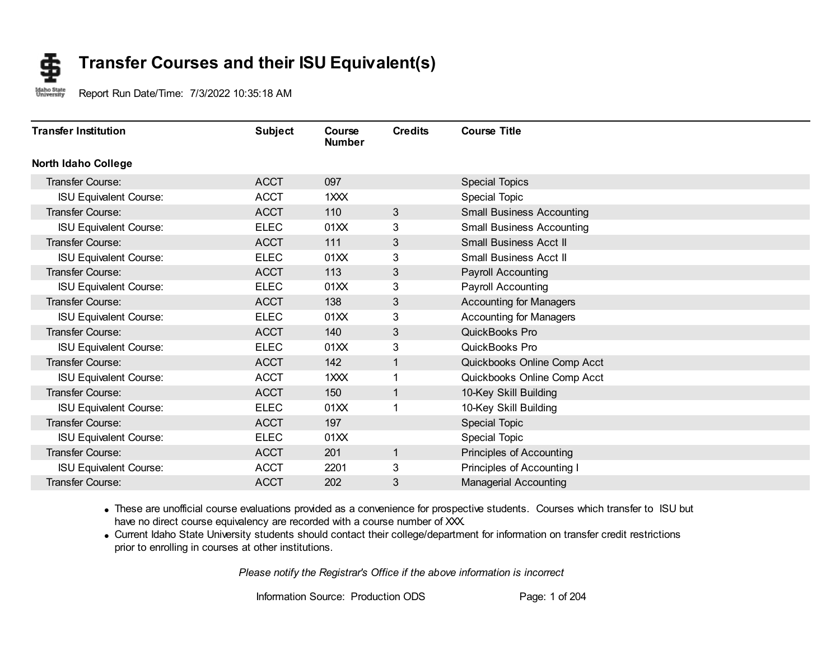#### **Transfer Courses and their ISU Equivalent(s)** S

Idaho State<br>University Report Run Date/Time: 7/3/2022 10:35:18 AM

| <b>Transfer Institution</b>   | <b>Subject</b> | Course<br><b>Number</b> | <b>Credits</b> | <b>Course Title</b>              |  |
|-------------------------------|----------------|-------------------------|----------------|----------------------------------|--|
| <b>North Idaho College</b>    |                |                         |                |                                  |  |
| Transfer Course:              | <b>ACCT</b>    | 097                     |                | <b>Special Topics</b>            |  |
| <b>ISU Equivalent Course:</b> | <b>ACCT</b>    | 1XXX                    |                | <b>Special Topic</b>             |  |
| Transfer Course:              | <b>ACCT</b>    | 110                     | 3              | <b>Small Business Accounting</b> |  |
| <b>ISU Equivalent Course:</b> | <b>ELEC</b>    | 01XX                    | 3              | <b>Small Business Accounting</b> |  |
| Transfer Course:              | <b>ACCT</b>    | 111                     | 3              | <b>Small Business Acct II</b>    |  |
| <b>ISU Equivalent Course:</b> | <b>ELEC</b>    | 01XX                    | 3              | Small Business Acct II           |  |
| Transfer Course:              | <b>ACCT</b>    | 113                     | 3              | <b>Payroll Accounting</b>        |  |
| <b>ISU Equivalent Course:</b> | <b>ELEC</b>    | 01XX                    | 3              | Payroll Accounting               |  |
| Transfer Course:              | <b>ACCT</b>    | 138                     | 3              | <b>Accounting for Managers</b>   |  |
| <b>ISU Equivalent Course:</b> | <b>ELEC</b>    | 01XX                    | 3              | <b>Accounting for Managers</b>   |  |
| Transfer Course:              | <b>ACCT</b>    | 140                     | 3              | QuickBooks Pro                   |  |
| <b>ISU Equivalent Course:</b> | <b>ELEC</b>    | 01XX                    | 3              | QuickBooks Pro                   |  |
| <b>Transfer Course:</b>       | <b>ACCT</b>    | 142                     | 1              | Quickbooks Online Comp Acct      |  |
| <b>ISU Equivalent Course:</b> | <b>ACCT</b>    | 1XXX                    | 1              | Quickbooks Online Comp Acct      |  |
| <b>Transfer Course:</b>       | <b>ACCT</b>    | 150                     | $\mathbf{1}$   | 10-Key Skill Building            |  |
| <b>ISU Equivalent Course:</b> | <b>ELEC</b>    | 01XX                    | 1              | 10-Key Skill Building            |  |
| <b>Transfer Course:</b>       | <b>ACCT</b>    | 197                     |                | Special Topic                    |  |
| <b>ISU Equivalent Course:</b> | <b>ELEC</b>    | 01XX                    |                | Special Topic                    |  |
| Transfer Course:              | <b>ACCT</b>    | 201                     | $\mathbf{1}$   | Principles of Accounting         |  |
| <b>ISU Equivalent Course:</b> | <b>ACCT</b>    | 2201                    | 3              | Principles of Accounting I       |  |
| <b>Transfer Course:</b>       | <b>ACCT</b>    | 202                     | 3              | <b>Managerial Accounting</b>     |  |

· These are unofficial course evaluations provided as a convenience for prospective students. Courses which transfer to ISU but have no direct course equivalency are recorded with a course number of XXX.

· Current Idaho State University students should contact their college/department for information on transfer credit restrictions prior to enrolling in courses at other institutions.

*Please notify the Registrar's Office if the above information is incorrect*

Information Source: Production ODS Page: 1 of 204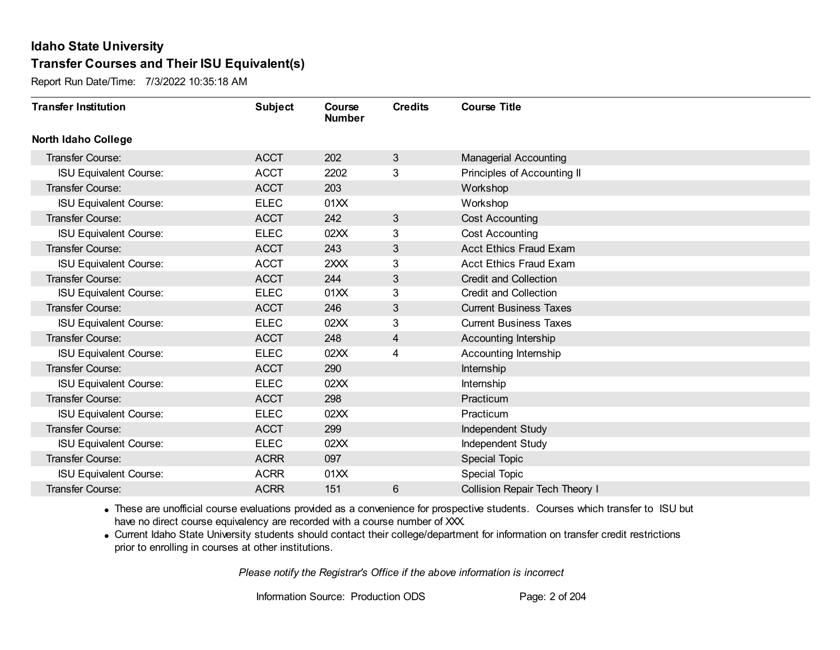Report Run Date/Time: 7/3/2022 10:35:18 AM

| <b>Transfer Institution</b>   | <b>Subject</b> | Course<br><b>Number</b> | <b>Credits</b> | <b>Course Title</b>                   |
|-------------------------------|----------------|-------------------------|----------------|---------------------------------------|
| <b>North Idaho College</b>    |                |                         |                |                                       |
| Transfer Course:              | <b>ACCT</b>    | 202                     | 3              | <b>Managerial Accounting</b>          |
| <b>ISU Equivalent Course:</b> | <b>ACCT</b>    | 2202                    | 3              | Principles of Accounting II           |
| Transfer Course:              | <b>ACCT</b>    | 203                     |                | Workshop                              |
| <b>ISU Equivalent Course:</b> | <b>ELEC</b>    | 01XX                    |                | Workshop                              |
| <b>Transfer Course:</b>       | <b>ACCT</b>    | 242                     | 3              | <b>Cost Accounting</b>                |
| <b>ISU Equivalent Course:</b> | <b>ELEC</b>    | 02XX                    | 3              | <b>Cost Accounting</b>                |
| <b>Transfer Course:</b>       | <b>ACCT</b>    | 243                     | 3              | <b>Acct Ethics Fraud Exam</b>         |
| <b>ISU Equivalent Course:</b> | <b>ACCT</b>    | 2XXX                    | 3              | <b>Acct Ethics Fraud Exam</b>         |
| Transfer Course:              | <b>ACCT</b>    | 244                     | 3              | <b>Credit and Collection</b>          |
| <b>ISU Equivalent Course:</b> | <b>ELEC</b>    | 01XX                    | 3              | Credit and Collection                 |
| Transfer Course:              | <b>ACCT</b>    | 246                     | 3              | <b>Current Business Taxes</b>         |
| <b>ISU Equivalent Course:</b> | <b>ELEC</b>    | 02XX                    | 3              | <b>Current Business Taxes</b>         |
| <b>Transfer Course:</b>       | <b>ACCT</b>    | 248                     | 4              | Accounting Intership                  |
| <b>ISU Equivalent Course:</b> | <b>ELEC</b>    | 02XX                    | 4              | Accounting Internship                 |
| Transfer Course:              | <b>ACCT</b>    | 290                     |                | Internship                            |
| <b>ISU Equivalent Course:</b> | <b>ELEC</b>    | 02XX                    |                | Internship                            |
| Transfer Course:              | <b>ACCT</b>    | 298                     |                | Practicum                             |
| <b>ISU Equivalent Course:</b> | <b>ELEC</b>    | 02XX                    |                | Practicum                             |
| <b>Transfer Course:</b>       | <b>ACCT</b>    | 299                     |                | Independent Study                     |
| <b>ISU Equivalent Course:</b> | <b>ELEC</b>    | 02XX                    |                | <b>Independent Study</b>              |
| <b>Transfer Course:</b>       | <b>ACRR</b>    | 097                     |                | <b>Special Topic</b>                  |
| <b>ISU Equivalent Course:</b> | <b>ACRR</b>    | 01XX                    |                | <b>Special Topic</b>                  |
| <b>Transfer Course:</b>       | <b>ACRR</b>    | 151                     | 6              | <b>Collision Repair Tech Theory I</b> |

· These are unofficial course evaluations provided as a convenience for prospective students. Courses which transfer to ISU but have no direct course equivalency are recorded with a course number of XXX.

· Current Idaho State University students should contact their college/department for information on transfer credit restrictions prior to enrolling in courses at other institutions.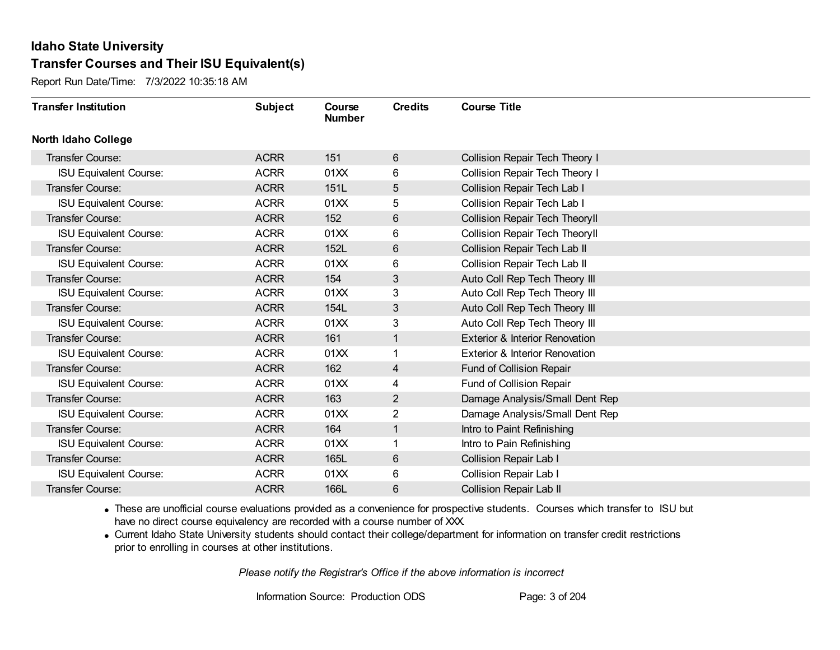Report Run Date/Time: 7/3/2022 10:35:18 AM

| <b>Transfer Institution</b>   | <b>Subject</b> | Course<br><b>Number</b> | <b>Credits</b> | <b>Course Title</b>                       |
|-------------------------------|----------------|-------------------------|----------------|-------------------------------------------|
| <b>North Idaho College</b>    |                |                         |                |                                           |
| Transfer Course:              | <b>ACRR</b>    | 151                     | 6              | Collision Repair Tech Theory I            |
| <b>ISU Equivalent Course:</b> | <b>ACRR</b>    | 01XX                    | 6              | Collision Repair Tech Theory I            |
| Transfer Course:              | <b>ACRR</b>    | 151L                    | 5              | Collision Repair Tech Lab I               |
| <b>ISU Equivalent Course:</b> | <b>ACRR</b>    | 01XX                    | 5              | Collision Repair Tech Lab I               |
| Transfer Course:              | <b>ACRR</b>    | 152                     | 6              | Collision Repair Tech Theoryll            |
| <b>ISU Equivalent Course:</b> | <b>ACRR</b>    | 01XX                    | 6              | <b>Collision Repair Tech TheoryII</b>     |
| Transfer Course:              | <b>ACRR</b>    | 152L                    | 6              | Collision Repair Tech Lab II              |
| <b>ISU Equivalent Course:</b> | <b>ACRR</b>    | 01XX                    | 6              | <b>Collision Repair Tech Lab II</b>       |
| Transfer Course:              | <b>ACRR</b>    | 154                     | 3              | Auto Coll Rep Tech Theory III             |
| <b>ISU Equivalent Course:</b> | <b>ACRR</b>    | 01XX                    | 3              | Auto Coll Rep Tech Theory III             |
| Transfer Course:              | <b>ACRR</b>    | 154L                    | 3              | Auto Coll Rep Tech Theory III             |
| <b>ISU Equivalent Course:</b> | <b>ACRR</b>    | 01XX                    | 3              | Auto Coll Rep Tech Theory III             |
| Transfer Course:              | <b>ACRR</b>    | 161                     | 1              | <b>Exterior &amp; Interior Renovation</b> |
| <b>ISU Equivalent Course:</b> | <b>ACRR</b>    | 01XX                    | 1              | Exterior & Interior Renovation            |
| Transfer Course:              | <b>ACRR</b>    | 162                     | 4              | Fund of Collision Repair                  |
| <b>ISU Equivalent Course:</b> | <b>ACRR</b>    | 01XX                    | 4              | Fund of Collision Repair                  |
| Transfer Course:              | <b>ACRR</b>    | 163                     | 2              | Damage Analysis/Small Dent Rep            |
| <b>ISU Equivalent Course:</b> | <b>ACRR</b>    | 01XX                    | 2              | Damage Analysis/Small Dent Rep            |
| Transfer Course:              | <b>ACRR</b>    | 164                     | 1              | Intro to Paint Refinishing                |
| <b>ISU Equivalent Course:</b> | <b>ACRR</b>    | 01XX                    |                | Intro to Pain Refinishing                 |
| Transfer Course:              | <b>ACRR</b>    | 165L                    | $6\phantom{1}$ | <b>Collision Repair Lab I</b>             |
| <b>ISU Equivalent Course:</b> | <b>ACRR</b>    | 01XX                    | 6              | Collision Repair Lab I                    |
| Transfer Course:              | <b>ACRR</b>    | 166L                    | 6              | <b>Collision Repair Lab II</b>            |

· These are unofficial course evaluations provided as a convenience for prospective students. Courses which transfer to ISU but have no direct course equivalency are recorded with a course number of XXX.

· Current Idaho State University students should contact their college/department for information on transfer credit restrictions prior to enrolling in courses at other institutions.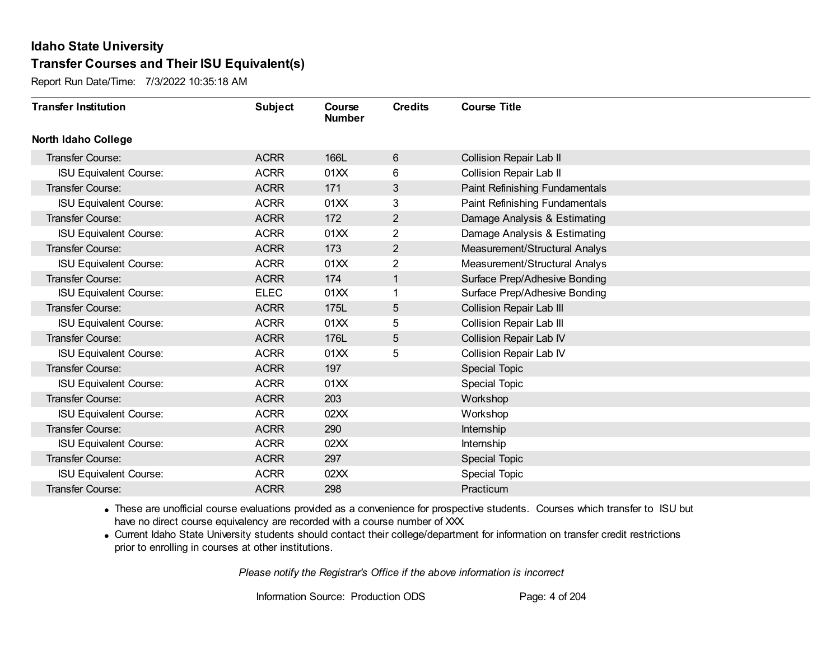Report Run Date/Time: 7/3/2022 10:35:18 AM

| <b>Transfer Institution</b>   | <b>Subject</b> | Course<br><b>Number</b> | <b>Credits</b> | <b>Course Title</b>            |
|-------------------------------|----------------|-------------------------|----------------|--------------------------------|
| North Idaho College           |                |                         |                |                                |
| <b>Transfer Course:</b>       | <b>ACRR</b>    | 166L                    | 6              | <b>Collision Repair Lab II</b> |
| <b>ISU Equivalent Course:</b> | <b>ACRR</b>    | 01XX                    | 6              | <b>Collision Repair Lab II</b> |
| Transfer Course:              | <b>ACRR</b>    | 171                     | 3              | Paint Refinishing Fundamentals |
| <b>ISU Equivalent Course:</b> | <b>ACRR</b>    | 01XX                    | 3              | Paint Refinishing Fundamentals |
| Transfer Course:              | <b>ACRR</b>    | 172                     | $\overline{2}$ | Damage Analysis & Estimating   |
| <b>ISU Equivalent Course:</b> | <b>ACRR</b>    | 01XX                    | 2              | Damage Analysis & Estimating   |
| <b>Transfer Course:</b>       | <b>ACRR</b>    | 173                     | $\overline{2}$ | Measurement/Structural Analys  |
| <b>ISU Equivalent Course:</b> | <b>ACRR</b>    | 01XX                    | $\overline{2}$ | Measurement/Structural Analys  |
| Transfer Course:              | <b>ACRR</b>    | 174                     | $\mathbf{1}$   | Surface Prep/Adhesive Bonding  |
| <b>ISU Equivalent Course:</b> | <b>ELEC</b>    | 01XX                    | 1              | Surface Prep/Adhesive Bonding  |
| Transfer Course:              | <b>ACRR</b>    | 175L                    | 5              | Collision Repair Lab III       |
| <b>ISU Equivalent Course:</b> | <b>ACRR</b>    | 01XX                    | 5              | Collision Repair Lab III       |
| Transfer Course:              | <b>ACRR</b>    | 176L                    | 5              | Collision Repair Lab IV        |
| <b>ISU Equivalent Course:</b> | <b>ACRR</b>    | 01XX                    | 5              | <b>Collision Repair Lab IV</b> |
| Transfer Course:              | <b>ACRR</b>    | 197                     |                | Special Topic                  |
| <b>ISU Equivalent Course:</b> | <b>ACRR</b>    | 01XX                    |                | <b>Special Topic</b>           |
| Transfer Course:              | <b>ACRR</b>    | 203                     |                | Workshop                       |
| <b>ISU Equivalent Course:</b> | <b>ACRR</b>    | 02XX                    |                | Workshop                       |
| Transfer Course:              | <b>ACRR</b>    | 290                     |                | Internship                     |
| <b>ISU Equivalent Course:</b> | <b>ACRR</b>    | 02XX                    |                | Internship                     |
| Transfer Course:              | <b>ACRR</b>    | 297                     |                | Special Topic                  |
| <b>ISU Equivalent Course:</b> | <b>ACRR</b>    | 02XX                    |                | <b>Special Topic</b>           |
| Transfer Course:              | <b>ACRR</b>    | 298                     |                | Practicum                      |

· These are unofficial course evaluations provided as a convenience for prospective students. Courses which transfer to ISU but have no direct course equivalency are recorded with a course number of XXX.

· Current Idaho State University students should contact their college/department for information on transfer credit restrictions prior to enrolling in courses at other institutions.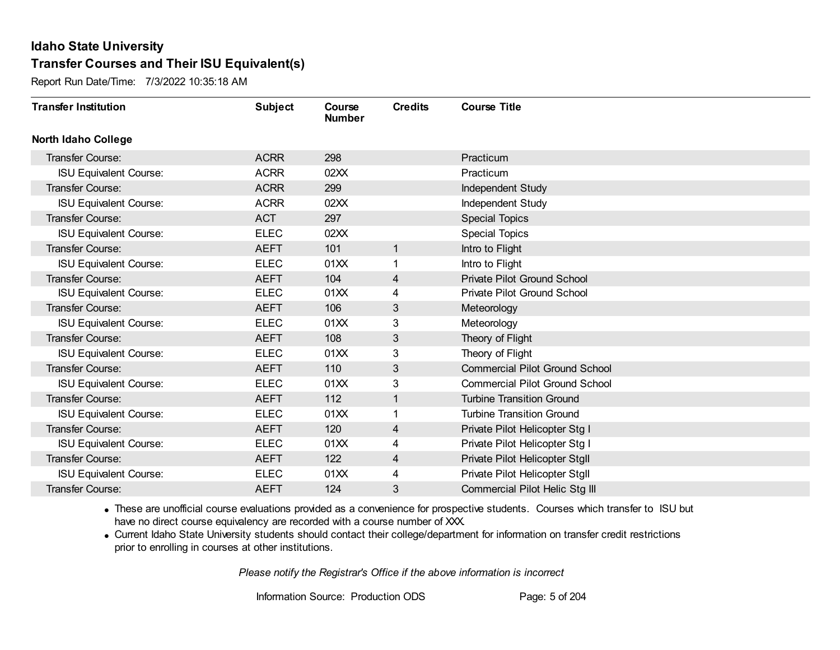Report Run Date/Time: 7/3/2022 10:35:18 AM

| <b>Transfer Institution</b>   | <b>Subject</b> | Course<br><b>Number</b> | <b>Credits</b> | <b>Course Title</b>                   |
|-------------------------------|----------------|-------------------------|----------------|---------------------------------------|
| <b>North Idaho College</b>    |                |                         |                |                                       |
| Transfer Course:              | <b>ACRR</b>    | 298                     |                | Practicum                             |
| <b>ISU Equivalent Course:</b> | <b>ACRR</b>    | 02XX                    |                | Practicum                             |
| Transfer Course:              | <b>ACRR</b>    | 299                     |                | Independent Study                     |
| <b>ISU Equivalent Course:</b> | <b>ACRR</b>    | 02XX                    |                | Independent Study                     |
| <b>Transfer Course:</b>       | <b>ACT</b>     | 297                     |                | <b>Special Topics</b>                 |
| <b>ISU Equivalent Course:</b> | <b>ELEC</b>    | 02XX                    |                | <b>Special Topics</b>                 |
| Transfer Course:              | <b>AEFT</b>    | 101                     | $\mathbf 1$    | Intro to Flight                       |
| <b>ISU Equivalent Course:</b> | <b>ELEC</b>    | 01XX                    |                | Intro to Flight                       |
| Transfer Course:              | <b>AEFT</b>    | 104                     | 4              | <b>Private Pilot Ground School</b>    |
| <b>ISU Equivalent Course:</b> | <b>ELEC</b>    | 01XX                    | 4              | Private Pilot Ground School           |
| <b>Transfer Course:</b>       | <b>AEFT</b>    | 106                     | 3              | Meteorology                           |
| <b>ISU Equivalent Course:</b> | <b>ELEC</b>    | 01XX                    | 3              | Meteorology                           |
| Transfer Course:              | <b>AEFT</b>    | 108                     | 3              | Theory of Flight                      |
| <b>ISU Equivalent Course:</b> | <b>ELEC</b>    | 01XX                    | 3              | Theory of Flight                      |
| Transfer Course:              | <b>AEFT</b>    | 110                     | 3              | <b>Commercial Pilot Ground School</b> |
| <b>ISU Equivalent Course:</b> | <b>ELEC</b>    | 01XX                    | 3              | <b>Commercial Pilot Ground School</b> |
| <b>Transfer Course:</b>       | <b>AEFT</b>    | 112                     | $\mathbf 1$    | <b>Turbine Transition Ground</b>      |
| <b>ISU Equivalent Course:</b> | <b>ELEC</b>    | 01XX                    |                | <b>Turbine Transition Ground</b>      |
| <b>Transfer Course:</b>       | <b>AEFT</b>    | 120                     | 4              | Private Pilot Helicopter Stg I        |
| <b>ISU Equivalent Course:</b> | <b>ELEC</b>    | 01XX                    | 4              | Private Pilot Helicopter Stg I        |
| Transfer Course:              | <b>AEFT</b>    | 122                     | 4              | Private Pilot Helicopter Stgll        |
| <b>ISU Equivalent Course:</b> | <b>ELEC</b>    | 01XX                    | 4              | Private Pilot Helicopter Stgll        |
| Transfer Course:              | <b>AEFT</b>    | 124                     | 3              | Commercial Pilot Helic Stg III        |

· These are unofficial course evaluations provided as a convenience for prospective students. Courses which transfer to ISU but have no direct course equivalency are recorded with a course number of XXX.

· Current Idaho State University students should contact their college/department for information on transfer credit restrictions prior to enrolling in courses at other institutions.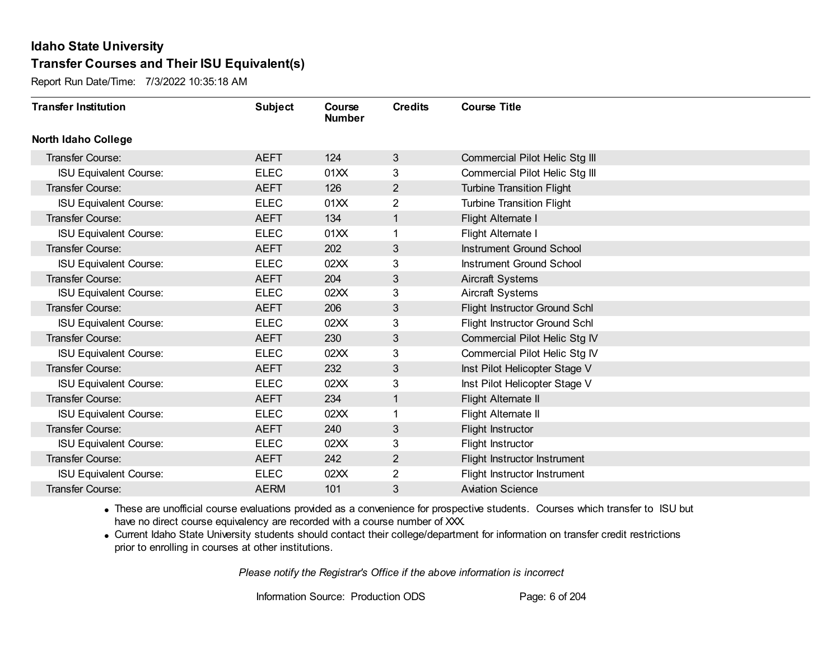Report Run Date/Time: 7/3/2022 10:35:18 AM

| <b>Transfer Institution</b>   | <b>Subject</b> | Course<br><b>Number</b> | <b>Credits</b> | <b>Course Title</b>              |
|-------------------------------|----------------|-------------------------|----------------|----------------------------------|
| <b>North Idaho College</b>    |                |                         |                |                                  |
| Transfer Course:              | <b>AEFT</b>    | 124                     | 3              | Commercial Pilot Helic Stg III   |
| <b>ISU Equivalent Course:</b> | <b>ELEC</b>    | 01XX                    | 3              | Commercial Pilot Helic Stg III   |
| Transfer Course:              | <b>AEFT</b>    | 126                     | $\overline{2}$ | <b>Turbine Transition Flight</b> |
| <b>ISU Equivalent Course:</b> | <b>ELEC</b>    | 01XX                    | $\overline{2}$ | <b>Turbine Transition Flight</b> |
| <b>Transfer Course:</b>       | <b>AEFT</b>    | 134                     | $\mathbf{1}$   | Flight Alternate I               |
| <b>ISU Equivalent Course:</b> | <b>ELEC</b>    | 01XX                    | 1              | Flight Alternate I               |
| Transfer Course:              | <b>AEFT</b>    | 202                     | 3              | <b>Instrument Ground School</b>  |
| <b>ISU Equivalent Course:</b> | <b>ELEC</b>    | 02XX                    | 3              | Instrument Ground School         |
| <b>Transfer Course:</b>       | <b>AEFT</b>    | 204                     | 3              | Aircraft Systems                 |
| <b>ISU Equivalent Course:</b> | <b>ELEC</b>    | 02XX                    | 3              | Aircraft Systems                 |
| Transfer Course:              | <b>AEFT</b>    | 206                     | 3              | Flight Instructor Ground Schl    |
| <b>ISU Equivalent Course:</b> | <b>ELEC</b>    | 02XX                    | 3              | Flight Instructor Ground Schl    |
| Transfer Course:              | <b>AEFT</b>    | 230                     | 3              | Commercial Pilot Helic Stg IV    |
| <b>ISU Equivalent Course:</b> | <b>ELEC</b>    | 02XX                    | 3              | Commercial Pilot Helic Stg IV    |
| <b>Transfer Course:</b>       | <b>AEFT</b>    | 232                     | 3              | Inst Pilot Helicopter Stage V    |
| <b>ISU Equivalent Course:</b> | <b>ELEC</b>    | 02XX                    | 3              | Inst Pilot Helicopter Stage V    |
| Transfer Course:              | <b>AEFT</b>    | 234                     | 1              | Flight Alternate II              |
| <b>ISU Equivalent Course:</b> | <b>ELEC</b>    | 02XX                    | 1              | Flight Alternate II              |
| Transfer Course:              | <b>AEFT</b>    | 240                     | 3              | Flight Instructor                |
| <b>ISU Equivalent Course:</b> | <b>ELEC</b>    | 02XX                    | 3              | Flight Instructor                |
| <b>Transfer Course:</b>       | <b>AEFT</b>    | 242                     | $\overline{2}$ | Flight Instructor Instrument     |
| <b>ISU Equivalent Course:</b> | <b>ELEC</b>    | 02XX                    | 2              | Flight Instructor Instrument     |
| Transfer Course:              | <b>AERM</b>    | 101                     | 3              | <b>Aviation Science</b>          |

· These are unofficial course evaluations provided as a convenience for prospective students. Courses which transfer to ISU but have no direct course equivalency are recorded with a course number of XXX.

· Current Idaho State University students should contact their college/department for information on transfer credit restrictions prior to enrolling in courses at other institutions.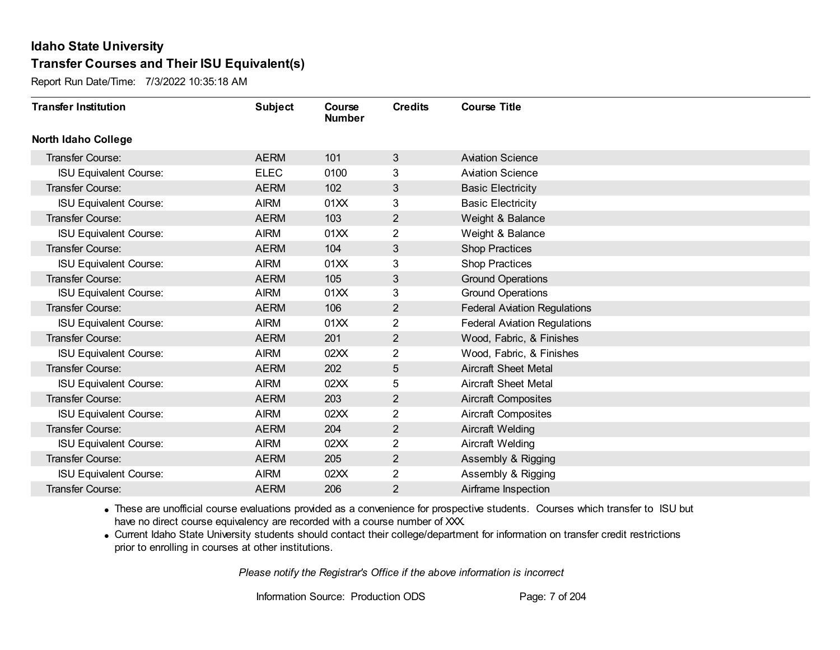Report Run Date/Time: 7/3/2022 10:35:18 AM

| <b>Transfer Institution</b>   | <b>Subject</b> | Course<br><b>Number</b> | <b>Credits</b> | <b>Course Title</b>                 |
|-------------------------------|----------------|-------------------------|----------------|-------------------------------------|
| <b>North Idaho College</b>    |                |                         |                |                                     |
| Transfer Course:              | <b>AERM</b>    | 101                     | 3              | <b>Aviation Science</b>             |
| <b>ISU Equivalent Course:</b> | <b>ELEC</b>    | 0100                    | 3              | <b>Aviation Science</b>             |
| Transfer Course:              | <b>AERM</b>    | 102                     | 3              | <b>Basic Electricity</b>            |
| <b>ISU Equivalent Course:</b> | <b>AIRM</b>    | 01XX                    | 3              | <b>Basic Electricity</b>            |
| <b>Transfer Course:</b>       | <b>AERM</b>    | 103                     | $\overline{2}$ | Weight & Balance                    |
| <b>ISU Equivalent Course:</b> | <b>AIRM</b>    | 01XX                    | 2              | Weight & Balance                    |
| Transfer Course:              | <b>AERM</b>    | 104                     | 3              | <b>Shop Practices</b>               |
| <b>ISU Equivalent Course:</b> | <b>AIRM</b>    | 01XX                    | 3              | <b>Shop Practices</b>               |
| <b>Transfer Course:</b>       | <b>AERM</b>    | 105                     | 3              | <b>Ground Operations</b>            |
| <b>ISU Equivalent Course:</b> | <b>AIRM</b>    | 01XX                    | 3              | <b>Ground Operations</b>            |
| Transfer Course:              | <b>AERM</b>    | 106                     | $\overline{2}$ | <b>Federal Aviation Regulations</b> |
| <b>ISU Equivalent Course:</b> | <b>AIRM</b>    | 01XX                    | 2              | <b>Federal Aviation Regulations</b> |
| Transfer Course:              | <b>AERM</b>    | 201                     | $\overline{2}$ | Wood, Fabric, & Finishes            |
| <b>ISU Equivalent Course:</b> | <b>AIRM</b>    | 02XX                    | 2              | Wood, Fabric, & Finishes            |
| Transfer Course:              | <b>AERM</b>    | 202                     | 5              | <b>Aircraft Sheet Metal</b>         |
| <b>ISU Equivalent Course:</b> | <b>AIRM</b>    | 02XX                    | 5              | <b>Aircraft Sheet Metal</b>         |
| Transfer Course:              | <b>AERM</b>    | 203                     | $\overline{2}$ | <b>Aircraft Composites</b>          |
| <b>ISU Equivalent Course:</b> | <b>AIRM</b>    | 02XX                    | 2              | <b>Aircraft Composites</b>          |
| Transfer Course:              | <b>AERM</b>    | 204                     | $\overline{2}$ | Aircraft Welding                    |
| <b>ISU Equivalent Course:</b> | <b>AIRM</b>    | 02XX                    | 2              | Aircraft Welding                    |
| Transfer Course:              | <b>AERM</b>    | 205                     | $\overline{2}$ | Assembly & Rigging                  |
| <b>ISU Equivalent Course:</b> | <b>AIRM</b>    | 02XX                    | 2              | Assembly & Rigging                  |
| Transfer Course:              | <b>AERM</b>    | 206                     | $\overline{2}$ | Airframe Inspection                 |

· These are unofficial course evaluations provided as a convenience for prospective students. Courses which transfer to ISU but have no direct course equivalency are recorded with a course number of XXX.

· Current Idaho State University students should contact their college/department for information on transfer credit restrictions prior to enrolling in courses at other institutions.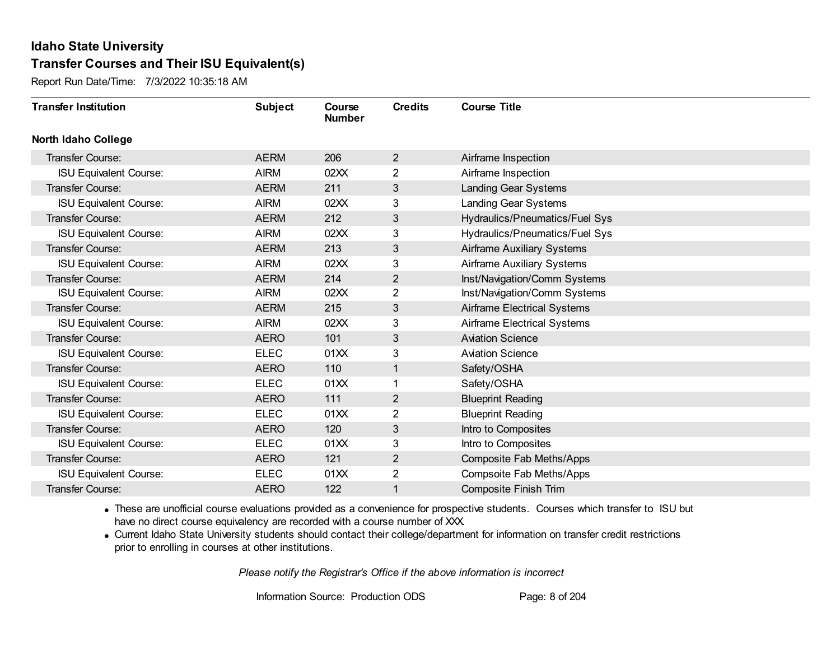Report Run Date/Time: 7/3/2022 10:35:18 AM

| <b>Transfer Institution</b>   | <b>Subject</b> | Course<br><b>Number</b> | <b>Credits</b> | <b>Course Title</b>                |
|-------------------------------|----------------|-------------------------|----------------|------------------------------------|
| <b>North Idaho College</b>    |                |                         |                |                                    |
| Transfer Course:              | <b>AERM</b>    | 206                     | $\overline{2}$ | Airframe Inspection                |
| <b>ISU Equivalent Course:</b> | <b>AIRM</b>    | 02XX                    | 2              | Airframe Inspection                |
| <b>Transfer Course:</b>       | <b>AERM</b>    | 211                     | 3              | Landing Gear Systems               |
| <b>ISU Equivalent Course:</b> | <b>AIRM</b>    | 02XX                    | 3              | <b>Landing Gear Systems</b>        |
| Transfer Course:              | <b>AERM</b>    | 212                     | 3              | Hydraulics/Pneumatics/Fuel Sys     |
| <b>ISU Equivalent Course:</b> | <b>AIRM</b>    | 02XX                    | 3              | Hydraulics/Pneumatics/Fuel Sys     |
| Transfer Course:              | <b>AERM</b>    | 213                     | $\mathbf{3}$   | Airframe Auxiliary Systems         |
| <b>ISU Equivalent Course:</b> | <b>AIRM</b>    | 02XX                    | 3              | <b>Airframe Auxiliary Systems</b>  |
| Transfer Course:              | <b>AERM</b>    | 214                     | $\overline{2}$ | Inst/Navigation/Comm Systems       |
| <b>ISU Equivalent Course:</b> | <b>AIRM</b>    | 02XX                    | $\overline{2}$ | Inst/Navigation/Comm Systems       |
| Transfer Course:              | <b>AERM</b>    | 215                     | 3              | <b>Airframe Electrical Systems</b> |
| <b>ISU Equivalent Course:</b> | <b>AIRM</b>    | 02XX                    | 3              | Airframe Electrical Systems        |
| Transfer Course:              | <b>AERO</b>    | 101                     | 3              | <b>Aviation Science</b>            |
| <b>ISU Equivalent Course:</b> | <b>ELEC</b>    | 01XX                    | 3              | <b>Aviation Science</b>            |
| Transfer Course:              | <b>AERO</b>    | 110                     | 1              | Safety/OSHA                        |
| <b>ISU Equivalent Course:</b> | <b>ELEC</b>    | 01XX                    | 1              | Safety/OSHA                        |
| Transfer Course:              | <b>AERO</b>    | 111                     | $\overline{2}$ | <b>Blueprint Reading</b>           |
| <b>ISU Equivalent Course:</b> | <b>ELEC</b>    | 01XX                    | 2              | <b>Blueprint Reading</b>           |
| Transfer Course:              | <b>AERO</b>    | 120                     | 3              | Intro to Composites                |
| <b>ISU Equivalent Course:</b> | <b>ELEC</b>    | 01XX                    | 3              | Intro to Composites                |
| Transfer Course:              | <b>AERO</b>    | 121                     | $\overline{2}$ | Composite Fab Meths/Apps           |
| <b>ISU Equivalent Course:</b> | <b>ELEC</b>    | 01XX                    | $\overline{2}$ | Compsoite Fab Meths/Apps           |
| Transfer Course:              | <b>AERO</b>    | 122                     | 1              | <b>Composite Finish Trim</b>       |

· These are unofficial course evaluations provided as a convenience for prospective students. Courses which transfer to ISU but have no direct course equivalency are recorded with a course number of XXX.

· Current Idaho State University students should contact their college/department for information on transfer credit restrictions prior to enrolling in courses at other institutions.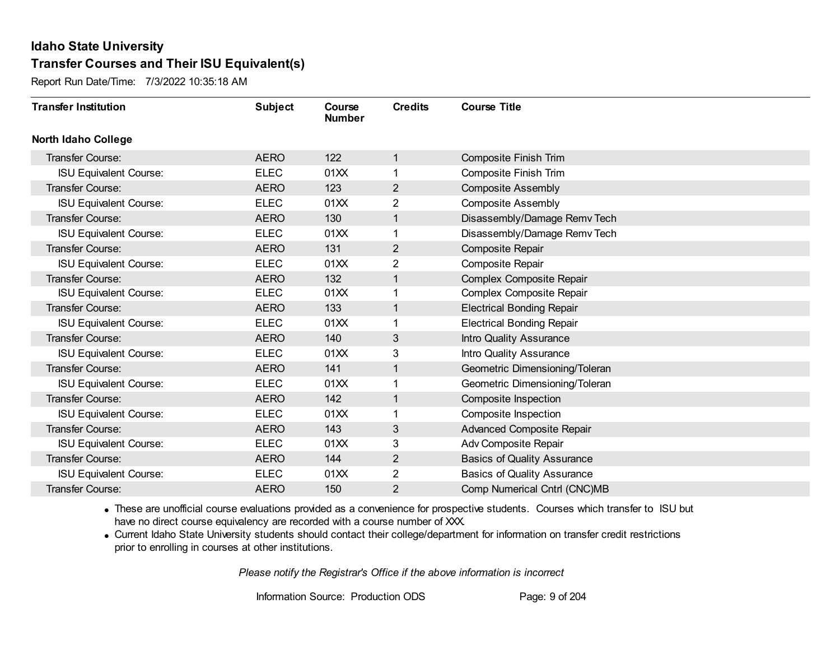Report Run Date/Time: 7/3/2022 10:35:18 AM

| <b>Transfer Institution</b>   | <b>Subject</b> | Course<br><b>Number</b> | <b>Credits</b> | <b>Course Title</b>                |
|-------------------------------|----------------|-------------------------|----------------|------------------------------------|
| <b>North Idaho College</b>    |                |                         |                |                                    |
| <b>Transfer Course:</b>       | <b>AERO</b>    | 122                     | $\mathbf{1}$   | <b>Composite Finish Trim</b>       |
| <b>ISU Equivalent Course:</b> | <b>ELEC</b>    | 01XX                    |                | <b>Composite Finish Trim</b>       |
| <b>Transfer Course:</b>       | <b>AERO</b>    | 123                     | $\overline{2}$ | <b>Composite Assembly</b>          |
| <b>ISU Equivalent Course:</b> | <b>ELEC</b>    | 01XX                    | $\overline{2}$ | <b>Composite Assembly</b>          |
| Transfer Course:              | <b>AERO</b>    | 130                     | $\mathbf{1}$   | Disassembly/Damage Remv Tech       |
| <b>ISU Equivalent Course:</b> | <b>ELEC</b>    | 01XX                    | 1              | Disassembly/Damage Remv Tech       |
| <b>Transfer Course:</b>       | <b>AERO</b>    | 131                     | $\overline{2}$ | <b>Composite Repair</b>            |
| <b>ISU Equivalent Course:</b> | <b>ELEC</b>    | 01XX                    | 2              | <b>Composite Repair</b>            |
| Transfer Course:              | <b>AERO</b>    | 132                     | 1              | Complex Composite Repair           |
| <b>ISU Equivalent Course:</b> | <b>ELEC</b>    | 01XX                    | 1              | Complex Composite Repair           |
| Transfer Course:              | <b>AERO</b>    | 133                     | 1              | <b>Electrical Bonding Repair</b>   |
| <b>ISU Equivalent Course:</b> | <b>ELEC</b>    | 01XX                    | 1              | <b>Electrical Bonding Repair</b>   |
| Transfer Course:              | <b>AERO</b>    | 140                     | 3              | Intro Quality Assurance            |
| <b>ISU Equivalent Course:</b> | <b>ELEC</b>    | 01XX                    | 3              | Intro Quality Assurance            |
| Transfer Course:              | <b>AERO</b>    | 141                     | $\mathbf{1}$   | Geometric Dimensioning/Toleran     |
| <b>ISU Equivalent Course:</b> | <b>ELEC</b>    | 01XX                    | 1              | Geometric Dimensioning/Toleran     |
| Transfer Course:              | <b>AERO</b>    | 142                     | $\mathbf{1}$   | Composite Inspection               |
| <b>ISU Equivalent Course:</b> | <b>ELEC</b>    | 01XX                    | 1              | Composite Inspection               |
| <b>Transfer Course:</b>       | <b>AERO</b>    | 143                     | 3              | <b>Advanced Composite Repair</b>   |
| <b>ISU Equivalent Course:</b> | <b>ELEC</b>    | 01XX                    | 3              | Adv Composite Repair               |
| Transfer Course:              | <b>AERO</b>    | 144                     | $\overline{2}$ | <b>Basics of Quality Assurance</b> |
| <b>ISU Equivalent Course:</b> | <b>ELEC</b>    | 01XX                    | $\overline{2}$ | <b>Basics of Quality Assurance</b> |
| Transfer Course:              | <b>AERO</b>    | 150                     | 2              | Comp Numerical Cntrl (CNC)MB       |

· These are unofficial course evaluations provided as a convenience for prospective students. Courses which transfer to ISU but have no direct course equivalency are recorded with a course number of XXX.

· Current Idaho State University students should contact their college/department for information on transfer credit restrictions prior to enrolling in courses at other institutions.

*Please notify the Registrar's Office if the above information is incorrect*

Information Source: Production ODS Page: 9 of 204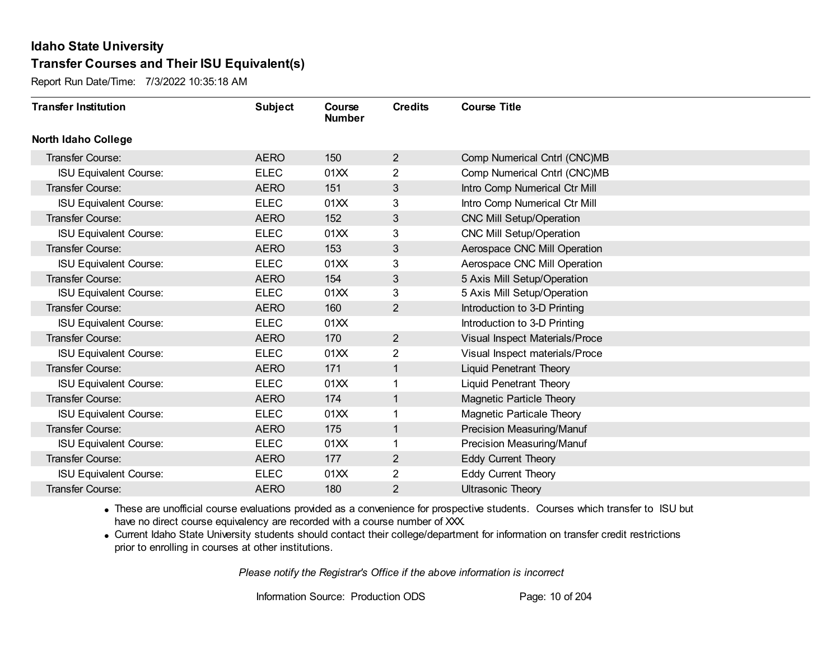Report Run Date/Time: 7/3/2022 10:35:18 AM

| <b>Transfer Institution</b>   | <b>Subject</b> | Course<br><b>Number</b> | <b>Credits</b> | <b>Course Title</b>             |
|-------------------------------|----------------|-------------------------|----------------|---------------------------------|
| <b>North Idaho College</b>    |                |                         |                |                                 |
| Transfer Course:              | <b>AERO</b>    | 150                     | $\overline{2}$ | Comp Numerical Cntrl (CNC)MB    |
| <b>ISU Equivalent Course:</b> | <b>ELEC</b>    | 01XX                    | 2              | Comp Numerical Cntrl (CNC)MB    |
| Transfer Course:              | <b>AERO</b>    | 151                     | 3              | Intro Comp Numerical Ctr Mill   |
| <b>ISU Equivalent Course:</b> | <b>ELEC</b>    | 01XX                    | 3              | Intro Comp Numerical Ctr Mill   |
| <b>Transfer Course:</b>       | <b>AERO</b>    | 152                     | $\mathfrak{S}$ | <b>CNC Mill Setup/Operation</b> |
| <b>ISU Equivalent Course:</b> | <b>ELEC</b>    | 01XX                    | 3              | CNC Mill Setup/Operation        |
| Transfer Course:              | <b>AERO</b>    | 153                     | 3              | Aerospace CNC Mill Operation    |
| <b>ISU Equivalent Course:</b> | <b>ELEC</b>    | 01XX                    | 3              | Aerospace CNC Mill Operation    |
| Transfer Course:              | <b>AERO</b>    | 154                     | 3              | 5 Axis Mill Setup/Operation     |
| <b>ISU Equivalent Course:</b> | <b>ELEC</b>    | 01XX                    | 3              | 5 Axis Mill Setup/Operation     |
| <b>Transfer Course:</b>       | <b>AERO</b>    | 160                     | $\overline{2}$ | Introduction to 3-D Printing    |
| <b>ISU Equivalent Course:</b> | <b>ELEC</b>    | 01XX                    |                | Introduction to 3-D Printing    |
| Transfer Course:              | <b>AERO</b>    | 170                     | $\overline{2}$ | Visual Inspect Materials/Proce  |
| <b>ISU Equivalent Course:</b> | <b>ELEC</b>    | 01XX                    | 2              | Visual Inspect materials/Proce  |
| Transfer Course:              | <b>AERO</b>    | 171                     | 1              | <b>Liquid Penetrant Theory</b>  |
| <b>ISU Equivalent Course:</b> | <b>ELEC</b>    | 01XX                    |                | <b>Liquid Penetrant Theory</b>  |
| Transfer Course:              | <b>AERO</b>    | 174                     | 1              | Magnetic Particle Theory        |
| <b>ISU Equivalent Course:</b> | <b>ELEC</b>    | 01XX                    |                | Magnetic Particale Theory       |
| Transfer Course:              | <b>AERO</b>    | 175                     | 1              | Precision Measuring/Manuf       |
| <b>ISU Equivalent Course:</b> | <b>ELEC</b>    | 01XX                    |                | Precision Measuring/Manuf       |
| Transfer Course:              | <b>AERO</b>    | 177                     | $\overline{2}$ | <b>Eddy Current Theory</b>      |
| <b>ISU Equivalent Course:</b> | <b>ELEC</b>    | 01XX                    | 2              | Eddy Current Theory             |
| Transfer Course:              | <b>AERO</b>    | 180                     | 2              | <b>Ultrasonic Theory</b>        |

· These are unofficial course evaluations provided as a convenience for prospective students. Courses which transfer to ISU but have no direct course equivalency are recorded with a course number of XXX.

· Current Idaho State University students should contact their college/department for information on transfer credit restrictions prior to enrolling in courses at other institutions.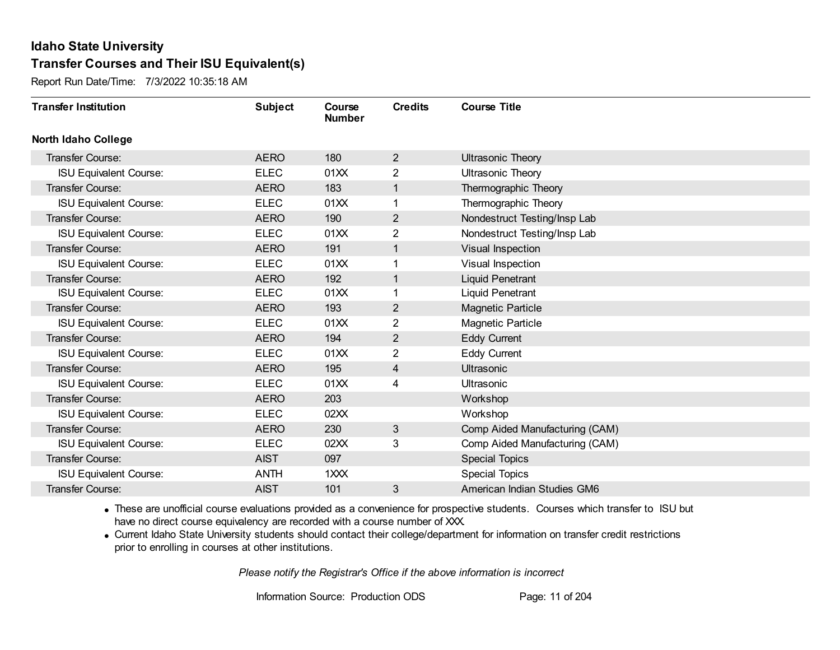Report Run Date/Time: 7/3/2022 10:35:18 AM

| <b>Transfer Institution</b>   | <b>Subject</b> | Course<br><b>Number</b> | <b>Credits</b> | <b>Course Title</b>            |
|-------------------------------|----------------|-------------------------|----------------|--------------------------------|
| <b>North Idaho College</b>    |                |                         |                |                                |
| Transfer Course:              | <b>AERO</b>    | 180                     | $\overline{2}$ | <b>Ultrasonic Theory</b>       |
| <b>ISU Equivalent Course:</b> | <b>ELEC</b>    | 01XX                    | 2              | <b>Ultrasonic Theory</b>       |
| <b>Transfer Course:</b>       | <b>AERO</b>    | 183                     | 1              | Thermographic Theory           |
| <b>ISU Equivalent Course:</b> | <b>ELEC</b>    | 01XX                    | 1              | Thermographic Theory           |
| <b>Transfer Course:</b>       | <b>AERO</b>    | 190                     | $\overline{2}$ | Nondestruct Testing/Insp Lab   |
| <b>ISU Equivalent Course:</b> | <b>ELEC</b>    | 01XX                    | 2              | Nondestruct Testing/Insp Lab   |
| <b>Transfer Course:</b>       | <b>AERO</b>    | 191                     | 1              | Visual Inspection              |
| <b>ISU Equivalent Course:</b> | <b>ELEC</b>    | 01XX                    |                | Visual Inspection              |
| <b>Transfer Course:</b>       | <b>AERO</b>    | 192                     | 1              | <b>Liquid Penetrant</b>        |
| <b>ISU Equivalent Course:</b> | <b>ELEC</b>    | 01XX                    | 1              | <b>Liquid Penetrant</b>        |
| <b>Transfer Course:</b>       | <b>AERO</b>    | 193                     | $\mathbf{2}$   | <b>Magnetic Particle</b>       |
| <b>ISU Equivalent Course:</b> | <b>ELEC</b>    | 01XX                    | 2              | <b>Magnetic Particle</b>       |
| <b>Transfer Course:</b>       | <b>AERO</b>    | 194                     | $\overline{2}$ | <b>Eddy Current</b>            |
| <b>ISU Equivalent Course:</b> | <b>ELEC</b>    | 01XX                    | $\overline{2}$ | <b>Eddy Current</b>            |
| <b>Transfer Course:</b>       | <b>AERO</b>    | 195                     | 4              | <b>Ultrasonic</b>              |
| <b>ISU Equivalent Course:</b> | <b>ELEC</b>    | 01XX                    | 4              | Ultrasonic                     |
| <b>Transfer Course:</b>       | <b>AERO</b>    | 203                     |                | Workshop                       |
| <b>ISU Equivalent Course:</b> | <b>ELEC</b>    | 02XX                    |                | Workshop                       |
| <b>Transfer Course:</b>       | <b>AERO</b>    | 230                     | 3              | Comp Aided Manufacturing (CAM) |
| <b>ISU Equivalent Course:</b> | <b>ELEC</b>    | 02XX                    | 3              | Comp Aided Manufacturing (CAM) |
| <b>Transfer Course:</b>       | <b>AIST</b>    | 097                     |                | <b>Special Topics</b>          |
| <b>ISU Equivalent Course:</b> | <b>ANTH</b>    | 1XXX                    |                | <b>Special Topics</b>          |
| Transfer Course:              | <b>AIST</b>    | 101                     | 3              | American Indian Studies GM6    |

· These are unofficial course evaluations provided as a convenience for prospective students. Courses which transfer to ISU but have no direct course equivalency are recorded with a course number of XXX.

· Current Idaho State University students should contact their college/department for information on transfer credit restrictions prior to enrolling in courses at other institutions.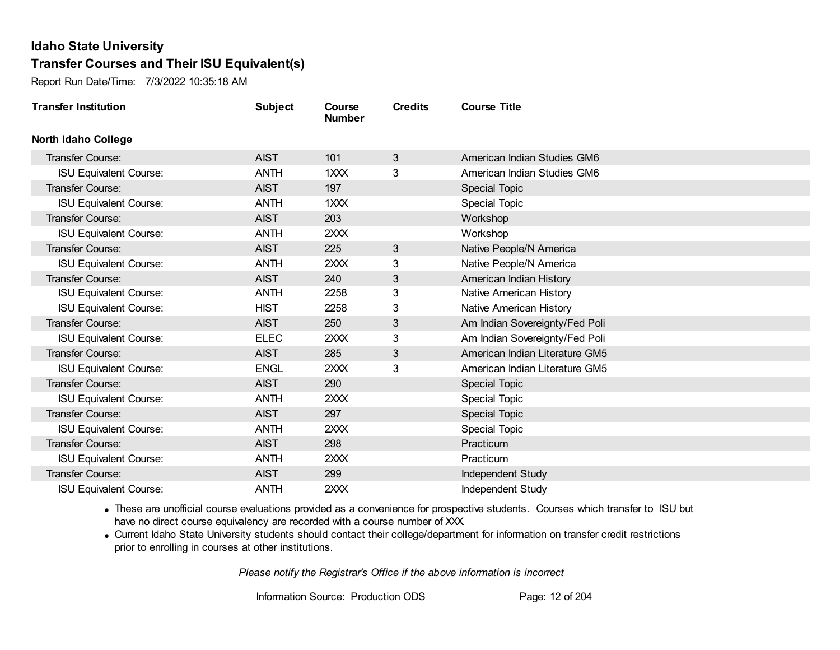Report Run Date/Time: 7/3/2022 10:35:18 AM

| <b>Transfer Institution</b>   | <b>Subject</b> | Course<br><b>Number</b> | <b>Credits</b> | <b>Course Title</b>            |
|-------------------------------|----------------|-------------------------|----------------|--------------------------------|
| <b>North Idaho College</b>    |                |                         |                |                                |
| Transfer Course:              | <b>AIST</b>    | 101                     | 3              | American Indian Studies GM6    |
| <b>ISU Equivalent Course:</b> | <b>ANTH</b>    | 1 <sup>2</sup>          | 3              | American Indian Studies GM6    |
| Transfer Course:              | <b>AIST</b>    | 197                     |                | <b>Special Topic</b>           |
| <b>ISU Equivalent Course:</b> | <b>ANTH</b>    | 1XXX                    |                | Special Topic                  |
| <b>Transfer Course:</b>       | <b>AIST</b>    | 203                     |                | Workshop                       |
| <b>ISU Equivalent Course:</b> | <b>ANTH</b>    | 2XXX                    |                | Workshop                       |
| <b>Transfer Course:</b>       | <b>AIST</b>    | 225                     | $\mathfrak{S}$ | Native People/N America        |
| <b>ISU Equivalent Course:</b> | <b>ANTH</b>    | 2XXX                    | 3              | Native People/N America        |
| Transfer Course:              | <b>AIST</b>    | 240                     | 3              | American Indian History        |
| <b>ISU Equivalent Course:</b> | <b>ANTH</b>    | 2258                    | 3              | Native American History        |
| <b>ISU Equivalent Course:</b> | <b>HIST</b>    | 2258                    | 3              | Native American History        |
| Transfer Course:              | <b>AIST</b>    | 250                     | 3              | Am Indian Sovereignty/Fed Poli |
| <b>ISU Equivalent Course:</b> | <b>ELEC</b>    | 2XXX                    | 3              | Am Indian Sovereignty/Fed Poli |
| <b>Transfer Course:</b>       | <b>AIST</b>    | 285                     | $\mathfrak{S}$ | American Indian Literature GM5 |
| <b>ISU Equivalent Course:</b> | <b>ENGL</b>    | 2XXX                    | 3              | American Indian Literature GM5 |
| Transfer Course:              | <b>AIST</b>    | 290                     |                | <b>Special Topic</b>           |
| <b>ISU Equivalent Course:</b> | <b>ANTH</b>    | 2XXX                    |                | <b>Special Topic</b>           |
| Transfer Course:              | <b>AIST</b>    | 297                     |                | <b>Special Topic</b>           |
| <b>ISU Equivalent Course:</b> | <b>ANTH</b>    | 2XXX                    |                | <b>Special Topic</b>           |
| <b>Transfer Course:</b>       | <b>AIST</b>    | 298                     |                | Practicum                      |
| <b>ISU Equivalent Course:</b> | <b>ANTH</b>    | 2XXX                    |                | Practicum                      |
| Transfer Course:              | <b>AIST</b>    | 299                     |                | Independent Study              |
| <b>ISU Equivalent Course:</b> | <b>ANTH</b>    | 2XXX                    |                | <b>Independent Study</b>       |

· These are unofficial course evaluations provided as a convenience for prospective students. Courses which transfer to ISU but have no direct course equivalency are recorded with a course number of XXX.

· Current Idaho State University students should contact their college/department for information on transfer credit restrictions prior to enrolling in courses at other institutions.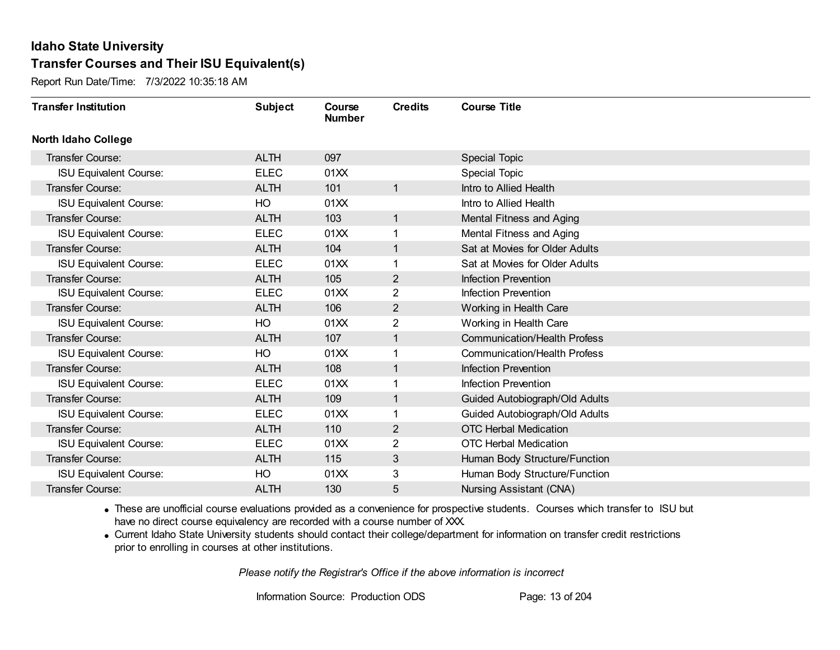Report Run Date/Time: 7/3/2022 10:35:18 AM

| <b>Transfer Institution</b>   | <b>Subject</b> | Course<br><b>Number</b> | <b>Credits</b> | <b>Course Title</b>                 |
|-------------------------------|----------------|-------------------------|----------------|-------------------------------------|
| <b>North Idaho College</b>    |                |                         |                |                                     |
| <b>Transfer Course:</b>       | <b>ALTH</b>    | 097                     |                | <b>Special Topic</b>                |
| <b>ISU Equivalent Course:</b> | <b>ELEC</b>    | 01XX                    |                | <b>Special Topic</b>                |
| Transfer Course:              | <b>ALTH</b>    | 101                     | $\mathbf{1}$   | Intro to Allied Health              |
| <b>ISU Equivalent Course:</b> | HO             | 01XX                    |                | Intro to Allied Health              |
| <b>Transfer Course:</b>       | <b>ALTH</b>    | 103                     | $\mathbf{1}$   | Mental Fitness and Aging            |
| <b>ISU Equivalent Course:</b> | <b>ELEC</b>    | 01XX                    | 1              | Mental Fitness and Aging            |
| Transfer Course:              | <b>ALTH</b>    | 104                     | $\mathbf{1}$   | Sat at Movies for Older Adults      |
| <b>ISU Equivalent Course:</b> | <b>ELEC</b>    | 01XX                    |                | Sat at Movies for Older Adults      |
| Transfer Course:              | <b>ALTH</b>    | 105                     | $\overline{2}$ | Infection Prevention                |
| <b>ISU Equivalent Course:</b> | <b>ELEC</b>    | 01XX                    | $\overline{2}$ | Infection Prevention                |
| <b>Transfer Course:</b>       | <b>ALTH</b>    | 106                     | $\overline{2}$ | Working in Health Care              |
| <b>ISU Equivalent Course:</b> | HO             | 01XX                    | 2              | Working in Health Care              |
| Transfer Course:              | <b>ALTH</b>    | 107                     | 1              | <b>Communication/Health Profess</b> |
| <b>ISU Equivalent Course:</b> | HO             | 01XX                    | 1              | <b>Communication/Health Profess</b> |
| Transfer Course:              | <b>ALTH</b>    | 108                     | 1              | Infection Prevention                |
| <b>ISU Equivalent Course:</b> | <b>ELEC</b>    | 01XX                    | 1              | Infection Prevention                |
| Transfer Course:              | <b>ALTH</b>    | 109                     | $\mathbf{1}$   | Guided Autobiograph/Old Adults      |
| <b>ISU Equivalent Course:</b> | <b>ELEC</b>    | 01XX                    | 1              | Guided Autobiograph/Old Adults      |
| Transfer Course:              | <b>ALTH</b>    | 110                     | $\overline{2}$ | <b>OTC Herbal Medication</b>        |
| <b>ISU Equivalent Course:</b> | <b>ELEC</b>    | 01XX                    | 2              | <b>OTC Herbal Medication</b>        |
| Transfer Course:              | <b>ALTH</b>    | 115                     | 3              | Human Body Structure/Function       |
| <b>ISU Equivalent Course:</b> | HO             | 01XX                    | 3              | Human Body Structure/Function       |
| Transfer Course:              | <b>ALTH</b>    | 130                     | 5              | Nursing Assistant (CNA)             |

· These are unofficial course evaluations provided as a convenience for prospective students. Courses which transfer to ISU but have no direct course equivalency are recorded with a course number of XXX.

· Current Idaho State University students should contact their college/department for information on transfer credit restrictions prior to enrolling in courses at other institutions.

*Please notify the Registrar's Office if the above information is incorrect*

Information Source: Production ODS Page: 13 of 204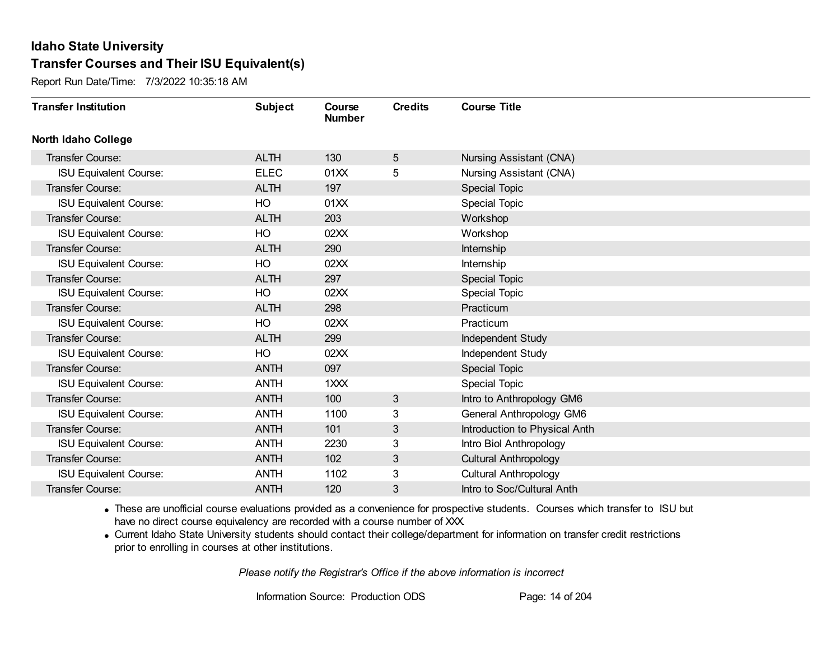Report Run Date/Time: 7/3/2022 10:35:18 AM

| <b>Transfer Institution</b>   | <b>Subject</b> | Course<br><b>Number</b> | <b>Credits</b> | <b>Course Title</b>           |
|-------------------------------|----------------|-------------------------|----------------|-------------------------------|
| <b>North Idaho College</b>    |                |                         |                |                               |
| Transfer Course:              | <b>ALTH</b>    | 130                     | 5              | Nursing Assistant (CNA)       |
| ISU Equivalent Course:        | <b>ELEC</b>    | 01XX                    | 5              | Nursing Assistant (CNA)       |
| Transfer Course:              | <b>ALTH</b>    | 197                     |                | Special Topic                 |
| <b>ISU Equivalent Course:</b> | HO             | 01XX                    |                | <b>Special Topic</b>          |
| <b>Transfer Course:</b>       | <b>ALTH</b>    | 203                     |                | Workshop                      |
| <b>ISU Equivalent Course:</b> | HO             | 02XX                    |                | Workshop                      |
| Transfer Course:              | <b>ALTH</b>    | 290                     |                | Internship                    |
| <b>ISU Equivalent Course:</b> | HO             | 02XX                    |                | Internship                    |
| <b>Transfer Course:</b>       | <b>ALTH</b>    | 297                     |                | Special Topic                 |
| <b>ISU Equivalent Course:</b> | HO             | 02XX                    |                | <b>Special Topic</b>          |
| <b>Transfer Course:</b>       | <b>ALTH</b>    | 298                     |                | Practicum                     |
| <b>ISU Equivalent Course:</b> | HO             | 02XX                    |                | Practicum                     |
| Transfer Course:              | <b>ALTH</b>    | 299                     |                | Independent Study             |
| <b>ISU Equivalent Course:</b> | HO             | 02XX                    |                | Independent Study             |
| Transfer Course:              | <b>ANTH</b>    | 097                     |                | <b>Special Topic</b>          |
| <b>ISU Equivalent Course:</b> | <b>ANTH</b>    | 1XXX                    |                | Special Topic                 |
| Transfer Course:              | <b>ANTH</b>    | 100                     | 3              | Intro to Anthropology GM6     |
| <b>ISU Equivalent Course:</b> | <b>ANTH</b>    | 1100                    | 3              | General Anthropology GM6      |
| Transfer Course:              | <b>ANTH</b>    | 101                     | 3              | Introduction to Physical Anth |
| <b>ISU Equivalent Course:</b> | <b>ANTH</b>    | 2230                    | 3              | Intro Biol Anthropology       |
| Transfer Course:              | <b>ANTH</b>    | 102                     | 3              | <b>Cultural Anthropology</b>  |
| <b>ISU Equivalent Course:</b> | <b>ANTH</b>    | 1102                    | 3              | <b>Cultural Anthropology</b>  |
| Transfer Course:              | <b>ANTH</b>    | 120                     | 3              | Intro to Soc/Cultural Anth    |

· These are unofficial course evaluations provided as a convenience for prospective students. Courses which transfer to ISU but have no direct course equivalency are recorded with a course number of XXX.

· Current Idaho State University students should contact their college/department for information on transfer credit restrictions prior to enrolling in courses at other institutions.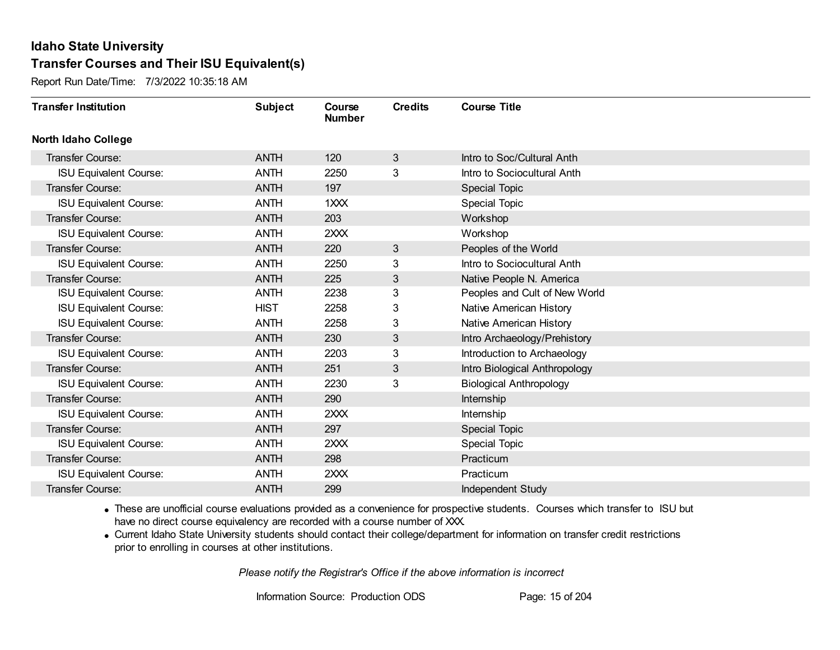Report Run Date/Time: 7/3/2022 10:35:18 AM

| <b>Transfer Institution</b>   | <b>Subject</b> | Course<br><b>Number</b> | <b>Credits</b> | <b>Course Title</b>            |
|-------------------------------|----------------|-------------------------|----------------|--------------------------------|
| <b>North Idaho College</b>    |                |                         |                |                                |
| Transfer Course:              | <b>ANTH</b>    | 120                     | 3              | Intro to Soc/Cultural Anth     |
| <b>ISU Equivalent Course:</b> | <b>ANTH</b>    | 2250                    | 3              | Intro to Sociocultural Anth    |
| Transfer Course:              | <b>ANTH</b>    | 197                     |                | <b>Special Topic</b>           |
| <b>ISU Equivalent Course:</b> | <b>ANTH</b>    | 1XXX                    |                | Special Topic                  |
| <b>Transfer Course:</b>       | <b>ANTH</b>    | 203                     |                | Workshop                       |
| <b>ISU Equivalent Course:</b> | <b>ANTH</b>    | 2XXX                    |                | Workshop                       |
| <b>Transfer Course:</b>       | <b>ANTH</b>    | 220                     | 3              | Peoples of the World           |
| <b>ISU Equivalent Course:</b> | <b>ANTH</b>    | 2250                    | 3              | Intro to Sociocultural Anth    |
| Transfer Course:              | <b>ANTH</b>    | 225                     | 3              | Native People N. America       |
| <b>ISU Equivalent Course:</b> | <b>ANTH</b>    | 2238                    | 3              | Peoples and Cult of New World  |
| <b>ISU Equivalent Course:</b> | <b>HIST</b>    | 2258                    | 3              | Native American History        |
| <b>ISU Equivalent Course:</b> | <b>ANTH</b>    | 2258                    | 3              | Native American History        |
| Transfer Course:              | <b>ANTH</b>    | 230                     | 3 <sup>2</sup> | Intro Archaeology/Prehistory   |
| <b>ISU Equivalent Course:</b> | <b>ANTH</b>    | 2203                    | 3              | Introduction to Archaeology    |
| Transfer Course:              | <b>ANTH</b>    | 251                     | 3              | Intro Biological Anthropology  |
| <b>ISU Equivalent Course:</b> | <b>ANTH</b>    | 2230                    | 3              | <b>Biological Anthropology</b> |
| <b>Transfer Course:</b>       | <b>ANTH</b>    | 290                     |                | Internship                     |
| <b>ISU Equivalent Course:</b> | <b>ANTH</b>    | 2XXX                    |                | Internship                     |
| Transfer Course:              | <b>ANTH</b>    | 297                     |                | <b>Special Topic</b>           |
| <b>ISU Equivalent Course:</b> | <b>ANTH</b>    | 2XXX                    |                | <b>Special Topic</b>           |
| Transfer Course:              | <b>ANTH</b>    | 298                     |                | Practicum                      |
| <b>ISU Equivalent Course:</b> | <b>ANTH</b>    | 2XXX                    |                | Practicum                      |
| Transfer Course:              | <b>ANTH</b>    | 299                     |                | Independent Study              |

· These are unofficial course evaluations provided as a convenience for prospective students. Courses which transfer to ISU but have no direct course equivalency are recorded with a course number of XXX.

· Current Idaho State University students should contact their college/department for information on transfer credit restrictions prior to enrolling in courses at other institutions.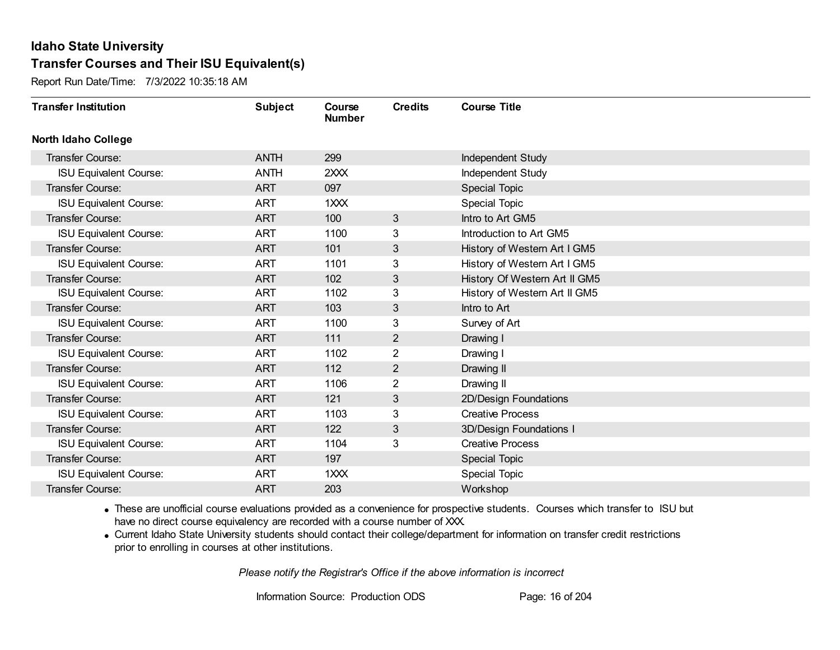Report Run Date/Time: 7/3/2022 10:35:18 AM

| <b>Transfer Institution</b>   | <b>Subject</b> | Course<br><b>Number</b> | <b>Credits</b> | <b>Course Title</b>           |
|-------------------------------|----------------|-------------------------|----------------|-------------------------------|
| <b>North Idaho College</b>    |                |                         |                |                               |
| Transfer Course:              | <b>ANTH</b>    | 299                     |                | Independent Study             |
| <b>ISU Equivalent Course:</b> | <b>ANTH</b>    | 2XXX                    |                | Independent Study             |
| Transfer Course:              | <b>ART</b>     | 097                     |                | <b>Special Topic</b>          |
| <b>ISU Equivalent Course:</b> | <b>ART</b>     | 1XXX                    |                | Special Topic                 |
| <b>Transfer Course:</b>       | <b>ART</b>     | 100                     | 3              | Intro to Art GM5              |
| <b>ISU Equivalent Course:</b> | <b>ART</b>     | 1100                    | 3              | Introduction to Art GM5       |
| Transfer Course:              | <b>ART</b>     | 101                     | 3              | History of Western Art I GM5  |
| <b>ISU Equivalent Course:</b> | <b>ART</b>     | 1101                    | 3              | History of Western Art I GM5  |
| Transfer Course:              | <b>ART</b>     | 102                     | 3              | History Of Western Art II GM5 |
| <b>ISU Equivalent Course:</b> | <b>ART</b>     | 1102                    | 3              | History of Western Art II GM5 |
| Transfer Course:              | <b>ART</b>     | 103                     | 3              | Intro to Art                  |
| <b>ISU Equivalent Course:</b> | <b>ART</b>     | 1100                    | 3              | Survey of Art                 |
| Transfer Course:              | <b>ART</b>     | 111                     | $\overline{2}$ | Drawing I                     |
| <b>ISU Equivalent Course:</b> | <b>ART</b>     | 1102                    | $\overline{2}$ | Drawing I                     |
| Transfer Course:              | <b>ART</b>     | 112                     | $\overline{2}$ | Drawing II                    |
| <b>ISU Equivalent Course:</b> | <b>ART</b>     | 1106                    | $\overline{2}$ | Drawing II                    |
| <b>Transfer Course:</b>       | <b>ART</b>     | 121                     | 3              | 2D/Design Foundations         |
| <b>ISU Equivalent Course:</b> | <b>ART</b>     | 1103                    | 3              | <b>Creative Process</b>       |
| Transfer Course:              | <b>ART</b>     | 122                     | 3              | 3D/Design Foundations I       |
| <b>ISU Equivalent Course:</b> | <b>ART</b>     | 1104                    | 3              | <b>Creative Process</b>       |
| Transfer Course:              | <b>ART</b>     | 197                     |                | Special Topic                 |
| <b>ISU Equivalent Course:</b> | <b>ART</b>     | 1XXX                    |                | <b>Special Topic</b>          |
| Transfer Course:              | <b>ART</b>     | 203                     |                | Workshop                      |

· These are unofficial course evaluations provided as a convenience for prospective students. Courses which transfer to ISU but have no direct course equivalency are recorded with a course number of XXX.

· Current Idaho State University students should contact their college/department for information on transfer credit restrictions prior to enrolling in courses at other institutions.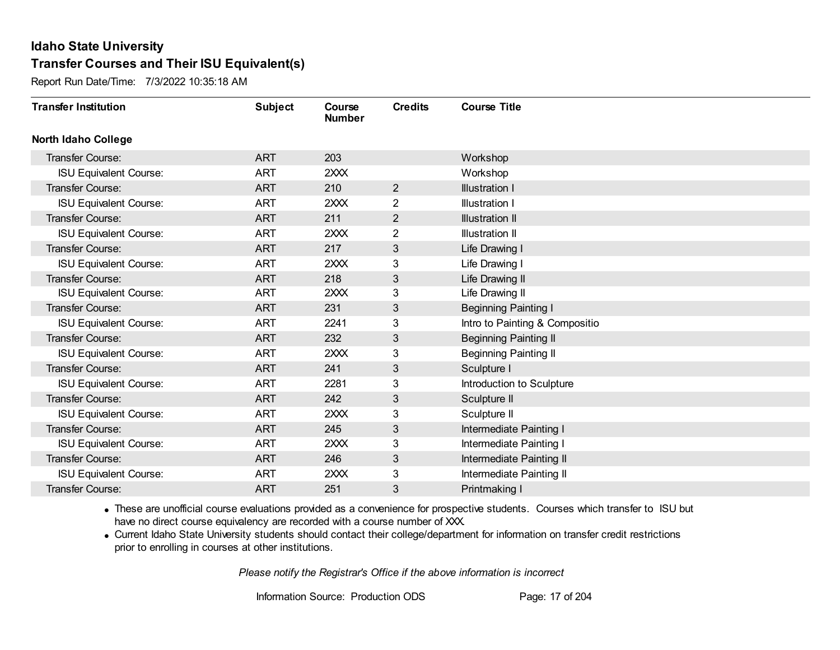Report Run Date/Time: 7/3/2022 10:35:18 AM

| <b>Transfer Institution</b>   | <b>Subject</b> | Course<br><b>Number</b> | <b>Credits</b> | <b>Course Title</b>            |
|-------------------------------|----------------|-------------------------|----------------|--------------------------------|
| <b>North Idaho College</b>    |                |                         |                |                                |
| Transfer Course:              | <b>ART</b>     | 203                     |                | Workshop                       |
| <b>ISU Equivalent Course:</b> | <b>ART</b>     | 2XXX                    |                | Workshop                       |
| Transfer Course:              | <b>ART</b>     | 210                     | $\overline{2}$ | <b>Illustration I</b>          |
| <b>ISU Equivalent Course:</b> | <b>ART</b>     | 2XXX                    | $\overline{2}$ | <b>Illustration I</b>          |
| <b>Transfer Course:</b>       | <b>ART</b>     | 211                     | $\overline{2}$ | <b>Illustration II</b>         |
| <b>ISU Equivalent Course:</b> | <b>ART</b>     | 2XXX                    | 2              | <b>Illustration II</b>         |
| Transfer Course:              | <b>ART</b>     | 217                     | 3              | Life Drawing I                 |
| <b>ISU Equivalent Course:</b> | <b>ART</b>     | 2XXX                    | 3              | Life Drawing I                 |
| <b>Transfer Course:</b>       | <b>ART</b>     | 218                     | 3              | Life Drawing II                |
| <b>ISU Equivalent Course:</b> | <b>ART</b>     | 2XXX                    | 3              | Life Drawing II                |
| <b>Transfer Course:</b>       | <b>ART</b>     | 231                     | 3              | <b>Beginning Painting I</b>    |
| <b>ISU Equivalent Course:</b> | <b>ART</b>     | 2241                    | 3              | Intro to Painting & Compositio |
| Transfer Course:              | <b>ART</b>     | 232                     | 3              | <b>Beginning Painting II</b>   |
| <b>ISU Equivalent Course:</b> | <b>ART</b>     | 2XXX                    | 3              | <b>Beginning Painting II</b>   |
| Transfer Course:              | <b>ART</b>     | 241                     | 3              | Sculpture I                    |
| <b>ISU Equivalent Course:</b> | <b>ART</b>     | 2281                    | 3              | Introduction to Sculpture      |
| <b>Transfer Course:</b>       | <b>ART</b>     | 242                     | 3              | Sculpture II                   |
| <b>ISU Equivalent Course:</b> | <b>ART</b>     | 2XXX                    | 3              | Sculpture II                   |
| <b>Transfer Course:</b>       | <b>ART</b>     | 245                     | 3              | Intermediate Painting I        |
| <b>ISU Equivalent Course:</b> | <b>ART</b>     | 2XXX                    | 3              | Intermediate Painting I        |
| <b>Transfer Course:</b>       | <b>ART</b>     | 246                     | 3              | Intermediate Painting II       |
| <b>ISU Equivalent Course:</b> | <b>ART</b>     | 2XXX                    | 3              | Intermediate Painting II       |
| <b>Transfer Course:</b>       | <b>ART</b>     | 251                     | 3              | Printmaking I                  |

· These are unofficial course evaluations provided as a convenience for prospective students. Courses which transfer to ISU but have no direct course equivalency are recorded with a course number of XXX.

· Current Idaho State University students should contact their college/department for information on transfer credit restrictions prior to enrolling in courses at other institutions.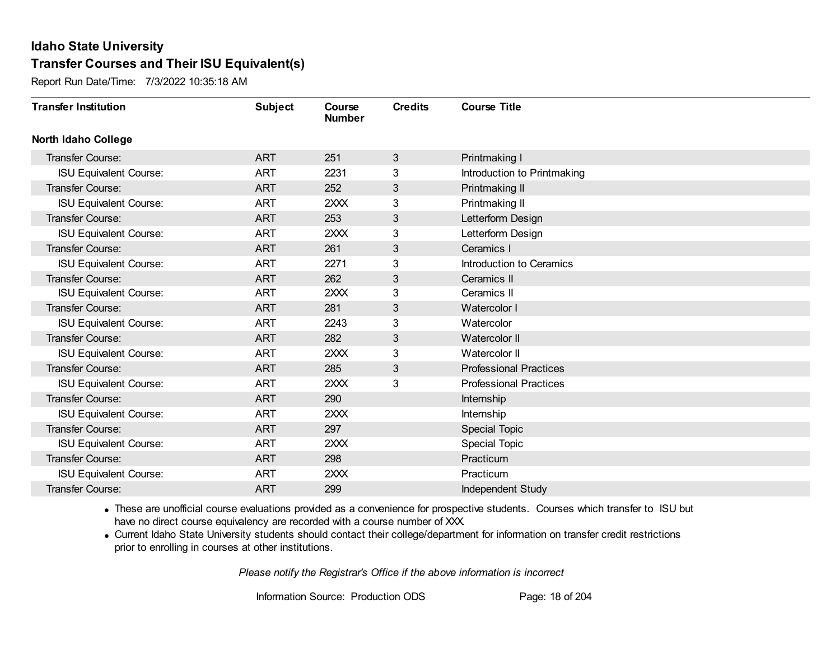Report Run Date/Time: 7/3/2022 10:35:18 AM

| <b>Transfer Institution</b>   | <b>Subject</b> | Course<br><b>Number</b> | <b>Credits</b> | <b>Course Title</b>           |
|-------------------------------|----------------|-------------------------|----------------|-------------------------------|
| <b>North Idaho College</b>    |                |                         |                |                               |
| Transfer Course:              | <b>ART</b>     | 251                     | 3              | Printmaking I                 |
| <b>ISU Equivalent Course:</b> | <b>ART</b>     | 2231                    | 3              | Introduction to Printmaking   |
| Transfer Course:              | <b>ART</b>     | 252                     | 3              | Printmaking II                |
| <b>ISU Equivalent Course:</b> | <b>ART</b>     | 2XXX                    | 3              | Printmaking II                |
| <b>Transfer Course:</b>       | <b>ART</b>     | 253                     | 3              | Letterform Design             |
| <b>ISU Equivalent Course:</b> | <b>ART</b>     | 2XXX                    | 3              | Letterform Design             |
| <b>Transfer Course:</b>       | <b>ART</b>     | 261                     | 3              | Ceramics I                    |
| <b>ISU Equivalent Course:</b> | <b>ART</b>     | 2271                    | 3              | Introduction to Ceramics      |
| <b>Transfer Course:</b>       | <b>ART</b>     | 262                     | 3              | Ceramics II                   |
| <b>ISU Equivalent Course:</b> | <b>ART</b>     | 2XXX                    | 3              | Ceramics II                   |
| Transfer Course:              | <b>ART</b>     | 281                     | 3              | Watercolor I                  |
| <b>ISU Equivalent Course:</b> | <b>ART</b>     | 2243                    | 3              | Watercolor                    |
| <b>Transfer Course:</b>       | <b>ART</b>     | 282                     | 3              | Watercolor II                 |
| <b>ISU Equivalent Course:</b> | <b>ART</b>     | 2XXX                    | 3              | Watercolor II                 |
| Transfer Course:              | <b>ART</b>     | 285                     | 3              | <b>Professional Practices</b> |
| <b>ISU Equivalent Course:</b> | <b>ART</b>     | 2XXX                    | 3              | <b>Professional Practices</b> |
| Transfer Course:              | <b>ART</b>     | 290                     |                | Internship                    |
| <b>ISU Equivalent Course:</b> | <b>ART</b>     | 2XXX                    |                | Internship                    |
| Transfer Course:              | <b>ART</b>     | 297                     |                | Special Topic                 |
| <b>ISU Equivalent Course:</b> | <b>ART</b>     | 2XXX                    |                | <b>Special Topic</b>          |
| <b>Transfer Course:</b>       | <b>ART</b>     | 298                     |                | Practicum                     |
| <b>ISU Equivalent Course:</b> | <b>ART</b>     | 2XXX                    |                | Practicum                     |
| Transfer Course:              | <b>ART</b>     | 299                     |                | Independent Study             |

· These are unofficial course evaluations provided as a convenience for prospective students. Courses which transfer to ISU but have no direct course equivalency are recorded with a course number of XXX.

· Current Idaho State University students should contact their college/department for information on transfer credit restrictions prior to enrolling in courses at other institutions.

*Please notify the Registrar's Office if the above information is incorrect*

Information Source: Production ODS Page: 18 of 204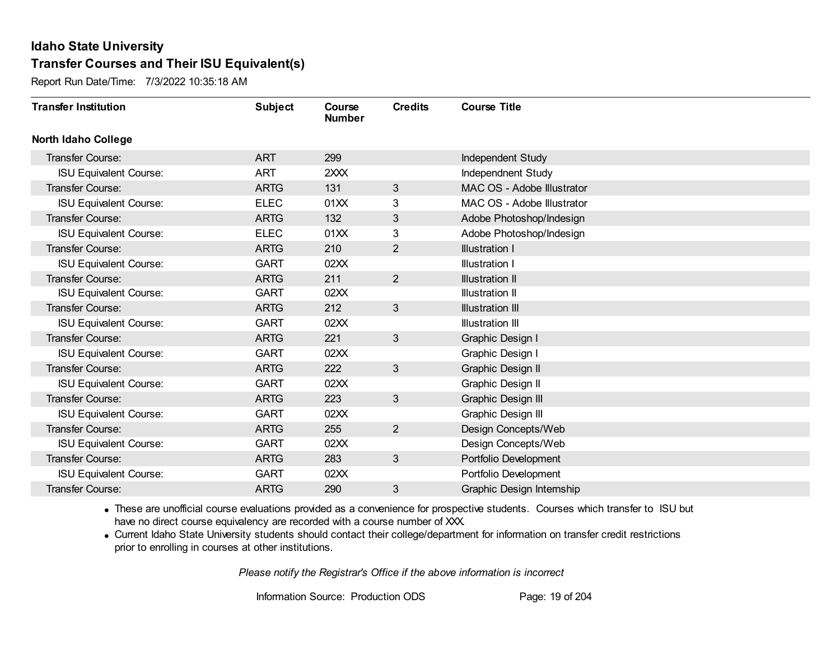Report Run Date/Time: 7/3/2022 10:35:18 AM

| <b>Transfer Institution</b>   | <b>Subject</b> | Course<br><b>Number</b> | <b>Credits</b> | <b>Course Title</b>        |
|-------------------------------|----------------|-------------------------|----------------|----------------------------|
| North Idaho College           |                |                         |                |                            |
| Transfer Course:              | <b>ART</b>     | 299                     |                | Independent Study          |
| <b>ISU Equivalent Course:</b> | <b>ART</b>     | 2XXX                    |                | Independnent Study         |
| <b>Transfer Course:</b>       | <b>ARTG</b>    | 131                     | 3              | MAC OS - Adobe Illustrator |
| <b>ISU Equivalent Course:</b> | <b>ELEC</b>    | 01XX                    | 3              | MAC OS - Adobe Illustrator |
| <b>Transfer Course:</b>       | <b>ARTG</b>    | 132                     | 3              | Adobe Photoshop/Indesign   |
| <b>ISU Equivalent Course:</b> | <b>ELEC</b>    | 01XX                    | 3              | Adobe Photoshop/Indesign   |
| <b>Transfer Course:</b>       | <b>ARTG</b>    | 210                     | $\overline{2}$ | <b>Illustration I</b>      |
| <b>ISU Equivalent Course:</b> | <b>GART</b>    | 02XX                    |                | Illustration I             |
| <b>Transfer Course:</b>       | <b>ARTG</b>    | 211                     | $\overline{2}$ | <b>Illustration II</b>     |
| <b>ISU Equivalent Course:</b> | <b>GART</b>    | 02XX                    |                | <b>Illustration II</b>     |
| <b>Transfer Course:</b>       | <b>ARTG</b>    | 212                     | 3              | <b>Illustration III</b>    |
| <b>ISU Equivalent Course:</b> | <b>GART</b>    | 02XX                    |                | <b>Illustration III</b>    |
| <b>Transfer Course:</b>       | <b>ARTG</b>    | 221                     | $\mathfrak{S}$ | Graphic Design I           |
| <b>ISU Equivalent Course:</b> | <b>GART</b>    | 02XX                    |                | Graphic Design I           |
| Transfer Course:              | <b>ARTG</b>    | 222                     | 3              | <b>Graphic Design II</b>   |
| <b>ISU Equivalent Course:</b> | <b>GART</b>    | 02XX                    |                | Graphic Design II          |
| <b>Transfer Course:</b>       | <b>ARTG</b>    | 223                     | 3              | Graphic Design III         |
| <b>ISU Equivalent Course:</b> | <b>GART</b>    | 02XX                    |                | Graphic Design III         |
| <b>Transfer Course:</b>       | <b>ARTG</b>    | 255                     | $\overline{2}$ | Design Concepts/Web        |
| <b>ISU Equivalent Course:</b> | <b>GART</b>    | 02XX                    |                | Design Concepts/Web        |
| <b>Transfer Course:</b>       | <b>ARTG</b>    | 283                     | 3              | Portfolio Development      |
| <b>ISU Equivalent Course:</b> | <b>GART</b>    | 02XX                    |                | Portfolio Development      |
| <b>Transfer Course:</b>       | <b>ARTG</b>    | 290                     | 3              | Graphic Design Internship  |

· These are unofficial course evaluations provided as a convenience for prospective students. Courses which transfer to ISU but have no direct course equivalency are recorded with a course number of XXX.

· Current Idaho State University students should contact their college/department for information on transfer credit restrictions prior to enrolling in courses at other institutions.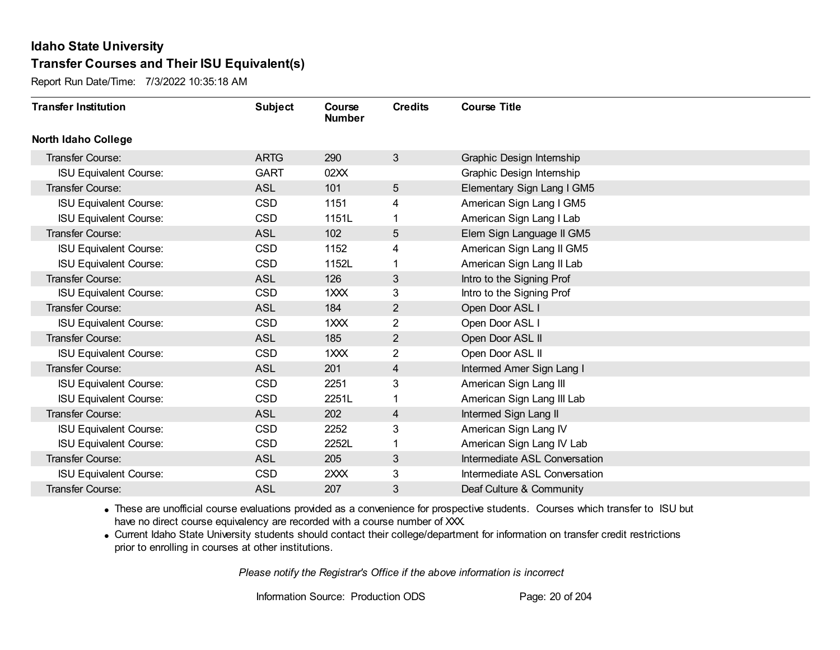Report Run Date/Time: 7/3/2022 10:35:18 AM

| <b>Transfer Institution</b>   | <b>Subject</b> | Course<br><b>Number</b> | <b>Credits</b> | <b>Course Title</b>           |
|-------------------------------|----------------|-------------------------|----------------|-------------------------------|
| <b>North Idaho College</b>    |                |                         |                |                               |
| Transfer Course:              | <b>ARTG</b>    | 290                     | $\mathbf{3}$   | Graphic Design Internship     |
| <b>ISU Equivalent Course:</b> | <b>GART</b>    | 02XX                    |                | Graphic Design Internship     |
| Transfer Course:              | <b>ASL</b>     | 101                     | 5 <sup>5</sup> | Elementary Sign Lang I GM5    |
| <b>ISU Equivalent Course:</b> | <b>CSD</b>     | 1151                    | 4              | American Sign Lang I GM5      |
| <b>ISU Equivalent Course:</b> | <b>CSD</b>     | 1151L                   | 1              | American Sign Lang I Lab      |
| Transfer Course:              | <b>ASL</b>     | 102                     | 5              | Elem Sign Language II GM5     |
| <b>ISU Equivalent Course:</b> | <b>CSD</b>     | 1152                    | 4              | American Sign Lang II GM5     |
| <b>ISU Equivalent Course:</b> | <b>CSD</b>     | 1152L                   |                | American Sign Lang II Lab     |
| <b>Transfer Course:</b>       | <b>ASL</b>     | 126                     | 3              | Intro to the Signing Prof     |
| <b>ISU Equivalent Course:</b> | <b>CSD</b>     | 1XXX                    | 3              | Intro to the Signing Prof     |
| <b>Transfer Course:</b>       | <b>ASL</b>     | 184                     | $\overline{2}$ | Open Door ASL I               |
| <b>ISU Equivalent Course:</b> | <b>CSD</b>     | 1XXX                    | $\overline{2}$ | Open Door ASL I               |
| Transfer Course:              | <b>ASL</b>     | 185                     | $\overline{c}$ | Open Door ASL II              |
| <b>ISU Equivalent Course:</b> | <b>CSD</b>     | 1XXX                    | $\overline{2}$ | Open Door ASL II              |
| Transfer Course:              | <b>ASL</b>     | 201                     | 4              | Intermed Amer Sign Lang I     |
| <b>ISU Equivalent Course:</b> | <b>CSD</b>     | 2251                    | 3              | American Sign Lang III        |
| <b>ISU Equivalent Course:</b> | <b>CSD</b>     | 2251L                   | 1              | American Sign Lang III Lab    |
| Transfer Course:              | <b>ASL</b>     | 202                     | 4              | Intermed Sign Lang II         |
| <b>ISU Equivalent Course:</b> | <b>CSD</b>     | 2252                    | 3              | American Sign Lang IV         |
| <b>ISU Equivalent Course:</b> | <b>CSD</b>     | 2252L                   |                | American Sign Lang IV Lab     |
| Transfer Course:              | <b>ASL</b>     | 205                     | 3              | Intermediate ASL Conversation |
| <b>ISU Equivalent Course:</b> | <b>CSD</b>     | 2XXX                    | 3              | Intermediate ASL Conversation |
| <b>Transfer Course:</b>       | <b>ASL</b>     | 207                     | 3              | Deaf Culture & Community      |

· These are unofficial course evaluations provided as a convenience for prospective students. Courses which transfer to ISU but have no direct course equivalency are recorded with a course number of XXX.

· Current Idaho State University students should contact their college/department for information on transfer credit restrictions prior to enrolling in courses at other institutions.

*Please notify the Registrar's Office if the above information is incorrect*

Information Source: Production ODS Page: 20 of 204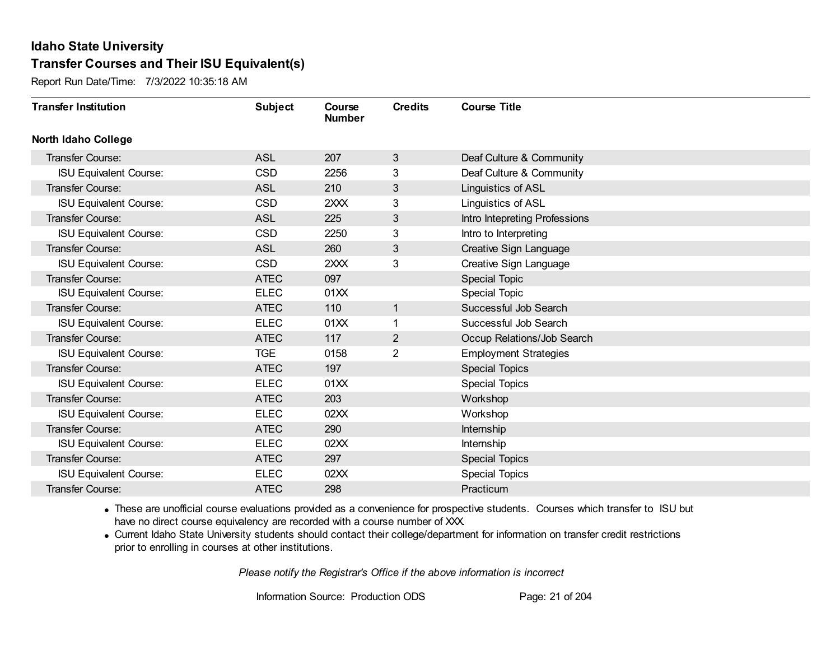Report Run Date/Time: 7/3/2022 10:35:18 AM

| <b>Transfer Institution</b>   | <b>Subject</b> | Course<br><b>Number</b> | <b>Credits</b> | <b>Course Title</b>           |
|-------------------------------|----------------|-------------------------|----------------|-------------------------------|
| <b>North Idaho College</b>    |                |                         |                |                               |
| Transfer Course:              | <b>ASL</b>     | 207                     | 3              | Deaf Culture & Community      |
| <b>ISU Equivalent Course:</b> | <b>CSD</b>     | 2256                    | 3              | Deaf Culture & Community      |
| Transfer Course:              | <b>ASL</b>     | 210                     | 3              | Linguistics of ASL            |
| <b>ISU Equivalent Course:</b> | <b>CSD</b>     | 2XXX                    | 3              | Linguistics of ASL            |
| <b>Transfer Course:</b>       | <b>ASL</b>     | 225                     | 3              | Intro Intepreting Professions |
| <b>ISU Equivalent Course:</b> | <b>CSD</b>     | 2250                    | 3              | Intro to Interpreting         |
| Transfer Course:              | <b>ASL</b>     | 260                     | 3              | Creative Sign Language        |
| <b>ISU Equivalent Course:</b> | <b>CSD</b>     | 2XXX                    | 3              | Creative Sign Language        |
| <b>Transfer Course:</b>       | <b>ATEC</b>    | 097                     |                | <b>Special Topic</b>          |
| <b>ISU Equivalent Course:</b> | <b>ELEC</b>    | 01XX                    |                | Special Topic                 |
| <b>Transfer Course:</b>       | <b>ATEC</b>    | 110                     | $\mathbf 1$    | Successful Job Search         |
| <b>ISU Equivalent Course:</b> | <b>ELEC</b>    | 01XX                    |                | Successful Job Search         |
| Transfer Course:              | <b>ATEC</b>    | 117                     | $\overline{2}$ | Occup Relations/Job Search    |
| <b>ISU Equivalent Course:</b> | <b>TGE</b>     | 0158                    | $\overline{2}$ | <b>Employment Strategies</b>  |
| Transfer Course:              | <b>ATEC</b>    | 197                     |                | <b>Special Topics</b>         |
| <b>ISU Equivalent Course:</b> | <b>ELEC</b>    | 01XX                    |                | <b>Special Topics</b>         |
| Transfer Course:              | <b>ATEC</b>    | 203                     |                | Workshop                      |
| <b>ISU Equivalent Course:</b> | <b>ELEC</b>    | 02XX                    |                | Workshop                      |
| Transfer Course:              | <b>ATEC</b>    | 290                     |                | Internship                    |
| <b>ISU Equivalent Course:</b> | <b>ELEC</b>    | 02XX                    |                | Internship                    |
| <b>Transfer Course:</b>       | <b>ATEC</b>    | 297                     |                | <b>Special Topics</b>         |
| <b>ISU Equivalent Course:</b> | <b>ELEC</b>    | 02XX                    |                | <b>Special Topics</b>         |
| Transfer Course:              | <b>ATEC</b>    | 298                     |                | Practicum                     |

· These are unofficial course evaluations provided as a convenience for prospective students. Courses which transfer to ISU but have no direct course equivalency are recorded with a course number of XXX.

· Current Idaho State University students should contact their college/department for information on transfer credit restrictions prior to enrolling in courses at other institutions.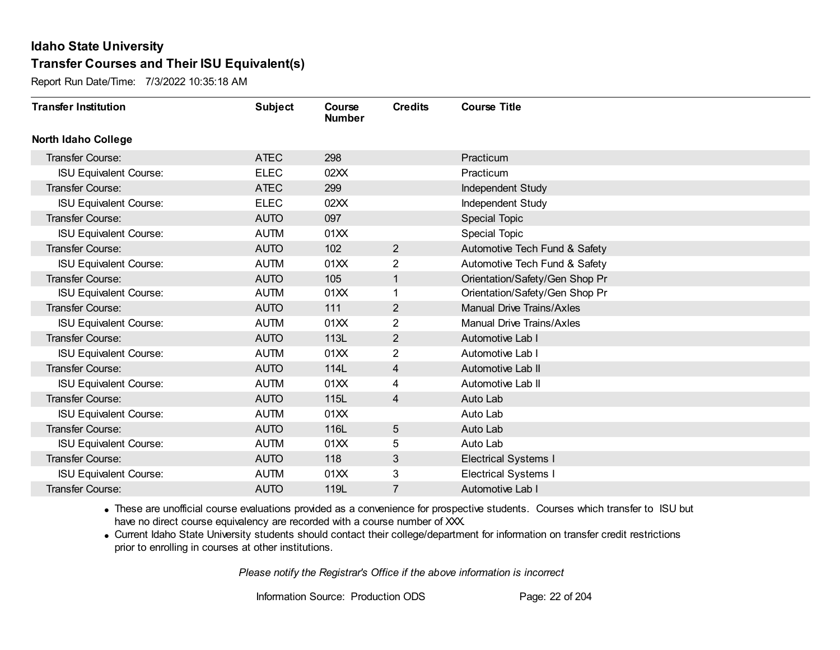Report Run Date/Time: 7/3/2022 10:35:18 AM

| <b>Transfer Institution</b>   | <b>Subject</b> | Course<br><b>Number</b> | <b>Credits</b> | <b>Course Title</b>              |
|-------------------------------|----------------|-------------------------|----------------|----------------------------------|
| <b>North Idaho College</b>    |                |                         |                |                                  |
| Transfer Course:              | <b>ATEC</b>    | 298                     |                | Practicum                        |
| <b>ISU Equivalent Course:</b> | <b>ELEC</b>    | 02XX                    |                | Practicum                        |
| Transfer Course:              | <b>ATEC</b>    | 299                     |                | Independent Study                |
| <b>ISU Equivalent Course:</b> | <b>ELEC</b>    | 02XX                    |                | Independent Study                |
| <b>Transfer Course:</b>       | <b>AUTO</b>    | 097                     |                | Special Topic                    |
| <b>ISU Equivalent Course:</b> | <b>AUTM</b>    | 01XX                    |                | Special Topic                    |
| Transfer Course:              | <b>AUTO</b>    | 102                     | $\overline{2}$ | Automotive Tech Fund & Safety    |
| <b>ISU Equivalent Course:</b> | <b>AUTM</b>    | 01XX                    | 2              | Automotive Tech Fund & Safety    |
| <b>Transfer Course:</b>       | <b>AUTO</b>    | 105                     | $\mathbf{1}$   | Orientation/Safety/Gen Shop Pr   |
| <b>ISU Equivalent Course:</b> | <b>AUTM</b>    | 01XX                    | 1              | Orientation/Safety/Gen Shop Pr   |
| <b>Transfer Course:</b>       | <b>AUTO</b>    | 111                     | $\overline{2}$ | <b>Manual Drive Trains/Axles</b> |
| <b>ISU Equivalent Course:</b> | <b>AUTM</b>    | 01XX                    | $\overline{2}$ | <b>Manual Drive Trains/Axles</b> |
| Transfer Course:              | <b>AUTO</b>    | 113L                    | $\overline{2}$ | Automotive Lab I                 |
| <b>ISU Equivalent Course:</b> | <b>AUTM</b>    | 01XX                    | 2              | Automotive Lab I                 |
| Transfer Course:              | <b>AUTO</b>    | 114L                    | 4              | Automotive Lab II                |
| <b>ISU Equivalent Course:</b> | <b>AUTM</b>    | 01XX                    | 4              | Automotive Lab II                |
| Transfer Course:              | <b>AUTO</b>    | 115L                    | 4              | Auto Lab                         |
| <b>ISU Equivalent Course:</b> | <b>AUTM</b>    | 01XX                    |                | Auto Lab                         |
| Transfer Course:              | <b>AUTO</b>    | 116L                    | 5              | Auto Lab                         |
| <b>ISU Equivalent Course:</b> | <b>AUTM</b>    | 01XX                    | 5              | Auto Lab                         |
| <b>Transfer Course:</b>       | <b>AUTO</b>    | 118                     | 3              | <b>Electrical Systems I</b>      |
| <b>ISU Equivalent Course:</b> | <b>AUTM</b>    | 01XX                    | 3              | <b>Electrical Systems I</b>      |
| Transfer Course:              | <b>AUTO</b>    | 119L                    | 7              | Automotive Lab I                 |

· These are unofficial course evaluations provided as a convenience for prospective students. Courses which transfer to ISU but have no direct course equivalency are recorded with a course number of XXX.

· Current Idaho State University students should contact their college/department for information on transfer credit restrictions prior to enrolling in courses at other institutions.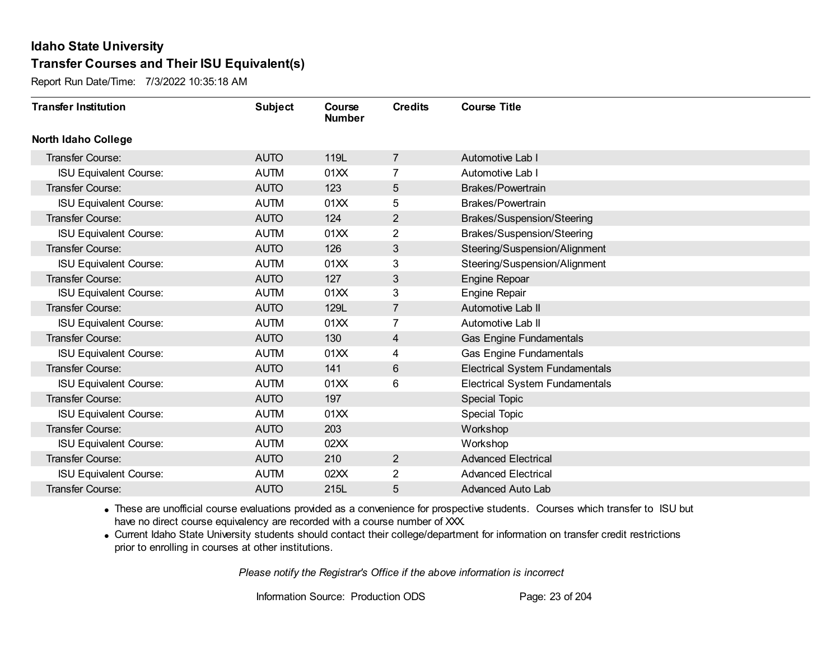Report Run Date/Time: 7/3/2022 10:35:18 AM

| <b>Transfer Institution</b>   | <b>Subject</b> | Course<br><b>Number</b> | <b>Credits</b> | <b>Course Title</b>                   |
|-------------------------------|----------------|-------------------------|----------------|---------------------------------------|
| <b>North Idaho College</b>    |                |                         |                |                                       |
| Transfer Course:              | <b>AUTO</b>    | 119L                    | $\overline{7}$ | Automotive Lab I                      |
| <b>ISU Equivalent Course:</b> | <b>AUTM</b>    | 01XX                    | $\overline{7}$ | Automotive Lab I                      |
| Transfer Course:              | <b>AUTO</b>    | 123                     | 5              | <b>Brakes/Powertrain</b>              |
| <b>ISU Equivalent Course:</b> | <b>AUTM</b>    | 01XX                    | 5              | Brakes/Powertrain                     |
| <b>Transfer Course:</b>       | <b>AUTO</b>    | 124                     | $\overline{2}$ | Brakes/Suspension/Steering            |
| <b>ISU Equivalent Course:</b> | <b>AUTM</b>    | 01XX                    | 2              | Brakes/Suspension/Steering            |
| Transfer Course:              | <b>AUTO</b>    | 126                     | 3              | Steering/Suspension/Alignment         |
| <b>ISU Equivalent Course:</b> | <b>AUTM</b>    | 01XX                    | 3              | Steering/Suspension/Alignment         |
| Transfer Course:              | <b>AUTO</b>    | 127                     | 3              | <b>Engine Repoar</b>                  |
| <b>ISU Equivalent Course:</b> | <b>AUTM</b>    | 01XX                    | 3              | <b>Engine Repair</b>                  |
| Transfer Course:              | <b>AUTO</b>    | 129L                    | $\overline{7}$ | Automotive Lab II                     |
| <b>ISU Equivalent Course:</b> | <b>AUTM</b>    | 01XX                    | 7              | Automotive Lab II                     |
| Transfer Course:              | <b>AUTO</b>    | 130                     | 4              | <b>Gas Engine Fundamentals</b>        |
| <b>ISU Equivalent Course:</b> | <b>AUTM</b>    | 01XX                    | 4              | <b>Gas Engine Fundamentals</b>        |
| Transfer Course:              | <b>AUTO</b>    | 141                     | 6              | <b>Electrical System Fundamentals</b> |
| <b>ISU Equivalent Course:</b> | <b>AUTM</b>    | 01XX                    | 6              | <b>Electrical System Fundamentals</b> |
| Transfer Course:              | <b>AUTO</b>    | 197                     |                | Special Topic                         |
| <b>ISU Equivalent Course:</b> | <b>AUTM</b>    | 01XX                    |                | Special Topic                         |
| Transfer Course:              | <b>AUTO</b>    | 203                     |                | Workshop                              |
| <b>ISU Equivalent Course:</b> | <b>AUTM</b>    | 02XX                    |                | Workshop                              |
| <b>Transfer Course:</b>       | <b>AUTO</b>    | 210                     | $\overline{2}$ | <b>Advanced Electrical</b>            |
| <b>ISU Equivalent Course:</b> | <b>AUTM</b>    | 02XX                    | $\overline{2}$ | <b>Advanced Electrical</b>            |
| Transfer Course:              | <b>AUTO</b>    | 215L                    | 5              | <b>Advanced Auto Lab</b>              |

· These are unofficial course evaluations provided as a convenience for prospective students. Courses which transfer to ISU but have no direct course equivalency are recorded with a course number of XXX.

· Current Idaho State University students should contact their college/department for information on transfer credit restrictions prior to enrolling in courses at other institutions.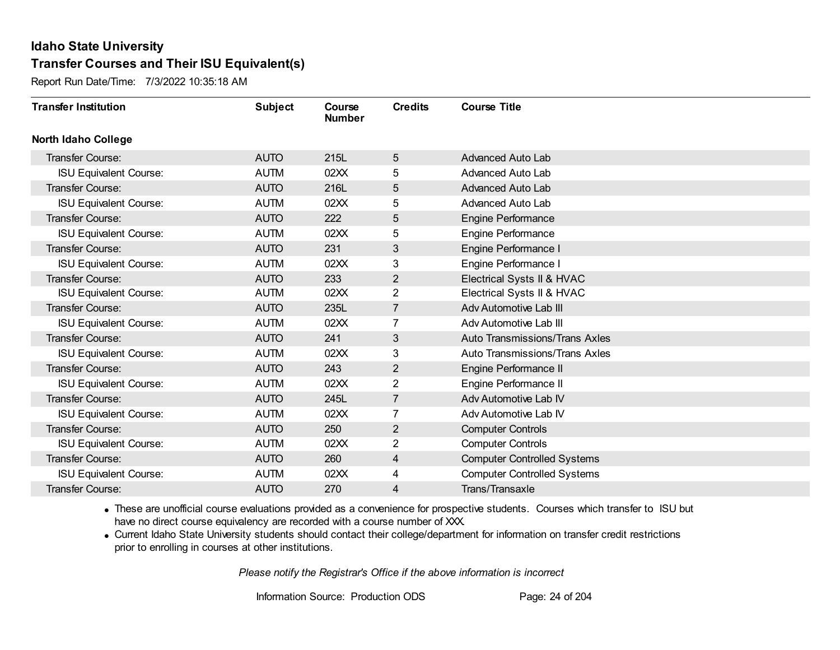Report Run Date/Time: 7/3/2022 10:35:18 AM

| <b>Transfer Institution</b>   | <b>Subject</b> | Course<br><b>Number</b> | <b>Credits</b> | <b>Course Title</b>                   |
|-------------------------------|----------------|-------------------------|----------------|---------------------------------------|
| <b>North Idaho College</b>    |                |                         |                |                                       |
| Transfer Course:              | <b>AUTO</b>    | 215L                    | 5              | <b>Advanced Auto Lab</b>              |
| <b>ISU Equivalent Course:</b> | <b>AUTM</b>    | 02XX                    | 5              | <b>Advanced Auto Lab</b>              |
| Transfer Course:              | <b>AUTO</b>    | 216L                    | 5              | <b>Advanced Auto Lab</b>              |
| <b>ISU Equivalent Course:</b> | <b>AUTM</b>    | 02XX                    | 5              | Advanced Auto Lab                     |
| <b>Transfer Course:</b>       | <b>AUTO</b>    | 222                     | 5              | <b>Engine Performance</b>             |
| <b>ISU Equivalent Course:</b> | <b>AUTM</b>    | 02XX                    | 5              | <b>Engine Performance</b>             |
| Transfer Course:              | <b>AUTO</b>    | 231                     | 3              | Engine Performance I                  |
| <b>ISU Equivalent Course:</b> | <b>AUTM</b>    | 02XX                    | 3              | Engine Performance I                  |
| <b>Transfer Course:</b>       | <b>AUTO</b>    | 233                     | $\overline{2}$ | Electrical Systs II & HVAC            |
| <b>ISU Equivalent Course:</b> | <b>AUTM</b>    | 02XX                    | $\overline{2}$ | Electrical Systs II & HVAC            |
| Transfer Course:              | <b>AUTO</b>    | 235L                    | $\overline{7}$ | Adv Automotive Lab III                |
| <b>ISU Equivalent Course:</b> | <b>AUTM</b>    | 02XX                    | $\overline{7}$ | Adv Automotive Lab III                |
| Transfer Course:              | <b>AUTO</b>    | 241                     | 3              | Auto Transmissions/Trans Axles        |
| <b>ISU Equivalent Course:</b> | <b>AUTM</b>    | 02XX                    | 3              | <b>Auto Transmissions/Trans Axles</b> |
| Transfer Course:              | <b>AUTO</b>    | 243                     | $\overline{2}$ | Engine Performance II                 |
| <b>ISU Equivalent Course:</b> | <b>AUTM</b>    | 02XX                    | $\overline{2}$ | Engine Performance II                 |
| Transfer Course:              | <b>AUTO</b>    | 245L                    | $\overline{7}$ | Adv Automotive Lab IV                 |
| <b>ISU Equivalent Course:</b> | <b>AUTM</b>    | 02XX                    | 7              | Adv Automotive Lab IV                 |
| Transfer Course:              | <b>AUTO</b>    | 250                     | $\overline{2}$ | <b>Computer Controls</b>              |
| <b>ISU Equivalent Course:</b> | <b>AUTM</b>    | 02XX                    | 2              | <b>Computer Controls</b>              |
| <b>Transfer Course:</b>       | <b>AUTO</b>    | 260                     | 4              | <b>Computer Controlled Systems</b>    |
| <b>ISU Equivalent Course:</b> | <b>AUTM</b>    | 02XX                    | 4              | <b>Computer Controlled Systems</b>    |
| Transfer Course:              | <b>AUTO</b>    | 270                     | 4              | Trans/Transaxle                       |

· These are unofficial course evaluations provided as a convenience for prospective students. Courses which transfer to ISU but have no direct course equivalency are recorded with a course number of XXX.

· Current Idaho State University students should contact their college/department for information on transfer credit restrictions prior to enrolling in courses at other institutions.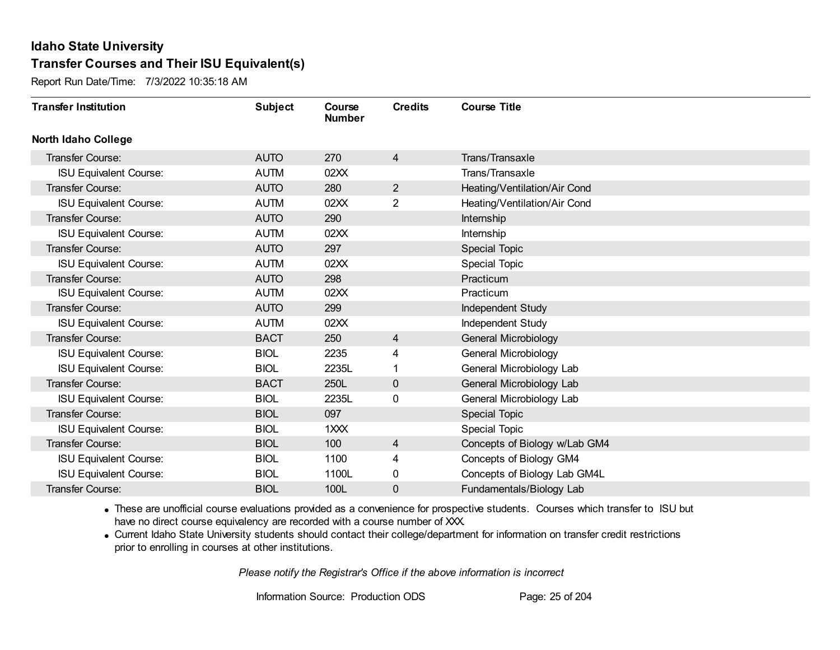Report Run Date/Time: 7/3/2022 10:35:18 AM

| <b>Transfer Institution</b>   | <b>Subject</b> | Course<br><b>Number</b> | <b>Credits</b> | <b>Course Title</b>           |
|-------------------------------|----------------|-------------------------|----------------|-------------------------------|
| <b>North Idaho College</b>    |                |                         |                |                               |
| Transfer Course:              | <b>AUTO</b>    | 270                     | 4              | Trans/Transaxle               |
| <b>ISU Equivalent Course:</b> | <b>AUTM</b>    | 02XX                    |                | Trans/Transaxle               |
| Transfer Course:              | <b>AUTO</b>    | 280                     | $\overline{2}$ | Heating/Ventilation/Air Cond  |
| <b>ISU Equivalent Course:</b> | <b>AUTM</b>    | 02XX                    | $\overline{2}$ | Heating/Ventilation/Air Cond  |
| Transfer Course:              | <b>AUTO</b>    | 290                     |                | Internship                    |
| <b>ISU Equivalent Course:</b> | <b>AUTM</b>    | 02XX                    |                | Internship                    |
| Transfer Course:              | <b>AUTO</b>    | 297                     |                | <b>Special Topic</b>          |
| <b>ISU Equivalent Course:</b> | <b>AUTM</b>    | 02XX                    |                | <b>Special Topic</b>          |
| <b>Transfer Course:</b>       | <b>AUTO</b>    | 298                     |                | Practicum                     |
| <b>ISU Equivalent Course:</b> | <b>AUTM</b>    | 02XX                    |                | Practicum                     |
| <b>Transfer Course:</b>       | <b>AUTO</b>    | 299                     |                | Independent Study             |
| <b>ISU Equivalent Course:</b> | <b>AUTM</b>    | 02XX                    |                | Independent Study             |
| <b>Transfer Course:</b>       | <b>BACT</b>    | 250                     | 4              | <b>General Microbiology</b>   |
| <b>ISU Equivalent Course:</b> | <b>BIOL</b>    | 2235                    | 4              | General Microbiology          |
| <b>ISU Equivalent Course:</b> | <b>BIOL</b>    | 2235L                   |                | General Microbiology Lab      |
| Transfer Course:              | <b>BACT</b>    | 250L                    | $\mathbf{0}$   | General Microbiology Lab      |
| <b>ISU Equivalent Course:</b> | <b>BIOL</b>    | 2235L                   | 0              | General Microbiology Lab      |
| <b>Transfer Course:</b>       | <b>BIOL</b>    | 097                     |                | Special Topic                 |
| <b>ISU Equivalent Course:</b> | <b>BIOL</b>    | 1XXX                    |                | <b>Special Topic</b>          |
| Transfer Course:              | <b>BIOL</b>    | 100                     | 4              | Concepts of Biology w/Lab GM4 |
| <b>ISU Equivalent Course:</b> | <b>BIOL</b>    | 1100                    | 4              | Concepts of Biology GM4       |
| <b>ISU Equivalent Course:</b> | <b>BIOL</b>    | 1100L                   | 0              | Concepts of Biology Lab GM4L  |
| <b>Transfer Course:</b>       | <b>BIOL</b>    | 100L                    | 0              | Fundamentals/Biology Lab      |

· These are unofficial course evaluations provided as a convenience for prospective students. Courses which transfer to ISU but have no direct course equivalency are recorded with a course number of XXX.

· Current Idaho State University students should contact their college/department for information on transfer credit restrictions prior to enrolling in courses at other institutions.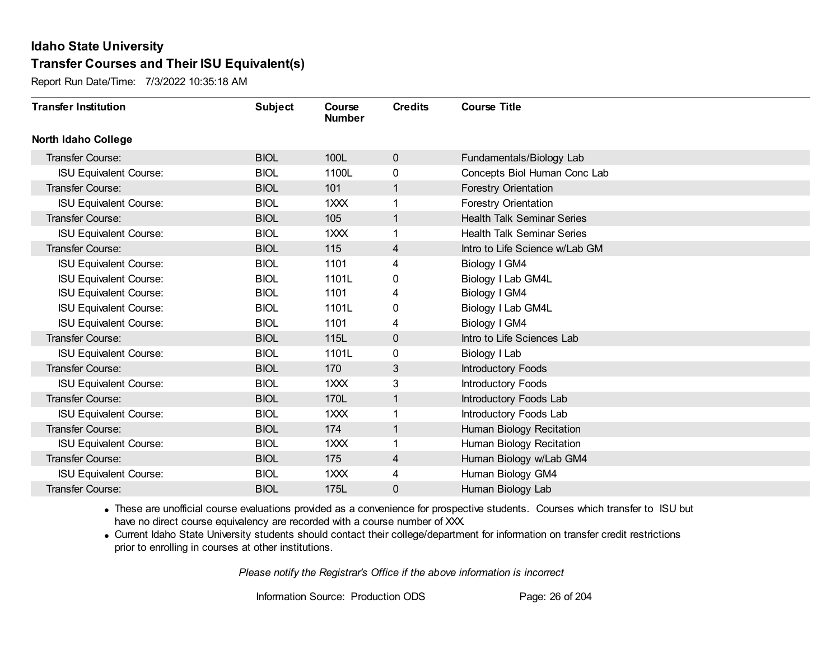Report Run Date/Time: 7/3/2022 10:35:18 AM

| <b>Transfer Institution</b>   | <b>Subject</b> | Course<br><b>Number</b> | <b>Credits</b> | <b>Course Title</b>               |
|-------------------------------|----------------|-------------------------|----------------|-----------------------------------|
| <b>North Idaho College</b>    |                |                         |                |                                   |
| <b>Transfer Course:</b>       | <b>BIOL</b>    | 100L                    | $\mathbf{0}$   | Fundamentals/Biology Lab          |
| <b>ISU Equivalent Course:</b> | <b>BIOL</b>    | 1100L                   | 0              | Concepts Biol Human Conc Lab      |
| Transfer Course:              | <b>BIOL</b>    | 101                     | $\mathbf{1}$   | <b>Forestry Orientation</b>       |
| <b>ISU Equivalent Course:</b> | <b>BIOL</b>    | $1 \times X$            | 1              | Forestry Orientation              |
| <b>Transfer Course:</b>       | <b>BIOL</b>    | 105                     | $\mathbf{1}$   | <b>Health Talk Seminar Series</b> |
| <b>ISU Equivalent Course:</b> | <b>BIOL</b>    | 1XXX                    | 1              | <b>Health Talk Seminar Series</b> |
| Transfer Course:              | <b>BIOL</b>    | 115                     | 4              | Intro to Life Science w/Lab GM    |
| <b>ISU Equivalent Course:</b> | <b>BIOL</b>    | 1101                    | 4              | Biology I GM4                     |
| <b>ISU Equivalent Course:</b> | <b>BIOL</b>    | 1101L                   | 0              | Biology I Lab GM4L                |
| <b>ISU Equivalent Course:</b> | <b>BIOL</b>    | 1101                    | 4              | Biology I GM4                     |
| <b>ISU Equivalent Course:</b> | <b>BIOL</b>    | 1101L                   | 0              | Biology I Lab GM4L                |
| <b>ISU Equivalent Course:</b> | <b>BIOL</b>    | 1101                    | 4              | Biology I GM4                     |
| Transfer Course:              | <b>BIOL</b>    | 115L                    | 0              | Intro to Life Sciences Lab        |
| <b>ISU Equivalent Course:</b> | <b>BIOL</b>    | 1101L                   | 0              | Biology I Lab                     |
| Transfer Course:              | <b>BIOL</b>    | 170                     | 3              | <b>Introductory Foods</b>         |
| <b>ISU Equivalent Course:</b> | <b>BIOL</b>    | 1XXX                    | 3              | Introductory Foods                |
| <b>Transfer Course:</b>       | <b>BIOL</b>    | 170L                    | $\mathbf{1}$   | Introductory Foods Lab            |
| <b>ISU Equivalent Course:</b> | <b>BIOL</b>    | 1XXX                    | 1              | Introductory Foods Lab            |
| Transfer Course:              | <b>BIOL</b>    | 174                     | $\mathbf{1}$   | Human Biology Recitation          |
| <b>ISU Equivalent Course:</b> | <b>BIOL</b>    | $1 \times X$            | 1.             | Human Biology Recitation          |
| <b>Transfer Course:</b>       | <b>BIOL</b>    | 175                     | $\overline{4}$ | Human Biology w/Lab GM4           |
| <b>ISU Equivalent Course:</b> | <b>BIOL</b>    | $1 \times X$            | 4              | Human Biology GM4                 |
| Transfer Course:              | <b>BIOL</b>    | 175L                    | 0              | Human Biology Lab                 |

· These are unofficial course evaluations provided as a convenience for prospective students. Courses which transfer to ISU but have no direct course equivalency are recorded with a course number of XXX.

· Current Idaho State University students should contact their college/department for information on transfer credit restrictions prior to enrolling in courses at other institutions.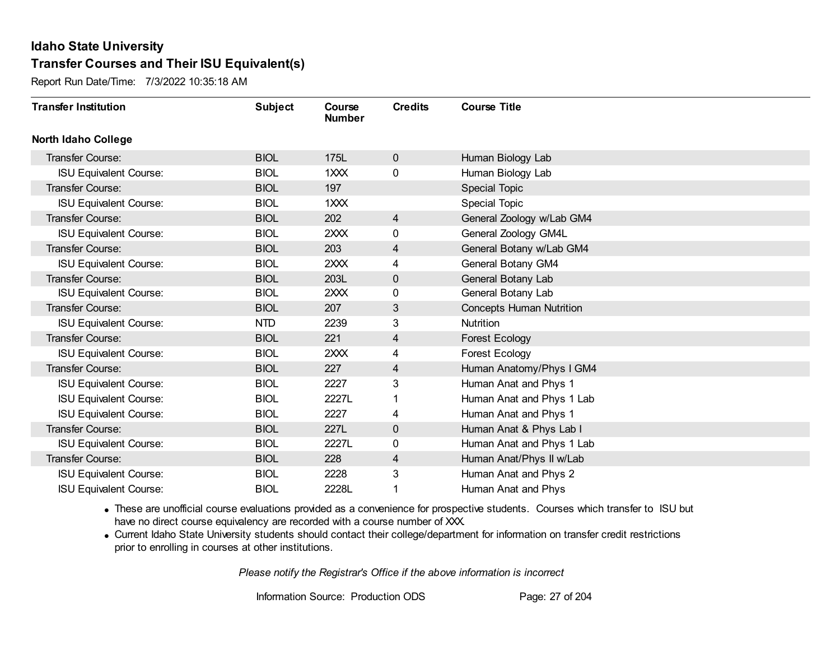Report Run Date/Time: 7/3/2022 10:35:18 AM

| <b>Transfer Institution</b>   | <b>Subject</b> | Course<br><b>Number</b> | <b>Credits</b> | <b>Course Title</b>             |
|-------------------------------|----------------|-------------------------|----------------|---------------------------------|
| <b>North Idaho College</b>    |                |                         |                |                                 |
| Transfer Course:              | <b>BIOL</b>    | 175L                    | $\mathbf 0$    | Human Biology Lab               |
| <b>ISU Equivalent Course:</b> | <b>BIOL</b>    | 1XXX                    | $\mathbf 0$    | Human Biology Lab               |
| Transfer Course:              | <b>BIOL</b>    | 197                     |                | <b>Special Topic</b>            |
| <b>ISU Equivalent Course:</b> | <b>BIOL</b>    | 1XXX                    |                | Special Topic                   |
| Transfer Course:              | <b>BIOL</b>    | 202                     | 4              | General Zoology w/Lab GM4       |
| <b>ISU Equivalent Course:</b> | <b>BIOL</b>    | 2XXX                    | 0              | General Zoology GM4L            |
| Transfer Course:              | <b>BIOL</b>    | 203                     | 4              | General Botany w/Lab GM4        |
| <b>ISU Equivalent Course:</b> | <b>BIOL</b>    | 2XXX                    | 4              | General Botany GM4              |
| <b>Transfer Course:</b>       | <b>BIOL</b>    | 203L                    | $\mathbf 0$    | General Botany Lab              |
| <b>ISU Equivalent Course:</b> | <b>BIOL</b>    | 2XXX                    | 0              | General Botany Lab              |
| Transfer Course:              | <b>BIOL</b>    | 207                     | 3              | <b>Concepts Human Nutrition</b> |
| <b>ISU Equivalent Course:</b> | <b>NTD</b>     | 2239                    | 3              | Nutrition                       |
| Transfer Course:              | <b>BIOL</b>    | 221                     | 4              | <b>Forest Ecology</b>           |
| <b>ISU Equivalent Course:</b> | <b>BIOL</b>    | 2XXX                    | 4              | Forest Ecology                  |
| Transfer Course:              | <b>BIOL</b>    | 227                     | 4              | Human Anatomy/Phys I GM4        |
| <b>ISU Equivalent Course:</b> | <b>BIOL</b>    | 2227                    | 3              | Human Anat and Phys 1           |
| <b>ISU Equivalent Course:</b> | <b>BIOL</b>    | 2227L                   |                | Human Anat and Phys 1 Lab       |
| <b>ISU Equivalent Course:</b> | <b>BIOL</b>    | 2227                    | 4              | Human Anat and Phys 1           |
| Transfer Course:              | <b>BIOL</b>    | 227L                    | $\mathbf 0$    | Human Anat & Phys Lab I         |
| <b>ISU Equivalent Course:</b> | <b>BIOL</b>    | 2227L                   | 0              | Human Anat and Phys 1 Lab       |
| <b>Transfer Course:</b>       | <b>BIOL</b>    | 228                     | 4              | Human Anat/Phys II w/Lab        |
| <b>ISU Equivalent Course:</b> | <b>BIOL</b>    | 2228                    | 3              | Human Anat and Phys 2           |
| <b>ISU Equivalent Course:</b> | <b>BIOL</b>    | 2228L                   |                | Human Anat and Phys             |

· These are unofficial course evaluations provided as a convenience for prospective students. Courses which transfer to ISU but have no direct course equivalency are recorded with a course number of XXX.

· Current Idaho State University students should contact their college/department for information on transfer credit restrictions prior to enrolling in courses at other institutions.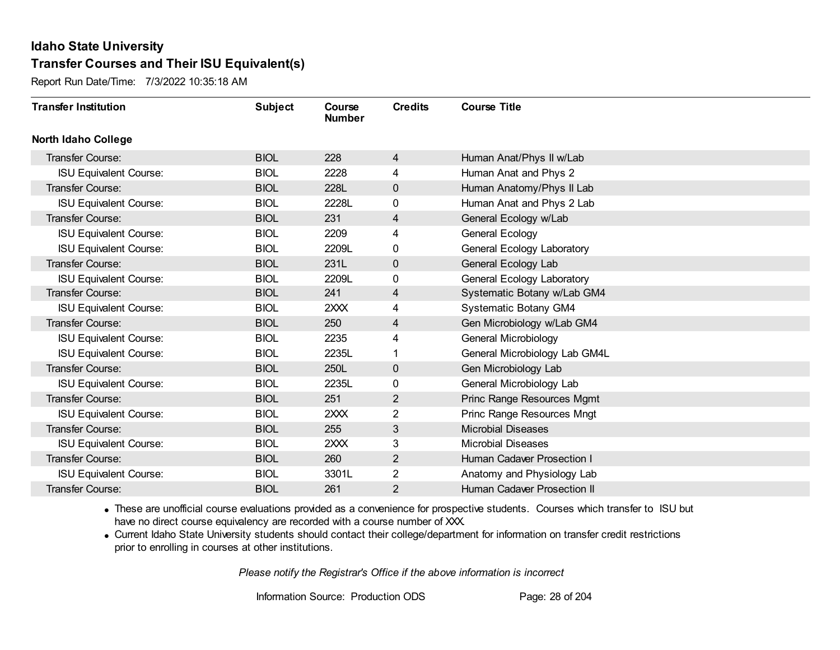Report Run Date/Time: 7/3/2022 10:35:18 AM

| <b>Transfer Institution</b>   | <b>Subject</b> | Course<br><b>Number</b> | <b>Credits</b> | <b>Course Title</b>           |
|-------------------------------|----------------|-------------------------|----------------|-------------------------------|
| <b>North Idaho College</b>    |                |                         |                |                               |
| Transfer Course:              | <b>BIOL</b>    | 228                     | 4              | Human Anat/Phys II w/Lab      |
| <b>ISU Equivalent Course:</b> | <b>BIOL</b>    | 2228                    | 4              | Human Anat and Phys 2         |
| Transfer Course:              | <b>BIOL</b>    | 228L                    | $\mathbf 0$    | Human Anatomy/Phys II Lab     |
| <b>ISU Equivalent Course:</b> | <b>BIOL</b>    | 2228L                   | 0              | Human Anat and Phys 2 Lab     |
| <b>Transfer Course:</b>       | <b>BIOL</b>    | 231                     | 4              | General Ecology w/Lab         |
| <b>ISU Equivalent Course:</b> | <b>BIOL</b>    | 2209                    | 4              | General Ecology               |
| <b>ISU Equivalent Course:</b> | <b>BIOL</b>    | 2209L                   | 0              | General Ecology Laboratory    |
| Transfer Course:              | <b>BIOL</b>    | 231L                    | $\mathbf 0$    | General Ecology Lab           |
| <b>ISU Equivalent Course:</b> | <b>BIOL</b>    | 2209L                   | 0              | General Ecology Laboratory    |
| <b>Transfer Course:</b>       | <b>BIOL</b>    | 241                     | 4              | Systematic Botany w/Lab GM4   |
| <b>ISU Equivalent Course:</b> | <b>BIOL</b>    | 2XXX                    | 4              | <b>Systematic Botany GM4</b>  |
| Transfer Course:              | <b>BIOL</b>    | 250                     | 4              | Gen Microbiology w/Lab GM4    |
| <b>ISU Equivalent Course:</b> | <b>BIOL</b>    | 2235                    | 4              | General Microbiology          |
| <b>ISU Equivalent Course:</b> | <b>BIOL</b>    | 2235L                   | 1              | General Microbiology Lab GM4L |
| Transfer Course:              | <b>BIOL</b>    | 250L                    | $\mathbf 0$    | Gen Microbiology Lab          |
| <b>ISU Equivalent Course:</b> | <b>BIOL</b>    | 2235L                   | 0              | General Microbiology Lab      |
| Transfer Course:              | <b>BIOL</b>    | 251                     | $\overline{2}$ | Princ Range Resources Mgmt    |
| <b>ISU Equivalent Course:</b> | <b>BIOL</b>    | 2XXX                    | 2              | Princ Range Resources Mngt    |
| <b>Transfer Course:</b>       | <b>BIOL</b>    | 255                     | 3              | <b>Microbial Diseases</b>     |
| <b>ISU Equivalent Course:</b> | <b>BIOL</b>    | 2XXX                    | 3              | <b>Microbial Diseases</b>     |
| Transfer Course:              | <b>BIOL</b>    | 260                     | $\overline{2}$ | Human Cadaver Prosection I    |
| <b>ISU Equivalent Course:</b> | <b>BIOL</b>    | 3301L                   | 2              | Anatomy and Physiology Lab    |
| <b>Transfer Course:</b>       | <b>BIOL</b>    | 261                     | 2              | Human Cadaver Prosection II   |

· These are unofficial course evaluations provided as a convenience for prospective students. Courses which transfer to ISU but have no direct course equivalency are recorded with a course number of XXX.

· Current Idaho State University students should contact their college/department for information on transfer credit restrictions prior to enrolling in courses at other institutions.

*Please notify the Registrar's Office if the above information is incorrect*

Information Source: Production ODS Page: 28 of 204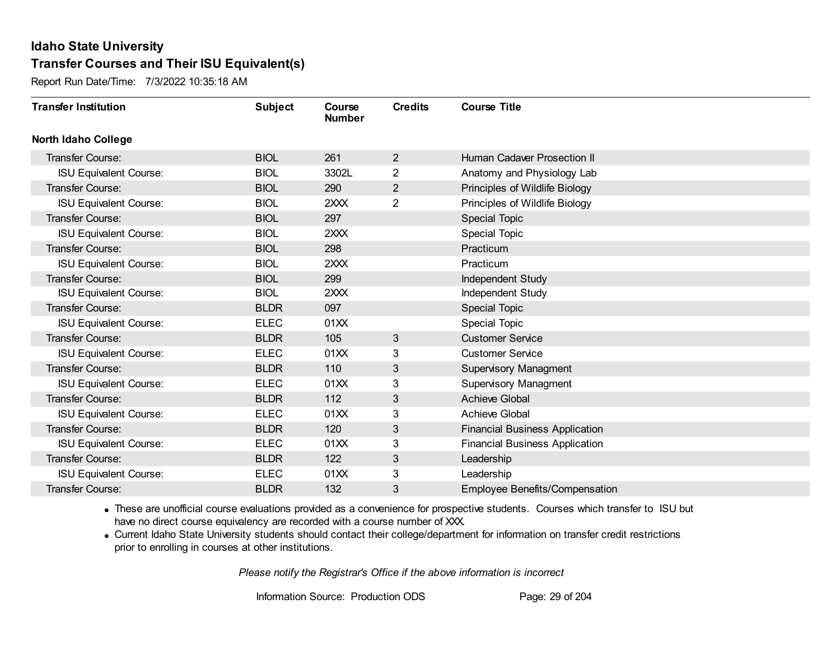Report Run Date/Time: 7/3/2022 10:35:18 AM

| <b>Transfer Institution</b>   | <b>Subject</b> | Course<br><b>Number</b> | <b>Credits</b> | <b>Course Title</b>                   |
|-------------------------------|----------------|-------------------------|----------------|---------------------------------------|
| <b>North Idaho College</b>    |                |                         |                |                                       |
| <b>Transfer Course:</b>       | <b>BIOL</b>    | 261                     | $\overline{2}$ | Human Cadaver Prosection II           |
| <b>ISU Equivalent Course:</b> | <b>BIOL</b>    | 3302L                   | $\overline{2}$ | Anatomy and Physiology Lab            |
| Transfer Course:              | <b>BIOL</b>    | 290                     | $\overline{2}$ | Principles of Wildlife Biology        |
| <b>ISU Equivalent Course:</b> | <b>BIOL</b>    | 2XXX                    | 2              | Principles of Wildlife Biology        |
| <b>Transfer Course:</b>       | <b>BIOL</b>    | 297                     |                | Special Topic                         |
| <b>ISU Equivalent Course:</b> | <b>BIOL</b>    | 2XXX                    |                | Special Topic                         |
| Transfer Course:              | <b>BIOL</b>    | 298                     |                | Practicum                             |
| <b>ISU Equivalent Course:</b> | <b>BIOL</b>    | 2XXX                    |                | Practicum                             |
| Transfer Course:              | <b>BIOL</b>    | 299                     |                | Independent Study                     |
| <b>ISU Equivalent Course:</b> | <b>BIOL</b>    | 2XXX                    |                | Independent Study                     |
| Transfer Course:              | <b>BLDR</b>    | 097                     |                | Special Topic                         |
| <b>ISU Equivalent Course:</b> | <b>ELEC</b>    | 01XX                    |                | <b>Special Topic</b>                  |
| Transfer Course:              | <b>BLDR</b>    | 105                     | 3              | <b>Customer Service</b>               |
| <b>ISU Equivalent Course:</b> | <b>ELEC</b>    | 01XX                    | 3              | <b>Customer Service</b>               |
| Transfer Course:              | <b>BLDR</b>    | 110                     | 3              | Supervisory Managment                 |
| <b>ISU Equivalent Course:</b> | <b>ELEC</b>    | 01XX                    | 3              | <b>Supervisory Managment</b>          |
| <b>Transfer Course:</b>       | <b>BLDR</b>    | 112                     | 3              | <b>Achieve Global</b>                 |
| <b>ISU Equivalent Course:</b> | <b>ELEC</b>    | 01XX                    | 3              | Achieve Global                        |
| Transfer Course:              | <b>BLDR</b>    | 120                     | 3              | <b>Financial Business Application</b> |
| <b>ISU Equivalent Course:</b> | <b>ELEC</b>    | 01XX                    | 3              | <b>Financial Business Application</b> |
| <b>Transfer Course:</b>       | <b>BLDR</b>    | 122                     | 3              | Leadership                            |
| <b>ISU Equivalent Course:</b> | <b>ELEC</b>    | 01XX                    | 3              | Leadership                            |
| Transfer Course:              | <b>BLDR</b>    | 132                     | 3              | <b>Employee Benefits/Compensation</b> |

· These are unofficial course evaluations provided as a convenience for prospective students. Courses which transfer to ISU but have no direct course equivalency are recorded with a course number of XXX.

· Current Idaho State University students should contact their college/department for information on transfer credit restrictions prior to enrolling in courses at other institutions.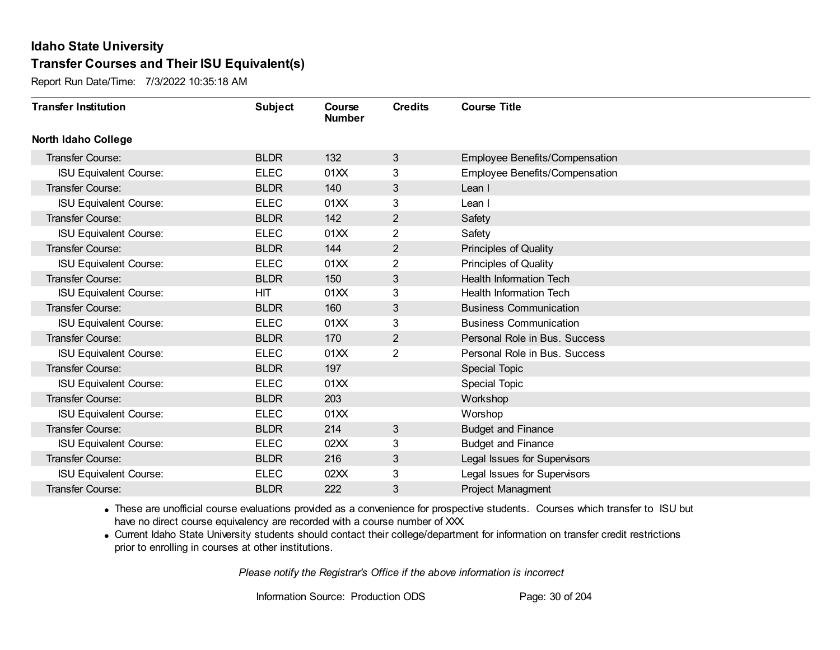Report Run Date/Time: 7/3/2022 10:35:18 AM

| <b>Transfer Institution</b>   | <b>Subject</b> | Course<br><b>Number</b> | <b>Credits</b> | <b>Course Title</b>            |
|-------------------------------|----------------|-------------------------|----------------|--------------------------------|
| <b>North Idaho College</b>    |                |                         |                |                                |
| Transfer Course:              | <b>BLDR</b>    | 132                     | 3              | Employee Benefits/Compensation |
| <b>ISU Equivalent Course:</b> | <b>ELEC</b>    | 01XX                    | 3              | Employee Benefits/Compensation |
| Transfer Course:              | <b>BLDR</b>    | 140                     | 3              | Lean I                         |
| <b>ISU Equivalent Course:</b> | <b>ELEC</b>    | 01XX                    | 3              | Lean I                         |
| <b>Transfer Course:</b>       | <b>BLDR</b>    | 142                     | $\overline{2}$ | Safety                         |
| <b>ISU Equivalent Course:</b> | <b>ELEC</b>    | 01XX                    | 2              | Safety                         |
| <b>Transfer Course:</b>       | <b>BLDR</b>    | 144                     | $\overline{2}$ | Principles of Quality          |
| <b>ISU Equivalent Course:</b> | <b>ELEC</b>    | 01XX                    | $\overline{c}$ | <b>Principles of Quality</b>   |
| <b>Transfer Course:</b>       | <b>BLDR</b>    | 150                     | 3              | <b>Health Information Tech</b> |
| <b>ISU Equivalent Course:</b> | <b>HIT</b>     | 01XX                    | 3              | <b>Health Information Tech</b> |
| <b>Transfer Course:</b>       | <b>BLDR</b>    | 160                     | 3              | <b>Business Communication</b>  |
| <b>ISU Equivalent Course:</b> | <b>ELEC</b>    | 01XX                    | 3              | <b>Business Communication</b>  |
| Transfer Course:              | <b>BLDR</b>    | 170                     | $\overline{2}$ | Personal Role in Bus. Success  |
| <b>ISU Equivalent Course:</b> | <b>ELEC</b>    | 01XX                    | $\overline{2}$ | Personal Role in Bus. Success  |
| Transfer Course:              | <b>BLDR</b>    | 197                     |                | <b>Special Topic</b>           |
| <b>ISU Equivalent Course:</b> | <b>ELEC</b>    | 01XX                    |                | <b>Special Topic</b>           |
| Transfer Course:              | <b>BLDR</b>    | 203                     |                | Workshop                       |
| <b>ISU Equivalent Course:</b> | <b>ELEC</b>    | 01XX                    |                | Worshop                        |
| Transfer Course:              | <b>BLDR</b>    | 214                     | 3              | <b>Budget and Finance</b>      |
| <b>ISU Equivalent Course:</b> | <b>ELEC</b>    | 02XX                    | 3              | <b>Budget and Finance</b>      |
| Transfer Course:              | <b>BLDR</b>    | 216                     | 3              | Legal Issues for Supervisors   |
| <b>ISU Equivalent Course:</b> | <b>ELEC</b>    | 02XX                    | 3              | Legal Issues for Supervisors   |
| <b>Transfer Course:</b>       | <b>BLDR</b>    | 222                     | 3              | Project Managment              |

· These are unofficial course evaluations provided as a convenience for prospective students. Courses which transfer to ISU but have no direct course equivalency are recorded with a course number of XXX.

· Current Idaho State University students should contact their college/department for information on transfer credit restrictions prior to enrolling in courses at other institutions.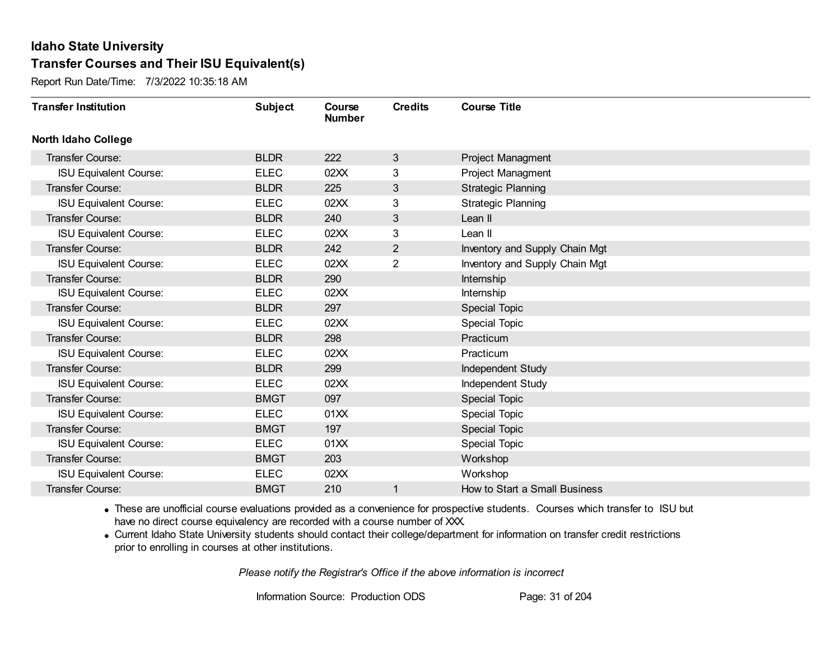Report Run Date/Time: 7/3/2022 10:35:18 AM

| <b>Transfer Institution</b>   | <b>Subject</b> | Course<br><b>Number</b> | <b>Credits</b> | <b>Course Title</b>            |
|-------------------------------|----------------|-------------------------|----------------|--------------------------------|
| <b>North Idaho College</b>    |                |                         |                |                                |
| Transfer Course:              | <b>BLDR</b>    | 222                     | 3              | Project Managment              |
| <b>ISU Equivalent Course:</b> | <b>ELEC</b>    | 02XX                    | 3              | Project Managment              |
| Transfer Course:              | <b>BLDR</b>    | 225                     | 3              | <b>Strategic Planning</b>      |
| <b>ISU Equivalent Course:</b> | <b>ELEC</b>    | 02XX                    | 3              | <b>Strategic Planning</b>      |
| <b>Transfer Course:</b>       | <b>BLDR</b>    | 240                     | 3              | Lean II                        |
| <b>ISU Equivalent Course:</b> | <b>ELEC</b>    | 02XX                    | 3              | Lean II                        |
| Transfer Course:              | <b>BLDR</b>    | 242                     | $\overline{2}$ | Inventory and Supply Chain Mgt |
| <b>ISU Equivalent Course:</b> | <b>ELEC</b>    | 02XX                    | $\overline{2}$ | Inventory and Supply Chain Mgt |
| Transfer Course:              | <b>BLDR</b>    | 290                     |                | Internship                     |
| <b>ISU Equivalent Course:</b> | <b>ELEC</b>    | 02XX                    |                | Internship                     |
| Transfer Course:              | <b>BLDR</b>    | 297                     |                | Special Topic                  |
| <b>ISU Equivalent Course:</b> | <b>ELEC</b>    | 02XX                    |                | <b>Special Topic</b>           |
| Transfer Course:              | <b>BLDR</b>    | 298                     |                | Practicum                      |
| <b>ISU Equivalent Course:</b> | <b>ELEC</b>    | 02XX                    |                | Practicum                      |
| Transfer Course:              | <b>BLDR</b>    | 299                     |                | Independent Study              |
| <b>ISU Equivalent Course:</b> | <b>ELEC</b>    | 02XX                    |                | Independent Study              |
| <b>Transfer Course:</b>       | <b>BMGT</b>    | 097                     |                | <b>Special Topic</b>           |
| <b>ISU Equivalent Course:</b> | <b>ELEC</b>    | 01XX                    |                | <b>Special Topic</b>           |
| Transfer Course:              | <b>BMGT</b>    | 197                     |                | Special Topic                  |
| <b>ISU Equivalent Course:</b> | <b>ELEC</b>    | 01XX                    |                | <b>Special Topic</b>           |
| Transfer Course:              | <b>BMGT</b>    | 203                     |                | Workshop                       |
| <b>ISU Equivalent Course:</b> | <b>ELEC</b>    | 02XX                    |                | Workshop                       |
| Transfer Course:              | <b>BMGT</b>    | 210                     |                | How to Start a Small Business  |

· These are unofficial course evaluations provided as a convenience for prospective students. Courses which transfer to ISU but have no direct course equivalency are recorded with a course number of XXX.

· Current Idaho State University students should contact their college/department for information on transfer credit restrictions prior to enrolling in courses at other institutions.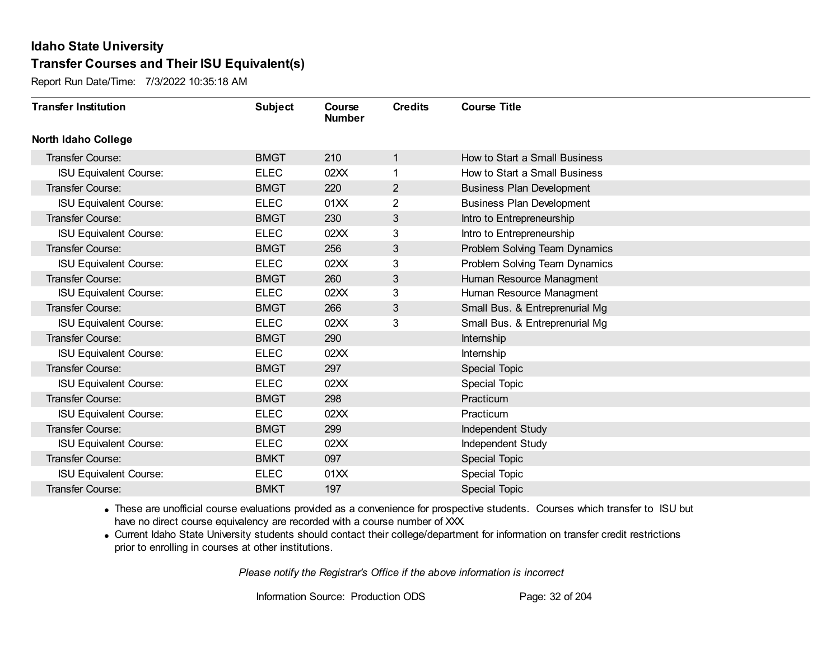Report Run Date/Time: 7/3/2022 10:35:18 AM

| <b>Transfer Institution</b>   | <b>Subject</b> | Course<br><b>Number</b> | <b>Credits</b> | <b>Course Title</b>              |
|-------------------------------|----------------|-------------------------|----------------|----------------------------------|
| <b>North Idaho College</b>    |                |                         |                |                                  |
| <b>Transfer Course:</b>       | <b>BMGT</b>    | 210                     | $\mathbf{1}$   | How to Start a Small Business    |
| <b>ISU Equivalent Course:</b> | <b>ELEC</b>    | 02XX                    | 1              | How to Start a Small Business    |
| Transfer Course:              | <b>BMGT</b>    | 220                     | $\overline{2}$ | <b>Business Plan Development</b> |
| <b>ISU Equivalent Course:</b> | <b>ELEC</b>    | 01XX                    | $\overline{2}$ | <b>Business Plan Development</b> |
| Transfer Course:              | <b>BMGT</b>    | 230                     | 3              | Intro to Entrepreneurship        |
| <b>ISU Equivalent Course:</b> | <b>ELEC</b>    | 02XX                    | 3              | Intro to Entrepreneurship        |
| <b>Transfer Course:</b>       | <b>BMGT</b>    | 256                     | 3              | Problem Solving Team Dynamics    |
| <b>ISU Equivalent Course:</b> | <b>ELEC</b>    | 02XX                    | 3              | Problem Solving Team Dynamics    |
| Transfer Course:              | <b>BMGT</b>    | 260                     | 3              | Human Resource Managment         |
| <b>ISU Equivalent Course:</b> | <b>ELEC</b>    | 02XX                    | 3              | Human Resource Managment         |
| Transfer Course:              | <b>BMGT</b>    | 266                     | 3              | Small Bus. & Entreprenurial Mg   |
| <b>ISU Equivalent Course:</b> | <b>ELEC</b>    | 02XX                    | 3              | Small Bus. & Entreprenurial Mg   |
| <b>Transfer Course:</b>       | <b>BMGT</b>    | 290                     |                | Internship                       |
| <b>ISU Equivalent Course:</b> | <b>ELEC</b>    | 02XX                    |                | Internship                       |
| Transfer Course:              | <b>BMGT</b>    | 297                     |                | <b>Special Topic</b>             |
| <b>ISU Equivalent Course:</b> | <b>ELEC</b>    | 02XX                    |                | <b>Special Topic</b>             |
| Transfer Course:              | <b>BMGT</b>    | 298                     |                | Practicum                        |
| <b>ISU Equivalent Course:</b> | <b>ELEC</b>    | 02XX                    |                | Practicum                        |
| <b>Transfer Course:</b>       | <b>BMGT</b>    | 299                     |                | Independent Study                |
| <b>ISU Equivalent Course:</b> | <b>ELEC</b>    | 02XX                    |                | Independent Study                |
| <b>Transfer Course:</b>       | <b>BMKT</b>    | 097                     |                | <b>Special Topic</b>             |
| <b>ISU Equivalent Course:</b> | <b>ELEC</b>    | 01XX                    |                | <b>Special Topic</b>             |
| Transfer Course:              | <b>BMKT</b>    | 197                     |                | <b>Special Topic</b>             |

· These are unofficial course evaluations provided as a convenience for prospective students. Courses which transfer to ISU but have no direct course equivalency are recorded with a course number of XXX.

· Current Idaho State University students should contact their college/department for information on transfer credit restrictions prior to enrolling in courses at other institutions.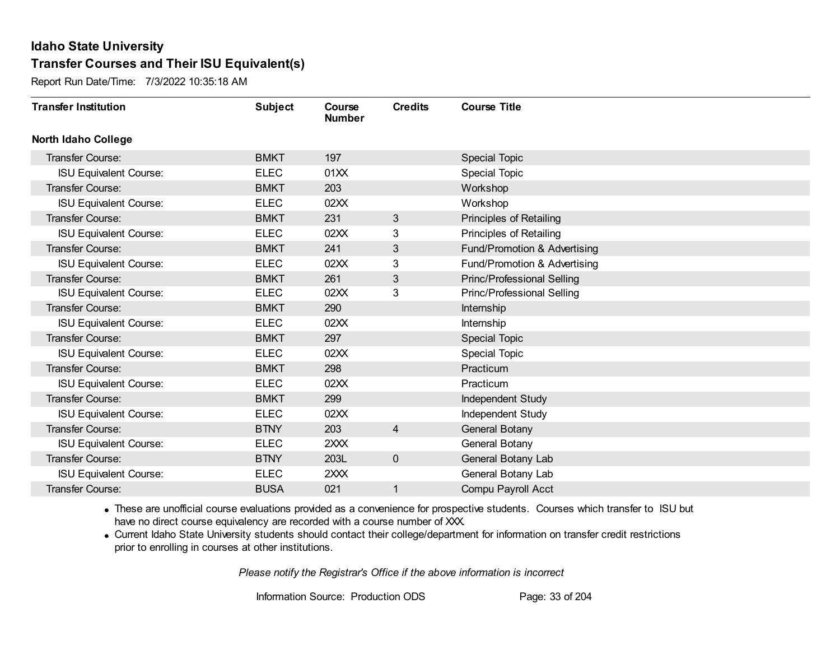Report Run Date/Time: 7/3/2022 10:35:18 AM

| <b>Transfer Institution</b>   | <b>Subject</b> | Course<br><b>Number</b> | <b>Credits</b> | <b>Course Title</b>               |
|-------------------------------|----------------|-------------------------|----------------|-----------------------------------|
| <b>North Idaho College</b>    |                |                         |                |                                   |
| Transfer Course:              | <b>BMKT</b>    | 197                     |                | <b>Special Topic</b>              |
| <b>ISU Equivalent Course:</b> | <b>ELEC</b>    | 01XX                    |                | <b>Special Topic</b>              |
| Transfer Course:              | <b>BMKT</b>    | 203                     |                | Workshop                          |
| <b>ISU Equivalent Course:</b> | <b>ELEC</b>    | 02XX                    |                | Workshop                          |
| <b>Transfer Course:</b>       | <b>BMKT</b>    | 231                     | 3              | Principles of Retailing           |
| <b>ISU Equivalent Course:</b> | <b>ELEC</b>    | 02XX                    | 3              | Principles of Retailing           |
| <b>Transfer Course:</b>       | <b>BMKT</b>    | 241                     | 3              | Fund/Promotion & Advertising      |
| <b>ISU Equivalent Course:</b> | <b>ELEC</b>    | 02XX                    | 3              | Fund/Promotion & Advertising      |
| Transfer Course:              | <b>BMKT</b>    | 261                     | 3              | <b>Princ/Professional Selling</b> |
| <b>ISU Equivalent Course:</b> | <b>ELEC</b>    | 02XX                    | 3              | Princ/Professional Selling        |
| Transfer Course:              | <b>BMKT</b>    | 290                     |                | Internship                        |
| <b>ISU Equivalent Course:</b> | <b>ELEC</b>    | 02XX                    |                | Internship                        |
| <b>Transfer Course:</b>       | <b>BMKT</b>    | 297                     |                | <b>Special Topic</b>              |
| <b>ISU Equivalent Course:</b> | <b>ELEC</b>    | 02XX                    |                | <b>Special Topic</b>              |
| Transfer Course:              | <b>BMKT</b>    | 298                     |                | Practicum                         |
| <b>ISU Equivalent Course:</b> | <b>ELEC</b>    | 02XX                    |                | Practicum                         |
| Transfer Course:              | <b>BMKT</b>    | 299                     |                | Independent Study                 |
| <b>ISU Equivalent Course:</b> | <b>ELEC</b>    | 02XX                    |                | <b>Independent Study</b>          |
| <b>Transfer Course:</b>       | <b>BTNY</b>    | 203                     | 4              | <b>General Botany</b>             |
| <b>ISU Equivalent Course:</b> | <b>ELEC</b>    | 2XXX                    |                | General Botany                    |
| <b>Transfer Course:</b>       | <b>BTNY</b>    | 203L                    | $\mathbf 0$    | General Botany Lab                |
| <b>ISU Equivalent Course:</b> | <b>ELEC</b>    | 2XXX                    |                | General Botany Lab                |
| <b>Transfer Course:</b>       | <b>BUSA</b>    | 021                     |                | Compu Payroll Acct                |

· These are unofficial course evaluations provided as a convenience for prospective students. Courses which transfer to ISU but have no direct course equivalency are recorded with a course number of XXX.

· Current Idaho State University students should contact their college/department for information on transfer credit restrictions prior to enrolling in courses at other institutions.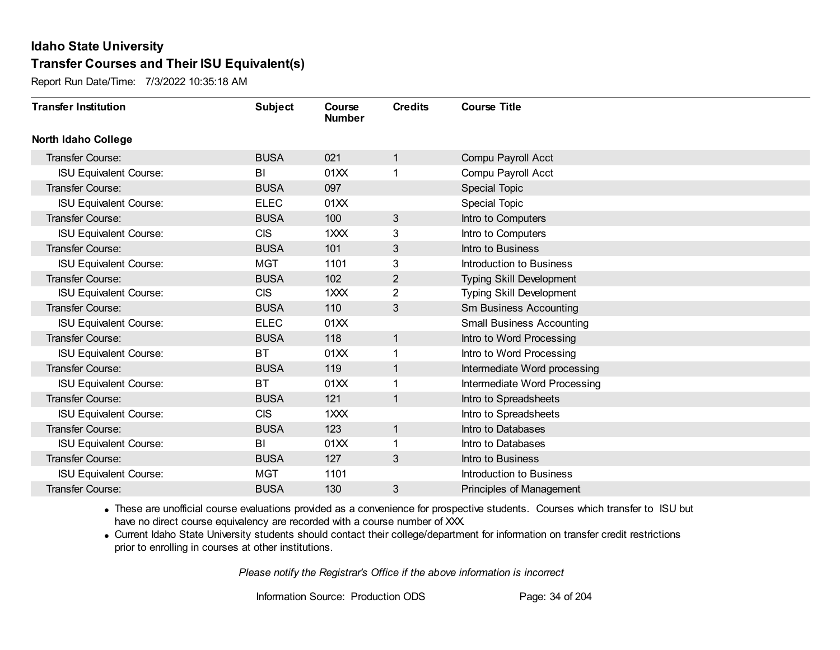Report Run Date/Time: 7/3/2022 10:35:18 AM

| <b>Transfer Institution</b>   | <b>Subject</b> | Course<br><b>Number</b> | <b>Credits</b> | <b>Course Title</b>              |
|-------------------------------|----------------|-------------------------|----------------|----------------------------------|
| <b>North Idaho College</b>    |                |                         |                |                                  |
| Transfer Course:              | <b>BUSA</b>    | 021                     | 1              | Compu Payroll Acct               |
| <b>ISU Equivalent Course:</b> | BI             | 01XX                    |                | Compu Payroll Acct               |
| Transfer Course:              | <b>BUSA</b>    | 097                     |                | <b>Special Topic</b>             |
| <b>ISU Equivalent Course:</b> | <b>ELEC</b>    | 01XX                    |                | Special Topic                    |
| <b>Transfer Course:</b>       | <b>BUSA</b>    | 100                     | 3              | Intro to Computers               |
| <b>ISU Equivalent Course:</b> | <b>CIS</b>     | 1XXX                    | 3              | Intro to Computers               |
| <b>Transfer Course:</b>       | <b>BUSA</b>    | 101                     | 3              | Intro to Business                |
| <b>ISU Equivalent Course:</b> | <b>MGT</b>     | 1101                    | 3              | Introduction to Business         |
| Transfer Course:              | <b>BUSA</b>    | 102                     | $\overline{2}$ | <b>Typing Skill Development</b>  |
| <b>ISU Equivalent Course:</b> | <b>CIS</b>     | 1XXX                    | $\overline{2}$ | <b>Typing Skill Development</b>  |
| Transfer Course:              | <b>BUSA</b>    | 110                     | 3              | <b>Sm Business Accounting</b>    |
| <b>ISU Equivalent Course:</b> | <b>ELEC</b>    | 01XX                    |                | <b>Small Business Accounting</b> |
| Transfer Course:              | <b>BUSA</b>    | 118                     | $\mathbf 1$    | Intro to Word Processing         |
| <b>ISU Equivalent Course:</b> | <b>BT</b>      | 01XX                    | 1              | Intro to Word Processing         |
| Transfer Course:              | <b>BUSA</b>    | 119                     | 1              | Intermediate Word processing     |
| <b>ISU Equivalent Course:</b> | <b>BT</b>      | 01XX                    | 1              | Intermediate Word Processing     |
| Transfer Course:              | <b>BUSA</b>    | 121                     | $\mathbf 1$    | Intro to Spreadsheets            |
| <b>ISU Equivalent Course:</b> | <b>CIS</b>     | 1XXX                    |                | Intro to Spreadsheets            |
| <b>Transfer Course:</b>       | <b>BUSA</b>    | 123                     | $\mathbf{1}$   | Intro to Databases               |
| <b>ISU Equivalent Course:</b> | BI             | 01XX                    |                | Intro to Databases               |
| Transfer Course:              | <b>BUSA</b>    | 127                     | 3              | Intro to Business                |
| <b>ISU Equivalent Course:</b> | <b>MGT</b>     | 1101                    |                | Introduction to Business         |
| Transfer Course:              | <b>BUSA</b>    | 130                     | 3              | Principles of Management         |

· These are unofficial course evaluations provided as a convenience for prospective students. Courses which transfer to ISU but have no direct course equivalency are recorded with a course number of XXX.

· Current Idaho State University students should contact their college/department for information on transfer credit restrictions prior to enrolling in courses at other institutions.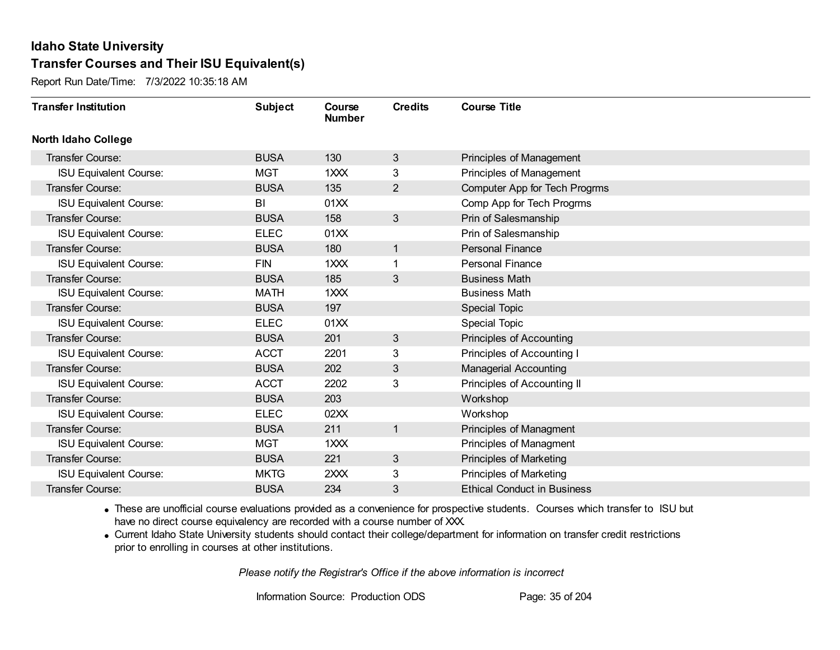Report Run Date/Time: 7/3/2022 10:35:18 AM

| <b>Transfer Institution</b>   | <b>Subject</b> | Course<br><b>Number</b> | <b>Credits</b> | <b>Course Title</b>                |
|-------------------------------|----------------|-------------------------|----------------|------------------------------------|
| <b>North Idaho College</b>    |                |                         |                |                                    |
| <b>Transfer Course:</b>       | <b>BUSA</b>    | 130                     | 3              | Principles of Management           |
| <b>ISU Equivalent Course:</b> | <b>MGT</b>     | 1XXX                    | 3              | Principles of Management           |
| Transfer Course:              | <b>BUSA</b>    | 135                     | $\overline{2}$ | Computer App for Tech Progrms      |
| <b>ISU Equivalent Course:</b> | BI             | 01XX                    |                | Comp App for Tech Progrms          |
| <b>Transfer Course:</b>       | <b>BUSA</b>    | 158                     | 3              | Prin of Salesmanship               |
| <b>ISU Equivalent Course:</b> | <b>ELEC</b>    | 01XX                    |                | Prin of Salesmanship               |
| Transfer Course:              | <b>BUSA</b>    | 180                     | $\mathbf 1$    | <b>Personal Finance</b>            |
| <b>ISU Equivalent Course:</b> | <b>FIN</b>     | 1XXX                    |                | <b>Personal Finance</b>            |
| Transfer Course:              | <b>BUSA</b>    | 185                     | 3              | <b>Business Math</b>               |
| <b>ISU Equivalent Course:</b> | <b>MATH</b>    | 1XXX                    |                | <b>Business Math</b>               |
| Transfer Course:              | <b>BUSA</b>    | 197                     |                | Special Topic                      |
| <b>ISU Equivalent Course:</b> | <b>ELEC</b>    | 01XX                    |                | <b>Special Topic</b>               |
| Transfer Course:              | <b>BUSA</b>    | 201                     | 3              | <b>Principles of Accounting</b>    |
| <b>ISU Equivalent Course:</b> | <b>ACCT</b>    | 2201                    | 3              | Principles of Accounting I         |
| Transfer Course:              | <b>BUSA</b>    | 202                     | 3              | <b>Managerial Accounting</b>       |
| <b>ISU Equivalent Course:</b> | <b>ACCT</b>    | 2202                    | 3              | Principles of Accounting II        |
| Transfer Course:              | <b>BUSA</b>    | 203                     |                | Workshop                           |
| <b>ISU Equivalent Course:</b> | <b>ELEC</b>    | 02XX                    |                | Workshop                           |
| Transfer Course:              | <b>BUSA</b>    | 211                     | 1              | Principles of Managment            |
| <b>ISU Equivalent Course:</b> | <b>MGT</b>     | 1XXX                    |                | Principles of Managment            |
| <b>Transfer Course:</b>       | <b>BUSA</b>    | 221                     | 3              | Principles of Marketing            |
| <b>ISU Equivalent Course:</b> | <b>MKTG</b>    | 2XXX                    | 3              | Principles of Marketing            |
| Transfer Course:              | <b>BUSA</b>    | 234                     | 3              | <b>Ethical Conduct in Business</b> |

· These are unofficial course evaluations provided as a convenience for prospective students. Courses which transfer to ISU but have no direct course equivalency are recorded with a course number of XXX.

· Current Idaho State University students should contact their college/department for information on transfer credit restrictions prior to enrolling in courses at other institutions.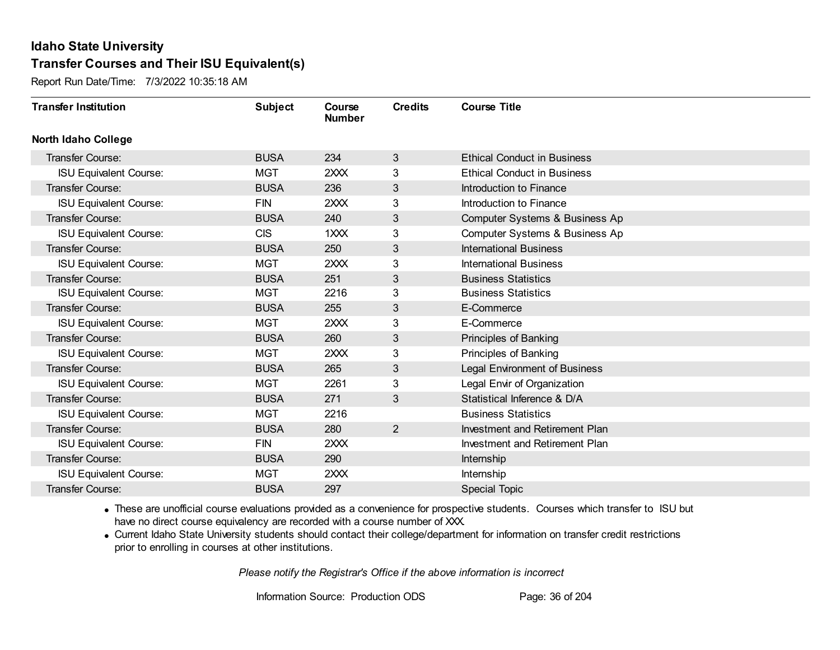Report Run Date/Time: 7/3/2022 10:35:18 AM

| <b>Transfer Institution</b>   | <b>Subject</b> | Course<br><b>Number</b> | <b>Credits</b> | <b>Course Title</b>                  |
|-------------------------------|----------------|-------------------------|----------------|--------------------------------------|
| <b>North Idaho College</b>    |                |                         |                |                                      |
| <b>Transfer Course:</b>       | <b>BUSA</b>    | 234                     | 3              | <b>Ethical Conduct in Business</b>   |
| <b>ISU Equivalent Course:</b> | <b>MGT</b>     | 2XXX                    | 3              | <b>Ethical Conduct in Business</b>   |
| Transfer Course:              | <b>BUSA</b>    | 236                     | 3              | Introduction to Finance              |
| <b>ISU Equivalent Course:</b> | <b>FIN</b>     | 2XXX                    | 3              | Introduction to Finance              |
| <b>Transfer Course:</b>       | <b>BUSA</b>    | 240                     | 3              | Computer Systems & Business Ap       |
| <b>ISU Equivalent Course:</b> | <b>CIS</b>     | 1XXX                    | 3              | Computer Systems & Business Ap       |
| <b>Transfer Course:</b>       | <b>BUSA</b>    | 250                     | 3              | <b>International Business</b>        |
| <b>ISU Equivalent Course:</b> | <b>MGT</b>     | 2XXX                    | 3              | <b>International Business</b>        |
| Transfer Course:              | <b>BUSA</b>    | 251                     | 3              | <b>Business Statistics</b>           |
| <b>ISU Equivalent Course:</b> | <b>MGT</b>     | 2216                    | 3              | <b>Business Statistics</b>           |
| Transfer Course:              | <b>BUSA</b>    | 255                     | 3              | E-Commerce                           |
| <b>ISU Equivalent Course:</b> | <b>MGT</b>     | 2XXX                    | 3              | E-Commerce                           |
| <b>Transfer Course:</b>       | <b>BUSA</b>    | 260                     | 3              | Principles of Banking                |
| <b>ISU Equivalent Course:</b> | <b>MGT</b>     | 2XXX                    | 3              | Principles of Banking                |
| Transfer Course:              | <b>BUSA</b>    | 265                     | 3              | <b>Legal Environment of Business</b> |
| <b>ISU Equivalent Course:</b> | <b>MGT</b>     | 2261                    | 3              | Legal Envir of Organization          |
| Transfer Course:              | <b>BUSA</b>    | 271                     | 3              | Statistical Inference & D/A          |
| <b>ISU Equivalent Course:</b> | <b>MGT</b>     | 2216                    |                | <b>Business Statistics</b>           |
| Transfer Course:              | <b>BUSA</b>    | 280                     | $\overline{2}$ | Investment and Retirement Plan       |
| <b>ISU Equivalent Course:</b> | <b>FIN</b>     | 2XXX                    |                | Investment and Retirement Plan       |
| Transfer Course:              | <b>BUSA</b>    | 290                     |                | Internship                           |
| <b>ISU Equivalent Course:</b> | <b>MGT</b>     | 2XXX                    |                | Internship                           |
| Transfer Course:              | <b>BUSA</b>    | 297                     |                | <b>Special Topic</b>                 |

· These are unofficial course evaluations provided as a convenience for prospective students. Courses which transfer to ISU but have no direct course equivalency are recorded with a course number of XXX.

· Current Idaho State University students should contact their college/department for information on transfer credit restrictions prior to enrolling in courses at other institutions.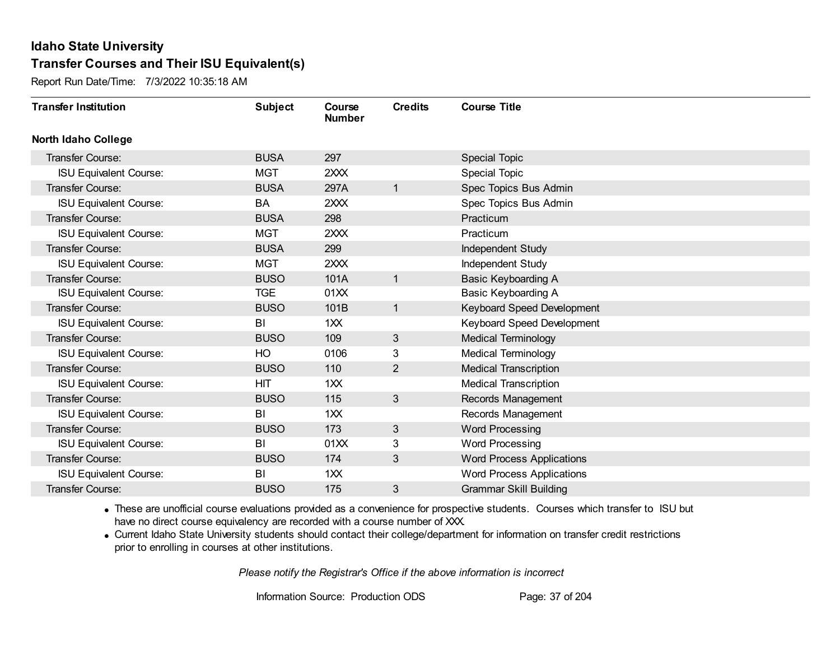Report Run Date/Time: 7/3/2022 10:35:18 AM

| <b>Transfer Institution</b>   | <b>Subject</b> | Course<br><b>Number</b> | <b>Credits</b> | <b>Course Title</b>              |
|-------------------------------|----------------|-------------------------|----------------|----------------------------------|
| <b>North Idaho College</b>    |                |                         |                |                                  |
| <b>Transfer Course:</b>       | <b>BUSA</b>    | 297                     |                | <b>Special Topic</b>             |
| <b>ISU Equivalent Course:</b> | <b>MGT</b>     | 2XXX                    |                | Special Topic                    |
| Transfer Course:              | <b>BUSA</b>    | 297A                    | 1              | Spec Topics Bus Admin            |
| <b>ISU Equivalent Course:</b> | BA             | 2XXX                    |                | Spec Topics Bus Admin            |
| Transfer Course:              | <b>BUSA</b>    | 298                     |                | Practicum                        |
| <b>ISU Equivalent Course:</b> | <b>MGT</b>     | 2XXX                    |                | Practicum                        |
| <b>Transfer Course:</b>       | <b>BUSA</b>    | 299                     |                | Independent Study                |
| <b>ISU Equivalent Course:</b> | <b>MGT</b>     | 2XXX                    |                | Independent Study                |
| Transfer Course:              | <b>BUSO</b>    | 101A                    | $\mathbf{1}$   | <b>Basic Keyboarding A</b>       |
| <b>ISU Equivalent Course:</b> | <b>TGE</b>     | 01XX                    |                | Basic Keyboarding A              |
| Transfer Course:              | <b>BUSO</b>    | 101B                    | $\mathbf{1}$   | Keyboard Speed Development       |
| <b>ISU Equivalent Course:</b> | BI             | 1XX                     |                | Keyboard Speed Development       |
| Transfer Course:              | <b>BUSO</b>    | 109                     | 3              | <b>Medical Terminology</b>       |
| <b>ISU Equivalent Course:</b> | HO             | 0106                    | 3              | <b>Medical Terminology</b>       |
| Transfer Course:              | <b>BUSO</b>    | 110                     | $\overline{2}$ | <b>Medical Transcription</b>     |
| <b>ISU Equivalent Course:</b> | <b>HIT</b>     | 1XX                     |                | <b>Medical Transcription</b>     |
| Transfer Course:              | <b>BUSO</b>    | 115                     | 3              | Records Management               |
| <b>ISU Equivalent Course:</b> | BI             | 1XX                     |                | Records Management               |
| <b>Transfer Course:</b>       | <b>BUSO</b>    | 173                     | 3              | <b>Word Processing</b>           |
| <b>ISU Equivalent Course:</b> | BI             | 01XX                    | 3              | <b>Word Processing</b>           |
| <b>Transfer Course:</b>       | <b>BUSO</b>    | 174                     | 3              | <b>Word Process Applications</b> |
| <b>ISU Equivalent Course:</b> | BI             | 1XX                     |                | <b>Word Process Applications</b> |
| <b>Transfer Course:</b>       | <b>BUSO</b>    | 175                     | 3              | <b>Grammar Skill Building</b>    |

· These are unofficial course evaluations provided as a convenience for prospective students. Courses which transfer to ISU but have no direct course equivalency are recorded with a course number of XXX.

· Current Idaho State University students should contact their college/department for information on transfer credit restrictions prior to enrolling in courses at other institutions.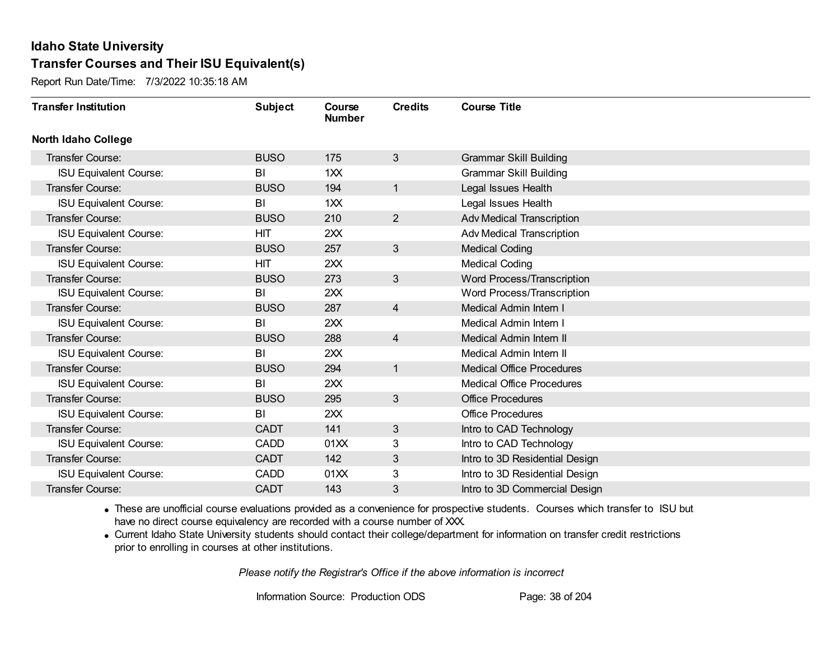Report Run Date/Time: 7/3/2022 10:35:18 AM

| <b>Transfer Institution</b>   | <b>Subject</b> | Course<br><b>Number</b> | <b>Credits</b> | <b>Course Title</b>              |
|-------------------------------|----------------|-------------------------|----------------|----------------------------------|
| <b>North Idaho College</b>    |                |                         |                |                                  |
| Transfer Course:              | <b>BUSO</b>    | 175                     | 3              | <b>Grammar Skill Building</b>    |
| <b>ISU Equivalent Course:</b> | BI             | 1XX                     |                | <b>Grammar Skill Building</b>    |
| Transfer Course:              | <b>BUSO</b>    | 194                     | 1              | Legal Issues Health              |
| <b>ISU Equivalent Course:</b> | BI             | 1XX                     |                | Legal Issues Health              |
| <b>Transfer Course:</b>       | <b>BUSO</b>    | 210                     | $\overline{2}$ | Adv Medical Transcription        |
| <b>ISU Equivalent Course:</b> | <b>HIT</b>     | 2XX                     |                | Adv Medical Transcription        |
| Transfer Course:              | <b>BUSO</b>    | 257                     | 3              | <b>Medical Coding</b>            |
| <b>ISU Equivalent Course:</b> | HIT            | 2XX                     |                | <b>Medical Coding</b>            |
| <b>Transfer Course:</b>       | <b>BUSO</b>    | 273                     | 3              | Word Process/Transcription       |
| <b>ISU Equivalent Course:</b> | BI             | 2XX                     |                | Word Process/Transcription       |
| Transfer Course:              | <b>BUSO</b>    | 287                     | $\overline{4}$ | Medical Admin Intern I           |
| <b>ISU Equivalent Course:</b> | BI             | 2XX                     |                | Medical Admin Intern I           |
| Transfer Course:              | <b>BUSO</b>    | 288                     | 4              | Medical Admin Intern II          |
| <b>ISU Equivalent Course:</b> | BI             | 2XX                     |                | Medical Admin Intern II          |
| Transfer Course:              | <b>BUSO</b>    | 294                     | 1              | <b>Medical Office Procedures</b> |
| <b>ISU Equivalent Course:</b> | BI             | 2XX                     |                | <b>Medical Office Procedures</b> |
| Transfer Course:              | <b>BUSO</b>    | 295                     | 3              | <b>Office Procedures</b>         |
| <b>ISU Equivalent Course:</b> | BI             | 2XX                     |                | <b>Office Procedures</b>         |
| Transfer Course:              | <b>CADT</b>    | 141                     | 3              | Intro to CAD Technology          |
| <b>ISU Equivalent Course:</b> | <b>CADD</b>    | 01XX                    | 3              | Intro to CAD Technology          |
| Transfer Course:              | <b>CADT</b>    | 142                     | 3              | Intro to 3D Residential Design   |
| <b>ISU Equivalent Course:</b> | <b>CADD</b>    | 01XX                    | 3              | Intro to 3D Residential Design   |
| Transfer Course:              | <b>CADT</b>    | 143                     | 3              | Intro to 3D Commercial Design    |

· These are unofficial course evaluations provided as a convenience for prospective students. Courses which transfer to ISU but have no direct course equivalency are recorded with a course number of XXX.

· Current Idaho State University students should contact their college/department for information on transfer credit restrictions prior to enrolling in courses at other institutions.

*Please notify the Registrar's Office if the above information is incorrect*

Information Source: Production ODS Page: 38 of 204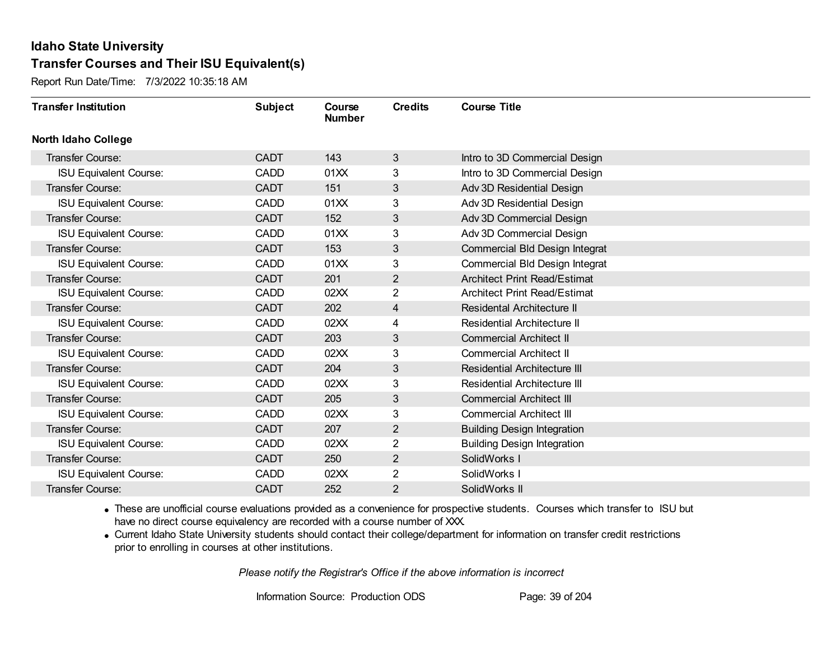Report Run Date/Time: 7/3/2022 10:35:18 AM

| <b>Transfer Institution</b>   | <b>Subject</b> | Course<br><b>Number</b> | <b>Credits</b> | <b>Course Title</b>                 |
|-------------------------------|----------------|-------------------------|----------------|-------------------------------------|
| <b>North Idaho College</b>    |                |                         |                |                                     |
| <b>Transfer Course:</b>       | <b>CADT</b>    | 143                     | 3              | Intro to 3D Commercial Design       |
| <b>ISU Equivalent Course:</b> | <b>CADD</b>    | 01XX                    | 3              | Intro to 3D Commercial Design       |
| <b>Transfer Course:</b>       | <b>CADT</b>    | 151                     | 3              | Adv 3D Residential Design           |
| <b>ISU Equivalent Course:</b> | <b>CADD</b>    | 01XX                    | 3              | Adv 3D Residential Design           |
| Transfer Course:              | <b>CADT</b>    | 152                     | 3              | Adv 3D Commercial Design            |
| <b>ISU Equivalent Course:</b> | <b>CADD</b>    | 01XX                    | 3              | Adv 3D Commercial Design            |
| <b>Transfer Course:</b>       | <b>CADT</b>    | 153                     | 3              | Commercial Bld Design Integrat      |
| <b>ISU Equivalent Course:</b> | <b>CADD</b>    | 01XX                    | 3              | Commercial Bld Design Integrat      |
| Transfer Course:              | <b>CADT</b>    | 201                     | $\overline{2}$ | <b>Architect Print Read/Estimat</b> |
| <b>ISU Equivalent Course:</b> | <b>CADD</b>    | 02XX                    | $\overline{2}$ | <b>Architect Print Read/Estimat</b> |
| <b>Transfer Course:</b>       | <b>CADT</b>    | 202                     | 4              | <b>Residental Architecture II</b>   |
| <b>ISU Equivalent Course:</b> | <b>CADD</b>    | 02XX                    | 4              | <b>Residential Architecture II</b>  |
| <b>Transfer Course:</b>       | <b>CADT</b>    | 203                     | 3              | <b>Commercial Architect II</b>      |
| <b>ISU Equivalent Course:</b> | <b>CADD</b>    | 02XX                    | 3              | <b>Commercial Architect II</b>      |
| Transfer Course:              | <b>CADT</b>    | 204                     | 3              | <b>Residential Architecture III</b> |
| <b>ISU Equivalent Course:</b> | <b>CADD</b>    | 02XX                    | 3              | <b>Residential Architecture III</b> |
| Transfer Course:              | <b>CADT</b>    | 205                     | 3              | <b>Commercial Architect III</b>     |
| <b>ISU Equivalent Course:</b> | <b>CADD</b>    | 02XX                    | 3              | <b>Commercial Architect III</b>     |
| <b>Transfer Course:</b>       | <b>CADT</b>    | 207                     | $\overline{2}$ | <b>Building Design Integration</b>  |
| <b>ISU Equivalent Course:</b> | <b>CADD</b>    | 02XX                    | $\overline{2}$ | <b>Building Design Integration</b>  |
| <b>Transfer Course:</b>       | <b>CADT</b>    | 250                     | $\overline{2}$ | SolidWorks I                        |
| <b>ISU Equivalent Course:</b> | <b>CADD</b>    | 02XX                    | $\overline{2}$ | SolidWorks I                        |
| Transfer Course:              | <b>CADT</b>    | 252                     | 2              | SolidWorks II                       |

· These are unofficial course evaluations provided as a convenience for prospective students. Courses which transfer to ISU but have no direct course equivalency are recorded with a course number of XXX.

· Current Idaho State University students should contact their college/department for information on transfer credit restrictions prior to enrolling in courses at other institutions.

*Please notify the Registrar's Office if the above information is incorrect*

Information Source: Production ODS Page: 39 of 204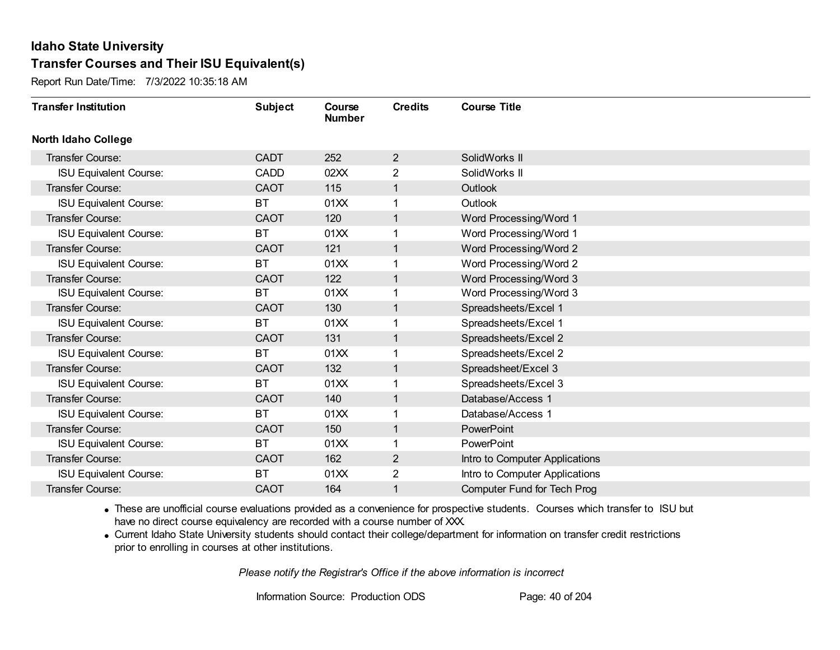Report Run Date/Time: 7/3/2022 10:35:18 AM

| <b>Transfer Institution</b>   | <b>Subject</b> | Course<br><b>Number</b> | <b>Credits</b> | <b>Course Title</b>                |
|-------------------------------|----------------|-------------------------|----------------|------------------------------------|
| <b>North Idaho College</b>    |                |                         |                |                                    |
| Transfer Course:              | <b>CADT</b>    | 252                     | $\overline{2}$ | SolidWorks II                      |
| <b>ISU Equivalent Course:</b> | <b>CADD</b>    | 02XX                    | $\overline{2}$ | SolidWorks II                      |
| Transfer Course:              | <b>CAOT</b>    | 115                     |                | Outlook                            |
| <b>ISU Equivalent Course:</b> | <b>BT</b>      | 01XX                    |                | Outlook                            |
| <b>Transfer Course:</b>       | <b>CAOT</b>    | 120                     | 1              | Word Processing/Word 1             |
| <b>ISU Equivalent Course:</b> | ВT             | 01XX                    |                | Word Processing/Word 1             |
| Transfer Course:              | <b>CAOT</b>    | 121                     | 1              | Word Processing/Word 2             |
| <b>ISU Equivalent Course:</b> | BT             | 01XX                    |                | Word Processing/Word 2             |
| <b>Transfer Course:</b>       | <b>CAOT</b>    | 122                     | 1              | Word Processing/Word 3             |
| <b>ISU Equivalent Course:</b> | <b>BT</b>      | 01XX                    |                | Word Processing/Word 3             |
| <b>Transfer Course:</b>       | <b>CAOT</b>    | 130                     | 1              | Spreadsheets/Excel 1               |
| <b>ISU Equivalent Course:</b> | <b>BT</b>      | 01XX                    |                | Spreadsheets/Excel 1               |
| Transfer Course:              | <b>CAOT</b>    | 131                     |                | Spreadsheets/Excel 2               |
| <b>ISU Equivalent Course:</b> | BT             | 01XX                    |                | Spreadsheets/Excel 2               |
| Transfer Course:              | <b>CAOT</b>    | 132                     |                | Spreadsheet/Excel 3                |
| <b>ISU Equivalent Course:</b> | <b>BT</b>      | 01XX                    |                | Spreadsheets/Excel 3               |
| Transfer Course:              | <b>CAOT</b>    | 140                     | 1              | Database/Access 1                  |
| <b>ISU Equivalent Course:</b> | <b>BT</b>      | 01XX                    | 1              | Database/Access 1                  |
| Transfer Course:              | <b>CAOT</b>    | 150                     | $\mathbf 1$    | <b>PowerPoint</b>                  |
| <b>ISU Equivalent Course:</b> | ВT             | 01XX                    |                | PowerPoint                         |
| <b>Transfer Course:</b>       | <b>CAOT</b>    | 162                     | $\overline{2}$ | Intro to Computer Applications     |
| <b>ISU Equivalent Course:</b> | <b>BT</b>      | 01XX                    | 2              | Intro to Computer Applications     |
| Transfer Course:              | <b>CAOT</b>    | 164                     |                | <b>Computer Fund for Tech Prog</b> |

· These are unofficial course evaluations provided as a convenience for prospective students. Courses which transfer to ISU but have no direct course equivalency are recorded with a course number of XXX.

· Current Idaho State University students should contact their college/department for information on transfer credit restrictions prior to enrolling in courses at other institutions.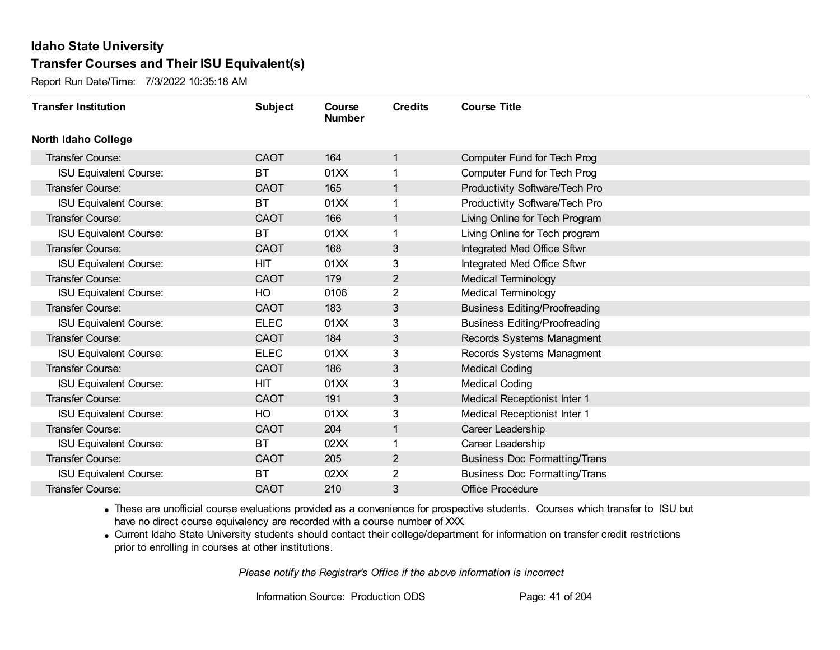Report Run Date/Time: 7/3/2022 10:35:18 AM

| <b>Transfer Institution</b>   | <b>Subject</b> | Course<br><b>Number</b> | <b>Credits</b> | <b>Course Title</b>                  |
|-------------------------------|----------------|-------------------------|----------------|--------------------------------------|
| <b>North Idaho College</b>    |                |                         |                |                                      |
| Transfer Course:              | <b>CAOT</b>    | 164                     | $\mathbf{1}$   | <b>Computer Fund for Tech Prog</b>   |
| <b>ISU Equivalent Course:</b> | <b>BT</b>      | 01XX                    | 1              | Computer Fund for Tech Prog          |
| Transfer Course:              | <b>CAOT</b>    | 165                     | $\mathbf{1}$   | Productivity Software/Tech Pro       |
| <b>ISU Equivalent Course:</b> | ВT             | 01XX                    | 1              | Productivity Software/Tech Pro       |
| <b>Transfer Course:</b>       | <b>CAOT</b>    | 166                     | $\mathbf{1}$   | Living Online for Tech Program       |
| <b>ISU Equivalent Course:</b> | <b>BT</b>      | 01XX                    | 1              | Living Online for Tech program       |
| Transfer Course:              | <b>CAOT</b>    | 168                     | 3              | Integrated Med Office Sftwr          |
| <b>ISU Equivalent Course:</b> | HIT            | 01XX                    | 3              | Integrated Med Office Sftwr          |
| <b>Transfer Course:</b>       | <b>CAOT</b>    | 179                     | $\overline{2}$ | <b>Medical Terminology</b>           |
| <b>ISU Equivalent Course:</b> | HO             | 0106                    | $\overline{2}$ | <b>Medical Terminology</b>           |
| <b>Transfer Course:</b>       | <b>CAOT</b>    | 183                     | 3              | <b>Business Editing/Proofreading</b> |
| <b>ISU Equivalent Course:</b> | <b>ELEC</b>    | 01XX                    | 3              | <b>Business Editing/Proofreading</b> |
| Transfer Course:              | <b>CAOT</b>    | 184                     | 3              | Records Systems Managment            |
| <b>ISU Equivalent Course:</b> | <b>ELEC</b>    | 01XX                    | 3              | Records Systems Managment            |
| Transfer Course:              | <b>CAOT</b>    | 186                     | 3              | <b>Medical Coding</b>                |
| <b>ISU Equivalent Course:</b> | <b>HIT</b>     | 01XX                    | 3              | <b>Medical Coding</b>                |
| Transfer Course:              | <b>CAOT</b>    | 191                     | 3 <sup>1</sup> | Medical Receptionist Inter 1         |
| <b>ISU Equivalent Course:</b> | HO             | 01XX                    | 3              | Medical Receptionist Inter 1         |
| Transfer Course:              | <b>CAOT</b>    | 204                     | $\mathbf{1}$   | Career Leadership                    |
| <b>ISU Equivalent Course:</b> | ВT             | 02XX                    | 1              | Career Leadership                    |
| Transfer Course:              | <b>CAOT</b>    | 205                     | $\overline{c}$ | <b>Business Doc Formatting/Trans</b> |
| <b>ISU Equivalent Course:</b> | ВT             | 02XX                    | 2              | <b>Business Doc Formatting/Trans</b> |
| <b>Transfer Course:</b>       | <b>CAOT</b>    | 210                     | 3              | <b>Office Procedure</b>              |

· These are unofficial course evaluations provided as a convenience for prospective students. Courses which transfer to ISU but have no direct course equivalency are recorded with a course number of XXX.

· Current Idaho State University students should contact their college/department for information on transfer credit restrictions prior to enrolling in courses at other institutions.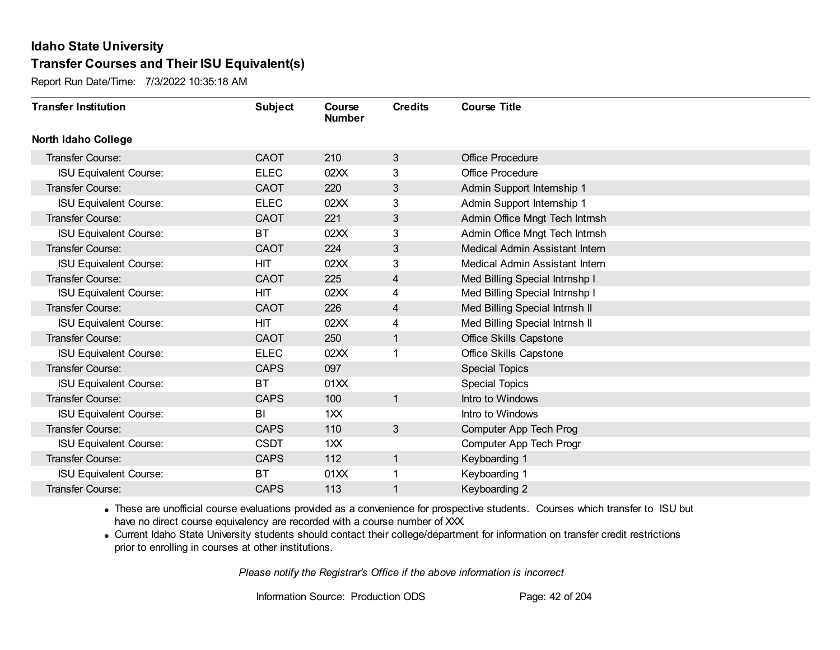Report Run Date/Time: 7/3/2022 10:35:18 AM

| <b>Transfer Institution</b>   | <b>Subject</b> | Course<br><b>Number</b> | <b>Credits</b> | <b>Course Title</b>            |
|-------------------------------|----------------|-------------------------|----------------|--------------------------------|
| North Idaho College           |                |                         |                |                                |
| Transfer Course:              | <b>CAOT</b>    | 210                     | 3              | <b>Office Procedure</b>        |
| <b>ISU Equivalent Course:</b> | <b>ELEC</b>    | 02XX                    | 3              | <b>Office Procedure</b>        |
| Transfer Course:              | <b>CAOT</b>    | 220                     | 3              | Admin Support Internship 1     |
| <b>ISU Equivalent Course:</b> | <b>ELEC</b>    | 02XX                    | 3              | Admin Support Internship 1     |
| Transfer Course:              | <b>CAOT</b>    | 221                     | $\mathfrak{S}$ | Admin Office Mngt Tech Intrnsh |
| <b>ISU Equivalent Course:</b> | <b>BT</b>      | 02XX                    | 3              | Admin Office Mngt Tech Intrnsh |
| Transfer Course:              | <b>CAOT</b>    | 224                     | 3              | Medical Admin Assistant Intern |
| <b>ISU Equivalent Course:</b> | HIT            | 02XX                    | 3              | Medical Admin Assistant Intern |
| Transfer Course:              | CAOT           | 225                     | 4              | Med Billing Special Intrnshp I |
| <b>ISU Equivalent Course:</b> | <b>HIT</b>     | 02XX                    | 4              | Med Billing Special Intrnshp I |
| Transfer Course:              | <b>CAOT</b>    | 226                     | 4              | Med Billing Special Intrnsh II |
| <b>ISU Equivalent Course:</b> | <b>HIT</b>     | 02XX                    | 4              | Med Billing Special Intrnsh II |
| Transfer Course:              | <b>CAOT</b>    | 250                     | 1              | <b>Office Skills Capstone</b>  |
| <b>ISU Equivalent Course:</b> | <b>ELEC</b>    | 02XX                    |                | <b>Office Skills Capstone</b>  |
| Transfer Course:              | <b>CAPS</b>    | 097                     |                | <b>Special Topics</b>          |
| <b>ISU Equivalent Course:</b> | <b>BT</b>      | 01XX                    |                | <b>Special Topics</b>          |
| Transfer Course:              | <b>CAPS</b>    | 100                     | $\mathbf{1}$   | Intro to Windows               |
| <b>ISU Equivalent Course:</b> | BI             | 1 <sup>2</sup>          |                | Intro to Windows               |
| Transfer Course:              | <b>CAPS</b>    | 110                     | 3              | Computer App Tech Prog         |
| <b>ISU Equivalent Course:</b> | <b>CSDT</b>    | 1XX                     |                | Computer App Tech Progr        |
| Transfer Course:              | <b>CAPS</b>    | 112                     | $\mathbf{1}$   | Keyboarding 1                  |
| <b>ISU Equivalent Course:</b> | <b>BT</b>      | 01XX                    |                | Keyboarding 1                  |
| Transfer Course:              | <b>CAPS</b>    | 113                     |                | Keyboarding 2                  |

· These are unofficial course evaluations provided as a convenience for prospective students. Courses which transfer to ISU but have no direct course equivalency are recorded with a course number of XXX.

· Current Idaho State University students should contact their college/department for information on transfer credit restrictions prior to enrolling in courses at other institutions.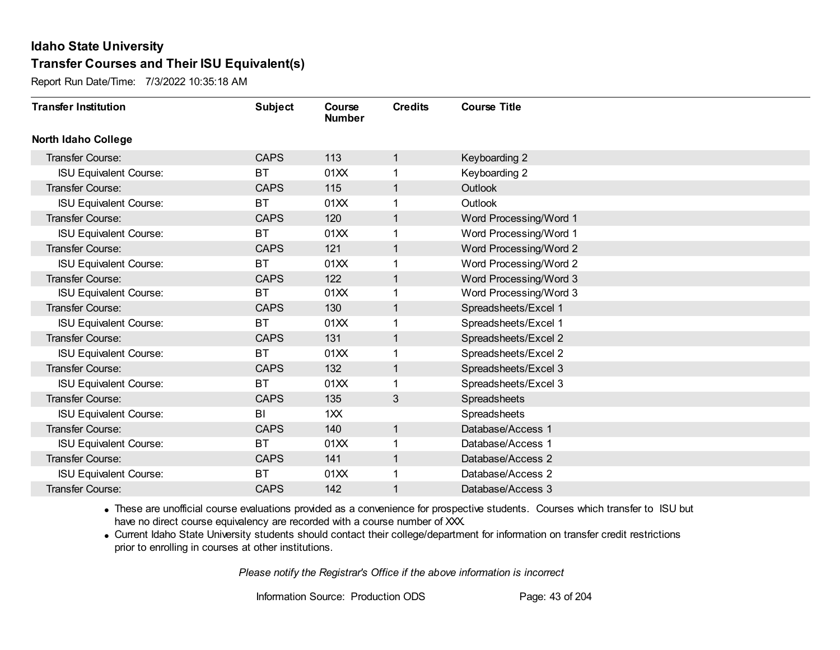Report Run Date/Time: 7/3/2022 10:35:18 AM

| <b>Transfer Institution</b>   | <b>Subject</b> | Course<br><b>Number</b> | <b>Credits</b> | <b>Course Title</b>    |
|-------------------------------|----------------|-------------------------|----------------|------------------------|
| <b>North Idaho College</b>    |                |                         |                |                        |
| <b>Transfer Course:</b>       | <b>CAPS</b>    | 113                     | 1              | Keyboarding 2          |
| <b>ISU Equivalent Course:</b> | <b>BT</b>      | 01XX                    |                | Keyboarding 2          |
| Transfer Course:              | <b>CAPS</b>    | 115                     | 1              | Outlook                |
| <b>ISU Equivalent Course:</b> | <b>BT</b>      | 01XX                    | 1              | Outlook                |
| <b>Transfer Course:</b>       | <b>CAPS</b>    | 120                     | 1              | Word Processing/Word 1 |
| <b>ISU Equivalent Course:</b> | BT             | 01XX                    |                | Word Processing/Word 1 |
| Transfer Course:              | <b>CAPS</b>    | 121                     | 1              | Word Processing/Word 2 |
| <b>ISU Equivalent Course:</b> | <b>BT</b>      | 01XX                    |                | Word Processing/Word 2 |
| <b>Transfer Course:</b>       | <b>CAPS</b>    | 122                     | 1              | Word Processing/Word 3 |
| <b>ISU Equivalent Course:</b> | <b>BT</b>      | 01XX                    | 1              | Word Processing/Word 3 |
| Transfer Course:              | <b>CAPS</b>    | 130                     | $\mathbf 1$    | Spreadsheets/Excel 1   |
| <b>ISU Equivalent Course:</b> | <b>BT</b>      | 01XX                    |                | Spreadsheets/Excel 1   |
| <b>Transfer Course:</b>       | <b>CAPS</b>    | 131                     | 1              | Spreadsheets/Excel 2   |
| <b>ISU Equivalent Course:</b> | <b>BT</b>      | 01XX                    |                | Spreadsheets/Excel 2   |
| Transfer Course:              | <b>CAPS</b>    | 132                     | 1              | Spreadsheets/Excel 3   |
| <b>ISU Equivalent Course:</b> | <b>BT</b>      | 01XX                    | 1              | Spreadsheets/Excel 3   |
| <b>Transfer Course:</b>       | <b>CAPS</b>    | 135                     | 3              | Spreadsheets           |
| <b>ISU Equivalent Course:</b> | BI             | 1XX                     |                | Spreadsheets           |
| Transfer Course:              | <b>CAPS</b>    | 140                     | 1              | Database/Access 1      |
| <b>ISU Equivalent Course:</b> | <b>BT</b>      | 01XX                    |                | Database/Access 1      |
| <b>Transfer Course:</b>       | <b>CAPS</b>    | 141                     | 1              | Database/Access 2      |
| <b>ISU Equivalent Course:</b> | <b>BT</b>      | 01XX                    | 1              | Database/Access 2      |
| <b>Transfer Course:</b>       | <b>CAPS</b>    | 142                     |                | Database/Access 3      |

· These are unofficial course evaluations provided as a convenience for prospective students. Courses which transfer to ISU but have no direct course equivalency are recorded with a course number of XXX.

· Current Idaho State University students should contact their college/department for information on transfer credit restrictions prior to enrolling in courses at other institutions.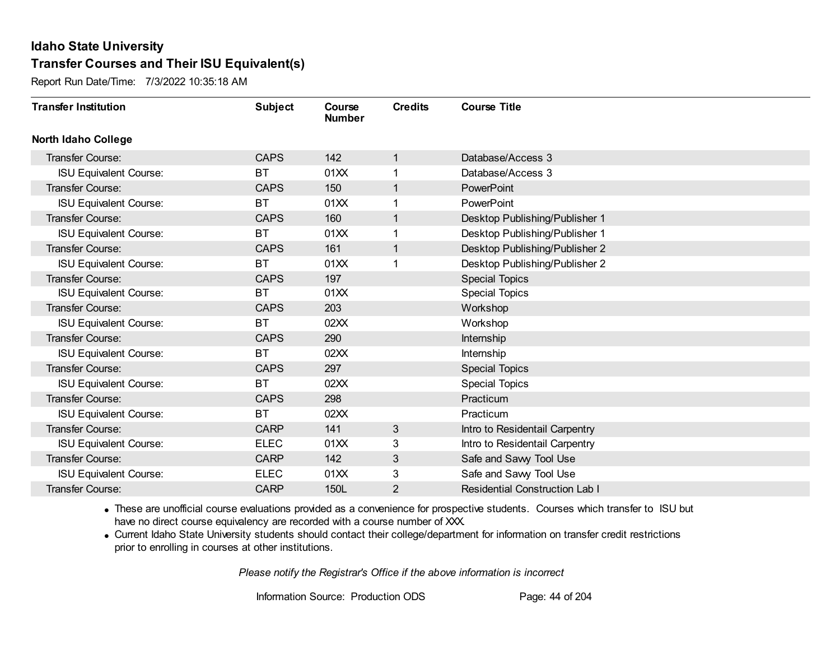Report Run Date/Time: 7/3/2022 10:35:18 AM

| <b>Transfer Institution</b>   | <b>Subject</b> | Course<br><b>Number</b> | <b>Credits</b> | <b>Course Title</b>                   |
|-------------------------------|----------------|-------------------------|----------------|---------------------------------------|
| <b>North Idaho College</b>    |                |                         |                |                                       |
| Transfer Course:              | <b>CAPS</b>    | 142                     | 1              | Database/Access 3                     |
| <b>ISU Equivalent Course:</b> | <b>BT</b>      | 01XX                    |                | Database/Access 3                     |
| Transfer Course:              | <b>CAPS</b>    | 150                     | 1              | PowerPoint                            |
| <b>ISU Equivalent Course:</b> | <b>BT</b>      | 01XX                    | 1              | PowerPoint                            |
| <b>Transfer Course:</b>       | <b>CAPS</b>    | 160                     | 1              | Desktop Publishing/Publisher 1        |
| <b>ISU Equivalent Course:</b> | <b>BT</b>      | 01XX                    |                | Desktop Publishing/Publisher 1        |
| Transfer Course:              | <b>CAPS</b>    | 161                     | 1              | Desktop Publishing/Publisher 2        |
| <b>ISU Equivalent Course:</b> | BT             | 01XX                    |                | Desktop Publishing/Publisher 2        |
| Transfer Course:              | <b>CAPS</b>    | 197                     |                | <b>Special Topics</b>                 |
| <b>ISU Equivalent Course:</b> | <b>BT</b>      | 01XX                    |                | <b>Special Topics</b>                 |
| Transfer Course:              | <b>CAPS</b>    | 203                     |                | Workshop                              |
| <b>ISU Equivalent Course:</b> | <b>BT</b>      | 02XX                    |                | Workshop                              |
| Transfer Course:              | <b>CAPS</b>    | 290                     |                | Internship                            |
| <b>ISU Equivalent Course:</b> | <b>BT</b>      | 02XX                    |                | <b>Internship</b>                     |
| Transfer Course:              | <b>CAPS</b>    | 297                     |                | <b>Special Topics</b>                 |
| <b>ISU Equivalent Course:</b> | <b>BT</b>      | 02XX                    |                | <b>Special Topics</b>                 |
| Transfer Course:              | <b>CAPS</b>    | 298                     |                | Practicum                             |
| <b>ISU Equivalent Course:</b> | <b>BT</b>      | 02XX                    |                | Practicum                             |
| Transfer Course:              | <b>CARP</b>    | 141                     | 3              | Intro to Residentail Carpentry        |
| <b>ISU Equivalent Course:</b> | <b>ELEC</b>    | 01XX                    | 3              | Intro to Residentail Carpentry        |
| Transfer Course:              | <b>CARP</b>    | 142                     | 3              | Safe and Sawy Tool Use                |
| <b>ISU Equivalent Course:</b> | <b>ELEC</b>    | 01XX                    | 3              | Safe and Sawy Tool Use                |
| Transfer Course:              | <b>CARP</b>    | 150L                    | 2              | <b>Residential Construction Lab I</b> |

· These are unofficial course evaluations provided as a convenience for prospective students. Courses which transfer to ISU but have no direct course equivalency are recorded with a course number of XXX.

· Current Idaho State University students should contact their college/department for information on transfer credit restrictions prior to enrolling in courses at other institutions.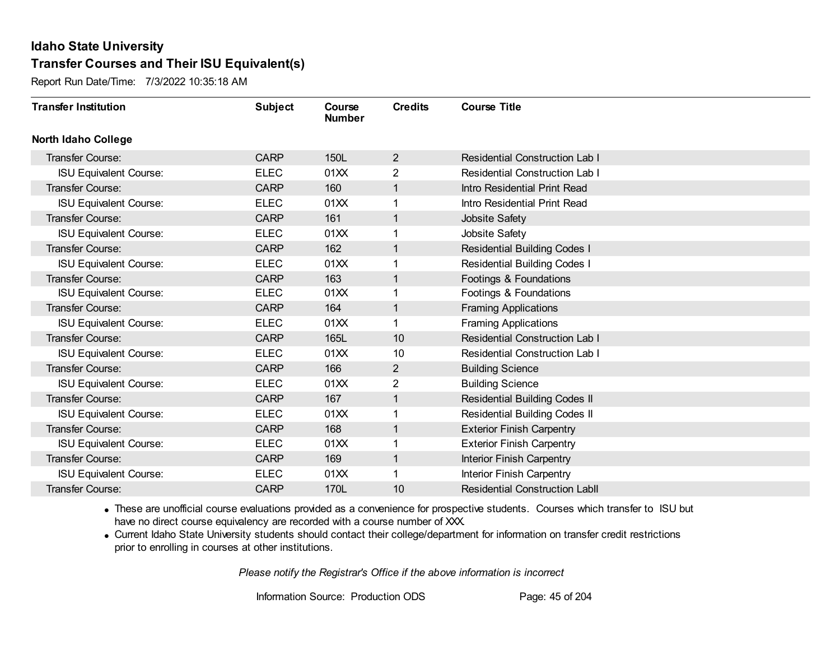Report Run Date/Time: 7/3/2022 10:35:18 AM

| <b>Transfer Institution</b>   | <b>Subject</b> | Course<br><b>Number</b> | <b>Credits</b> | <b>Course Title</b>                   |
|-------------------------------|----------------|-------------------------|----------------|---------------------------------------|
| <b>North Idaho College</b>    |                |                         |                |                                       |
| Transfer Course:              | <b>CARP</b>    | 150L                    | $\overline{2}$ | <b>Residential Construction Lab I</b> |
| <b>ISU Equivalent Course:</b> | <b>ELEC</b>    | 01XX                    | 2              | <b>Residential Construction Lab I</b> |
| Transfer Course:              | <b>CARP</b>    | 160                     | $\mathbf{1}$   | Intro Residential Print Read          |
| <b>ISU Equivalent Course:</b> | <b>ELEC</b>    | 01XX                    | 1              | Intro Residential Print Read          |
| <b>Transfer Course:</b>       | <b>CARP</b>    | 161                     | $\mathbf{1}$   | Jobsite Safety                        |
| <b>ISU Equivalent Course:</b> | <b>ELEC</b>    | 01XX                    | 1              | Jobsite Safety                        |
| Transfer Course:              | <b>CARP</b>    | 162                     | $\mathbf{1}$   | <b>Residential Building Codes I</b>   |
| <b>ISU Equivalent Course:</b> | <b>ELEC</b>    | 01XX                    |                | <b>Residential Building Codes I</b>   |
| Transfer Course:              | <b>CARP</b>    | 163                     | $\mathbf{1}$   | Footings & Foundations                |
| <b>ISU Equivalent Course:</b> | <b>ELEC</b>    | 01XX                    | 1              | Footings & Foundations                |
| Transfer Course:              | <b>CARP</b>    | 164                     | $\mathbf{1}$   | <b>Framing Applications</b>           |
| <b>ISU Equivalent Course:</b> | <b>ELEC</b>    | 01XX                    | 1              | <b>Framing Applications</b>           |
| Transfer Course:              | <b>CARP</b>    | 165L                    | 10             | <b>Residential Construction Lab I</b> |
| <b>ISU Equivalent Course:</b> | <b>ELEC</b>    | 01XX                    | 10             | <b>Residential Construction Lab I</b> |
| Transfer Course:              | <b>CARP</b>    | 166                     | $\overline{2}$ | <b>Building Science</b>               |
| <b>ISU Equivalent Course:</b> | <b>ELEC</b>    | 01XX                    | $\overline{2}$ | <b>Building Science</b>               |
| Transfer Course:              | <b>CARP</b>    | 167                     | $\mathbf{1}$   | <b>Residential Building Codes II</b>  |
| <b>ISU Equivalent Course:</b> | <b>ELEC</b>    | 01XX                    | 1              | <b>Residential Building Codes II</b>  |
| Transfer Course:              | <b>CARP</b>    | 168                     | $\mathbf{1}$   | <b>Exterior Finish Carpentry</b>      |
| <b>ISU Equivalent Course:</b> | <b>ELEC</b>    | 01XX                    |                | <b>Exterior Finish Carpentry</b>      |
| Transfer Course:              | <b>CARP</b>    | 169                     | $\mathbf{1}$   | Interior Finish Carpentry             |
| <b>ISU Equivalent Course:</b> | <b>ELEC</b>    | 01XX                    | 1              | Interior Finish Carpentry             |
| Transfer Course:              | <b>CARP</b>    | 170L                    | 10             | <b>Residential Construction Labll</b> |

· These are unofficial course evaluations provided as a convenience for prospective students. Courses which transfer to ISU but have no direct course equivalency are recorded with a course number of XXX.

· Current Idaho State University students should contact their college/department for information on transfer credit restrictions prior to enrolling in courses at other institutions.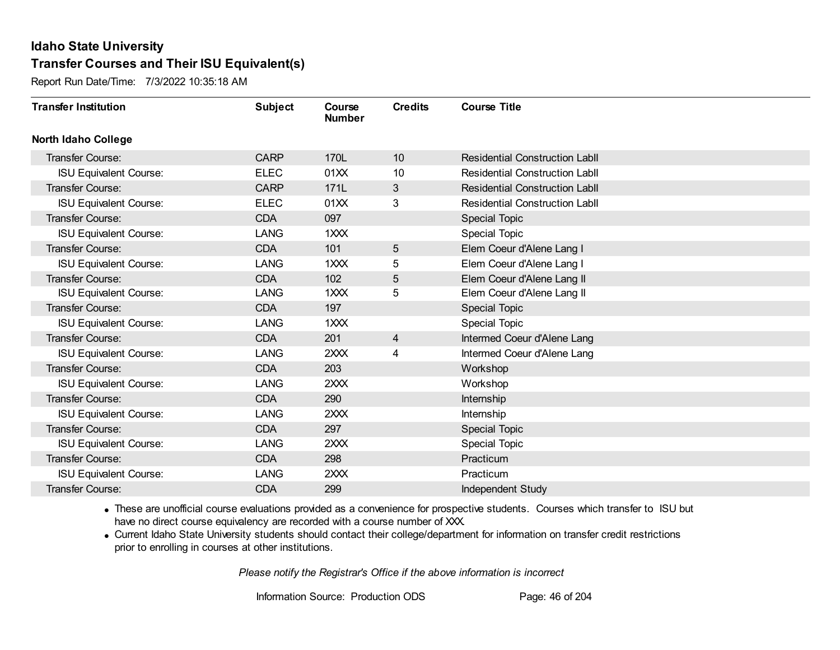Report Run Date/Time: 7/3/2022 10:35:18 AM

| <b>Transfer Institution</b>   | <b>Subject</b> | Course<br><b>Number</b> | <b>Credits</b>  | <b>Course Title</b>                   |
|-------------------------------|----------------|-------------------------|-----------------|---------------------------------------|
| <b>North Idaho College</b>    |                |                         |                 |                                       |
| Transfer Course:              | <b>CARP</b>    | 170L                    | 10              | <b>Residential Construction Labil</b> |
| <b>ISU Equivalent Course:</b> | <b>ELEC</b>    | 01XX                    | 10              | <b>Residential Construction Labll</b> |
| Transfer Course:              | <b>CARP</b>    | 171L                    | $3\overline{3}$ | <b>Residential Construction Labil</b> |
| <b>ISU Equivalent Course:</b> | <b>ELEC</b>    | 01XX                    | 3               | <b>Residential Construction Labll</b> |
| Transfer Course:              | <b>CDA</b>     | 097                     |                 | <b>Special Topic</b>                  |
| <b>ISU Equivalent Course:</b> | <b>LANG</b>    | 1XXX                    |                 | Special Topic                         |
| <b>Transfer Course:</b>       | <b>CDA</b>     | 101                     | 5               | Elem Coeur d'Alene Lang I             |
| <b>ISU Equivalent Course:</b> | LANG           | 1XXX                    | 5               | Elem Coeur d'Alene Lang I             |
| Transfer Course:              | <b>CDA</b>     | 102                     | 5               | Elem Coeur d'Alene Lang II            |
| <b>ISU Equivalent Course:</b> | <b>LANG</b>    | 1XXX                    | 5               | Elem Coeur d'Alene Lang II            |
| Transfer Course:              | <b>CDA</b>     | 197                     |                 | <b>Special Topic</b>                  |
| <b>ISU Equivalent Course:</b> | <b>LANG</b>    | 1XXX                    |                 | Special Topic                         |
| Transfer Course:              | <b>CDA</b>     | 201                     | 4               | Intermed Coeur d'Alene Lang           |
| <b>ISU Equivalent Course:</b> | <b>LANG</b>    | 2XXX                    | 4               | Intermed Coeur d'Alene Lang           |
| Transfer Course:              | <b>CDA</b>     | 203                     |                 | Workshop                              |
| <b>ISU Equivalent Course:</b> | <b>LANG</b>    | 2XXX                    |                 | Workshop                              |
| Transfer Course:              | <b>CDA</b>     | 290                     |                 | Internship                            |
| <b>ISU Equivalent Course:</b> | <b>LANG</b>    | 2XXX                    |                 | Internship                            |
| <b>Transfer Course:</b>       | <b>CDA</b>     | 297                     |                 | <b>Special Topic</b>                  |
| <b>ISU Equivalent Course:</b> | <b>LANG</b>    | 2XXX                    |                 | <b>Special Topic</b>                  |
| <b>Transfer Course:</b>       | <b>CDA</b>     | 298                     |                 | Practicum                             |
| <b>ISU Equivalent Course:</b> | <b>LANG</b>    | 2XXX                    |                 | Practicum                             |
| Transfer Course:              | <b>CDA</b>     | 299                     |                 | Independent Study                     |

· These are unofficial course evaluations provided as a convenience for prospective students. Courses which transfer to ISU but have no direct course equivalency are recorded with a course number of XXX.

· Current Idaho State University students should contact their college/department for information on transfer credit restrictions prior to enrolling in courses at other institutions.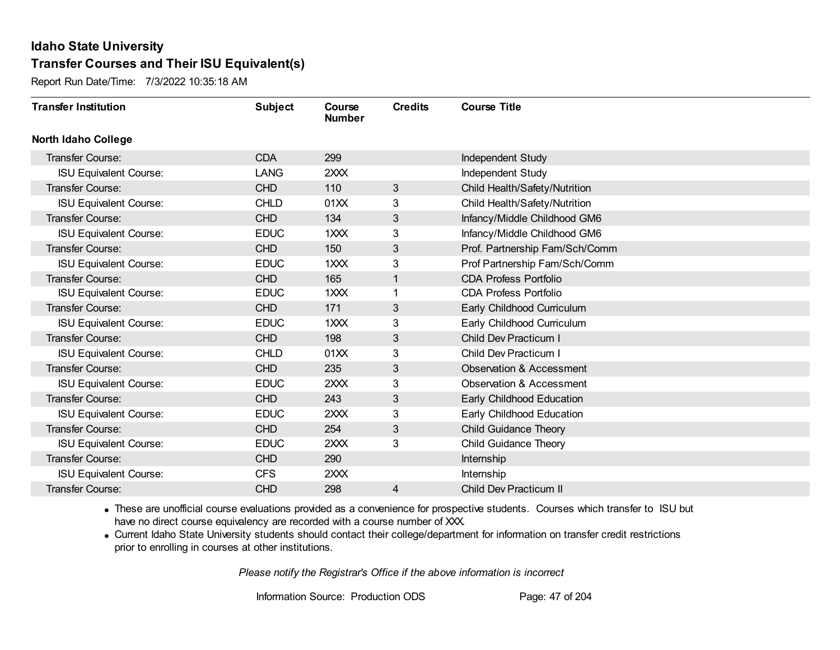Report Run Date/Time: 7/3/2022 10:35:18 AM

| <b>Transfer Institution</b>   | <b>Subject</b> | Course<br><b>Number</b> | <b>Credits</b> | <b>Course Title</b>                 |
|-------------------------------|----------------|-------------------------|----------------|-------------------------------------|
| <b>North Idaho College</b>    |                |                         |                |                                     |
| <b>Transfer Course:</b>       | <b>CDA</b>     | 299                     |                | Independent Study                   |
| <b>ISU Equivalent Course:</b> | <b>LANG</b>    | 2XXX                    |                | Independent Study                   |
| <b>Transfer Course:</b>       | <b>CHD</b>     | 110                     | 3              | Child Health/Safety/Nutrition       |
| <b>ISU Equivalent Course:</b> | <b>CHLD</b>    | 01XX                    | 3              | Child Health/Safety/Nutrition       |
| <b>Transfer Course:</b>       | <b>CHD</b>     | 134                     | 3              | Infancy/Middle Childhood GM6        |
| <b>ISU Equivalent Course:</b> | <b>EDUC</b>    | 1XXX                    | 3              | Infancy/Middle Childhood GM6        |
| <b>Transfer Course:</b>       | <b>CHD</b>     | 150                     | 3              | Prof. Partnership Fam/Sch/Comm      |
| <b>ISU Equivalent Course:</b> | <b>EDUC</b>    | 1XXX                    | 3              | Prof Partnership Fam/Sch/Comm       |
| Transfer Course:              | <b>CHD</b>     | 165                     | $\mathbf{1}$   | <b>CDA Profess Portfolio</b>        |
| <b>ISU Equivalent Course:</b> | <b>EDUC</b>    | 1XXX                    | 1              | <b>CDA Profess Portfolio</b>        |
| <b>Transfer Course:</b>       | <b>CHD</b>     | 171                     | 3              | Early Childhood Curriculum          |
| <b>ISU Equivalent Course:</b> | <b>EDUC</b>    | 1XXX                    | 3              | Early Childhood Curriculum          |
| Transfer Course:              | <b>CHD</b>     | 198                     | 3              | Child Dev Practicum I               |
| <b>ISU Equivalent Course:</b> | <b>CHLD</b>    | 01XX                    | 3              | Child Dev Practicum I               |
| Transfer Course:              | <b>CHD</b>     | 235                     | 3              | <b>Observation &amp; Accessment</b> |
| <b>ISU Equivalent Course:</b> | <b>EDUC</b>    | 2XXX                    | 3              | <b>Observation &amp; Accessment</b> |
| Transfer Course:              | <b>CHD</b>     | 243                     | 3              | Early Childhood Education           |
| <b>ISU Equivalent Course:</b> | <b>EDUC</b>    | 2XXX                    | 3              | Early Childhood Education           |
| <b>Transfer Course:</b>       | <b>CHD</b>     | 254                     | 3              | Child Guidance Theory               |
| <b>ISU Equivalent Course:</b> | <b>EDUC</b>    | 2XXX                    | 3              | Child Guidance Theory               |
| <b>Transfer Course:</b>       | <b>CHD</b>     | 290                     |                | Internship                          |
| <b>ISU Equivalent Course:</b> | <b>CFS</b>     | 2XXX                    |                | Internship                          |
| Transfer Course:              | <b>CHD</b>     | 298                     | 4              | <b>Child Dev Practicum II</b>       |

· These are unofficial course evaluations provided as a convenience for prospective students. Courses which transfer to ISU but have no direct course equivalency are recorded with a course number of XXX.

· Current Idaho State University students should contact their college/department for information on transfer credit restrictions prior to enrolling in courses at other institutions.

*Please notify the Registrar's Office if the above information is incorrect*

Information Source: Production ODS Page: 47 of 204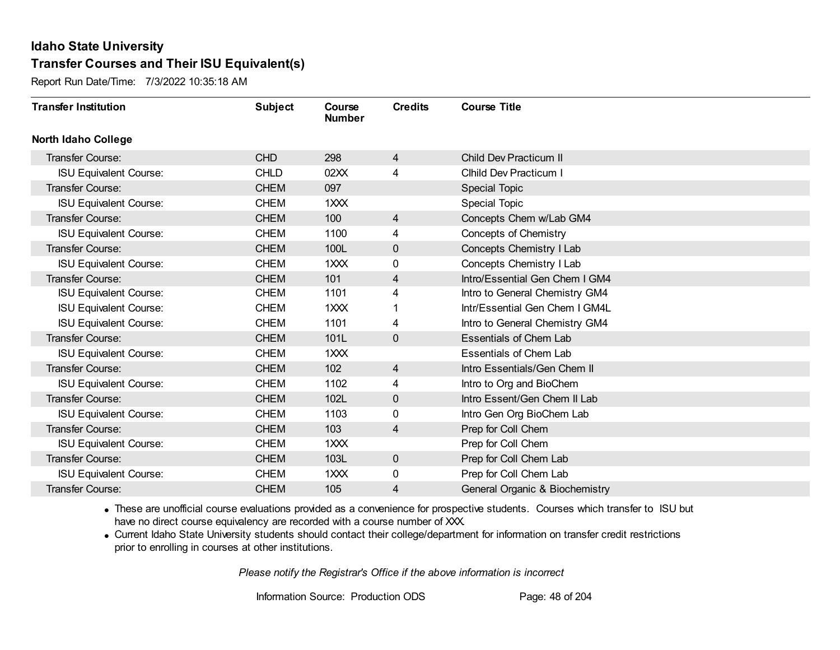Report Run Date/Time: 7/3/2022 10:35:18 AM

| <b>Transfer Institution</b>   | <b>Subject</b> | Course<br><b>Number</b> | <b>Credits</b> | <b>Course Title</b>            |
|-------------------------------|----------------|-------------------------|----------------|--------------------------------|
| <b>North Idaho College</b>    |                |                         |                |                                |
| <b>Transfer Course:</b>       | <b>CHD</b>     | 298                     | $\overline{4}$ | Child Dev Practicum II         |
| <b>ISU Equivalent Course:</b> | <b>CHLD</b>    | 02XX                    | 4              | Clhild Dev Practicum I         |
| Transfer Course:              | <b>CHEM</b>    | 097                     |                | <b>Special Topic</b>           |
| <b>ISU Equivalent Course:</b> | <b>CHEM</b>    | 1XXX                    |                | <b>Special Topic</b>           |
| Transfer Course:              | <b>CHEM</b>    | 100                     | $\overline{4}$ | Concepts Chem w/Lab GM4        |
| <b>ISU Equivalent Course:</b> | <b>CHEM</b>    | 1100                    | 4              | Concepts of Chemistry          |
| <b>Transfer Course:</b>       | <b>CHEM</b>    | 100L                    | $\mathbf 0$    | Concepts Chemistry I Lab       |
| <b>ISU Equivalent Course:</b> | <b>CHEM</b>    | $1 \times X$            | 0              | Concepts Chemistry I Lab       |
| Transfer Course:              | <b>CHEM</b>    | 101                     | $\overline{4}$ | Intro/Essential Gen Chem I GM4 |
| <b>ISU Equivalent Course:</b> | <b>CHEM</b>    | 1101                    | 4              | Intro to General Chemistry GM4 |
| <b>ISU Equivalent Course:</b> | <b>CHEM</b>    | 1XXX                    |                | Intr/Essential Gen Chem I GM4L |
| <b>ISU Equivalent Course:</b> | <b>CHEM</b>    | 1101                    | 4              | Intro to General Chemistry GM4 |
| Transfer Course:              | <b>CHEM</b>    | 101L                    | $\mathbf 0$    | <b>Essentials of Chem Lab</b>  |
| <b>ISU Equivalent Course:</b> | <b>CHEM</b>    | 1XXX                    |                | Essentials of Chem Lab         |
| Transfer Course:              | <b>CHEM</b>    | 102                     | $\overline{4}$ | Intro Essentials/Gen Chem II   |
| <b>ISU Equivalent Course:</b> | <b>CHEM</b>    | 1102                    | 4              | Intro to Org and BioChem       |
| Transfer Course:              | <b>CHEM</b>    | 102L                    | $\mathbf 0$    | Intro Essent/Gen Chem II Lab   |
| <b>ISU Equivalent Course:</b> | <b>CHEM</b>    | 1103                    | 0              | Intro Gen Org BioChem Lab      |
| <b>Transfer Course:</b>       | <b>CHEM</b>    | 103                     | 4              | Prep for Coll Chem             |
| <b>ISU Equivalent Course:</b> | <b>CHEM</b>    | $1$ $XX$                |                | Prep for Coll Chem             |
| Transfer Course:              | <b>CHEM</b>    | 103L                    | $\mathbf 0$    | Prep for Coll Chem Lab         |
| <b>ISU Equivalent Course:</b> | <b>CHEM</b>    | $1$ $\times$ $\times$   | 0              | Prep for Coll Chem Lab         |
| Transfer Course:              | <b>CHEM</b>    | 105                     | 4              | General Organic & Biochemistry |

· These are unofficial course evaluations provided as a convenience for prospective students. Courses which transfer to ISU but have no direct course equivalency are recorded with a course number of XXX.

· Current Idaho State University students should contact their college/department for information on transfer credit restrictions prior to enrolling in courses at other institutions.

*Please notify the Registrar's Office if the above information is incorrect*

Information Source: Production ODS Page: 48 of 204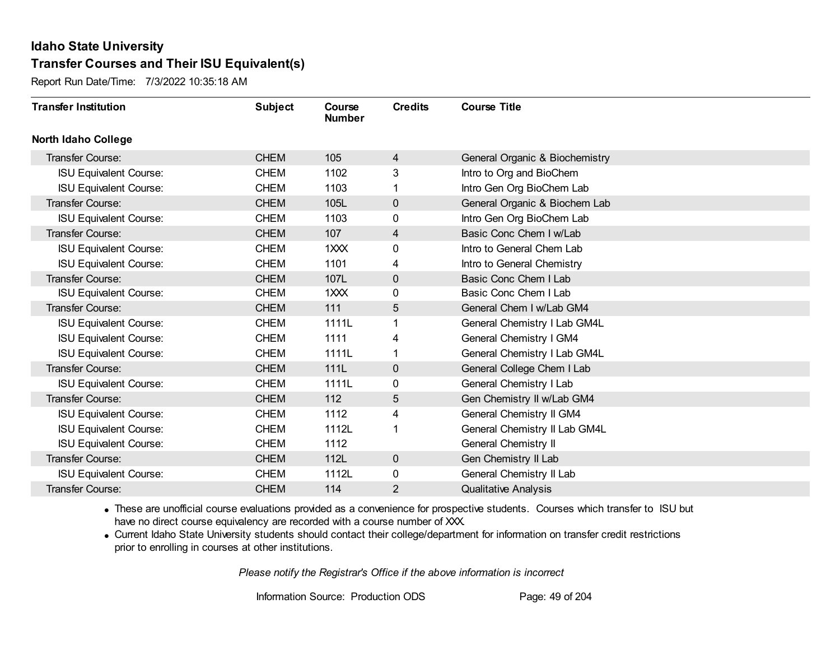Report Run Date/Time: 7/3/2022 10:35:18 AM

| <b>Transfer Institution</b>   | <b>Subject</b> | Course<br><b>Number</b> | <b>Credits</b> | <b>Course Title</b>            |
|-------------------------------|----------------|-------------------------|----------------|--------------------------------|
| <b>North Idaho College</b>    |                |                         |                |                                |
| <b>Transfer Course:</b>       | <b>CHEM</b>    | 105                     | $\overline{4}$ | General Organic & Biochemistry |
| <b>ISU Equivalent Course:</b> | <b>CHEM</b>    | 1102                    | 3              | Intro to Org and BioChem       |
| <b>ISU Equivalent Course:</b> | <b>CHEM</b>    | 1103                    | 1              | Intro Gen Org BioChem Lab      |
| Transfer Course:              | <b>CHEM</b>    | 105L                    | $\mathbf{0}$   | General Organic & Biochem Lab  |
| <b>ISU Equivalent Course:</b> | <b>CHEM</b>    | 1103                    | 0              | Intro Gen Org BioChem Lab      |
| Transfer Course:              | <b>CHEM</b>    | 107                     | 4              | Basic Conc Chem I w/Lab        |
| <b>ISU Equivalent Course:</b> | <b>CHEM</b>    | $1$ $XX$                | 0              | Intro to General Chem Lab      |
| <b>ISU Equivalent Course:</b> | <b>CHEM</b>    | 1101                    | 4              | Intro to General Chemistry     |
| Transfer Course:              | <b>CHEM</b>    | 107L                    | $\mathbf 0$    | Basic Conc Chem I Lab          |
| <b>ISU Equivalent Course:</b> | <b>CHEM</b>    | $1$ $XX$                | 0              | Basic Conc Chem I Lab          |
| Transfer Course:              | <b>CHEM</b>    | 111                     | 5              | General Chem I w/Lab GM4       |
| <b>ISU Equivalent Course:</b> | <b>CHEM</b>    | 1111L                   | 1              | General Chemistry I Lab GM4L   |
| <b>ISU Equivalent Course:</b> | <b>CHEM</b>    | 1111                    | 4              | General Chemistry I GM4        |
| <b>ISU Equivalent Course:</b> | <b>CHEM</b>    | 1111L                   | 1              | General Chemistry I Lab GM4L   |
| Transfer Course:              | <b>CHEM</b>    | 111L                    | $\mathbf 0$    | General College Chem I Lab     |
| <b>ISU Equivalent Course:</b> | <b>CHEM</b>    | 1111L                   | 0              | General Chemistry I Lab        |
| Transfer Course:              | <b>CHEM</b>    | 112                     | 5              | Gen Chemistry II w/Lab GM4     |
| <b>ISU Equivalent Course:</b> | <b>CHEM</b>    | 1112                    | 4              | General Chemistry II GM4       |
| <b>ISU Equivalent Course:</b> | <b>CHEM</b>    | 1112L                   | 1              | General Chemistry II Lab GM4L  |
| <b>ISU Equivalent Course:</b> | <b>CHEM</b>    | 1112                    |                | <b>General Chemistry II</b>    |
| Transfer Course:              | <b>CHEM</b>    | 112L                    | $\mathbf 0$    | Gen Chemistry II Lab           |
| <b>ISU Equivalent Course:</b> | <b>CHEM</b>    | 1112L                   | 0              | General Chemistry II Lab       |
| Transfer Course:              | <b>CHEM</b>    | 114                     | 2              | <b>Qualitative Analysis</b>    |

· These are unofficial course evaluations provided as a convenience for prospective students. Courses which transfer to ISU but have no direct course equivalency are recorded with a course number of XXX.

· Current Idaho State University students should contact their college/department for information on transfer credit restrictions prior to enrolling in courses at other institutions.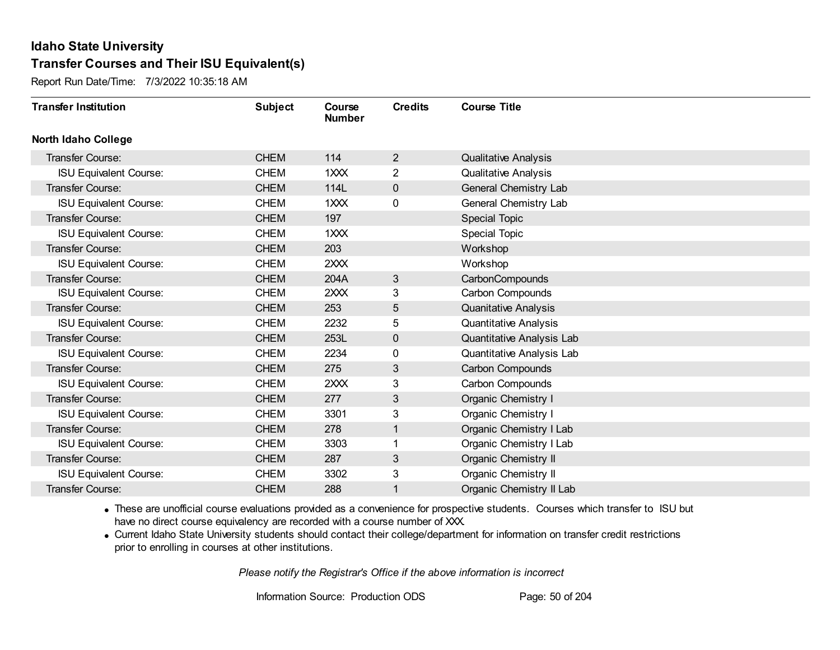Report Run Date/Time: 7/3/2022 10:35:18 AM

| <b>Transfer Institution</b>   | <b>Subject</b> | Course<br><b>Number</b> | <b>Credits</b> | <b>Course Title</b>          |
|-------------------------------|----------------|-------------------------|----------------|------------------------------|
| North Idaho College           |                |                         |                |                              |
| Transfer Course:              | <b>CHEM</b>    | 114                     | $\overline{2}$ | <b>Qualitative Analysis</b>  |
| <b>ISU Equivalent Course:</b> | <b>CHEM</b>    | 1XXX                    | 2              | <b>Qualitative Analysis</b>  |
| <b>Transfer Course:</b>       | <b>CHEM</b>    | 114L                    | 0              | General Chemistry Lab        |
| <b>ISU Equivalent Course:</b> | <b>CHEM</b>    | 1XXX                    | 0              | General Chemistry Lab        |
| Transfer Course:              | <b>CHEM</b>    | 197                     |                | <b>Special Topic</b>         |
| <b>ISU Equivalent Course:</b> | <b>CHEM</b>    | 1XXX                    |                | <b>Special Topic</b>         |
| Transfer Course:              | <b>CHEM</b>    | 203                     |                | Workshop                     |
| <b>ISU Equivalent Course:</b> | <b>CHEM</b>    | 2XXX                    |                | Workshop                     |
| Transfer Course:              | <b>CHEM</b>    | 204A                    | 3              | CarbonCompounds              |
| <b>ISU Equivalent Course:</b> | <b>CHEM</b>    | 2XXX                    | 3              | Carbon Compounds             |
| Transfer Course:              | <b>CHEM</b>    | 253                     | 5              | <b>Quanitative Analysis</b>  |
| <b>ISU Equivalent Course:</b> | <b>CHEM</b>    | 2232                    | 5              | <b>Quantitative Analysis</b> |
| Transfer Course:              | <b>CHEM</b>    | 253L                    | $\mathbf{0}$   | Quantitative Analysis Lab    |
| <b>ISU Equivalent Course:</b> | <b>CHEM</b>    | 2234                    | 0              | Quantitative Analysis Lab    |
| Transfer Course:              | <b>CHEM</b>    | 275                     | 3              | Carbon Compounds             |
| <b>ISU Equivalent Course:</b> | <b>CHEM</b>    | 2XXX                    | 3              | Carbon Compounds             |
| Transfer Course:              | <b>CHEM</b>    | 277                     | 3              | Organic Chemistry I          |
| <b>ISU Equivalent Course:</b> | <b>CHEM</b>    | 3301                    | 3              | Organic Chemistry I          |
| Transfer Course:              | <b>CHEM</b>    | 278                     | $\mathbf{1}$   | Organic Chemistry I Lab      |
| <b>ISU Equivalent Course:</b> | <b>CHEM</b>    | 3303                    |                | Organic Chemistry I Lab      |
| Transfer Course:              | <b>CHEM</b>    | 287                     | 3              | Organic Chemistry II         |
| <b>ISU Equivalent Course:</b> | <b>CHEM</b>    | 3302                    | 3              | Organic Chemistry II         |
| Transfer Course:              | <b>CHEM</b>    | 288                     | 1              | Organic Chemistry II Lab     |

· These are unofficial course evaluations provided as a convenience for prospective students. Courses which transfer to ISU but have no direct course equivalency are recorded with a course number of XXX.

· Current Idaho State University students should contact their college/department for information on transfer credit restrictions prior to enrolling in courses at other institutions.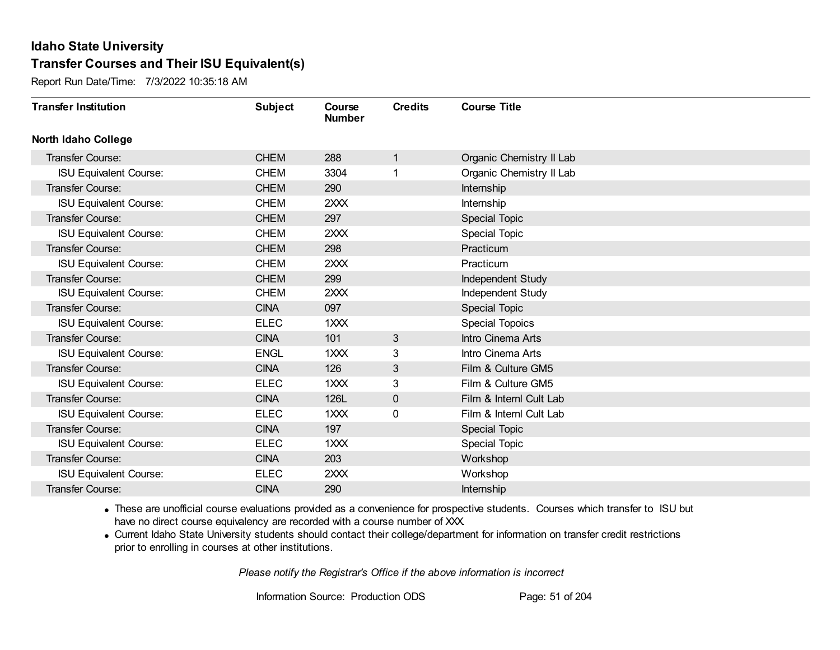Report Run Date/Time: 7/3/2022 10:35:18 AM

| <b>Transfer Institution</b>   | <b>Subject</b> | Course<br><b>Number</b> | <b>Credits</b> | <b>Course Title</b>      |
|-------------------------------|----------------|-------------------------|----------------|--------------------------|
| <b>North Idaho College</b>    |                |                         |                |                          |
| Transfer Course:              | <b>CHEM</b>    | 288                     | 1              | Organic Chemistry II Lab |
| <b>ISU Equivalent Course:</b> | <b>CHEM</b>    | 3304                    |                | Organic Chemistry II Lab |
| Transfer Course:              | <b>CHEM</b>    | 290                     |                | Internship               |
| <b>ISU Equivalent Course:</b> | <b>CHEM</b>    | 2XXX                    |                | Internship               |
| <b>Transfer Course:</b>       | <b>CHEM</b>    | 297                     |                | Special Topic            |
| <b>ISU Equivalent Course:</b> | <b>CHEM</b>    | 2XXX                    |                | <b>Special Topic</b>     |
| Transfer Course:              | <b>CHEM</b>    | 298                     |                | Practicum                |
| <b>ISU Equivalent Course:</b> | <b>CHEM</b>    | 2XXX                    |                | Practicum                |
| <b>Transfer Course:</b>       | <b>CHEM</b>    | 299                     |                | Independent Study        |
| <b>ISU Equivalent Course:</b> | <b>CHEM</b>    | 2XXX                    |                | Independent Study        |
| <b>Transfer Course:</b>       | <b>CINA</b>    | 097                     |                | Special Topic            |
| <b>ISU Equivalent Course:</b> | <b>ELEC</b>    | 1XXX                    |                | Special Topoics          |
| Transfer Course:              | <b>CINA</b>    | 101                     | 3              | Intro Cinema Arts        |
| <b>ISU Equivalent Course:</b> | <b>ENGL</b>    | 1XXX                    | 3              | Intro Cinema Arts        |
| Transfer Course:              | <b>CINA</b>    | 126                     | 3              | Film & Culture GM5       |
| <b>ISU Equivalent Course:</b> | <b>ELEC</b>    | 1XXX                    | 3              | Film & Culture GM5       |
| Transfer Course:              | <b>CINA</b>    | 126L                    | $\mathbf 0$    | Film & Interni Cult Lab  |
| <b>ISU Equivalent Course:</b> | <b>ELEC</b>    | 1XXX                    | 0              | Film & Interni Cult Lab  |
| <b>Transfer Course:</b>       | <b>CINA</b>    | 197                     |                | <b>Special Topic</b>     |
| <b>ISU Equivalent Course:</b> | <b>ELEC</b>    | 1XXX                    |                | <b>Special Topic</b>     |
| <b>Transfer Course:</b>       | <b>CINA</b>    | 203                     |                | Workshop                 |
| <b>ISU Equivalent Course:</b> | <b>ELEC</b>    | 2XXX                    |                | Workshop                 |
| Transfer Course:              | <b>CINA</b>    | 290                     |                | Internship               |

· These are unofficial course evaluations provided as a convenience for prospective students. Courses which transfer to ISU but have no direct course equivalency are recorded with a course number of XXX.

· Current Idaho State University students should contact their college/department for information on transfer credit restrictions prior to enrolling in courses at other institutions.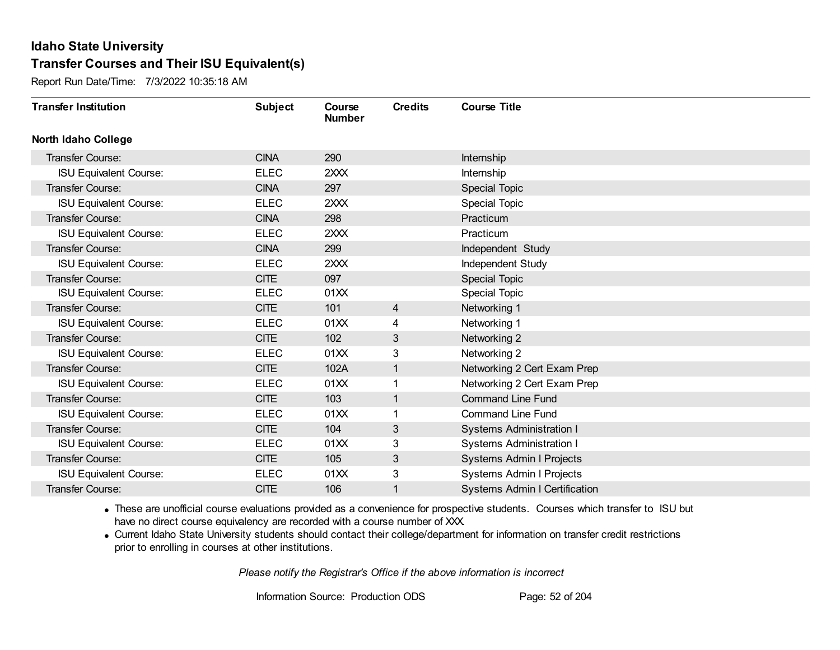Report Run Date/Time: 7/3/2022 10:35:18 AM

| <b>Transfer Institution</b>   | <b>Subject</b> | Course<br><b>Number</b> | <b>Credits</b> | <b>Course Title</b>                  |
|-------------------------------|----------------|-------------------------|----------------|--------------------------------------|
| <b>North Idaho College</b>    |                |                         |                |                                      |
| Transfer Course:              | <b>CINA</b>    | 290                     |                | Internship                           |
| <b>ISU Equivalent Course:</b> | <b>ELEC</b>    | 2XXX                    |                | Internship                           |
| Transfer Course:              | <b>CINA</b>    | 297                     |                | Special Topic                        |
| <b>ISU Equivalent Course:</b> | <b>ELEC</b>    | 2XXX                    |                | Special Topic                        |
| <b>Transfer Course:</b>       | <b>CINA</b>    | 298                     |                | Practicum                            |
| <b>ISU Equivalent Course:</b> | <b>ELEC</b>    | 2XXX                    |                | Practicum                            |
| Transfer Course:              | <b>CINA</b>    | 299                     |                | Independent Study                    |
| <b>ISU Equivalent Course:</b> | <b>ELEC</b>    | 2XXX                    |                | Independent Study                    |
| Transfer Course:              | <b>CITE</b>    | 097                     |                | Special Topic                        |
| <b>ISU Equivalent Course:</b> | <b>ELEC</b>    | 01XX                    |                | <b>Special Topic</b>                 |
| Transfer Course:              | <b>CITE</b>    | 101                     | $\overline{4}$ | Networking 1                         |
| <b>ISU Equivalent Course:</b> | <b>ELEC</b>    | 01XX                    | 4              | Networking 1                         |
| Transfer Course:              | <b>CITE</b>    | 102                     | 3              | Networking 2                         |
| <b>ISU Equivalent Course:</b> | <b>ELEC</b>    | 01XX                    | 3              | Networking 2                         |
| Transfer Course:              | <b>CITE</b>    | 102A                    | 1              | Networking 2 Cert Exam Prep          |
| <b>ISU Equivalent Course:</b> | <b>ELEC</b>    | 01XX                    | 1              | Networking 2 Cert Exam Prep          |
| Transfer Course:              | <b>CITE</b>    | 103                     | 1              | <b>Command Line Fund</b>             |
| <b>ISU Equivalent Course:</b> | <b>ELEC</b>    | 01XX                    |                | <b>Command Line Fund</b>             |
| Transfer Course:              | <b>CITE</b>    | 104                     | 3              | <b>Systems Administration I</b>      |
| <b>ISU Equivalent Course:</b> | <b>ELEC</b>    | 01XX                    | 3              | <b>Systems Administration I</b>      |
| <b>Transfer Course:</b>       | <b>CITE</b>    | 105                     | 3              | Systems Admin I Projects             |
| <b>ISU Equivalent Course:</b> | <b>ELEC</b>    | 01XX                    | 3              | Systems Admin I Projects             |
| Transfer Course:              | <b>CITE</b>    | 106                     |                | <b>Systems Admin I Certification</b> |

· These are unofficial course evaluations provided as a convenience for prospective students. Courses which transfer to ISU but have no direct course equivalency are recorded with a course number of XXX.

· Current Idaho State University students should contact their college/department for information on transfer credit restrictions prior to enrolling in courses at other institutions.

*Please notify the Registrar's Office if the above information is incorrect*

Information Source: Production ODS Page: 52 of 204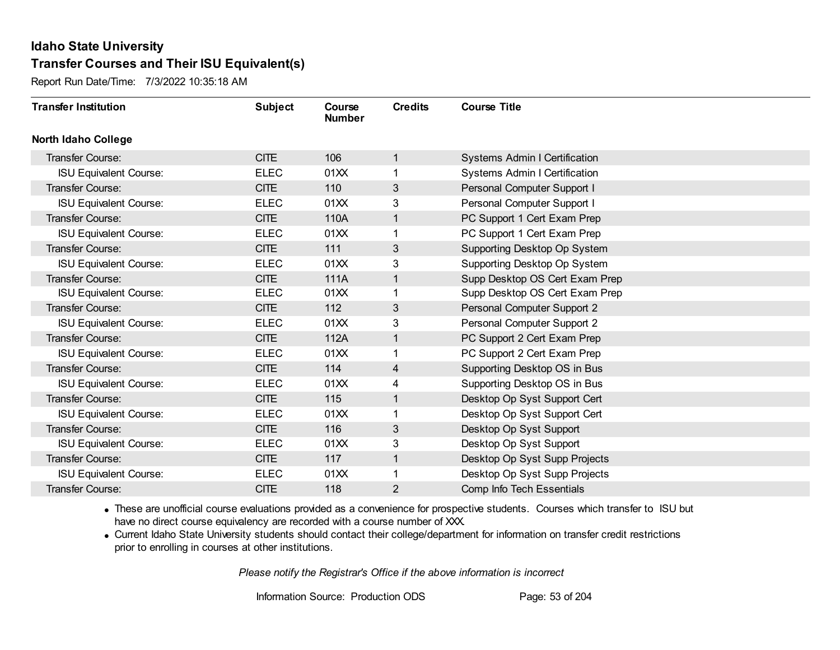Report Run Date/Time: 7/3/2022 10:35:18 AM

| <b>Transfer Institution</b>   | <b>Subject</b> | Course<br><b>Number</b> | <b>Credits</b> | <b>Course Title</b>                  |
|-------------------------------|----------------|-------------------------|----------------|--------------------------------------|
| <b>North Idaho College</b>    |                |                         |                |                                      |
| Transfer Course:              | <b>CITE</b>    | 106                     | $\mathbf{1}$   | <b>Systems Admin I Certification</b> |
| <b>ISU Equivalent Course:</b> | <b>ELEC</b>    | 01XX                    | 1              | <b>Systems Admin I Certification</b> |
| Transfer Course:              | <b>CITE</b>    | 110                     | 3              | Personal Computer Support I          |
| <b>ISU Equivalent Course:</b> | <b>ELEC</b>    | 01XX                    | 3              | Personal Computer Support I          |
| Transfer Course:              | CITE           | 110A                    | $\mathbf{1}$   | PC Support 1 Cert Exam Prep          |
| <b>ISU Equivalent Course:</b> | <b>ELEC</b>    | 01XX                    | 1              | PC Support 1 Cert Exam Prep          |
| <b>Transfer Course:</b>       | <b>CITE</b>    | 111                     | 3              | Supporting Desktop Op System         |
| <b>ISU Equivalent Course:</b> | <b>ELEC</b>    | 01XX                    | 3              | Supporting Desktop Op System         |
| Transfer Course:              | <b>CITE</b>    | 111A                    | 1              | Supp Desktop OS Cert Exam Prep       |
| <b>ISU Equivalent Course:</b> | <b>ELEC</b>    | 01XX                    | 1              | Supp Desktop OS Cert Exam Prep       |
| Transfer Course:              | <b>CITE</b>    | 112                     | 3              | Personal Computer Support 2          |
| <b>ISU Equivalent Course:</b> | <b>ELEC</b>    | 01XX                    | 3              | Personal Computer Support 2          |
| Transfer Course:              | CITE           | 112A                    | $\mathbf{1}$   | PC Support 2 Cert Exam Prep          |
| <b>ISU Equivalent Course:</b> | <b>ELEC</b>    | 01XX                    | 1              | PC Support 2 Cert Exam Prep          |
| Transfer Course:              | CITE           | 114                     | 4              | Supporting Desktop OS in Bus         |
| <b>ISU Equivalent Course:</b> | <b>ELEC</b>    | 01XX                    | 4              | Supporting Desktop OS in Bus         |
| Transfer Course:              | <b>CITE</b>    | 115                     | $\mathbf{1}$   | Desktop Op Syst Support Cert         |
| <b>ISU Equivalent Course:</b> | <b>ELEC</b>    | 01XX                    | 1              | Desktop Op Syst Support Cert         |
| <b>Transfer Course:</b>       | <b>CITE</b>    | 116                     | 3              | Desktop Op Syst Support              |
| <b>ISU Equivalent Course:</b> | <b>ELEC</b>    | 01XX                    | 3              | Desktop Op Syst Support              |
| <b>Transfer Course:</b>       | <b>CITE</b>    | 117                     | $\mathbf{1}$   | Desktop Op Syst Supp Projects        |
| <b>ISU Equivalent Course:</b> | <b>ELEC</b>    | 01XX                    | 1              | Desktop Op Syst Supp Projects        |
| Transfer Course:              | <b>CITE</b>    | 118                     | $\overline{2}$ | Comp Info Tech Essentials            |

· These are unofficial course evaluations provided as a convenience for prospective students. Courses which transfer to ISU but have no direct course equivalency are recorded with a course number of XXX.

· Current Idaho State University students should contact their college/department for information on transfer credit restrictions prior to enrolling in courses at other institutions.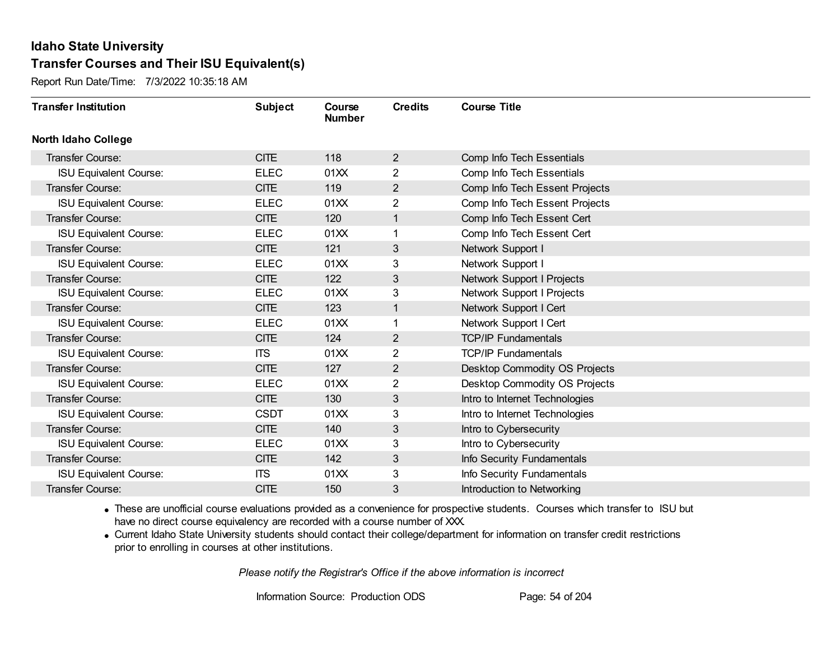Report Run Date/Time: 7/3/2022 10:35:18 AM

| <b>Transfer Institution</b>   | <b>Subject</b> | Course<br><b>Number</b> | <b>Credits</b> | <b>Course Title</b>                  |
|-------------------------------|----------------|-------------------------|----------------|--------------------------------------|
| <b>North Idaho College</b>    |                |                         |                |                                      |
| <b>Transfer Course:</b>       | <b>CITE</b>    | 118                     | $\overline{2}$ | Comp Info Tech Essentials            |
| <b>ISU Equivalent Course:</b> | <b>ELEC</b>    | 01XX                    | $\overline{2}$ | Comp Info Tech Essentials            |
| Transfer Course:              | <b>CITE</b>    | 119                     | $\overline{2}$ | Comp Info Tech Essent Projects       |
| <b>ISU Equivalent Course:</b> | <b>ELEC</b>    | 01XX                    | $\overline{2}$ | Comp Info Tech Essent Projects       |
| Transfer Course:              | <b>CITE</b>    | 120                     | $\mathbf 1$    | Comp Info Tech Essent Cert           |
| <b>ISU Equivalent Course:</b> | <b>ELEC</b>    | 01XX                    |                | Comp Info Tech Essent Cert           |
| <b>Transfer Course:</b>       | <b>CITE</b>    | 121                     | 3              | Network Support I                    |
| <b>ISU Equivalent Course:</b> | <b>ELEC</b>    | 01XX                    | 3              | Network Support I                    |
| Transfer Course:              | <b>CITE</b>    | 122                     | 3              | Network Support I Projects           |
| <b>ISU Equivalent Course:</b> | <b>ELEC</b>    | 01XX                    | 3              | Network Support I Projects           |
| Transfer Course:              | <b>CITE</b>    | 123                     | 1              | Network Support I Cert               |
| <b>ISU Equivalent Course:</b> | <b>ELEC</b>    | 01XX                    |                | Network Support I Cert               |
| <b>Transfer Course:</b>       | <b>CITE</b>    | 124                     | $\overline{2}$ | <b>TCP/IP Fundamentals</b>           |
| <b>ISU Equivalent Course:</b> | <b>ITS</b>     | 01XX                    | $\overline{2}$ | <b>TCP/IP Fundamentals</b>           |
| Transfer Course:              | <b>CITE</b>    | 127                     | $\overline{2}$ | Desktop Commodity OS Projects        |
| <b>ISU Equivalent Course:</b> | <b>ELEC</b>    | 01XX                    | $\overline{2}$ | <b>Desktop Commodity OS Projects</b> |
| Transfer Course:              | <b>CITE</b>    | 130                     | 3              | Intro to Internet Technologies       |
| <b>ISU Equivalent Course:</b> | <b>CSDT</b>    | 01XX                    | 3              | Intro to Internet Technologies       |
| <b>Transfer Course:</b>       | <b>CITE</b>    | 140                     | 3              | Intro to Cybersecurity               |
| <b>ISU Equivalent Course:</b> | <b>ELEC</b>    | 01XX                    | 3              | Intro to Cybersecurity               |
| <b>Transfer Course:</b>       | <b>CITE</b>    | 142                     | 3              | Info Security Fundamentals           |
| <b>ISU Equivalent Course:</b> | <b>ITS</b>     | 01XX                    | 3              | Info Security Fundamentals           |
| Transfer Course:              | <b>CITE</b>    | 150                     | 3              | Introduction to Networking           |

· These are unofficial course evaluations provided as a convenience for prospective students. Courses which transfer to ISU but have no direct course equivalency are recorded with a course number of XXX.

· Current Idaho State University students should contact their college/department for information on transfer credit restrictions prior to enrolling in courses at other institutions.

*Please notify the Registrar's Office if the above information is incorrect*

Information Source: Production ODS Page: 54 of 204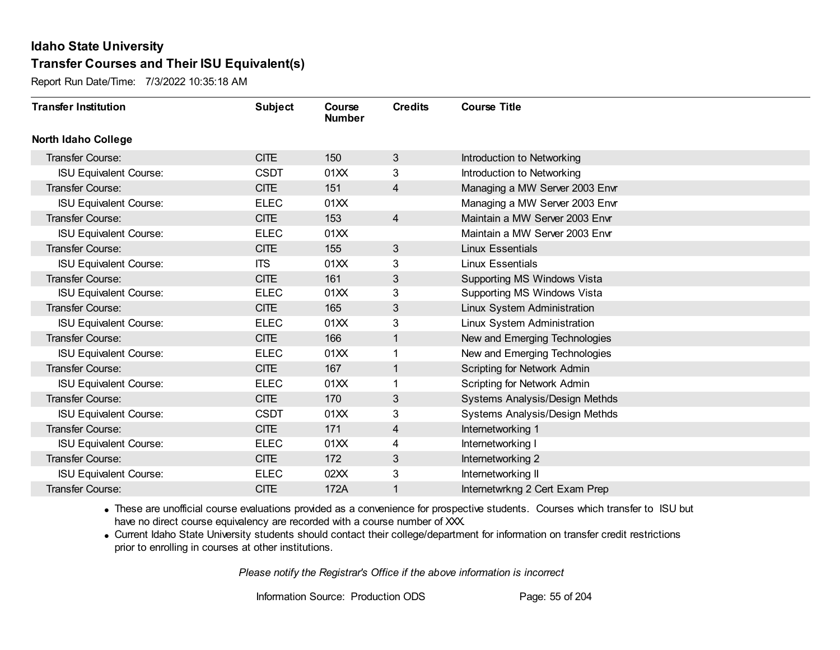Report Run Date/Time: 7/3/2022 10:35:18 AM

| <b>Transfer Institution</b>   | <b>Subject</b> | Course<br><b>Number</b> | <b>Credits</b> | <b>Course Title</b>            |
|-------------------------------|----------------|-------------------------|----------------|--------------------------------|
| <b>North Idaho College</b>    |                |                         |                |                                |
| Transfer Course:              | <b>CITE</b>    | 150                     | 3              | Introduction to Networking     |
| <b>ISU Equivalent Course:</b> | <b>CSDT</b>    | 01XX                    | 3              | Introduction to Networking     |
| Transfer Course:              | <b>CITE</b>    | 151                     | 4              | Managing a MW Server 2003 Envr |
| <b>ISU Equivalent Course:</b> | <b>ELEC</b>    | 01XX                    |                | Managing a MW Server 2003 Envr |
| Transfer Course:              | <b>CITE</b>    | 153                     | $\overline{4}$ | Maintain a MW Server 2003 Envr |
| <b>ISU Equivalent Course:</b> | <b>ELEC</b>    | 01XX                    |                | Maintain a MW Server 2003 Envr |
| <b>Transfer Course:</b>       | <b>CITE</b>    | 155                     | 3              | <b>Linux Essentials</b>        |
| <b>ISU Equivalent Course:</b> | <b>ITS</b>     | 01XX                    | 3              | <b>Linux Essentials</b>        |
| Transfer Course:              | <b>CITE</b>    | 161                     | 3              | Supporting MS Windows Vista    |
| <b>ISU Equivalent Course:</b> | <b>ELEC</b>    | 01XX                    | 3              | Supporting MS Windows Vista    |
| Transfer Course:              | <b>CITE</b>    | 165                     | 3              | Linux System Administration    |
| <b>ISU Equivalent Course:</b> | <b>ELEC</b>    | 01XX                    | 3              | Linux System Administration    |
| <b>Transfer Course:</b>       | <b>CITE</b>    | 166                     | 1              | New and Emerging Technologies  |
| <b>ISU Equivalent Course:</b> | <b>ELEC</b>    | 01XX                    |                | New and Emerging Technologies  |
| Transfer Course:              | <b>CITE</b>    | 167                     |                | Scripting for Network Admin    |
| <b>ISU Equivalent Course:</b> | <b>ELEC</b>    | 01XX                    |                | Scripting for Network Admin    |
| Transfer Course:              | <b>CITE</b>    | 170                     | 3              | Systems Analysis/Design Methds |
| <b>ISU Equivalent Course:</b> | <b>CSDT</b>    | 01XX                    | 3              | Systems Analysis/Design Methds |
| <b>Transfer Course:</b>       | <b>CITE</b>    | 171                     | $\overline{4}$ | Internetworking 1              |
| <b>ISU Equivalent Course:</b> | <b>ELEC</b>    | 01XX                    | 4              | Internetworking I              |
| <b>Transfer Course:</b>       | CITE           | 172                     | 3              | Internetworking 2              |
| <b>ISU Equivalent Course:</b> | <b>ELEC</b>    | 02XX                    | 3              | Internetworking II             |
| Transfer Course:              | <b>CITE</b>    | 172A                    |                | Internetwrkng 2 Cert Exam Prep |

· These are unofficial course evaluations provided as a convenience for prospective students. Courses which transfer to ISU but have no direct course equivalency are recorded with a course number of XXX.

· Current Idaho State University students should contact their college/department for information on transfer credit restrictions prior to enrolling in courses at other institutions.

*Please notify the Registrar's Office if the above information is incorrect*

Information Source: Production ODS Page: 55 of 204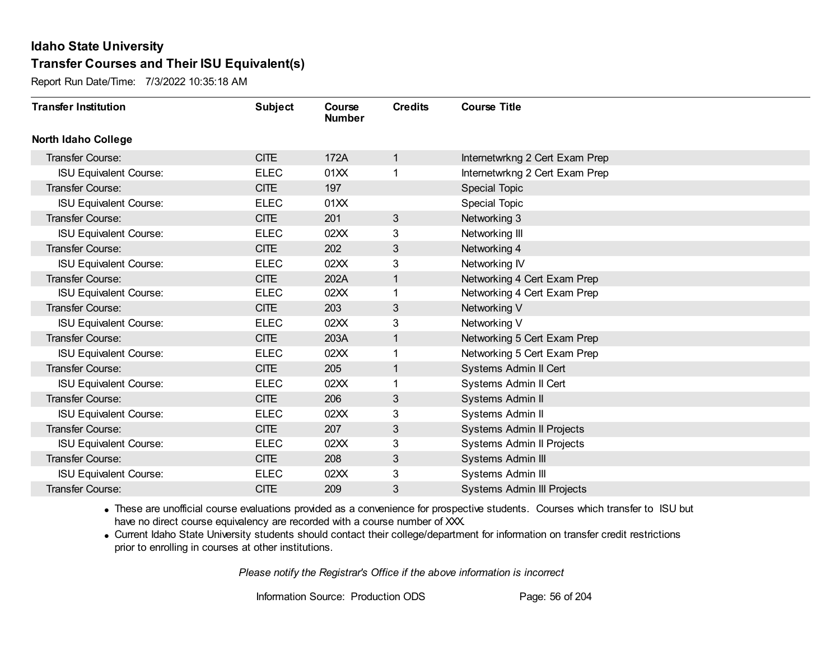Report Run Date/Time: 7/3/2022 10:35:18 AM

| <b>Transfer Institution</b>   | <b>Subject</b> | Course<br><b>Number</b> | <b>Credits</b> | <b>Course Title</b>               |
|-------------------------------|----------------|-------------------------|----------------|-----------------------------------|
| <b>North Idaho College</b>    |                |                         |                |                                   |
| Transfer Course:              | <b>CITE</b>    | 172A                    | $\mathbf{1}$   | Internetwrkng 2 Cert Exam Prep    |
| <b>ISU Equivalent Course:</b> | <b>ELEC</b>    | 01XX                    | 1              | Internetwrkng 2 Cert Exam Prep    |
| Transfer Course:              | <b>CITE</b>    | 197                     |                | <b>Special Topic</b>              |
| <b>ISU Equivalent Course:</b> | <b>ELEC</b>    | 01XX                    |                | Special Topic                     |
| <b>Transfer Course:</b>       | CITE           | 201                     | 3              | Networking 3                      |
| <b>ISU Equivalent Course:</b> | <b>ELEC</b>    | 02XX                    | 3              | Networking III                    |
| Transfer Course:              | <b>CITE</b>    | 202                     | 3              | Networking 4                      |
| <b>ISU Equivalent Course:</b> | <b>ELEC</b>    | 02XX                    | 3              | Networking IV                     |
| Transfer Course:              | <b>CITE</b>    | 202A                    | $\mathbf{1}$   | Networking 4 Cert Exam Prep       |
| <b>ISU Equivalent Course:</b> | <b>ELEC</b>    | 02XX                    | 1              | Networking 4 Cert Exam Prep       |
| Transfer Course:              | <b>CITE</b>    | 203                     | 3              | Networking V                      |
| <b>ISU Equivalent Course:</b> | <b>ELEC</b>    | 02XX                    | 3              | Networking V                      |
| Transfer Course:              | <b>CITE</b>    | 203A                    | 1              | Networking 5 Cert Exam Prep       |
| <b>ISU Equivalent Course:</b> | <b>ELEC</b>    | 02XX                    | 1              | Networking 5 Cert Exam Prep       |
| Transfer Course:              | <b>CITE</b>    | 205                     | $\mathbf{1}$   | Systems Admin II Cert             |
| <b>ISU Equivalent Course:</b> | <b>ELEC</b>    | 02XX                    | 1              | Systems Admin II Cert             |
| Transfer Course:              | <b>CITE</b>    | 206                     | 3              | Systems Admin II                  |
| <b>ISU Equivalent Course:</b> | <b>ELEC</b>    | 02XX                    | 3              | Systems Admin II                  |
| <b>Transfer Course:</b>       | <b>CITE</b>    | 207                     | 3              | Systems Admin II Projects         |
| <b>ISU Equivalent Course:</b> | <b>ELEC</b>    | 02XX                    | 3              | Systems Admin II Projects         |
| Transfer Course:              | <b>CITE</b>    | 208                     | 3              | Systems Admin III                 |
| <b>ISU Equivalent Course:</b> | <b>ELEC</b>    | 02XX                    | 3              | Systems Admin III                 |
| Transfer Course:              | <b>CITE</b>    | 209                     | 3              | <b>Systems Admin III Projects</b> |

· These are unofficial course evaluations provided as a convenience for prospective students. Courses which transfer to ISU but have no direct course equivalency are recorded with a course number of XXX.

· Current Idaho State University students should contact their college/department for information on transfer credit restrictions prior to enrolling in courses at other institutions.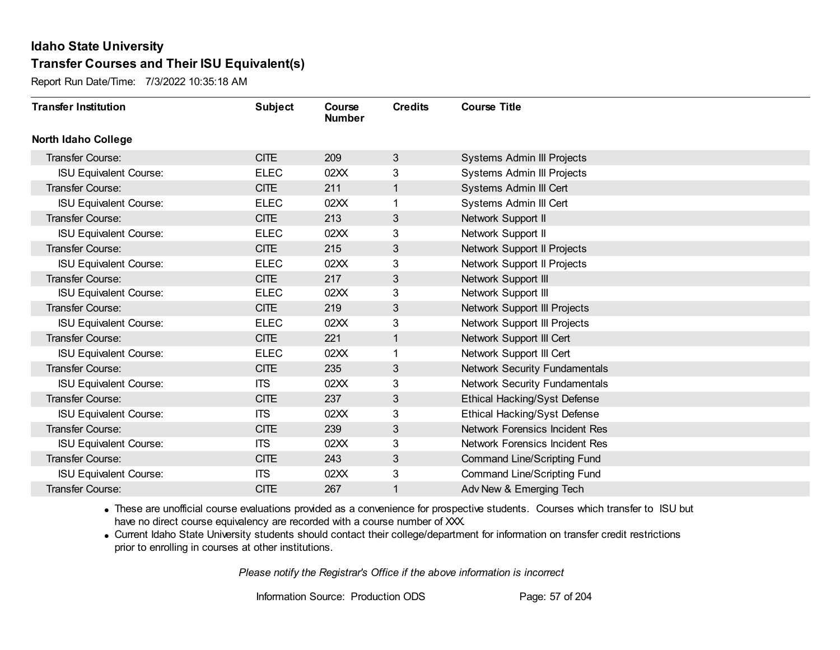Report Run Date/Time: 7/3/2022 10:35:18 AM

| <b>Transfer Institution</b>   | <b>Subject</b> | Course<br><b>Number</b> | <b>Credits</b> | <b>Course Title</b>                  |
|-------------------------------|----------------|-------------------------|----------------|--------------------------------------|
| North Idaho College           |                |                         |                |                                      |
| <b>Transfer Course:</b>       | <b>CITE</b>    | 209                     | 3              | Systems Admin III Projects           |
| <b>ISU Equivalent Course:</b> | <b>ELEC</b>    | 02XX                    | 3              | Systems Admin III Projects           |
| Transfer Course:              | <b>CITE</b>    | 211                     | 1              | Systems Admin III Cert               |
| <b>ISU Equivalent Course:</b> | <b>ELEC</b>    | 02XX                    |                | Systems Admin III Cert               |
| <b>Transfer Course:</b>       | <b>CITE</b>    | 213                     | 3              | Network Support II                   |
| <b>ISU Equivalent Course:</b> | <b>ELEC</b>    | 02XX                    | 3              | Network Support II                   |
| <b>Transfer Course:</b>       | <b>CITE</b>    | 215                     | 3              | Network Support II Projects          |
| <b>ISU Equivalent Course:</b> | <b>ELEC</b>    | 02XX                    | 3              | Network Support II Projects          |
| Transfer Course:              | <b>CITE</b>    | 217                     | 3              | Network Support III                  |
| <b>ISU Equivalent Course:</b> | <b>ELEC</b>    | 02XX                    | 3              | Network Support III                  |
| Transfer Course:              | <b>CITE</b>    | 219                     | 3              | Network Support III Projects         |
| <b>ISU Equivalent Course:</b> | <b>ELEC</b>    | 02XX                    | 3              | Network Support III Projects         |
| Transfer Course:              | <b>CITE</b>    | 221                     |                | Network Support III Cert             |
| <b>ISU Equivalent Course:</b> | <b>ELEC</b>    | 02XX                    |                | Network Support III Cert             |
| Transfer Course:              | <b>CITE</b>    | 235                     | 3              | <b>Network Security Fundamentals</b> |
| <b>ISU Equivalent Course:</b> | <b>ITS</b>     | 02XX                    | 3              | Network Security Fundamentals        |
| Transfer Course:              | <b>CITE</b>    | 237                     | 3              | <b>Ethical Hacking/Syst Defense</b>  |
| <b>ISU Equivalent Course:</b> | <b>ITS</b>     | 02XX                    | 3              | Ethical Hacking/Syst Defense         |
| <b>Transfer Course:</b>       | <b>CITE</b>    | 239                     | 3              | Network Forensics Incident Res       |
| <b>ISU Equivalent Course:</b> | <b>ITS</b>     | 02XX                    | 3              | Network Forensics Incident Res       |
| Transfer Course:              | <b>CITE</b>    | 243                     | 3              | <b>Command Line/Scripting Fund</b>   |
| <b>ISU Equivalent Course:</b> | <b>ITS</b>     | 02XX                    | 3              | <b>Command Line/Scripting Fund</b>   |
| Transfer Course:              | <b>CITE</b>    | 267                     |                | Adv New & Emerging Tech              |

· These are unofficial course evaluations provided as a convenience for prospective students. Courses which transfer to ISU but have no direct course equivalency are recorded with a course number of XXX.

· Current Idaho State University students should contact their college/department for information on transfer credit restrictions prior to enrolling in courses at other institutions.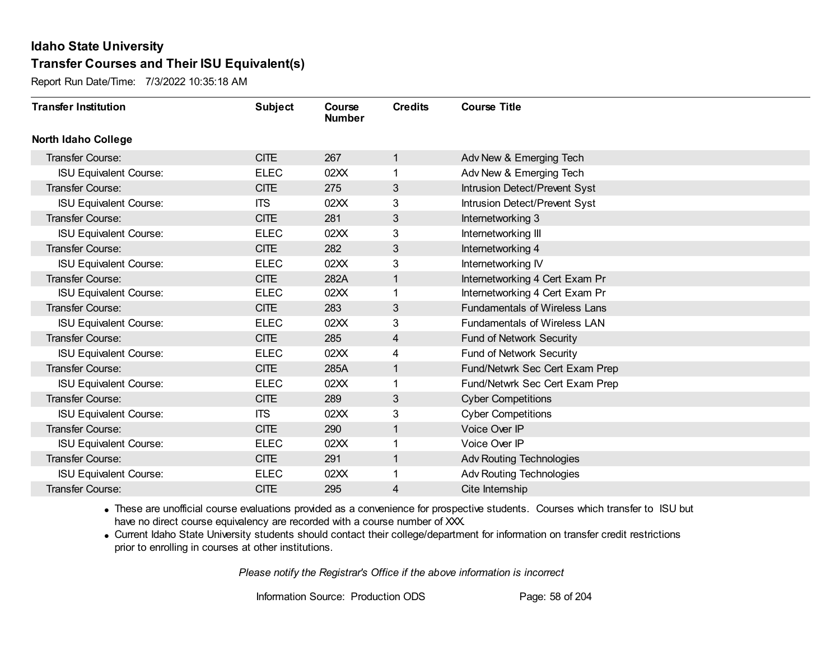Report Run Date/Time: 7/3/2022 10:35:18 AM

| <b>Transfer Institution</b>   | <b>Subject</b> | Course<br><b>Number</b> | <b>Credits</b> | <b>Course Title</b>                  |
|-------------------------------|----------------|-------------------------|----------------|--------------------------------------|
| <b>North Idaho College</b>    |                |                         |                |                                      |
| <b>Transfer Course:</b>       | <b>CITE</b>    | 267                     | $\mathbf{1}$   | Adv New & Emerging Tech              |
| <b>ISU Equivalent Course:</b> | <b>ELEC</b>    | 02XX                    | 1.             | Adv New & Emerging Tech              |
| Transfer Course:              | <b>CITE</b>    | 275                     | 3              | Intrusion Detect/Prevent Syst        |
| <b>ISU Equivalent Course:</b> | <b>ITS</b>     | 02XX                    | 3              | Intrusion Detect/Prevent Syst        |
| <b>Transfer Course:</b>       | <b>CITE</b>    | 281                     | 3              | Internetworking 3                    |
| <b>ISU Equivalent Course:</b> | <b>ELEC</b>    | 02XX                    | 3              | Internetworking III                  |
| Transfer Course:              | <b>CITE</b>    | 282                     | 3              | Internetworking 4                    |
| <b>ISU Equivalent Course:</b> | <b>ELEC</b>    | 02XX                    | 3              | Internetworking IV                   |
| Transfer Course:              | <b>CITE</b>    | 282A                    | $\mathbf{1}$   | Internetworking 4 Cert Exam Pr       |
| <b>ISU Equivalent Course:</b> | <b>ELEC</b>    | 02XX                    | 1              | Internetworking 4 Cert Exam Pr       |
| Transfer Course:              | <b>CITE</b>    | 283                     | 3              | <b>Fundamentals of Wireless Lans</b> |
| <b>ISU Equivalent Course:</b> | <b>ELEC</b>    | 02XX                    | 3              | <b>Fundamentals of Wireless LAN</b>  |
| Transfer Course:              | <b>CITE</b>    | 285                     | 4              | <b>Fund of Network Security</b>      |
| <b>ISU Equivalent Course:</b> | <b>ELEC</b>    | 02XX                    | 4              | Fund of Network Security             |
| Transfer Course:              | <b>CITE</b>    | 285A                    | 1              | Fund/Netwrk Sec Cert Exam Prep       |
| <b>ISU Equivalent Course:</b> | <b>ELEC</b>    | 02XX                    | 1              | Fund/Netwrk Sec Cert Exam Prep       |
| Transfer Course:              | <b>CITE</b>    | 289                     | 3              | <b>Cyber Competitions</b>            |
| <b>ISU Equivalent Course:</b> | <b>ITS</b>     | 02XX                    | 3              | <b>Cyber Competitions</b>            |
| Transfer Course:              | <b>CITE</b>    | 290                     | $\mathbf{1}$   | Voice Over IP                        |
| <b>ISU Equivalent Course:</b> | <b>ELEC</b>    | 02XX                    |                | Voice Over IP                        |
| <b>Transfer Course:</b>       | <b>CITE</b>    | 291                     | $\mathbf{1}$   | <b>Adv Routing Technologies</b>      |
| <b>ISU Equivalent Course:</b> | <b>ELEC</b>    | 02XX                    | 1              | <b>Adv Routing Technologies</b>      |
| Transfer Course:              | <b>CITE</b>    | 295                     | 4              | Cite Internship                      |

· These are unofficial course evaluations provided as a convenience for prospective students. Courses which transfer to ISU but have no direct course equivalency are recorded with a course number of XXX.

· Current Idaho State University students should contact their college/department for information on transfer credit restrictions prior to enrolling in courses at other institutions.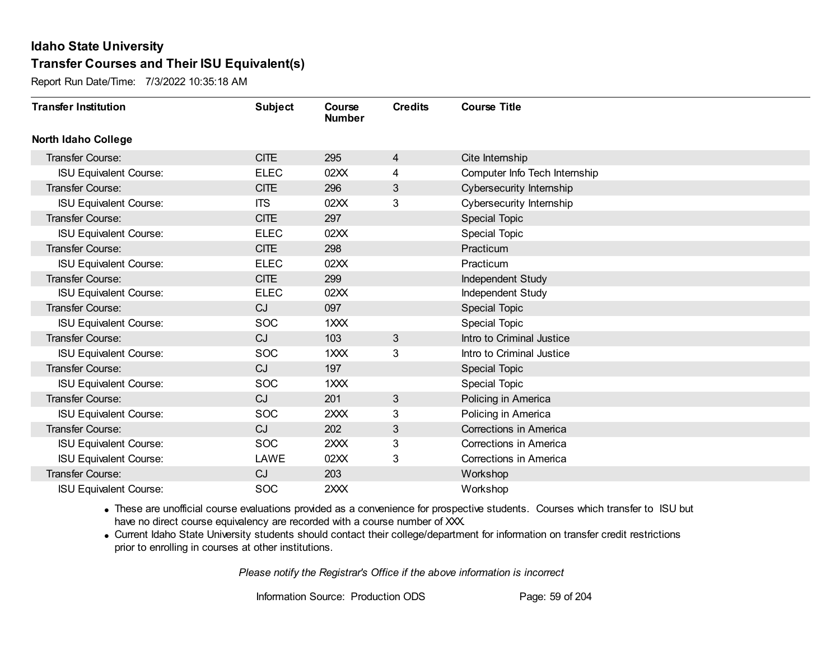Report Run Date/Time: 7/3/2022 10:35:18 AM

| <b>Transfer Institution</b>   | <b>Subject</b> | Course<br><b>Number</b> | <b>Credits</b> | <b>Course Title</b>           |
|-------------------------------|----------------|-------------------------|----------------|-------------------------------|
| <b>North Idaho College</b>    |                |                         |                |                               |
| Transfer Course:              | <b>CITE</b>    | 295                     | 4              | Cite Internship               |
| <b>ISU Equivalent Course:</b> | <b>ELEC</b>    | 02XX                    | 4              | Computer Info Tech Internship |
| Transfer Course:              | <b>CITE</b>    | 296                     | 3              | Cybersecurity Internship      |
| <b>ISU Equivalent Course:</b> | <b>ITS</b>     | 02XX                    | 3              | Cybersecurity Internship      |
| <b>Transfer Course:</b>       | <b>CITE</b>    | 297                     |                | <b>Special Topic</b>          |
| <b>ISU Equivalent Course:</b> | <b>ELEC</b>    | 02XX                    |                | Special Topic                 |
| <b>Transfer Course:</b>       | <b>CITE</b>    | 298                     |                | Practicum                     |
| <b>ISU Equivalent Course:</b> | <b>ELEC</b>    | 02XX                    |                | Practicum                     |
| <b>Transfer Course:</b>       | <b>CITE</b>    | 299                     |                | Independent Study             |
| <b>ISU Equivalent Course:</b> | <b>ELEC</b>    | 02XX                    |                | Independent Study             |
| Transfer Course:              | CJ             | 097                     |                | Special Topic                 |
| <b>ISU Equivalent Course:</b> | <b>SOC</b>     | 1XXX                    |                | Special Topic                 |
| <b>Transfer Course:</b>       | CJ             | 103                     | 3              | Intro to Criminal Justice     |
| <b>ISU Equivalent Course:</b> | <b>SOC</b>     | 1XXX                    | 3              | Intro to Criminal Justice     |
| Transfer Course:              | CJ             | 197                     |                | <b>Special Topic</b>          |
| <b>ISU Equivalent Course:</b> | <b>SOC</b>     | 1XXX                    |                | <b>Special Topic</b>          |
| <b>Transfer Course:</b>       | CJ             | 201                     | 3              | Policing in America           |
| <b>ISU Equivalent Course:</b> | <b>SOC</b>     | 2XXX                    | 3              | Policing in America           |
| Transfer Course:              | CJ             | 202                     | 3              | Corrections in America        |
| <b>ISU Equivalent Course:</b> | <b>SOC</b>     | 2XXX                    | 3              | Corrections in America        |
| <b>ISU Equivalent Course:</b> | LAWE           | 02XX                    | 3              | Corrections in America        |
| Transfer Course:              | CJ             | 203                     |                | Workshop                      |
| <b>ISU Equivalent Course:</b> | <b>SOC</b>     | 2XXX                    |                | Workshop                      |

· These are unofficial course evaluations provided as a convenience for prospective students. Courses which transfer to ISU but have no direct course equivalency are recorded with a course number of XXX.

· Current Idaho State University students should contact their college/department for information on transfer credit restrictions prior to enrolling in courses at other institutions.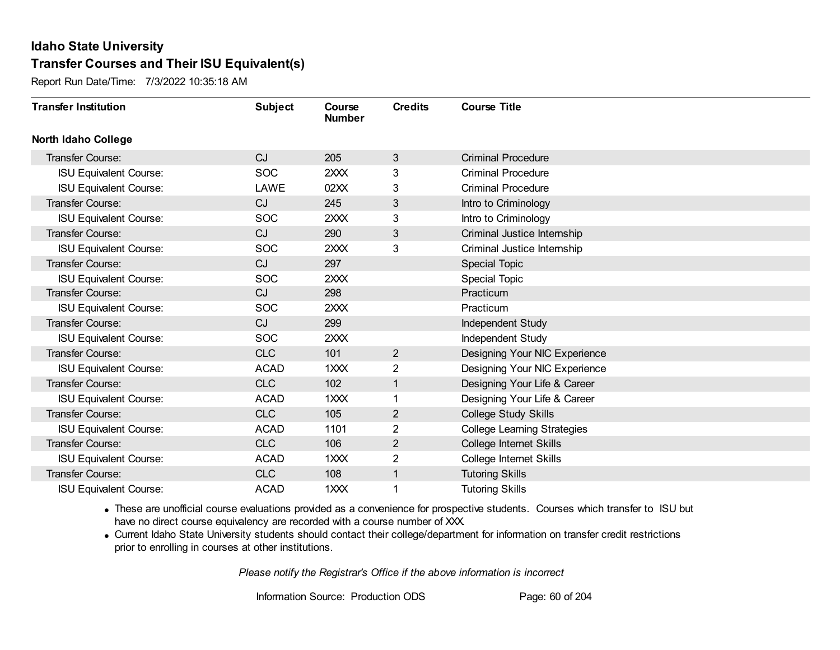Report Run Date/Time: 7/3/2022 10:35:18 AM

| <b>Transfer Institution</b>   | <b>Subject</b> | Course<br><b>Number</b> | <b>Credits</b> | <b>Course Title</b>                |
|-------------------------------|----------------|-------------------------|----------------|------------------------------------|
| <b>North Idaho College</b>    |                |                         |                |                                    |
| Transfer Course:              | CJ             | 205                     | 3              | <b>Criminal Procedure</b>          |
| <b>ISU Equivalent Course:</b> | <b>SOC</b>     | 2XXX                    | 3              | <b>Criminal Procedure</b>          |
| <b>ISU Equivalent Course:</b> | LAWE           | 02XX                    | 3              | <b>Criminal Procedure</b>          |
| Transfer Course:              | CJ.            | 245                     | 3              | Intro to Criminology               |
| <b>ISU Equivalent Course:</b> | <b>SOC</b>     | 2XXX                    | 3              | Intro to Criminology               |
| Transfer Course:              | CJ             | 290                     | 3              | Criminal Justice Internship        |
| <b>ISU Equivalent Course:</b> | <b>SOC</b>     | 2XXX                    | 3              | Criminal Justice Internship        |
| <b>Transfer Course:</b>       | CJ             | 297                     |                | Special Topic                      |
| <b>ISU Equivalent Course:</b> | <b>SOC</b>     | 2XXX                    |                | <b>Special Topic</b>               |
| Transfer Course:              | CJ             | 298                     |                | Practicum                          |
| <b>ISU Equivalent Course:</b> | <b>SOC</b>     | 2XXX                    |                | Practicum                          |
| Transfer Course:              | CJ             | 299                     |                | Independent Study                  |
| <b>ISU Equivalent Course:</b> | <b>SOC</b>     | 2XXX                    |                | Independent Study                  |
| <b>Transfer Course:</b>       | <b>CLC</b>     | 101                     | $\overline{2}$ | Designing Your NIC Experience      |
| <b>ISU Equivalent Course:</b> | <b>ACAD</b>    | 1XXX                    | $\overline{2}$ | Designing Your NIC Experience      |
| Transfer Course:              | <b>CLC</b>     | 102                     | 1              | Designing Your Life & Career       |
| <b>ISU Equivalent Course:</b> | <b>ACAD</b>    | $1$ $XX$                |                | Designing Your Life & Career       |
| <b>Transfer Course:</b>       | <b>CLC</b>     | 105                     | $\overline{2}$ | College Study Skills               |
| <b>ISU Equivalent Course:</b> | <b>ACAD</b>    | 1101                    | 2              | <b>College Learning Strategies</b> |
| Transfer Course:              | <b>CLC</b>     | 106                     | $\overline{2}$ | College Internet Skills            |
| <b>ISU Equivalent Course:</b> | <b>ACAD</b>    | 1XXX                    | $\overline{2}$ | College Internet Skills            |
| Transfer Course:              | <b>CLC</b>     | 108                     | 1              | <b>Tutoring Skills</b>             |
| <b>ISU Equivalent Course:</b> | <b>ACAD</b>    | 1XXX                    | 1              | <b>Tutoring Skills</b>             |

· These are unofficial course evaluations provided as a convenience for prospective students. Courses which transfer to ISU but have no direct course equivalency are recorded with a course number of XXX.

· Current Idaho State University students should contact their college/department for information on transfer credit restrictions prior to enrolling in courses at other institutions.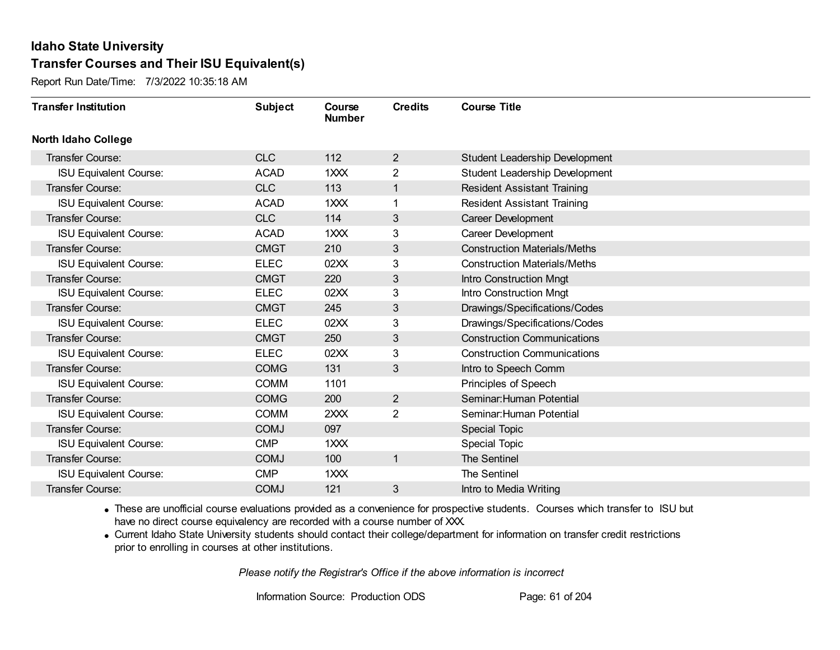Report Run Date/Time: 7/3/2022 10:35:18 AM

| <b>Transfer Institution</b>   | <b>Subject</b> | Course<br><b>Number</b> | <b>Credits</b> | <b>Course Title</b>                 |
|-------------------------------|----------------|-------------------------|----------------|-------------------------------------|
| <b>North Idaho College</b>    |                |                         |                |                                     |
| Transfer Course:              | <b>CLC</b>     | 112                     | 2              | Student Leadership Development      |
| <b>ISU Equivalent Course:</b> | <b>ACAD</b>    | 1XXX                    | $\overline{2}$ | Student Leadership Development      |
| Transfer Course:              | <b>CLC</b>     | 113                     | $\mathbf{1}$   | <b>Resident Assistant Training</b>  |
| <b>ISU Equivalent Course:</b> | <b>ACAD</b>    | 1XXX                    | 1              | <b>Resident Assistant Training</b>  |
| <b>Transfer Course:</b>       | <b>CLC</b>     | 114                     | 3              | Career Development                  |
| <b>ISU Equivalent Course:</b> | <b>ACAD</b>    | 1XXX                    | 3              | Career Development                  |
| <b>Transfer Course:</b>       | <b>CMGT</b>    | 210                     | 3              | <b>Construction Materials/Meths</b> |
| <b>ISU Equivalent Course:</b> | <b>ELEC</b>    | 02XX                    | 3              | <b>Construction Materials/Meths</b> |
| Transfer Course:              | <b>CMGT</b>    | 220                     | 3              | <b>Intro Construction Mngt</b>      |
| <b>ISU Equivalent Course:</b> | <b>ELEC</b>    | 02XX                    | 3              | Intro Construction Mngt             |
| Transfer Course:              | <b>CMGT</b>    | 245                     | 3              | Drawings/Specifications/Codes       |
| <b>ISU Equivalent Course:</b> | <b>ELEC</b>    | 02XX                    | 3              | Drawings/Specifications/Codes       |
| <b>Transfer Course:</b>       | <b>CMGT</b>    | 250                     | 3              | <b>Construction Communications</b>  |
| <b>ISU Equivalent Course:</b> | <b>ELEC</b>    | 02XX                    | 3              | <b>Construction Communications</b>  |
| Transfer Course:              | <b>COMG</b>    | 131                     | 3              | Intro to Speech Comm                |
| <b>ISU Equivalent Course:</b> | <b>COMM</b>    | 1101                    |                | Principles of Speech                |
| Transfer Course:              | <b>COMG</b>    | 200                     | $\overline{2}$ | Seminar: Human Potential            |
| <b>ISU Equivalent Course:</b> | <b>COMM</b>    | 2XXX                    | $\overline{2}$ | Seminar: Human Potential            |
| <b>Transfer Course:</b>       | <b>COMJ</b>    | 097                     |                | <b>Special Topic</b>                |
| <b>ISU Equivalent Course:</b> | <b>CMP</b>     | 1XXX                    |                | <b>Special Topic</b>                |
| <b>Transfer Course:</b>       | <b>COMJ</b>    | 100                     | $\mathbf{1}$   | The Sentinel                        |
| <b>ISU Equivalent Course:</b> | <b>CMP</b>     | 1XXX                    |                | The Sentinel                        |
| Transfer Course:              | <b>COMJ</b>    | 121                     | 3              | Intro to Media Writing              |

· These are unofficial course evaluations provided as a convenience for prospective students. Courses which transfer to ISU but have no direct course equivalency are recorded with a course number of XXX.

· Current Idaho State University students should contact their college/department for information on transfer credit restrictions prior to enrolling in courses at other institutions.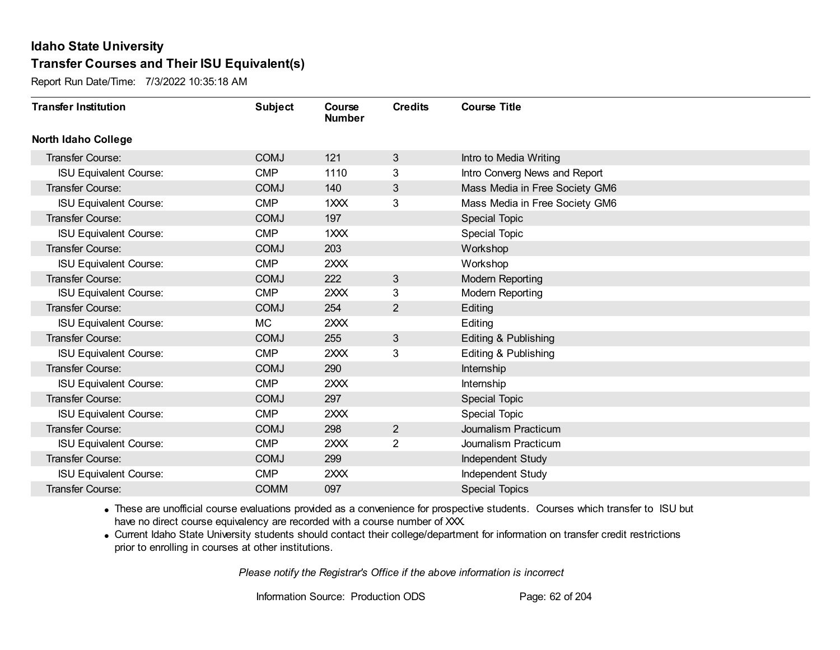Report Run Date/Time: 7/3/2022 10:35:18 AM

| <b>Transfer Institution</b>   | <b>Subject</b> | Course<br><b>Number</b> | <b>Credits</b> | <b>Course Title</b>            |
|-------------------------------|----------------|-------------------------|----------------|--------------------------------|
| <b>North Idaho College</b>    |                |                         |                |                                |
| <b>Transfer Course:</b>       | <b>COMJ</b>    | 121                     | 3              | Intro to Media Writing         |
| <b>ISU Equivalent Course:</b> | <b>CMP</b>     | 1110                    | 3              | Intro Converg News and Report  |
| Transfer Course:              | <b>COMJ</b>    | 140                     | 3              | Mass Media in Free Society GM6 |
| <b>ISU Equivalent Course:</b> | <b>CMP</b>     | 1XXX                    | 3              | Mass Media in Free Society GM6 |
| <b>Transfer Course:</b>       | <b>COMJ</b>    | 197                     |                | <b>Special Topic</b>           |
| <b>ISU Equivalent Course:</b> | <b>CMP</b>     | 1XXX                    |                | <b>Special Topic</b>           |
| Transfer Course:              | <b>COMJ</b>    | 203                     |                | Workshop                       |
| <b>ISU Equivalent Course:</b> | <b>CMP</b>     | 2XXX                    |                | Workshop                       |
| <b>Transfer Course:</b>       | <b>COMJ</b>    | 222                     | 3              | <b>Modern Reporting</b>        |
| <b>ISU Equivalent Course:</b> | <b>CMP</b>     | 2XXX                    | 3              | <b>Modern Reporting</b>        |
| Transfer Course:              | <b>COMJ</b>    | 254                     | $\overline{2}$ | Editing                        |
| <b>ISU Equivalent Course:</b> | МC             | 2XXX                    |                | Editing                        |
| Transfer Course:              | <b>COMJ</b>    | 255                     | 3              | Editing & Publishing           |
| <b>ISU Equivalent Course:</b> | <b>CMP</b>     | 2XXX                    | 3              | Editing & Publishing           |
| Transfer Course:              | <b>COMJ</b>    | 290                     |                | Internship                     |
| <b>ISU Equivalent Course:</b> | <b>CMP</b>     | 2XXX                    |                | Internship                     |
| <b>Transfer Course:</b>       | <b>COMJ</b>    | 297                     |                | <b>Special Topic</b>           |
| <b>ISU Equivalent Course:</b> | <b>CMP</b>     | 2XXX                    |                | Special Topic                  |
| Transfer Course:              | <b>COMJ</b>    | 298                     | $\overline{2}$ | Journalism Practicum           |
| <b>ISU Equivalent Course:</b> | <b>CMP</b>     | 2XXX                    | $\overline{c}$ | Journalism Practicum           |
| <b>Transfer Course:</b>       | <b>COMJ</b>    | 299                     |                | Independent Study              |
| <b>ISU Equivalent Course:</b> | <b>CMP</b>     | 2XXX                    |                | Independent Study              |
| <b>Transfer Course:</b>       | <b>COMM</b>    | 097                     |                | <b>Special Topics</b>          |

· These are unofficial course evaluations provided as a convenience for prospective students. Courses which transfer to ISU but have no direct course equivalency are recorded with a course number of XXX.

· Current Idaho State University students should contact their college/department for information on transfer credit restrictions prior to enrolling in courses at other institutions.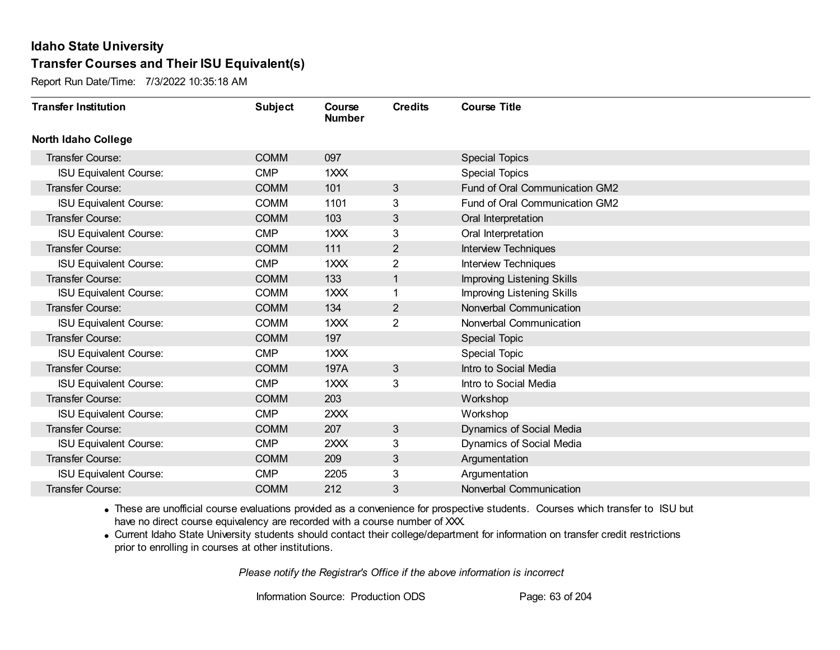Report Run Date/Time: 7/3/2022 10:35:18 AM

| <b>Transfer Institution</b>   | <b>Subject</b> | Course<br><b>Number</b> | <b>Credits</b> | <b>Course Title</b>               |
|-------------------------------|----------------|-------------------------|----------------|-----------------------------------|
| <b>North Idaho College</b>    |                |                         |                |                                   |
| <b>Transfer Course:</b>       | <b>COMM</b>    | 097                     |                | <b>Special Topics</b>             |
| <b>ISU Equivalent Course:</b> | <b>CMP</b>     | 1XXX                    |                | <b>Special Topics</b>             |
| <b>Transfer Course:</b>       | <b>COMM</b>    | 101                     | 3              | Fund of Oral Communication GM2    |
| <b>ISU Equivalent Course:</b> | <b>COMM</b>    | 1101                    | 3              | Fund of Oral Communication GM2    |
| Transfer Course:              | <b>COMM</b>    | 103                     | 3              | Oral Interpretation               |
| <b>ISU Equivalent Course:</b> | <b>CMP</b>     | 1XXX                    | 3              | Oral Interpretation               |
| <b>Transfer Course:</b>       | <b>COMM</b>    | 111                     | $\overline{2}$ | <b>Interview Techniques</b>       |
| <b>ISU Equivalent Course:</b> | <b>CMP</b>     | 1XXX                    | 2              | <b>Interview Techniques</b>       |
| Transfer Course:              | <b>COMM</b>    | 133                     | 1              | <b>Improving Listening Skills</b> |
| <b>ISU Equivalent Course:</b> | <b>COMM</b>    | 1XXX                    | 1              | Improving Listening Skills        |
| <b>Transfer Course:</b>       | <b>COMM</b>    | 134                     | $\overline{2}$ | Nonverbal Communication           |
| <b>ISU Equivalent Course:</b> | <b>COMM</b>    | 1XXX                    | $\overline{2}$ | Nonverbal Communication           |
| Transfer Course:              | <b>COMM</b>    | 197                     |                | <b>Special Topic</b>              |
| <b>ISU Equivalent Course:</b> | <b>CMP</b>     | 1XXX                    |                | Special Topic                     |
| Transfer Course:              | <b>COMM</b>    | 197A                    | 3              | Intro to Social Media             |
| <b>ISU Equivalent Course:</b> | <b>CMP</b>     | 1XXX                    | 3              | Intro to Social Media             |
| Transfer Course:              | <b>COMM</b>    | 203                     |                | Workshop                          |
| <b>ISU Equivalent Course:</b> | <b>CMP</b>     | 2XXX                    |                | Workshop                          |
| <b>Transfer Course:</b>       | <b>COMM</b>    | 207                     | 3              | Dynamics of Social Media          |
| <b>ISU Equivalent Course:</b> | <b>CMP</b>     | 2XXX                    | 3              | Dynamics of Social Media          |
| <b>Transfer Course:</b>       | <b>COMM</b>    | 209                     | 3              | Argumentation                     |
| <b>ISU Equivalent Course:</b> | <b>CMP</b>     | 2205                    | 3              | Argumentation                     |
| <b>Transfer Course:</b>       | <b>COMM</b>    | 212                     | 3              | Nonverbal Communication           |

· These are unofficial course evaluations provided as a convenience for prospective students. Courses which transfer to ISU but have no direct course equivalency are recorded with a course number of XXX.

· Current Idaho State University students should contact their college/department for information on transfer credit restrictions prior to enrolling in courses at other institutions.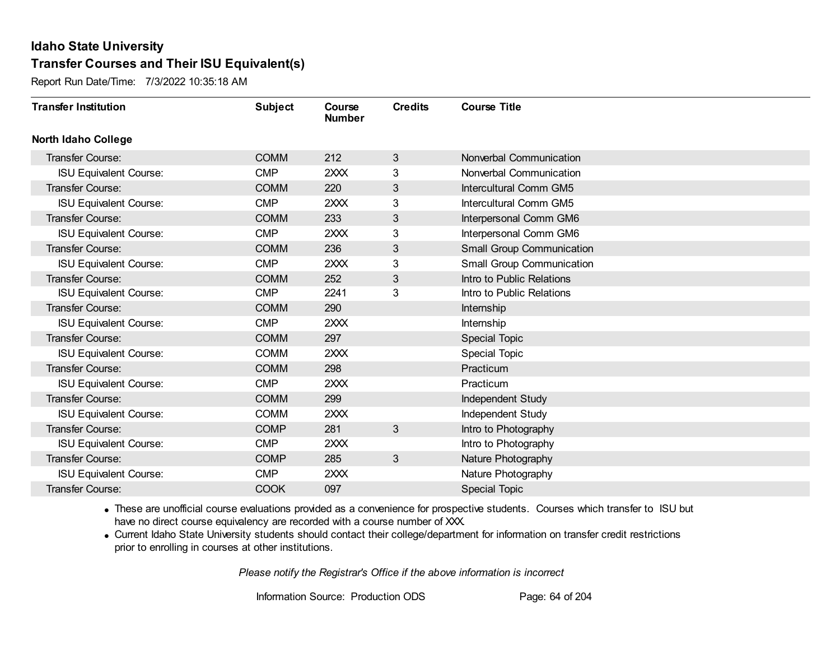Report Run Date/Time: 7/3/2022 10:35:18 AM

| <b>Transfer Institution</b>   | <b>Subject</b> | Course<br><b>Number</b> | <b>Credits</b> | <b>Course Title</b>              |
|-------------------------------|----------------|-------------------------|----------------|----------------------------------|
| <b>North Idaho College</b>    |                |                         |                |                                  |
| <b>Transfer Course:</b>       | <b>COMM</b>    | 212                     | 3              | Nonverbal Communication          |
| <b>ISU Equivalent Course:</b> | <b>CMP</b>     | 2XXX                    | 3              | Nonverbal Communication          |
| Transfer Course:              | <b>COMM</b>    | 220                     | 3              | Intercultural Comm GM5           |
| <b>ISU Equivalent Course:</b> | <b>CMP</b>     | 2XXX                    | 3              | Intercultural Comm GM5           |
| Transfer Course:              | <b>COMM</b>    | 233                     | 3              | Interpersonal Comm GM6           |
| <b>ISU Equivalent Course:</b> | <b>CMP</b>     | 2XXX                    | 3              | Interpersonal Comm GM6           |
| <b>Transfer Course:</b>       | <b>COMM</b>    | 236                     | $\mathbf{3}$   | <b>Small Group Communication</b> |
| <b>ISU Equivalent Course:</b> | <b>CMP</b>     | 2XXX                    | 3              | Small Group Communication        |
| Transfer Course:              | <b>COMM</b>    | 252                     | 3              | Intro to Public Relations        |
| <b>ISU Equivalent Course:</b> | <b>CMP</b>     | 2241                    | 3              | Intro to Public Relations        |
| Transfer Course:              | <b>COMM</b>    | 290                     |                | Internship                       |
| <b>ISU Equivalent Course:</b> | <b>CMP</b>     | 2XXX                    |                | Internship                       |
| <b>Transfer Course:</b>       | <b>COMM</b>    | 297                     |                | <b>Special Topic</b>             |
| <b>ISU Equivalent Course:</b> | <b>COMM</b>    | 2XXX                    |                | <b>Special Topic</b>             |
| Transfer Course:              | <b>COMM</b>    | 298                     |                | Practicum                        |
| <b>ISU Equivalent Course:</b> | <b>CMP</b>     | 2XXX                    |                | Practicum                        |
| Transfer Course:              | <b>COMM</b>    | 299                     |                | Independent Study                |
| <b>ISU Equivalent Course:</b> | <b>COMM</b>    | 2XXX                    |                | Independent Study                |
| <b>Transfer Course:</b>       | <b>COMP</b>    | 281                     | 3              | Intro to Photography             |
| <b>ISU Equivalent Course:</b> | <b>CMP</b>     | 2XXX                    |                | Intro to Photography             |
| <b>Transfer Course:</b>       | <b>COMP</b>    | 285                     | 3              | Nature Photography               |
| <b>ISU Equivalent Course:</b> | <b>CMP</b>     | 2XXX                    |                | Nature Photography               |
| Transfer Course:              | <b>COOK</b>    | 097                     |                | <b>Special Topic</b>             |

· These are unofficial course evaluations provided as a convenience for prospective students. Courses which transfer to ISU but have no direct course equivalency are recorded with a course number of XXX.

· Current Idaho State University students should contact their college/department for information on transfer credit restrictions prior to enrolling in courses at other institutions.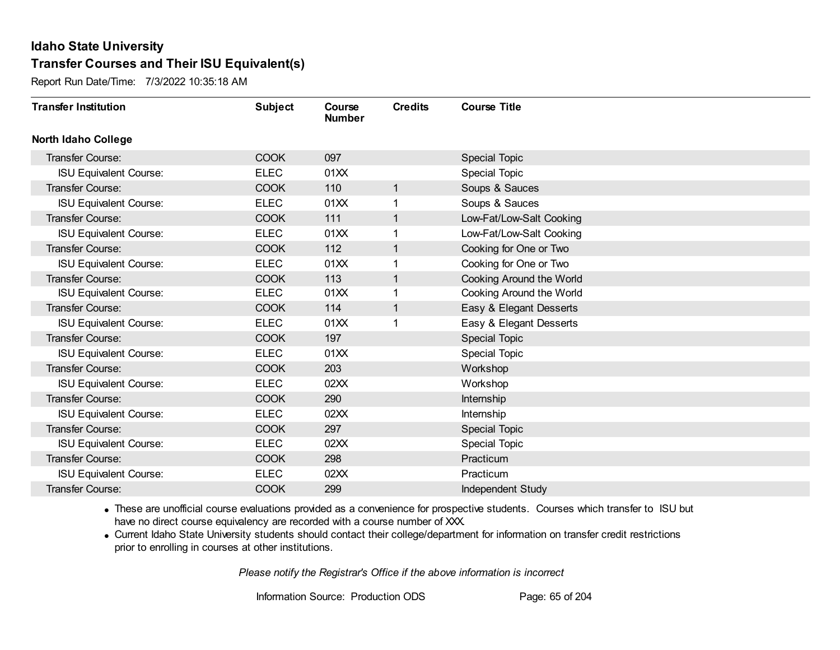Report Run Date/Time: 7/3/2022 10:35:18 AM

| <b>Transfer Institution</b>   | <b>Subject</b> | Course<br><b>Number</b> | <b>Credits</b> | <b>Course Title</b>      |
|-------------------------------|----------------|-------------------------|----------------|--------------------------|
| <b>North Idaho College</b>    |                |                         |                |                          |
| Transfer Course:              | <b>COOK</b>    | 097                     |                | <b>Special Topic</b>     |
| <b>ISU Equivalent Course:</b> | <b>ELEC</b>    | 01XX                    |                | Special Topic            |
| Transfer Course:              | <b>COOK</b>    | 110                     | $\mathbf{1}$   | Soups & Sauces           |
| <b>ISU Equivalent Course:</b> | <b>ELEC</b>    | 01XX                    | 1              | Soups & Sauces           |
| Transfer Course:              | <b>COOK</b>    | 111                     | $\mathbf{1}$   | Low-Fat/Low-Salt Cooking |
| <b>ISU Equivalent Course:</b> | <b>ELEC</b>    | 01XX                    |                | Low-Fat/Low-Salt Cooking |
| <b>Transfer Course:</b>       | <b>COOK</b>    | 112                     | $\mathbf 1$    | Cooking for One or Two   |
| <b>ISU Equivalent Course:</b> | <b>ELEC</b>    | 01XX                    |                | Cooking for One or Two   |
| Transfer Course:              | <b>COOK</b>    | 113                     | 1              | Cooking Around the World |
| <b>ISU Equivalent Course:</b> | <b>ELEC</b>    | 01XX                    | 1              | Cooking Around the World |
| Transfer Course:              | <b>COOK</b>    | 114                     | 1              | Easy & Elegant Desserts  |
| <b>ISU Equivalent Course:</b> | <b>ELEC</b>    | 01XX                    |                | Easy & Elegant Desserts  |
| Transfer Course:              | <b>COOK</b>    | 197                     |                | Special Topic            |
| <b>ISU Equivalent Course:</b> | <b>ELEC</b>    | 01XX                    |                | <b>Special Topic</b>     |
| Transfer Course:              | <b>COOK</b>    | 203                     |                | Workshop                 |
| <b>ISU Equivalent Course:</b> | <b>ELEC</b>    | 02XX                    |                | Workshop                 |
| Transfer Course:              | <b>COOK</b>    | 290                     |                | Internship               |
| <b>ISU Equivalent Course:</b> | <b>ELEC</b>    | 02XX                    |                | Internship               |
| <b>Transfer Course:</b>       | <b>COOK</b>    | 297                     |                | Special Topic            |
| <b>ISU Equivalent Course:</b> | <b>ELEC</b>    | 02XX                    |                | <b>Special Topic</b>     |
| <b>Transfer Course:</b>       | <b>COOK</b>    | 298                     |                | Practicum                |
| <b>ISU Equivalent Course:</b> | <b>ELEC</b>    | 02XX                    |                | Practicum                |
| Transfer Course:              | <b>COOK</b>    | 299                     |                | Independent Study        |

· These are unofficial course evaluations provided as a convenience for prospective students. Courses which transfer to ISU but have no direct course equivalency are recorded with a course number of XXX.

· Current Idaho State University students should contact their college/department for information on transfer credit restrictions prior to enrolling in courses at other institutions.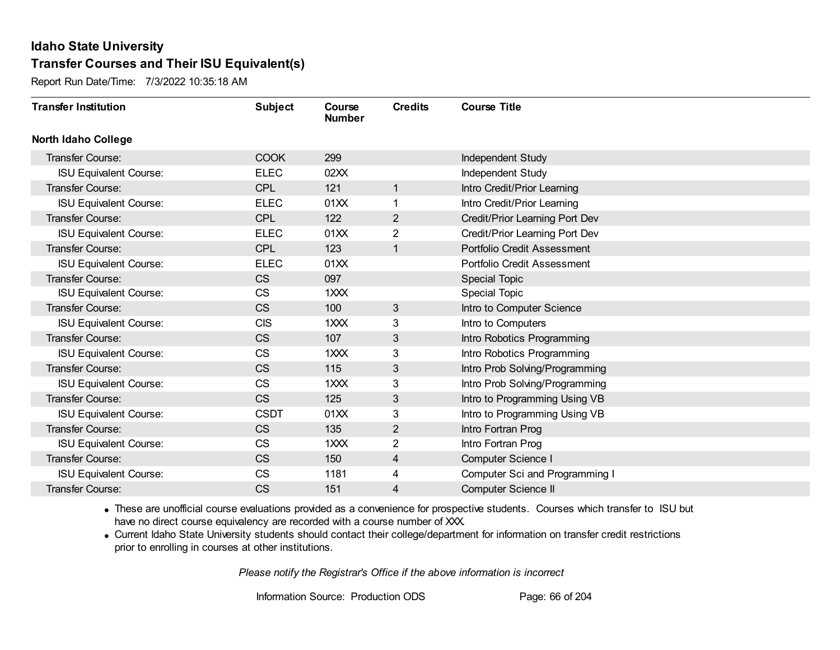Report Run Date/Time: 7/3/2022 10:35:18 AM

| <b>Transfer Institution</b>   | <b>Subject</b> | Course<br><b>Number</b> | <b>Credits</b> | <b>Course Title</b>            |
|-------------------------------|----------------|-------------------------|----------------|--------------------------------|
| <b>North Idaho College</b>    |                |                         |                |                                |
| Transfer Course:              | <b>COOK</b>    | 299                     |                | Independent Study              |
| <b>ISU Equivalent Course:</b> | <b>ELEC</b>    | 02XX                    |                | Independent Study              |
| Transfer Course:              | <b>CPL</b>     | 121                     | 1              | Intro Credit/Prior Learning    |
| <b>ISU Equivalent Course:</b> | <b>ELEC</b>    | 01XX                    | 1              | Intro Credit/Prior Learning    |
| <b>Transfer Course:</b>       | <b>CPL</b>     | 122                     | $\overline{2}$ | Credit/Prior Learning Port Dev |
| <b>ISU Equivalent Course:</b> | <b>ELEC</b>    | 01XX                    | 2              | Credit/Prior Learning Port Dev |
| <b>Transfer Course:</b>       | <b>CPL</b>     | 123                     | $\mathbf{1}$   | Portfolio Credit Assessment    |
| <b>ISU Equivalent Course:</b> | <b>ELEC</b>    | 01XX                    |                | Portfolio Credit Assessment    |
| Transfer Course:              | <b>CS</b>      | 097                     |                | <b>Special Topic</b>           |
| <b>ISU Equivalent Course:</b> | CS             | 1XXX                    |                | <b>Special Topic</b>           |
| Transfer Course:              | <b>CS</b>      | 100                     | 3              | Intro to Computer Science      |
| <b>ISU Equivalent Course:</b> | <b>CIS</b>     | 1XXX                    | 3              | Intro to Computers             |
| Transfer Course:              | <b>CS</b>      | 107                     | 3              | Intro Robotics Programming     |
| <b>ISU Equivalent Course:</b> | <b>CS</b>      | 1XXX                    | 3              | Intro Robotics Programming     |
| Transfer Course:              | <b>CS</b>      | 115                     | 3              | Intro Prob Solving/Programming |
| <b>ISU Equivalent Course:</b> | <b>CS</b>      | 1XXX                    | 3              | Intro Prob Solving/Programming |
| <b>Transfer Course:</b>       | <b>CS</b>      | 125                     | 3              | Intro to Programming Using VB  |
| <b>ISU Equivalent Course:</b> | <b>CSDT</b>    | 01XX                    | 3              | Intro to Programming Using VB  |
| Transfer Course:              | <b>CS</b>      | 135                     | $\overline{2}$ | Intro Fortran Prog             |
| <b>ISU Equivalent Course:</b> | <b>CS</b>      | 1XXX                    | 2              | Intro Fortran Prog             |
| Transfer Course:              | <b>CS</b>      | 150                     | 4              | <b>Computer Science I</b>      |
| <b>ISU Equivalent Course:</b> | <b>CS</b>      | 1181                    | 4              | Computer Sci and Programming I |
| <b>Transfer Course:</b>       | <b>CS</b>      | 151                     | 4              | <b>Computer Science II</b>     |

· These are unofficial course evaluations provided as a convenience for prospective students. Courses which transfer to ISU but have no direct course equivalency are recorded with a course number of XXX.

· Current Idaho State University students should contact their college/department for information on transfer credit restrictions prior to enrolling in courses at other institutions.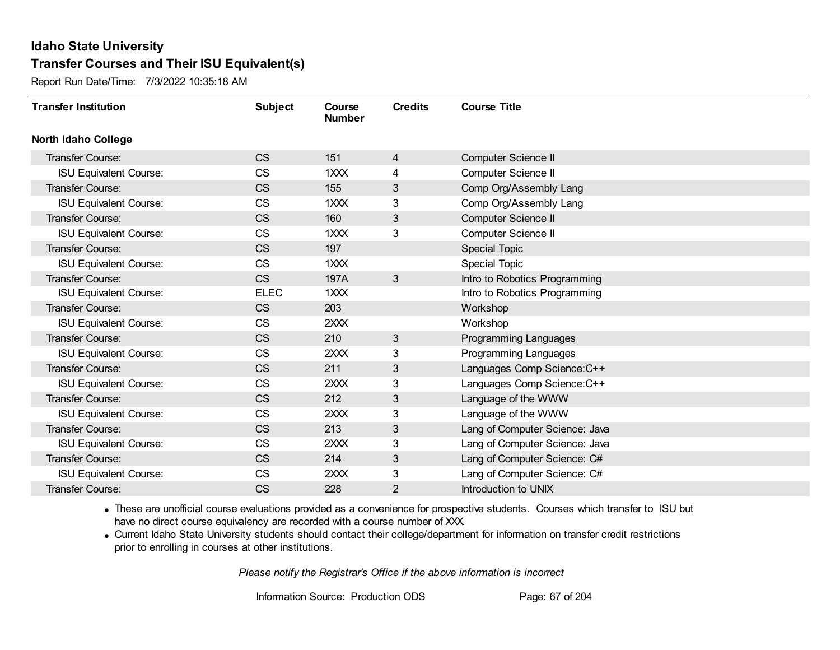Report Run Date/Time: 7/3/2022 10:35:18 AM

| <b>Transfer Institution</b>   | <b>Subject</b> | Course<br><b>Number</b> | <b>Credits</b> | <b>Course Title</b>            |
|-------------------------------|----------------|-------------------------|----------------|--------------------------------|
| North Idaho College           |                |                         |                |                                |
| <b>Transfer Course:</b>       | <b>CS</b>      | 151                     | $\overline{4}$ | <b>Computer Science II</b>     |
| <b>ISU Equivalent Course:</b> | <b>CS</b>      | 1XXX                    | 4              | Computer Science II            |
| Transfer Course:              | <b>CS</b>      | 155                     | 3              | Comp Org/Assembly Lang         |
| <b>ISU Equivalent Course:</b> | <b>CS</b>      | 1XXX                    | 3              | Comp Org/Assembly Lang         |
| Transfer Course:              | <b>CS</b>      | 160                     | 3              | <b>Computer Science II</b>     |
| <b>ISU Equivalent Course:</b> | <b>CS</b>      | 1XXX                    | 3              | Computer Science II            |
| <b>Transfer Course:</b>       | <b>CS</b>      | 197                     |                | Special Topic                  |
| <b>ISU Equivalent Course:</b> | <b>CS</b>      | 1 <sup>xx</sup>         |                | Special Topic                  |
| Transfer Course:              | <b>CS</b>      | 197A                    | 3              | Intro to Robotics Programming  |
| <b>ISU Equivalent Course:</b> | <b>ELEC</b>    | 1XXX                    |                | Intro to Robotics Programming  |
| Transfer Course:              | <b>CS</b>      | 203                     |                | Workshop                       |
| <b>ISU Equivalent Course:</b> | <b>CS</b>      | 2XXX                    |                | Workshop                       |
| Transfer Course:              | <b>CS</b>      | 210                     | 3              | Programming Languages          |
| <b>ISU Equivalent Course:</b> | <b>CS</b>      | 2XXX                    | 3              | Programming Languages          |
| Transfer Course:              | <b>CS</b>      | 211                     | 3              | Languages Comp Science: C++    |
| <b>ISU Equivalent Course:</b> | <b>CS</b>      | 2XXX                    | 3              | Languages Comp Science: C++    |
| Transfer Course:              | <b>CS</b>      | 212                     | 3              | Language of the WWW            |
| <b>ISU Equivalent Course:</b> | <b>CS</b>      | 2XXX                    | 3              | Language of the WWW            |
| Transfer Course:              | <b>CS</b>      | 213                     | 3              | Lang of Computer Science: Java |
| <b>ISU Equivalent Course:</b> | <b>CS</b>      | 2XXX                    | 3              | Lang of Computer Science: Java |
| Transfer Course:              | <b>CS</b>      | 214                     | 3              | Lang of Computer Science: C#   |
| <b>ISU Equivalent Course:</b> | <b>CS</b>      | 2XXX                    | 3              | Lang of Computer Science: C#   |
| Transfer Course:              | <b>CS</b>      | 228                     | $\overline{2}$ | Introduction to UNIX           |

· These are unofficial course evaluations provided as a convenience for prospective students. Courses which transfer to ISU but have no direct course equivalency are recorded with a course number of XXX.

· Current Idaho State University students should contact their college/department for information on transfer credit restrictions prior to enrolling in courses at other institutions.

*Please notify the Registrar's Office if the above information is incorrect*

Information Source: Production ODS Page: 67 of 204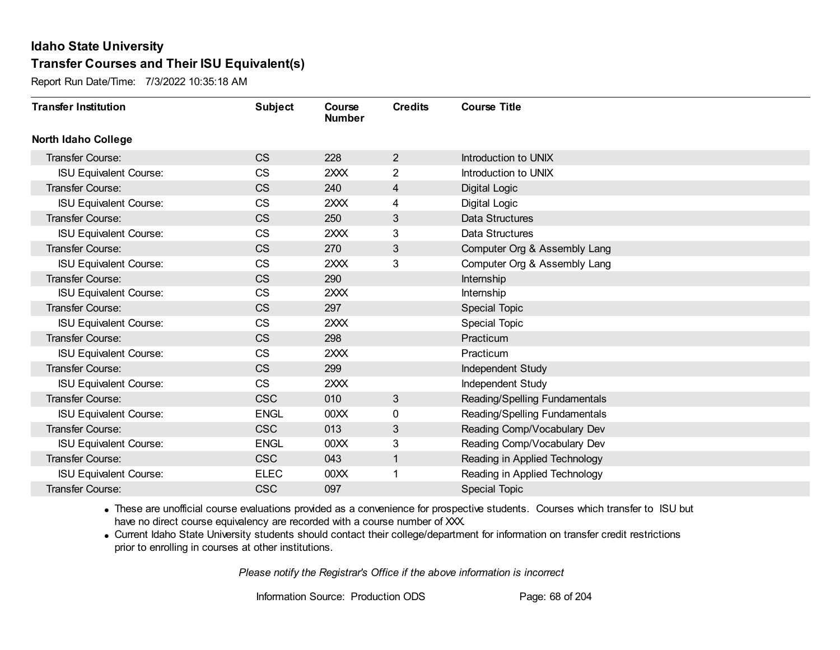Report Run Date/Time: 7/3/2022 10:35:18 AM

| <b>Transfer Institution</b>   | <b>Subject</b> | Course<br><b>Number</b> | <b>Credits</b>          | <b>Course Title</b>           |
|-------------------------------|----------------|-------------------------|-------------------------|-------------------------------|
| <b>North Idaho College</b>    |                |                         |                         |                               |
| Transfer Course:              | <b>CS</b>      | 228                     | $\overline{2}$          | Introduction to UNIX          |
| <b>ISU Equivalent Course:</b> | <b>CS</b>      | 2XXX                    | $\overline{2}$          | Introduction to UNIX          |
| Transfer Course:              | <b>CS</b>      | 240                     | $\overline{\mathbf{4}}$ | Digital Logic                 |
| <b>ISU Equivalent Course:</b> | <b>CS</b>      | 2XXX                    | 4                       | Digital Logic                 |
| <b>Transfer Course:</b>       | <b>CS</b>      | 250                     | 3                       | Data Structures               |
| <b>ISU Equivalent Course:</b> | <b>CS</b>      | 2XXX                    | 3                       | Data Structures               |
| Transfer Course:              | <b>CS</b>      | 270                     | 3                       | Computer Org & Assembly Lang  |
| <b>ISU Equivalent Course:</b> | <b>CS</b>      | 2XXX                    | 3                       | Computer Org & Assembly Lang  |
| Transfer Course:              | <b>CS</b>      | 290                     |                         | Internship                    |
| <b>ISU Equivalent Course:</b> | <b>CS</b>      | 2XXX                    |                         | Internship                    |
| Transfer Course:              | <b>CS</b>      | 297                     |                         | <b>Special Topic</b>          |
| <b>ISU Equivalent Course:</b> | <b>CS</b>      | 2XXX                    |                         | Special Topic                 |
| <b>Transfer Course:</b>       | <b>CS</b>      | 298                     |                         | Practicum                     |
| <b>ISU Equivalent Course:</b> | <b>CS</b>      | 2XXX                    |                         | Practicum                     |
| Transfer Course:              | <b>CS</b>      | 299                     |                         | Independent Study             |
| <b>ISU Equivalent Course:</b> | <b>CS</b>      | 2XXX                    |                         | Independent Study             |
| Transfer Course:              | <b>CSC</b>     | 010                     | 3                       | Reading/Spelling Fundamentals |
| <b>ISU Equivalent Course:</b> | <b>ENGL</b>    | 00XX                    | 0                       | Reading/Spelling Fundamentals |
| <b>Transfer Course:</b>       | <b>CSC</b>     | 013                     | 3                       | Reading Comp/Vocabulary Dev   |
| <b>ISU Equivalent Course:</b> | <b>ENGL</b>    | 00XX                    | 3                       | Reading Comp/Vocabulary Dev   |
| <b>Transfer Course:</b>       | <b>CSC</b>     | 043                     | $\mathbf{1}$            | Reading in Applied Technology |
| <b>ISU Equivalent Course:</b> | <b>ELEC</b>    | 00 <sub>XX</sub>        | 1                       | Reading in Applied Technology |
| Transfer Course:              | <b>CSC</b>     | 097                     |                         | <b>Special Topic</b>          |

· These are unofficial course evaluations provided as a convenience for prospective students. Courses which transfer to ISU but have no direct course equivalency are recorded with a course number of XXX.

· Current Idaho State University students should contact their college/department for information on transfer credit restrictions prior to enrolling in courses at other institutions.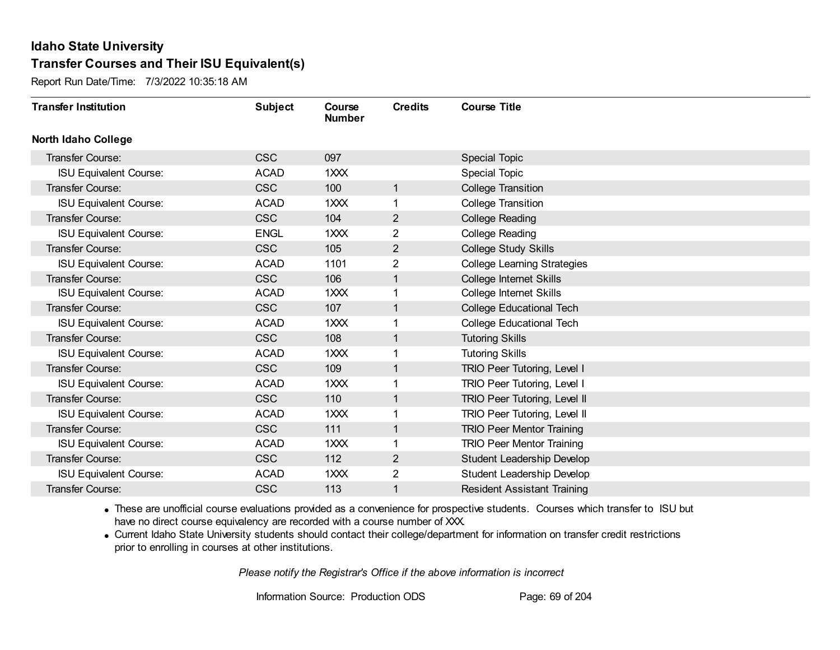Report Run Date/Time: 7/3/2022 10:35:18 AM

| <b>Transfer Institution</b>   | <b>Subject</b> | Course<br><b>Number</b> | <b>Credits</b> | <b>Course Title</b>                 |
|-------------------------------|----------------|-------------------------|----------------|-------------------------------------|
| <b>North Idaho College</b>    |                |                         |                |                                     |
| <b>Transfer Course:</b>       | <b>CSC</b>     | 097                     |                | <b>Special Topic</b>                |
| <b>ISU Equivalent Course:</b> | <b>ACAD</b>    | 1XXX                    |                | <b>Special Topic</b>                |
| Transfer Course:              | <b>CSC</b>     | 100                     | 1              | <b>College Transition</b>           |
| <b>ISU Equivalent Course:</b> | <b>ACAD</b>    | 1XXX                    | 1              | <b>College Transition</b>           |
| <b>Transfer Course:</b>       | <b>CSC</b>     | 104                     | $\overline{2}$ | <b>College Reading</b>              |
| <b>ISU Equivalent Course:</b> | <b>ENGL</b>    | 1XXX                    | 2              | <b>College Reading</b>              |
| Transfer Course:              | <b>CSC</b>     | 105                     | $\overline{c}$ | <b>College Study Skills</b>         |
| <b>ISU Equivalent Course:</b> | <b>ACAD</b>    | 1101                    | 2              | <b>College Learning Strategies</b>  |
| Transfer Course:              | <b>CSC</b>     | 106                     | 1              | College Internet Skills             |
| <b>ISU Equivalent Course:</b> | <b>ACAD</b>    | 1XXX                    | 1              | College Internet Skills             |
| Transfer Course:              | <b>CSC</b>     | 107                     | 1              | <b>College Educational Tech</b>     |
| <b>ISU Equivalent Course:</b> | <b>ACAD</b>    | 1XXX                    |                | <b>College Educational Tech</b>     |
| Transfer Course:              | <b>CSC</b>     | 108                     | 1              | <b>Tutoring Skills</b>              |
| <b>ISU Equivalent Course:</b> | <b>ACAD</b>    | 1XXX                    |                | <b>Tutoring Skills</b>              |
| Transfer Course:              | <b>CSC</b>     | 109                     | 1              | <b>TRIO Peer Tutoring, Level I</b>  |
| <b>ISU Equivalent Course:</b> | <b>ACAD</b>    | 1XXX                    | $\mathbf{1}$   | TRIO Peer Tutoring, Level I         |
| Transfer Course:              | <b>CSC</b>     | 110                     | 1              | TRIO Peer Tutoring, Level II        |
| <b>ISU Equivalent Course:</b> | <b>ACAD</b>    | 1XXX                    |                | <b>TRIO Peer Tutoring, Level II</b> |
| Transfer Course:              | <b>CSC</b>     | 111                     | $\mathbf 1$    | <b>TRIO Peer Mentor Training</b>    |
| <b>ISU Equivalent Course:</b> | <b>ACAD</b>    | 1XXX                    |                | <b>TRIO Peer Mentor Training</b>    |
| Transfer Course:              | <b>CSC</b>     | 112                     | $\overline{2}$ | <b>Student Leadership Develop</b>   |
| <b>ISU Equivalent Course:</b> | <b>ACAD</b>    | 1XXX                    | $\overline{2}$ | Student Leadership Develop          |
| <b>Transfer Course:</b>       | <b>CSC</b>     | 113                     | 1              | <b>Resident Assistant Training</b>  |

· These are unofficial course evaluations provided as a convenience for prospective students. Courses which transfer to ISU but have no direct course equivalency are recorded with a course number of XXX.

· Current Idaho State University students should contact their college/department for information on transfer credit restrictions prior to enrolling in courses at other institutions.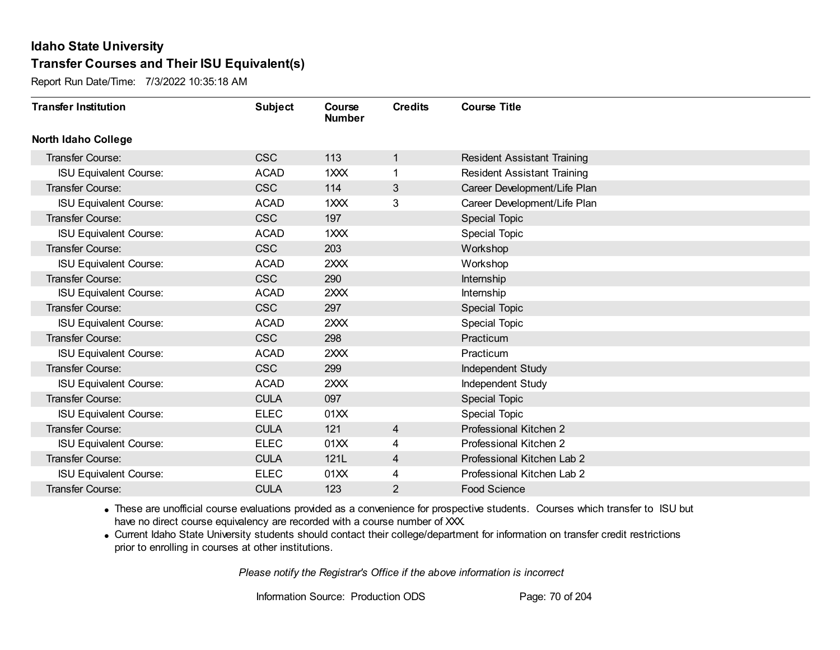Report Run Date/Time: 7/3/2022 10:35:18 AM

| <b>Transfer Institution</b>   | <b>Subject</b> | Course<br><b>Number</b>     | <b>Credits</b> | <b>Course Title</b>                |
|-------------------------------|----------------|-----------------------------|----------------|------------------------------------|
| <b>North Idaho College</b>    |                |                             |                |                                    |
| Transfer Course:              | <b>CSC</b>     | 113                         | 1              | <b>Resident Assistant Training</b> |
| <b>ISU Equivalent Course:</b> | <b>ACAD</b>    | 1 <sup>2</sup> <sup>2</sup> |                | <b>Resident Assistant Training</b> |
| Transfer Course:              | <b>CSC</b>     | 114                         | 3              | Career Development/Life Plan       |
| <b>ISU Equivalent Course:</b> | <b>ACAD</b>    | 1XXX                        | 3              | Career Development/Life Plan       |
| <b>Transfer Course:</b>       | <b>CSC</b>     | 197                         |                | <b>Special Topic</b>               |
| <b>ISU Equivalent Course:</b> | <b>ACAD</b>    | 1XXX                        |                | <b>Special Topic</b>               |
| <b>Transfer Course:</b>       | <b>CSC</b>     | 203                         |                | Workshop                           |
| <b>ISU Equivalent Course:</b> | <b>ACAD</b>    | 2XXX                        |                | Workshop                           |
| <b>Transfer Course:</b>       | <b>CSC</b>     | 290                         |                | Internship                         |
| <b>ISU Equivalent Course:</b> | <b>ACAD</b>    | 2XXX                        |                | Internship                         |
| <b>Transfer Course:</b>       | <b>CSC</b>     | 297                         |                | Special Topic                      |
| <b>ISU Equivalent Course:</b> | <b>ACAD</b>    | 2XXX                        |                | <b>Special Topic</b>               |
| Transfer Course:              | <b>CSC</b>     | 298                         |                | Practicum                          |
| <b>ISU Equivalent Course:</b> | <b>ACAD</b>    | 2XXX                        |                | Practicum                          |
| Transfer Course:              | <b>CSC</b>     | 299                         |                | Independent Study                  |
| <b>ISU Equivalent Course:</b> | <b>ACAD</b>    | 2XXX                        |                | <b>Independent Study</b>           |
| Transfer Course:              | <b>CULA</b>    | 097                         |                | <b>Special Topic</b>               |
| <b>ISU Equivalent Course:</b> | <b>ELEC</b>    | 01XX                        |                | Special Topic                      |
| Transfer Course:              | <b>CULA</b>    | 121                         | 4              | Professional Kitchen 2             |
| <b>ISU Equivalent Course:</b> | <b>ELEC</b>    | 01XX                        | 4              | Professional Kitchen 2             |
| Transfer Course:              | <b>CULA</b>    | 121L                        | 4              | Professional Kitchen Lab 2         |
| <b>ISU Equivalent Course:</b> | <b>ELEC</b>    | 01XX                        | 4              | Professional Kitchen Lab 2         |
| <b>Transfer Course:</b>       | <b>CULA</b>    | 123                         | 2              | <b>Food Science</b>                |

· These are unofficial course evaluations provided as a convenience for prospective students. Courses which transfer to ISU but have no direct course equivalency are recorded with a course number of XXX.

· Current Idaho State University students should contact their college/department for information on transfer credit restrictions prior to enrolling in courses at other institutions.

*Please notify the Registrar's Office if the above information is incorrect*

Information Source: Production ODS Page: 70 of 204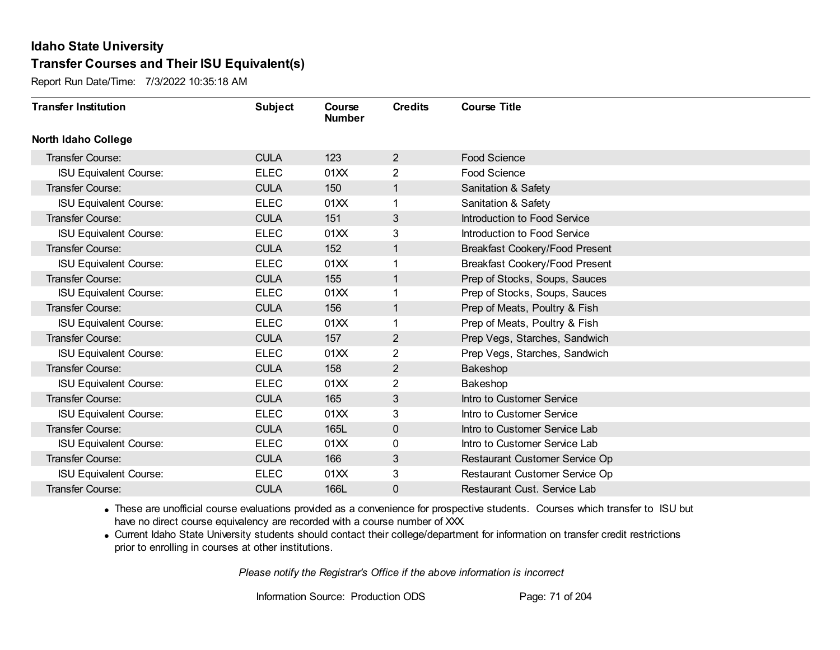Report Run Date/Time: 7/3/2022 10:35:18 AM

| <b>Transfer Institution</b>   | <b>Subject</b> | Course<br><b>Number</b> | <b>Credits</b> | <b>Course Title</b>            |
|-------------------------------|----------------|-------------------------|----------------|--------------------------------|
| <b>North Idaho College</b>    |                |                         |                |                                |
| Transfer Course:              | <b>CULA</b>    | 123                     | $\overline{2}$ | <b>Food Science</b>            |
| <b>ISU Equivalent Course:</b> | <b>ELEC</b>    | 01XX                    | 2              | Food Science                   |
| Transfer Course:              | <b>CULA</b>    | 150                     | $\mathbf{1}$   | Sanitation & Safety            |
| <b>ISU Equivalent Course:</b> | <b>ELEC</b>    | 01XX                    | 1              | Sanitation & Safety            |
| Transfer Course:              | <b>CULA</b>    | 151                     | 3              | Introduction to Food Service   |
| <b>ISU Equivalent Course:</b> | <b>ELEC</b>    | 01XX                    | 3              | Introduction to Food Service   |
| <b>Transfer Course:</b>       | <b>CULA</b>    | 152                     | $\mathbf{1}$   | Breakfast Cookery/Food Present |
| <b>ISU Equivalent Course:</b> | <b>ELEC</b>    | 01XX                    | 1              | Breakfast Cookery/Food Present |
| Transfer Course:              | <b>CULA</b>    | 155                     | $\mathbf{1}$   | Prep of Stocks, Soups, Sauces  |
| <b>ISU Equivalent Course:</b> | <b>ELEC</b>    | 01XX                    | 1              | Prep of Stocks, Soups, Sauces  |
| <b>Transfer Course:</b>       | <b>CULA</b>    | 156                     | $\mathbf{1}$   | Prep of Meats, Poultry & Fish  |
| <b>ISU Equivalent Course:</b> | <b>ELEC</b>    | 01XX                    | 1              | Prep of Meats, Poultry & Fish  |
| Transfer Course:              | <b>CULA</b>    | 157                     | $\overline{2}$ | Prep Vegs, Starches, Sandwich  |
| <b>ISU Equivalent Course:</b> | <b>ELEC</b>    | 01XX                    | $\overline{2}$ | Prep Vegs, Starches, Sandwich  |
| Transfer Course:              | <b>CULA</b>    | 158                     | $\overline{2}$ | Bakeshop                       |
| <b>ISU Equivalent Course:</b> | <b>ELEC</b>    | 01XX                    | $\overline{2}$ | Bakeshop                       |
| Transfer Course:              | <b>CULA</b>    | 165                     | 3              | Intro to Customer Service      |
| <b>ISU Equivalent Course:</b> | <b>ELEC</b>    | 01XX                    | 3              | Intro to Customer Service      |
| Transfer Course:              | <b>CULA</b>    | 165L                    | 0              | Intro to Customer Service Lab  |
| <b>ISU Equivalent Course:</b> | <b>ELEC</b>    | 01XX                    | 0              | Intro to Customer Service Lab  |
| Transfer Course:              | <b>CULA</b>    | 166                     | 3              | Restaurant Customer Service Op |
| <b>ISU Equivalent Course:</b> | <b>ELEC</b>    | 01XX                    | 3              | Restaurant Customer Service Op |
| Transfer Course:              | <b>CULA</b>    | 166L                    | 0              | Restaurant Cust. Service Lab   |

· These are unofficial course evaluations provided as a convenience for prospective students. Courses which transfer to ISU but have no direct course equivalency are recorded with a course number of XXX.

· Current Idaho State University students should contact their college/department for information on transfer credit restrictions prior to enrolling in courses at other institutions.

*Please notify the Registrar's Office if the above information is incorrect*

Information Source: Production ODS Page: 71 of 204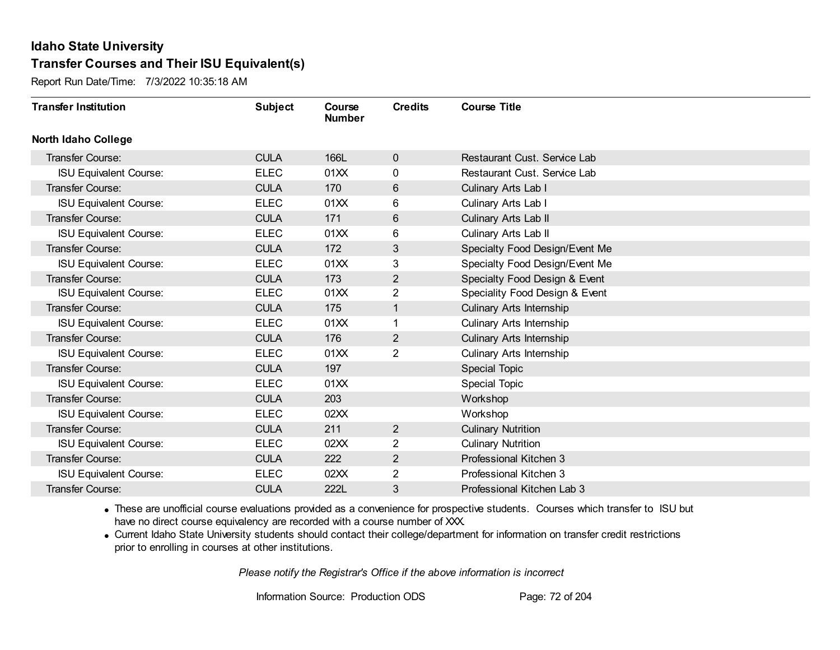Report Run Date/Time: 7/3/2022 10:35:18 AM

| <b>Transfer Institution</b>   | <b>Subject</b> | Course<br><b>Number</b> | <b>Credits</b> | <b>Course Title</b>             |
|-------------------------------|----------------|-------------------------|----------------|---------------------------------|
| <b>North Idaho College</b>    |                |                         |                |                                 |
| Transfer Course:              | <b>CULA</b>    | 166L                    | $\mathbf{0}$   | Restaurant Cust. Service Lab    |
| <b>ISU Equivalent Course:</b> | <b>ELEC</b>    | 01XX                    | 0              | Restaurant Cust. Service Lab    |
| Transfer Course:              | <b>CULA</b>    | 170                     | 6              | Culinary Arts Lab I             |
| <b>ISU Equivalent Course:</b> | <b>ELEC</b>    | 01XX                    | 6              | Culinary Arts Lab I             |
| <b>Transfer Course:</b>       | <b>CULA</b>    | 171                     | 6              | Culinary Arts Lab II            |
| <b>ISU Equivalent Course:</b> | <b>ELEC</b>    | 01XX                    | 6              | Culinary Arts Lab II            |
| Transfer Course:              | <b>CULA</b>    | 172                     | 3              | Specialty Food Design/Event Me  |
| <b>ISU Equivalent Course:</b> | <b>ELEC</b>    | 01XX                    | 3              | Specialty Food Design/Event Me  |
| <b>Transfer Course:</b>       | <b>CULA</b>    | 173                     | $\overline{2}$ | Specialty Food Design & Event   |
| <b>ISU Equivalent Course:</b> | <b>ELEC</b>    | 01XX                    | $\overline{2}$ | Speciality Food Design & Event  |
| <b>Transfer Course:</b>       | <b>CULA</b>    | 175                     | $\mathbf{1}$   | <b>Culinary Arts Internship</b> |
| <b>ISU Equivalent Course:</b> | <b>ELEC</b>    | 01XX                    | 1              | Culinary Arts Internship        |
| Transfer Course:              | <b>CULA</b>    | 176                     | $\overline{2}$ | <b>Culinary Arts Internship</b> |
| <b>ISU Equivalent Course:</b> | <b>ELEC</b>    | 01XX                    | $\overline{2}$ | Culinary Arts Internship        |
| Transfer Course:              | <b>CULA</b>    | 197                     |                | Special Topic                   |
| <b>ISU Equivalent Course:</b> | <b>ELEC</b>    | 01XX                    |                | <b>Special Topic</b>            |
| Transfer Course:              | <b>CULA</b>    | 203                     |                | Workshop                        |
| <b>ISU Equivalent Course:</b> | <b>ELEC</b>    | 02XX                    |                | Workshop                        |
| <b>Transfer Course:</b>       | <b>CULA</b>    | 211                     | $\overline{2}$ | <b>Culinary Nutrition</b>       |
| <b>ISU Equivalent Course:</b> | <b>ELEC</b>    | 02XX                    | 2              | <b>Culinary Nutrition</b>       |
| Transfer Course:              | <b>CULA</b>    | 222                     | $\overline{2}$ | Professional Kitchen 3          |
| <b>ISU Equivalent Course:</b> | <b>ELEC</b>    | 02XX                    | $\overline{2}$ | Professional Kitchen 3          |
| Transfer Course:              | <b>CULA</b>    | 222L                    | 3              | Professional Kitchen Lab 3      |

· These are unofficial course evaluations provided as a convenience for prospective students. Courses which transfer to ISU but have no direct course equivalency are recorded with a course number of XXX.

· Current Idaho State University students should contact their college/department for information on transfer credit restrictions prior to enrolling in courses at other institutions.

*Please notify the Registrar's Office if the above information is incorrect*

Information Source: Production ODS Page: 72 of 204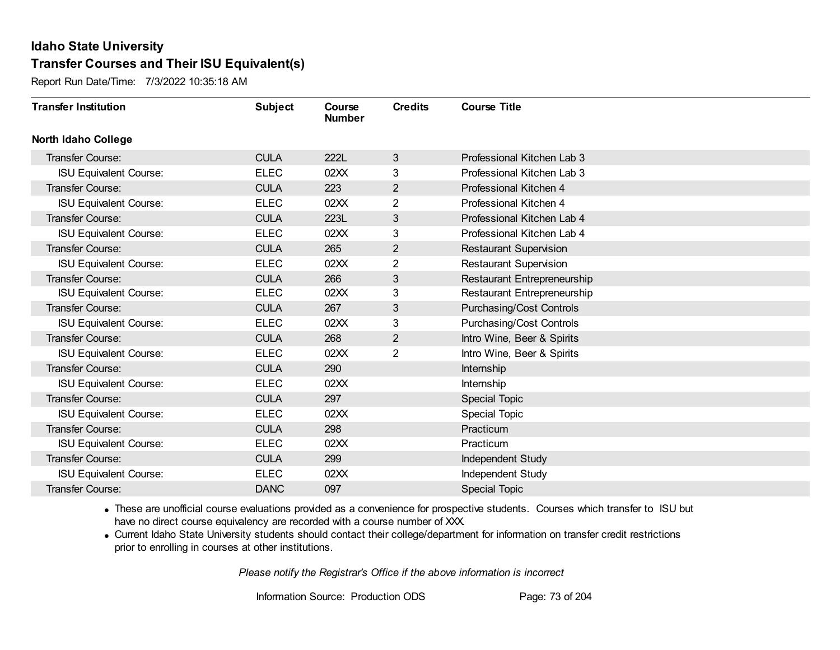Report Run Date/Time: 7/3/2022 10:35:18 AM

| <b>Transfer Institution</b>   | <b>Subject</b> | Course<br><b>Number</b> | <b>Credits</b> | <b>Course Title</b>             |
|-------------------------------|----------------|-------------------------|----------------|---------------------------------|
| <b>North Idaho College</b>    |                |                         |                |                                 |
| <b>Transfer Course:</b>       | <b>CULA</b>    | 222L                    | 3              | Professional Kitchen Lab 3      |
| <b>ISU Equivalent Course:</b> | <b>ELEC</b>    | 02XX                    | 3              | Professional Kitchen Lab 3      |
| Transfer Course:              | <b>CULA</b>    | 223                     | $\overline{2}$ | Professional Kitchen 4          |
| <b>ISU Equivalent Course:</b> | <b>ELEC</b>    | 02XX                    | $\overline{2}$ | Professional Kitchen 4          |
| <b>Transfer Course:</b>       | <b>CULA</b>    | 223L                    | 3              | Professional Kitchen Lab 4      |
| <b>ISU Equivalent Course:</b> | <b>ELEC</b>    | 02XX                    | 3              | Professional Kitchen Lab 4      |
| <b>Transfer Course:</b>       | <b>CULA</b>    | 265                     | $\overline{2}$ | <b>Restaurant Supervision</b>   |
| <b>ISU Equivalent Course:</b> | <b>ELEC</b>    | 02XX                    | 2              | <b>Restaurant Supervision</b>   |
| Transfer Course:              | <b>CULA</b>    | 266                     | 3              | Restaurant Entrepreneurship     |
| <b>ISU Equivalent Course:</b> | <b>ELEC</b>    | 02XX                    | 3              | Restaurant Entrepreneurship     |
| Transfer Course:              | <b>CULA</b>    | 267                     | 3              | <b>Purchasing/Cost Controls</b> |
| <b>ISU Equivalent Course:</b> | <b>ELEC</b>    | 02XX                    | 3              | <b>Purchasing/Cost Controls</b> |
| Transfer Course:              | <b>CULA</b>    | 268                     | $\overline{2}$ | Intro Wine, Beer & Spirits      |
| <b>ISU Equivalent Course:</b> | <b>ELEC</b>    | 02XX                    | $\overline{2}$ | Intro Wine, Beer & Spirits      |
| Transfer Course:              | <b>CULA</b>    | 290                     |                | Internship                      |
| <b>ISU Equivalent Course:</b> | <b>ELEC</b>    | 02XX                    |                | Internship                      |
| Transfer Course:              | <b>CULA</b>    | 297                     |                | <b>Special Topic</b>            |
| <b>ISU Equivalent Course:</b> | <b>ELEC</b>    | 02XX                    |                | Special Topic                   |
| Transfer Course:              | <b>CULA</b>    | 298                     |                | Practicum                       |
| <b>ISU Equivalent Course:</b> | <b>ELEC</b>    | 02XX                    |                | Practicum                       |
| Transfer Course:              | <b>CULA</b>    | 299                     |                | Independent Study               |
| <b>ISU Equivalent Course:</b> | <b>ELEC</b>    | 02XX                    |                | Independent Study               |
| Transfer Course:              | <b>DANC</b>    | 097                     |                | Special Topic                   |

· These are unofficial course evaluations provided as a convenience for prospective students. Courses which transfer to ISU but have no direct course equivalency are recorded with a course number of XXX.

· Current Idaho State University students should contact their college/department for information on transfer credit restrictions prior to enrolling in courses at other institutions.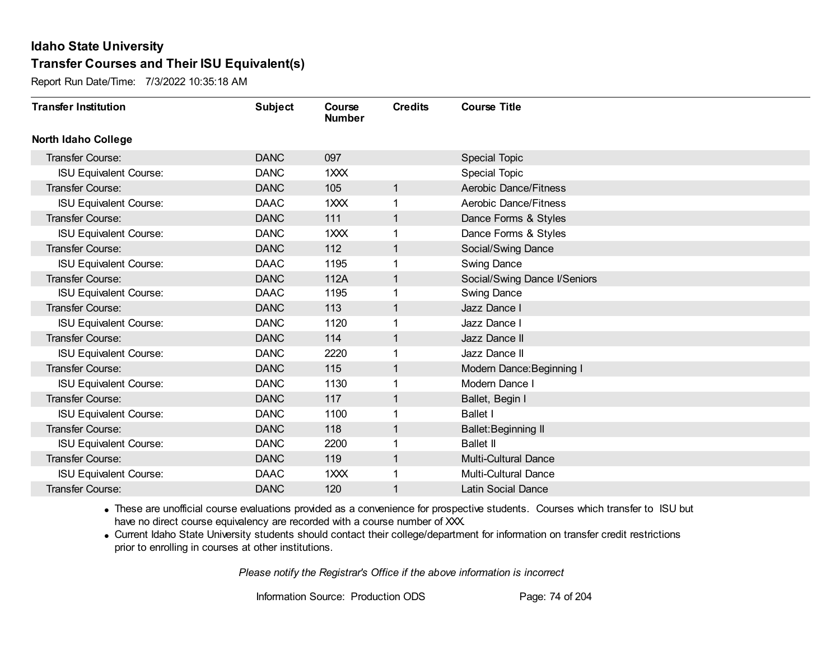Report Run Date/Time: 7/3/2022 10:35:18 AM

| <b>Transfer Institution</b>   | <b>Subject</b> | Course<br><b>Number</b> | <b>Credits</b> | <b>Course Title</b>          |
|-------------------------------|----------------|-------------------------|----------------|------------------------------|
| <b>North Idaho College</b>    |                |                         |                |                              |
| Transfer Course:              | <b>DANC</b>    | 097                     |                | <b>Special Topic</b>         |
| <b>ISU Equivalent Course:</b> | <b>DANC</b>    | 1XXX                    |                | <b>Special Topic</b>         |
| Transfer Course:              | <b>DANC</b>    | 105                     | 1              | Aerobic Dance/Fitness        |
| <b>ISU Equivalent Course:</b> | <b>DAAC</b>    | 1XXX                    | 1              | <b>Aerobic Dance/Fitness</b> |
| <b>Transfer Course:</b>       | <b>DANC</b>    | 111                     | $\mathbf 1$    | Dance Forms & Styles         |
| <b>ISU Equivalent Course:</b> | <b>DANC</b>    | 1XXX                    |                | Dance Forms & Styles         |
| Transfer Course:              | <b>DANC</b>    | 112                     | 1              | Social/Swing Dance           |
| <b>ISU Equivalent Course:</b> | <b>DAAC</b>    | 1195                    |                | <b>Swing Dance</b>           |
| Transfer Course:              | <b>DANC</b>    | 112A                    | 1              | Social/Swing Dance I/Seniors |
| <b>ISU Equivalent Course:</b> | <b>DAAC</b>    | 1195                    | 1              | <b>Swing Dance</b>           |
| Transfer Course:              | <b>DANC</b>    | 113                     | 1              | Jazz Dance I                 |
| <b>ISU Equivalent Course:</b> | <b>DANC</b>    | 1120                    |                | Jazz Dance I                 |
| Transfer Course:              | <b>DANC</b>    | 114                     | 1              | Jazz Dance II                |
| <b>ISU Equivalent Course:</b> | <b>DANC</b>    | 2220                    |                | Jazz Dance II                |
| Transfer Course:              | <b>DANC</b>    | 115                     | 1              | Modern Dance: Beginning I    |
| <b>ISU Equivalent Course:</b> | <b>DANC</b>    | 1130                    |                | Modern Dance I               |
| Transfer Course:              | <b>DANC</b>    | 117                     | 1              | Ballet, Begin I              |
| <b>ISU Equivalent Course:</b> | <b>DANC</b>    | 1100                    |                | <b>Ballet I</b>              |
| Transfer Course:              | <b>DANC</b>    | 118                     | 1              | Ballet: Beginning II         |
| <b>ISU Equivalent Course:</b> | <b>DANC</b>    | 2200                    |                | <b>Ballet II</b>             |
| Transfer Course:              | <b>DANC</b>    | 119                     | 1              | <b>Multi-Cultural Dance</b>  |
| <b>ISU Equivalent Course:</b> | <b>DAAC</b>    | 1 <sub>XX</sub>         |                | <b>Multi-Cultural Dance</b>  |
| <b>Transfer Course:</b>       | <b>DANC</b>    | 120                     | 1              | <b>Latin Social Dance</b>    |

· These are unofficial course evaluations provided as a convenience for prospective students. Courses which transfer to ISU but have no direct course equivalency are recorded with a course number of XXX.

· Current Idaho State University students should contact their college/department for information on transfer credit restrictions prior to enrolling in courses at other institutions.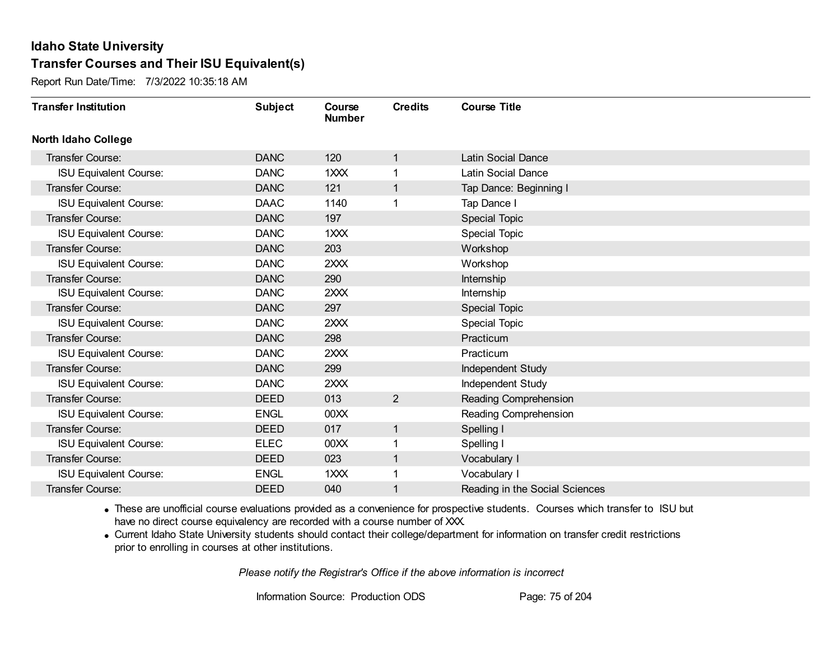Report Run Date/Time: 7/3/2022 10:35:18 AM

| <b>Transfer Institution</b>   | <b>Subject</b> | Course<br><b>Number</b> | <b>Credits</b> | <b>Course Title</b>            |
|-------------------------------|----------------|-------------------------|----------------|--------------------------------|
| <b>North Idaho College</b>    |                |                         |                |                                |
| Transfer Course:              | <b>DANC</b>    | 120                     | 1              | <b>Latin Social Dance</b>      |
| <b>ISU Equivalent Course:</b> | <b>DANC</b>    | 1XXX                    |                | <b>Latin Social Dance</b>      |
| Transfer Course:              | <b>DANC</b>    | 121                     | 1              | Tap Dance: Beginning I         |
| <b>ISU Equivalent Course:</b> | <b>DAAC</b>    | 1140                    | 1              | Tap Dance I                    |
| <b>Transfer Course:</b>       | <b>DANC</b>    | 197                     |                | <b>Special Topic</b>           |
| <b>ISU Equivalent Course:</b> | <b>DANC</b>    | 1XXX                    |                | <b>Special Topic</b>           |
| <b>Transfer Course:</b>       | <b>DANC</b>    | 203                     |                | Workshop                       |
| <b>ISU Equivalent Course:</b> | <b>DANC</b>    | 2XXX                    |                | Workshop                       |
| <b>Transfer Course:</b>       | <b>DANC</b>    | 290                     |                | Internship                     |
| <b>ISU Equivalent Course:</b> | <b>DANC</b>    | 2XXX                    |                | Internship                     |
| <b>Transfer Course:</b>       | <b>DANC</b>    | 297                     |                | Special Topic                  |
| <b>ISU Equivalent Course:</b> | <b>DANC</b>    | 2XXX                    |                | <b>Special Topic</b>           |
| Transfer Course:              | <b>DANC</b>    | 298                     |                | Practicum                      |
| <b>ISU Equivalent Course:</b> | <b>DANC</b>    | 2XXX                    |                | Practicum                      |
| Transfer Course:              | <b>DANC</b>    | 299                     |                | Independent Study              |
| <b>ISU Equivalent Course:</b> | <b>DANC</b>    | 2XXX                    |                | Independent Study              |
| <b>Transfer Course:</b>       | <b>DEED</b>    | 013                     | $\overline{2}$ | Reading Comprehension          |
| <b>ISU Equivalent Course:</b> | <b>ENGL</b>    | 00XX                    |                | Reading Comprehension          |
| Transfer Course:              | <b>DEED</b>    | 017                     | $\mathbf 1$    | Spelling I                     |
| <b>ISU Equivalent Course:</b> | <b>ELEC</b>    | 00 <sub>XX</sub>        |                | Spelling I                     |
| <b>Transfer Course:</b>       | <b>DEED</b>    | 023                     | 1              | Vocabulary I                   |
| <b>ISU Equivalent Course:</b> | <b>ENGL</b>    | 1XXX                    |                | Vocabulary I                   |
| <b>Transfer Course:</b>       | <b>DEED</b>    | 040                     |                | Reading in the Social Sciences |

· These are unofficial course evaluations provided as a convenience for prospective students. Courses which transfer to ISU but have no direct course equivalency are recorded with a course number of XXX.

· Current Idaho State University students should contact their college/department for information on transfer credit restrictions prior to enrolling in courses at other institutions.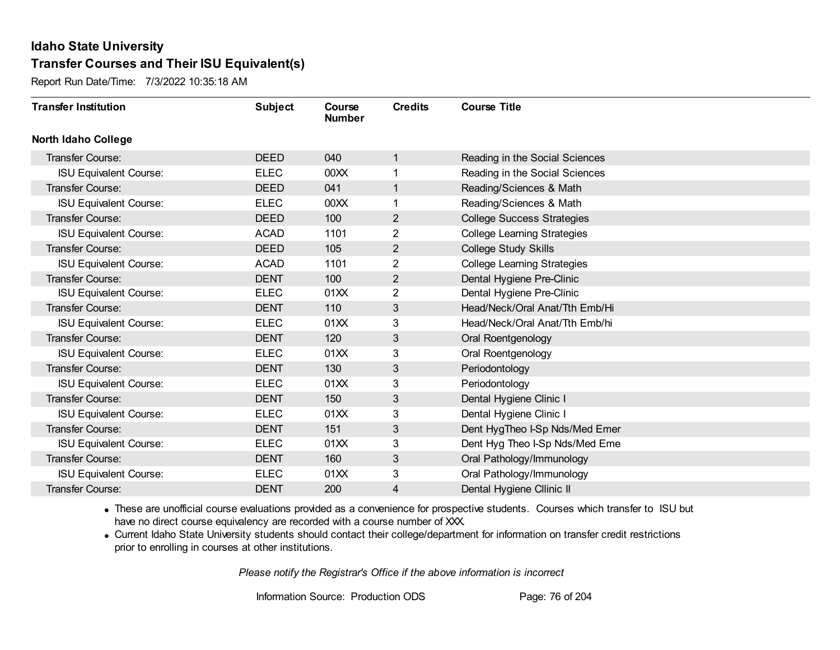Report Run Date/Time: 7/3/2022 10:35:18 AM

| <b>Transfer Institution</b>   | <b>Subject</b> | Course<br><b>Number</b> | <b>Credits</b> | <b>Course Title</b>                |
|-------------------------------|----------------|-------------------------|----------------|------------------------------------|
| <b>North Idaho College</b>    |                |                         |                |                                    |
| Transfer Course:              | <b>DEED</b>    | 040                     | 1              | Reading in the Social Sciences     |
| <b>ISU Equivalent Course:</b> | <b>ELEC</b>    | 00 <sub>XX</sub>        | 1              | Reading in the Social Sciences     |
| Transfer Course:              | <b>DEED</b>    | 041                     | 1              | Reading/Sciences & Math            |
| <b>ISU Equivalent Course:</b> | <b>ELEC</b>    | 00XX                    | 1              | Reading/Sciences & Math            |
| Transfer Course:              | <b>DEED</b>    | 100                     | $\overline{2}$ | <b>College Success Strategies</b>  |
| <b>ISU Equivalent Course:</b> | <b>ACAD</b>    | 1101                    | 2              | <b>College Learning Strategies</b> |
| Transfer Course:              | <b>DEED</b>    | 105                     | $\overline{2}$ | <b>College Study Skills</b>        |
| <b>ISU Equivalent Course:</b> | <b>ACAD</b>    | 1101                    | 2              | <b>College Learning Strategies</b> |
| Transfer Course:              | <b>DENT</b>    | 100                     | $\overline{2}$ | Dental Hygiene Pre-Clinic          |
| <b>ISU Equivalent Course:</b> | <b>ELEC</b>    | 01XX                    | $\overline{2}$ | Dental Hygiene Pre-Clinic          |
| Transfer Course:              | <b>DENT</b>    | 110                     | 3              | Head/Neck/Oral Anat/Tth Emb/Hi     |
| <b>ISU Equivalent Course:</b> | <b>ELEC</b>    | 01XX                    | 3              | Head/Neck/Oral Anat/Tth Emb/hi     |
| Transfer Course:              | <b>DENT</b>    | 120                     | 3              | Oral Roentgenology                 |
| <b>ISU Equivalent Course:</b> | <b>ELEC</b>    | 01XX                    | 3              | Oral Roentgenology                 |
| Transfer Course:              | <b>DENT</b>    | 130                     | 3              | Periodontology                     |
| <b>ISU Equivalent Course:</b> | <b>ELEC</b>    | 01XX                    | 3              | Periodontology                     |
| Transfer Course:              | <b>DENT</b>    | 150                     | 3              | Dental Hygiene Clinic I            |
| <b>ISU Equivalent Course:</b> | <b>ELEC</b>    | 01XX                    | 3              | Dental Hygiene Clinic I            |
| Transfer Course:              | <b>DENT</b>    | 151                     | 3              | Dent HygTheo I-Sp Nds/Med Emer     |
| <b>ISU Equivalent Course:</b> | ELEC           | 01XX                    | 3              | Dent Hyg Theo I-Sp Nds/Med Eme     |
| Transfer Course:              | <b>DENT</b>    | 160                     | 3              | Oral Pathology/Immunology          |
| <b>ISU Equivalent Course:</b> | <b>ELEC</b>    | 01XX                    | 3              | Oral Pathology/Immunology          |
| <b>Transfer Course:</b>       | <b>DENT</b>    | 200                     | 4              | Dental Hygiene Cllinic II          |

· These are unofficial course evaluations provided as a convenience for prospective students. Courses which transfer to ISU but have no direct course equivalency are recorded with a course number of XXX.

· Current Idaho State University students should contact their college/department for information on transfer credit restrictions prior to enrolling in courses at other institutions.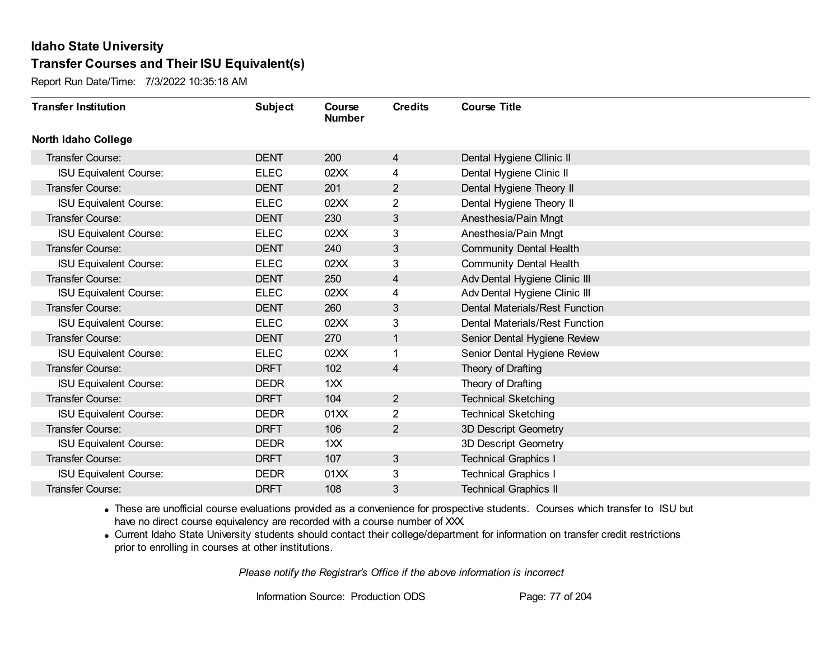Report Run Date/Time: 7/3/2022 10:35:18 AM

| <b>Transfer Institution</b>   | <b>Subject</b> | Course<br><b>Number</b> | <b>Credits</b> | <b>Course Title</b>            |
|-------------------------------|----------------|-------------------------|----------------|--------------------------------|
| <b>North Idaho College</b>    |                |                         |                |                                |
| Transfer Course:              | <b>DENT</b>    | 200                     | 4              | Dental Hygiene Cllinic II      |
| <b>ISU Equivalent Course:</b> | <b>ELEC</b>    | 02XX                    | 4              | Dental Hygiene Clinic II       |
| Transfer Course:              | <b>DENT</b>    | 201                     | $\overline{2}$ | Dental Hygiene Theory II       |
| <b>ISU Equivalent Course:</b> | <b>ELEC</b>    | 02XX                    | $\overline{2}$ | Dental Hygiene Theory II       |
| <b>Transfer Course:</b>       | <b>DENT</b>    | 230                     | 3              | Anesthesia/Pain Mngt           |
| <b>ISU Equivalent Course:</b> | <b>ELEC</b>    | 02XX                    | 3              | Anesthesia/Pain Mngt           |
| <b>Transfer Course:</b>       | <b>DENT</b>    | 240                     | 3              | <b>Community Dental Health</b> |
| <b>ISU Equivalent Course:</b> | <b>ELEC</b>    | 02XX                    | 3              | <b>Community Dental Health</b> |
| Transfer Course:              | <b>DENT</b>    | 250                     | 4              | Adv Dental Hygiene Clinic III  |
| <b>ISU Equivalent Course:</b> | <b>ELEC</b>    | 02XX                    | 4              | Adv Dental Hygiene Clinic III  |
| Transfer Course:              | <b>DENT</b>    | 260                     | 3              | Dental Materials/Rest Function |
| <b>ISU Equivalent Course:</b> | <b>ELEC</b>    | 02XX                    | 3              | Dental Materials/Rest Function |
| Transfer Course:              | <b>DENT</b>    | 270                     | $\mathbf{1}$   | Senior Dental Hygiene Review   |
| <b>ISU Equivalent Course:</b> | <b>ELEC</b>    | 02XX                    | 1              | Senior Dental Hygiene Review   |
| Transfer Course:              | <b>DRFT</b>    | 102                     | 4              | Theory of Drafting             |
| <b>ISU Equivalent Course:</b> | <b>DEDR</b>    | 1XX                     |                | Theory of Drafting             |
| Transfer Course:              | <b>DRFT</b>    | 104                     | $\overline{2}$ | <b>Technical Sketching</b>     |
| <b>ISU Equivalent Course:</b> | <b>DEDR</b>    | 01XX                    | 2              | <b>Technical Sketching</b>     |
| <b>Transfer Course:</b>       | <b>DRFT</b>    | 106                     | $\overline{2}$ | 3D Descript Geometry           |
| <b>ISU Equivalent Course:</b> | <b>DEDR</b>    | 1XX                     |                | 3D Descript Geometry           |
| <b>Transfer Course:</b>       | <b>DRFT</b>    | 107                     | $\mathbf{3}$   | <b>Technical Graphics I</b>    |
| <b>ISU Equivalent Course:</b> | <b>DEDR</b>    | 01XX                    | 3              | <b>Technical Graphics I</b>    |
| Transfer Course:              | <b>DRFT</b>    | 108                     | 3              | <b>Technical Graphics II</b>   |

· These are unofficial course evaluations provided as a convenience for prospective students. Courses which transfer to ISU but have no direct course equivalency are recorded with a course number of XXX.

· Current Idaho State University students should contact their college/department for information on transfer credit restrictions prior to enrolling in courses at other institutions.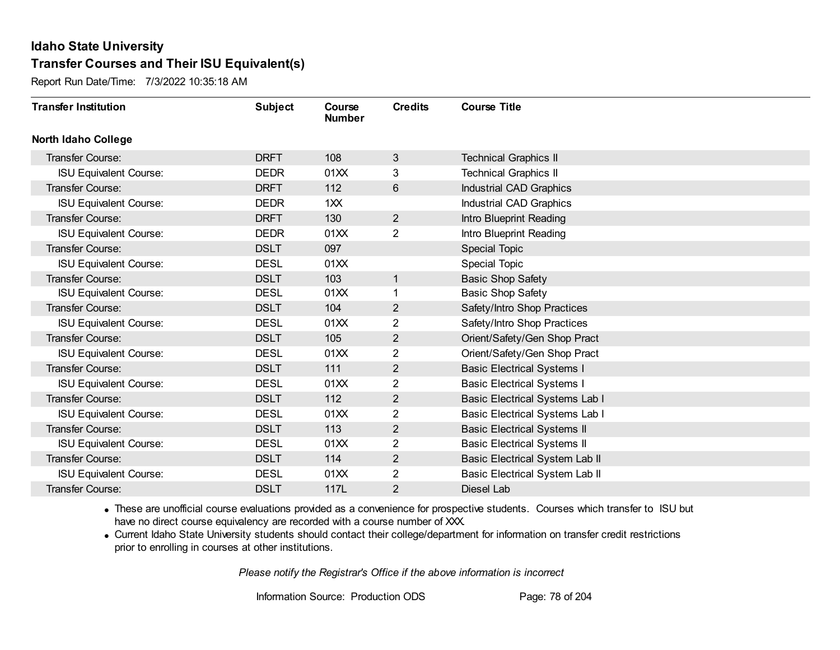Report Run Date/Time: 7/3/2022 10:35:18 AM

| <b>Transfer Institution</b>   | <b>Subject</b> | Course<br><b>Number</b> | <b>Credits</b> | <b>Course Title</b>                |
|-------------------------------|----------------|-------------------------|----------------|------------------------------------|
| <b>North Idaho College</b>    |                |                         |                |                                    |
| Transfer Course:              | <b>DRFT</b>    | 108                     | 3              | <b>Technical Graphics II</b>       |
| <b>ISU Equivalent Course:</b> | <b>DEDR</b>    | 01XX                    | 3              | <b>Technical Graphics II</b>       |
| Transfer Course:              | <b>DRFT</b>    | 112                     | 6              | Industrial CAD Graphics            |
| <b>ISU Equivalent Course:</b> | <b>DEDR</b>    | 1XX                     |                | Industrial CAD Graphics            |
| <b>Transfer Course:</b>       | <b>DRFT</b>    | 130                     | $\overline{2}$ | Intro Blueprint Reading            |
| <b>ISU Equivalent Course:</b> | <b>DEDR</b>    | 01XX                    | 2              | Intro Blueprint Reading            |
| Transfer Course:              | <b>DSLT</b>    | 097                     |                | Special Topic                      |
| <b>ISU Equivalent Course:</b> | <b>DESL</b>    | 01XX                    |                | Special Topic                      |
| <b>Transfer Course:</b>       | <b>DSLT</b>    | 103                     | 1              | <b>Basic Shop Safety</b>           |
| <b>ISU Equivalent Course:</b> | <b>DESL</b>    | 01XX                    | 1              | <b>Basic Shop Safety</b>           |
| Transfer Course:              | <b>DSLT</b>    | 104                     | $\overline{2}$ | Safety/Intro Shop Practices        |
| <b>ISU Equivalent Course:</b> | <b>DESL</b>    | 01XX                    | 2              | Safety/Intro Shop Practices        |
| Transfer Course:              | <b>DSLT</b>    | 105                     | $\overline{2}$ | Orient/Safety/Gen Shop Pract       |
| <b>ISU Equivalent Course:</b> | <b>DESL</b>    | 01XX                    | 2              | Orient/Safety/Gen Shop Pract       |
| Transfer Course:              | <b>DSLT</b>    | 111                     | $\overline{2}$ | <b>Basic Electrical Systems I</b>  |
| <b>ISU Equivalent Course:</b> | <b>DESL</b>    | 01XX                    | $\overline{2}$ | <b>Basic Electrical Systems I</b>  |
| Transfer Course:              | <b>DSLT</b>    | 112                     | $\overline{2}$ | Basic Electrical Systems Lab I     |
| <b>ISU Equivalent Course:</b> | <b>DESL</b>    | 01XX                    | 2              | Basic Electrical Systems Lab I     |
| Transfer Course:              | <b>DSLT</b>    | 113                     | $\overline{2}$ | <b>Basic Electrical Systems II</b> |
| <b>ISU Equivalent Course:</b> | <b>DESL</b>    | 01XX                    | 2              | <b>Basic Electrical Systems II</b> |
| Transfer Course:              | <b>DSLT</b>    | 114                     | $\overline{2}$ | Basic Electrical System Lab II     |
| <b>ISU Equivalent Course:</b> | <b>DESL</b>    | 01XX                    | 2              | Basic Electrical System Lab II     |
| Transfer Course:              | <b>DSLT</b>    | 117L                    | 2              | Diesel Lab                         |

· These are unofficial course evaluations provided as a convenience for prospective students. Courses which transfer to ISU but have no direct course equivalency are recorded with a course number of XXX.

· Current Idaho State University students should contact their college/department for information on transfer credit restrictions prior to enrolling in courses at other institutions.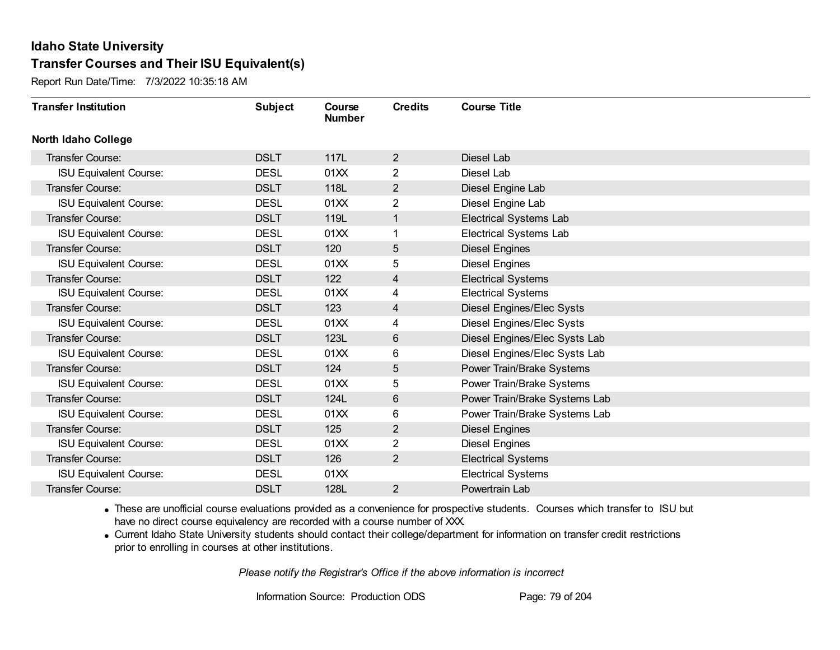Report Run Date/Time: 7/3/2022 10:35:18 AM

| <b>Transfer Institution</b>   | <b>Subject</b> | Course<br><b>Number</b> | <b>Credits</b>          | <b>Course Title</b>           |
|-------------------------------|----------------|-------------------------|-------------------------|-------------------------------|
| <b>North Idaho College</b>    |                |                         |                         |                               |
| Transfer Course:              | <b>DSLT</b>    | 117L                    | $\overline{2}$          | Diesel Lab                    |
| <b>ISU Equivalent Course:</b> | <b>DESL</b>    | 01XX                    | $\overline{2}$          | Diesel Lab                    |
| Transfer Course:              | <b>DSLT</b>    | 118L                    | $\overline{2}$          | Diesel Engine Lab             |
| <b>ISU Equivalent Course:</b> | <b>DESL</b>    | 01XX                    | 2                       | Diesel Engine Lab             |
| <b>Transfer Course:</b>       | <b>DSLT</b>    | 119L                    | $\mathbf 1$             | <b>Electrical Systems Lab</b> |
| <b>ISU Equivalent Course:</b> | <b>DESL</b>    | 01XX                    |                         | <b>Electrical Systems Lab</b> |
| <b>Transfer Course:</b>       | <b>DSLT</b>    | 120                     | 5                       | <b>Diesel Engines</b>         |
| <b>ISU Equivalent Course:</b> | <b>DESL</b>    | 01XX                    | 5                       | <b>Diesel Engines</b>         |
| Transfer Course:              | <b>DSLT</b>    | 122                     | $\overline{\mathbf{4}}$ | <b>Electrical Systems</b>     |
| <b>ISU Equivalent Course:</b> | <b>DESL</b>    | 01XX                    | 4                       | <b>Electrical Systems</b>     |
| Transfer Course:              | <b>DSLT</b>    | 123                     | 4                       | Diesel Engines/Elec Systs     |
| <b>ISU Equivalent Course:</b> | <b>DESL</b>    | 01XX                    | 4                       | Diesel Engines/Elec Systs     |
| Transfer Course:              | <b>DSLT</b>    | 123L                    | 6                       | Diesel Engines/Elec Systs Lab |
| <b>ISU Equivalent Course:</b> | <b>DESL</b>    | 01XX                    | 6                       | Diesel Engines/Elec Systs Lab |
| Transfer Course:              | <b>DSLT</b>    | 124                     | 5                       | Power Train/Brake Systems     |
| <b>ISU Equivalent Course:</b> | <b>DESL</b>    | 01XX                    | 5                       | Power Train/Brake Systems     |
| Transfer Course:              | <b>DSLT</b>    | 124L                    | 6                       | Power Train/Brake Systems Lab |
| <b>ISU Equivalent Course:</b> | <b>DESL</b>    | 01XX                    | 6                       | Power Train/Brake Systems Lab |
| <b>Transfer Course:</b>       | <b>DSLT</b>    | 125                     | $\overline{2}$          | <b>Diesel Engines</b>         |
| <b>ISU Equivalent Course:</b> | <b>DESL</b>    | 01XX                    | $\overline{2}$          | <b>Diesel Engines</b>         |
| Transfer Course:              | <b>DSLT</b>    | 126                     | $\overline{2}$          | <b>Electrical Systems</b>     |
| <b>ISU Equivalent Course:</b> | <b>DESL</b>    | 01 <sub>XX</sub>        |                         | <b>Electrical Systems</b>     |
| Transfer Course:              | <b>DSLT</b>    | 128L                    | $\overline{2}$          | Powertrain Lab                |

· These are unofficial course evaluations provided as a convenience for prospective students. Courses which transfer to ISU but have no direct course equivalency are recorded with a course number of XXX.

· Current Idaho State University students should contact their college/department for information on transfer credit restrictions prior to enrolling in courses at other institutions.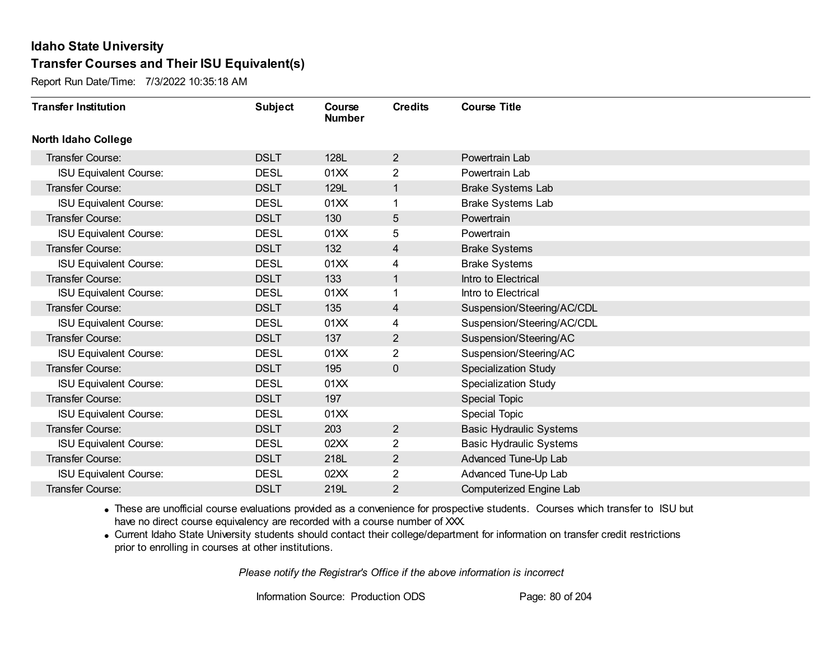Report Run Date/Time: 7/3/2022 10:35:18 AM

| <b>Transfer Institution</b>   | <b>Subject</b> | Course<br><b>Number</b> | <b>Credits</b> | <b>Course Title</b>            |
|-------------------------------|----------------|-------------------------|----------------|--------------------------------|
| <b>North Idaho College</b>    |                |                         |                |                                |
| <b>Transfer Course:</b>       | <b>DSLT</b>    | 128L                    | $\overline{2}$ | Powertrain Lab                 |
| <b>ISU Equivalent Course:</b> | <b>DESL</b>    | 01XX                    | $\overline{2}$ | Powertrain Lab                 |
| Transfer Course:              | <b>DSLT</b>    | 129L                    | 1              | <b>Brake Systems Lab</b>       |
| <b>ISU Equivalent Course:</b> | <b>DESL</b>    | 01XX                    |                | Brake Systems Lab              |
| <b>Transfer Course:</b>       | <b>DSLT</b>    | 130                     | 5              | Powertrain                     |
| <b>ISU Equivalent Course:</b> | <b>DESL</b>    | 01XX                    | 5              | Powertrain                     |
| Transfer Course:              | <b>DSLT</b>    | 132                     | 4              | <b>Brake Systems</b>           |
| <b>ISU Equivalent Course:</b> | <b>DESL</b>    | 01XX                    | 4              | <b>Brake Systems</b>           |
| Transfer Course:              | <b>DSLT</b>    | 133                     | 1              | Intro to Electrical            |
| <b>ISU Equivalent Course:</b> | <b>DESL</b>    | 01XX                    | 1              | Intro to Electrical            |
| Transfer Course:              | <b>DSLT</b>    | 135                     | 4              | Suspension/Steering/AC/CDL     |
| <b>ISU Equivalent Course:</b> | <b>DESL</b>    | 01XX                    | 4              | Suspension/Steering/AC/CDL     |
| Transfer Course:              | <b>DSLT</b>    | 137                     | $\mathbf{2}$   | Suspension/Steering/AC         |
| <b>ISU Equivalent Course:</b> | <b>DESL</b>    | 01XX                    | $\overline{2}$ | Suspension/Steering/AC         |
| Transfer Course:              | <b>DSLT</b>    | 195                     | 0              | <b>Specialization Study</b>    |
| <b>ISU Equivalent Course:</b> | <b>DESL</b>    | 01XX                    |                | <b>Specialization Study</b>    |
| Transfer Course:              | <b>DSLT</b>    | 197                     |                | <b>Special Topic</b>           |
| <b>ISU Equivalent Course:</b> | <b>DESL</b>    | 01XX                    |                | <b>Special Topic</b>           |
| Transfer Course:              | <b>DSLT</b>    | 203                     | $\overline{2}$ | <b>Basic Hydraulic Systems</b> |
| <b>ISU Equivalent Course:</b> | <b>DESL</b>    | 02XX                    | $\overline{2}$ | <b>Basic Hydraulic Systems</b> |
| Transfer Course:              | <b>DSLT</b>    | 218L                    | $\overline{2}$ | Advanced Tune-Up Lab           |
| <b>ISU Equivalent Course:</b> | <b>DESL</b>    | 02XX                    | 2              | Advanced Tune-Up Lab           |
| Transfer Course:              | <b>DSLT</b>    | 219L                    | $\overline{2}$ | Computerized Engine Lab        |

· These are unofficial course evaluations provided as a convenience for prospective students. Courses which transfer to ISU but have no direct course equivalency are recorded with a course number of XXX.

· Current Idaho State University students should contact their college/department for information on transfer credit restrictions prior to enrolling in courses at other institutions.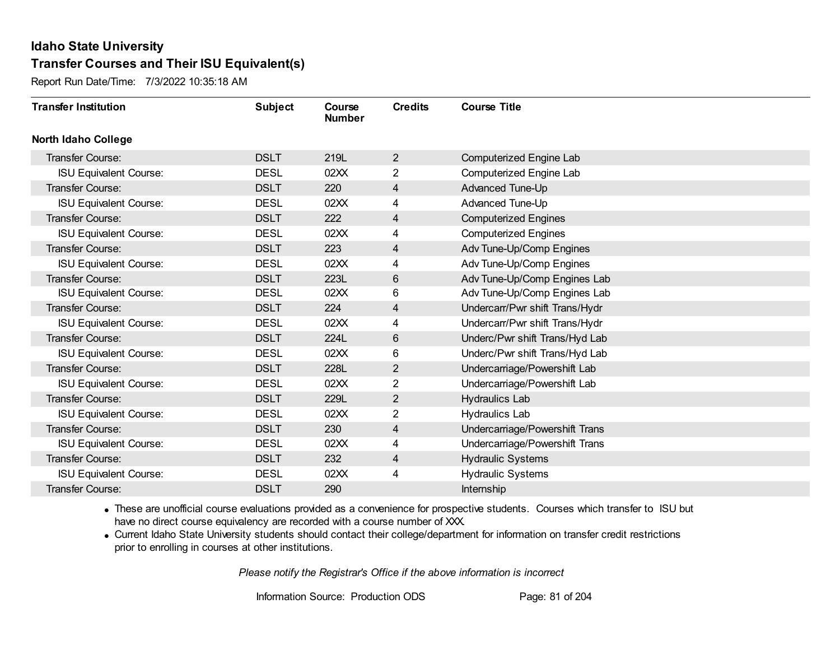Report Run Date/Time: 7/3/2022 10:35:18 AM

| <b>Transfer Institution</b>   | <b>Subject</b> | Course<br><b>Number</b> | <b>Credits</b> | <b>Course Title</b>            |
|-------------------------------|----------------|-------------------------|----------------|--------------------------------|
| <b>North Idaho College</b>    |                |                         |                |                                |
| <b>Transfer Course:</b>       | <b>DSLT</b>    | 219L                    | $\overline{2}$ | Computerized Engine Lab        |
| <b>ISU Equivalent Course:</b> | <b>DESL</b>    | 02XX                    | $\overline{2}$ | Computerized Engine Lab        |
| Transfer Course:              | <b>DSLT</b>    | 220                     | 4              | Advanced Tune-Up               |
| <b>ISU Equivalent Course:</b> | <b>DESL</b>    | 02XX                    | 4              | Advanced Tune-Up               |
| Transfer Course:              | <b>DSLT</b>    | 222                     | 4              | <b>Computerized Engines</b>    |
| <b>ISU Equivalent Course:</b> | <b>DESL</b>    | 02XX                    | 4              | <b>Computerized Engines</b>    |
| Transfer Course:              | <b>DSLT</b>    | 223                     | 4              | Adv Tune-Up/Comp Engines       |
| <b>ISU Equivalent Course:</b> | <b>DESL</b>    | 02XX                    | 4              | Adv Tune-Up/Comp Engines       |
| Transfer Course:              | <b>DSLT</b>    | 223L                    | $6\,$          | Adv Tune-Up/Comp Engines Lab   |
| <b>ISU Equivalent Course:</b> | <b>DESL</b>    | 02XX                    | 6              | Adv Tune-Up/Comp Engines Lab   |
| Transfer Course:              | <b>DSLT</b>    | 224                     | 4              | Undercarr/Pwr shift Trans/Hydr |
| <b>ISU Equivalent Course:</b> | <b>DESL</b>    | 02XX                    | 4              | Undercarr/Pwr shift Trans/Hydr |
| Transfer Course:              | <b>DSLT</b>    | 224L                    | 6              | Underc/Pwr shift Trans/Hyd Lab |
| <b>ISU Equivalent Course:</b> | <b>DESL</b>    | 02XX                    | 6              | Underc/Pwr shift Trans/Hyd Lab |
| Transfer Course:              | <b>DSLT</b>    | 228L                    | $\overline{2}$ | Undercarriage/Powershift Lab   |
| <b>ISU Equivalent Course:</b> | <b>DESL</b>    | 02XX                    | $\overline{2}$ | Undercarriage/Powershift Lab   |
| Transfer Course:              | <b>DSLT</b>    | 229L                    | 2              | Hydraulics Lab                 |
| <b>ISU Equivalent Course:</b> | <b>DESL</b>    | 02XX                    | 2              | <b>Hydraulics Lab</b>          |
| Transfer Course:              | <b>DSLT</b>    | 230                     | 4              | Undercarriage/Powershift Trans |
| <b>ISU Equivalent Course:</b> | <b>DESL</b>    | 02XX                    | 4              | Undercarriage/Powershift Trans |
| Transfer Course:              | <b>DSLT</b>    | 232                     | $\overline{4}$ | <b>Hydraulic Systems</b>       |
| <b>ISU Equivalent Course:</b> | <b>DESL</b>    | 02XX                    | 4              | <b>Hydraulic Systems</b>       |
| <b>Transfer Course:</b>       | <b>DSLT</b>    | 290                     |                | Internship                     |

· These are unofficial course evaluations provided as a convenience for prospective students. Courses which transfer to ISU but have no direct course equivalency are recorded with a course number of XXX.

· Current Idaho State University students should contact their college/department for information on transfer credit restrictions prior to enrolling in courses at other institutions.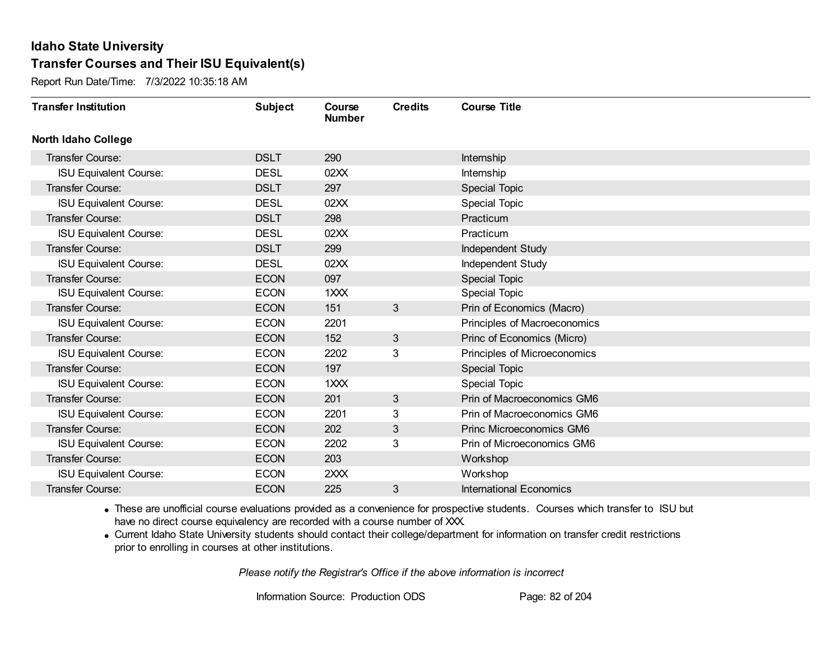Report Run Date/Time: 7/3/2022 10:35:18 AM

| <b>Transfer Institution</b>   | <b>Subject</b> | Course<br><b>Number</b> | <b>Credits</b> | <b>Course Title</b>            |
|-------------------------------|----------------|-------------------------|----------------|--------------------------------|
| <b>North Idaho College</b>    |                |                         |                |                                |
| <b>Transfer Course:</b>       | <b>DSLT</b>    | 290                     |                | Internship                     |
| ISU Equivalent Course:        | <b>DESL</b>    | 02XX                    |                | Internship                     |
| Transfer Course:              | <b>DSLT</b>    | 297                     |                | Special Topic                  |
| <b>ISU Equivalent Course:</b> | <b>DESL</b>    | 02XX                    |                | <b>Special Topic</b>           |
| <b>Transfer Course:</b>       | <b>DSLT</b>    | 298                     |                | Practicum                      |
| <b>ISU Equivalent Course:</b> | <b>DESL</b>    | 02XX                    |                | Practicum                      |
| Transfer Course:              | <b>DSLT</b>    | 299                     |                | Independent Study              |
| <b>ISU Equivalent Course:</b> | <b>DESL</b>    | 02XX                    |                | Independent Study              |
| <b>Transfer Course:</b>       | <b>ECON</b>    | 097                     |                | Special Topic                  |
| <b>ISU Equivalent Course:</b> | <b>ECON</b>    | $1 \times X$            |                | <b>Special Topic</b>           |
| Transfer Course:              | <b>ECON</b>    | 151                     | 3              | Prin of Economics (Macro)      |
| <b>ISU Equivalent Course:</b> | <b>ECON</b>    | 2201                    |                | Principles of Macroeconomics   |
| Transfer Course:              | <b>ECON</b>    | 152                     | 3              | Princ of Economics (Micro)     |
| <b>ISU Equivalent Course:</b> | <b>ECON</b>    | 2202                    | 3              | Principles of Microeconomics   |
| Transfer Course:              | <b>ECON</b>    | 197                     |                | <b>Special Topic</b>           |
| <b>ISU Equivalent Course:</b> | <b>ECON</b>    | 1XXX                    |                | Special Topic                  |
| Transfer Course:              | <b>ECON</b>    | 201                     | $\mathbf{3}$   | Prin of Macroeconomics GM6     |
| <b>ISU Equivalent Course:</b> | <b>ECON</b>    | 2201                    | 3              | Prin of Macroeconomics GM6     |
| Transfer Course:              | <b>ECON</b>    | 202                     | 3              | Princ Microeconomics GM6       |
| <b>ISU Equivalent Course:</b> | <b>ECON</b>    | 2202                    | 3              | Prin of Microeconomics GM6     |
| <b>Transfer Course:</b>       | <b>ECON</b>    | 203                     |                | Workshop                       |
| <b>ISU Equivalent Course:</b> | <b>ECON</b>    | 2XXX                    |                | Workshop                       |
| Transfer Course:              | <b>ECON</b>    | 225                     | 3              | <b>International Economics</b> |

· These are unofficial course evaluations provided as a convenience for prospective students. Courses which transfer to ISU but have no direct course equivalency are recorded with a course number of XXX.

· Current Idaho State University students should contact their college/department for information on transfer credit restrictions prior to enrolling in courses at other institutions.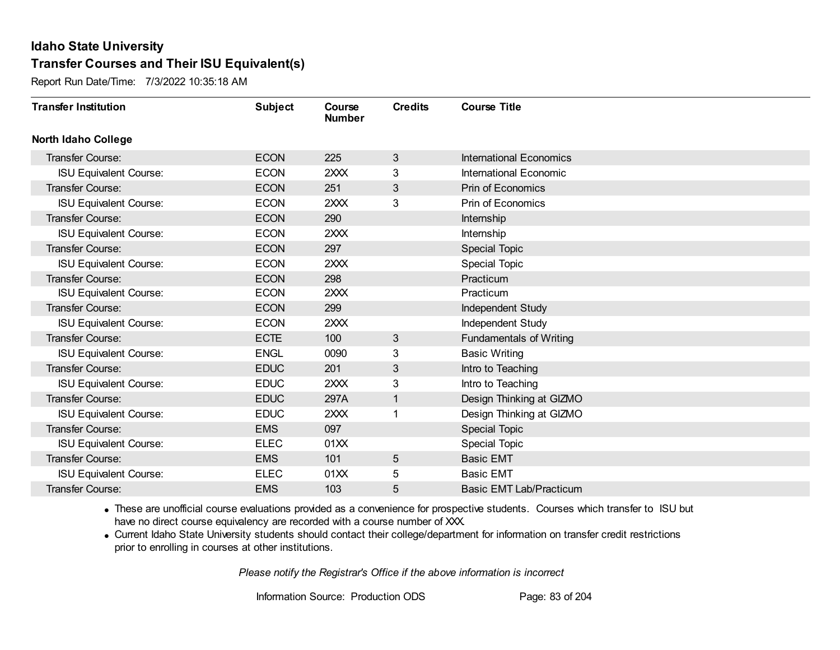Report Run Date/Time: 7/3/2022 10:35:18 AM

| <b>Transfer Institution</b>   | <b>Subject</b> | Course<br><b>Number</b> | <b>Credits</b> | <b>Course Title</b>            |
|-------------------------------|----------------|-------------------------|----------------|--------------------------------|
| <b>North Idaho College</b>    |                |                         |                |                                |
| <b>Transfer Course:</b>       | <b>ECON</b>    | 225                     | 3              | <b>International Economics</b> |
| <b>ISU Equivalent Course:</b> | <b>ECON</b>    | 2XXX                    | 3              | International Economic         |
| Transfer Course:              | <b>ECON</b>    | 251                     | 3              | <b>Prin of Economics</b>       |
| <b>ISU Equivalent Course:</b> | <b>ECON</b>    | 2XXX                    | 3              | Prin of Economics              |
| <b>Transfer Course:</b>       | <b>ECON</b>    | 290                     |                | Internship                     |
| <b>ISU Equivalent Course:</b> | <b>ECON</b>    | 2XXX                    |                | Internship                     |
| Transfer Course:              | <b>ECON</b>    | 297                     |                | <b>Special Topic</b>           |
| <b>ISU Equivalent Course:</b> | <b>ECON</b>    | 2XXX                    |                | <b>Special Topic</b>           |
| <b>Transfer Course:</b>       | <b>ECON</b>    | 298                     |                | Practicum                      |
| <b>ISU Equivalent Course:</b> | <b>ECON</b>    | 2XXX                    |                | Practicum                      |
| Transfer Course:              | <b>ECON</b>    | 299                     |                | Independent Study              |
| <b>ISU Equivalent Course:</b> | <b>ECON</b>    | 2XXX                    |                | Independent Study              |
| Transfer Course:              | <b>ECTE</b>    | 100                     | 3              | <b>Fundamentals of Writing</b> |
| <b>ISU Equivalent Course:</b> | <b>ENGL</b>    | 0090                    | 3              | <b>Basic Writing</b>           |
| Transfer Course:              | <b>EDUC</b>    | 201                     | 3              | Intro to Teaching              |
| <b>ISU Equivalent Course:</b> | <b>EDUC</b>    | 2XXX                    | 3              | Intro to Teaching              |
| <b>Transfer Course:</b>       | <b>EDUC</b>    | 297A                    | $\mathbf{1}$   | Design Thinking at GIZMO       |
| <b>ISU Equivalent Course:</b> | <b>EDUC</b>    | 2XXX                    |                | Design Thinking at GIZMO       |
| Transfer Course:              | <b>EMS</b>     | 097                     |                | Special Topic                  |
| <b>ISU Equivalent Course:</b> | <b>ELEC</b>    | 01XX                    |                | <b>Special Topic</b>           |
| <b>Transfer Course:</b>       | <b>EMS</b>     | 101                     | 5              | <b>Basic EMT</b>               |
| <b>ISU Equivalent Course:</b> | <b>ELEC</b>    | 01XX                    | 5              | <b>Basic EMT</b>               |
| <b>Transfer Course:</b>       | <b>EMS</b>     | 103                     | 5              | <b>Basic EMT Lab/Practicum</b> |

· These are unofficial course evaluations provided as a convenience for prospective students. Courses which transfer to ISU but have no direct course equivalency are recorded with a course number of XXX.

· Current Idaho State University students should contact their college/department for information on transfer credit restrictions prior to enrolling in courses at other institutions.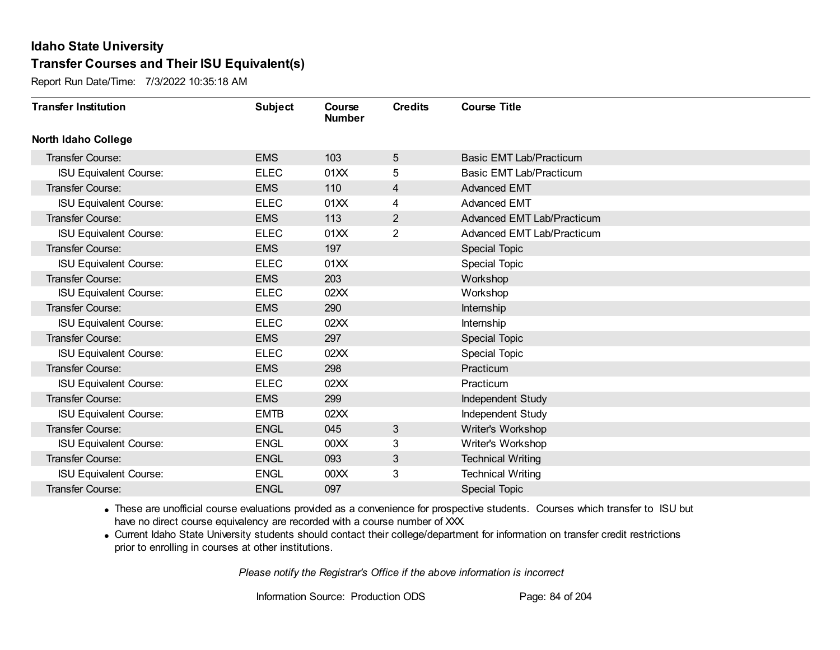Report Run Date/Time: 7/3/2022 10:35:18 AM

| <b>Transfer Institution</b>   | <b>Subject</b> | Course<br><b>Number</b> | <b>Credits</b> | <b>Course Title</b>        |
|-------------------------------|----------------|-------------------------|----------------|----------------------------|
| <b>North Idaho College</b>    |                |                         |                |                            |
| Transfer Course:              | <b>EMS</b>     | 103                     | 5              | Basic EMT Lab/Practicum    |
| <b>ISU Equivalent Course:</b> | <b>ELEC</b>    | 01XX                    | 5              | Basic EMT Lab/Practicum    |
| Transfer Course:              | <b>EMS</b>     | 110                     | 4              | <b>Advanced EMT</b>        |
| <b>ISU Equivalent Course:</b> | <b>ELEC</b>    | 01XX                    | 4              | <b>Advanced EMT</b>        |
| <b>Transfer Course:</b>       | <b>EMS</b>     | 113                     | $\overline{2}$ | Advanced EMT Lab/Practicum |
| <b>ISU Equivalent Course:</b> | <b>ELEC</b>    | 01XX                    | $\overline{2}$ | Advanced EMT Lab/Practicum |
| <b>Transfer Course:</b>       | <b>EMS</b>     | 197                     |                | <b>Special Topic</b>       |
| <b>ISU Equivalent Course:</b> | <b>ELEC</b>    | 01XX                    |                | Special Topic              |
| <b>Transfer Course:</b>       | <b>EMS</b>     | 203                     |                | Workshop                   |
| <b>ISU Equivalent Course:</b> | <b>ELEC</b>    | 02XX                    |                | Workshop                   |
| Transfer Course:              | <b>EMS</b>     | 290                     |                | Internship                 |
| <b>ISU Equivalent Course:</b> | <b>ELEC</b>    | 02XX                    |                | Internship                 |
| <b>Transfer Course:</b>       | <b>EMS</b>     | 297                     |                | <b>Special Topic</b>       |
| <b>ISU Equivalent Course:</b> | <b>ELEC</b>    | 02XX                    |                | <b>Special Topic</b>       |
| Transfer Course:              | <b>EMS</b>     | 298                     |                | Practicum                  |
| <b>ISU Equivalent Course:</b> | <b>ELEC</b>    | 02XX                    |                | Practicum                  |
| <b>Transfer Course:</b>       | <b>EMS</b>     | 299                     |                | Independent Study          |
| <b>ISU Equivalent Course:</b> | <b>EMTB</b>    | 02XX                    |                | Independent Study          |
| Transfer Course:              | <b>ENGL</b>    | 045                     | 3              | Writer's Workshop          |
| <b>ISU Equivalent Course:</b> | <b>ENGL</b>    | 00 <sub>XX</sub>        | 3              | Writer's Workshop          |
| Transfer Course:              | <b>ENGL</b>    | 093                     | 3              | <b>Technical Writing</b>   |
| <b>ISU Equivalent Course:</b> | <b>ENGL</b>    | 00 <sub>XX</sub>        | 3              | <b>Technical Writing</b>   |
| Transfer Course:              | <b>ENGL</b>    | 097                     |                | <b>Special Topic</b>       |

· These are unofficial course evaluations provided as a convenience for prospective students. Courses which transfer to ISU but have no direct course equivalency are recorded with a course number of XXX.

· Current Idaho State University students should contact their college/department for information on transfer credit restrictions prior to enrolling in courses at other institutions.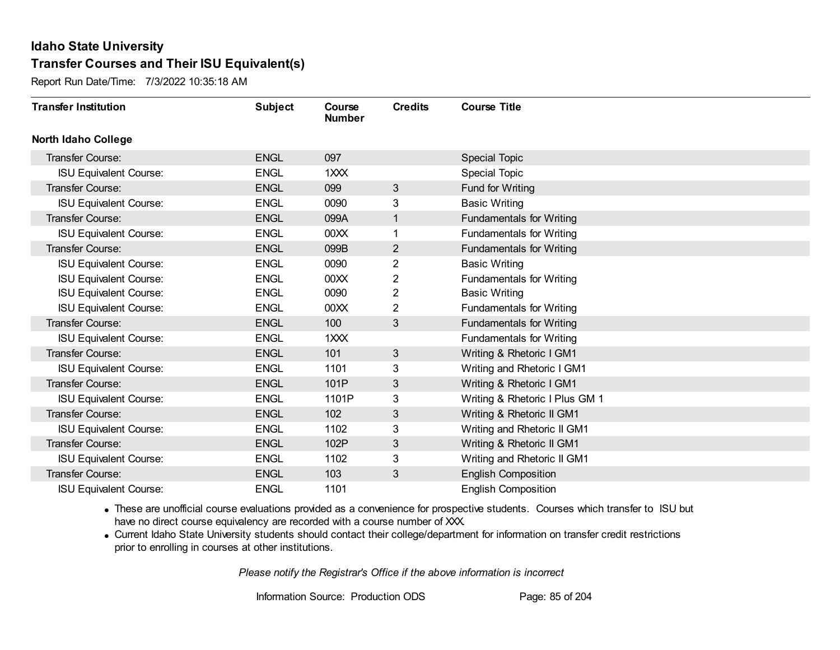Report Run Date/Time: 7/3/2022 10:35:18 AM

| <b>Transfer Institution</b>   | <b>Subject</b> | Course<br><b>Number</b> | <b>Credits</b>          | <b>Course Title</b>             |
|-------------------------------|----------------|-------------------------|-------------------------|---------------------------------|
| <b>North Idaho College</b>    |                |                         |                         |                                 |
| Transfer Course:              | <b>ENGL</b>    | 097                     |                         | <b>Special Topic</b>            |
| <b>ISU Equivalent Course:</b> | <b>ENGL</b>    | 1XXX                    |                         | Special Topic                   |
| <b>Transfer Course:</b>       | <b>ENGL</b>    | 099                     | 3 <sup>2</sup>          | Fund for Writing                |
| <b>ISU Equivalent Course:</b> | <b>ENGL</b>    | 0090                    | 3                       | <b>Basic Writing</b>            |
| <b>Transfer Course:</b>       | <b>ENGL</b>    | 099A                    | 1                       | <b>Fundamentals for Writing</b> |
| <b>ISU Equivalent Course:</b> | <b>ENGL</b>    | 00 <sub>XX</sub>        |                         | <b>Fundamentals for Writing</b> |
| <b>Transfer Course:</b>       | <b>ENGL</b>    | 099B                    | $\overline{2}$          | <b>Fundamentals for Writing</b> |
| <b>ISU Equivalent Course:</b> | <b>ENGL</b>    | 0090                    | $\overline{\mathbf{c}}$ | <b>Basic Writing</b>            |
| <b>ISU Equivalent Course:</b> | <b>ENGL</b>    | 00XX                    | 2                       | <b>Fundamentals for Writing</b> |
| <b>ISU Equivalent Course:</b> | <b>ENGL</b>    | 0090                    | $\overline{2}$          | <b>Basic Writing</b>            |
| <b>ISU Equivalent Course:</b> | <b>ENGL</b>    | 00 <sub>XX</sub>        | $\overline{2}$          | <b>Fundamentals for Writing</b> |
| <b>Transfer Course:</b>       | <b>ENGL</b>    | 100                     | $3\overline{3}$         | <b>Fundamentals for Writing</b> |
| <b>ISU Equivalent Course:</b> | <b>ENGL</b>    | 1XXX                    |                         | <b>Fundamentals for Writing</b> |
| <b>Transfer Course:</b>       | <b>ENGL</b>    | 101                     | $\mathbf{3}$            | Writing & Rhetoric I GM1        |
| <b>ISU Equivalent Course:</b> | <b>ENGL</b>    | 1101                    | 3                       | Writing and Rhetoric I GM1      |
| <b>Transfer Course:</b>       | <b>ENGL</b>    | 101P                    | 3                       | Writing & Rhetoric I GM1        |
| <b>ISU Equivalent Course:</b> | <b>ENGL</b>    | 1101P                   | 3                       | Writing & Rhetoric I Plus GM 1  |
| Transfer Course:              | <b>ENGL</b>    | 102                     | 3                       | Writing & Rhetoric II GM1       |
| <b>ISU Equivalent Course:</b> | <b>ENGL</b>    | 1102                    | 3                       | Writing and Rhetoric II GM1     |
| <b>Transfer Course:</b>       | <b>ENGL</b>    | 102P                    | 3                       | Writing & Rhetoric II GM1       |
| <b>ISU Equivalent Course:</b> | <b>ENGL</b>    | 1102                    | 3                       | Writing and Rhetoric II GM1     |
| Transfer Course:              | <b>ENGL</b>    | 103                     | 3                       | <b>English Composition</b>      |
| <b>ISU Equivalent Course:</b> | <b>ENGL</b>    | 1101                    |                         | <b>English Composition</b>      |

· These are unofficial course evaluations provided as a convenience for prospective students. Courses which transfer to ISU but have no direct course equivalency are recorded with a course number of XXX.

· Current Idaho State University students should contact their college/department for information on transfer credit restrictions prior to enrolling in courses at other institutions.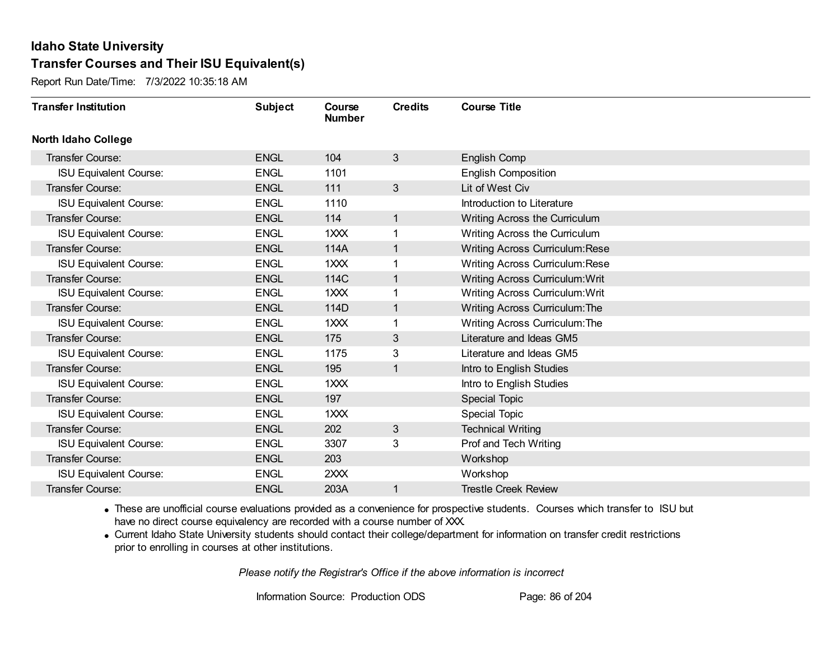Report Run Date/Time: 7/3/2022 10:35:18 AM

| <b>Transfer Institution</b>   | <b>Subject</b> | Course<br><b>Number</b> | <b>Credits</b> | <b>Course Title</b>                    |
|-------------------------------|----------------|-------------------------|----------------|----------------------------------------|
| <b>North Idaho College</b>    |                |                         |                |                                        |
| Transfer Course:              | <b>ENGL</b>    | 104                     | 3              | English Comp                           |
| <b>ISU Equivalent Course:</b> | <b>ENGL</b>    | 1101                    |                | <b>English Composition</b>             |
| <b>Transfer Course:</b>       | <b>ENGL</b>    | 111                     | 3              | Lit of West Civ                        |
| <b>ISU Equivalent Course:</b> | <b>ENGL</b>    | 1110                    |                | Introduction to Literature             |
| Transfer Course:              | <b>ENGL</b>    | 114                     | $\mathbf{1}$   | Writing Across the Curriculum          |
| <b>ISU Equivalent Course:</b> | <b>ENGL</b>    | 1XXX                    | 1              | Writing Across the Curriculum          |
| <b>Transfer Course:</b>       | <b>ENGL</b>    | 114A                    | $\mathbf{1}$   | <b>Writing Across Curriculum: Rese</b> |
| <b>ISU Equivalent Course:</b> | <b>ENGL</b>    | 1XXX                    |                | <b>Writing Across Curriculum: Rese</b> |
| Transfer Course:              | <b>ENGL</b>    | 114C                    | $\mathbf{1}$   | <b>Writing Across Curriculum: Writ</b> |
| <b>ISU Equivalent Course:</b> | <b>ENGL</b>    | 1XXX                    | 1              | <b>Writing Across Curriculum: Writ</b> |
| Transfer Course:              | <b>ENGL</b>    | 114D                    | $\mathbf{1}$   | Writing Across Curriculum: The         |
| <b>ISU Equivalent Course:</b> | <b>ENGL</b>    | 1XXX                    | 1              | Writing Across Curriculum: The         |
| Transfer Course:              | <b>ENGL</b>    | 175                     | 3              | Literature and Ideas GM5               |
| <b>ISU Equivalent Course:</b> | <b>ENGL</b>    | 1175                    | 3              | Literature and Ideas GM5               |
| Transfer Course:              | <b>ENGL</b>    | 195                     | 1              | Intro to English Studies               |
| <b>ISU Equivalent Course:</b> | <b>ENGL</b>    | 1XXX                    |                | Intro to English Studies               |
| Transfer Course:              | <b>ENGL</b>    | 197                     |                | <b>Special Topic</b>                   |
| <b>ISU Equivalent Course:</b> | <b>ENGL</b>    | 1XXX                    |                | Special Topic                          |
| <b>Transfer Course:</b>       | <b>ENGL</b>    | 202                     | 3              | <b>Technical Writing</b>               |
| <b>ISU Equivalent Course:</b> | <b>ENGL</b>    | 3307                    | 3              | Prof and Tech Writing                  |
| <b>Transfer Course:</b>       | <b>ENGL</b>    | 203                     |                | Workshop                               |
| <b>ISU Equivalent Course:</b> | <b>ENGL</b>    | 2XXX                    |                | Workshop                               |
| Transfer Course:              | <b>ENGL</b>    | 203A                    | 1              | <b>Trestle Creek Review</b>            |

· These are unofficial course evaluations provided as a convenience for prospective students. Courses which transfer to ISU but have no direct course equivalency are recorded with a course number of XXX.

· Current Idaho State University students should contact their college/department for information on transfer credit restrictions prior to enrolling in courses at other institutions.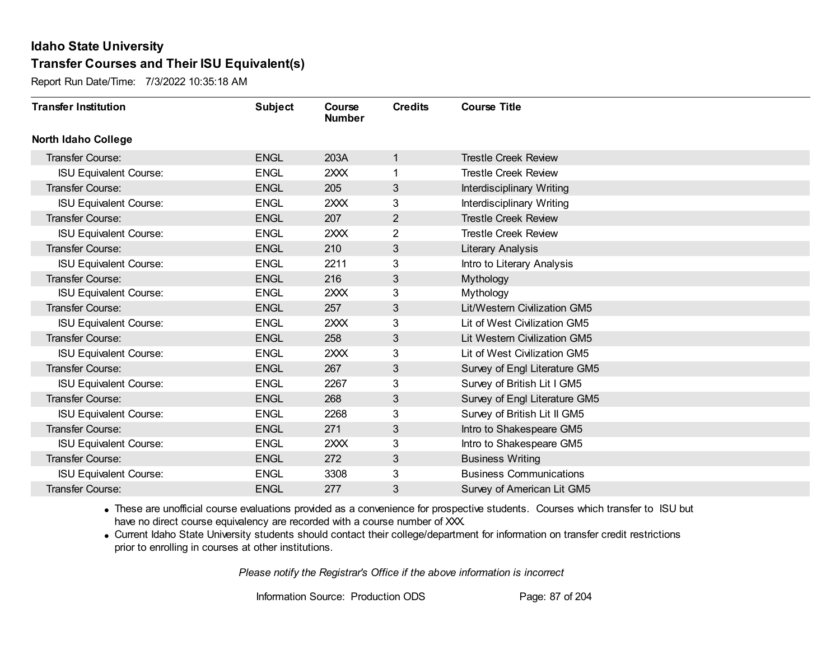Report Run Date/Time: 7/3/2022 10:35:18 AM

| <b>Transfer Institution</b>   | <b>Subject</b> | Course<br><b>Number</b> | <b>Credits</b> | <b>Course Title</b>            |
|-------------------------------|----------------|-------------------------|----------------|--------------------------------|
| North Idaho College           |                |                         |                |                                |
| <b>Transfer Course:</b>       | <b>ENGL</b>    | 203A                    | $\mathbf{1}$   | <b>Trestle Creek Review</b>    |
| <b>ISU Equivalent Course:</b> | <b>ENGL</b>    | 2XXX                    | 1.             | <b>Trestle Creek Review</b>    |
| Transfer Course:              | <b>ENGL</b>    | 205                     | 3              | Interdisciplinary Writing      |
| <b>ISU Equivalent Course:</b> | <b>ENGL</b>    | 2XXX                    | 3              | Interdisciplinary Writing      |
| <b>Transfer Course:</b>       | <b>ENGL</b>    | 207                     | $\overline{2}$ | <b>Trestle Creek Review</b>    |
| <b>ISU Equivalent Course:</b> | <b>ENGL</b>    | 2XXX                    | 2              | <b>Trestle Creek Review</b>    |
| <b>Transfer Course:</b>       | <b>ENGL</b>    | 210                     | 3              | Literary Analysis              |
| <b>ISU Equivalent Course:</b> | <b>ENGL</b>    | 2211                    | 3              | Intro to Literary Analysis     |
| Transfer Course:              | <b>ENGL</b>    | 216                     | 3              | Mythology                      |
| <b>ISU Equivalent Course:</b> | <b>ENGL</b>    | 2XXX                    | 3              | Mythology                      |
| Transfer Course:              | <b>ENGL</b>    | 257                     | 3              | Lit/Western Civilization GM5   |
| <b>ISU Equivalent Course:</b> | <b>ENGL</b>    | 2XXX                    | 3              | Lit of West Civilization GM5   |
| Transfer Course:              | <b>ENGL</b>    | 258                     | 3              | Lit Western Civilization GM5   |
| <b>ISU Equivalent Course:</b> | <b>ENGL</b>    | 2XXX                    | 3              | Lit of West Civilization GM5   |
| Transfer Course:              | <b>ENGL</b>    | 267                     | 3              | Survey of Engl Literature GM5  |
| <b>ISU Equivalent Course:</b> | <b>ENGL</b>    | 2267                    | 3              | Survey of British Lit I GM5    |
| Transfer Course:              | <b>ENGL</b>    | 268                     | 3              | Survey of Engl Literature GM5  |
| <b>ISU Equivalent Course:</b> | <b>ENGL</b>    | 2268                    | 3              | Survey of British Lit II GM5   |
| Transfer Course:              | <b>ENGL</b>    | 271                     | 3              | Intro to Shakespeare GM5       |
| <b>ISU Equivalent Course:</b> | <b>ENGL</b>    | 2XXX                    | 3              | Intro to Shakespeare GM5       |
| Transfer Course:              | <b>ENGL</b>    | 272                     | 3              | <b>Business Writing</b>        |
| <b>ISU Equivalent Course:</b> | <b>ENGL</b>    | 3308                    | 3              | <b>Business Communications</b> |
| Transfer Course:              | <b>ENGL</b>    | 277                     | 3              | Survey of American Lit GM5     |

· These are unofficial course evaluations provided as a convenience for prospective students. Courses which transfer to ISU but have no direct course equivalency are recorded with a course number of XXX.

· Current Idaho State University students should contact their college/department for information on transfer credit restrictions prior to enrolling in courses at other institutions.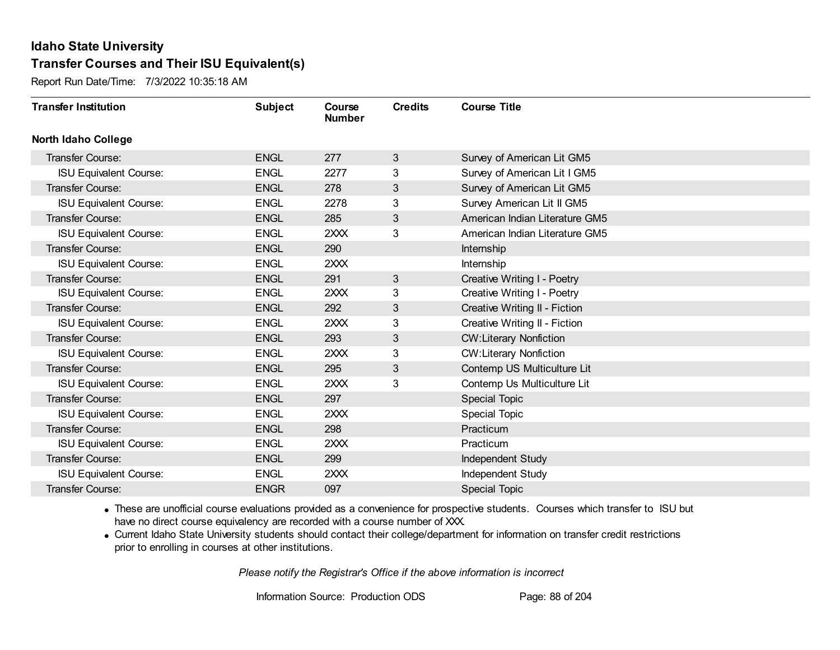Report Run Date/Time: 7/3/2022 10:35:18 AM

| <b>Transfer Institution</b>   | <b>Subject</b> | Course<br><b>Number</b> | <b>Credits</b> | <b>Course Title</b>            |
|-------------------------------|----------------|-------------------------|----------------|--------------------------------|
| <b>North Idaho College</b>    |                |                         |                |                                |
| <b>Transfer Course:</b>       | <b>ENGL</b>    | 277                     | 3              | Survey of American Lit GM5     |
| <b>ISU Equivalent Course:</b> | <b>ENGL</b>    | 2277                    | 3              | Survey of American Lit I GM5   |
| Transfer Course:              | <b>ENGL</b>    | 278                     | 3              | Survey of American Lit GM5     |
| <b>ISU Equivalent Course:</b> | <b>ENGL</b>    | 2278                    | 3              | Survey American Lit II GM5     |
| <b>Transfer Course:</b>       | <b>ENGL</b>    | 285                     | 3              | American Indian Literature GM5 |
| <b>ISU Equivalent Course:</b> | <b>ENGL</b>    | 2XXX                    | 3              | American Indian Literature GM5 |
| Transfer Course:              | <b>ENGL</b>    | 290                     |                | Internship                     |
| <b>ISU Equivalent Course:</b> | <b>ENGL</b>    | 2XXX                    |                | Internship                     |
| Transfer Course:              | <b>ENGL</b>    | 291                     | 3              | Creative Writing I - Poetry    |
| <b>ISU Equivalent Course:</b> | <b>ENGL</b>    | 2XXX                    | 3              | Creative Writing I - Poetry    |
| Transfer Course:              | <b>ENGL</b>    | 292                     | 3              | Creative Writing II - Fiction  |
| <b>ISU Equivalent Course:</b> | <b>ENGL</b>    | 2XXX                    | 3              | Creative Writing II - Fiction  |
| Transfer Course:              | <b>ENGL</b>    | 293                     | 3 <sup>1</sup> | <b>CW:Literary Nonfiction</b>  |
| <b>ISU Equivalent Course:</b> | <b>ENGL</b>    | 2XXX                    | 3              | <b>CW:Literary Nonfiction</b>  |
| Transfer Course:              | <b>ENGL</b>    | 295                     | 3              | Contemp US Multiculture Lit    |
| <b>ISU Equivalent Course:</b> | <b>ENGL</b>    | 2XXX                    | 3              | Contemp Us Multiculture Lit    |
| Transfer Course:              | <b>ENGL</b>    | 297                     |                | Special Topic                  |
| <b>ISU Equivalent Course:</b> | <b>ENGL</b>    | 2XXX                    |                | Special Topic                  |
| Transfer Course:              | <b>ENGL</b>    | 298                     |                | Practicum                      |
| <b>ISU Equivalent Course:</b> | <b>ENGL</b>    | 2XXX                    |                | Practicum                      |
| <b>Transfer Course:</b>       | <b>ENGL</b>    | 299                     |                | Independent Study              |
| <b>ISU Equivalent Course:</b> | <b>ENGL</b>    | 2XXX                    |                | Independent Study              |
| Transfer Course:              | <b>ENGR</b>    | 097                     |                | <b>Special Topic</b>           |

· These are unofficial course evaluations provided as a convenience for prospective students. Courses which transfer to ISU but have no direct course equivalency are recorded with a course number of XXX.

· Current Idaho State University students should contact their college/department for information on transfer credit restrictions prior to enrolling in courses at other institutions.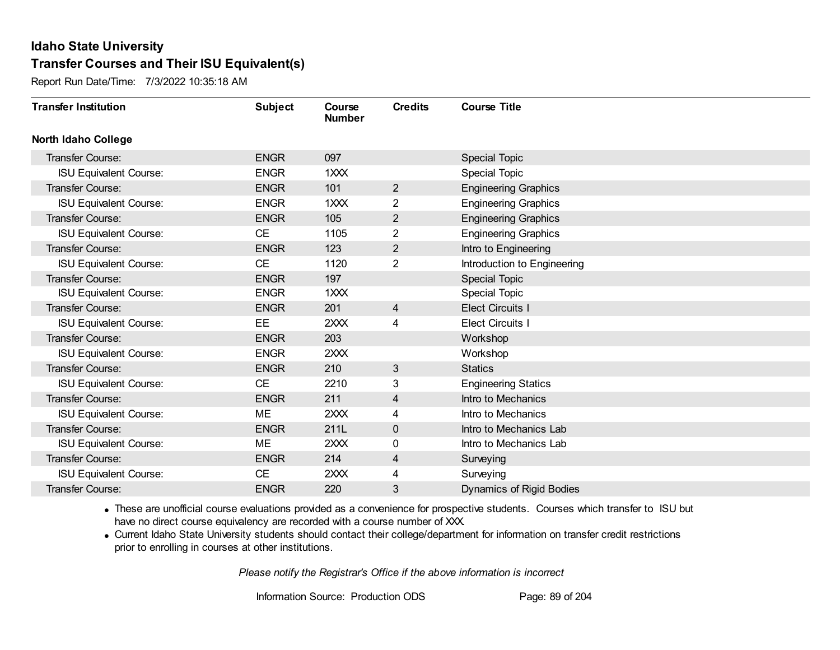Report Run Date/Time: 7/3/2022 10:35:18 AM

| <b>Transfer Institution</b>   | <b>Subject</b> | Course<br><b>Number</b> | <b>Credits</b> | <b>Course Title</b>         |
|-------------------------------|----------------|-------------------------|----------------|-----------------------------|
| <b>North Idaho College</b>    |                |                         |                |                             |
| <b>Transfer Course:</b>       | <b>ENGR</b>    | 097                     |                | <b>Special Topic</b>        |
| <b>ISU Equivalent Course:</b> | <b>ENGR</b>    | 1XXX                    |                | Special Topic               |
| Transfer Course:              | <b>ENGR</b>    | 101                     | $\overline{2}$ | <b>Engineering Graphics</b> |
| <b>ISU Equivalent Course:</b> | <b>ENGR</b>    | 1XXX                    | $\overline{2}$ | <b>Engineering Graphics</b> |
| <b>Transfer Course:</b>       | <b>ENGR</b>    | 105                     | $\overline{2}$ | <b>Engineering Graphics</b> |
| <b>ISU Equivalent Course:</b> | <b>CE</b>      | 1105                    | 2              | <b>Engineering Graphics</b> |
| Transfer Course:              | <b>ENGR</b>    | 123                     | $\overline{c}$ | Intro to Engineering        |
| <b>ISU Equivalent Course:</b> | <b>CE</b>      | 1120                    | $\overline{2}$ | Introduction to Engineering |
| Transfer Course:              | <b>ENGR</b>    | 197                     |                | Special Topic               |
| <b>ISU Equivalent Course:</b> | <b>ENGR</b>    | 1XXX                    |                | <b>Special Topic</b>        |
| Transfer Course:              | <b>ENGR</b>    | 201                     | 4              | <b>Elect Circuits I</b>     |
| <b>ISU Equivalent Course:</b> | <b>EE</b>      | 2XXX                    | 4              | <b>Elect Circuits I</b>     |
| Transfer Course:              | <b>ENGR</b>    | 203                     |                | Workshop                    |
| <b>ISU Equivalent Course:</b> | <b>ENGR</b>    | 2XXX                    |                | Workshop                    |
| Transfer Course:              | <b>ENGR</b>    | 210                     | 3              | <b>Statics</b>              |
| <b>ISU Equivalent Course:</b> | <b>CE</b>      | 2210                    | 3              | <b>Engineering Statics</b>  |
| Transfer Course:              | <b>ENGR</b>    | 211                     | $\overline{4}$ | Intro to Mechanics          |
| <b>ISU Equivalent Course:</b> | ME             | 2XXX                    | 4              | Intro to Mechanics          |
| Transfer Course:              | <b>ENGR</b>    | 211L                    | $\mathbf 0$    | Intro to Mechanics Lab      |
| <b>ISU Equivalent Course:</b> | ME             | 2XXX                    | 0              | Intro to Mechanics Lab      |
| <b>Transfer Course:</b>       | <b>ENGR</b>    | 214                     | 4              | Surveying                   |
| <b>ISU Equivalent Course:</b> | <b>CE</b>      | 2XXX                    | 4              | Surveying                   |
| <b>Transfer Course:</b>       | <b>ENGR</b>    | 220                     | 3              | Dynamics of Rigid Bodies    |

· These are unofficial course evaluations provided as a convenience for prospective students. Courses which transfer to ISU but have no direct course equivalency are recorded with a course number of XXX.

· Current Idaho State University students should contact their college/department for information on transfer credit restrictions prior to enrolling in courses at other institutions.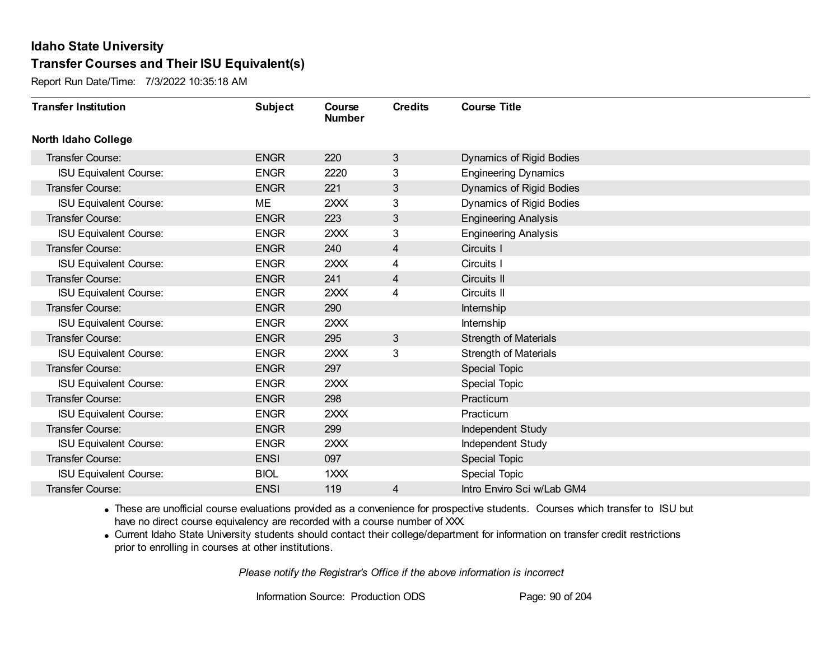Report Run Date/Time: 7/3/2022 10:35:18 AM

| <b>Transfer Institution</b>   | <b>Subject</b> | Course<br><b>Number</b> | <b>Credits</b>          | <b>Course Title</b>          |
|-------------------------------|----------------|-------------------------|-------------------------|------------------------------|
| <b>North Idaho College</b>    |                |                         |                         |                              |
| Transfer Course:              | <b>ENGR</b>    | 220                     | $\mathbf{3}$            | Dynamics of Rigid Bodies     |
| <b>ISU Equivalent Course:</b> | <b>ENGR</b>    | 2220                    | 3                       | <b>Engineering Dynamics</b>  |
| Transfer Course:              | <b>ENGR</b>    | 221                     | 3                       | Dynamics of Rigid Bodies     |
| <b>ISU Equivalent Course:</b> | <b>ME</b>      | 2XXX                    | 3                       | Dynamics of Rigid Bodies     |
| <b>Transfer Course:</b>       | <b>ENGR</b>    | 223                     | 3                       | <b>Engineering Analysis</b>  |
| <b>ISU Equivalent Course:</b> | <b>ENGR</b>    | 2XXX                    | 3                       | <b>Engineering Analysis</b>  |
| <b>Transfer Course:</b>       | <b>ENGR</b>    | 240                     | 4                       | Circuits I                   |
| <b>ISU Equivalent Course:</b> | <b>ENGR</b>    | 2XXX                    | 4                       | Circuits I                   |
| Transfer Course:              | <b>ENGR</b>    | 241                     | $\overline{\mathbf{4}}$ | Circuits II                  |
| <b>ISU Equivalent Course:</b> | <b>ENGR</b>    | 2XXX                    | 4                       | Circuits II                  |
| <b>Transfer Course:</b>       | <b>ENGR</b>    | 290                     |                         | Internship                   |
| <b>ISU Equivalent Course:</b> | <b>ENGR</b>    | 2XXX                    |                         | Internship                   |
| Transfer Course:              | <b>ENGR</b>    | 295                     | 3                       | <b>Strength of Materials</b> |
| <b>ISU Equivalent Course:</b> | <b>ENGR</b>    | 2XXX                    | 3                       | <b>Strength of Materials</b> |
| Transfer Course:              | <b>ENGR</b>    | 297                     |                         | Special Topic                |
| <b>ISU Equivalent Course:</b> | <b>ENGR</b>    | 2XXX                    |                         | Special Topic                |
| Transfer Course:              | <b>ENGR</b>    | 298                     |                         | Practicum                    |
| <b>ISU Equivalent Course:</b> | <b>ENGR</b>    | 2XXX                    |                         | Practicum                    |
| Transfer Course:              | <b>ENGR</b>    | 299                     |                         | Independent Study            |
| <b>ISU Equivalent Course:</b> | <b>ENGR</b>    | 2XXX                    |                         | Independent Study            |
| <b>Transfer Course:</b>       | <b>ENSI</b>    | 097                     |                         | Special Topic                |
| <b>ISU Equivalent Course:</b> | <b>BIOL</b>    | 1XXX                    |                         | Special Topic                |
| Transfer Course:              | <b>ENSI</b>    | 119                     | 4                       | Intro Enviro Sci w/Lab GM4   |

· These are unofficial course evaluations provided as a convenience for prospective students. Courses which transfer to ISU but have no direct course equivalency are recorded with a course number of XXX.

· Current Idaho State University students should contact their college/department for information on transfer credit restrictions prior to enrolling in courses at other institutions.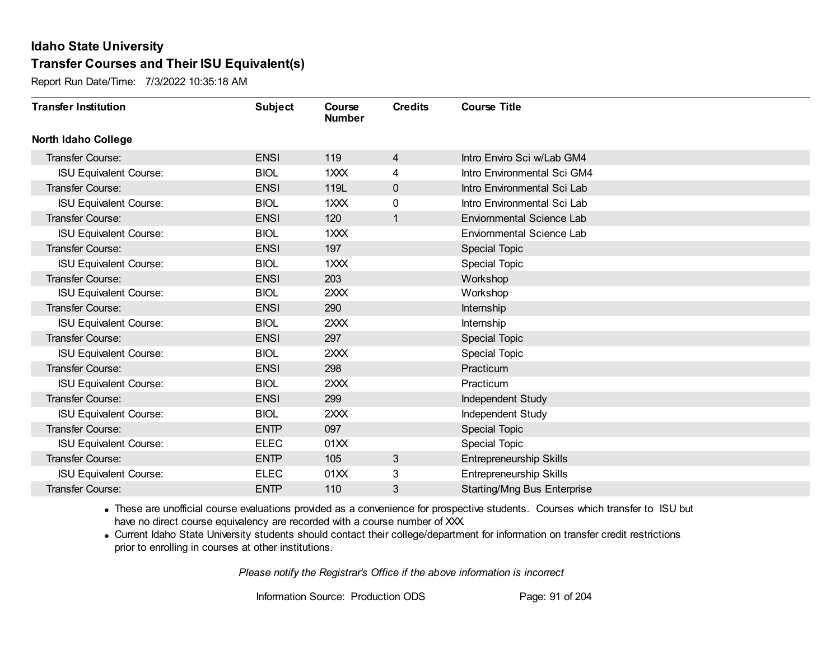Report Run Date/Time: 7/3/2022 10:35:18 AM

| <b>Transfer Institution</b>   | <b>Subject</b> | Course<br><b>Number</b> | <b>Credits</b> | <b>Course Title</b>                |
|-------------------------------|----------------|-------------------------|----------------|------------------------------------|
| <b>North Idaho College</b>    |                |                         |                |                                    |
| Transfer Course:              | <b>ENSI</b>    | 119                     | 4              | Intro Enviro Sci w/Lab GM4         |
| <b>ISU Equivalent Course:</b> | <b>BIOL</b>    | 1XXX                    | 4              | Intro Environmental Sci GM4        |
| Transfer Course:              | <b>ENSI</b>    | 119L                    | $\pmb{0}$      | Intro Environmental Sci Lab        |
| <b>ISU Equivalent Course:</b> | <b>BIOL</b>    | 1XXX                    | 0              | Intro Environmental Sci Lab        |
| <b>Transfer Course:</b>       | <b>ENSI</b>    | 120                     | 1              | Enviornmental Science Lab          |
| <b>ISU Equivalent Course:</b> | <b>BIOL</b>    | 1XXX                    |                | <b>Enviornmental Science Lab</b>   |
| Transfer Course:              | <b>ENSI</b>    | 197                     |                | <b>Special Topic</b>               |
| <b>ISU Equivalent Course:</b> | <b>BIOL</b>    | $1$ $XX$                |                | <b>Special Topic</b>               |
| <b>Transfer Course:</b>       | <b>ENSI</b>    | 203                     |                | Workshop                           |
| <b>ISU Equivalent Course:</b> | <b>BIOL</b>    | 2XXX                    |                | Workshop                           |
| <b>Transfer Course:</b>       | <b>ENSI</b>    | 290                     |                | Internship                         |
| <b>ISU Equivalent Course:</b> | <b>BIOL</b>    | 2XXX                    |                | Internship                         |
| Transfer Course:              | <b>ENSI</b>    | 297                     |                | Special Topic                      |
| <b>ISU Equivalent Course:</b> | <b>BIOL</b>    | 2XXX                    |                | <b>Special Topic</b>               |
| Transfer Course:              | <b>ENSI</b>    | 298                     |                | Practicum                          |
| <b>ISU Equivalent Course:</b> | <b>BIOL</b>    | 2XXX                    |                | Practicum                          |
| Transfer Course:              | <b>ENSI</b>    | 299                     |                | Independent Study                  |
| <b>ISU Equivalent Course:</b> | <b>BIOL</b>    | 2XXX                    |                | Independent Study                  |
| Transfer Course:              | <b>ENTP</b>    | 097                     |                | Special Topic                      |
| <b>ISU Equivalent Course:</b> | <b>ELEC</b>    | 01XX                    |                | <b>Special Topic</b>               |
| <b>Transfer Course:</b>       | <b>ENTP</b>    | 105                     | 3              | Entrepreneurship Skills            |
| <b>ISU Equivalent Course:</b> | <b>ELEC</b>    | 01XX                    | 3              | <b>Entrepreneurship Skills</b>     |
| <b>Transfer Course:</b>       | <b>ENTP</b>    | 110                     | 3              | <b>Starting/Mng Bus Enterprise</b> |

· These are unofficial course evaluations provided as a convenience for prospective students. Courses which transfer to ISU but have no direct course equivalency are recorded with a course number of XXX.

· Current Idaho State University students should contact their college/department for information on transfer credit restrictions prior to enrolling in courses at other institutions.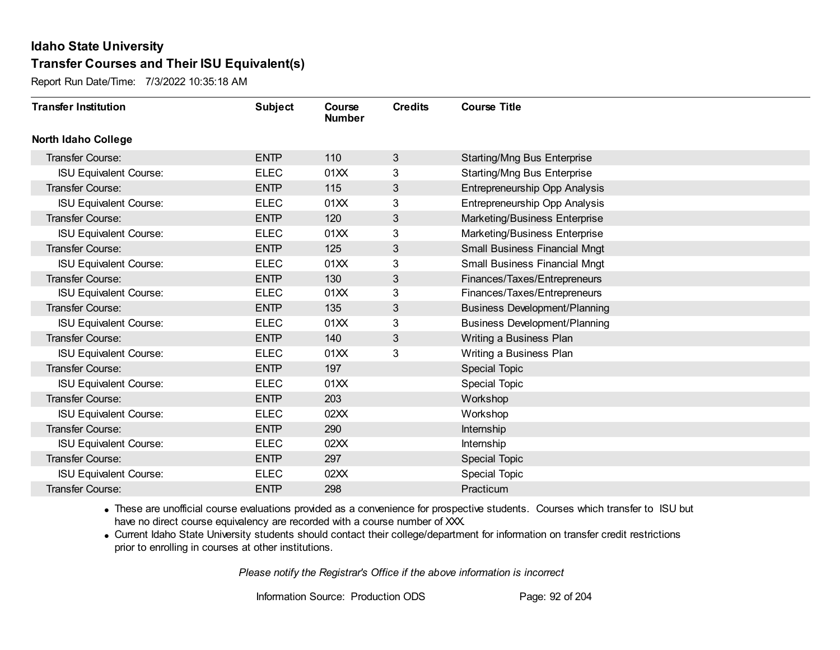Report Run Date/Time: 7/3/2022 10:35:18 AM

| <b>Transfer Institution</b>   | <b>Subject</b> | Course<br><b>Number</b> | <b>Credits</b> | <b>Course Title</b>                  |
|-------------------------------|----------------|-------------------------|----------------|--------------------------------------|
| <b>North Idaho College</b>    |                |                         |                |                                      |
| Transfer Course:              | <b>ENTP</b>    | 110                     | 3              | <b>Starting/Mng Bus Enterprise</b>   |
| <b>ISU Equivalent Course:</b> | <b>ELEC</b>    | 01XX                    | 3              | <b>Starting/Mng Bus Enterprise</b>   |
| Transfer Course:              | <b>ENTP</b>    | 115                     | 3              | Entrepreneurship Opp Analysis        |
| <b>ISU Equivalent Course:</b> | <b>ELEC</b>    | 01XX                    | 3              | Entrepreneurship Opp Analysis        |
| Transfer Course:              | <b>ENTP</b>    | 120                     | 3              | Marketing/Business Enterprise        |
| <b>ISU Equivalent Course:</b> | <b>ELEC</b>    | 01XX                    | 3              | Marketing/Business Enterprise        |
| <b>Transfer Course:</b>       | <b>ENTP</b>    | 125                     | 3              | <b>Small Business Financial Mngt</b> |
| <b>ISU Equivalent Course:</b> | <b>ELEC</b>    | 01XX                    | 3              | <b>Small Business Financial Mngt</b> |
| Transfer Course:              | <b>ENTP</b>    | 130                     | 3              | Finances/Taxes/Entrepreneurs         |
| <b>ISU Equivalent Course:</b> | <b>ELEC</b>    | 01XX                    | 3              | Finances/Taxes/Entrepreneurs         |
| Transfer Course:              | <b>ENTP</b>    | 135                     | 3              | <b>Business Development/Planning</b> |
| <b>ISU Equivalent Course:</b> | <b>ELEC</b>    | 01XX                    | 3              | <b>Business Development/Planning</b> |
| Transfer Course:              | <b>ENTP</b>    | 140                     | 3              | Writing a Business Plan              |
| <b>ISU Equivalent Course:</b> | <b>ELEC</b>    | 01XX                    | 3              | Writing a Business Plan              |
| Transfer Course:              | <b>ENTP</b>    | 197                     |                | Special Topic                        |
| <b>ISU Equivalent Course:</b> | <b>ELEC</b>    | 01XX                    |                | Special Topic                        |
| Transfer Course:              | <b>ENTP</b>    | 203                     |                | Workshop                             |
| <b>ISU Equivalent Course:</b> | <b>ELEC</b>    | 02XX                    |                | Workshop                             |
| <b>Transfer Course:</b>       | <b>ENTP</b>    | 290                     |                | Internship                           |
| <b>ISU Equivalent Course:</b> | <b>ELEC</b>    | 02XX                    |                | Internship                           |
| Transfer Course:              | <b>ENTP</b>    | 297                     |                | Special Topic                        |
| <b>ISU Equivalent Course:</b> | <b>ELEC</b>    | 02XX                    |                | <b>Special Topic</b>                 |
| Transfer Course:              | <b>ENTP</b>    | 298                     |                | Practicum                            |

· These are unofficial course evaluations provided as a convenience for prospective students. Courses which transfer to ISU but have no direct course equivalency are recorded with a course number of XXX.

· Current Idaho State University students should contact their college/department for information on transfer credit restrictions prior to enrolling in courses at other institutions.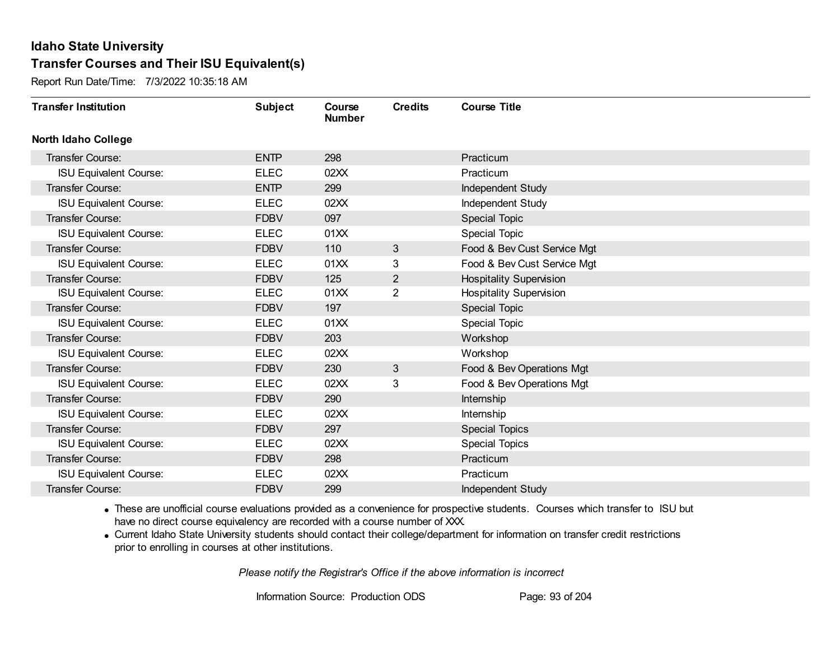Report Run Date/Time: 7/3/2022 10:35:18 AM

| <b>Transfer Institution</b>   | <b>Subject</b> | Course<br><b>Number</b> | <b>Credits</b> | <b>Course Title</b>            |
|-------------------------------|----------------|-------------------------|----------------|--------------------------------|
| <b>North Idaho College</b>    |                |                         |                |                                |
| Transfer Course:              | <b>ENTP</b>    | 298                     |                | Practicum                      |
| <b>ISU Equivalent Course:</b> | <b>ELEC</b>    | 02XX                    |                | Practicum                      |
| Transfer Course:              | <b>ENTP</b>    | 299                     |                | Independent Study              |
| <b>ISU Equivalent Course:</b> | <b>ELEC</b>    | 02XX                    |                | Independent Study              |
| Transfer Course:              | <b>FDBV</b>    | 097                     |                | Special Topic                  |
| <b>ISU Equivalent Course:</b> | <b>ELEC</b>    | 01XX                    |                | Special Topic                  |
| <b>Transfer Course:</b>       | <b>FDBV</b>    | 110                     | 3              | Food & Bev Cust Service Mgt    |
| <b>ISU Equivalent Course:</b> | <b>ELEC</b>    | 01XX                    | 3              | Food & Bev Cust Service Mgt    |
| Transfer Course:              | <b>FDBV</b>    | 125                     | $\overline{2}$ | <b>Hospitality Supervision</b> |
| <b>ISU Equivalent Course:</b> | <b>ELEC</b>    | 01XX                    | $\overline{2}$ | <b>Hospitality Supervision</b> |
| Transfer Course:              | <b>FDBV</b>    | 197                     |                | Special Topic                  |
| <b>ISU Equivalent Course:</b> | <b>ELEC</b>    | 01XX                    |                | <b>Special Topic</b>           |
| Transfer Course:              | <b>FDBV</b>    | 203                     |                | Workshop                       |
| <b>ISU Equivalent Course:</b> | <b>ELEC</b>    | 02XX                    |                | Workshop                       |
| Transfer Course:              | <b>FDBV</b>    | 230                     | 3              | Food & Bev Operations Mgt      |
| <b>ISU Equivalent Course:</b> | <b>ELEC</b>    | 02XX                    | 3              | Food & Bev Operations Mgt      |
| Transfer Course:              | <b>FDBV</b>    | 290                     |                | Internship                     |
| <b>ISU Equivalent Course:</b> | <b>ELEC</b>    | 02XX                    |                | Internship                     |
| Transfer Course:              | <b>FDBV</b>    | 297                     |                | <b>Special Topics</b>          |
| <b>ISU Equivalent Course:</b> | <b>ELEC</b>    | 02XX                    |                | <b>Special Topics</b>          |
| <b>Transfer Course:</b>       | <b>FDBV</b>    | 298                     |                | Practicum                      |
| <b>ISU Equivalent Course:</b> | <b>ELEC</b>    | 02XX                    |                | Practicum                      |
| Transfer Course:              | <b>FDBV</b>    | 299                     |                | Independent Study              |

· These are unofficial course evaluations provided as a convenience for prospective students. Courses which transfer to ISU but have no direct course equivalency are recorded with a course number of XXX.

· Current Idaho State University students should contact their college/department for information on transfer credit restrictions prior to enrolling in courses at other institutions.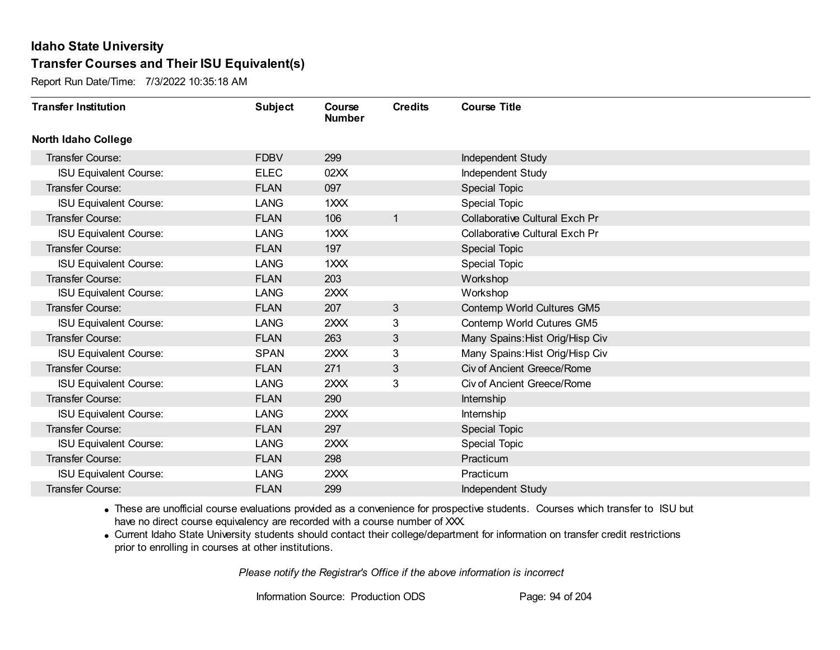Report Run Date/Time: 7/3/2022 10:35:18 AM

| <b>Transfer Institution</b>   | <b>Subject</b> | Course<br><b>Number</b> | <b>Credits</b> | <b>Course Title</b>                   |
|-------------------------------|----------------|-------------------------|----------------|---------------------------------------|
| <b>North Idaho College</b>    |                |                         |                |                                       |
| Transfer Course:              | <b>FDBV</b>    | 299                     |                | Independent Study                     |
| <b>ISU Equivalent Course:</b> | <b>ELEC</b>    | 02XX                    |                | Independent Study                     |
| Transfer Course:              | <b>FLAN</b>    | 097                     |                | <b>Special Topic</b>                  |
| <b>ISU Equivalent Course:</b> | <b>LANG</b>    | 1XXX                    |                | Special Topic                         |
| Transfer Course:              | <b>FLAN</b>    | 106                     | $\mathbf{1}$   | <b>Collaborative Cultural Exch Pr</b> |
| <b>ISU Equivalent Course:</b> | <b>LANG</b>    | 1XXX                    |                | Collaborative Cultural Exch Pr        |
| <b>Transfer Course:</b>       | <b>FLAN</b>    | 197                     |                | <b>Special Topic</b>                  |
| <b>ISU Equivalent Course:</b> | <b>LANG</b>    | 1XXX                    |                | Special Topic                         |
| Transfer Course:              | <b>FLAN</b>    | 203                     |                | Workshop                              |
| <b>ISU Equivalent Course:</b> | <b>LANG</b>    | 2XXX                    |                | Workshop                              |
| Transfer Course:              | <b>FLAN</b>    | 207                     | 3              | Contemp World Cultures GM5            |
| <b>ISU Equivalent Course:</b> | <b>LANG</b>    | 2XXX                    | 3              | Contemp World Cutures GM5             |
| <b>Transfer Course:</b>       | <b>FLAN</b>    | 263                     | 3              | Many Spains: Hist Orig/Hisp Civ       |
| <b>ISU Equivalent Course:</b> | <b>SPAN</b>    | 2XXX                    | 3              | Many Spains: Hist Orig/Hisp Civ       |
| Transfer Course:              | <b>FLAN</b>    | 271                     | 3              | <b>Civ of Ancient Greece/Rome</b>     |
| <b>ISU Equivalent Course:</b> | <b>LANG</b>    | 2XXX                    | 3              | Civ of Ancient Greece/Rome            |
| Transfer Course:              | <b>FLAN</b>    | 290                     |                | Internship                            |
| <b>ISU Equivalent Course:</b> | <b>LANG</b>    | 2XXX                    |                | Internship                            |
| <b>Transfer Course:</b>       | <b>FLAN</b>    | 297                     |                | Special Topic                         |
| <b>ISU Equivalent Course:</b> | <b>LANG</b>    | 2XXX                    |                | <b>Special Topic</b>                  |
| <b>Transfer Course:</b>       | <b>FLAN</b>    | 298                     |                | Practicum                             |
| <b>ISU Equivalent Course:</b> | <b>LANG</b>    | 2XXX                    |                | Practicum                             |
| Transfer Course:              | <b>FLAN</b>    | 299                     |                | Independent Study                     |

· These are unofficial course evaluations provided as a convenience for prospective students. Courses which transfer to ISU but have no direct course equivalency are recorded with a course number of XXX.

· Current Idaho State University students should contact their college/department for information on transfer credit restrictions prior to enrolling in courses at other institutions.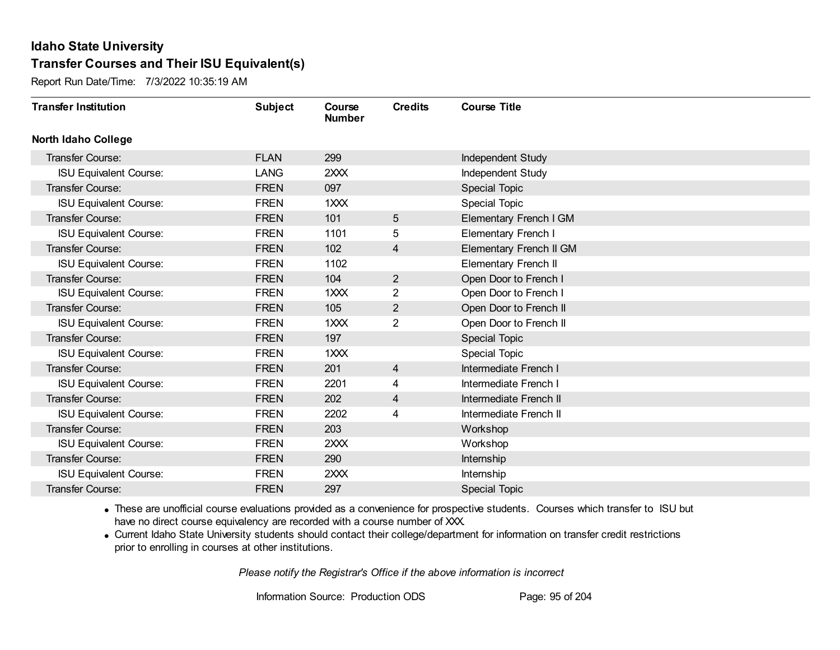Report Run Date/Time: 7/3/2022 10:35:19 AM

| <b>Transfer Institution</b>   | <b>Subject</b> | Course<br><b>Number</b> | <b>Credits</b> | <b>Course Title</b>         |
|-------------------------------|----------------|-------------------------|----------------|-----------------------------|
| <b>North Idaho College</b>    |                |                         |                |                             |
| <b>Transfer Course:</b>       | <b>FLAN</b>    | 299                     |                | Independent Study           |
| <b>ISU Equivalent Course:</b> | <b>LANG</b>    | 2XXX                    |                | <b>Independent Study</b>    |
| <b>Transfer Course:</b>       | <b>FREN</b>    | 097                     |                | <b>Special Topic</b>        |
| <b>ISU Equivalent Course:</b> | <b>FREN</b>    | 1XXX                    |                | Special Topic               |
| Transfer Course:              | <b>FREN</b>    | 101                     | 5              | Elementary French I GM      |
| <b>ISU Equivalent Course:</b> | <b>FREN</b>    | 1101                    | 5              | Elementary French I         |
| <b>Transfer Course:</b>       | <b>FREN</b>    | 102                     | 4              | Elementary French II GM     |
| <b>ISU Equivalent Course:</b> | <b>FREN</b>    | 1102                    |                | <b>Elementary French II</b> |
| Transfer Course:              | <b>FREN</b>    | 104                     | $\overline{2}$ | Open Door to French I       |
| <b>ISU Equivalent Course:</b> | <b>FREN</b>    | 1XXX                    | $\overline{2}$ | Open Door to French I       |
| Transfer Course:              | <b>FREN</b>    | 105                     | $\overline{2}$ | Open Door to French II      |
| <b>ISU Equivalent Course:</b> | <b>FREN</b>    | 1XXX                    | $\overline{2}$ | Open Door to French II      |
| Transfer Course:              | <b>FREN</b>    | 197                     |                | <b>Special Topic</b>        |
| <b>ISU Equivalent Course:</b> | <b>FREN</b>    | 1XXX                    |                | <b>Special Topic</b>        |
| Transfer Course:              | <b>FREN</b>    | 201                     | $\overline{4}$ | Intermediate French I       |
| <b>ISU Equivalent Course:</b> | <b>FREN</b>    | 2201                    | 4              | Intermediate French I       |
| <b>Transfer Course:</b>       | <b>FREN</b>    | 202                     | 4              | Intermediate French II      |
| <b>ISU Equivalent Course:</b> | <b>FREN</b>    | 2202                    | 4              | Intermediate French II      |
| <b>Transfer Course:</b>       | <b>FREN</b>    | 203                     |                | Workshop                    |
| <b>ISU Equivalent Course:</b> | <b>FREN</b>    | 2XXX                    |                | Workshop                    |
| <b>Transfer Course:</b>       | <b>FREN</b>    | 290                     |                | Internship                  |
| <b>ISU Equivalent Course:</b> | <b>FREN</b>    | 2XXX                    |                | <b>Internship</b>           |
| <b>Transfer Course:</b>       | <b>FREN</b>    | 297                     |                | <b>Special Topic</b>        |

· These are unofficial course evaluations provided as a convenience for prospective students. Courses which transfer to ISU but have no direct course equivalency are recorded with a course number of XXX.

· Current Idaho State University students should contact their college/department for information on transfer credit restrictions prior to enrolling in courses at other institutions.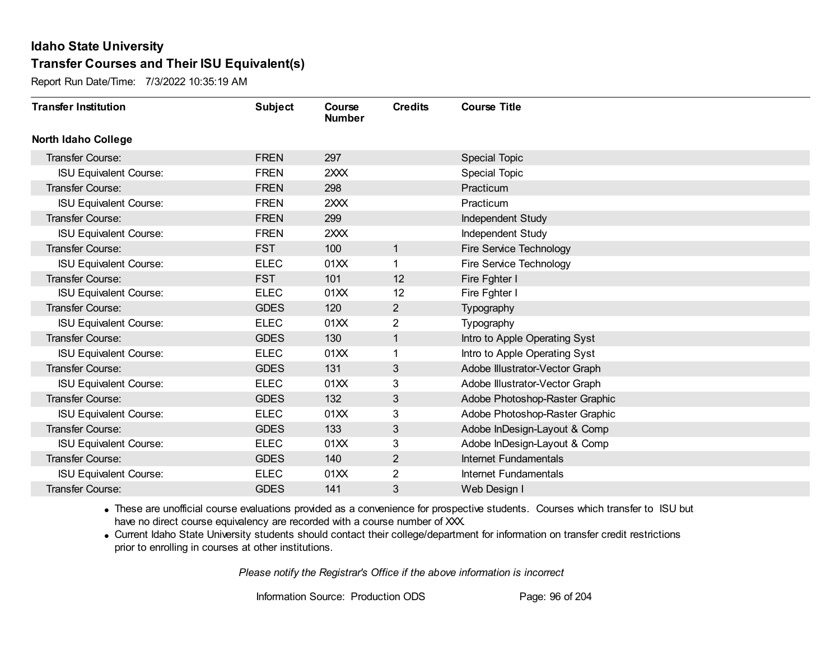Report Run Date/Time: 7/3/2022 10:35:19 AM

| <b>Transfer Institution</b>   | <b>Subject</b> | Course<br><b>Number</b> | <b>Credits</b> | <b>Course Title</b>            |
|-------------------------------|----------------|-------------------------|----------------|--------------------------------|
| <b>North Idaho College</b>    |                |                         |                |                                |
| Transfer Course:              | <b>FREN</b>    | 297                     |                | <b>Special Topic</b>           |
| <b>ISU Equivalent Course:</b> | <b>FREN</b>    | 2XXX                    |                | <b>Special Topic</b>           |
| Transfer Course:              | <b>FREN</b>    | 298                     |                | Practicum                      |
| <b>ISU Equivalent Course:</b> | <b>FREN</b>    | 2XXX                    |                | Practicum                      |
| <b>Transfer Course:</b>       | <b>FREN</b>    | 299                     |                | Independent Study              |
| <b>ISU Equivalent Course:</b> | <b>FREN</b>    | 2XXX                    |                | Independent Study              |
| Transfer Course:              | <b>FST</b>     | 100                     | $\mathbf{1}$   | <b>Fire Service Technology</b> |
| <b>ISU Equivalent Course:</b> | <b>ELEC</b>    | 01 <sub>XX</sub>        | $\mathbf 1$    | Fire Service Technology        |
| <b>Transfer Course:</b>       | <b>FST</b>     | 101                     | 12             | Fire Fghter I                  |
| <b>ISU Equivalent Course:</b> | <b>ELEC</b>    | 01XX                    | 12             | Fire Fghter I                  |
| <b>Transfer Course:</b>       | <b>GDES</b>    | 120                     | $\overline{2}$ | Typography                     |
| <b>ISU Equivalent Course:</b> | <b>ELEC</b>    | 01XX                    | 2              | Typography                     |
| Transfer Course:              | <b>GDES</b>    | 130                     | $\mathbf{1}$   | Intro to Apple Operating Syst  |
| <b>ISU Equivalent Course:</b> | <b>ELEC</b>    | 01XX                    | $\mathbf{1}$   | Intro to Apple Operating Syst  |
| Transfer Course:              | <b>GDES</b>    | 131                     | 3              | Adobe Illustrator-Vector Graph |
| <b>ISU Equivalent Course:</b> | <b>ELEC</b>    | 01XX                    | 3              | Adobe Illustrator-Vector Graph |
| Transfer Course:              | <b>GDES</b>    | 132                     | 3              | Adobe Photoshop-Raster Graphic |
| <b>ISU Equivalent Course:</b> | <b>ELEC</b>    | 01XX                    | 3              | Adobe Photoshop-Raster Graphic |
| Transfer Course:              | <b>GDES</b>    | 133                     | 3              | Adobe InDesign-Layout & Comp   |
| <b>ISU Equivalent Course:</b> | <b>ELEC</b>    | 01XX                    | 3              | Adobe InDesign-Layout & Comp   |
| Transfer Course:              | <b>GDES</b>    | 140                     | $\overline{2}$ | Internet Fundamentals          |
| <b>ISU Equivalent Course:</b> | <b>ELEC</b>    | 01XX                    | $\overline{2}$ | Internet Fundamentals          |
| Transfer Course:              | <b>GDES</b>    | 141                     | 3              | Web Design I                   |

· These are unofficial course evaluations provided as a convenience for prospective students. Courses which transfer to ISU but have no direct course equivalency are recorded with a course number of XXX.

· Current Idaho State University students should contact their college/department for information on transfer credit restrictions prior to enrolling in courses at other institutions.

*Please notify the Registrar's Office if the above information is incorrect*

Information Source: Production ODS Page: 96 of 204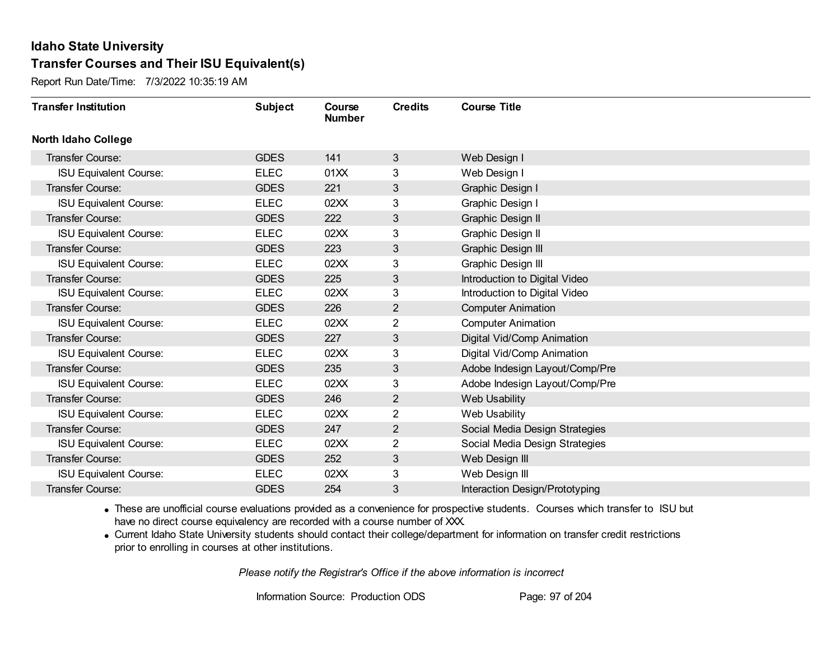Report Run Date/Time: 7/3/2022 10:35:19 AM

| <b>Transfer Institution</b>   | <b>Subject</b> | Course<br><b>Number</b> | <b>Credits</b> | <b>Course Title</b>            |
|-------------------------------|----------------|-------------------------|----------------|--------------------------------|
| <b>North Idaho College</b>    |                |                         |                |                                |
| <b>Transfer Course:</b>       | <b>GDES</b>    | 141                     | 3              | Web Design I                   |
| <b>ISU Equivalent Course:</b> | <b>ELEC</b>    | 01XX                    | 3              | Web Design I                   |
| Transfer Course:              | <b>GDES</b>    | 221                     | 3              | Graphic Design I               |
| <b>ISU Equivalent Course:</b> | <b>ELEC</b>    | 02XX                    | 3              | Graphic Design I               |
| <b>Transfer Course:</b>       | <b>GDES</b>    | 222                     | 3              | <b>Graphic Design II</b>       |
| <b>ISU Equivalent Course:</b> | <b>ELEC</b>    | 02XX                    | 3              | Graphic Design II              |
| Transfer Course:              | <b>GDES</b>    | 223                     | 3              | Graphic Design III             |
| <b>ISU Equivalent Course:</b> | <b>ELEC</b>    | 02XX                    | 3              | Graphic Design III             |
| Transfer Course:              | <b>GDES</b>    | 225                     | 3              | Introduction to Digital Video  |
| <b>ISU Equivalent Course:</b> | <b>ELEC</b>    | 02XX                    | 3              | Introduction to Digital Video  |
| Transfer Course:              | <b>GDES</b>    | 226                     | $\overline{2}$ | <b>Computer Animation</b>      |
| <b>ISU Equivalent Course:</b> | <b>ELEC</b>    | 02XX                    | 2              | <b>Computer Animation</b>      |
| Transfer Course:              | <b>GDES</b>    | 227                     | 3              | Digital Vid/Comp Animation     |
| <b>ISU Equivalent Course:</b> | <b>ELEC</b>    | 02XX                    | 3              | Digital Vid/Comp Animation     |
| Transfer Course:              | <b>GDES</b>    | 235                     | 3              | Adobe Indesign Layout/Comp/Pre |
| <b>ISU Equivalent Course:</b> | <b>ELEC</b>    | 02XX                    | 3              | Adobe Indesign Layout/Comp/Pre |
| Transfer Course:              | <b>GDES</b>    | 246                     | $\overline{2}$ | Web Usability                  |
| <b>ISU Equivalent Course:</b> | <b>ELEC</b>    | 02XX                    | 2              | Web Usability                  |
| <b>Transfer Course:</b>       | <b>GDES</b>    | 247                     | $\overline{2}$ | Social Media Design Strategies |
| <b>ISU Equivalent Course:</b> | <b>ELEC</b>    | 02XX                    | 2              | Social Media Design Strategies |
| Transfer Course:              | <b>GDES</b>    | 252                     | 3              | Web Design III                 |
| <b>ISU Equivalent Course:</b> | <b>ELEC</b>    | 02XX                    | 3              | Web Design III                 |
| Transfer Course:              | <b>GDES</b>    | 254                     | 3              | Interaction Design/Prototyping |

· These are unofficial course evaluations provided as a convenience for prospective students. Courses which transfer to ISU but have no direct course equivalency are recorded with a course number of XXX.

· Current Idaho State University students should contact their college/department for information on transfer credit restrictions prior to enrolling in courses at other institutions.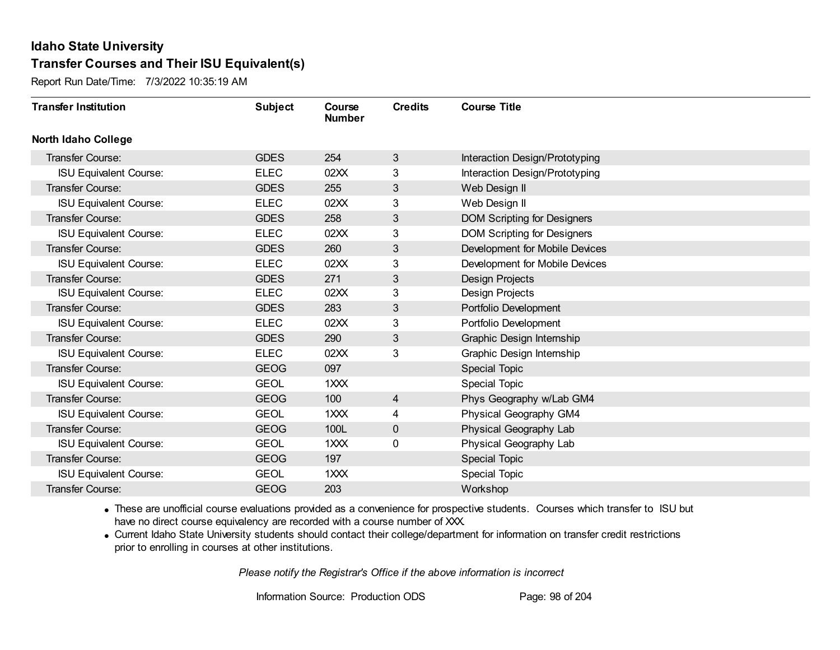Report Run Date/Time: 7/3/2022 10:35:19 AM

| <b>Transfer Institution</b>   | <b>Subject</b> | Course<br><b>Number</b> | <b>Credits</b> | <b>Course Title</b>                |
|-------------------------------|----------------|-------------------------|----------------|------------------------------------|
| North Idaho College           |                |                         |                |                                    |
| <b>Transfer Course:</b>       | <b>GDES</b>    | 254                     | 3              | Interaction Design/Prototyping     |
| <b>ISU Equivalent Course:</b> | <b>ELEC</b>    | 02XX                    | 3              | Interaction Design/Prototyping     |
| Transfer Course:              | <b>GDES</b>    | 255                     | 3              | Web Design II                      |
| <b>ISU Equivalent Course:</b> | <b>ELEC</b>    | 02XX                    | 3              | Web Design II                      |
| Transfer Course:              | <b>GDES</b>    | 258                     | 3              | <b>DOM Scripting for Designers</b> |
| <b>ISU Equivalent Course:</b> | <b>ELEC</b>    | 02XX                    | 3              | <b>DOM Scripting for Designers</b> |
| Transfer Course:              | <b>GDES</b>    | 260                     | 3              | Development for Mobile Devices     |
| <b>ISU Equivalent Course:</b> | <b>ELEC</b>    | 02XX                    | 3              | Development for Mobile Devices     |
| Transfer Course:              | <b>GDES</b>    | 271                     | 3              | <b>Design Projects</b>             |
| <b>ISU Equivalent Course:</b> | <b>ELEC</b>    | 02XX                    | 3              | <b>Design Projects</b>             |
| Transfer Course:              | <b>GDES</b>    | 283                     | 3              | Portfolio Development              |
| <b>ISU Equivalent Course:</b> | <b>ELEC</b>    | 02XX                    | 3              | Portfolio Development              |
| Transfer Course:              | <b>GDES</b>    | 290                     | $\mathbf{3}$   | Graphic Design Internship          |
| <b>ISU Equivalent Course:</b> | <b>ELEC</b>    | 02XX                    | 3              | Graphic Design Internship          |
| Transfer Course:              | <b>GEOG</b>    | 097                     |                | <b>Special Topic</b>               |
| <b>ISU Equivalent Course:</b> | <b>GEOL</b>    | 1XXX                    |                | Special Topic                      |
| Transfer Course:              | <b>GEOG</b>    | 100                     | $\overline{4}$ | Phys Geography w/Lab GM4           |
| <b>ISU Equivalent Course:</b> | <b>GEOL</b>    | 1XXX                    | 4              | Physical Geography GM4             |
| Transfer Course:              | <b>GEOG</b>    | 100L                    | 0              | Physical Geography Lab             |
| <b>ISU Equivalent Course:</b> | <b>GEOL</b>    | 1XXX                    | 0              | Physical Geography Lab             |
| Transfer Course:              | <b>GEOG</b>    | 197                     |                | <b>Special Topic</b>               |
| <b>ISU Equivalent Course:</b> | <b>GEOL</b>    | 1XXX                    |                | <b>Special Topic</b>               |
| Transfer Course:              | <b>GEOG</b>    | 203                     |                | Workshop                           |

· These are unofficial course evaluations provided as a convenience for prospective students. Courses which transfer to ISU but have no direct course equivalency are recorded with a course number of XXX.

· Current Idaho State University students should contact their college/department for information on transfer credit restrictions prior to enrolling in courses at other institutions.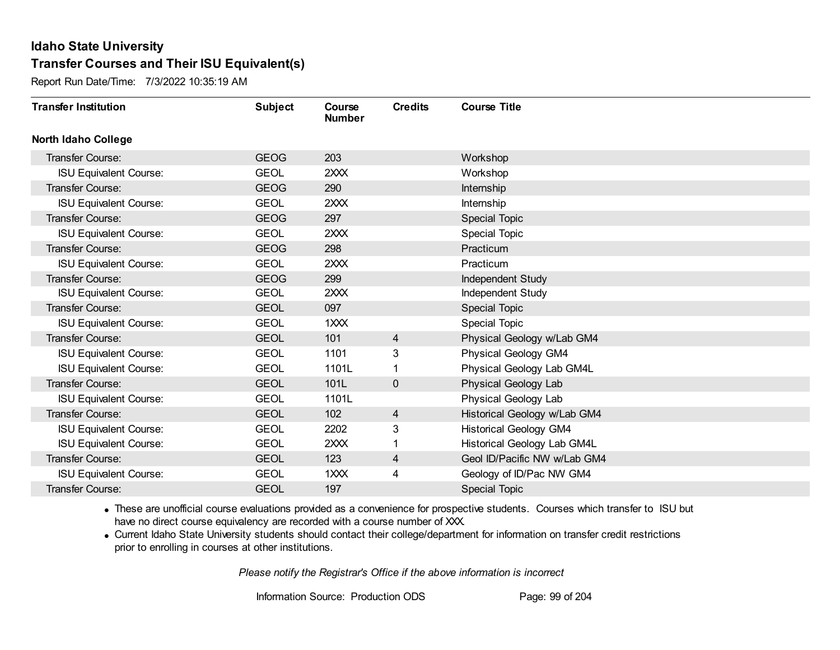Report Run Date/Time: 7/3/2022 10:35:19 AM

| <b>Transfer Institution</b>   | <b>Subject</b> | Course<br><b>Number</b> | <b>Credits</b> | <b>Course Title</b>           |
|-------------------------------|----------------|-------------------------|----------------|-------------------------------|
| <b>North Idaho College</b>    |                |                         |                |                               |
| Transfer Course:              | <b>GEOG</b>    | 203                     |                | Workshop                      |
| <b>ISU Equivalent Course:</b> | <b>GEOL</b>    | 2XXX                    |                | Workshop                      |
| Transfer Course:              | <b>GEOG</b>    | 290                     |                | Internship                    |
| <b>ISU Equivalent Course:</b> | <b>GEOL</b>    | 2XXX                    |                | Internship                    |
| <b>Transfer Course:</b>       | <b>GEOG</b>    | 297                     |                | Special Topic                 |
| <b>ISU Equivalent Course:</b> | <b>GEOL</b>    | 2XXX                    |                | Special Topic                 |
| <b>Transfer Course:</b>       | <b>GEOG</b>    | 298                     |                | Practicum                     |
| <b>ISU Equivalent Course:</b> | <b>GEOL</b>    | 2XXX                    |                | Practicum                     |
| <b>Transfer Course:</b>       | <b>GEOG</b>    | 299                     |                | Independent Study             |
| <b>ISU Equivalent Course:</b> | <b>GEOL</b>    | 2XXX                    |                | Independent Study             |
| <b>Transfer Course:</b>       | <b>GEOL</b>    | 097                     |                | Special Topic                 |
| <b>ISU Equivalent Course:</b> | <b>GEOL</b>    | 1XXX                    |                | Special Topic                 |
| Transfer Course:              | <b>GEOL</b>    | 101                     | $\overline{4}$ | Physical Geology w/Lab GM4    |
| <b>ISU Equivalent Course:</b> | <b>GEOL</b>    | 1101                    | 3              | Physical Geology GM4          |
| <b>ISU Equivalent Course:</b> | <b>GEOL</b>    | 1101L                   |                | Physical Geology Lab GM4L     |
| Transfer Course:              | <b>GEOL</b>    | 101L                    | $\overline{0}$ | Physical Geology Lab          |
| <b>ISU Equivalent Course:</b> | <b>GEOL</b>    | 1101L                   |                | Physical Geology Lab          |
| Transfer Course:              | <b>GEOL</b>    | 102                     | 4              | Historical Geology w/Lab GM4  |
| <b>ISU Equivalent Course:</b> | <b>GEOL</b>    | 2202                    | 3              | <b>Historical Geology GM4</b> |
| <b>ISU Equivalent Course:</b> | <b>GEOL</b>    | 2XXX                    |                | Historical Geology Lab GM4L   |
| Transfer Course:              | <b>GEOL</b>    | 123                     | 4              | Geol ID/Pacific NW w/Lab GM4  |
| <b>ISU Equivalent Course:</b> | <b>GEOL</b>    | 1XXX                    | 4              | Geology of ID/Pac NW GM4      |
| <b>Transfer Course:</b>       | <b>GEOL</b>    | 197                     |                | <b>Special Topic</b>          |

· These are unofficial course evaluations provided as a convenience for prospective students. Courses which transfer to ISU but have no direct course equivalency are recorded with a course number of XXX.

· Current Idaho State University students should contact their college/department for information on transfer credit restrictions prior to enrolling in courses at other institutions.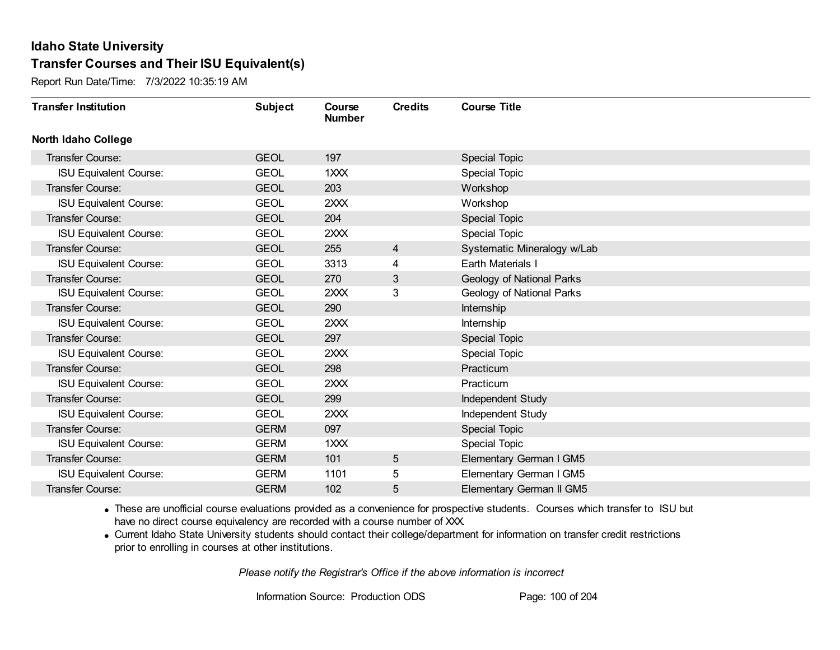Report Run Date/Time: 7/3/2022 10:35:19 AM

| <b>Transfer Institution</b>   | <b>Subject</b> | Course<br><b>Number</b> | <b>Credits</b> | <b>Course Title</b>         |
|-------------------------------|----------------|-------------------------|----------------|-----------------------------|
| <b>North Idaho College</b>    |                |                         |                |                             |
| <b>Transfer Course:</b>       | <b>GEOL</b>    | 197                     |                | <b>Special Topic</b>        |
| <b>ISU Equivalent Course:</b> | <b>GEOL</b>    | 1XXX                    |                | <b>Special Topic</b>        |
| Transfer Course:              | <b>GEOL</b>    | 203                     |                | Workshop                    |
| <b>ISU Equivalent Course:</b> | <b>GEOL</b>    | 2XXX                    |                | Workshop                    |
| <b>Transfer Course:</b>       | <b>GEOL</b>    | 204                     |                | <b>Special Topic</b>        |
| <b>ISU Equivalent Course:</b> | <b>GEOL</b>    | 2XXX                    |                | <b>Special Topic</b>        |
| Transfer Course:              | <b>GEOL</b>    | 255                     | 4              | Systematic Mineralogy w/Lab |
| <b>ISU Equivalent Course:</b> | <b>GEOL</b>    | 3313                    | 4              | Earth Materials I           |
| Transfer Course:              | <b>GEOL</b>    | 270                     | 3              | Geology of National Parks   |
| <b>ISU Equivalent Course:</b> | <b>GEOL</b>    | 2XXX                    | 3              | Geology of National Parks   |
| Transfer Course:              | <b>GEOL</b>    | 290                     |                | Internship                  |
| <b>ISU Equivalent Course:</b> | <b>GEOL</b>    | 2XXX                    |                | Internship                  |
| Transfer Course:              | <b>GEOL</b>    | 297                     |                | <b>Special Topic</b>        |
| <b>ISU Equivalent Course:</b> | <b>GEOL</b>    | 2XXX                    |                | <b>Special Topic</b>        |
| Transfer Course:              | <b>GEOL</b>    | 298                     |                | Practicum                   |
| <b>ISU Equivalent Course:</b> | <b>GEOL</b>    | 2XXX                    |                | Practicum                   |
| Transfer Course:              | <b>GEOL</b>    | 299                     |                | Independent Study           |
| <b>ISU Equivalent Course:</b> | <b>GEOL</b>    | 2XXX                    |                | Independent Study           |
| Transfer Course:              | <b>GERM</b>    | 097                     |                | Special Topic               |
| <b>ISU Equivalent Course:</b> | <b>GERM</b>    | 1XXX                    |                | <b>Special Topic</b>        |
| <b>Transfer Course:</b>       | <b>GERM</b>    | 101                     | 5              | Elementary German I GM5     |
| <b>ISU Equivalent Course:</b> | <b>GERM</b>    | 1101                    | 5              | Elementary German I GM5     |
| <b>Transfer Course:</b>       | <b>GERM</b>    | 102                     | 5              | Elementary German II GM5    |

· These are unofficial course evaluations provided as a convenience for prospective students. Courses which transfer to ISU but have no direct course equivalency are recorded with a course number of XXX.

· Current Idaho State University students should contact their college/department for information on transfer credit restrictions prior to enrolling in courses at other institutions.

*Please notify the Registrar's Office if the above information is incorrect*

Information Source: Production ODS Page: 100 of 204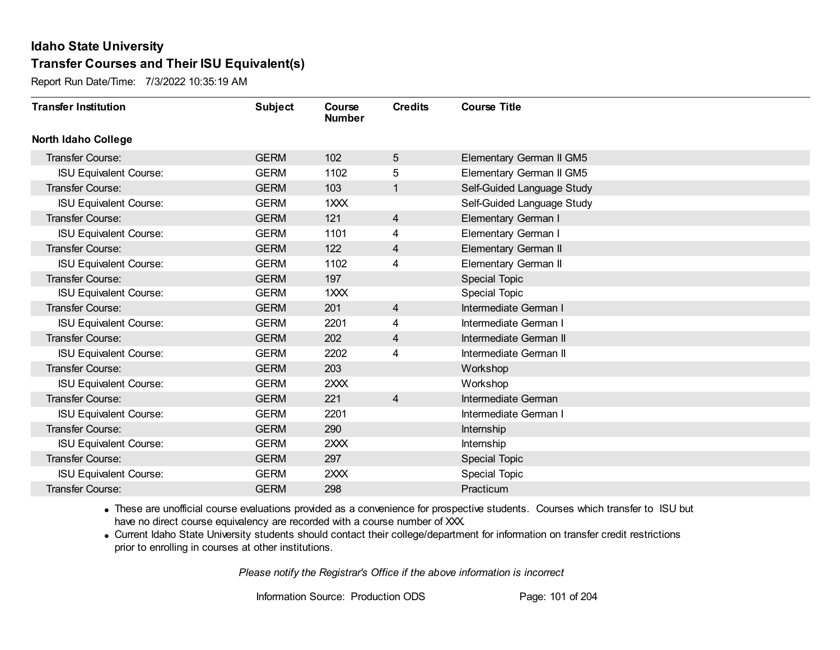Report Run Date/Time: 7/3/2022 10:35:19 AM

| <b>Transfer Institution</b>   | <b>Subject</b> | Course<br><b>Number</b> | <b>Credits</b> | <b>Course Title</b>        |
|-------------------------------|----------------|-------------------------|----------------|----------------------------|
| <b>North Idaho College</b>    |                |                         |                |                            |
| Transfer Course:              | <b>GERM</b>    | 102                     | 5              | Elementary German II GM5   |
| <b>ISU Equivalent Course:</b> | <b>GERM</b>    | 1102                    | 5              | Elementary German II GM5   |
| Transfer Course:              | <b>GERM</b>    | 103                     | $\mathbf{1}$   | Self-Guided Language Study |
| <b>ISU Equivalent Course:</b> | <b>GERM</b>    | 1XXX                    |                | Self-Guided Language Study |
| <b>Transfer Course:</b>       | <b>GERM</b>    | 121                     | $\overline{4}$ | Elementary German I        |
| <b>ISU Equivalent Course:</b> | <b>GERM</b>    | 1101                    | 4              | Elementary German I        |
| <b>Transfer Course:</b>       | <b>GERM</b>    | 122                     | $\overline{4}$ | Elementary German II       |
| <b>ISU Equivalent Course:</b> | <b>GERM</b>    | 1102                    | 4              | Elementary German II       |
| Transfer Course:              | <b>GERM</b>    | 197                     |                | Special Topic              |
| <b>ISU Equivalent Course:</b> | <b>GERM</b>    | 1XXX                    |                | Special Topic              |
| Transfer Course:              | <b>GERM</b>    | 201                     | 4              | Intermediate German I      |
| <b>ISU Equivalent Course:</b> | <b>GERM</b>    | 2201                    | 4              | Intermediate German I      |
| Transfer Course:              | <b>GERM</b>    | 202                     | 4              | Intermediate German II     |
| <b>ISU Equivalent Course:</b> | <b>GERM</b>    | 2202                    | 4              | Intermediate German II     |
| Transfer Course:              | <b>GERM</b>    | 203                     |                | Workshop                   |
| <b>ISU Equivalent Course:</b> | <b>GERM</b>    | 2XXX                    |                | Workshop                   |
| Transfer Course:              | <b>GERM</b>    | 221                     | $\overline{4}$ | Intermediate German        |
| <b>ISU Equivalent Course:</b> | <b>GERM</b>    | 2201                    |                | Intermediate German I      |
| Transfer Course:              | <b>GERM</b>    | 290                     |                | Internship                 |
| <b>ISU Equivalent Course:</b> | <b>GERM</b>    | 2XXX                    |                | Internship                 |
| Transfer Course:              | <b>GERM</b>    | 297                     |                | <b>Special Topic</b>       |
| <b>ISU Equivalent Course:</b> | <b>GERM</b>    | 2XXX                    |                | <b>Special Topic</b>       |
| Transfer Course:              | <b>GERM</b>    | 298                     |                | Practicum                  |

· These are unofficial course evaluations provided as a convenience for prospective students. Courses which transfer to ISU but have no direct course equivalency are recorded with a course number of XXX.

· Current Idaho State University students should contact their college/department for information on transfer credit restrictions prior to enrolling in courses at other institutions.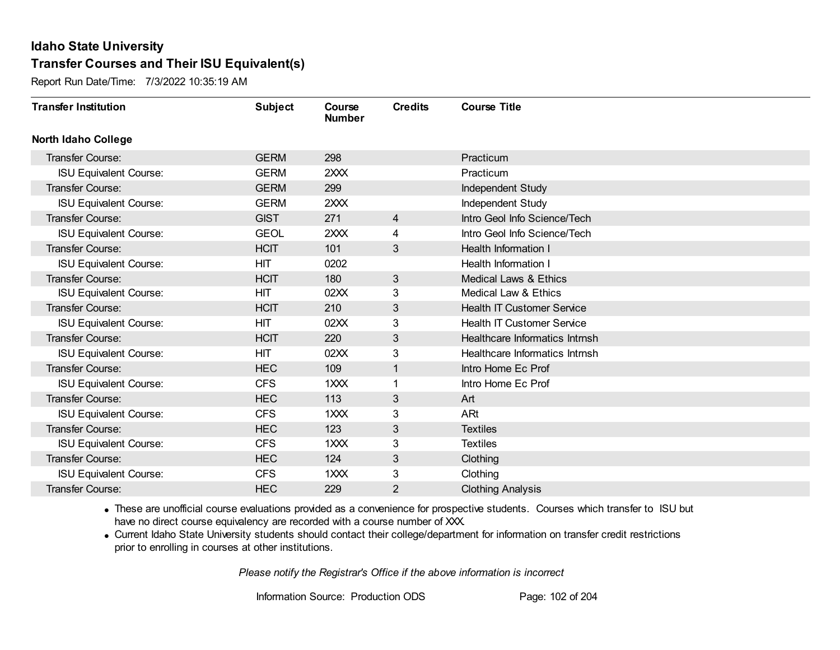Report Run Date/Time: 7/3/2022 10:35:19 AM

| <b>Transfer Institution</b>   | <b>Subject</b> | Course<br><b>Number</b> | <b>Credits</b> | <b>Course Title</b>               |
|-------------------------------|----------------|-------------------------|----------------|-----------------------------------|
| <b>North Idaho College</b>    |                |                         |                |                                   |
| Transfer Course:              | <b>GERM</b>    | 298                     |                | Practicum                         |
| <b>ISU Equivalent Course:</b> | <b>GERM</b>    | 2XXX                    |                | Practicum                         |
| Transfer Course:              | <b>GERM</b>    | 299                     |                | Independent Study                 |
| <b>ISU Equivalent Course:</b> | <b>GERM</b>    | 2XXX                    |                | Independent Study                 |
| <b>Transfer Course:</b>       | <b>GIST</b>    | 271                     | $\overline{4}$ | Intro Geol Info Science/Tech      |
| <b>ISU Equivalent Course:</b> | <b>GEOL</b>    | 2XXX                    | 4              | Intro Geol Info Science/Tech      |
| <b>Transfer Course:</b>       | <b>HCIT</b>    | 101                     | 3              | <b>Health Information I</b>       |
| <b>ISU Equivalent Course:</b> | HIT            | 0202                    |                | Health Information I              |
| <b>Transfer Course:</b>       | <b>HCIT</b>    | 180                     | 3              | <b>Medical Laws &amp; Ethics</b>  |
| <b>ISU Equivalent Course:</b> | <b>HIT</b>     | 02XX                    | 3              | Medical Law & Ethics              |
| <b>Transfer Course:</b>       | <b>HCIT</b>    | 210                     | 3              | <b>Health IT Customer Service</b> |
| <b>ISU Equivalent Course:</b> | <b>HIT</b>     | 02XX                    | 3              | <b>Health IT Customer Service</b> |
| Transfer Course:              | <b>HCIT</b>    | 220                     | 3              | Healthcare Informatics Intrnsh    |
| <b>ISU Equivalent Course:</b> | <b>HIT</b>     | 02XX                    | 3              | Healthcare Informatics Intrnsh    |
| Transfer Course:              | <b>HEC</b>     | 109                     | 1              | Intro Home Ec Prof                |
| <b>ISU Equivalent Course:</b> | <b>CFS</b>     | 1XXX                    |                | Intro Home Ec Prof                |
| Transfer Course:              | <b>HEC</b>     | 113                     | 3              | Art                               |
| <b>ISU Equivalent Course:</b> | <b>CFS</b>     | 1XXX                    | 3              | ARt                               |
| <b>Transfer Course:</b>       | <b>HEC</b>     | 123                     | 3              | <b>Textiles</b>                   |
| <b>ISU Equivalent Course:</b> | <b>CFS</b>     | 1XXX                    | 3              | <b>Textiles</b>                   |
| Transfer Course:              | <b>HEC</b>     | 124                     | 3              | Clothing                          |
| <b>ISU Equivalent Course:</b> | <b>CFS</b>     | 1XXX                    | 3              | Clothing                          |
| <b>Transfer Course:</b>       | <b>HEC</b>     | 229                     | $\overline{2}$ | <b>Clothing Analysis</b>          |

· These are unofficial course evaluations provided as a convenience for prospective students. Courses which transfer to ISU but have no direct course equivalency are recorded with a course number of XXX.

· Current Idaho State University students should contact their college/department for information on transfer credit restrictions prior to enrolling in courses at other institutions.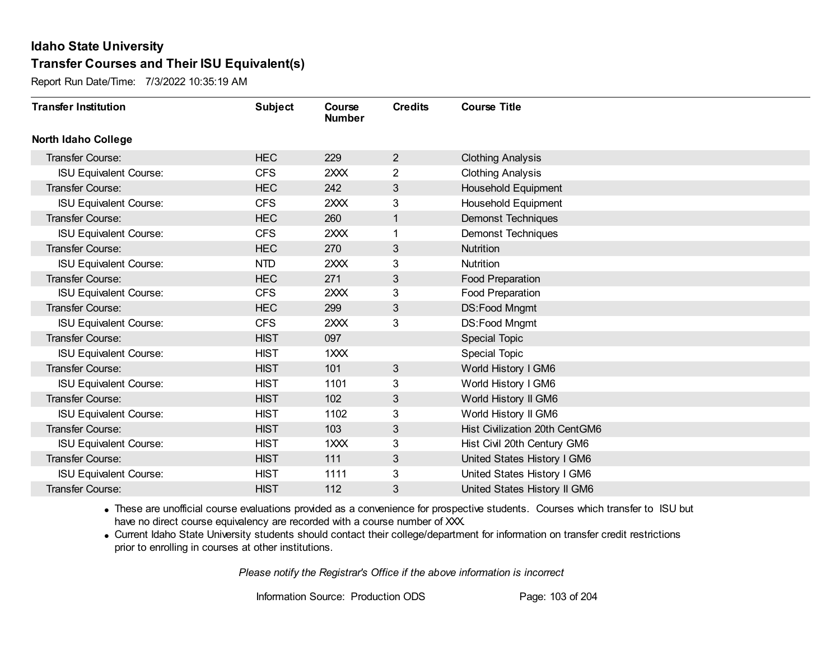Report Run Date/Time: 7/3/2022 10:35:19 AM

| <b>Transfer Institution</b>   | <b>Subject</b> | Course<br><b>Number</b> | <b>Credits</b> | <b>Course Title</b>            |
|-------------------------------|----------------|-------------------------|----------------|--------------------------------|
| <b>North Idaho College</b>    |                |                         |                |                                |
| Transfer Course:              | <b>HEC</b>     | 229                     | $\overline{2}$ | <b>Clothing Analysis</b>       |
| <b>ISU Equivalent Course:</b> | <b>CFS</b>     | 2XXX                    | $\overline{2}$ | <b>Clothing Analysis</b>       |
| Transfer Course:              | <b>HEC</b>     | 242                     | 3              | Household Equipment            |
| <b>ISU Equivalent Course:</b> | <b>CFS</b>     | 2XXX                    | 3              | Household Equipment            |
| <b>Transfer Course:</b>       | <b>HEC</b>     | 260                     | 1              | <b>Demonst Techniques</b>      |
| <b>ISU Equivalent Course:</b> | <b>CFS</b>     | 2XXX                    |                | <b>Demonst Techniques</b>      |
| Transfer Course:              | <b>HEC</b>     | 270                     | 3              | Nutrition                      |
| <b>ISU Equivalent Course:</b> | <b>NTD</b>     | 2XXX                    | 3              | Nutrition                      |
| <b>Transfer Course:</b>       | <b>HEC</b>     | 271                     | 3              | Food Preparation               |
| <b>ISU Equivalent Course:</b> | <b>CFS</b>     | 2XXX                    | 3              | <b>Food Preparation</b>        |
| Transfer Course:              | <b>HEC</b>     | 299                     | 3              | DS:Food Mngmt                  |
| <b>ISU Equivalent Course:</b> | <b>CFS</b>     | 2XXX                    | 3              | DS:Food Mngmt                  |
| Transfer Course:              | <b>HIST</b>    | 097                     |                | Special Topic                  |
| <b>ISU Equivalent Course:</b> | <b>HIST</b>    | 1XXX                    |                | Special Topic                  |
| Transfer Course:              | <b>HIST</b>    | 101                     | 3              | World History I GM6            |
| <b>ISU Equivalent Course:</b> | <b>HIST</b>    | 1101                    | 3              | World History I GM6            |
| Transfer Course:              | <b>HIST</b>    | 102                     | 3              | World History II GM6           |
| <b>ISU Equivalent Course:</b> | <b>HIST</b>    | 1102                    | 3              | World History II GM6           |
| Transfer Course:              | <b>HIST</b>    | 103                     | 3              | Hist Civilization 20th CentGM6 |
| <b>ISU Equivalent Course:</b> | <b>HIST</b>    | $1$ $XX$                | 3              | Hist Civil 20th Century GM6    |
| Transfer Course:              | <b>HIST</b>    | 111                     | 3              | United States History I GM6    |
| <b>ISU Equivalent Course:</b> | <b>HIST</b>    | 1111                    | 3              | United States History I GM6    |
| Transfer Course:              | <b>HIST</b>    | 112                     | 3              | United States History II GM6   |

· These are unofficial course evaluations provided as a convenience for prospective students. Courses which transfer to ISU but have no direct course equivalency are recorded with a course number of XXX.

· Current Idaho State University students should contact their college/department for information on transfer credit restrictions prior to enrolling in courses at other institutions.

*Please notify the Registrar's Office if the above information is incorrect*

Information Source: Production ODS Page: 103 of 204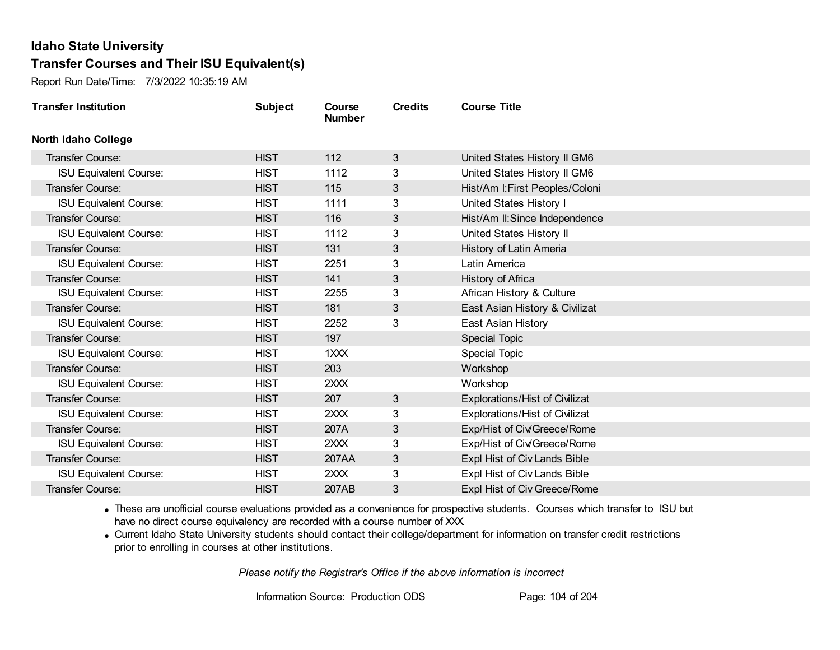Report Run Date/Time: 7/3/2022 10:35:19 AM

| <b>Transfer Institution</b>   | <b>Subject</b> | Course<br><b>Number</b> | <b>Credits</b> | <b>Course Title</b>             |
|-------------------------------|----------------|-------------------------|----------------|---------------------------------|
| <b>North Idaho College</b>    |                |                         |                |                                 |
| Transfer Course:              | <b>HIST</b>    | 112                     | 3              | United States History II GM6    |
| <b>ISU Equivalent Course:</b> | <b>HIST</b>    | 1112                    | 3              | United States History II GM6    |
| Transfer Course:              | <b>HIST</b>    | 115                     | 3              | Hist/Am I: First Peoples/Coloni |
| <b>ISU Equivalent Course:</b> | <b>HIST</b>    | 1111                    | 3              | United States History I         |
| <b>Transfer Course:</b>       | <b>HIST</b>    | 116                     | 3              | Hist/Am II: Since Independence  |
| <b>ISU Equivalent Course:</b> | <b>HIST</b>    | 1112                    | 3              | United States History II        |
| Transfer Course:              | <b>HIST</b>    | 131                     | 3              | History of Latin Ameria         |
| <b>ISU Equivalent Course:</b> | <b>HIST</b>    | 2251                    | 3              | Latin America                   |
| Transfer Course:              | <b>HIST</b>    | 141                     | 3              | History of Africa               |
| <b>ISU Equivalent Course:</b> | <b>HIST</b>    | 2255                    | 3              | African History & Culture       |
| <b>Transfer Course:</b>       | <b>HIST</b>    | 181                     | 3              | East Asian History & Civilizat  |
| <b>ISU Equivalent Course:</b> | <b>HIST</b>    | 2252                    | 3              | East Asian History              |
| Transfer Course:              | <b>HIST</b>    | 197                     |                | Special Topic                   |
| <b>ISU Equivalent Course:</b> | <b>HIST</b>    | 1XXX                    |                | <b>Special Topic</b>            |
| Transfer Course:              | <b>HIST</b>    | 203                     |                | Workshop                        |
| <b>ISU Equivalent Course:</b> | <b>HIST</b>    | 2XXX                    |                | Workshop                        |
| Transfer Course:              | <b>HIST</b>    | 207                     | 3              | Explorations/Hist of Civilizat  |
| <b>ISU Equivalent Course:</b> | <b>HIST</b>    | 2XXX                    | 3              | Explorations/Hist of Civilizat  |
| Transfer Course:              | <b>HIST</b>    | 207A                    | 3              | Exp/Hist of Civ/Greece/Rome     |
| <b>ISU Equivalent Course:</b> | <b>HIST</b>    | 2XX                     | 3              | Exp/Hist of Civ/Greece/Rome     |
| Transfer Course:              | <b>HIST</b>    | 207AA                   | 3              | Expl Hist of Civ Lands Bible    |
| <b>ISU Equivalent Course:</b> | <b>HIST</b>    | 2XXX                    | 3              | Expl Hist of Civ Lands Bible    |
| Transfer Course:              | <b>HIST</b>    | 207AB                   | 3              | Expl Hist of Civ Greece/Rome    |

· These are unofficial course evaluations provided as a convenience for prospective students. Courses which transfer to ISU but have no direct course equivalency are recorded with a course number of XXX.

· Current Idaho State University students should contact their college/department for information on transfer credit restrictions prior to enrolling in courses at other institutions.

*Please notify the Registrar's Office if the above information is incorrect*

Information Source: Production ODS Page: 104 of 204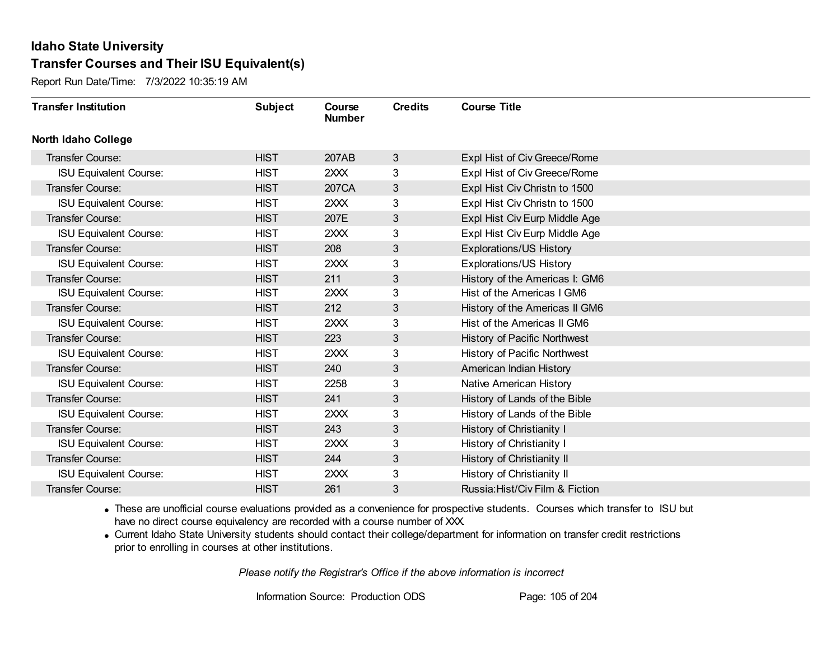Report Run Date/Time: 7/3/2022 10:35:19 AM

| <b>Transfer Institution</b>   | <b>Subject</b> | Course<br><b>Number</b> | <b>Credits</b> | <b>Course Title</b>             |
|-------------------------------|----------------|-------------------------|----------------|---------------------------------|
| <b>North Idaho College</b>    |                |                         |                |                                 |
| Transfer Course:              | <b>HIST</b>    | 207AB                   | 3              | Expl Hist of Civ Greece/Rome    |
| <b>ISU Equivalent Course:</b> | <b>HIST</b>    | 2XXX                    | 3              | Expl Hist of Civ Greece/Rome    |
| Transfer Course:              | <b>HIST</b>    | 207CA                   | 3              | Expl Hist Civ Christn to 1500   |
| <b>ISU Equivalent Course:</b> | <b>HIST</b>    | 2XXX                    | 3              | Expl Hist Civ Christn to 1500   |
| <b>Transfer Course:</b>       | <b>HIST</b>    | 207E                    | 3              | Expl Hist Civ Eurp Middle Age   |
| <b>ISU Equivalent Course:</b> | <b>HIST</b>    | 2XXX                    | 3              | Expl Hist Civ Eurp Middle Age   |
| <b>Transfer Course:</b>       | <b>HIST</b>    | 208                     | 3              | Explorations/US History         |
| <b>ISU Equivalent Course:</b> | <b>HIST</b>    | 2XXX                    | 3              | <b>Explorations/US History</b>  |
| <b>Transfer Course:</b>       | <b>HIST</b>    | 211                     | 3              | History of the Americas I: GM6  |
| <b>ISU Equivalent Course:</b> | <b>HIST</b>    | 2XXX                    | 3              | Hist of the Americas I GM6      |
| Transfer Course:              | <b>HIST</b>    | 212                     | 3              | History of the Americas II GM6  |
| <b>ISU Equivalent Course:</b> | <b>HIST</b>    | 2XXX                    | 3              | Hist of the Americas II GM6     |
| Transfer Course:              | <b>HIST</b>    | 223                     | 3              | History of Pacific Northwest    |
| <b>ISU Equivalent Course:</b> | <b>HIST</b>    | 2XXX                    | 3              | History of Pacific Northwest    |
| Transfer Course:              | <b>HIST</b>    | 240                     | 3              | American Indian History         |
| <b>ISU Equivalent Course:</b> | <b>HIST</b>    | 2258                    | 3              | Native American History         |
| Transfer Course:              | <b>HIST</b>    | 241                     | $\mathbf{3}$   | History of Lands of the Bible   |
| <b>ISU Equivalent Course:</b> | <b>HIST</b>    | 2XXX                    | 3              | History of Lands of the Bible   |
| Transfer Course:              | <b>HIST</b>    | 243                     | 3              | History of Christianity I       |
| <b>ISU Equivalent Course:</b> | <b>HIST</b>    | 2XXX                    | 3              | History of Christianity I       |
| Transfer Course:              | <b>HIST</b>    | 244                     | 3              | History of Christianity II      |
| <b>ISU Equivalent Course:</b> | <b>HIST</b>    | 2XXX                    | 3              | History of Christianity II      |
| Transfer Course:              | <b>HIST</b>    | 261                     | 3              | Russia: Hist/Civ Film & Fiction |

· These are unofficial course evaluations provided as a convenience for prospective students. Courses which transfer to ISU but have no direct course equivalency are recorded with a course number of XXX.

· Current Idaho State University students should contact their college/department for information on transfer credit restrictions prior to enrolling in courses at other institutions.

*Please notify the Registrar's Office if the above information is incorrect*

Information Source: Production ODS Page: 105 of 204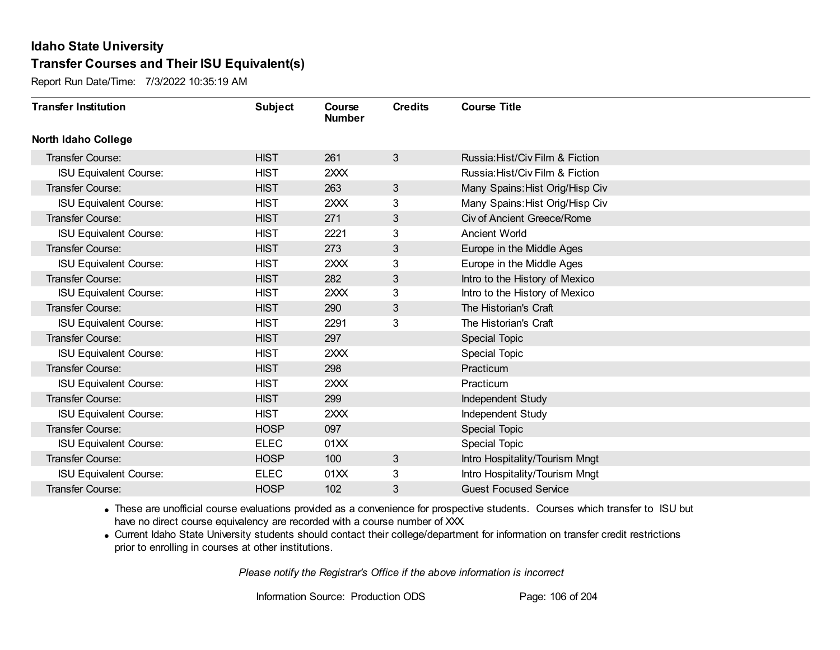Report Run Date/Time: 7/3/2022 10:35:19 AM

| <b>Transfer Institution</b>   | <b>Subject</b> | Course<br><b>Number</b> | <b>Credits</b> | <b>Course Title</b>             |
|-------------------------------|----------------|-------------------------|----------------|---------------------------------|
| <b>North Idaho College</b>    |                |                         |                |                                 |
| Transfer Course:              | <b>HIST</b>    | 261                     | $\mathbf{3}$   | Russia: Hist/Civ Film & Fiction |
| <b>ISU Equivalent Course:</b> | <b>HIST</b>    | 2XXX                    |                | Russia: Hist/Civ Film & Fiction |
| Transfer Course:              | <b>HIST</b>    | 263                     | 3              | Many Spains: Hist Orig/Hisp Civ |
| <b>ISU Equivalent Course:</b> | <b>HIST</b>    | 2XXX                    | 3              | Many Spains: Hist Orig/Hisp Civ |
| <b>Transfer Course:</b>       | <b>HIST</b>    | 271                     | 3              | Civ of Ancient Greece/Rome      |
| <b>ISU Equivalent Course:</b> | <b>HIST</b>    | 2221                    | 3              | <b>Ancient World</b>            |
| Transfer Course:              | <b>HIST</b>    | 273                     | 3              | Europe in the Middle Ages       |
| <b>ISU Equivalent Course:</b> | <b>HIST</b>    | 2XXX                    | 3              | Europe in the Middle Ages       |
| <b>Transfer Course:</b>       | <b>HIST</b>    | 282                     | 3              | Intro to the History of Mexico  |
| <b>ISU Equivalent Course:</b> | <b>HIST</b>    | 2XXX                    | 3              | Intro to the History of Mexico  |
| <b>Transfer Course:</b>       | <b>HIST</b>    | 290                     | 3              | The Historian's Craft           |
| <b>ISU Equivalent Course:</b> | <b>HIST</b>    | 2291                    | 3              | The Historian's Craft           |
| Transfer Course:              | <b>HIST</b>    | 297                     |                | <b>Special Topic</b>            |
| <b>ISU Equivalent Course:</b> | <b>HIST</b>    | 2XXX                    |                | <b>Special Topic</b>            |
| Transfer Course:              | <b>HIST</b>    | 298                     |                | Practicum                       |
| <b>ISU Equivalent Course:</b> | <b>HIST</b>    | 2XXX                    |                | Practicum                       |
| Transfer Course:              | <b>HIST</b>    | 299                     |                | Independent Study               |
| <b>ISU Equivalent Course:</b> | <b>HIST</b>    | 2XXX                    |                | Independent Study               |
| Transfer Course:              | <b>HOSP</b>    | 097                     |                | Special Topic                   |
| <b>ISU Equivalent Course:</b> | <b>ELEC</b>    | 01XX                    |                | <b>Special Topic</b>            |
| Transfer Course:              | <b>HOSP</b>    | 100                     | 3              | Intro Hospitality/Tourism Mngt  |
| <b>ISU Equivalent Course:</b> | <b>ELEC</b>    | 01XX                    | 3              | Intro Hospitality/Tourism Mngt  |
| <b>Transfer Course:</b>       | <b>HOSP</b>    | 102                     | 3              | <b>Guest Focused Service</b>    |

· These are unofficial course evaluations provided as a convenience for prospective students. Courses which transfer to ISU but have no direct course equivalency are recorded with a course number of XXX.

· Current Idaho State University students should contact their college/department for information on transfer credit restrictions prior to enrolling in courses at other institutions.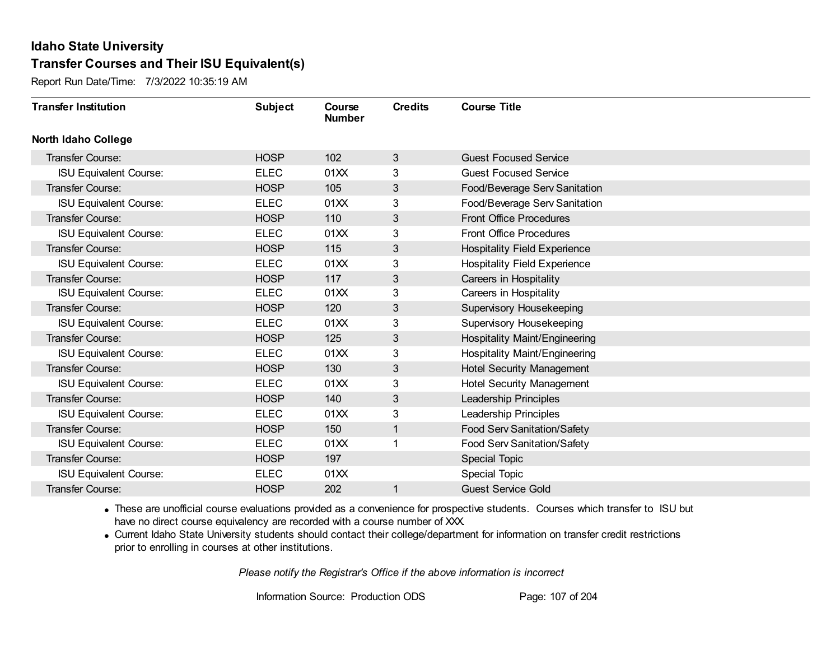Report Run Date/Time: 7/3/2022 10:35:19 AM

| <b>Transfer Institution</b>   | <b>Subject</b> | Course<br><b>Number</b> | <b>Credits</b> | <b>Course Title</b>                 |
|-------------------------------|----------------|-------------------------|----------------|-------------------------------------|
| <b>North Idaho College</b>    |                |                         |                |                                     |
| <b>Transfer Course:</b>       | <b>HOSP</b>    | 102                     | 3              | <b>Guest Focused Service</b>        |
| <b>ISU Equivalent Course:</b> | <b>ELEC</b>    | 01XX                    | 3              | <b>Guest Focused Service</b>        |
| Transfer Course:              | <b>HOSP</b>    | 105                     | 3              | Food/Beverage Serv Sanitation       |
| <b>ISU Equivalent Course:</b> | <b>ELEC</b>    | 01XX                    | 3              | Food/Beverage Serv Sanitation       |
| Transfer Course:              | <b>HOSP</b>    | 110                     | 3              | <b>Front Office Procedures</b>      |
| <b>ISU Equivalent Course:</b> | <b>ELEC</b>    | 01XX                    | 3              | <b>Front Office Procedures</b>      |
| <b>Transfer Course:</b>       | <b>HOSP</b>    | 115                     | 3              | <b>Hospitality Field Experience</b> |
| <b>ISU Equivalent Course:</b> | <b>ELEC</b>    | 01XX                    | 3              | <b>Hospitality Field Experience</b> |
| Transfer Course:              | <b>HOSP</b>    | 117                     | 3              | Careers in Hospitality              |
| <b>ISU Equivalent Course:</b> | <b>ELEC</b>    | 01XX                    | 3              | Careers in Hospitality              |
| Transfer Course:              | <b>HOSP</b>    | 120                     | 3              | Supervisory Housekeeping            |
| <b>ISU Equivalent Course:</b> | <b>ELEC</b>    | 01XX                    | 3              | Supervisory Housekeeping            |
| <b>Transfer Course:</b>       | <b>HOSP</b>    | 125                     | 3              | Hospitality Maint/Engineering       |
| <b>ISU Equivalent Course:</b> | <b>ELEC</b>    | 01XX                    | 3              | Hospitality Maint/Engineering       |
| Transfer Course:              | <b>HOSP</b>    | 130                     | 3              | <b>Hotel Security Management</b>    |
| <b>ISU Equivalent Course:</b> | <b>ELEC</b>    | 01XX                    | 3              | <b>Hotel Security Management</b>    |
| Transfer Course:              | <b>HOSP</b>    | 140                     | 3              | Leadership Principles               |
| <b>ISU Equivalent Course:</b> | <b>ELEC</b>    | 01XX                    | 3              | Leadership Principles               |
| <b>Transfer Course:</b>       | <b>HOSP</b>    | 150                     | 1              | Food Serv Sanitation/Safety         |
| <b>ISU Equivalent Course:</b> | <b>ELEC</b>    | 01XX                    |                | Food Serv Sanitation/Safety         |
| <b>Transfer Course:</b>       | <b>HOSP</b>    | 197                     |                | <b>Special Topic</b>                |
| <b>ISU Equivalent Course:</b> | <b>ELEC</b>    | 01XX                    |                | <b>Special Topic</b>                |
| Transfer Course:              | <b>HOSP</b>    | 202                     |                | <b>Guest Service Gold</b>           |

· These are unofficial course evaluations provided as a convenience for prospective students. Courses which transfer to ISU but have no direct course equivalency are recorded with a course number of XXX.

· Current Idaho State University students should contact their college/department for information on transfer credit restrictions prior to enrolling in courses at other institutions.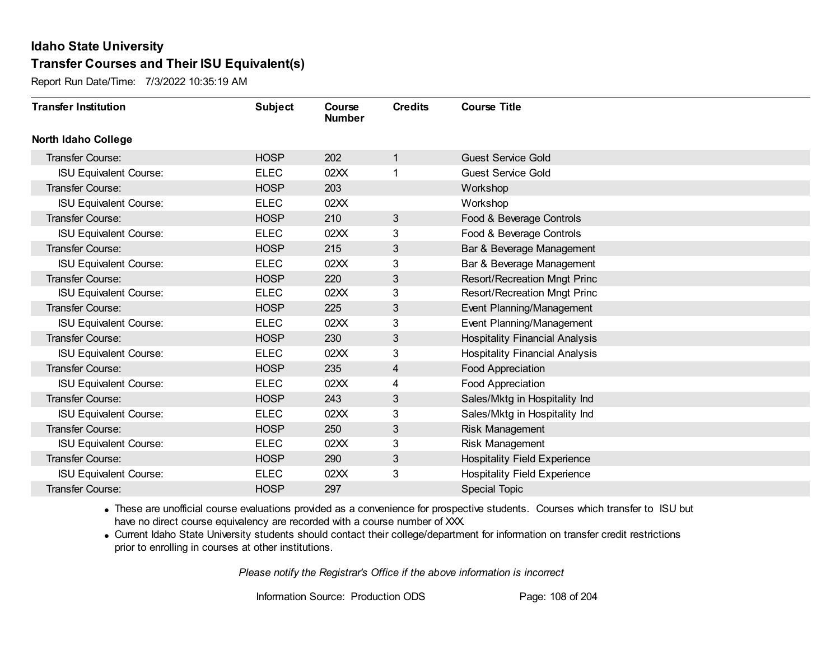Report Run Date/Time: 7/3/2022 10:35:19 AM

| <b>Transfer Institution</b>   | <b>Subject</b> | Course<br><b>Number</b> | <b>Credits</b> | <b>Course Title</b>                   |
|-------------------------------|----------------|-------------------------|----------------|---------------------------------------|
| <b>North Idaho College</b>    |                |                         |                |                                       |
| <b>Transfer Course:</b>       | <b>HOSP</b>    | 202                     | 1              | <b>Guest Service Gold</b>             |
| <b>ISU Equivalent Course:</b> | <b>ELEC</b>    | 02XX                    |                | <b>Guest Service Gold</b>             |
| Transfer Course:              | <b>HOSP</b>    | 203                     |                | Workshop                              |
| <b>ISU Equivalent Course:</b> | <b>ELEC</b>    | 02XX                    |                | Workshop                              |
| Transfer Course:              | <b>HOSP</b>    | 210                     | $\mathbf{3}$   | Food & Beverage Controls              |
| <b>ISU Equivalent Course:</b> | <b>ELEC</b>    | 02XX                    | 3              | Food & Beverage Controls              |
| <b>Transfer Course:</b>       | <b>HOSP</b>    | 215                     | 3              | Bar & Beverage Management             |
| <b>ISU Equivalent Course:</b> | <b>ELEC</b>    | 02XX                    | 3              | Bar & Beverage Management             |
| Transfer Course:              | <b>HOSP</b>    | 220                     | 3              | Resort/Recreation Mngt Princ          |
| <b>ISU Equivalent Course:</b> | <b>ELEC</b>    | 02XX                    | 3              | <b>Resort/Recreation Mngt Princ</b>   |
| Transfer Course:              | <b>HOSP</b>    | 225                     | 3              | Event Planning/Management             |
| <b>ISU Equivalent Course:</b> | <b>ELEC</b>    | 02XX                    | 3              | Event Planning/Management             |
| Transfer Course:              | <b>HOSP</b>    | 230                     | 3              | <b>Hospitality Financial Analysis</b> |
| <b>ISU Equivalent Course:</b> | <b>ELEC</b>    | 02XX                    | 3              | <b>Hospitality Financial Analysis</b> |
| Transfer Course:              | <b>HOSP</b>    | 235                     | 4              | <b>Food Appreciation</b>              |
| <b>ISU Equivalent Course:</b> | <b>ELEC</b>    | 02XX                    | 4              | Food Appreciation                     |
| Transfer Course:              | <b>HOSP</b>    | 243                     | 3              | Sales/Mktg in Hospitality Ind         |
| <b>ISU Equivalent Course:</b> | <b>ELEC</b>    | 02XX                    | 3              | Sales/Mktg in Hospitality Ind         |
| Transfer Course:              | <b>HOSP</b>    | 250                     | 3              | Risk Management                       |
| <b>ISU Equivalent Course:</b> | <b>ELEC</b>    | 02XX                    | 3              | Risk Management                       |
| Transfer Course:              | <b>HOSP</b>    | 290                     | 3              | <b>Hospitality Field Experience</b>   |
| <b>ISU Equivalent Course:</b> | <b>ELEC</b>    | 02XX                    | 3              | <b>Hospitality Field Experience</b>   |
| Transfer Course:              | <b>HOSP</b>    | 297                     |                | <b>Special Topic</b>                  |

· These are unofficial course evaluations provided as a convenience for prospective students. Courses which transfer to ISU but have no direct course equivalency are recorded with a course number of XXX.

· Current Idaho State University students should contact their college/department for information on transfer credit restrictions prior to enrolling in courses at other institutions.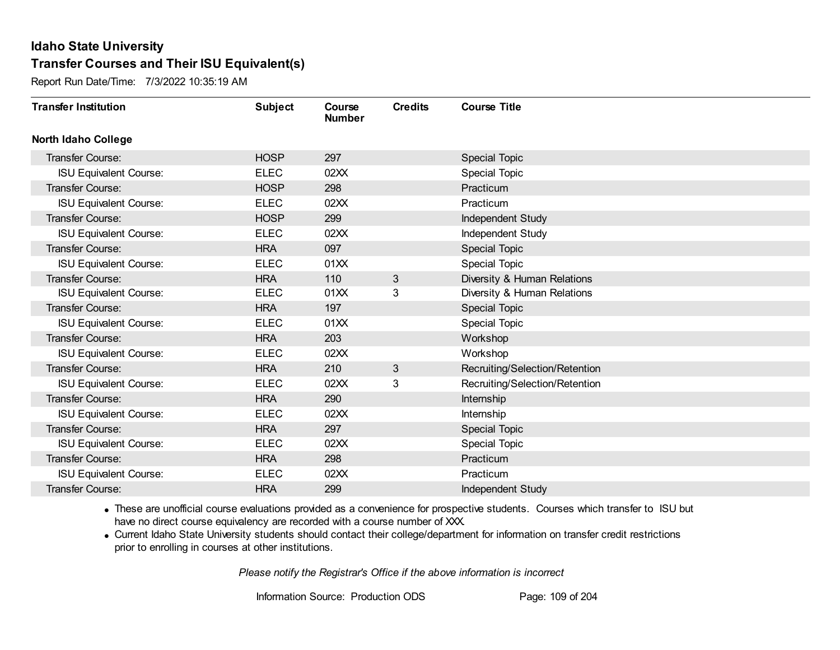Report Run Date/Time: 7/3/2022 10:35:19 AM

| <b>Transfer Institution</b>   | <b>Subject</b> | Course<br><b>Number</b> | <b>Credits</b> | <b>Course Title</b>            |
|-------------------------------|----------------|-------------------------|----------------|--------------------------------|
| <b>North Idaho College</b>    |                |                         |                |                                |
| Transfer Course:              | <b>HOSP</b>    | 297                     |                | <b>Special Topic</b>           |
| <b>ISU Equivalent Course:</b> | <b>ELEC</b>    | 02XX                    |                | <b>Special Topic</b>           |
| Transfer Course:              | <b>HOSP</b>    | 298                     |                | Practicum                      |
| <b>ISU Equivalent Course:</b> | <b>ELEC</b>    | 02XX                    |                | Practicum                      |
| <b>Transfer Course:</b>       | <b>HOSP</b>    | 299                     |                | Independent Study              |
| <b>ISU Equivalent Course:</b> | <b>ELEC</b>    | 02XX                    |                | Independent Study              |
| <b>Transfer Course:</b>       | <b>HRA</b>     | 097                     |                | <b>Special Topic</b>           |
| <b>ISU Equivalent Course:</b> | <b>ELEC</b>    | 01XX                    |                | <b>Special Topic</b>           |
| Transfer Course:              | <b>HRA</b>     | 110                     | 3              | Diversity & Human Relations    |
| <b>ISU Equivalent Course:</b> | <b>ELEC</b>    | 01XX                    | 3              | Diversity & Human Relations    |
| Transfer Course:              | <b>HRA</b>     | 197                     |                | Special Topic                  |
| <b>ISU Equivalent Course:</b> | <b>ELEC</b>    | 01XX                    |                | <b>Special Topic</b>           |
| Transfer Course:              | <b>HRA</b>     | 203                     |                | Workshop                       |
| <b>ISU Equivalent Course:</b> | <b>ELEC</b>    | 02XX                    |                | Workshop                       |
| Transfer Course:              | <b>HRA</b>     | 210                     | 3              | Recruiting/Selection/Retention |
| <b>ISU Equivalent Course:</b> | <b>ELEC</b>    | 02XX                    | 3              | Recruiting/Selection/Retention |
| Transfer Course:              | <b>HRA</b>     | 290                     |                | Internship                     |
| <b>ISU Equivalent Course:</b> | <b>ELEC</b>    | 02XX                    |                | Internship                     |
| <b>Transfer Course:</b>       | <b>HRA</b>     | 297                     |                | <b>Special Topic</b>           |
| <b>ISU Equivalent Course:</b> | <b>ELEC</b>    | 02XX                    |                | <b>Special Topic</b>           |
| Transfer Course:              | <b>HRA</b>     | 298                     |                | Practicum                      |
| <b>ISU Equivalent Course:</b> | <b>ELEC</b>    | 02XX                    |                | Practicum                      |
| Transfer Course:              | <b>HRA</b>     | 299                     |                | Independent Study              |

· These are unofficial course evaluations provided as a convenience for prospective students. Courses which transfer to ISU but have no direct course equivalency are recorded with a course number of XXX.

· Current Idaho State University students should contact their college/department for information on transfer credit restrictions prior to enrolling in courses at other institutions.

*Please notify the Registrar's Office if the above information is incorrect*

Information Source: Production ODS Page: 109 of 204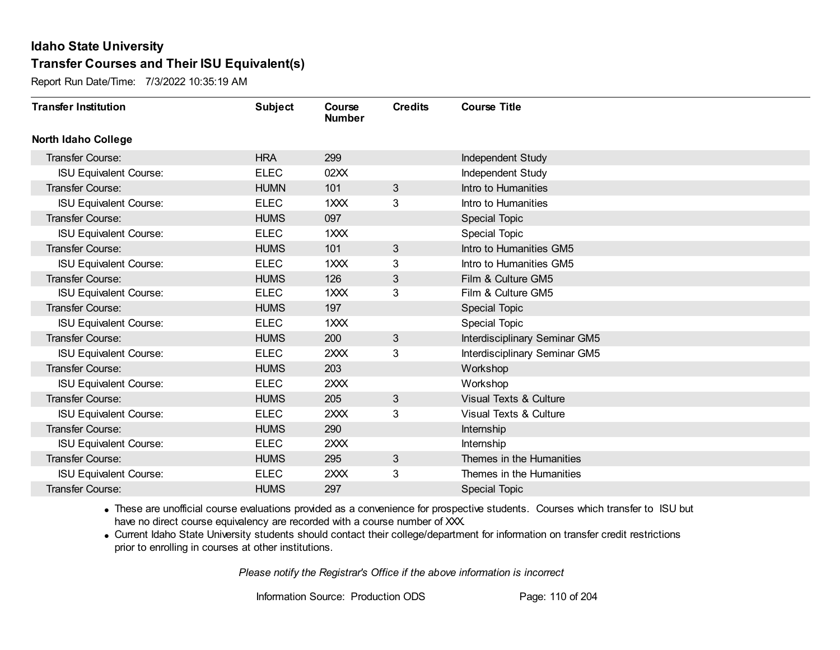Report Run Date/Time: 7/3/2022 10:35:19 AM

| <b>Transfer Institution</b>   | <b>Subject</b> | Course<br><b>Number</b> | <b>Credits</b> | <b>Course Title</b>           |
|-------------------------------|----------------|-------------------------|----------------|-------------------------------|
| <b>North Idaho College</b>    |                |                         |                |                               |
| Transfer Course:              | <b>HRA</b>     | 299                     |                | Independent Study             |
| <b>ISU Equivalent Course:</b> | <b>ELEC</b>    | 02XX                    |                | Independent Study             |
| Transfer Course:              | <b>HUMN</b>    | 101                     | 3              | Intro to Humanities           |
| <b>ISU Equivalent Course:</b> | <b>ELEC</b>    | 1XXX                    | 3              | Intro to Humanities           |
| <b>Transfer Course:</b>       | <b>HUMS</b>    | 097                     |                | <b>Special Topic</b>          |
| <b>ISU Equivalent Course:</b> | <b>ELEC</b>    | 1XXX                    |                | Special Topic                 |
| <b>Transfer Course:</b>       | <b>HUMS</b>    | 101                     | 3              | Intro to Humanities GM5       |
| <b>ISU Equivalent Course:</b> | <b>ELEC</b>    | 1XXX                    | 3              | Intro to Humanities GM5       |
| <b>Transfer Course:</b>       | <b>HUMS</b>    | 126                     | 3              | Film & Culture GM5            |
| <b>ISU Equivalent Course:</b> | <b>ELEC</b>    | 1XXX                    | 3              | Film & Culture GM5            |
| <b>Transfer Course:</b>       | <b>HUMS</b>    | 197                     |                | Special Topic                 |
| <b>ISU Equivalent Course:</b> | <b>ELEC</b>    | 1XXX                    |                | <b>Special Topic</b>          |
| Transfer Course:              | <b>HUMS</b>    | 200                     | 3              | Interdisciplinary Seminar GM5 |
| <b>ISU Equivalent Course:</b> | <b>ELEC</b>    | 2XXX                    | 3              | Interdisciplinary Seminar GM5 |
| Transfer Course:              | <b>HUMS</b>    | 203                     |                | Workshop                      |
| <b>ISU Equivalent Course:</b> | <b>ELEC</b>    | 2XXX                    |                | Workshop                      |
| Transfer Course:              | <b>HUMS</b>    | 205                     | 3              | Visual Texts & Culture        |
| <b>ISU Equivalent Course:</b> | <b>ELEC</b>    | 2XXX                    | 3              | Visual Texts & Culture        |
| Transfer Course:              | <b>HUMS</b>    | 290                     |                | Internship                    |
| <b>ISU Equivalent Course:</b> | <b>ELEC</b>    | 2XXX                    |                | Internship                    |
| <b>Transfer Course:</b>       | <b>HUMS</b>    | 295                     | 3              | Themes in the Humanities      |
| <b>ISU Equivalent Course:</b> | <b>ELEC</b>    | 2XXX                    | 3              | Themes in the Humanities      |
| Transfer Course:              | <b>HUMS</b>    | 297                     |                | <b>Special Topic</b>          |

· These are unofficial course evaluations provided as a convenience for prospective students. Courses which transfer to ISU but have no direct course equivalency are recorded with a course number of XXX.

· Current Idaho State University students should contact their college/department for information on transfer credit restrictions prior to enrolling in courses at other institutions.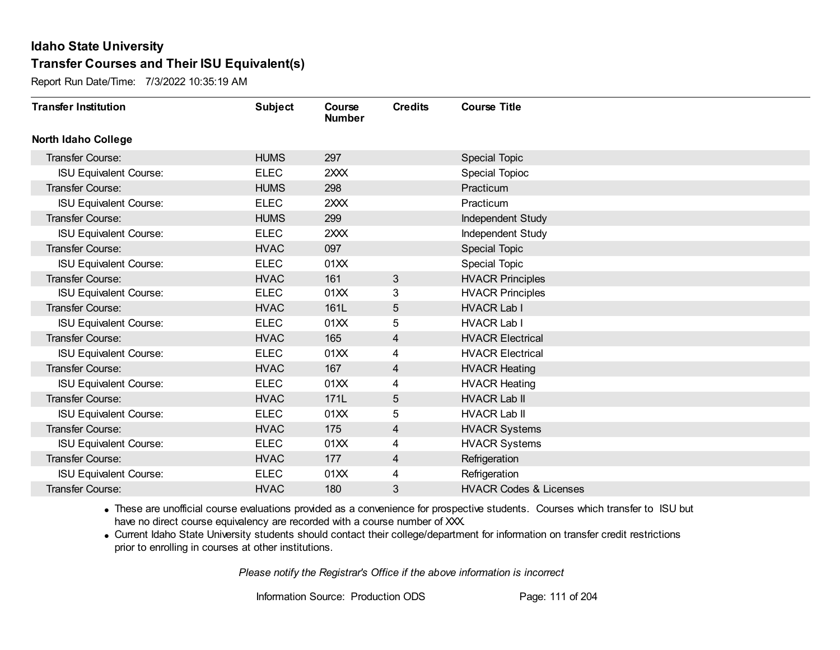Report Run Date/Time: 7/3/2022 10:35:19 AM

| <b>Transfer Institution</b>   | <b>Subject</b> | Course<br><b>Number</b> | <b>Credits</b> | <b>Course Title</b>               |
|-------------------------------|----------------|-------------------------|----------------|-----------------------------------|
| <b>North Idaho College</b>    |                |                         |                |                                   |
| Transfer Course:              | <b>HUMS</b>    | 297                     |                | Special Topic                     |
| <b>ISU Equivalent Course:</b> | <b>ELEC</b>    | 2XXX                    |                | <b>Special Topioc</b>             |
| Transfer Course:              | <b>HUMS</b>    | 298                     |                | Practicum                         |
| <b>ISU Equivalent Course:</b> | <b>ELEC</b>    | 2XXX                    |                | Practicum                         |
| <b>Transfer Course:</b>       | <b>HUMS</b>    | 299                     |                | Independent Study                 |
| <b>ISU Equivalent Course:</b> | <b>ELEC</b>    | 2XXX                    |                | Independent Study                 |
| <b>Transfer Course:</b>       | <b>HVAC</b>    | 097                     |                | Special Topic                     |
| <b>ISU Equivalent Course:</b> | <b>ELEC</b>    | 01XX                    |                | Special Topic                     |
| <b>Transfer Course:</b>       | <b>HVAC</b>    | 161                     | 3              | <b>HVACR Principles</b>           |
| <b>ISU Equivalent Course:</b> | <b>ELEC</b>    | 01XX                    | 3              | <b>HVACR Principles</b>           |
| <b>Transfer Course:</b>       | <b>HVAC</b>    | 161L                    | 5              | <b>HVACR Lab I</b>                |
| <b>ISU Equivalent Course:</b> | <b>ELEC</b>    | 01XX                    | 5              | <b>HVACR Lab I</b>                |
| Transfer Course:              | <b>HVAC</b>    | 165                     | 4              | <b>HVACR Electrical</b>           |
| <b>ISU Equivalent Course:</b> | <b>ELEC</b>    | 01XX                    | 4              | <b>HVACR Electrical</b>           |
| Transfer Course:              | <b>HVAC</b>    | 167                     | 4              | <b>HVACR Heating</b>              |
| <b>ISU Equivalent Course:</b> | <b>ELEC</b>    | 01XX                    | 4              | <b>HVACR Heating</b>              |
| Transfer Course:              | <b>HVAC</b>    | 171L                    | 5              | <b>HVACR Lab II</b>               |
| <b>ISU Equivalent Course:</b> | <b>ELEC</b>    | 01XX                    | 5              | <b>HVACR Lab II</b>               |
| Transfer Course:              | <b>HVAC</b>    | 175                     | 4              | <b>HVACR Systems</b>              |
| ISU Equivalent Course:        | <b>ELEC</b>    | 01XX                    | 4              | <b>HVACR Systems</b>              |
| Transfer Course:              | <b>HVAC</b>    | 177                     | $\overline{4}$ | Refrigeration                     |
| <b>ISU Equivalent Course:</b> | <b>ELEC</b>    | 01XX                    | 4              | Refrigeration                     |
| <b>Transfer Course:</b>       | <b>HVAC</b>    | 180                     | 3              | <b>HVACR Codes &amp; Licenses</b> |

· These are unofficial course evaluations provided as a convenience for prospective students. Courses which transfer to ISU but have no direct course equivalency are recorded with a course number of XXX.

· Current Idaho State University students should contact their college/department for information on transfer credit restrictions prior to enrolling in courses at other institutions.

*Please notify the Registrar's Office if the above information is incorrect*

Information Source: Production ODS Page: 111 of 204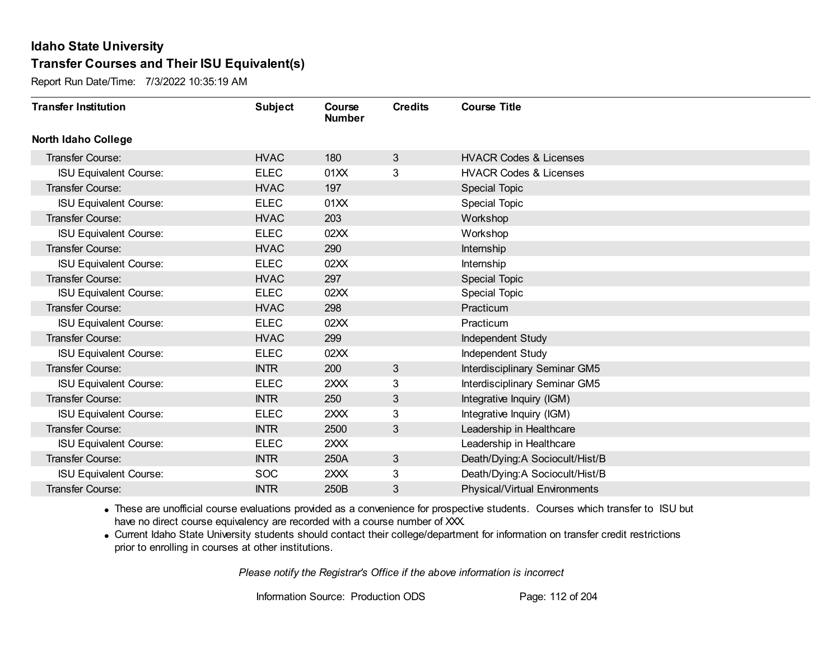Report Run Date/Time: 7/3/2022 10:35:19 AM

| <b>Transfer Institution</b>   | <b>Subject</b> | Course<br><b>Number</b> | <b>Credits</b> | <b>Course Title</b>                  |
|-------------------------------|----------------|-------------------------|----------------|--------------------------------------|
| <b>North Idaho College</b>    |                |                         |                |                                      |
| Transfer Course:              | <b>HVAC</b>    | 180                     | $\mathbf{3}$   | <b>HVACR Codes &amp; Licenses</b>    |
| <b>ISU Equivalent Course:</b> | <b>ELEC</b>    | 01XX                    | 3              | <b>HVACR Codes &amp; Licenses</b>    |
| Transfer Course:              | <b>HVAC</b>    | 197                     |                | <b>Special Topic</b>                 |
| <b>ISU Equivalent Course:</b> | <b>ELEC</b>    | 01XX                    |                | <b>Special Topic</b>                 |
| <b>Transfer Course:</b>       | <b>HVAC</b>    | 203                     |                | Workshop                             |
| <b>ISU Equivalent Course:</b> | <b>ELEC</b>    | 02XX                    |                | Workshop                             |
| Transfer Course:              | <b>HVAC</b>    | 290                     |                | Internship                           |
| <b>ISU Equivalent Course:</b> | <b>ELEC</b>    | 02XX                    |                | Internship                           |
| <b>Transfer Course:</b>       | <b>HVAC</b>    | 297                     |                | <b>Special Topic</b>                 |
| <b>ISU Equivalent Course:</b> | <b>ELEC</b>    | 02XX                    |                | Special Topic                        |
| <b>Transfer Course:</b>       | <b>HVAC</b>    | 298                     |                | Practicum                            |
| <b>ISU Equivalent Course:</b> | <b>ELEC</b>    | 02XX                    |                | Practicum                            |
| <b>Transfer Course:</b>       | <b>HVAC</b>    | 299                     |                | Independent Study                    |
| <b>ISU Equivalent Course:</b> | <b>ELEC</b>    | 02XX                    |                | Independent Study                    |
| Transfer Course:              | <b>INTR</b>    | 200                     | 3              | Interdisciplinary Seminar GM5        |
| <b>ISU Equivalent Course:</b> | <b>ELEC</b>    | 2XXX                    | 3              | Interdisciplinary Seminar GM5        |
| Transfer Course:              | <b>INTR</b>    | 250                     | 3 <sup>1</sup> | Integrative Inquiry (IGM)            |
| <b>ISU Equivalent Course:</b> | <b>ELEC</b>    | 2XXX                    | 3              | Integrative Inquiry (IGM)            |
| Transfer Course:              | <b>INTR</b>    | 2500                    | 3              | Leadership in Healthcare             |
| <b>ISU Equivalent Course:</b> | <b>ELEC</b>    | 2XXX                    |                | Leadership in Healthcare             |
| Transfer Course:              | <b>INTR</b>    | 250A                    | 3              | Death/Dying:A Sociocult/Hist/B       |
| <b>ISU Equivalent Course:</b> | <b>SOC</b>     | 2XXX                    | 3              | Death/Dying:A Sociocult/Hist/B       |
| Transfer Course:              | <b>INTR</b>    | 250B                    | 3              | <b>Physical/Virtual Environments</b> |

· These are unofficial course evaluations provided as a convenience for prospective students. Courses which transfer to ISU but have no direct course equivalency are recorded with a course number of XXX.

· Current Idaho State University students should contact their college/department for information on transfer credit restrictions prior to enrolling in courses at other institutions.

*Please notify the Registrar's Office if the above information is incorrect*

Information Source: Production ODS Page: 112 of 204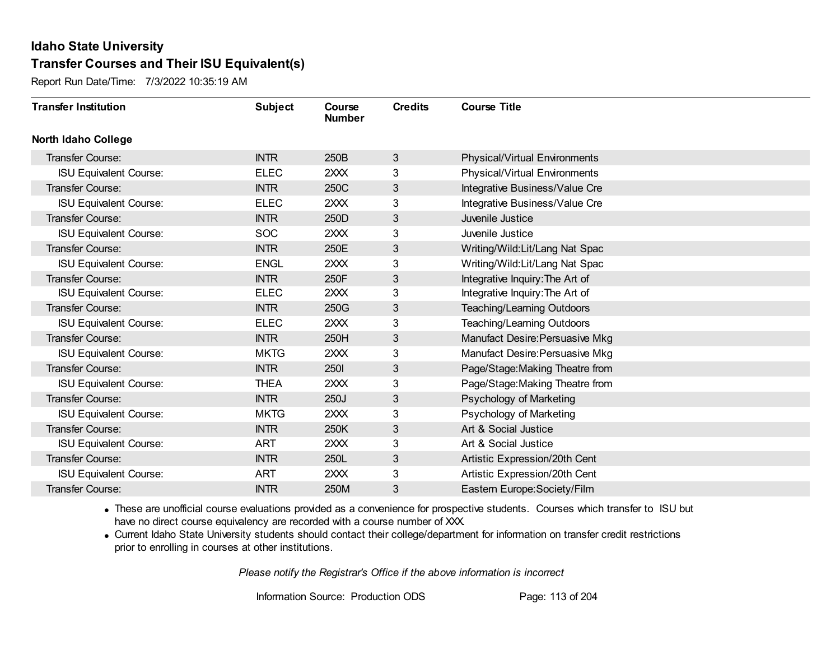Report Run Date/Time: 7/3/2022 10:35:19 AM

| <b>Transfer Institution</b>   | <b>Subject</b> | Course<br><b>Number</b> | <b>Credits</b> | <b>Course Title</b>                  |
|-------------------------------|----------------|-------------------------|----------------|--------------------------------------|
| <b>North Idaho College</b>    |                |                         |                |                                      |
| <b>Transfer Course:</b>       | <b>INTR</b>    | 250B                    | 3              | <b>Physical/Virtual Environments</b> |
| <b>ISU Equivalent Course:</b> | <b>ELEC</b>    | 2XXX                    | 3              | <b>Physical/Virtual Environments</b> |
| <b>Transfer Course:</b>       | <b>INTR</b>    | 250C                    | 3              | Integrative Business/Value Cre       |
| <b>ISU Equivalent Course:</b> | <b>ELEC</b>    | 2XXX                    | 3              | Integrative Business/Value Cre       |
| <b>Transfer Course:</b>       | <b>INTR</b>    | 250D                    | 3              | Juvenile Justice                     |
| <b>ISU Equivalent Course:</b> | <b>SOC</b>     | 2XXX                    | 3              | Juvenile Justice                     |
| <b>Transfer Course:</b>       | <b>INTR</b>    | 250E                    | 3              | Writing/Wild:Lit/Lang Nat Spac       |
| <b>ISU Equivalent Course:</b> | <b>ENGL</b>    | 2XXX                    | 3              | Writing/Wild:Lit/Lang Nat Spac       |
| <b>Transfer Course:</b>       | <b>INTR</b>    | 250F                    | 3              | Integrative Inquiry: The Art of      |
| <b>ISU Equivalent Course:</b> | <b>ELEC</b>    | 2XXX                    | 3              | Integrative Inquiry: The Art of      |
| <b>Transfer Course:</b>       | <b>INTR</b>    | 250G                    | 3              | Teaching/Learning Outdoors           |
| <b>ISU Equivalent Course:</b> | <b>ELEC</b>    | 2XXX                    | 3              | Teaching/Learning Outdoors           |
| Transfer Course:              | <b>INTR</b>    | 250H                    | 3              | Manufact Desire: Persuasive Mkg      |
| <b>ISU Equivalent Course:</b> | <b>MKTG</b>    | 2XXX                    | 3              | Manufact Desire: Persuasive Mkg      |
| Transfer Course:              | <b>INTR</b>    | 2501                    | 3              | Page/Stage: Making Theatre from      |
| <b>ISU Equivalent Course:</b> | <b>THEA</b>    | 2XXX                    | 3              | Page/Stage: Making Theatre from      |
| Transfer Course:              | <b>INTR</b>    | 250J                    | 3              | Psychology of Marketing              |
| <b>ISU Equivalent Course:</b> | <b>MKTG</b>    | 2XXX                    | 3              | Psychology of Marketing              |
| <b>Transfer Course:</b>       | <b>INTR</b>    | 250K                    | 3              | Art & Social Justice                 |
| <b>ISU Equivalent Course:</b> | <b>ART</b>     | 2XXX                    | 3              | Art & Social Justice                 |
| Transfer Course:              | <b>INTR</b>    | 250L                    | 3              | Artistic Expression/20th Cent        |
| <b>ISU Equivalent Course:</b> | <b>ART</b>     | 2XXX                    | 3              | Artistic Expression/20th Cent        |
| Transfer Course:              | <b>INTR</b>    | 250M                    | 3              | Eastern Europe: Society/Film         |

· These are unofficial course evaluations provided as a convenience for prospective students. Courses which transfer to ISU but have no direct course equivalency are recorded with a course number of XXX.

· Current Idaho State University students should contact their college/department for information on transfer credit restrictions prior to enrolling in courses at other institutions.

*Please notify the Registrar's Office if the above information is incorrect*

Information Source: Production ODS Page: 113 of 204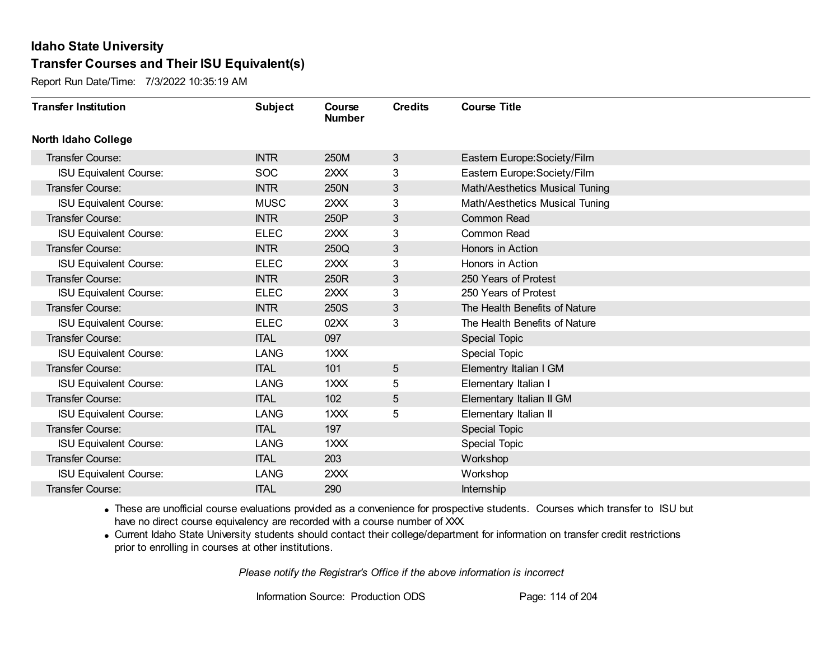Report Run Date/Time: 7/3/2022 10:35:19 AM

| <b>Transfer Institution</b>   | <b>Subject</b> | Course<br><b>Number</b> | <b>Credits</b> | <b>Course Title</b>            |
|-------------------------------|----------------|-------------------------|----------------|--------------------------------|
| <b>North Idaho College</b>    |                |                         |                |                                |
| <b>Transfer Course:</b>       | <b>INTR</b>    | 250M                    | 3              | Eastern Europe: Society/Film   |
| <b>ISU Equivalent Course:</b> | <b>SOC</b>     | 2XXX                    | 3              | Eastern Europe: Society/Film   |
| <b>Transfer Course:</b>       | <b>INTR</b>    | 250N                    | 3              | Math/Aesthetics Musical Tuning |
| <b>ISU Equivalent Course:</b> | <b>MUSC</b>    | 2XXX                    | 3              | Math/Aesthetics Musical Tuning |
| <b>Transfer Course:</b>       | <b>INTR</b>    | 250P                    | $\mathfrak{S}$ | <b>Common Read</b>             |
| <b>ISU Equivalent Course:</b> | <b>ELEC</b>    | 2XXX                    | 3              | Common Read                    |
| <b>Transfer Course:</b>       | <b>INTR</b>    | 250Q                    | 3              | Honors in Action               |
| <b>ISU Equivalent Course:</b> | <b>ELEC</b>    | 2XXX                    | 3              | Honors in Action               |
| Transfer Course:              | <b>INTR</b>    | 250R                    | 3              | 250 Years of Protest           |
| <b>ISU Equivalent Course:</b> | <b>ELEC</b>    | 2XXX                    | 3              | 250 Years of Protest           |
| <b>Transfer Course:</b>       | <b>INTR</b>    | 250S                    | 3              | The Health Benefits of Nature  |
| <b>ISU Equivalent Course:</b> | <b>ELEC</b>    | 02XX                    | 3              | The Health Benefits of Nature  |
| <b>Transfer Course:</b>       | <b>ITAL</b>    | 097                     |                | <b>Special Topic</b>           |
| <b>ISU Equivalent Course:</b> | <b>LANG</b>    | $1$ $XX$                |                | <b>Special Topic</b>           |
| Transfer Course:              | <b>ITAL</b>    | 101                     | 5              | Elementry Italian I GM         |
| <b>ISU Equivalent Course:</b> | <b>LANG</b>    | $1$ $XX$                | 5              | Elementary Italian I           |
| Transfer Course:              | <b>ITAL</b>    | 102                     | 5              | Elementary Italian II GM       |
| <b>ISU Equivalent Course:</b> | <b>LANG</b>    | $1$ $XX$                | 5              | Elementary Italian II          |
| Transfer Course:              | <b>ITAL</b>    | 197                     |                | Special Topic                  |
| <b>ISU Equivalent Course:</b> | <b>LANG</b>    | 1XXX                    |                | <b>Special Topic</b>           |
| Transfer Course:              | <b>ITAL</b>    | 203                     |                | Workshop                       |
| <b>ISU Equivalent Course:</b> | <b>LANG</b>    | 2XXX                    |                | Workshop                       |
| Transfer Course:              | <b>ITAL</b>    | 290                     |                | Internship                     |

· These are unofficial course evaluations provided as a convenience for prospective students. Courses which transfer to ISU but have no direct course equivalency are recorded with a course number of XXX.

· Current Idaho State University students should contact their college/department for information on transfer credit restrictions prior to enrolling in courses at other institutions.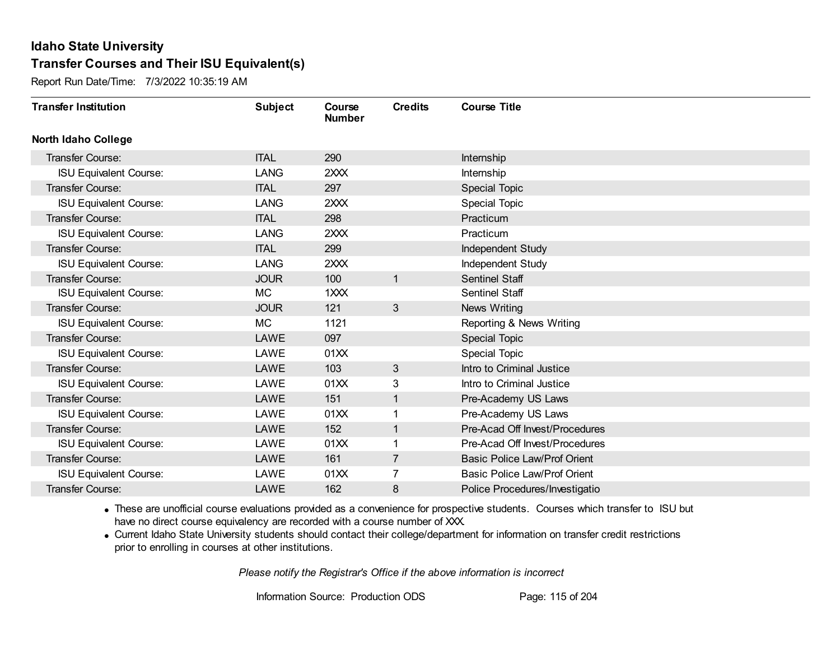Report Run Date/Time: 7/3/2022 10:35:19 AM

| <b>Transfer Institution</b>   | <b>Subject</b> | Course<br><b>Number</b> | <b>Credits</b> | <b>Course Title</b>                 |
|-------------------------------|----------------|-------------------------|----------------|-------------------------------------|
| <b>North Idaho College</b>    |                |                         |                |                                     |
| Transfer Course:              | <b>ITAL</b>    | 290                     |                | Internship                          |
| <b>ISU Equivalent Course:</b> | <b>LANG</b>    | 2XXX                    |                | Internship                          |
| Transfer Course:              | <b>ITAL</b>    | 297                     |                | <b>Special Topic</b>                |
| <b>ISU Equivalent Course:</b> | <b>LANG</b>    | 2XXX                    |                | Special Topic                       |
| <b>Transfer Course:</b>       | <b>ITAL</b>    | 298                     |                | Practicum                           |
| <b>ISU Equivalent Course:</b> | LANG           | 2XXX                    |                | Practicum                           |
| Transfer Course:              | <b>ITAL</b>    | 299                     |                | Independent Study                   |
| <b>ISU Equivalent Course:</b> | <b>LANG</b>    | 2XXX                    |                | Independent Study                   |
| <b>Transfer Course:</b>       | <b>JOUR</b>    | 100                     | $\mathbf{1}$   | <b>Sentinel Staff</b>               |
| <b>ISU Equivalent Course:</b> | MC             | 1XXX                    |                | <b>Sentinel Staff</b>               |
| Transfer Course:              | <b>JOUR</b>    | 121                     | $\mathbf{3}$   | News Writing                        |
| <b>ISU Equivalent Course:</b> | <b>MC</b>      | 1121                    |                | Reporting & News Writing            |
| Transfer Course:              | <b>LAWE</b>    | 097                     |                | Special Topic                       |
| <b>ISU Equivalent Course:</b> | LAWE           | 01XX                    |                | Special Topic                       |
| Transfer Course:              | LAWE           | 103                     | 3              | Intro to Criminal Justice           |
| <b>ISU Equivalent Course:</b> | LAWE           | 01XX                    | 3              | Intro to Criminal Justice           |
| Transfer Course:              | <b>LAWE</b>    | 151                     | $\mathbf{1}$   | Pre-Academy US Laws                 |
| <b>ISU Equivalent Course:</b> | LAWE           | 01XX                    | 1              | Pre-Academy US Laws                 |
| Transfer Course:              | <b>LAWE</b>    | 152                     | $\mathbf{1}$   | Pre-Acad Off Invest/Procedures      |
| <b>ISU Equivalent Course:</b> | LAWE           | 01XX                    |                | Pre-Acad Off Invest/Procedures      |
| Transfer Course:              | <b>LAWE</b>    | 161                     | $\overline{7}$ | <b>Basic Police Law/Prof Orient</b> |
| <b>ISU Equivalent Course:</b> | LAWE           | 01XX                    | 7              | <b>Basic Police Law/Prof Orient</b> |
| Transfer Course:              | LAWE           | 162                     | 8              | Police Procedures/Investigatio      |

· These are unofficial course evaluations provided as a convenience for prospective students. Courses which transfer to ISU but have no direct course equivalency are recorded with a course number of XXX.

· Current Idaho State University students should contact their college/department for information on transfer credit restrictions prior to enrolling in courses at other institutions.

*Please notify the Registrar's Office if the above information is incorrect*

Information Source: Production ODS Page: 115 of 204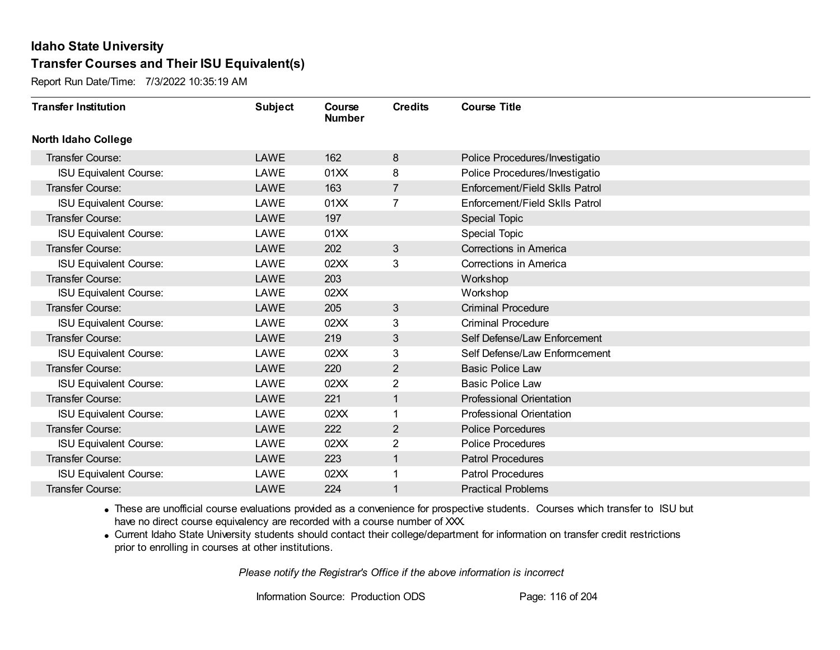Report Run Date/Time: 7/3/2022 10:35:19 AM

| <b>Transfer Institution</b>   | <b>Subject</b> | Course<br><b>Number</b> | <b>Credits</b> | <b>Course Title</b>             |
|-------------------------------|----------------|-------------------------|----------------|---------------------------------|
| <b>North Idaho College</b>    |                |                         |                |                                 |
| <b>Transfer Course:</b>       | LAWE           | 162                     | 8              | Police Procedures/Investigatio  |
| <b>ISU Equivalent Course:</b> | LAWE           | 01XX                    | 8              | Police Procedures/Investigatio  |
| Transfer Course:              | <b>LAWE</b>    | 163                     | $\overline{7}$ | Enforcement/Field Sklls Patrol  |
| <b>ISU Equivalent Course:</b> | LAWE           | 01XX                    | $\overline{7}$ | Enforcement/Field Sklls Patrol  |
| <b>Transfer Course:</b>       | LAWE           | 197                     |                | <b>Special Topic</b>            |
| <b>ISU Equivalent Course:</b> | LAWE           | 01XX                    |                | <b>Special Topic</b>            |
| <b>Transfer Course:</b>       | LAWE           | 202                     | 3              | Corrections in America          |
| <b>ISU Equivalent Course:</b> | LAWE           | 02XX                    | 3              | Corrections in America          |
| <b>Transfer Course:</b>       | <b>LAWE</b>    | 203                     |                | Workshop                        |
| <b>ISU Equivalent Course:</b> | LAWE           | 02XX                    |                | Workshop                        |
| <b>Transfer Course:</b>       | <b>LAWE</b>    | 205                     | 3              | <b>Criminal Procedure</b>       |
| <b>ISU Equivalent Course:</b> | LAWE           | 02XX                    | 3              | <b>Criminal Procedure</b>       |
| <b>Transfer Course:</b>       | LAWE           | 219                     | 3              | Self Defense/Law Enforcement    |
| <b>ISU Equivalent Course:</b> | LAWE           | 02XX                    | 3              | Self Defense/Law Enformcement   |
| Transfer Course:              | LAWE           | 220                     | $\overline{2}$ | <b>Basic Police Law</b>         |
| <b>ISU Equivalent Course:</b> | LAWE           | 02XX                    | $\overline{2}$ | <b>Basic Police Law</b>         |
| Transfer Course:              | <b>LAWE</b>    | 221                     | $\mathbf{1}$   | <b>Professional Orientation</b> |
| <b>ISU Equivalent Course:</b> | LAWE           | 02XX                    |                | <b>Professional Orientation</b> |
| Transfer Course:              | <b>LAWE</b>    | 222                     | $\overline{2}$ | <b>Police Porcedures</b>        |
| <b>ISU Equivalent Course:</b> | LAWE           | 02XX                    | 2              | <b>Police Procedures</b>        |
| <b>Transfer Course:</b>       | <b>LAWE</b>    | 223                     | 1              | <b>Patrol Procedures</b>        |
| <b>ISU Equivalent Course:</b> | LAWE           | 02XX                    |                | <b>Patrol Procedures</b>        |
| Transfer Course:              | <b>LAWE</b>    | 224                     | 1              | <b>Practical Problems</b>       |

· These are unofficial course evaluations provided as a convenience for prospective students. Courses which transfer to ISU but have no direct course equivalency are recorded with a course number of XXX.

· Current Idaho State University students should contact their college/department for information on transfer credit restrictions prior to enrolling in courses at other institutions.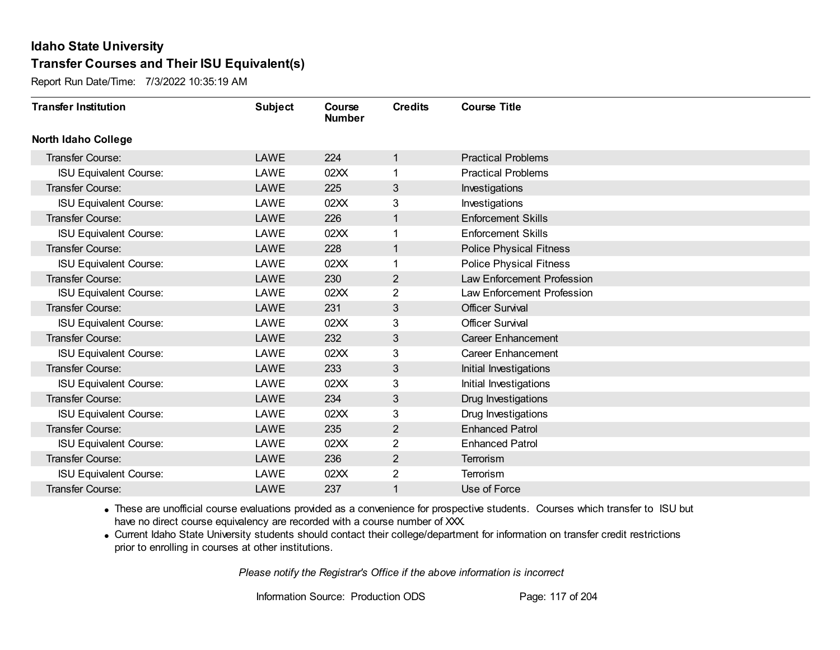Report Run Date/Time: 7/3/2022 10:35:19 AM

| <b>Transfer Institution</b>   | <b>Subject</b> | Course<br><b>Number</b> | <b>Credits</b> | <b>Course Title</b>            |
|-------------------------------|----------------|-------------------------|----------------|--------------------------------|
| <b>North Idaho College</b>    |                |                         |                |                                |
| Transfer Course:              | LAWE           | 224                     | 1              | <b>Practical Problems</b>      |
| <b>ISU Equivalent Course:</b> | LAWE           | 02XX                    |                | <b>Practical Problems</b>      |
| Transfer Course:              | LAWE           | 225                     | 3              | Investigations                 |
| <b>ISU Equivalent Course:</b> | LAWE           | 02XX                    | 3              | Investigations                 |
| <b>Transfer Course:</b>       | <b>LAWE</b>    | 226                     | 1              | <b>Enforcement Skills</b>      |
| <b>ISU Equivalent Course:</b> | LAWE           | 02XX                    |                | <b>Enforcement Skills</b>      |
| <b>Transfer Course:</b>       | LAWE           | 228                     | $\mathbf 1$    | <b>Police Physical Fitness</b> |
| <b>ISU Equivalent Course:</b> | LAWE           | 02XX                    |                | <b>Police Physical Fitness</b> |
| <b>Transfer Course:</b>       | LAWE           | 230                     | $\overline{2}$ | Law Enforcement Profession     |
| <b>ISU Equivalent Course:</b> | LAWE           | 02XX                    | $\overline{2}$ | Law Enforcement Profession     |
| <b>Transfer Course:</b>       | <b>LAWE</b>    | 231                     | 3              | <b>Officer Survival</b>        |
| <b>ISU Equivalent Course:</b> | LAWE           | 02XX                    | 3              | <b>Officer Survival</b>        |
| Transfer Course:              | <b>LAWE</b>    | 232                     | 3              | <b>Career Enhancement</b>      |
| <b>ISU Equivalent Course:</b> | LAWE           | 02XX                    | 3              | <b>Career Enhancement</b>      |
| Transfer Course:              | LAWE           | 233                     | 3              | Initial Investigations         |
| <b>ISU Equivalent Course:</b> | LAWE           | 02XX                    | 3              | Initial Investigations         |
| Transfer Course:              | <b>LAWE</b>    | 234                     | 3              | Drug Investigations            |
| <b>ISU Equivalent Course:</b> | LAWE           | 02XX                    | 3              | Drug Investigations            |
| Transfer Course:              | <b>LAWE</b>    | 235                     | $\overline{2}$ | <b>Enhanced Patrol</b>         |
| <b>ISU Equivalent Course:</b> | LAWE           | 02XX                    | 2              | <b>Enhanced Patrol</b>         |
| Transfer Course:              | <b>LAWE</b>    | 236                     | $\overline{2}$ | Terrorism                      |
| <b>ISU Equivalent Course:</b> | LAWE           | 02XX                    | $\overline{2}$ | Terrorism                      |
| <b>Transfer Course:</b>       | LAWE           | 237                     | 1              | Use of Force                   |

· These are unofficial course evaluations provided as a convenience for prospective students. Courses which transfer to ISU but have no direct course equivalency are recorded with a course number of XXX.

· Current Idaho State University students should contact their college/department for information on transfer credit restrictions prior to enrolling in courses at other institutions.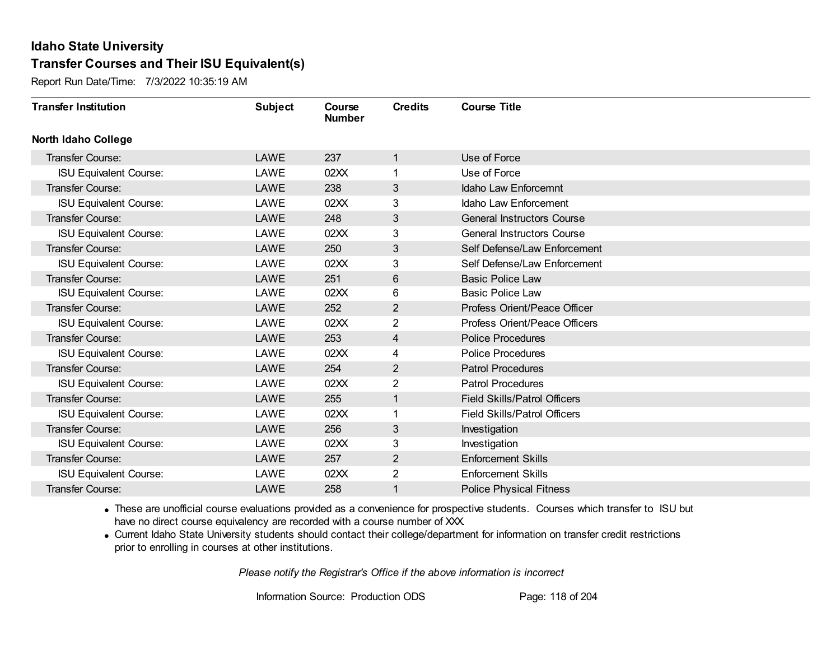Report Run Date/Time: 7/3/2022 10:35:19 AM

| <b>Transfer Institution</b>   | <b>Subject</b> | Course<br><b>Number</b> | <b>Credits</b> | <b>Course Title</b>                 |
|-------------------------------|----------------|-------------------------|----------------|-------------------------------------|
| <b>North Idaho College</b>    |                |                         |                |                                     |
| <b>Transfer Course:</b>       | <b>LAWE</b>    | 237                     | $\mathbf{1}$   | Use of Force                        |
| <b>ISU Equivalent Course:</b> | LAWE           | 02XX                    | 1.             | Use of Force                        |
| Transfer Course:              | <b>LAWE</b>    | 238                     | 3              | Idaho Law Enforcemnt                |
| <b>ISU Equivalent Course:</b> | LAWE           | 02XX                    | 3              | Idaho Law Enforcement               |
| <b>Transfer Course:</b>       | <b>LAWE</b>    | 248                     | 3              | <b>General Instructors Course</b>   |
| <b>ISU Equivalent Course:</b> | LAWE           | 02XX                    | 3              | <b>General Instructors Course</b>   |
| <b>Transfer Course:</b>       | <b>LAWE</b>    | 250                     | 3              | Self Defense/Law Enforcement        |
| <b>ISU Equivalent Course:</b> | LAWE           | 02XX                    | 3              | Self Defense/Law Enforcement        |
| <b>Transfer Course:</b>       | <b>LAWE</b>    | 251                     | 6              | <b>Basic Police Law</b>             |
| <b>ISU Equivalent Course:</b> | LAWE           | 02XX                    | 6              | <b>Basic Police Law</b>             |
| <b>Transfer Course:</b>       | <b>LAWE</b>    | 252                     | $\overline{2}$ | Profess Orient/Peace Officer        |
| <b>ISU Equivalent Course:</b> | LAWE           | 02XX                    | 2              | Profess Orient/Peace Officers       |
| Transfer Course:              | <b>LAWE</b>    | 253                     | 4              | <b>Police Procedures</b>            |
| <b>ISU Equivalent Course:</b> | LAWE           | 02XX                    | 4              | <b>Police Procedures</b>            |
| Transfer Course:              | LAWE           | 254                     | $\overline{2}$ | <b>Patrol Procedures</b>            |
| <b>ISU Equivalent Course:</b> | LAWE           | 02XX                    | $\overline{2}$ | <b>Patrol Procedures</b>            |
| Transfer Course:              | <b>LAWE</b>    | 255                     | $\mathbf{1}$   | <b>Field Skills/Patrol Officers</b> |
| <b>ISU Equivalent Course:</b> | LAWE           | 02XX                    | 1              | <b>Field Skills/Patrol Officers</b> |
| Transfer Course:              | <b>LAWE</b>    | 256                     | 3              | Investigation                       |
| <b>ISU Equivalent Course:</b> | LAWE           | 02XX                    | 3              | Investigation                       |
| <b>Transfer Course:</b>       | <b>LAWE</b>    | 257                     | $\overline{2}$ | <b>Enforcement Skills</b>           |
| <b>ISU Equivalent Course:</b> | LAWE           | 02XX                    | $\overline{2}$ | <b>Enforcement Skills</b>           |
| Transfer Course:              | LAWE           | 258                     | 1              | <b>Police Physical Fitness</b>      |

· These are unofficial course evaluations provided as a convenience for prospective students. Courses which transfer to ISU but have no direct course equivalency are recorded with a course number of XXX.

· Current Idaho State University students should contact their college/department for information on transfer credit restrictions prior to enrolling in courses at other institutions.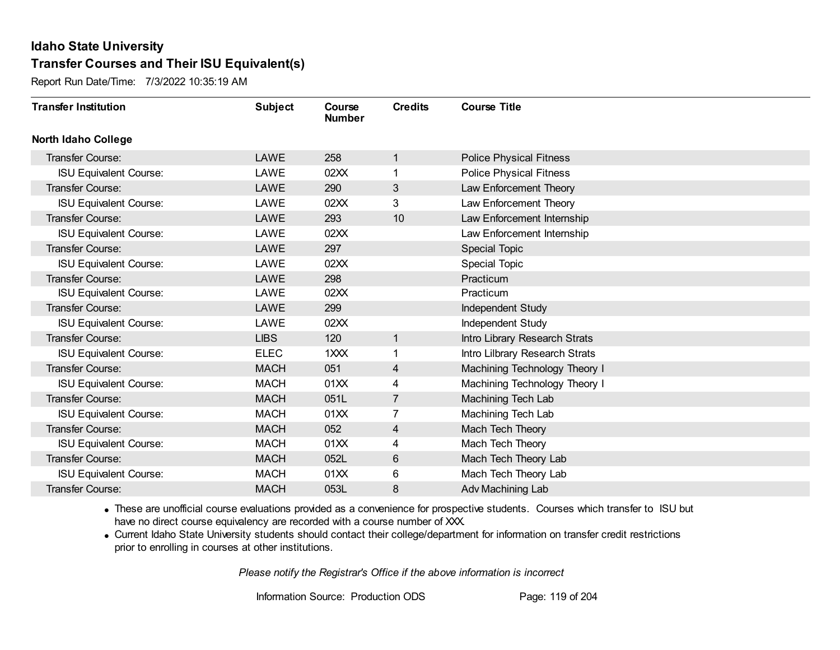Report Run Date/Time: 7/3/2022 10:35:19 AM

| <b>Transfer Institution</b>   | <b>Subject</b> | Course<br><b>Number</b> | <b>Credits</b> | <b>Course Title</b>            |
|-------------------------------|----------------|-------------------------|----------------|--------------------------------|
| <b>North Idaho College</b>    |                |                         |                |                                |
| <b>Transfer Course:</b>       | LAWE           | 258                     | $\mathbf{1}$   | <b>Police Physical Fitness</b> |
| <b>ISU Equivalent Course:</b> | LAWE           | 02XX                    | 1.             | <b>Police Physical Fitness</b> |
| Transfer Course:              | <b>LAWE</b>    | 290                     | 3              | Law Enforcement Theory         |
| <b>ISU Equivalent Course:</b> | LAWE           | 02XX                    | 3              | Law Enforcement Theory         |
| <b>Transfer Course:</b>       | <b>LAWE</b>    | 293                     | 10             | Law Enforcement Internship     |
| <b>ISU Equivalent Course:</b> | LAWE           | 02XX                    |                | Law Enforcement Internship     |
| Transfer Course:              | LAWE           | 297                     |                | <b>Special Topic</b>           |
| <b>ISU Equivalent Course:</b> | LAWE           | 02XX                    |                | Special Topic                  |
| Transfer Course:              | <b>LAWE</b>    | 298                     |                | Practicum                      |
| <b>ISU Equivalent Course:</b> | LAWE           | 02XX                    |                | Practicum                      |
| Transfer Course:              | <b>LAWE</b>    | 299                     |                | Independent Study              |
| <b>ISU Equivalent Course:</b> | LAWE           | 02XX                    |                | Independent Study              |
| Transfer Course:              | <b>LIBS</b>    | 120                     | $\mathbf{1}$   | Intro Library Research Strats  |
| <b>ISU Equivalent Course:</b> | <b>ELEC</b>    | 1XXX                    | 1.             | Intro Lilbrary Research Strats |
| Transfer Course:              | <b>MACH</b>    | 051                     | $\overline{4}$ | Machining Technology Theory I  |
| <b>ISU Equivalent Course:</b> | <b>MACH</b>    | 01XX                    | 4              | Machining Technology Theory I  |
| Transfer Course:              | <b>MACH</b>    | 051L                    | $\overline{7}$ | <b>Machining Tech Lab</b>      |
| <b>ISU Equivalent Course:</b> | <b>MACH</b>    | 01XX                    | 7              | Machining Tech Lab             |
| Transfer Course:              | <b>MACH</b>    | 052                     | 4              | Mach Tech Theory               |
| <b>ISU Equivalent Course:</b> | <b>MACH</b>    | 01XX                    | 4              | Mach Tech Theory               |
| Transfer Course:              | <b>MACH</b>    | 052L                    | 6              | Mach Tech Theory Lab           |
| <b>ISU Equivalent Course:</b> | <b>MACH</b>    | 01XX                    | 6              | Mach Tech Theory Lab           |
| Transfer Course:              | <b>MACH</b>    | 053L                    | 8              | Adv Machining Lab              |

· These are unofficial course evaluations provided as a convenience for prospective students. Courses which transfer to ISU but have no direct course equivalency are recorded with a course number of XXX.

· Current Idaho State University students should contact their college/department for information on transfer credit restrictions prior to enrolling in courses at other institutions.

*Please notify the Registrar's Office if the above information is incorrect*

Information Source: Production ODS Page: 119 of 204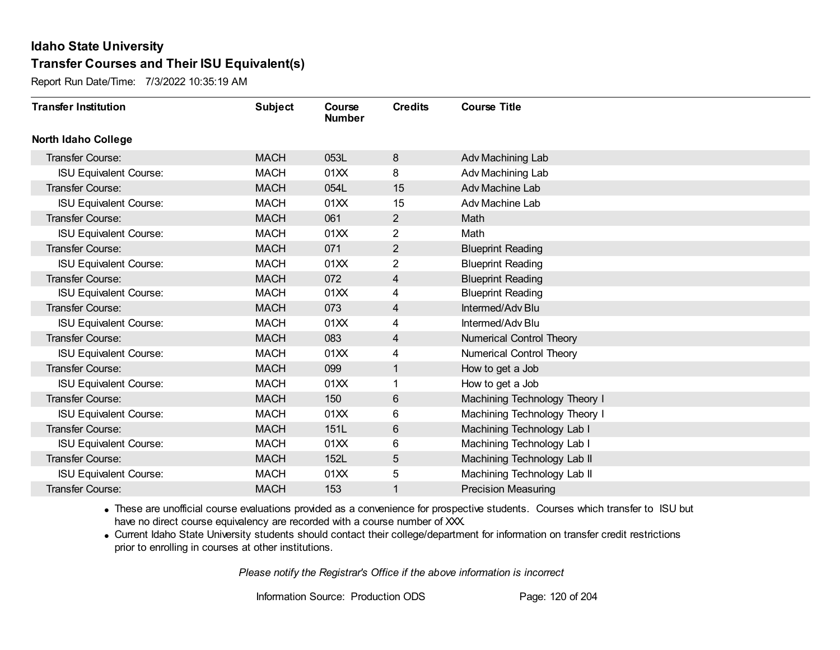Report Run Date/Time: 7/3/2022 10:35:19 AM

| <b>Transfer Institution</b>   | <b>Subject</b> | Course<br><b>Number</b> | <b>Credits</b> | <b>Course Title</b>           |
|-------------------------------|----------------|-------------------------|----------------|-------------------------------|
| <b>North Idaho College</b>    |                |                         |                |                               |
| Transfer Course:              | <b>MACH</b>    | 053L                    | 8              | Adv Machining Lab             |
| <b>ISU Equivalent Course:</b> | <b>MACH</b>    | 01XX                    | 8              | Adv Machining Lab             |
| Transfer Course:              | <b>MACH</b>    | 054L                    | 15             | Adv Machine Lab               |
| <b>ISU Equivalent Course:</b> | <b>MACH</b>    | 01XX                    | 15             | Adv Machine Lab               |
| <b>Transfer Course:</b>       | <b>MACH</b>    | 061                     | $\overline{2}$ | Math                          |
| <b>ISU Equivalent Course:</b> | <b>MACH</b>    | 01XX                    | 2              | Math                          |
| Transfer Course:              | <b>MACH</b>    | 071                     | $\overline{2}$ | <b>Blueprint Reading</b>      |
| <b>ISU Equivalent Course:</b> | <b>MACH</b>    | 01XX                    | 2              | <b>Blueprint Reading</b>      |
| <b>Transfer Course:</b>       | <b>MACH</b>    | 072                     | 4              | <b>Blueprint Reading</b>      |
| <b>ISU Equivalent Course:</b> | <b>MACH</b>    | 01XX                    | 4              | <b>Blueprint Reading</b>      |
| Transfer Course:              | <b>MACH</b>    | 073                     | 4              | Intermed/Adv Blu              |
| <b>ISU Equivalent Course:</b> | <b>MACH</b>    | 01XX                    | 4              | Intermed/Adv Blu              |
| Transfer Course:              | <b>MACH</b>    | 083                     | 4              | Numerical Control Theory      |
| <b>ISU Equivalent Course:</b> | <b>MACH</b>    | 01XX                    | 4              | Numerical Control Theory      |
| Transfer Course:              | <b>MACH</b>    | 099                     | 1              | How to get a Job              |
| <b>ISU Equivalent Course:</b> | <b>MACH</b>    | 01XX                    | 1              | How to get a Job              |
| Transfer Course:              | <b>MACH</b>    | 150                     | 6              | Machining Technology Theory I |
| <b>ISU Equivalent Course:</b> | <b>MACH</b>    | 01XX                    | 6              | Machining Technology Theory I |
| Transfer Course:              | <b>MACH</b>    | 151L                    | 6              | Machining Technology Lab I    |
| <b>ISU Equivalent Course:</b> | <b>MACH</b>    | 01XX                    | 6              | Machining Technology Lab I    |
| Transfer Course:              | <b>MACH</b>    | 152L                    | 5              | Machining Technology Lab II   |
| <b>ISU Equivalent Course:</b> | <b>MACH</b>    | 01XX                    | 5              | Machining Technology Lab II   |
| Transfer Course:              | <b>MACH</b>    | 153                     | 1              | <b>Precision Measuring</b>    |

· These are unofficial course evaluations provided as a convenience for prospective students. Courses which transfer to ISU but have no direct course equivalency are recorded with a course number of XXX.

· Current Idaho State University students should contact their college/department for information on transfer credit restrictions prior to enrolling in courses at other institutions.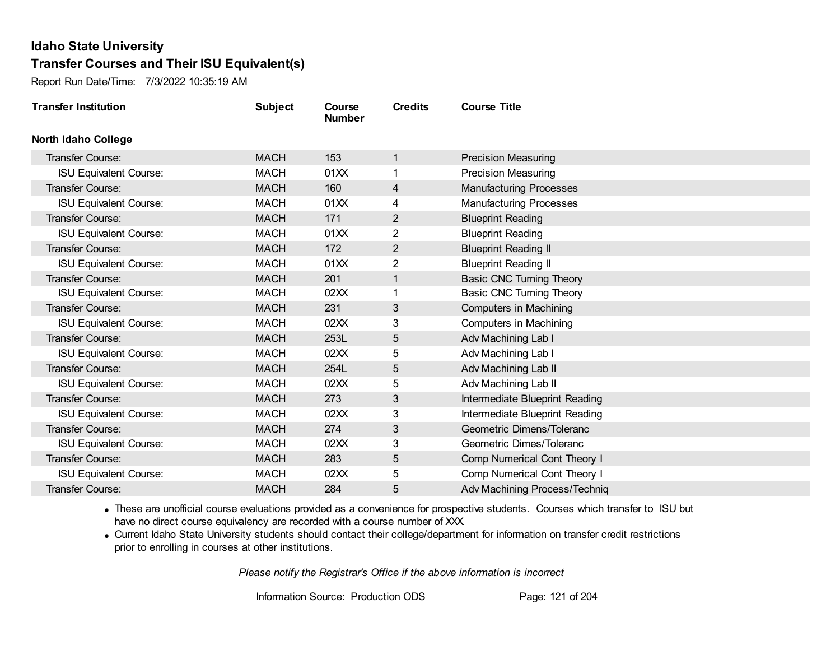Report Run Date/Time: 7/3/2022 10:35:19 AM

| <b>Transfer Institution</b>   | <b>Subject</b> | Course<br><b>Number</b> | <b>Credits</b> | <b>Course Title</b>             |
|-------------------------------|----------------|-------------------------|----------------|---------------------------------|
| <b>North Idaho College</b>    |                |                         |                |                                 |
| Transfer Course:              | <b>MACH</b>    | 153                     | 1              | <b>Precision Measuring</b>      |
| <b>ISU Equivalent Course:</b> | <b>MACH</b>    | 01XX                    | 1              | <b>Precision Measuring</b>      |
| Transfer Course:              | <b>MACH</b>    | 160                     | 4              | <b>Manufacturing Processes</b>  |
| <b>ISU Equivalent Course:</b> | <b>MACH</b>    | 01XX                    | 4              | <b>Manufacturing Processes</b>  |
| <b>Transfer Course:</b>       | <b>MACH</b>    | 171                     | $\overline{2}$ | <b>Blueprint Reading</b>        |
| <b>ISU Equivalent Course:</b> | <b>MACH</b>    | 01XX                    | 2              | <b>Blueprint Reading</b>        |
| Transfer Course:              | <b>MACH</b>    | 172                     | $\overline{2}$ | <b>Blueprint Reading II</b>     |
| <b>ISU Equivalent Course:</b> | <b>MACH</b>    | 01XX                    | 2              | <b>Blueprint Reading II</b>     |
| Transfer Course:              | <b>MACH</b>    | 201                     | 1              | <b>Basic CNC Turning Theory</b> |
| <b>ISU Equivalent Course:</b> | <b>MACH</b>    | 02XX                    | 1              | Basic CNC Turning Theory        |
| <b>Transfer Course:</b>       | <b>MACH</b>    | 231                     | 3              | <b>Computers in Machining</b>   |
| <b>ISU Equivalent Course:</b> | <b>MACH</b>    | 02XX                    | 3              | Computers in Machining          |
| Transfer Course:              | <b>MACH</b>    | 253L                    | 5              | Adv Machining Lab I             |
| <b>ISU Equivalent Course:</b> | <b>MACH</b>    | 02XX                    | 5              | Adv Machining Lab I             |
| Transfer Course:              | <b>MACH</b>    | 254L                    | 5              | Adv Machining Lab II            |
| <b>ISU Equivalent Course:</b> | <b>MACH</b>    | 02XX                    | 5              | Adv Machining Lab II            |
| Transfer Course:              | <b>MACH</b>    | 273                     | 3              | Intermediate Blueprint Reading  |
| <b>ISU Equivalent Course:</b> | <b>MACH</b>    | 02XX                    | 3              | Intermediate Blueprint Reading  |
| Transfer Course:              | <b>MACH</b>    | 274                     | 3              | Geometric Dimens/Toleranc       |
| <b>ISU Equivalent Course:</b> | <b>MACH</b>    | 02XX                    | 3              | Geometric Dimes/Toleranc        |
| Transfer Course:              | <b>MACH</b>    | 283                     | 5              | Comp Numerical Cont Theory I    |
| <b>ISU Equivalent Course:</b> | <b>MACH</b>    | 02XX                    | 5              | Comp Numerical Cont Theory I    |
| Transfer Course:              | <b>MACH</b>    | 284                     | 5              | Adv Machining Process/Techniq   |

· These are unofficial course evaluations provided as a convenience for prospective students. Courses which transfer to ISU but have no direct course equivalency are recorded with a course number of XXX.

· Current Idaho State University students should contact their college/department for information on transfer credit restrictions prior to enrolling in courses at other institutions.

*Please notify the Registrar's Office if the above information is incorrect*

Information Source: Production ODS Page: 121 of 204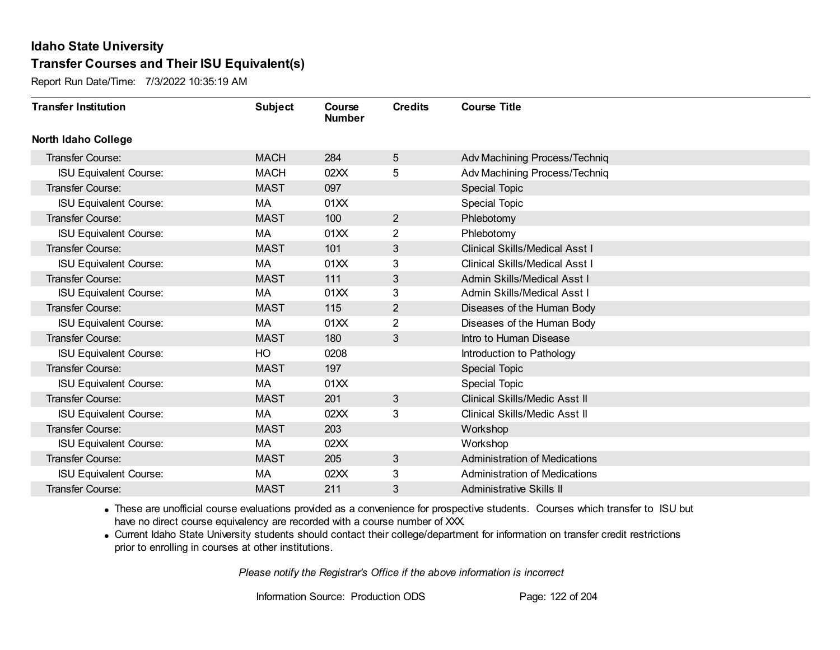Report Run Date/Time: 7/3/2022 10:35:19 AM

| <b>Transfer Institution</b>   | <b>Subject</b> | Course<br><b>Number</b> | <b>Credits</b>  | <b>Course Title</b>                   |
|-------------------------------|----------------|-------------------------|-----------------|---------------------------------------|
| <b>North Idaho College</b>    |                |                         |                 |                                       |
| Transfer Course:              | <b>MACH</b>    | 284                     | $5\phantom{.0}$ | Adv Machining Process/Techniq         |
| <b>ISU Equivalent Course:</b> | <b>MACH</b>    | 02XX                    | 5               | Adv Machining Process/Techniq         |
| Transfer Course:              | <b>MAST</b>    | 097                     |                 | <b>Special Topic</b>                  |
| <b>ISU Equivalent Course:</b> | МA             | 01XX                    |                 | Special Topic                         |
| <b>Transfer Course:</b>       | <b>MAST</b>    | 100                     | $\overline{2}$  | Phlebotomy                            |
| <b>ISU Equivalent Course:</b> | MA             | 01XX                    | 2               | Phlebotomy                            |
| <b>Transfer Course:</b>       | <b>MAST</b>    | 101                     | 3               | <b>Clinical Skills/Medical Asst I</b> |
| <b>ISU Equivalent Course:</b> | МA             | 01XX                    | 3               | <b>Clinical Skills/Medical Asst I</b> |
| <b>Transfer Course:</b>       | <b>MAST</b>    | 111                     | 3               | <b>Admin Skills/Medical Asst I</b>    |
| <b>ISU Equivalent Course:</b> | MA             | 01XX                    | 3               | <b>Admin Skills/Medical Asst I</b>    |
| <b>Transfer Course:</b>       | <b>MAST</b>    | 115                     | $\overline{2}$  | Diseases of the Human Body            |
| <b>ISU Equivalent Course:</b> | MA             | 01XX                    | 2               | Diseases of the Human Body            |
| Transfer Course:              | <b>MAST</b>    | 180                     | 3               | Intro to Human Disease                |
| <b>ISU Equivalent Course:</b> | HO             | 0208                    |                 | Introduction to Pathology             |
| Transfer Course:              | <b>MAST</b>    | 197                     |                 | <b>Special Topic</b>                  |
| <b>ISU Equivalent Course:</b> | MA             | 01XX                    |                 | <b>Special Topic</b>                  |
| Transfer Course:              | <b>MAST</b>    | 201                     | 3               | Clinical Skills/Medic Asst II         |
| <b>ISU Equivalent Course:</b> | МA             | 02XX                    | 3               | <b>Clinical Skills/Medic Asst II</b>  |
| Transfer Course:              | <b>MAST</b>    | 203                     |                 | Workshop                              |
| <b>ISU Equivalent Course:</b> | MA             | 02XX                    |                 | Workshop                              |
| <b>Transfer Course:</b>       | <b>MAST</b>    | 205                     | 3               | <b>Administration of Medications</b>  |
| <b>ISU Equivalent Course:</b> | МA             | 02XX                    | 3               | <b>Administration of Medications</b>  |
| Transfer Course:              | <b>MAST</b>    | 211                     | 3               | Administrative Skills II              |

· These are unofficial course evaluations provided as a convenience for prospective students. Courses which transfer to ISU but have no direct course equivalency are recorded with a course number of XXX.

· Current Idaho State University students should contact their college/department for information on transfer credit restrictions prior to enrolling in courses at other institutions.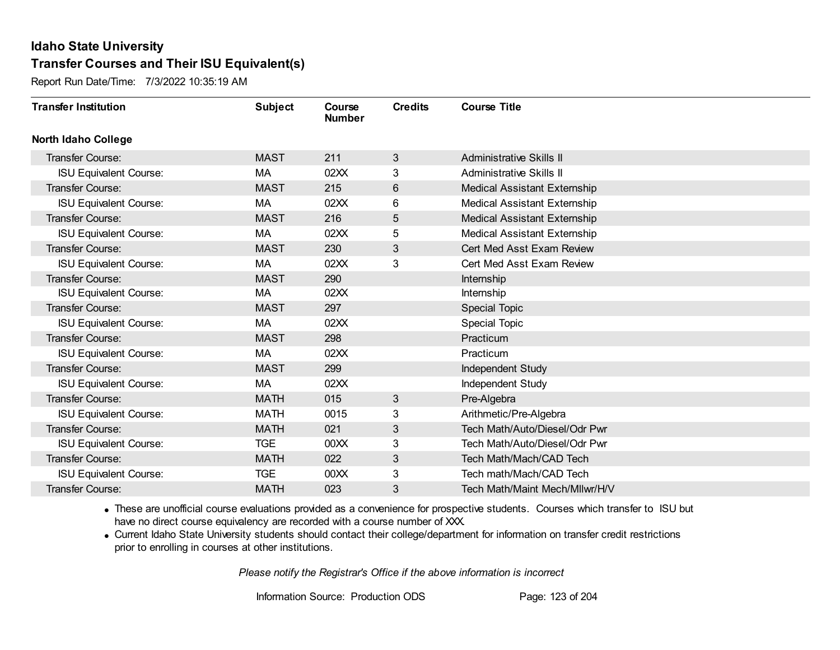Report Run Date/Time: 7/3/2022 10:35:19 AM

| <b>Transfer Institution</b>   | <b>Subject</b> | Course<br><b>Number</b> | <b>Credits</b> | <b>Course Title</b>                 |
|-------------------------------|----------------|-------------------------|----------------|-------------------------------------|
| <b>North Idaho College</b>    |                |                         |                |                                     |
| <b>Transfer Course:</b>       | <b>MAST</b>    | 211                     | 3              | <b>Administrative Skills II</b>     |
| <b>ISU Equivalent Course:</b> | MA             | 02XX                    | 3              | <b>Administrative Skills II</b>     |
| <b>Transfer Course:</b>       | <b>MAST</b>    | 215                     | 6              | <b>Medical Assistant Externship</b> |
| <b>ISU Equivalent Course:</b> | МA             | 02XX                    | 6              | <b>Medical Assistant Externship</b> |
| <b>Transfer Course:</b>       | <b>MAST</b>    | 216                     | 5              | <b>Medical Assistant Externship</b> |
| <b>ISU Equivalent Course:</b> | MA             | 02XX                    | 5              | <b>Medical Assistant Externship</b> |
| <b>Transfer Course:</b>       | <b>MAST</b>    | 230                     | 3              | Cert Med Asst Exam Review           |
| <b>ISU Equivalent Course:</b> | МA             | 02XX                    | 3              | Cert Med Asst Exam Review           |
| Transfer Course:              | <b>MAST</b>    | 290                     |                | Internship                          |
| <b>ISU Equivalent Course:</b> | МA             | 02XX                    |                | Internship                          |
| <b>Transfer Course:</b>       | <b>MAST</b>    | 297                     |                | <b>Special Topic</b>                |
| <b>ISU Equivalent Course:</b> | MA             | 02XX                    |                | <b>Special Topic</b>                |
| Transfer Course:              | <b>MAST</b>    | 298                     |                | Practicum                           |
| <b>ISU Equivalent Course:</b> | МA             | 02XX                    |                | Practicum                           |
| Transfer Course:              | <b>MAST</b>    | 299                     |                | Independent Study                   |
| <b>ISU Equivalent Course:</b> | MA             | 02XX                    |                | Independent Study                   |
| <b>Transfer Course:</b>       | <b>MATH</b>    | 015                     | 3              | Pre-Algebra                         |
| <b>ISU Equivalent Course:</b> | <b>MATH</b>    | 0015                    | 3              | Arithmetic/Pre-Algebra              |
| <b>Transfer Course:</b>       | <b>MATH</b>    | 021                     | 3              | Tech Math/Auto/Diesel/Odr Pwr       |
| <b>ISU Equivalent Course:</b> | <b>TGE</b>     | 00 <sub>XX</sub>        | 3              | Tech Math/Auto/Diesel/Odr Pwr       |
| <b>Transfer Course:</b>       | <b>MATH</b>    | 022                     | 3              | Tech Math/Mach/CAD Tech             |
| <b>ISU Equivalent Course:</b> | <b>TGE</b>     | 00 <sub>XX</sub>        | 3              | Tech math/Mach/CAD Tech             |
| Transfer Course:              | <b>MATH</b>    | 023                     | 3              | Tech Math/Maint Mech/Mllwr/H/V      |

· These are unofficial course evaluations provided as a convenience for prospective students. Courses which transfer to ISU but have no direct course equivalency are recorded with a course number of XXX.

· Current Idaho State University students should contact their college/department for information on transfer credit restrictions prior to enrolling in courses at other institutions.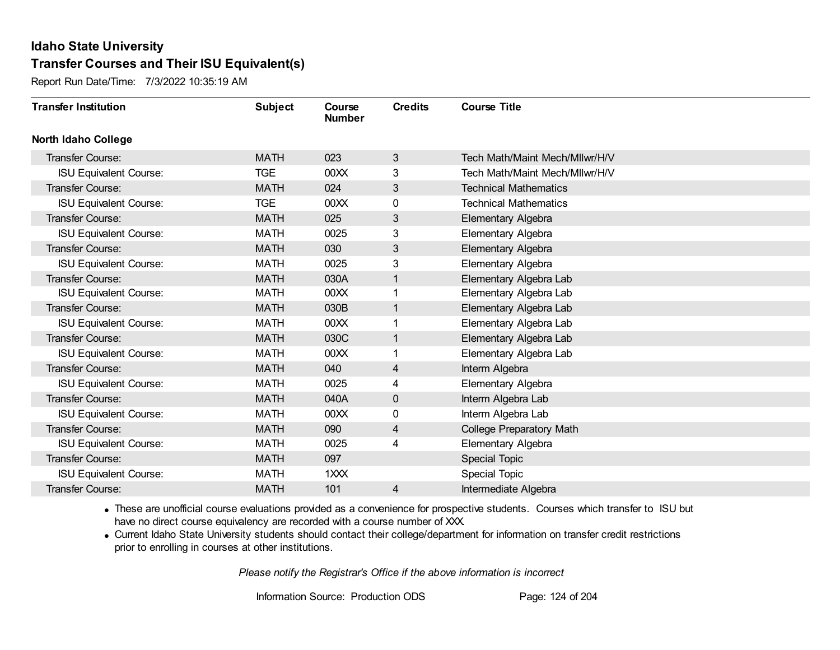Report Run Date/Time: 7/3/2022 10:35:19 AM

| <b>Transfer Institution</b>   | <b>Subject</b> | Course<br><b>Number</b> | <b>Credits</b> | <b>Course Title</b>            |
|-------------------------------|----------------|-------------------------|----------------|--------------------------------|
| <b>North Idaho College</b>    |                |                         |                |                                |
| Transfer Course:              | <b>MATH</b>    | 023                     | 3              | Tech Math/Maint Mech/Mllwr/H/V |
| <b>ISU Equivalent Course:</b> | <b>TGE</b>     | 00 <sub>XX</sub>        | 3              | Tech Math/Maint Mech/Mllwr/H/V |
| Transfer Course:              | <b>MATH</b>    | 024                     | 3              | <b>Technical Mathematics</b>   |
| <b>ISU Equivalent Course:</b> | <b>TGE</b>     | 00 <sub>XX</sub>        | 0              | <b>Technical Mathematics</b>   |
| Transfer Course:              | <b>MATH</b>    | 025                     | 3              | Elementary Algebra             |
| <b>ISU Equivalent Course:</b> | <b>MATH</b>    | 0025                    | 3              | Elementary Algebra             |
| <b>Transfer Course:</b>       | <b>MATH</b>    | 030                     | 3              | Elementary Algebra             |
| <b>ISU Equivalent Course:</b> | <b>MATH</b>    | 0025                    | 3              | Elementary Algebra             |
| Transfer Course:              | <b>MATH</b>    | 030A                    | 1              | Elementary Algebra Lab         |
| <b>ISU Equivalent Course:</b> | <b>MATH</b>    | 00 <sub>XX</sub>        | 1              | Elementary Algebra Lab         |
| Transfer Course:              | <b>MATH</b>    | 030B                    | $\mathbf 1$    | Elementary Algebra Lab         |
| <b>ISU Equivalent Course:</b> | <b>MATH</b>    | 00 <sub>XX</sub>        | 1              | Elementary Algebra Lab         |
| <b>Transfer Course:</b>       | <b>MATH</b>    | 030C                    | 1              | Elementary Algebra Lab         |
| <b>ISU Equivalent Course:</b> | <b>MATH</b>    | 00XX                    | 1              | Elementary Algebra Lab         |
| Transfer Course:              | <b>MATH</b>    | 040                     | 4              | Interm Algebra                 |
| <b>ISU Equivalent Course:</b> | <b>MATH</b>    | 0025                    | 4              | Elementary Algebra             |
| Transfer Course:              | <b>MATH</b>    | 040A                    | 0              | Interm Algebra Lab             |
| <b>ISU Equivalent Course:</b> | <b>MATH</b>    | 00 <sub>XX</sub>        | 0              | Interm Algebra Lab             |
| <b>Transfer Course:</b>       | <b>MATH</b>    | 090                     | 4              | College Preparatory Math       |
| <b>ISU Equivalent Course:</b> | <b>MATH</b>    | 0025                    | 4              | Elementary Algebra             |
| <b>Transfer Course:</b>       | <b>MATH</b>    | 097                     |                | <b>Special Topic</b>           |
| <b>ISU Equivalent Course:</b> | <b>MATH</b>    | 1XXX                    |                | Special Topic                  |
| Transfer Course:              | <b>MATH</b>    | 101                     | 4              | Intermediate Algebra           |

· These are unofficial course evaluations provided as a convenience for prospective students. Courses which transfer to ISU but have no direct course equivalency are recorded with a course number of XXX.

· Current Idaho State University students should contact their college/department for information on transfer credit restrictions prior to enrolling in courses at other institutions.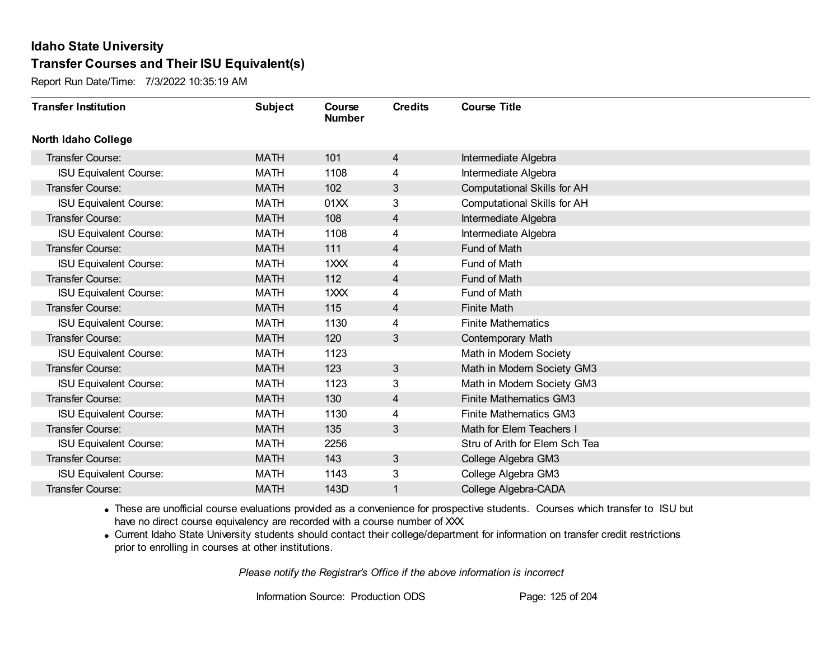Report Run Date/Time: 7/3/2022 10:35:19 AM

| <b>Transfer Institution</b>   | <b>Subject</b> | Course<br><b>Number</b> | <b>Credits</b> | <b>Course Title</b>                |
|-------------------------------|----------------|-------------------------|----------------|------------------------------------|
| <b>North Idaho College</b>    |                |                         |                |                                    |
| <b>Transfer Course:</b>       | <b>MATH</b>    | 101                     | 4              | Intermediate Algebra               |
| <b>ISU Equivalent Course:</b> | <b>MATH</b>    | 1108                    | 4              | Intermediate Algebra               |
| Transfer Course:              | <b>MATH</b>    | 102                     | 3              | <b>Computational Skills for AH</b> |
| <b>ISU Equivalent Course:</b> | <b>MATH</b>    | 01XX                    | 3              | <b>Computational Skills for AH</b> |
| <b>Transfer Course:</b>       | <b>MATH</b>    | 108                     | $\overline{4}$ | Intermediate Algebra               |
| <b>ISU Equivalent Course:</b> | <b>MATH</b>    | 1108                    | 4              | Intermediate Algebra               |
| Transfer Course:              | <b>MATH</b>    | 111                     | 4              | Fund of Math                       |
| <b>ISU Equivalent Course:</b> | <b>MATH</b>    | 1XXX                    | 4              | Fund of Math                       |
| Transfer Course:              | <b>MATH</b>    | 112                     | 4              | Fund of Math                       |
| <b>ISU Equivalent Course:</b> | <b>MATH</b>    | 1XXX                    | 4              | Fund of Math                       |
| Transfer Course:              | <b>MATH</b>    | 115                     | 4              | <b>Finite Math</b>                 |
| <b>ISU Equivalent Course:</b> | <b>MATH</b>    | 1130                    | 4              | <b>Finite Mathematics</b>          |
| Transfer Course:              | <b>MATH</b>    | 120                     | 3              | Contemporary Math                  |
| <b>ISU Equivalent Course:</b> | <b>MATH</b>    | 1123                    |                | Math in Modern Society             |
| Transfer Course:              | <b>MATH</b>    | 123                     | 3              | Math in Modern Society GM3         |
| <b>ISU Equivalent Course:</b> | <b>MATH</b>    | 1123                    | 3              | Math in Modern Society GM3         |
| <b>Transfer Course:</b>       | <b>MATH</b>    | 130                     | 4              | <b>Finite Mathematics GM3</b>      |
| <b>ISU Equivalent Course:</b> | <b>MATH</b>    | 1130                    | 4              | <b>Finite Mathematics GM3</b>      |
| Transfer Course:              | <b>MATH</b>    | 135                     | 3              | Math for Elem Teachers I           |
| <b>ISU Equivalent Course:</b> | <b>MATH</b>    | 2256                    |                | Stru of Arith for Elem Sch Tea     |
| <b>Transfer Course:</b>       | <b>MATH</b>    | 143                     | 3              | College Algebra GM3                |
| <b>ISU Equivalent Course:</b> | <b>MATH</b>    | 1143                    | 3              | College Algebra GM3                |
| Transfer Course:              | <b>MATH</b>    | 143D                    | 1              | College Algebra-CADA               |

· These are unofficial course evaluations provided as a convenience for prospective students. Courses which transfer to ISU but have no direct course equivalency are recorded with a course number of XXX.

· Current Idaho State University students should contact their college/department for information on transfer credit restrictions prior to enrolling in courses at other institutions.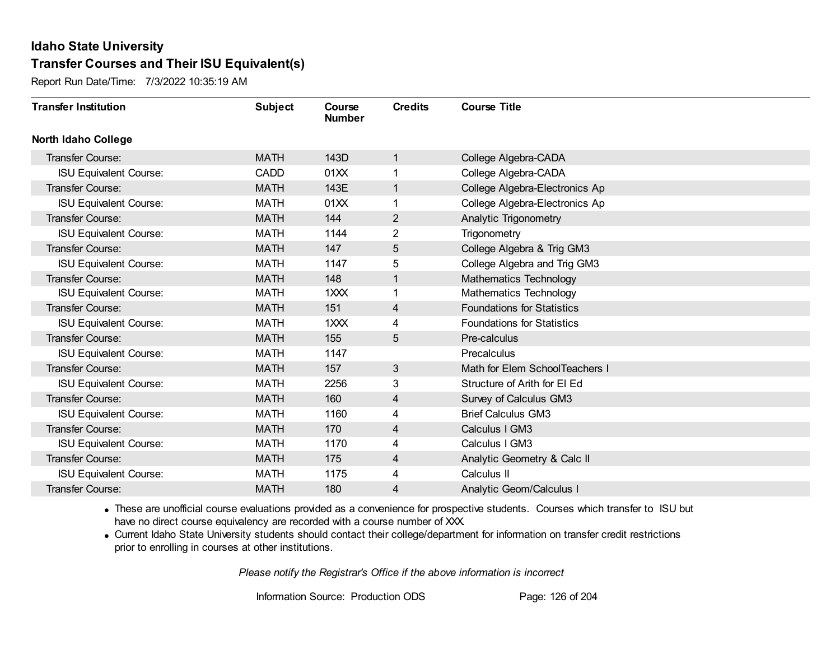Report Run Date/Time: 7/3/2022 10:35:19 AM

| <b>Transfer Institution</b>   | <b>Subject</b> | Course<br><b>Number</b> | <b>Credits</b>          | <b>Course Title</b>               |
|-------------------------------|----------------|-------------------------|-------------------------|-----------------------------------|
| <b>North Idaho College</b>    |                |                         |                         |                                   |
| <b>Transfer Course:</b>       | <b>MATH</b>    | 143D                    | 1                       | College Algebra-CADA              |
| <b>ISU Equivalent Course:</b> | <b>CADD</b>    | 01XX                    |                         | College Algebra-CADA              |
| <b>Transfer Course:</b>       | <b>MATH</b>    | 143E                    | 1                       | College Algebra-Electronics Ap    |
| <b>ISU Equivalent Course:</b> | <b>MATH</b>    | 01XX                    | 1                       | College Algebra-Electronics Ap    |
| <b>Transfer Course:</b>       | <b>MATH</b>    | 144                     | $\overline{2}$          | Analytic Trigonometry             |
| <b>ISU Equivalent Course:</b> | <b>MATH</b>    | 1144                    | 2                       | Trigonometry                      |
| <b>Transfer Course:</b>       | <b>MATH</b>    | 147                     | 5                       | College Algebra & Trig GM3        |
| <b>ISU Equivalent Course:</b> | MATH           | 1147                    | 5                       | College Algebra and Trig GM3      |
| <b>Transfer Course:</b>       | <b>MATH</b>    | 148                     | 1                       | <b>Mathematics Technology</b>     |
| <b>ISU Equivalent Course:</b> | <b>MATH</b>    | 1XXX                    | 1                       | <b>Mathematics Technology</b>     |
| <b>Transfer Course:</b>       | <b>MATH</b>    | 151                     | $\overline{4}$          | <b>Foundations for Statistics</b> |
| <b>ISU Equivalent Course:</b> | <b>MATH</b>    | $1$ $XX$                | 4                       | <b>Foundations for Statistics</b> |
| Transfer Course:              | <b>MATH</b>    | 155                     | 5                       | Pre-calculus                      |
| <b>ISU Equivalent Course:</b> | MATH           | 1147                    |                         | Precalculus                       |
| Transfer Course:              | <b>MATH</b>    | 157                     | 3                       | Math for Elem SchoolTeachers I    |
| <b>ISU Equivalent Course:</b> | <b>MATH</b>    | 2256                    | 3                       | Structure of Arith for EI Ed      |
| Transfer Course:              | <b>MATH</b>    | 160                     | 4                       | Survey of Calculus GM3            |
| <b>ISU Equivalent Course:</b> | <b>MATH</b>    | 1160                    | 4                       | <b>Brief Calculus GM3</b>         |
| <b>Transfer Course:</b>       | <b>MATH</b>    | 170                     | 4                       | Calculus I GM3                    |
| <b>ISU Equivalent Course:</b> | <b>MATH</b>    | 1170                    | 4                       | Calculus I GM3                    |
| Transfer Course:              | <b>MATH</b>    | 175                     | $\overline{\mathbf{4}}$ | Analytic Geometry & Calc II       |
| <b>ISU Equivalent Course:</b> | <b>MATH</b>    | 1175                    | 4                       | Calculus II                       |
| Transfer Course:              | <b>MATH</b>    | 180                     | 4                       | <b>Analytic Geom/Calculus I</b>   |

· These are unofficial course evaluations provided as a convenience for prospective students. Courses which transfer to ISU but have no direct course equivalency are recorded with a course number of XXX.

· Current Idaho State University students should contact their college/department for information on transfer credit restrictions prior to enrolling in courses at other institutions.

*Please notify the Registrar's Office if the above information is incorrect*

Information Source: Production ODS Page: 126 of 204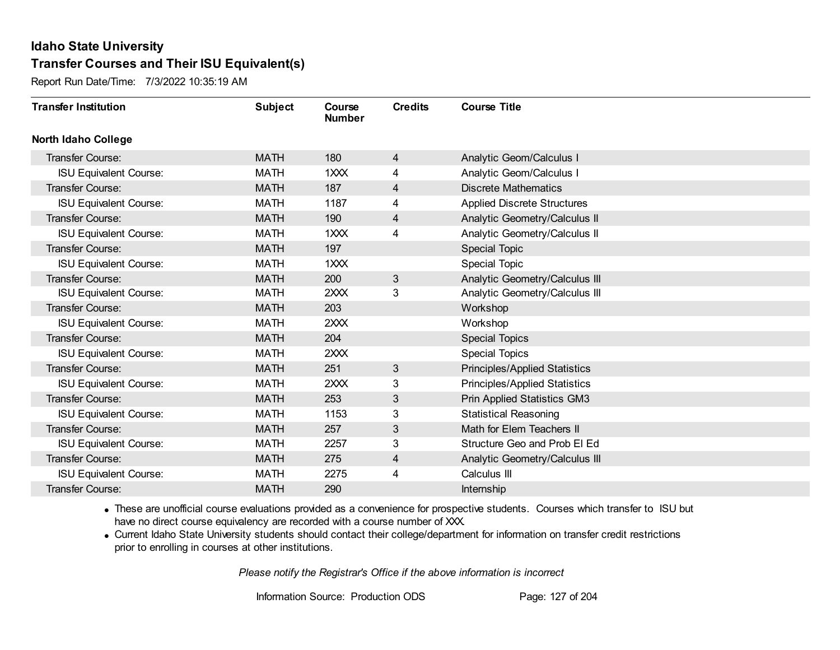Report Run Date/Time: 7/3/2022 10:35:19 AM

| <b>Transfer Institution</b>   | <b>Subject</b> | Course<br><b>Number</b> | <b>Credits</b> | <b>Course Title</b>                  |
|-------------------------------|----------------|-------------------------|----------------|--------------------------------------|
| <b>North Idaho College</b>    |                |                         |                |                                      |
| <b>Transfer Course:</b>       | <b>MATH</b>    | 180                     | $\overline{4}$ | <b>Analytic Geom/Calculus I</b>      |
| <b>ISU Equivalent Course:</b> | <b>MATH</b>    | 1XXX                    | 4              | <b>Analytic Geom/Calculus I</b>      |
| <b>Transfer Course:</b>       | <b>MATH</b>    | 187                     | 4              | <b>Discrete Mathematics</b>          |
| <b>ISU Equivalent Course:</b> | <b>MATH</b>    | 1187                    | 4              | <b>Applied Discrete Structures</b>   |
| <b>Transfer Course:</b>       | <b>MATH</b>    | 190                     | 4              | Analytic Geometry/Calculus II        |
| <b>ISU Equivalent Course:</b> | <b>MATH</b>    | 1XXX                    | 4              | Analytic Geometry/Calculus II        |
| Transfer Course:              | <b>MATH</b>    | 197                     |                | Special Topic                        |
| <b>ISU Equivalent Course:</b> | MATH           | 1XXX                    |                | <b>Special Topic</b>                 |
| Transfer Course:              | <b>MATH</b>    | 200                     | 3              | Analytic Geometry/Calculus III       |
| <b>ISU Equivalent Course:</b> | <b>MATH</b>    | 2XXX                    | 3              | Analytic Geometry/Calculus III       |
| <b>Transfer Course:</b>       | <b>MATH</b>    | 203                     |                | Workshop                             |
| <b>ISU Equivalent Course:</b> | <b>MATH</b>    | 2XXX                    |                | Workshop                             |
| <b>Transfer Course:</b>       | <b>MATH</b>    | 204                     |                | <b>Special Topics</b>                |
| <b>ISU Equivalent Course:</b> | <b>MATH</b>    | 2XXX                    |                | <b>Special Topics</b>                |
| Transfer Course:              | <b>MATH</b>    | 251                     | 3              | <b>Principles/Applied Statistics</b> |
| <b>ISU Equivalent Course:</b> | <b>MATH</b>    | 2XXX                    | 3              | <b>Principles/Applied Statistics</b> |
| Transfer Course:              | <b>MATH</b>    | 253                     | 3              | <b>Prin Applied Statistics GM3</b>   |
| <b>ISU Equivalent Course:</b> | <b>MATH</b>    | 1153                    | 3              | <b>Statistical Reasoning</b>         |
| Transfer Course:              | <b>MATH</b>    | 257                     | 3              | Math for Elem Teachers II            |
| <b>ISU Equivalent Course:</b> | <b>MATH</b>    | 2257                    | 3              | Structure Geo and Prob El Ed         |
| Transfer Course:              | <b>MATH</b>    | 275                     | 4              | Analytic Geometry/Calculus III       |
| <b>ISU Equivalent Course:</b> | <b>MATH</b>    | 2275                    | 4              | Calculus III                         |
| Transfer Course:              | <b>MATH</b>    | 290                     |                | <b>Internship</b>                    |

· These are unofficial course evaluations provided as a convenience for prospective students. Courses which transfer to ISU but have no direct course equivalency are recorded with a course number of XXX.

· Current Idaho State University students should contact their college/department for information on transfer credit restrictions prior to enrolling in courses at other institutions.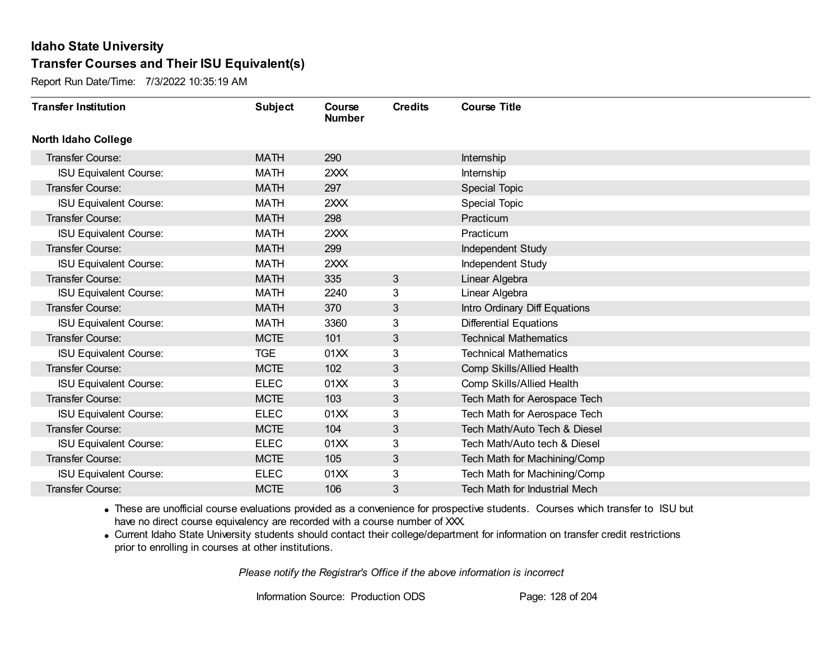Report Run Date/Time: 7/3/2022 10:35:19 AM

| <b>Transfer Institution</b>   | <b>Subject</b> | Course<br><b>Number</b> | <b>Credits</b> | <b>Course Title</b>                  |
|-------------------------------|----------------|-------------------------|----------------|--------------------------------------|
| <b>North Idaho College</b>    |                |                         |                |                                      |
| Transfer Course:              | <b>MATH</b>    | 290                     |                | Internship                           |
| <b>ISU Equivalent Course:</b> | <b>MATH</b>    | 2XXX                    |                | Internship                           |
| Transfer Course:              | <b>MATH</b>    | 297                     |                | <b>Special Topic</b>                 |
| <b>ISU Equivalent Course:</b> | <b>MATH</b>    | 2XXX                    |                | <b>Special Topic</b>                 |
| <b>Transfer Course:</b>       | <b>MATH</b>    | 298                     |                | Practicum                            |
| <b>ISU Equivalent Course:</b> | <b>MATH</b>    | 2XXX                    |                | Practicum                            |
| Transfer Course:              | <b>MATH</b>    | 299                     |                | Independent Study                    |
| <b>ISU Equivalent Course:</b> | MATH           | 2XXX                    |                | Independent Study                    |
| Transfer Course:              | <b>MATH</b>    | 335                     | 3              | Linear Algebra                       |
| <b>ISU Equivalent Course:</b> | <b>MATH</b>    | 2240                    | 3              | Linear Algebra                       |
| <b>Transfer Course:</b>       | <b>MATH</b>    | 370                     | 3              | Intro Ordinary Diff Equations        |
| <b>ISU Equivalent Course:</b> | <b>MATH</b>    | 3360                    | 3              | <b>Differential Equations</b>        |
| Transfer Course:              | <b>MCTE</b>    | 101                     | 3              | <b>Technical Mathematics</b>         |
| <b>ISU Equivalent Course:</b> | <b>TGE</b>     | 01XX                    | 3              | <b>Technical Mathematics</b>         |
| Transfer Course:              | <b>MCTE</b>    | 102                     | 3              | Comp Skills/Allied Health            |
| <b>ISU Equivalent Course:</b> | <b>ELEC</b>    | 01XX                    | 3              | Comp Skills/Allied Health            |
| Transfer Course:              | <b>MCTE</b>    | 103                     | 3              | Tech Math for Aerospace Tech         |
| <b>ISU Equivalent Course:</b> | <b>ELEC</b>    | 01XX                    | 3              | Tech Math for Aerospace Tech         |
| <b>Transfer Course:</b>       | <b>MCTE</b>    | 104                     | 3              | Tech Math/Auto Tech & Diesel         |
| <b>ISU Equivalent Course:</b> | <b>ELEC</b>    | 01XX                    | 3              | Tech Math/Auto tech & Diesel         |
| Transfer Course:              | <b>MCTE</b>    | 105                     | 3              | Tech Math for Machining/Comp         |
| <b>ISU Equivalent Course:</b> | <b>ELEC</b>    | 01XX                    | 3              | Tech Math for Machining/Comp         |
| Transfer Course:              | <b>MCTE</b>    | 106                     | 3              | <b>Tech Math for Industrial Mech</b> |

· These are unofficial course evaluations provided as a convenience for prospective students. Courses which transfer to ISU but have no direct course equivalency are recorded with a course number of XXX.

· Current Idaho State University students should contact their college/department for information on transfer credit restrictions prior to enrolling in courses at other institutions.

*Please notify the Registrar's Office if the above information is incorrect*

Information Source: Production ODS Page: 128 of 204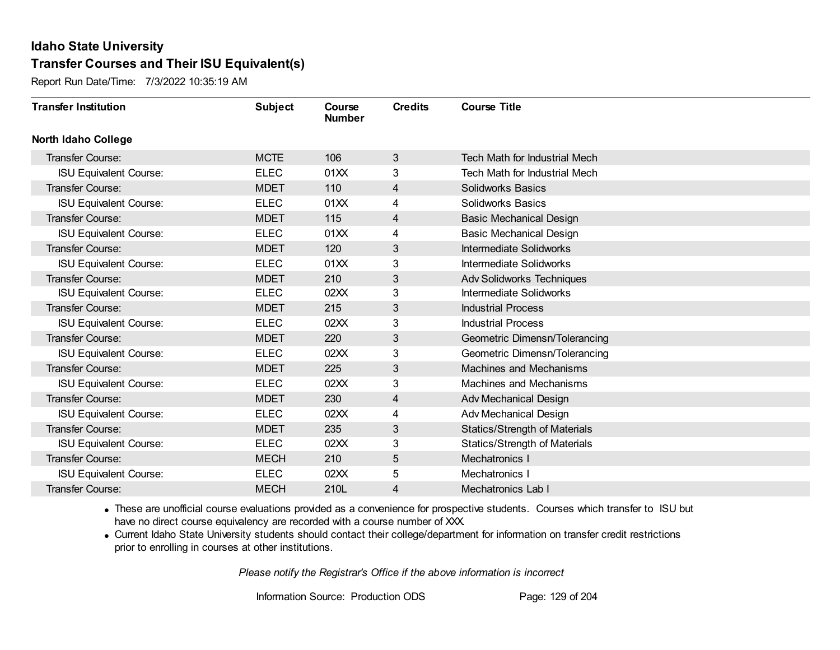Report Run Date/Time: 7/3/2022 10:35:19 AM

| <b>Transfer Institution</b>   | <b>Subject</b> | Course<br><b>Number</b> | <b>Credits</b> | <b>Course Title</b>                  |
|-------------------------------|----------------|-------------------------|----------------|--------------------------------------|
| <b>North Idaho College</b>    |                |                         |                |                                      |
| <b>Transfer Course:</b>       | <b>MCTE</b>    | 106                     | 3              | Tech Math for Industrial Mech        |
| <b>ISU Equivalent Course:</b> | <b>ELEC</b>    | 01XX                    | 3              | <b>Tech Math for Industrial Mech</b> |
| Transfer Course:              | <b>MDET</b>    | 110                     | 4              | <b>Solidworks Basics</b>             |
| <b>ISU Equivalent Course:</b> | <b>ELEC</b>    | 01XX                    | 4              | Solidworks Basics                    |
| <b>Transfer Course:</b>       | <b>MDET</b>    | 115                     | 4              | <b>Basic Mechanical Design</b>       |
| <b>ISU Equivalent Course:</b> | <b>ELEC</b>    | 01XX                    | 4              | <b>Basic Mechanical Design</b>       |
| Transfer Course:              | <b>MDET</b>    | 120                     | 3              | Intermediate Solidworks              |
| <b>ISU Equivalent Course:</b> | <b>ELEC</b>    | 01XX                    | 3              | Intermediate Solidworks              |
| Transfer Course:              | <b>MDET</b>    | 210                     | 3              | <b>Adv Solidworks Techniques</b>     |
| <b>ISU Equivalent Course:</b> | <b>ELEC</b>    | 02XX                    | 3              | Intermediate Solidworks              |
| Transfer Course:              | <b>MDET</b>    | 215                     | 3              | <b>Industrial Process</b>            |
| <b>ISU Equivalent Course:</b> | <b>ELEC</b>    | 02XX                    | 3              | <b>Industrial Process</b>            |
| Transfer Course:              | <b>MDET</b>    | 220                     | 3              | Geometric Dimensn/Tolerancing        |
| <b>ISU Equivalent Course:</b> | <b>ELEC</b>    | 02XX                    | 3              | Geometric Dimensn/Tolerancing        |
| Transfer Course:              | <b>MDET</b>    | 225                     | 3              | <b>Machines and Mechanisms</b>       |
| <b>ISU Equivalent Course:</b> | <b>ELEC</b>    | 02XX                    | 3              | Machines and Mechanisms              |
| Transfer Course:              | <b>MDET</b>    | 230                     | $\overline{4}$ | <b>Adv Mechanical Design</b>         |
| <b>ISU Equivalent Course:</b> | <b>ELEC</b>    | 02XX                    | 4              | Adv Mechanical Design                |
| Transfer Course:              | <b>MDET</b>    | 235                     | 3              | <b>Statics/Strength of Materials</b> |
| <b>ISU Equivalent Course:</b> | <b>ELEC</b>    | 02XX                    | 3              | <b>Statics/Strength of Materials</b> |
| <b>Transfer Course:</b>       | <b>MECH</b>    | 210                     | 5              | Mechatronics I                       |
| <b>ISU Equivalent Course:</b> | <b>ELEC</b>    | 02XX                    | 5              | Mechatronics I                       |
| Transfer Course:              | <b>MECH</b>    | 210L                    | 4              | Mechatronics Lab I                   |

· These are unofficial course evaluations provided as a convenience for prospective students. Courses which transfer to ISU but have no direct course equivalency are recorded with a course number of XXX.

· Current Idaho State University students should contact their college/department for information on transfer credit restrictions prior to enrolling in courses at other institutions.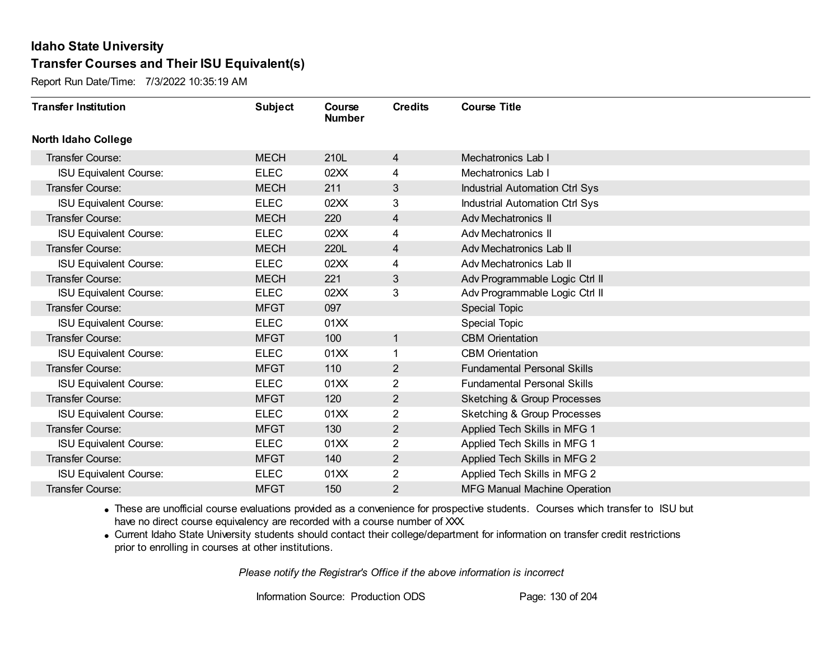Report Run Date/Time: 7/3/2022 10:35:19 AM

| <b>Transfer Institution</b>   | <b>Subject</b> | Course<br><b>Number</b> | <b>Credits</b> | <b>Course Title</b>                    |
|-------------------------------|----------------|-------------------------|----------------|----------------------------------------|
| North Idaho College           |                |                         |                |                                        |
| <b>Transfer Course:</b>       | <b>MECH</b>    | 210L                    | $\overline{4}$ | Mechatronics Lab I                     |
| <b>ISU Equivalent Course:</b> | <b>ELEC</b>    | 02XX                    | 4              | Mechatronics Lab I                     |
| Transfer Course:              | <b>MECH</b>    | 211                     | 3              | Industrial Automation Ctrl Sys         |
| <b>ISU Equivalent Course:</b> | <b>ELEC</b>    | 02XX                    | 3              | <b>Industrial Automation Ctrl Sys</b>  |
| <b>Transfer Course:</b>       | <b>MECH</b>    | 220                     | $\overline{4}$ | <b>Adv Mechatronics II</b>             |
| <b>ISU Equivalent Course:</b> | <b>ELEC</b>    | 02XX                    | 4              | Adv Mechatronics II                    |
| <b>Transfer Course:</b>       | <b>MECH</b>    | 220L                    | 4              | Adv Mechatronics Lab II                |
| <b>ISU Equivalent Course:</b> | <b>ELEC</b>    | 02XX                    | 4              | Adv Mechatronics Lab II                |
| Transfer Course:              | <b>MECH</b>    | 221                     | 3              | Adv Programmable Logic Ctrl II         |
| <b>ISU Equivalent Course:</b> | <b>ELEC</b>    | 02XX                    | 3              | Adv Programmable Logic Ctrl II         |
| Transfer Course:              | <b>MFGT</b>    | 097                     |                | Special Topic                          |
| <b>ISU Equivalent Course:</b> | <b>ELEC</b>    | 01XX                    |                | Special Topic                          |
| Transfer Course:              | <b>MFGT</b>    | 100                     | 1              | <b>CBM</b> Orientation                 |
| <b>ISU Equivalent Course:</b> | <b>ELEC</b>    | 01XX                    |                | <b>CBM</b> Orientation                 |
| Transfer Course:              | <b>MFGT</b>    | 110                     | $\overline{2}$ | <b>Fundamental Personal Skills</b>     |
| <b>ISU Equivalent Course:</b> | <b>ELEC</b>    | 01XX                    | $\overline{2}$ | <b>Fundamental Personal Skills</b>     |
| <b>Transfer Course:</b>       | <b>MFGT</b>    | 120                     | $\overline{2}$ | <b>Sketching &amp; Group Processes</b> |
| <b>ISU Equivalent Course:</b> | <b>ELEC</b>    | 01XX                    | 2              | <b>Sketching &amp; Group Processes</b> |
| <b>Transfer Course:</b>       | <b>MFGT</b>    | 130                     | $\overline{2}$ | Applied Tech Skills in MFG 1           |
| <b>ISU Equivalent Course:</b> | <b>ELEC</b>    | 01XX                    | $\overline{2}$ | Applied Tech Skills in MFG 1           |
| Transfer Course:              | <b>MFGT</b>    | 140                     | $\overline{2}$ | Applied Tech Skills in MFG 2           |
| <b>ISU Equivalent Course:</b> | <b>ELEC</b>    | 01XX                    | 2              | Applied Tech Skills in MFG 2           |
| <b>Transfer Course:</b>       | <b>MFGT</b>    | 150                     | $\overline{2}$ | <b>MFG Manual Machine Operation</b>    |

· These are unofficial course evaluations provided as a convenience for prospective students. Courses which transfer to ISU but have no direct course equivalency are recorded with a course number of XXX.

· Current Idaho State University students should contact their college/department for information on transfer credit restrictions prior to enrolling in courses at other institutions.

*Please notify the Registrar's Office if the above information is incorrect*

Information Source: Production ODS Page: 130 of 204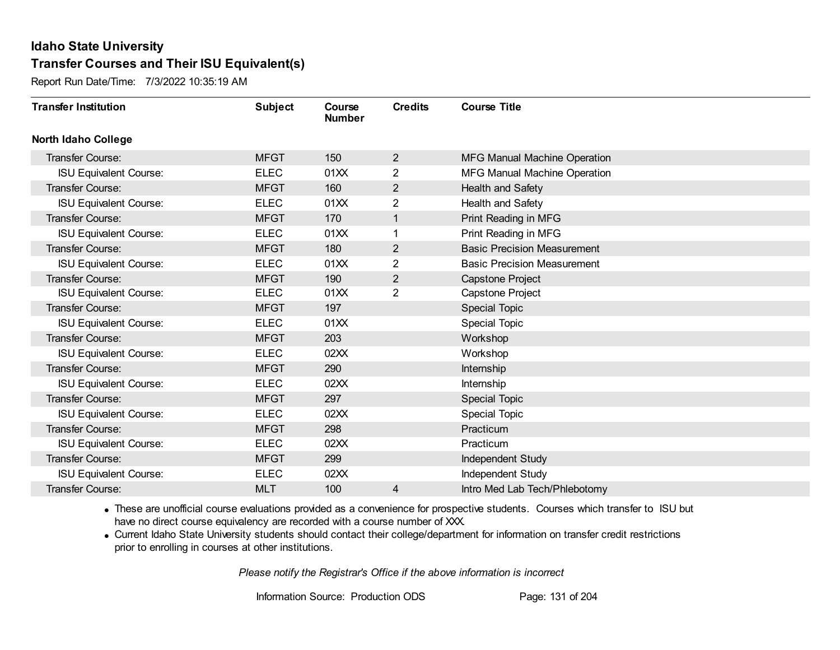Report Run Date/Time: 7/3/2022 10:35:19 AM

| <b>Transfer Institution</b>   | <b>Subject</b> | Course<br><b>Number</b> | <b>Credits</b> | <b>Course Title</b>                 |
|-------------------------------|----------------|-------------------------|----------------|-------------------------------------|
| <b>North Idaho College</b>    |                |                         |                |                                     |
| Transfer Course:              | <b>MFGT</b>    | 150                     | $\overline{2}$ | <b>MFG Manual Machine Operation</b> |
| <b>ISU Equivalent Course:</b> | <b>ELEC</b>    | 01XX                    | $\overline{2}$ | <b>MFG Manual Machine Operation</b> |
| Transfer Course:              | <b>MFGT</b>    | 160                     | $\overline{2}$ | Health and Safety                   |
| <b>ISU Equivalent Course:</b> | <b>ELEC</b>    | 01XX                    | 2              | Health and Safety                   |
| <b>Transfer Course:</b>       | <b>MFGT</b>    | 170                     | 1              | Print Reading in MFG                |
| <b>ISU Equivalent Course:</b> | <b>ELEC</b>    | 01XX                    |                | Print Reading in MFG                |
| <b>Transfer Course:</b>       | <b>MFGT</b>    | 180                     | $\overline{2}$ | <b>Basic Precision Measurement</b>  |
| <b>ISU Equivalent Course:</b> | <b>ELEC</b>    | 01XX                    | 2              | <b>Basic Precision Measurement</b>  |
| <b>Transfer Course:</b>       | <b>MFGT</b>    | 190                     | $\overline{2}$ | <b>Capstone Project</b>             |
| <b>ISU Equivalent Course:</b> | <b>ELEC</b>    | 01XX                    | 2              | Capstone Project                    |
| <b>Transfer Course:</b>       | <b>MFGT</b>    | 197                     |                | <b>Special Topic</b>                |
| <b>ISU Equivalent Course:</b> | <b>ELEC</b>    | 01XX                    |                | <b>Special Topic</b>                |
| Transfer Course:              | <b>MFGT</b>    | 203                     |                | Workshop                            |
| <b>ISU Equivalent Course:</b> | <b>ELEC</b>    | 02XX                    |                | Workshop                            |
| Transfer Course:              | <b>MFGT</b>    | 290                     |                | Internship                          |
| <b>ISU Equivalent Course:</b> | <b>ELEC</b>    | 02XX                    |                | Internship                          |
| Transfer Course:              | <b>MFGT</b>    | 297                     |                | <b>Special Topic</b>                |
| <b>ISU Equivalent Course:</b> | <b>ELEC</b>    | 02XX                    |                | <b>Special Topic</b>                |
| Transfer Course:              | <b>MFGT</b>    | 298                     |                | Practicum                           |
| <b>ISU Equivalent Course:</b> | <b>ELEC</b>    | 02XX                    |                | Practicum                           |
| Transfer Course:              | <b>MFGT</b>    | 299                     |                | Independent Study                   |
| <b>ISU Equivalent Course:</b> | <b>ELEC</b>    | 02XX                    |                | Independent Study                   |
| Transfer Course:              | <b>MLT</b>     | 100                     | 4              | Intro Med Lab Tech/Phlebotomy       |

· These are unofficial course evaluations provided as a convenience for prospective students. Courses which transfer to ISU but have no direct course equivalency are recorded with a course number of XXX.

· Current Idaho State University students should contact their college/department for information on transfer credit restrictions prior to enrolling in courses at other institutions.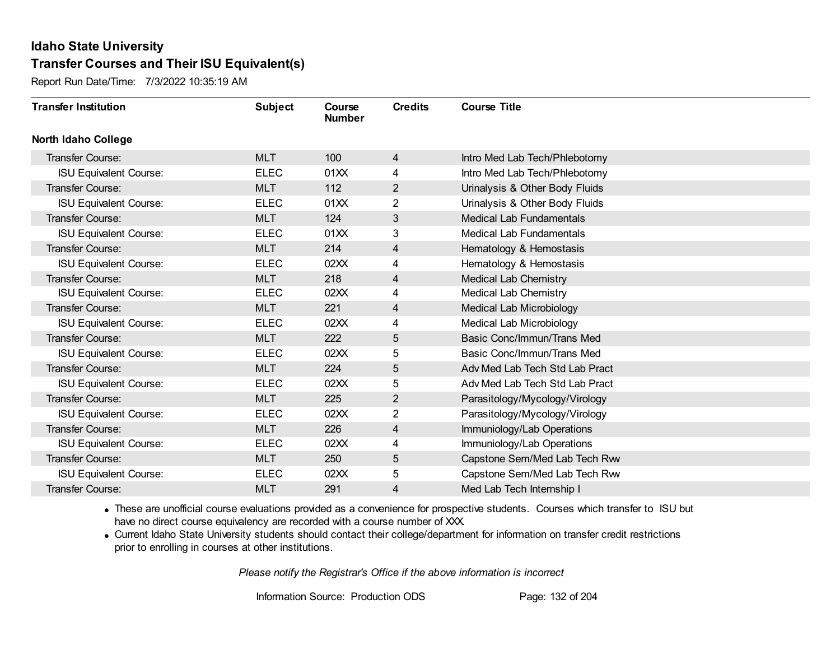Report Run Date/Time: 7/3/2022 10:35:19 AM

| <b>Transfer Institution</b>   | <b>Subject</b> | Course<br><b>Number</b> | <b>Credits</b> | <b>Course Title</b>             |
|-------------------------------|----------------|-------------------------|----------------|---------------------------------|
| <b>North Idaho College</b>    |                |                         |                |                                 |
| Transfer Course:              | <b>MLT</b>     | 100                     | 4              | Intro Med Lab Tech/Phlebotomy   |
| <b>ISU Equivalent Course:</b> | <b>ELEC</b>    | 01XX                    | 4              | Intro Med Lab Tech/Phlebotomy   |
| Transfer Course:              | <b>MLT</b>     | 112                     | $\overline{2}$ | Urinalysis & Other Body Fluids  |
| <b>ISU Equivalent Course:</b> | <b>ELEC</b>    | 01XX                    | $\overline{2}$ | Urinalysis & Other Body Fluids  |
| <b>Transfer Course:</b>       | <b>MLT</b>     | 124                     | 3              | <b>Medical Lab Fundamentals</b> |
| <b>ISU Equivalent Course:</b> | <b>ELEC</b>    | 01XX                    | 3              | Medical Lab Fundamentals        |
| <b>Transfer Course:</b>       | <b>MLT</b>     | 214                     | 4              | Hematology & Hemostasis         |
| <b>ISU Equivalent Course:</b> | <b>ELEC</b>    | 02XX                    | 4              | Hematology & Hemostasis         |
| Transfer Course:              | <b>MLT</b>     | 218                     | 4              | <b>Medical Lab Chemistry</b>    |
| <b>ISU Equivalent Course:</b> | <b>ELEC</b>    | 02XX                    | 4              | Medical Lab Chemistry           |
| <b>Transfer Course:</b>       | <b>MLT</b>     | 221                     | 4              | Medical Lab Microbiology        |
| <b>ISU Equivalent Course:</b> | <b>ELEC</b>    | 02XX                    | 4              | Medical Lab Microbiology        |
| <b>Transfer Course:</b>       | <b>MLT</b>     | 222                     | 5              | Basic Conc/Immun/Trans Med      |
| <b>ISU Equivalent Course:</b> | <b>ELEC</b>    | 02XX                    | 5              | Basic Conc/Immun/Trans Med      |
| Transfer Course:              | <b>MLT</b>     | 224                     | 5              | Adv Med Lab Tech Std Lab Pract  |
| <b>ISU Equivalent Course:</b> | <b>ELEC</b>    | 02XX                    | 5              | Adv Med Lab Tech Std Lab Pract  |
| Transfer Course:              | <b>MLT</b>     | 225                     | $\overline{2}$ | Parasitology/Mycology/Virology  |
| <b>ISU Equivalent Course:</b> | <b>ELEC</b>    | 02XX                    | 2              | Parasitology/Mycology/Virology  |
| <b>Transfer Course:</b>       | <b>MLT</b>     | 226                     | 4              | Immuniology/Lab Operations      |
| <b>ISU Equivalent Course:</b> | <b>ELEC</b>    | 02XX                    | 4              | Immuniology/Lab Operations      |
| <b>Transfer Course:</b>       | <b>MLT</b>     | 250                     | 5              | Capstone Sem/Med Lab Tech Rww   |
| <b>ISU Equivalent Course:</b> | <b>ELEC</b>    | 02XX                    | 5              | Capstone Sem/Med Lab Tech Rww   |
| Transfer Course:              | <b>MLT</b>     | 291                     | 4              | Med Lab Tech Internship I       |

· These are unofficial course evaluations provided as a convenience for prospective students. Courses which transfer to ISU but have no direct course equivalency are recorded with a course number of XXX.

· Current Idaho State University students should contact their college/department for information on transfer credit restrictions prior to enrolling in courses at other institutions.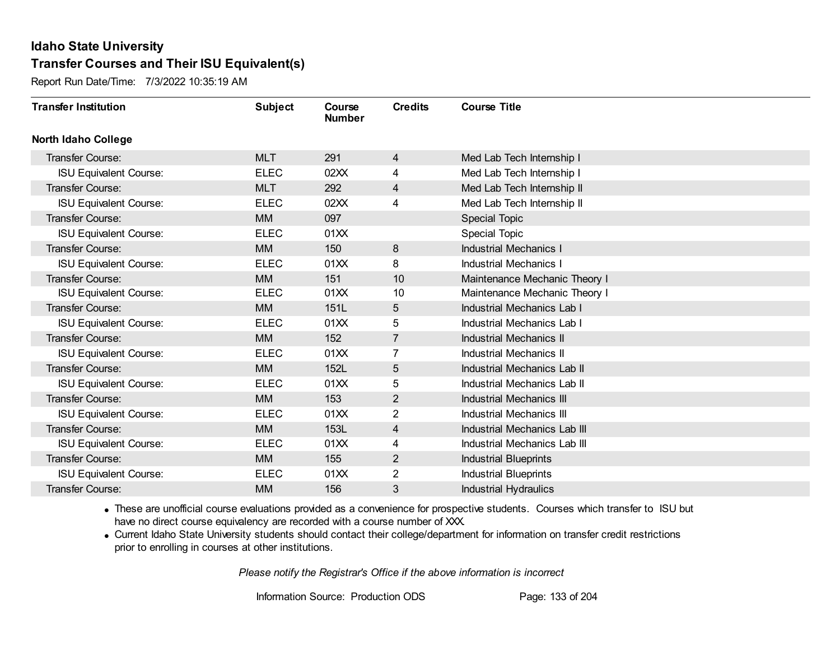Report Run Date/Time: 7/3/2022 10:35:19 AM

| <b>Transfer Institution</b>   | <b>Subject</b> | Course<br><b>Number</b> | <b>Credits</b> | <b>Course Title</b>             |
|-------------------------------|----------------|-------------------------|----------------|---------------------------------|
| <b>North Idaho College</b>    |                |                         |                |                                 |
| Transfer Course:              | <b>MLT</b>     | 291                     | $\overline{4}$ | Med Lab Tech Internship I       |
| <b>ISU Equivalent Course:</b> | <b>ELEC</b>    | 02XX                    | 4              | Med Lab Tech Internship I       |
| Transfer Course:              | <b>MLT</b>     | 292                     | 4              | Med Lab Tech Internship II      |
| <b>ISU Equivalent Course:</b> | <b>ELEC</b>    | 02XX                    | 4              | Med Lab Tech Internship II      |
| <b>Transfer Course:</b>       | <b>MM</b>      | 097                     |                | <b>Special Topic</b>            |
| <b>ISU Equivalent Course:</b> | <b>ELEC</b>    | 01XX                    |                | Special Topic                   |
| <b>Transfer Course:</b>       | <b>MM</b>      | 150                     | 8              | <b>Industrial Mechanics I</b>   |
| <b>ISU Equivalent Course:</b> | <b>ELEC</b>    | 01XX                    | 8              | <b>Industrial Mechanics I</b>   |
| Transfer Course:              | <b>MM</b>      | 151                     | 10             | Maintenance Mechanic Theory I   |
| <b>ISU Equivalent Course:</b> | <b>ELEC</b>    | 01XX                    | 10             | Maintenance Mechanic Theory I   |
| <b>Transfer Course:</b>       | <b>MM</b>      | 151L                    | 5              | Industrial Mechanics Lab I      |
| <b>ISU Equivalent Course:</b> | <b>ELEC</b>    | 01XX                    | 5              | Industrial Mechanics Lab I      |
| Transfer Course:              | <b>MM</b>      | 152                     | $\overline{7}$ | <b>Industrial Mechanics II</b>  |
| <b>ISU Equivalent Course:</b> | <b>ELEC</b>    | 01XX                    | 7              | <b>Industrial Mechanics II</b>  |
| Transfer Course:              | <b>MM</b>      | 152L                    | 5              | Industrial Mechanics Lab II     |
| <b>ISU Equivalent Course:</b> | <b>ELEC</b>    | 01XX                    | 5              | Industrial Mechanics Lab II     |
| Transfer Course:              | <b>MM</b>      | 153                     | $\overline{2}$ | <b>Industrial Mechanics III</b> |
| <b>ISU Equivalent Course:</b> | <b>ELEC</b>    | 01XX                    | 2              | <b>Industrial Mechanics III</b> |
| Transfer Course:              | <b>MM</b>      | 153L                    | $\overline{4}$ | Industrial Mechanics Lab III    |
| <b>ISU Equivalent Course:</b> | <b>ELEC</b>    | 01XX                    | 4              | Industrial Mechanics Lab III    |
| Transfer Course:              | <b>MM</b>      | 155                     | $\overline{2}$ | <b>Industrial Blueprints</b>    |
| <b>ISU Equivalent Course:</b> | <b>ELEC</b>    | 01XX                    | $\overline{2}$ | <b>Industrial Blueprints</b>    |
| Transfer Course:              | <b>MM</b>      | 156                     | 3              | <b>Industrial Hydraulics</b>    |

· These are unofficial course evaluations provided as a convenience for prospective students. Courses which transfer to ISU but have no direct course equivalency are recorded with a course number of XXX.

· Current Idaho State University students should contact their college/department for information on transfer credit restrictions prior to enrolling in courses at other institutions.

*Please notify the Registrar's Office if the above information is incorrect*

Information Source: Production ODS Page: 133 of 204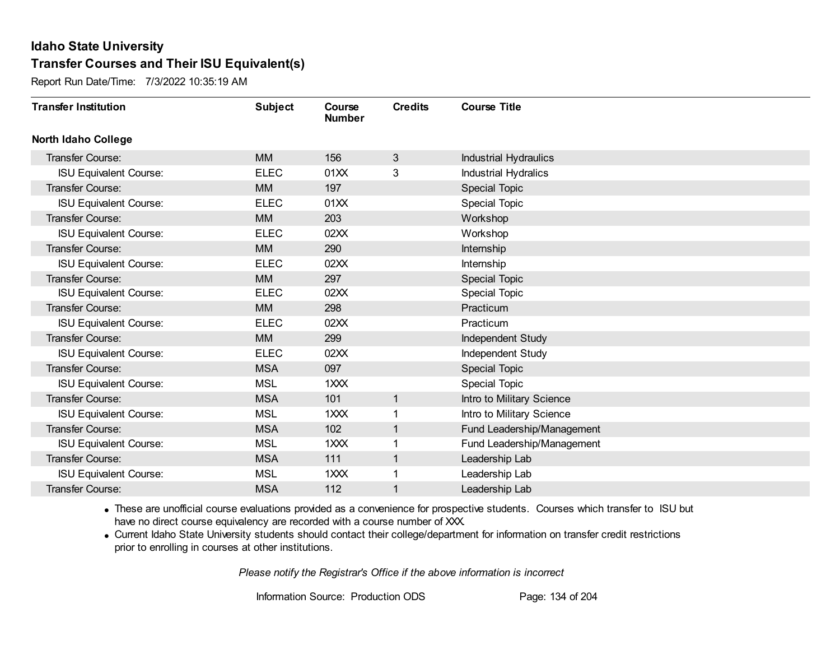Report Run Date/Time: 7/3/2022 10:35:19 AM

| <b>Transfer Institution</b>   | <b>Subject</b> | Course<br><b>Number</b> | <b>Credits</b> | <b>Course Title</b>         |
|-------------------------------|----------------|-------------------------|----------------|-----------------------------|
| <b>North Idaho College</b>    |                |                         |                |                             |
| Transfer Course:              | <b>MM</b>      | 156                     | $\mathbf{3}$   | Industrial Hydraulics       |
| <b>ISU Equivalent Course:</b> | <b>ELEC</b>    | 01XX                    | 3              | <b>Industrial Hydralics</b> |
| Transfer Course:              | <b>MM</b>      | 197                     |                | <b>Special Topic</b>        |
| <b>ISU Equivalent Course:</b> | <b>ELEC</b>    | 01XX                    |                | <b>Special Topic</b>        |
| Transfer Course:              | <b>MM</b>      | 203                     |                | Workshop                    |
| <b>ISU Equivalent Course:</b> | <b>ELEC</b>    | 02XX                    |                | Workshop                    |
| Transfer Course:              | <b>MM</b>      | 290                     |                | Internship                  |
| <b>ISU Equivalent Course:</b> | <b>ELEC</b>    | 02XX                    |                | Internship                  |
| <b>Transfer Course:</b>       | <b>MM</b>      | 297                     |                | Special Topic               |
| <b>ISU Equivalent Course:</b> | <b>ELEC</b>    | 02XX                    |                | <b>Special Topic</b>        |
| <b>Transfer Course:</b>       | <b>MM</b>      | 298                     |                | Practicum                   |
| <b>ISU Equivalent Course:</b> | <b>ELEC</b>    | 02XX                    |                | Practicum                   |
| Transfer Course:              | <b>MM</b>      | 299                     |                | Independent Study           |
| <b>ISU Equivalent Course:</b> | <b>ELEC</b>    | 02XX                    |                | Independent Study           |
| Transfer Course:              | <b>MSA</b>     | 097                     |                | <b>Special Topic</b>        |
| <b>ISU Equivalent Course:</b> | <b>MSL</b>     | 1XXX                    |                | Special Topic               |
| Transfer Course:              | <b>MSA</b>     | 101                     | 1              | Intro to Military Science   |
| <b>ISU Equivalent Course:</b> | <b>MSL</b>     | 1XXX                    |                | Intro to Military Science   |
| Transfer Course:              | <b>MSA</b>     | 102                     | 1              | Fund Leadership/Management  |
| <b>ISU Equivalent Course:</b> | <b>MSL</b>     | 1XXX                    |                | Fund Leadership/Management  |
| Transfer Course:              | <b>MSA</b>     | 111                     | 1              | Leadership Lab              |
| <b>ISU Equivalent Course:</b> | <b>MSL</b>     | 1XXX                    |                | Leadership Lab              |
| <b>Transfer Course:</b>       | <b>MSA</b>     | 112                     |                | Leadership Lab              |

· These are unofficial course evaluations provided as a convenience for prospective students. Courses which transfer to ISU but have no direct course equivalency are recorded with a course number of XXX.

· Current Idaho State University students should contact their college/department for information on transfer credit restrictions prior to enrolling in courses at other institutions.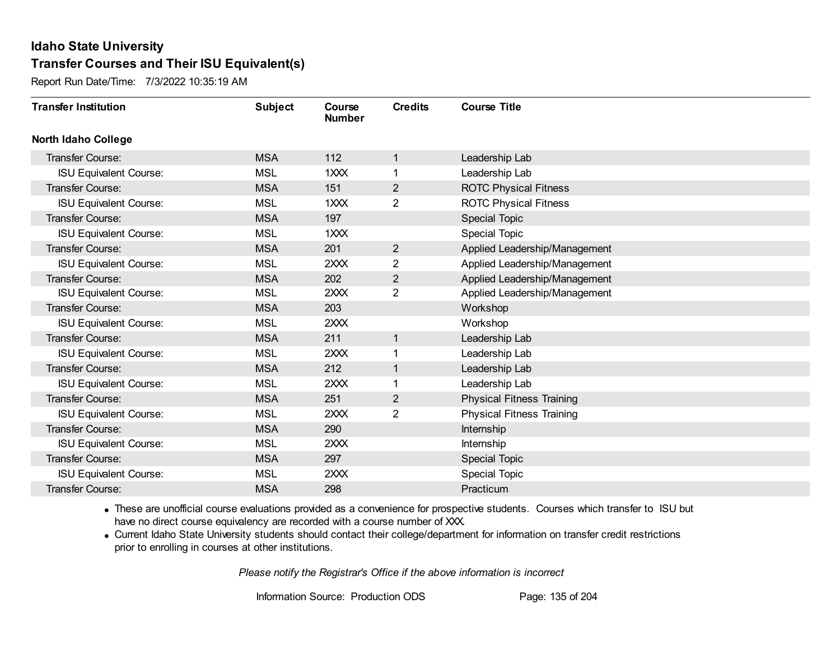Report Run Date/Time: 7/3/2022 10:35:19 AM

| <b>Transfer Institution</b>   | <b>Subject</b> | Course<br><b>Number</b> | <b>Credits</b> | <b>Course Title</b>              |
|-------------------------------|----------------|-------------------------|----------------|----------------------------------|
| <b>North Idaho College</b>    |                |                         |                |                                  |
| <b>Transfer Course:</b>       | <b>MSA</b>     | 112                     | 1              | Leadership Lab                   |
| <b>ISU Equivalent Course:</b> | <b>MSL</b>     | 1XXX                    |                | Leadership Lab                   |
| Transfer Course:              | <b>MSA</b>     | 151                     | $\overline{2}$ | <b>ROTC Physical Fitness</b>     |
| <b>ISU Equivalent Course:</b> | <b>MSL</b>     | 1XXX                    | $\overline{2}$ | <b>ROTC Physical Fitness</b>     |
| <b>Transfer Course:</b>       | <b>MSA</b>     | 197                     |                | Special Topic                    |
| <b>ISU Equivalent Course:</b> | <b>MSL</b>     | 1XXX                    |                | Special Topic                    |
| Transfer Course:              | <b>MSA</b>     | 201                     | $\overline{2}$ | Applied Leadership/Management    |
| <b>ISU Equivalent Course:</b> | <b>MSL</b>     | 2XXX                    | $\overline{2}$ | Applied Leadership/Management    |
| Transfer Course:              | <b>MSA</b>     | 202                     | $\overline{2}$ | Applied Leadership/Management    |
| <b>ISU Equivalent Course:</b> | <b>MSL</b>     | 2XXX                    | $\overline{2}$ | Applied Leadership/Management    |
| Transfer Course:              | <b>MSA</b>     | 203                     |                | Workshop                         |
| <b>ISU Equivalent Course:</b> | <b>MSL</b>     | 2XXX                    |                | Workshop                         |
| Transfer Course:              | <b>MSA</b>     | 211                     | 1              | Leadership Lab                   |
| <b>ISU Equivalent Course:</b> | <b>MSL</b>     | 2XXX                    | 1              | Leadership Lab                   |
| Transfer Course:              | <b>MSA</b>     | 212                     | 1              | Leadership Lab                   |
| <b>ISU Equivalent Course:</b> | <b>MSL</b>     | 2XXX                    | 1              | Leadership Lab                   |
| Transfer Course:              | <b>MSA</b>     | 251                     | 2              | <b>Physical Fitness Training</b> |
| <b>ISU Equivalent Course:</b> | <b>MSL</b>     | 2XXX                    | 2              | <b>Physical Fitness Training</b> |
| Transfer Course:              | <b>MSA</b>     | 290                     |                | Internship                       |
| <b>ISU Equivalent Course:</b> | <b>MSL</b>     | 2XXX                    |                | Internship                       |
| Transfer Course:              | <b>MSA</b>     | 297                     |                | Special Topic                    |
| <b>ISU Equivalent Course:</b> | <b>MSL</b>     | 2XXX                    |                | <b>Special Topic</b>             |
| Transfer Course:              | <b>MSA</b>     | 298                     |                | Practicum                        |

· These are unofficial course evaluations provided as a convenience for prospective students. Courses which transfer to ISU but have no direct course equivalency are recorded with a course number of XXX.

· Current Idaho State University students should contact their college/department for information on transfer credit restrictions prior to enrolling in courses at other institutions.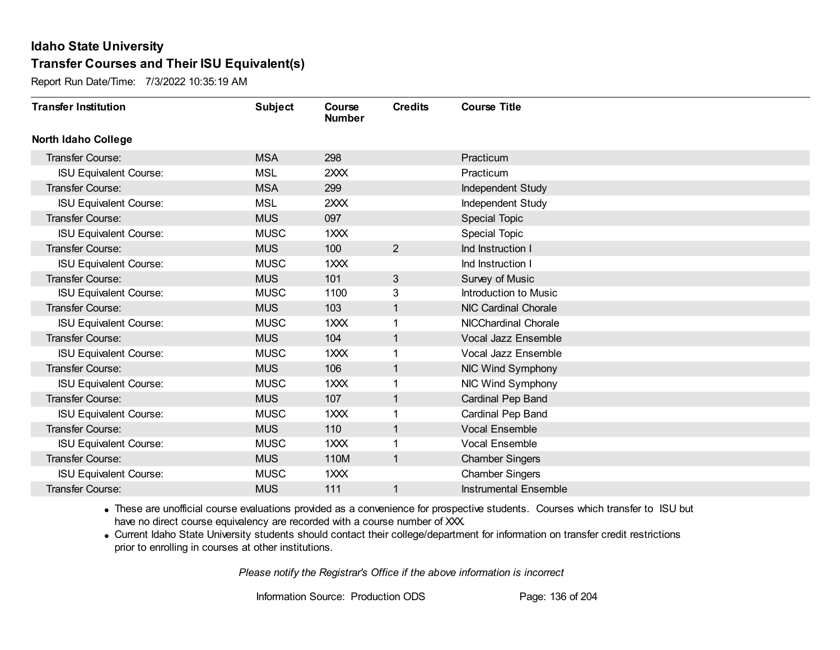Report Run Date/Time: 7/3/2022 10:35:19 AM

| <b>Transfer Institution</b>   | <b>Subject</b> | Course<br><b>Number</b> | <b>Credits</b> | <b>Course Title</b>          |
|-------------------------------|----------------|-------------------------|----------------|------------------------------|
| <b>North Idaho College</b>    |                |                         |                |                              |
| <b>Transfer Course:</b>       | <b>MSA</b>     | 298                     |                | Practicum                    |
| <b>ISU Equivalent Course:</b> | <b>MSL</b>     | 2XXX                    |                | Practicum                    |
| Transfer Course:              | <b>MSA</b>     | 299                     |                | Independent Study            |
| <b>ISU Equivalent Course:</b> | <b>MSL</b>     | 2XXX                    |                | Independent Study            |
| <b>Transfer Course:</b>       | <b>MUS</b>     | 097                     |                | Special Topic                |
| <b>ISU Equivalent Course:</b> | <b>MUSC</b>    | 1XXX                    |                | Special Topic                |
| Transfer Course:              | <b>MUS</b>     | 100                     | $\overline{2}$ | Ind Instruction I            |
| <b>ISU Equivalent Course:</b> | <b>MUSC</b>    | 1XXX                    |                | Ind Instruction I            |
| Transfer Course:              | <b>MUS</b>     | 101                     | 3              | Survey of Music              |
| <b>ISU Equivalent Course:</b> | <b>MUSC</b>    | 1100                    | 3              | Introduction to Music        |
| Transfer Course:              | <b>MUS</b>     | 103                     | $\mathbf{1}$   | NIC Cardinal Chorale         |
| <b>ISU Equivalent Course:</b> | <b>MUSC</b>    | 1XXX                    | 1              | NICChardinal Chorale         |
| Transfer Course:              | <b>MUS</b>     | 104                     | 1              | Vocal Jazz Ensemble          |
| <b>ISU Equivalent Course:</b> | <b>MUSC</b>    | 1XXX                    | 1              | Vocal Jazz Ensemble          |
| Transfer Course:              | <b>MUS</b>     | 106                     | $\mathbf{1}$   | NIC Wind Symphony            |
| <b>ISU Equivalent Course:</b> | <b>MUSC</b>    | 1XXX                    | 1              | NIC Wind Symphony            |
| Transfer Course:              | <b>MUS</b>     | 107                     | $\mathbf{1}$   | Cardinal Pep Band            |
| <b>ISU Equivalent Course:</b> | <b>MUSC</b>    | 1XXX                    | 1              | Cardinal Pep Band            |
| Transfer Course:              | <b>MUS</b>     | 110                     | $\mathbf{1}$   | <b>Vocal Ensemble</b>        |
| <b>ISU Equivalent Course:</b> | <b>MUSC</b>    | 1XXX                    |                | <b>Vocal Ensemble</b>        |
| <b>Transfer Course:</b>       | <b>MUS</b>     | 110M                    | $\mathbf{1}$   | <b>Chamber Singers</b>       |
| <b>ISU Equivalent Course:</b> | <b>MUSC</b>    | 1XXX                    |                | <b>Chamber Singers</b>       |
| Transfer Course:              | <b>MUS</b>     | 111                     | 1              | <b>Instrumental Ensemble</b> |

· These are unofficial course evaluations provided as a convenience for prospective students. Courses which transfer to ISU but have no direct course equivalency are recorded with a course number of XXX.

· Current Idaho State University students should contact their college/department for information on transfer credit restrictions prior to enrolling in courses at other institutions.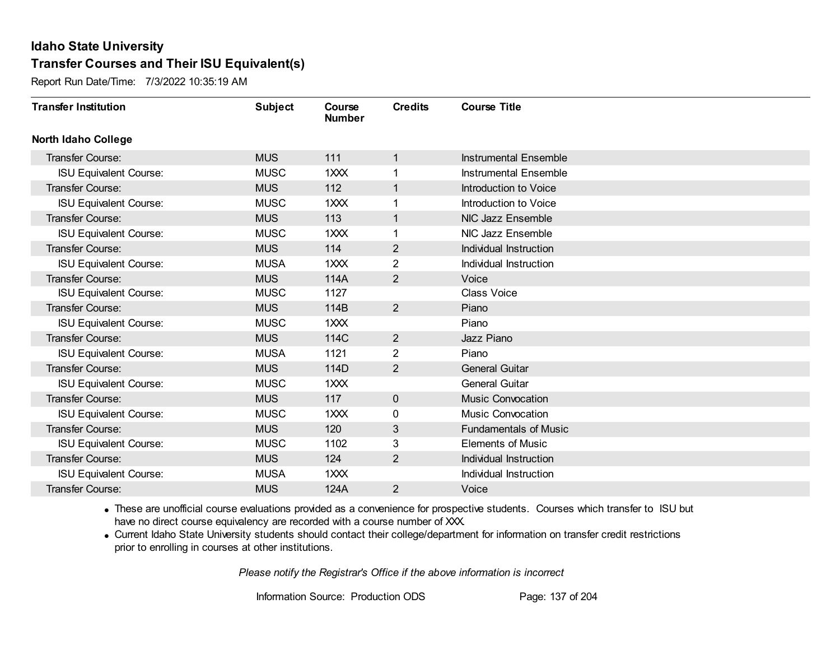Report Run Date/Time: 7/3/2022 10:35:19 AM

| <b>Transfer Institution</b>   | <b>Subject</b> | Course<br><b>Number</b> | <b>Credits</b> | <b>Course Title</b>          |
|-------------------------------|----------------|-------------------------|----------------|------------------------------|
| <b>North Idaho College</b>    |                |                         |                |                              |
| Transfer Course:              | <b>MUS</b>     | 111                     | 1              | <b>Instrumental Ensemble</b> |
| <b>ISU Equivalent Course:</b> | <b>MUSC</b>    | 1XXX                    |                | <b>Instrumental Ensemble</b> |
| Transfer Course:              | <b>MUS</b>     | 112                     | 1              | Introduction to Voice        |
| <b>ISU Equivalent Course:</b> | <b>MUSC</b>    | 1XXX                    | 1              | Introduction to Voice        |
| <b>Transfer Course:</b>       | <b>MUS</b>     | 113                     | 1              | NIC Jazz Ensemble            |
| <b>ISU Equivalent Course:</b> | <b>MUSC</b>    | 1XXX                    |                | NIC Jazz Ensemble            |
| <b>Transfer Course:</b>       | <b>MUS</b>     | 114                     | $\overline{2}$ | Individual Instruction       |
| <b>ISU Equivalent Course:</b> | <b>MUSA</b>    | 1XXX                    | $\overline{2}$ | Individual Instruction       |
| <b>Transfer Course:</b>       | <b>MUS</b>     | 114A                    | $\overline{2}$ | Voice                        |
| <b>ISU Equivalent Course:</b> | <b>MUSC</b>    | 1127                    |                | <b>Class Voice</b>           |
| <b>Transfer Course:</b>       | <b>MUS</b>     | 114B                    | $\overline{2}$ | Piano                        |
| <b>ISU Equivalent Course:</b> | <b>MUSC</b>    | 1XXX                    |                | Piano                        |
| Transfer Course:              | <b>MUS</b>     | 114C                    | $\overline{c}$ | Jazz Piano                   |
| <b>ISU Equivalent Course:</b> | <b>MUSA</b>    | 1121                    | $\overline{2}$ | Piano                        |
| Transfer Course:              | <b>MUS</b>     | 114D                    | $\overline{2}$ | <b>General Guitar</b>        |
| <b>ISU Equivalent Course:</b> | <b>MUSC</b>    | 1XXX                    |                | <b>General Guitar</b>        |
| Transfer Course:              | <b>MUS</b>     | 117                     | $\overline{0}$ | <b>Music Convocation</b>     |
| <b>ISU Equivalent Course:</b> | <b>MUSC</b>    | 1XXX                    | 0              | <b>Music Convocation</b>     |
| Transfer Course:              | <b>MUS</b>     | 120                     | 3              | <b>Fundamentals of Music</b> |
| <b>ISU Equivalent Course:</b> | <b>MUSC</b>    | 1102                    | 3              | <b>Elements of Music</b>     |
| <b>Transfer Course:</b>       | <b>MUS</b>     | 124                     | $\overline{2}$ | Individual Instruction       |
| <b>ISU Equivalent Course:</b> | <b>MUSA</b>    | 1XXX                    |                | Individual Instruction       |
| <b>Transfer Course:</b>       | <b>MUS</b>     | 124A                    | $\overline{2}$ | Voice                        |

· These are unofficial course evaluations provided as a convenience for prospective students. Courses which transfer to ISU but have no direct course equivalency are recorded with a course number of XXX.

· Current Idaho State University students should contact their college/department for information on transfer credit restrictions prior to enrolling in courses at other institutions.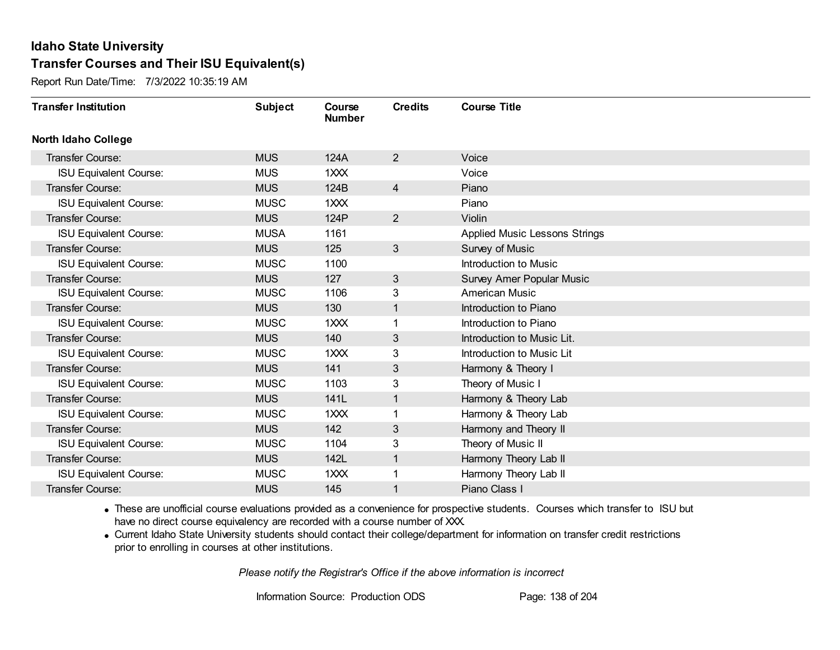Report Run Date/Time: 7/3/2022 10:35:19 AM

| <b>Transfer Institution</b>   | <b>Subject</b> | Course<br><b>Number</b> | <b>Credits</b> | <b>Course Title</b>                  |
|-------------------------------|----------------|-------------------------|----------------|--------------------------------------|
| <b>North Idaho College</b>    |                |                         |                |                                      |
| Transfer Course:              | <b>MUS</b>     | 124A                    | $\overline{2}$ | Voice                                |
| <b>ISU Equivalent Course:</b> | <b>MUS</b>     | $12 2 2$                |                | Voice                                |
| Transfer Course:              | <b>MUS</b>     | 124B                    | $\overline{4}$ | Piano                                |
| <b>ISU Equivalent Course:</b> | <b>MUSC</b>    | 1XXX                    |                | Piano                                |
| <b>Transfer Course:</b>       | <b>MUS</b>     | 124P                    | $\overline{2}$ | Violin                               |
| <b>ISU Equivalent Course:</b> | <b>MUSA</b>    | 1161                    |                | <b>Applied Music Lessons Strings</b> |
| Transfer Course:              | <b>MUS</b>     | 125                     | 3              | Survey of Music                      |
| <b>ISU Equivalent Course:</b> | <b>MUSC</b>    | 1100                    |                | Introduction to Music                |
| <b>Transfer Course:</b>       | <b>MUS</b>     | 127                     | 3              | Survey Amer Popular Music            |
| <b>ISU Equivalent Course:</b> | <b>MUSC</b>    | 1106                    | 3              | <b>American Music</b>                |
| <b>Transfer Course:</b>       | <b>MUS</b>     | 130                     | $\mathbf{1}$   | Introduction to Piano                |
| <b>ISU Equivalent Course:</b> | <b>MUSC</b>    | 1XXX                    |                | Introduction to Piano                |
| Transfer Course:              | <b>MUS</b>     | 140                     | 3              | Introduction to Music Lit.           |
| <b>ISU Equivalent Course:</b> | <b>MUSC</b>    | 1XXX                    | 3              | Introduction to Music Lit            |
| Transfer Course:              | <b>MUS</b>     | 141                     | 3              | Harmony & Theory I                   |
| <b>ISU Equivalent Course:</b> | <b>MUSC</b>    | 1103                    | 3              | Theory of Music I                    |
| Transfer Course:              | <b>MUS</b>     | 141L                    | $\mathbf{1}$   | Harmony & Theory Lab                 |
| <b>ISU Equivalent Course:</b> | <b>MUSC</b>    | 1XXX                    | 1              | Harmony & Theory Lab                 |
| Transfer Course:              | <b>MUS</b>     | 142                     | 3              | Harmony and Theory II                |
| <b>ISU Equivalent Course:</b> | <b>MUSC</b>    | 1104                    | 3              | Theory of Music II                   |
| <b>Transfer Course:</b>       | <b>MUS</b>     | 142L                    | $\mathbf 1$    | Harmony Theory Lab II                |
| <b>ISU Equivalent Course:</b> | <b>MUSC</b>    | 1XXX                    |                | Harmony Theory Lab II                |
| <b>Transfer Course:</b>       | <b>MUS</b>     | 145                     | 1              | Piano Class I                        |

· These are unofficial course evaluations provided as a convenience for prospective students. Courses which transfer to ISU but have no direct course equivalency are recorded with a course number of XXX.

· Current Idaho State University students should contact their college/department for information on transfer credit restrictions prior to enrolling in courses at other institutions.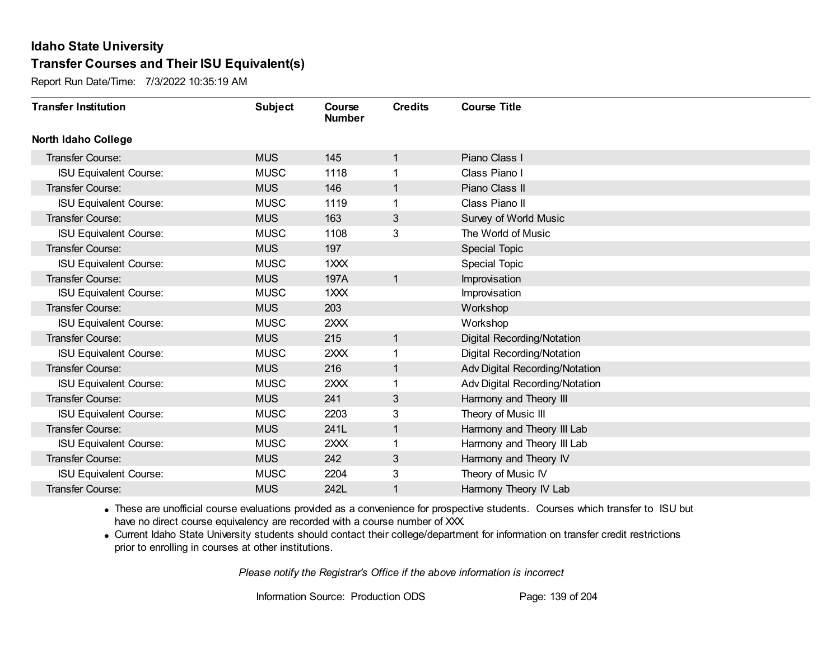Report Run Date/Time: 7/3/2022 10:35:19 AM

| <b>Transfer Institution</b>   | <b>Subject</b> | Course<br><b>Number</b> | <b>Credits</b> | <b>Course Title</b>            |
|-------------------------------|----------------|-------------------------|----------------|--------------------------------|
| <b>North Idaho College</b>    |                |                         |                |                                |
| Transfer Course:              | <b>MUS</b>     | 145                     | 1              | Piano Class I                  |
| <b>ISU Equivalent Course:</b> | <b>MUSC</b>    | 1118                    |                | Class Piano I                  |
| Transfer Course:              | <b>MUS</b>     | 146                     | 1              | Piano Class II                 |
| <b>ISU Equivalent Course:</b> | <b>MUSC</b>    | 1119                    | 1              | Class Piano II                 |
| <b>Transfer Course:</b>       | <b>MUS</b>     | 163                     | 3              | Survey of World Music          |
| <b>ISU Equivalent Course:</b> | <b>MUSC</b>    | 1108                    | 3              | The World of Music             |
| Transfer Course:              | <b>MUS</b>     | 197                     |                | <b>Special Topic</b>           |
| <b>ISU Equivalent Course:</b> | <b>MUSC</b>    | 1XXX                    |                | <b>Special Topic</b>           |
| Transfer Course:              | <b>MUS</b>     | 197A                    | $\mathbf{1}$   | Improvisation                  |
| <b>ISU Equivalent Course:</b> | <b>MUSC</b>    | 1XXX                    |                | Improvisation                  |
| Transfer Course:              | <b>MUS</b>     | 203                     |                | Workshop                       |
| <b>ISU Equivalent Course:</b> | <b>MUSC</b>    | 2XXX                    |                | Workshop                       |
| Transfer Course:              | <b>MUS</b>     | 215                     | 1              | Digital Recording/Notation     |
| <b>ISU Equivalent Course:</b> | <b>MUSC</b>    | 2XXX                    |                | Digital Recording/Notation     |
| Transfer Course:              | <b>MUS</b>     | 216                     | 1              | Adv Digital Recording/Notation |
| <b>ISU Equivalent Course:</b> | <b>MUSC</b>    | 2XXX                    | 1              | Adv Digital Recording/Notation |
| <b>Transfer Course:</b>       | <b>MUS</b>     | 241                     | 3              | Harmony and Theory III         |
| <b>ISU Equivalent Course:</b> | <b>MUSC</b>    | 2203                    | 3              | Theory of Music III            |
| Transfer Course:              | <b>MUS</b>     | 241L                    | $\mathbf 1$    | Harmony and Theory III Lab     |
| <b>ISU Equivalent Course:</b> | <b>MUSC</b>    | 2XXX                    |                | Harmony and Theory III Lab     |
| Transfer Course:              | <b>MUS</b>     | 242                     | 3              | Harmony and Theory IV          |
| <b>ISU Equivalent Course:</b> | <b>MUSC</b>    | 2204                    | 3              | Theory of Music IV             |
| Transfer Course:              | <b>MUS</b>     | 242L                    |                | Harmony Theory IV Lab          |

· These are unofficial course evaluations provided as a convenience for prospective students. Courses which transfer to ISU but have no direct course equivalency are recorded with a course number of XXX.

· Current Idaho State University students should contact their college/department for information on transfer credit restrictions prior to enrolling in courses at other institutions.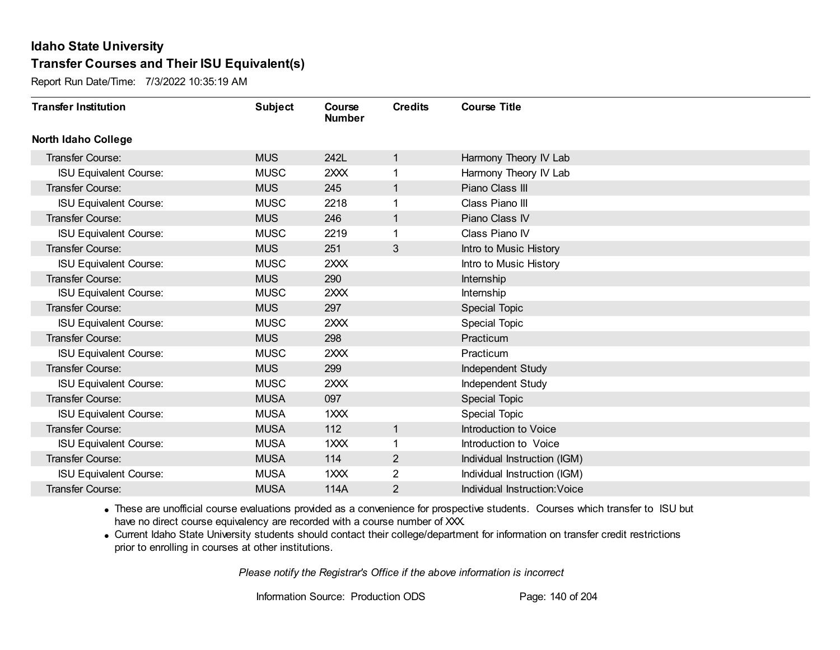Report Run Date/Time: 7/3/2022 10:35:19 AM

| <b>Transfer Institution</b>   | <b>Subject</b> | Course<br><b>Number</b> | <b>Credits</b> | <b>Course Title</b>           |
|-------------------------------|----------------|-------------------------|----------------|-------------------------------|
| <b>North Idaho College</b>    |                |                         |                |                               |
| Transfer Course:              | <b>MUS</b>     | 242L                    | 1              | Harmony Theory IV Lab         |
| <b>ISU Equivalent Course:</b> | <b>MUSC</b>    | 2XXX                    |                | Harmony Theory IV Lab         |
| Transfer Course:              | <b>MUS</b>     | 245                     | 1              | Piano Class III               |
| <b>ISU Equivalent Course:</b> | <b>MUSC</b>    | 2218                    |                | Class Piano III               |
| <b>Transfer Course:</b>       | <b>MUS</b>     | 246                     | 1              | Piano Class IV                |
| <b>ISU Equivalent Course:</b> | <b>MUSC</b>    | 2219                    |                | Class Piano IV                |
| Transfer Course:              | <b>MUS</b>     | 251                     | 3              | Intro to Music History        |
| <b>ISU Equivalent Course:</b> | <b>MUSC</b>    | 2XXX                    |                | Intro to Music History        |
| <b>Transfer Course:</b>       | <b>MUS</b>     | 290                     |                | Internship                    |
| <b>ISU Equivalent Course:</b> | <b>MUSC</b>    | 2XXX                    |                | Internship                    |
| <b>Transfer Course:</b>       | <b>MUS</b>     | 297                     |                | Special Topic                 |
| <b>ISU Equivalent Course:</b> | <b>MUSC</b>    | 2XXX                    |                | <b>Special Topic</b>          |
| Transfer Course:              | <b>MUS</b>     | 298                     |                | Practicum                     |
| <b>ISU Equivalent Course:</b> | <b>MUSC</b>    | 2XXX                    |                | Practicum                     |
| Transfer Course:              | <b>MUS</b>     | 299                     |                | Independent Study             |
| <b>ISU Equivalent Course:</b> | <b>MUSC</b>    | 2XXX                    |                | <b>Independent Study</b>      |
| Transfer Course:              | <b>MUSA</b>    | 097                     |                | <b>Special Topic</b>          |
| <b>ISU Equivalent Course:</b> | <b>MUSA</b>    | 1XXX                    |                | Special Topic                 |
| <b>Transfer Course:</b>       | <b>MUSA</b>    | 112                     | 1              | Introduction to Voice         |
| <b>ISU Equivalent Course:</b> | <b>MUSA</b>    | 1XXX                    |                | Introduction to Voice         |
| <b>Transfer Course:</b>       | <b>MUSA</b>    | 114                     | $\overline{2}$ | Individual Instruction (IGM)  |
| <b>ISU Equivalent Course:</b> | <b>MUSA</b>    | 1XXX                    | $\overline{2}$ | Individual Instruction (IGM)  |
| Transfer Course:              | <b>MUSA</b>    | 114A                    | $\overline{2}$ | Individual Instruction: Voice |

· These are unofficial course evaluations provided as a convenience for prospective students. Courses which transfer to ISU but have no direct course equivalency are recorded with a course number of XXX.

· Current Idaho State University students should contact their college/department for information on transfer credit restrictions prior to enrolling in courses at other institutions.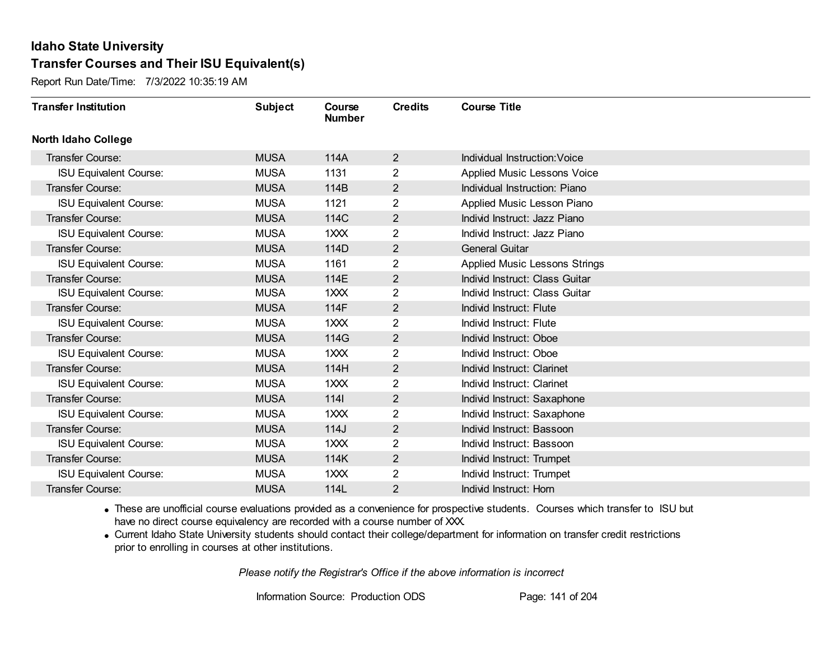Report Run Date/Time: 7/3/2022 10:35:19 AM

| <b>Transfer Institution</b>   | <b>Subject</b> | Course<br><b>Number</b> | <b>Credits</b> | <b>Course Title</b>                  |
|-------------------------------|----------------|-------------------------|----------------|--------------------------------------|
| <b>North Idaho College</b>    |                |                         |                |                                      |
| <b>Transfer Course:</b>       | <b>MUSA</b>    | 114A                    | $\overline{2}$ | Individual Instruction: Voice        |
| <b>ISU Equivalent Course:</b> | <b>MUSA</b>    | 1131                    | $\overline{2}$ | Applied Music Lessons Voice          |
| Transfer Course:              | <b>MUSA</b>    | 114B                    | $\overline{2}$ | Individual Instruction: Piano        |
| <b>ISU Equivalent Course:</b> | <b>MUSA</b>    | 1121                    | $\overline{2}$ | Applied Music Lesson Piano           |
| <b>Transfer Course:</b>       | <b>MUSA</b>    | 114C                    | $\overline{2}$ | Individ Instruct: Jazz Piano         |
| <b>ISU Equivalent Course:</b> | <b>MUSA</b>    | 1XXX                    | 2              | Individ Instruct: Jazz Piano         |
| Transfer Course:              | <b>MUSA</b>    | 114D                    | $\overline{2}$ | <b>General Guitar</b>                |
| <b>ISU Equivalent Course:</b> | <b>MUSA</b>    | 1161                    | 2              | <b>Applied Music Lessons Strings</b> |
| Transfer Course:              | <b>MUSA</b>    | 114E                    | $\overline{2}$ | Individ Instruct: Class Guitar       |
| <b>ISU Equivalent Course:</b> | <b>MUSA</b>    | 1XXX                    | $\overline{2}$ | Individ Instruct: Class Guitar       |
| <b>Transfer Course:</b>       | <b>MUSA</b>    | 114F                    | $\overline{2}$ | Individ Instruct: Flute              |
| <b>ISU Equivalent Course:</b> | <b>MUSA</b>    | 1XXX                    | 2              | Individ Instruct: Flute              |
| Transfer Course:              | <b>MUSA</b>    | 114G                    | $\overline{2}$ | Individ Instruct: Oboe               |
| <b>ISU Equivalent Course:</b> | <b>MUSA</b>    | 1XXX                    | $\overline{2}$ | Individ Instruct: Oboe               |
| Transfer Course:              | <b>MUSA</b>    | 114H                    | $\overline{2}$ | Individ Instruct: Clarinet           |
| <b>ISU Equivalent Course:</b> | <b>MUSA</b>    | 1XXX                    | $\overline{2}$ | Individ Instruct: Clarinet           |
| Transfer Course:              | <b>MUSA</b>    | 1141                    | $\overline{2}$ | Individ Instruct: Saxaphone          |
| <b>ISU Equivalent Course:</b> | <b>MUSA</b>    | 1XXX                    | 2              | Individ Instruct: Saxaphone          |
| Transfer Course:              | <b>MUSA</b>    | 114J                    | $\overline{2}$ | Individ Instruct: Bassoon            |
| <b>ISU Equivalent Course:</b> | <b>MUSA</b>    | 1XXX                    | $\overline{2}$ | Individ Instruct: Bassoon            |
| <b>Transfer Course:</b>       | <b>MUSA</b>    | 114K                    | $\overline{2}$ | Individ Instruct: Trumpet            |
| <b>ISU Equivalent Course:</b> | <b>MUSA</b>    | 1XXX                    | $\overline{2}$ | Individ Instruct: Trumpet            |
| Transfer Course:              | <b>MUSA</b>    | 114L                    | 2              | Individ Instruct: Horn               |

· These are unofficial course evaluations provided as a convenience for prospective students. Courses which transfer to ISU but have no direct course equivalency are recorded with a course number of XXX.

· Current Idaho State University students should contact their college/department for information on transfer credit restrictions prior to enrolling in courses at other institutions.

*Please notify the Registrar's Office if the above information is incorrect*

Information Source: Production ODS Page: 141 of 204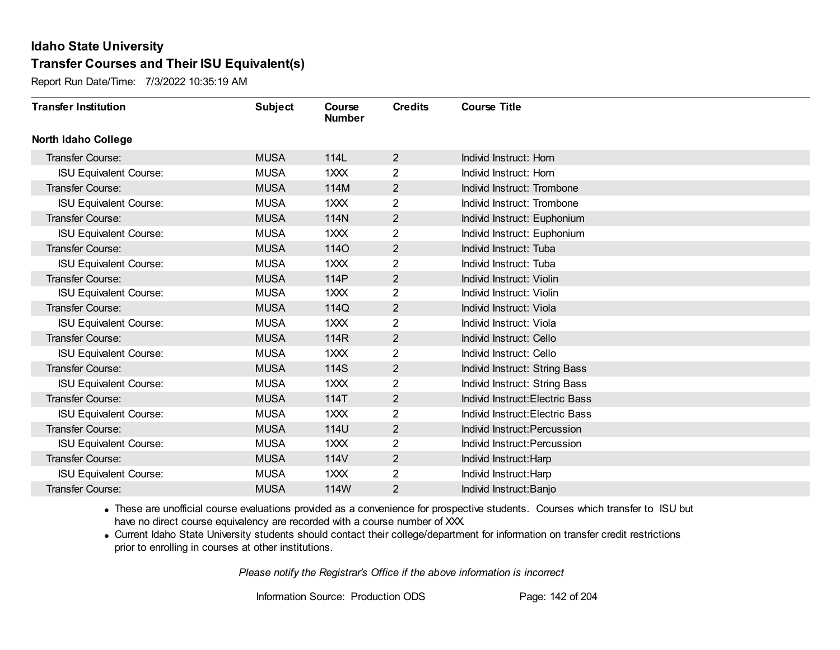Report Run Date/Time: 7/3/2022 10:35:19 AM

| <b>Transfer Institution</b>   | <b>Subject</b> | Course<br><b>Number</b> | <b>Credits</b> | <b>Course Title</b>             |
|-------------------------------|----------------|-------------------------|----------------|---------------------------------|
| <b>North Idaho College</b>    |                |                         |                |                                 |
| <b>Transfer Course:</b>       | <b>MUSA</b>    | 114L                    | $\overline{2}$ | Individ Instruct: Horn          |
| <b>ISU Equivalent Course:</b> | <b>MUSA</b>    | 1XXX                    | $\overline{2}$ | Individ Instruct: Horn          |
| Transfer Course:              | <b>MUSA</b>    | 114M                    | $\overline{2}$ | Individ Instruct: Trombone      |
| <b>ISU Equivalent Course:</b> | <b>MUSA</b>    | 1XXX                    | 2              | Individ Instruct: Trombone      |
| <b>Transfer Course:</b>       | <b>MUSA</b>    | 114N                    | $\overline{2}$ | Individ Instruct: Euphonium     |
| <b>ISU Equivalent Course:</b> | <b>MUSA</b>    | $1$ $XX$                | 2              | Individ Instruct: Euphonium     |
| Transfer Course:              | <b>MUSA</b>    | <b>1140</b>             | $\overline{2}$ | Individ Instruct: Tuba          |
| <b>ISU Equivalent Course:</b> | <b>MUSA</b>    | 1XXX                    | $\overline{2}$ | Individ Instruct: Tuba          |
| Transfer Course:              | <b>MUSA</b>    | 114P                    | $\mathbf{2}$   | Individ Instruct: Violin        |
| <b>ISU Equivalent Course:</b> | <b>MUSA</b>    | 1XXX                    | $\overline{2}$ | Individ Instruct: Violin        |
| <b>Transfer Course:</b>       | <b>MUSA</b>    | 114Q                    | $\overline{2}$ | Individ Instruct: Viola         |
| <b>ISU Equivalent Course:</b> | <b>MUSA</b>    | 1XXX                    | 2              | Individ Instruct: Viola         |
| Transfer Course:              | <b>MUSA</b>    | 114R                    | $\overline{2}$ | Individ Instruct: Cello         |
| <b>ISU Equivalent Course:</b> | <b>MUSA</b>    | 1XXX                    | $\overline{2}$ | Individ Instruct: Cello         |
| Transfer Course:              | <b>MUSA</b>    | 114S                    | $\overline{2}$ | Individ Instruct: String Bass   |
| <b>ISU Equivalent Course:</b> | <b>MUSA</b>    | 1XXX                    | $\overline{2}$ | Individ Instruct: String Bass   |
| Transfer Course:              | <b>MUSA</b>    | 114T                    | $\overline{2}$ | Individ Instruct: Electric Bass |
| <b>ISU Equivalent Course:</b> | <b>MUSA</b>    | 1XXX                    | 2              | Individ Instruct: Electric Bass |
| Transfer Course:              | <b>MUSA</b>    | 114U                    | $\overline{2}$ | Individ Instruct: Percussion    |
| <b>ISU Equivalent Course:</b> | <b>MUSA</b>    | 1XXX                    | $\overline{2}$ | Individ Instruct: Percussion    |
| <b>Transfer Course:</b>       | <b>MUSA</b>    | 114V                    | $\overline{2}$ | Individ Instruct: Harp          |
| <b>ISU Equivalent Course:</b> | <b>MUSA</b>    | $1$ $\times$ $\times$   | $\overline{2}$ | Individ Instruct: Harp          |
| Transfer Course:              | <b>MUSA</b>    | 114W                    | $\overline{2}$ | Individ Instruct: Banjo         |

· These are unofficial course evaluations provided as a convenience for prospective students. Courses which transfer to ISU but have no direct course equivalency are recorded with a course number of XXX.

· Current Idaho State University students should contact their college/department for information on transfer credit restrictions prior to enrolling in courses at other institutions.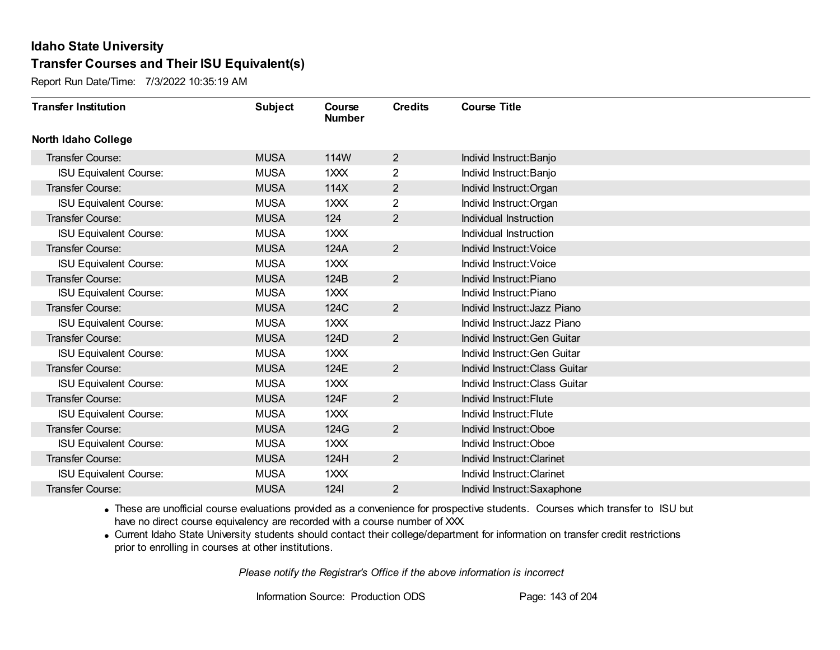Report Run Date/Time: 7/3/2022 10:35:19 AM

| <b>Transfer Institution</b>   | <b>Subject</b> | Course<br><b>Number</b> | <b>Credits</b> | <b>Course Title</b>            |
|-------------------------------|----------------|-------------------------|----------------|--------------------------------|
| <b>North Idaho College</b>    |                |                         |                |                                |
| <b>Transfer Course:</b>       | <b>MUSA</b>    | 114W                    | $\overline{2}$ | Individ Instruct: Banjo        |
| <b>ISU Equivalent Course:</b> | <b>MUSA</b>    | 1XXX                    | $\overline{2}$ | Individ Instruct: Banjo        |
| Transfer Course:              | <b>MUSA</b>    | 114X                    | $\overline{2}$ | Individ Instruct: Organ        |
| <b>ISU Equivalent Course:</b> | <b>MUSA</b>    | 1XXX                    | $\overline{2}$ | Individ Instruct: Organ        |
| <b>Transfer Course:</b>       | <b>MUSA</b>    | 124                     | $\overline{2}$ | Individual Instruction         |
| <b>ISU Equivalent Course:</b> | <b>MUSA</b>    | 1XXX                    |                | Individual Instruction         |
| Transfer Course:              | <b>MUSA</b>    | 124A                    | $\overline{2}$ | Individ Instruct: Voice        |
| <b>ISU Equivalent Course:</b> | <b>MUSA</b>    | 1XXX                    |                | Individ Instruct: Voice        |
| Transfer Course:              | <b>MUSA</b>    | 124B                    | $\overline{2}$ | Individ Instruct: Piano        |
| <b>ISU Equivalent Course:</b> | <b>MUSA</b>    | 1XXX                    |                | Individ Instruct: Piano        |
| Transfer Course:              | <b>MUSA</b>    | 124C                    | $\overline{2}$ | Individ Instruct: Jazz Piano   |
| <b>ISU Equivalent Course:</b> | <b>MUSA</b>    | 1XXX                    |                | Individ Instruct: Jazz Piano   |
| Transfer Course:              | <b>MUSA</b>    | 124D                    | $\overline{2}$ | Individ Instruct: Gen Guitar   |
| <b>ISU Equivalent Course:</b> | <b>MUSA</b>    | 1XXX                    |                | Individ Instruct: Gen Guitar   |
| Transfer Course:              | <b>MUSA</b>    | 124E                    | $\overline{2}$ | Individ Instruct: Class Guitar |
| <b>ISU Equivalent Course:</b> | <b>MUSA</b>    | 1XXX                    |                | Individ Instruct: Class Guitar |
| <b>Transfer Course:</b>       | <b>MUSA</b>    | 124F                    | $\overline{2}$ | Individ Instruct: Flute        |
| <b>ISU Equivalent Course:</b> | <b>MUSA</b>    | 1XXX                    |                | Individ Instruct: Flute        |
| Transfer Course:              | <b>MUSA</b>    | 124G                    | $\overline{2}$ | Individ Instruct: Oboe         |
| <b>ISU Equivalent Course:</b> | <b>MUSA</b>    | 1XXX                    |                | Individ Instruct: Oboe         |
| <b>Transfer Course:</b>       | <b>MUSA</b>    | 124H                    | $\overline{2}$ | Individ Instruct: Clarinet     |
| <b>ISU Equivalent Course:</b> | <b>MUSA</b>    | 1XXX                    |                | Individ Instruct: Clarinet     |
| Transfer Course:              | <b>MUSA</b>    | 1241                    | $\overline{2}$ | Individ Instruct: Saxaphone    |

· These are unofficial course evaluations provided as a convenience for prospective students. Courses which transfer to ISU but have no direct course equivalency are recorded with a course number of XXX.

· Current Idaho State University students should contact their college/department for information on transfer credit restrictions prior to enrolling in courses at other institutions.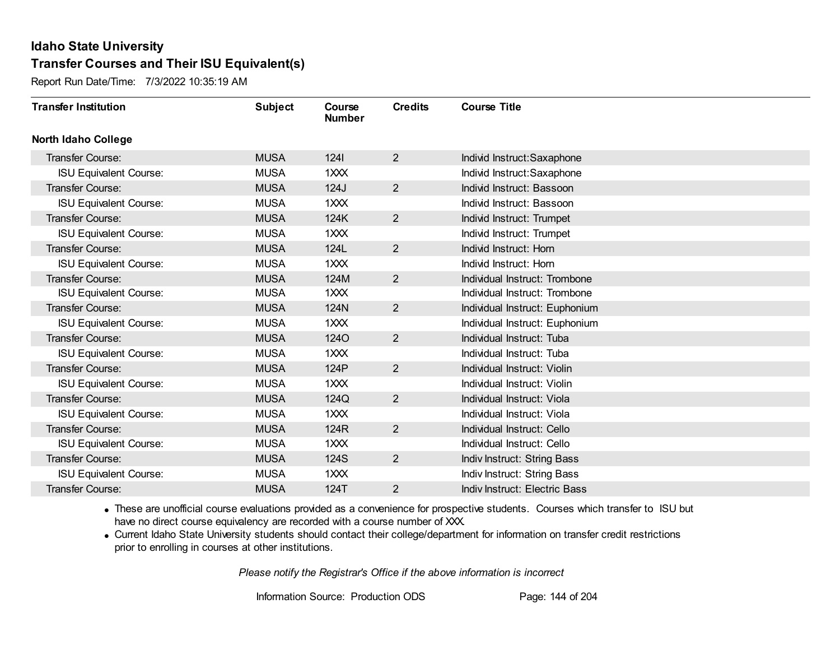Report Run Date/Time: 7/3/2022 10:35:19 AM

| <b>Transfer Institution</b>   | <b>Subject</b> | Course<br><b>Number</b> | <b>Credits</b> | <b>Course Title</b>            |
|-------------------------------|----------------|-------------------------|----------------|--------------------------------|
| <b>North Idaho College</b>    |                |                         |                |                                |
| <b>Transfer Course:</b>       | <b>MUSA</b>    | 1241                    | $\overline{2}$ | Individ Instruct: Saxaphone    |
| <b>ISU Equivalent Course:</b> | <b>MUSA</b>    | 1XXX                    |                | Individ Instruct: Saxaphone    |
| Transfer Course:              | <b>MUSA</b>    | 124J                    | 2 <sup>1</sup> | Individ Instruct: Bassoon      |
| <b>ISU Equivalent Course:</b> | <b>MUSA</b>    | 1XXX                    |                | Individ Instruct: Bassoon      |
| <b>Transfer Course:</b>       | <b>MUSA</b>    | 124K                    | $\overline{2}$ | Individ Instruct: Trumpet      |
| <b>ISU Equivalent Course:</b> | <b>MUSA</b>    | 1XXX                    |                | Individ Instruct: Trumpet      |
| <b>Transfer Course:</b>       | <b>MUSA</b>    | 124L                    | $\overline{2}$ | Individ Instruct: Horn         |
| <b>ISU Equivalent Course:</b> | <b>MUSA</b>    | 1XXX                    |                | Individ Instruct: Horn         |
| Transfer Course:              | <b>MUSA</b>    | 124M                    | $\overline{2}$ | Individual Instruct: Trombone  |
| <b>ISU Equivalent Course:</b> | <b>MUSA</b>    | 1XXX                    |                | Individual Instruct: Trombone  |
| Transfer Course:              | <b>MUSA</b>    | 124N                    | $\overline{2}$ | Individual Instruct: Euphonium |
| <b>ISU Equivalent Course:</b> | <b>MUSA</b>    | 1XXX                    |                | Individual Instruct: Euphonium |
| Transfer Course:              | <b>MUSA</b>    | <b>1240</b>             | $\overline{2}$ | Individual Instruct: Tuba      |
| <b>ISU Equivalent Course:</b> | <b>MUSA</b>    | 1XXX                    |                | Individual Instruct: Tuba      |
| Transfer Course:              | <b>MUSA</b>    | 124P                    | 2 <sup>1</sup> | Individual Instruct: Violin    |
| <b>ISU Equivalent Course:</b> | <b>MUSA</b>    | 1XXX                    |                | Individual Instruct: Violin    |
| Transfer Course:              | <b>MUSA</b>    | 124Q                    | $\overline{2}$ | Individual Instruct: Viola     |
| <b>ISU Equivalent Course:</b> | <b>MUSA</b>    | 1XXX                    |                | Individual Instruct: Viola     |
| <b>Transfer Course:</b>       | <b>MUSA</b>    | 124R                    | $\overline{2}$ | Individual Instruct: Cello     |
| <b>ISU Equivalent Course:</b> | <b>MUSA</b>    | 1XXX                    |                | Individual Instruct: Cello     |
| Transfer Course:              | <b>MUSA</b>    | 124S                    | $\overline{2}$ | Indiv Instruct: String Bass    |
| <b>ISU Equivalent Course:</b> | <b>MUSA</b>    | 1XXX                    |                | Indiv Instruct: String Bass    |
| Transfer Course:              | <b>MUSA</b>    | 124T                    | $\overline{2}$ | Indiv Instruct: Electric Bass  |

· These are unofficial course evaluations provided as a convenience for prospective students. Courses which transfer to ISU but have no direct course equivalency are recorded with a course number of XXX.

· Current Idaho State University students should contact their college/department for information on transfer credit restrictions prior to enrolling in courses at other institutions.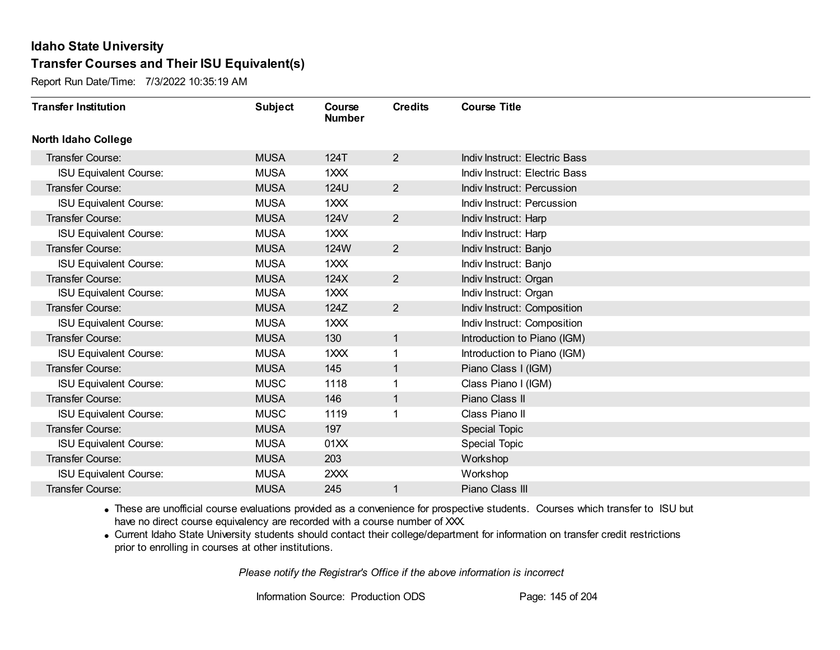Report Run Date/Time: 7/3/2022 10:35:19 AM

| <b>Transfer Institution</b>   | <b>Subject</b> | Course<br><b>Number</b> | <b>Credits</b> | <b>Course Title</b>           |
|-------------------------------|----------------|-------------------------|----------------|-------------------------------|
| <b>North Idaho College</b>    |                |                         |                |                               |
| <b>Transfer Course:</b>       | <b>MUSA</b>    | 124T                    | $\overline{2}$ | Indiv Instruct: Electric Bass |
| <b>ISU Equivalent Course:</b> | <b>MUSA</b>    | 1XXX                    |                | Indiv Instruct: Electric Bass |
| Transfer Course:              | <b>MUSA</b>    | <b>124U</b>             | $\overline{2}$ | Indiv Instruct: Percussion    |
| <b>ISU Equivalent Course:</b> | <b>MUSA</b>    | 1XXX                    |                | Indiv Instruct: Percussion    |
| <b>Transfer Course:</b>       | <b>MUSA</b>    | 124V                    | $\overline{2}$ | Indiv Instruct: Harp          |
| <b>ISU Equivalent Course:</b> | <b>MUSA</b>    | 1XXX                    |                | Indiv Instruct: Harp          |
| Transfer Course:              | <b>MUSA</b>    | 124W                    | $\overline{2}$ | Indiv Instruct: Banjo         |
| <b>ISU Equivalent Course:</b> | <b>MUSA</b>    | 1XXX                    |                | Indiv Instruct: Banjo         |
| Transfer Course:              | <b>MUSA</b>    | 124X                    | $\overline{2}$ | Indiv Instruct: Organ         |
| <b>ISU Equivalent Course:</b> | <b>MUSA</b>    | 1XXX                    |                | Indiv Instruct: Organ         |
| Transfer Course:              | <b>MUSA</b>    | 124Z                    | $\overline{2}$ | Indiv Instruct: Composition   |
| <b>ISU Equivalent Course:</b> | <b>MUSA</b>    | 1XXX                    |                | Indiv Instruct: Composition   |
| Transfer Course:              | <b>MUSA</b>    | 130                     | 1              | Introduction to Piano (IGM)   |
| <b>ISU Equivalent Course:</b> | <b>MUSA</b>    | 1XXX                    |                | Introduction to Piano (IGM)   |
| Transfer Course:              | <b>MUSA</b>    | 145                     | 1              | Piano Class I (IGM)           |
| <b>ISU Equivalent Course:</b> | <b>MUSC</b>    | 1118                    | 1              | Class Piano I (IGM)           |
| Transfer Course:              | <b>MUSA</b>    | 146                     | 1              | Piano Class II                |
| <b>ISU Equivalent Course:</b> | <b>MUSC</b>    | 1119                    |                | Class Piano II                |
| Transfer Course:              | <b>MUSA</b>    | 197                     |                | Special Topic                 |
| <b>ISU Equivalent Course:</b> | <b>MUSA</b>    | 01XX                    |                | <b>Special Topic</b>          |
| <b>Transfer Course:</b>       | <b>MUSA</b>    | 203                     |                | Workshop                      |
| <b>ISU Equivalent Course:</b> | <b>MUSA</b>    | 2XXX                    |                | Workshop                      |
| Transfer Course:              | <b>MUSA</b>    | 245                     |                | Piano Class III               |

· These are unofficial course evaluations provided as a convenience for prospective students. Courses which transfer to ISU but have no direct course equivalency are recorded with a course number of XXX.

· Current Idaho State University students should contact their college/department for information on transfer credit restrictions prior to enrolling in courses at other institutions.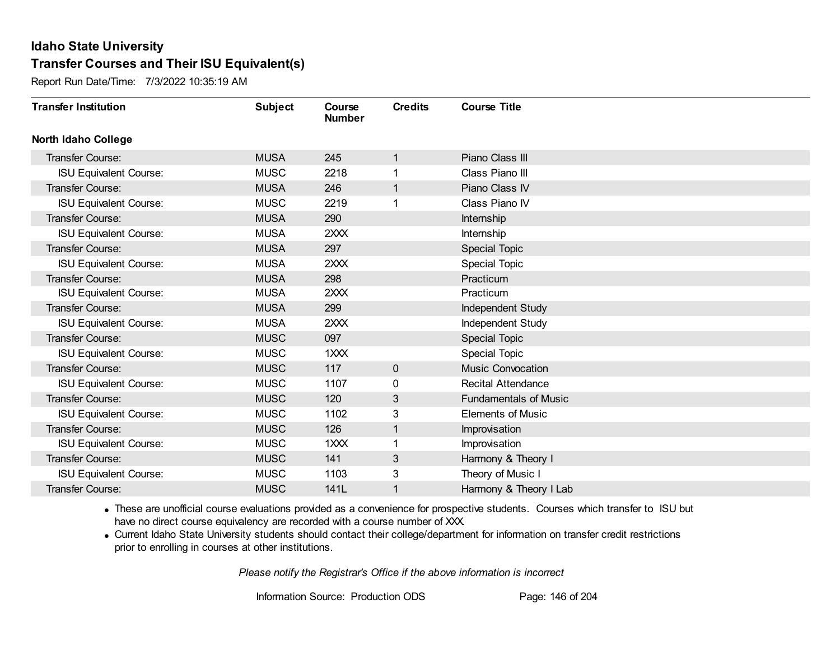Report Run Date/Time: 7/3/2022 10:35:19 AM

| <b>Transfer Institution</b>   | <b>Subject</b> | Course<br><b>Number</b> | <b>Credits</b> | <b>Course Title</b>          |
|-------------------------------|----------------|-------------------------|----------------|------------------------------|
| <b>North Idaho College</b>    |                |                         |                |                              |
| Transfer Course:              | <b>MUSA</b>    | 245                     | 1              | Piano Class III              |
| <b>ISU Equivalent Course:</b> | <b>MUSC</b>    | 2218                    |                | Class Piano III              |
| Transfer Course:              | <b>MUSA</b>    | 246                     | 1              | Piano Class IV               |
| <b>ISU Equivalent Course:</b> | <b>MUSC</b>    | 2219                    | 1              | Class Piano IV               |
| <b>Transfer Course:</b>       | <b>MUSA</b>    | 290                     |                | Internship                   |
| <b>ISU Equivalent Course:</b> | <b>MUSA</b>    | 2XXX                    |                | Internship                   |
| <b>Transfer Course:</b>       | <b>MUSA</b>    | 297                     |                | <b>Special Topic</b>         |
| <b>ISU Equivalent Course:</b> | <b>MUSA</b>    | 2XXX                    |                | <b>Special Topic</b>         |
| <b>Transfer Course:</b>       | <b>MUSA</b>    | 298                     |                | Practicum                    |
| <b>ISU Equivalent Course:</b> | <b>MUSA</b>    | 2XXX                    |                | Practicum                    |
| <b>Transfer Course:</b>       | <b>MUSA</b>    | 299                     |                | Independent Study            |
| <b>ISU Equivalent Course:</b> | <b>MUSA</b>    | 2XXX                    |                | Independent Study            |
| Transfer Course:              | <b>MUSC</b>    | 097                     |                | Special Topic                |
| <b>ISU Equivalent Course:</b> | <b>MUSC</b>    | 1XXX                    |                | <b>Special Topic</b>         |
| Transfer Course:              | <b>MUSC</b>    | 117                     | $\mathbf 0$    | <b>Music Convocation</b>     |
| <b>ISU Equivalent Course:</b> | <b>MUSC</b>    | 1107                    | 0              | <b>Recital Attendance</b>    |
| <b>Transfer Course:</b>       | <b>MUSC</b>    | 120                     | 3              | <b>Fundamentals of Music</b> |
| <b>ISU Equivalent Course:</b> | <b>MUSC</b>    | 1102                    | 3              | <b>Elements of Music</b>     |
| Transfer Course:              | <b>MUSC</b>    | 126                     | 1              | Improvisation                |
| <b>ISU Equivalent Course:</b> | <b>MUSC</b>    | 1XXX                    |                | Improvisation                |
| <b>Transfer Course:</b>       | <b>MUSC</b>    | 141                     | 3              | Harmony & Theory I           |
| <b>ISU Equivalent Course:</b> | <b>MUSC</b>    | 1103                    | 3              | Theory of Music I            |
| <b>Transfer Course:</b>       | <b>MUSC</b>    | 141L                    | 1              | Harmony & Theory I Lab       |

· These are unofficial course evaluations provided as a convenience for prospective students. Courses which transfer to ISU but have no direct course equivalency are recorded with a course number of XXX.

· Current Idaho State University students should contact their college/department for information on transfer credit restrictions prior to enrolling in courses at other institutions.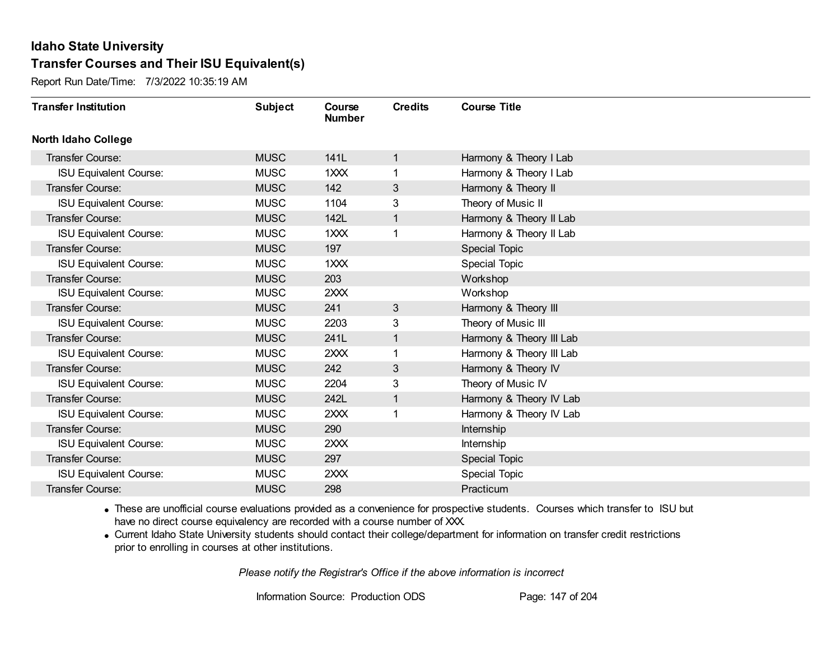Report Run Date/Time: 7/3/2022 10:35:19 AM

| <b>Transfer Institution</b>   | <b>Subject</b> | Course<br><b>Number</b> | <b>Credits</b> | <b>Course Title</b>      |
|-------------------------------|----------------|-------------------------|----------------|--------------------------|
| <b>North Idaho College</b>    |                |                         |                |                          |
| Transfer Course:              | <b>MUSC</b>    | 141L                    | 1              | Harmony & Theory I Lab   |
| <b>ISU Equivalent Course:</b> | <b>MUSC</b>    | 1XXX                    |                | Harmony & Theory I Lab   |
| Transfer Course:              | <b>MUSC</b>    | 142                     | 3              | Harmony & Theory II      |
| <b>ISU Equivalent Course:</b> | <b>MUSC</b>    | 1104                    | 3              | Theory of Music II       |
| <b>Transfer Course:</b>       | <b>MUSC</b>    | 142L                    | 1              | Harmony & Theory II Lab  |
| <b>ISU Equivalent Course:</b> | <b>MUSC</b>    | 1XXX                    |                | Harmony & Theory II Lab  |
| Transfer Course:              | <b>MUSC</b>    | 197                     |                | Special Topic            |
| <b>ISU Equivalent Course:</b> | <b>MUSC</b>    | $1$ $XX$                |                | <b>Special Topic</b>     |
| Transfer Course:              | <b>MUSC</b>    | 203                     |                | Workshop                 |
| <b>ISU Equivalent Course:</b> | <b>MUSC</b>    | 2XXX                    |                | Workshop                 |
| <b>Transfer Course:</b>       | <b>MUSC</b>    | 241                     | 3              | Harmony & Theory III     |
| <b>ISU Equivalent Course:</b> | <b>MUSC</b>    | 2203                    | 3              | Theory of Music III      |
| Transfer Course:              | <b>MUSC</b>    | 241L                    | 1              | Harmony & Theory III Lab |
| <b>ISU Equivalent Course:</b> | <b>MUSC</b>    | 2XXX                    |                | Harmony & Theory III Lab |
| Transfer Course:              | <b>MUSC</b>    | 242                     | 3              | Harmony & Theory IV      |
| <b>ISU Equivalent Course:</b> | <b>MUSC</b>    | 2204                    | 3              | Theory of Music IV       |
| Transfer Course:              | <b>MUSC</b>    | 242L                    | 1              | Harmony & Theory IV Lab  |
| <b>ISU Equivalent Course:</b> | <b>MUSC</b>    | 2XXX                    |                | Harmony & Theory IV Lab  |
| Transfer Course:              | <b>MUSC</b>    | 290                     |                | Internship               |
| <b>ISU Equivalent Course:</b> | <b>MUSC</b>    | 2XXX                    |                | <b>Internship</b>        |
| <b>Transfer Course:</b>       | <b>MUSC</b>    | 297                     |                | <b>Special Topic</b>     |
| <b>ISU Equivalent Course:</b> | <b>MUSC</b>    | 2XXX                    |                | <b>Special Topic</b>     |
| Transfer Course:              | <b>MUSC</b>    | 298                     |                | Practicum                |

· These are unofficial course evaluations provided as a convenience for prospective students. Courses which transfer to ISU but have no direct course equivalency are recorded with a course number of XXX.

· Current Idaho State University students should contact their college/department for information on transfer credit restrictions prior to enrolling in courses at other institutions.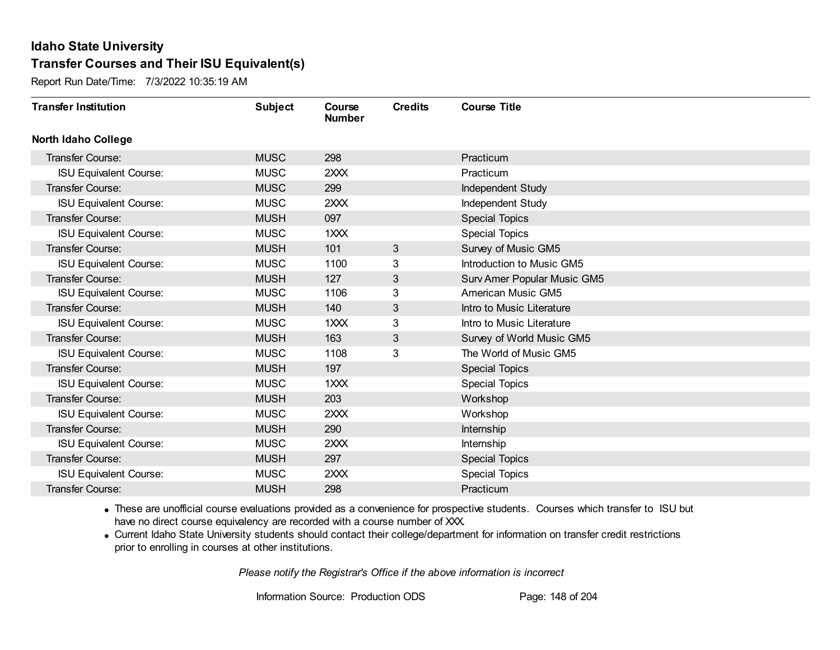Report Run Date/Time: 7/3/2022 10:35:19 AM

| <b>Transfer Institution</b>   | <b>Subject</b> | Course<br><b>Number</b> | <b>Credits</b> | <b>Course Title</b>         |
|-------------------------------|----------------|-------------------------|----------------|-----------------------------|
| <b>North Idaho College</b>    |                |                         |                |                             |
| Transfer Course:              | <b>MUSC</b>    | 298                     |                | Practicum                   |
| <b>ISU Equivalent Course:</b> | <b>MUSC</b>    | 2XXX                    |                | Practicum                   |
| Transfer Course:              | <b>MUSC</b>    | 299                     |                | Independent Study           |
| <b>ISU Equivalent Course:</b> | <b>MUSC</b>    | 2XXX                    |                | Independent Study           |
| <b>Transfer Course:</b>       | <b>MUSH</b>    | 097                     |                | <b>Special Topics</b>       |
| <b>ISU Equivalent Course:</b> | <b>MUSC</b>    | 1XXX                    |                | <b>Special Topics</b>       |
| Transfer Course:              | <b>MUSH</b>    | 101                     | 3              | Survey of Music GM5         |
| <b>ISU Equivalent Course:</b> | <b>MUSC</b>    | 1100                    | 3              | Introduction to Music GM5   |
| Transfer Course:              | <b>MUSH</b>    | 127                     | 3              | Surv Amer Popular Music GM5 |
| <b>ISU Equivalent Course:</b> | <b>MUSC</b>    | 1106                    | 3              | American Music GM5          |
| Transfer Course:              | <b>MUSH</b>    | 140                     | 3              | Intro to Music Literature   |
| <b>ISU Equivalent Course:</b> | <b>MUSC</b>    | 1XXX                    | 3              | Intro to Music Literature   |
| Transfer Course:              | <b>MUSH</b>    | 163                     | 3              | Survey of World Music GM5   |
| <b>ISU Equivalent Course:</b> | <b>MUSC</b>    | 1108                    | 3              | The World of Music GM5      |
| Transfer Course:              | <b>MUSH</b>    | 197                     |                | <b>Special Topics</b>       |
| <b>ISU Equivalent Course:</b> | <b>MUSC</b>    | 1XXX                    |                | <b>Special Topics</b>       |
| <b>Transfer Course:</b>       | <b>MUSH</b>    | 203                     |                | Workshop                    |
| <b>ISU Equivalent Course:</b> | <b>MUSC</b>    | 2XXX                    |                | Workshop                    |
| Transfer Course:              | <b>MUSH</b>    | 290                     |                | Internship                  |
| <b>ISU Equivalent Course:</b> | <b>MUSC</b>    | 2XXX                    |                | Internship                  |
| <b>Transfer Course:</b>       | <b>MUSH</b>    | 297                     |                | <b>Special Topics</b>       |
| <b>ISU Equivalent Course:</b> | <b>MUSC</b>    | 2XXX                    |                | <b>Special Topics</b>       |
| Transfer Course:              | <b>MUSH</b>    | 298                     |                | Practicum                   |

· These are unofficial course evaluations provided as a convenience for prospective students. Courses which transfer to ISU but have no direct course equivalency are recorded with a course number of XXX.

· Current Idaho State University students should contact their college/department for information on transfer credit restrictions prior to enrolling in courses at other institutions.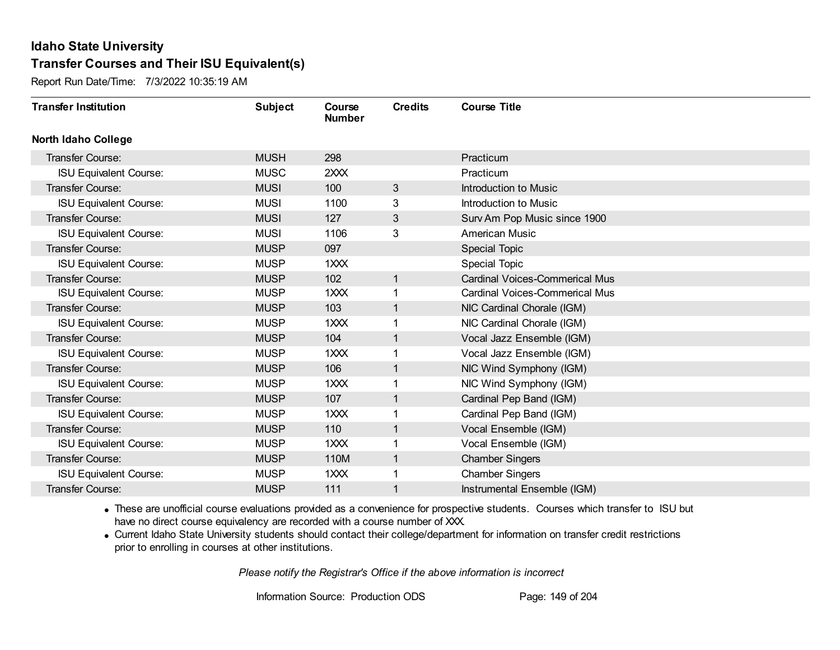Report Run Date/Time: 7/3/2022 10:35:19 AM

| <b>Transfer Institution</b>   | <b>Subject</b> | Course<br><b>Number</b> | <b>Credits</b> | <b>Course Title</b>                   |
|-------------------------------|----------------|-------------------------|----------------|---------------------------------------|
| North Idaho College           |                |                         |                |                                       |
| Transfer Course:              | <b>MUSH</b>    | 298                     |                | Practicum                             |
| <b>ISU Equivalent Course:</b> | <b>MUSC</b>    | 2XXX                    |                | Practicum                             |
| <b>Transfer Course:</b>       | <b>MUSI</b>    | 100                     | $\mathbf{3}$   | <b>Introduction to Music</b>          |
| <b>ISU Equivalent Course:</b> | <b>MUSI</b>    | 1100                    | 3              | Introduction to Music                 |
| <b>Transfer Course:</b>       | <b>MUSI</b>    | 127                     | 3              | Surv Am Pop Music since 1900          |
| <b>ISU Equivalent Course:</b> | <b>MUSI</b>    | 1106                    | 3              | <b>American Music</b>                 |
| <b>Transfer Course:</b>       | <b>MUSP</b>    | 097                     |                | Special Topic                         |
| <b>ISU Equivalent Course:</b> | <b>MUSP</b>    | 1XXX                    |                | <b>Special Topic</b>                  |
| <b>Transfer Course:</b>       | <b>MUSP</b>    | 102                     | $\mathbf{1}$   | <b>Cardinal Voices-Commerical Mus</b> |
| <b>ISU Equivalent Course:</b> | <b>MUSP</b>    | $1 \times X$            | 1              | Cardinal Voices-Commerical Mus        |
| <b>Transfer Course:</b>       | <b>MUSP</b>    | 103                     | 1              | NIC Cardinal Chorale (IGM)            |
| <b>ISU Equivalent Course:</b> | <b>MUSP</b>    | 1XXX                    |                | NIC Cardinal Chorale (IGM)            |
| <b>Transfer Course:</b>       | <b>MUSP</b>    | 104                     | 1              | Vocal Jazz Ensemble (IGM)             |
| <b>ISU Equivalent Course:</b> | <b>MUSP</b>    | 1XXX                    |                | Vocal Jazz Ensemble (IGM)             |
| Transfer Course:              | <b>MUSP</b>    | 106                     | 1              | NIC Wind Symphony (IGM)               |
| <b>ISU Equivalent Course:</b> | <b>MUSP</b>    | 1XXX                    | 1              | NIC Wind Symphony (IGM)               |
| <b>Transfer Course:</b>       | <b>MUSP</b>    | 107                     | 1              | Cardinal Pep Band (IGM)               |
| <b>ISU Equivalent Course:</b> | <b>MUSP</b>    | 1XXX                    |                | Cardinal Pep Band (IGM)               |
| <b>Transfer Course:</b>       | <b>MUSP</b>    | 110                     | $\mathbf 1$    | Vocal Ensemble (IGM)                  |
| <b>ISU Equivalent Course:</b> | <b>MUSP</b>    | 1XXX                    |                | Vocal Ensemble (IGM)                  |
| <b>Transfer Course:</b>       | <b>MUSP</b>    | 110M                    | $\mathbf{1}$   | <b>Chamber Singers</b>                |
| <b>ISU Equivalent Course:</b> | <b>MUSP</b>    | 1XXX                    | 1              | <b>Chamber Singers</b>                |
| Transfer Course:              | <b>MUSP</b>    | 111                     | 1              | Instrumental Ensemble (IGM)           |

· These are unofficial course evaluations provided as a convenience for prospective students. Courses which transfer to ISU but have no direct course equivalency are recorded with a course number of XXX.

· Current Idaho State University students should contact their college/department for information on transfer credit restrictions prior to enrolling in courses at other institutions.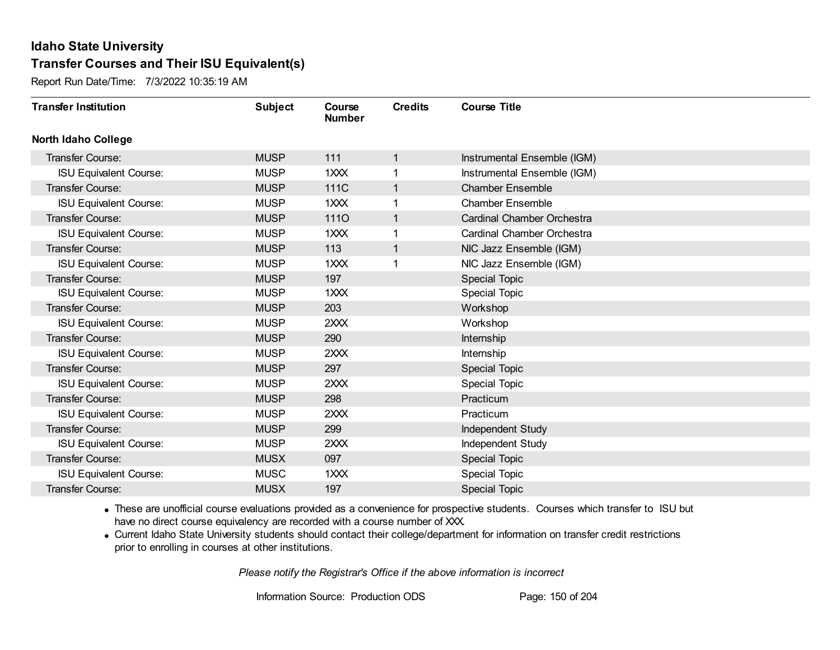Report Run Date/Time: 7/3/2022 10:35:19 AM

| <b>Transfer Institution</b>   | <b>Subject</b> | Course<br><b>Number</b> | <b>Credits</b> | <b>Course Title</b>         |
|-------------------------------|----------------|-------------------------|----------------|-----------------------------|
| <b>North Idaho College</b>    |                |                         |                |                             |
| Transfer Course:              | <b>MUSP</b>    | 111                     | $\mathbf{1}$   | Instrumental Ensemble (IGM) |
| <b>ISU Equivalent Course:</b> | <b>MUSP</b>    | 1XXX                    |                | Instrumental Ensemble (IGM) |
| Transfer Course:              | <b>MUSP</b>    | 111C                    | $\mathbf 1$    | <b>Chamber Ensemble</b>     |
| <b>ISU Equivalent Course:</b> | <b>MUSP</b>    | 1XXX                    | 1              | <b>Chamber Ensemble</b>     |
| Transfer Course:              | <b>MUSP</b>    | <b>1110</b>             | $\mathbf 1$    | Cardinal Chamber Orchestra  |
| <b>ISU Equivalent Course:</b> | <b>MUSP</b>    | 1XXX                    |                | Cardinal Chamber Orchestra  |
| <b>Transfer Course:</b>       | <b>MUSP</b>    | 113                     | 1              | NIC Jazz Ensemble (IGM)     |
| <b>ISU Equivalent Course:</b> | <b>MUSP</b>    | 1XXX                    |                | NIC Jazz Ensemble (IGM)     |
| Transfer Course:              | <b>MUSP</b>    | 197                     |                | <b>Special Topic</b>        |
| <b>ISU Equivalent Course:</b> | <b>MUSP</b>    | 1XXX                    |                | <b>Special Topic</b>        |
| Transfer Course:              | <b>MUSP</b>    | 203                     |                | Workshop                    |
| <b>ISU Equivalent Course:</b> | <b>MUSP</b>    | 2XXX                    |                | Workshop                    |
| <b>Transfer Course:</b>       | <b>MUSP</b>    | 290                     |                | Internship                  |
| <b>ISU Equivalent Course:</b> | <b>MUSP</b>    | 2XXX                    |                | Internship                  |
| Transfer Course:              | <b>MUSP</b>    | 297                     |                | <b>Special Topic</b>        |
| <b>ISU Equivalent Course:</b> | <b>MUSP</b>    | 2XXX                    |                | <b>Special Topic</b>        |
| Transfer Course:              | <b>MUSP</b>    | 298                     |                | Practicum                   |
| <b>ISU Equivalent Course:</b> | <b>MUSP</b>    | 2XXX                    |                | Practicum                   |
| <b>Transfer Course:</b>       | <b>MUSP</b>    | 299                     |                | <b>Independent Study</b>    |
| <b>ISU Equivalent Course:</b> | <b>MUSP</b>    | 2XXX                    |                | Independent Study           |
| <b>Transfer Course:</b>       | <b>MUSX</b>    | 097                     |                | <b>Special Topic</b>        |
| <b>ISU Equivalent Course:</b> | <b>MUSC</b>    | 1XXX                    |                | <b>Special Topic</b>        |
| <b>Transfer Course:</b>       | <b>MUSX</b>    | 197                     |                | <b>Special Topic</b>        |

· These are unofficial course evaluations provided as a convenience for prospective students. Courses which transfer to ISU but have no direct course equivalency are recorded with a course number of XXX.

· Current Idaho State University students should contact their college/department for information on transfer credit restrictions prior to enrolling in courses at other institutions.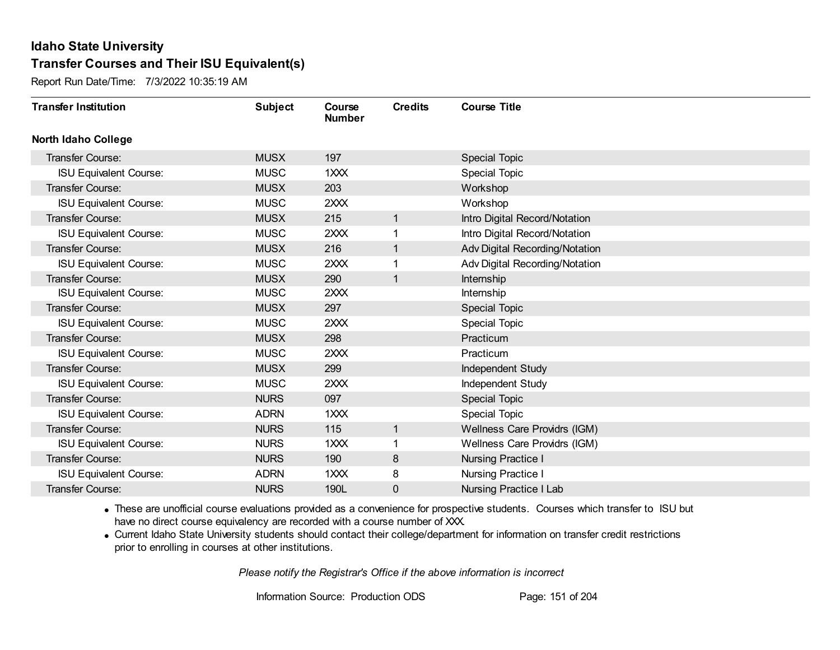Report Run Date/Time: 7/3/2022 10:35:19 AM

| <b>Transfer Institution</b>   | <b>Subject</b> | Course<br><b>Number</b> | <b>Credits</b> | <b>Course Title</b>            |
|-------------------------------|----------------|-------------------------|----------------|--------------------------------|
| <b>North Idaho College</b>    |                |                         |                |                                |
| Transfer Course:              | <b>MUSX</b>    | 197                     |                | Special Topic                  |
| <b>ISU Equivalent Course:</b> | <b>MUSC</b>    | 1XXX                    |                | <b>Special Topic</b>           |
| Transfer Course:              | <b>MUSX</b>    | 203                     |                | Workshop                       |
| <b>ISU Equivalent Course:</b> | <b>MUSC</b>    | 2XXX                    |                | Workshop                       |
| <b>Transfer Course:</b>       | <b>MUSX</b>    | 215                     | 1              | Intro Digital Record/Notation  |
| <b>ISU Equivalent Course:</b> | <b>MUSC</b>    | 2XXX                    |                | Intro Digital Record/Notation  |
| Transfer Course:              | <b>MUSX</b>    | 216                     | 1              | Adv Digital Recording/Notation |
| <b>ISU Equivalent Course:</b> | <b>MUSC</b>    | 2XXX                    |                | Adv Digital Recording/Notation |
| <b>Transfer Course:</b>       | <b>MUSX</b>    | 290                     | 1              | Internship                     |
| <b>ISU Equivalent Course:</b> | <b>MUSC</b>    | 2XXX                    |                | Internship                     |
| <b>Transfer Course:</b>       | <b>MUSX</b>    | 297                     |                | <b>Special Topic</b>           |
| <b>ISU Equivalent Course:</b> | <b>MUSC</b>    | 2XXX                    |                | <b>Special Topic</b>           |
| Transfer Course:              | <b>MUSX</b>    | 298                     |                | Practicum                      |
| <b>ISU Equivalent Course:</b> | <b>MUSC</b>    | 2XXX                    |                | Practicum                      |
| Transfer Course:              | <b>MUSX</b>    | 299                     |                | Independent Study              |
| <b>ISU Equivalent Course:</b> | <b>MUSC</b>    | 2XXX                    |                | <b>Independent Study</b>       |
| Transfer Course:              | <b>NURS</b>    | 097                     |                | <b>Special Topic</b>           |
| <b>ISU Equivalent Course:</b> | <b>ADRN</b>    | 1XXX                    |                | <b>Special Topic</b>           |
| Transfer Course:              | <b>NURS</b>    | 115                     | $\mathbf{1}$   | Wellness Care Providrs (IGM)   |
| <b>ISU Equivalent Course:</b> | <b>NURS</b>    | 1XXX                    |                | Wellness Care Providrs (IGM)   |
| Transfer Course:              | <b>NURS</b>    | 190                     | 8              | <b>Nursing Practice I</b>      |
| <b>ISU Equivalent Course:</b> | <b>ADRN</b>    | 1XXX                    | 8              | <b>Nursing Practice I</b>      |
| <b>Transfer Course:</b>       | <b>NURS</b>    | 190L                    | 0              | <b>Nursing Practice I Lab</b>  |

· These are unofficial course evaluations provided as a convenience for prospective students. Courses which transfer to ISU but have no direct course equivalency are recorded with a course number of XXX.

· Current Idaho State University students should contact their college/department for information on transfer credit restrictions prior to enrolling in courses at other institutions.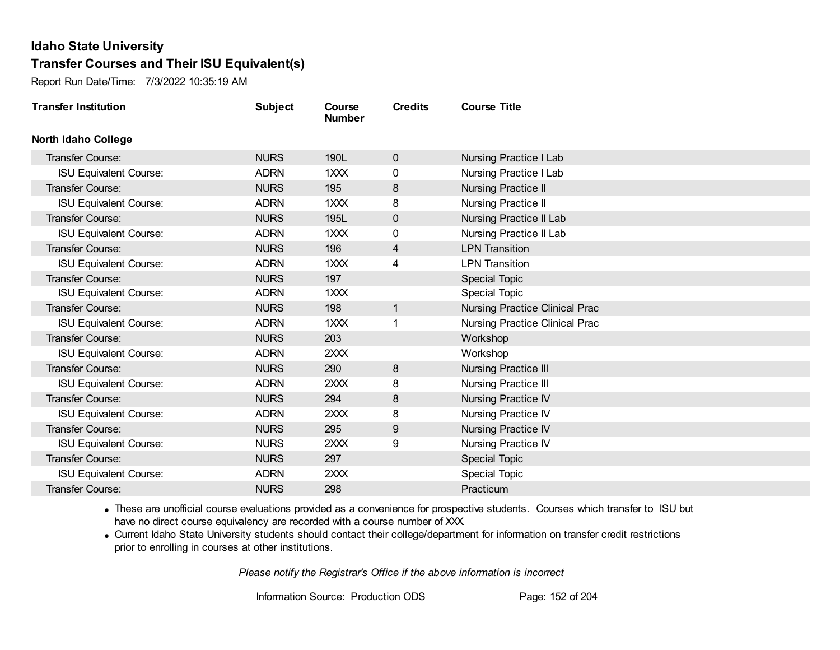Report Run Date/Time: 7/3/2022 10:35:19 AM

| <b>Transfer Institution</b>   | <b>Subject</b> | Course<br><b>Number</b> | <b>Credits</b> | <b>Course Title</b>                   |
|-------------------------------|----------------|-------------------------|----------------|---------------------------------------|
| <b>North Idaho College</b>    |                |                         |                |                                       |
| Transfer Course:              | <b>NURS</b>    | 190L                    | $\mathbf{0}$   | <b>Nursing Practice I Lab</b>         |
| <b>ISU Equivalent Course:</b> | <b>ADRN</b>    | 1XXX                    | 0              | <b>Nursing Practice I Lab</b>         |
| Transfer Course:              | <b>NURS</b>    | 195                     | 8              | <b>Nursing Practice II</b>            |
| <b>ISU Equivalent Course:</b> | <b>ADRN</b>    | 1XXX                    | 8              | Nursing Practice II                   |
| <b>Transfer Course:</b>       | <b>NURS</b>    | 195L                    | $\mathbf 0$    | <b>Nursing Practice II Lab</b>        |
| <b>ISU Equivalent Course:</b> | <b>ADRN</b>    | 1XXX                    | 0              | Nursing Practice II Lab               |
| <b>Transfer Course:</b>       | <b>NURS</b>    | 196                     | $\overline{4}$ | <b>LPN Transition</b>                 |
| <b>ISU Equivalent Course:</b> | <b>ADRN</b>    | $1$ $XX$                | 4              | <b>LPN Transition</b>                 |
| Transfer Course:              | <b>NURS</b>    | 197                     |                | <b>Special Topic</b>                  |
| <b>ISU Equivalent Course:</b> | <b>ADRN</b>    | 1XXX                    |                | Special Topic                         |
| Transfer Course:              | <b>NURS</b>    | 198                     | $\mathbf 1$    | <b>Nursing Practice Clinical Prac</b> |
| <b>ISU Equivalent Course:</b> | <b>ADRN</b>    | 1XXX                    |                | Nursing Practice Clinical Prac        |
| Transfer Course:              | <b>NURS</b>    | 203                     |                | Workshop                              |
| <b>ISU Equivalent Course:</b> | <b>ADRN</b>    | 2XXX                    |                | Workshop                              |
| Transfer Course:              | <b>NURS</b>    | 290                     | 8              | <b>Nursing Practice III</b>           |
| <b>ISU Equivalent Course:</b> | <b>ADRN</b>    | 2XXX                    | 8              | <b>Nursing Practice III</b>           |
| Transfer Course:              | <b>NURS</b>    | 294                     | 8              | <b>Nursing Practice IV</b>            |
| <b>ISU Equivalent Course:</b> | <b>ADRN</b>    | 2XXX                    | 8              | Nursing Practice IV                   |
| Transfer Course:              | <b>NURS</b>    | 295                     | 9              | <b>Nursing Practice IV</b>            |
| <b>ISU Equivalent Course:</b> | <b>NURS</b>    | 2XXX                    | 9              | <b>Nursing Practice IV</b>            |
| Transfer Course:              | <b>NURS</b>    | 297                     |                | Special Topic                         |
| <b>ISU Equivalent Course:</b> | <b>ADRN</b>    | 2XXX                    |                | <b>Special Topic</b>                  |
| Transfer Course:              | <b>NURS</b>    | 298                     |                | Practicum                             |

· These are unofficial course evaluations provided as a convenience for prospective students. Courses which transfer to ISU but have no direct course equivalency are recorded with a course number of XXX.

· Current Idaho State University students should contact their college/department for information on transfer credit restrictions prior to enrolling in courses at other institutions.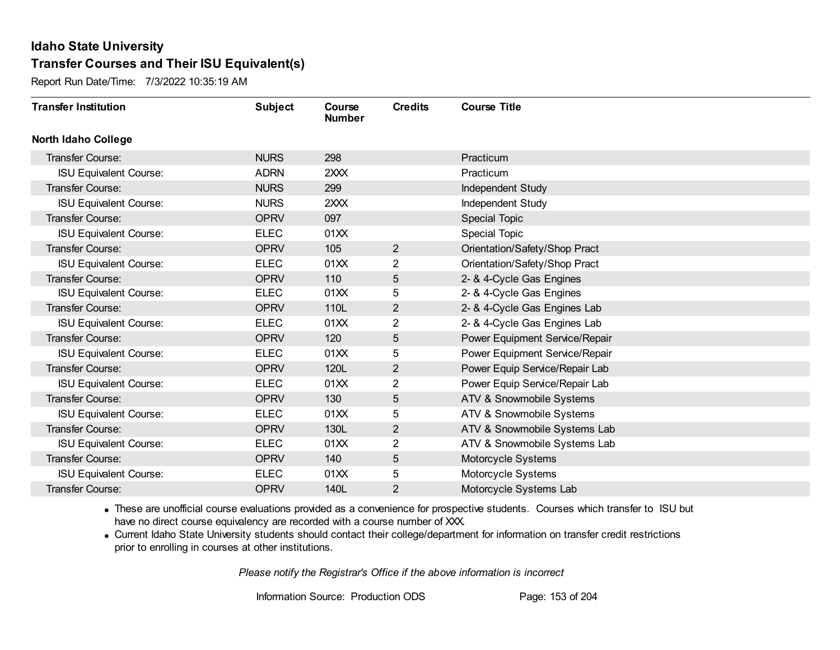Report Run Date/Time: 7/3/2022 10:35:19 AM

| <b>Transfer Institution</b>   | <b>Subject</b> | Course<br><b>Number</b> | <b>Credits</b> | <b>Course Title</b>            |
|-------------------------------|----------------|-------------------------|----------------|--------------------------------|
| <b>North Idaho College</b>    |                |                         |                |                                |
| Transfer Course:              | <b>NURS</b>    | 298                     |                | Practicum                      |
| <b>ISU Equivalent Course:</b> | <b>ADRN</b>    | 2XXX                    |                | Practicum                      |
| Transfer Course:              | <b>NURS</b>    | 299                     |                | Independent Study              |
| <b>ISU Equivalent Course:</b> | <b>NURS</b>    | 2XXX                    |                | Independent Study              |
| <b>Transfer Course:</b>       | <b>OPRV</b>    | 097                     |                | <b>Special Topic</b>           |
| <b>ISU Equivalent Course:</b> | <b>ELEC</b>    | 01XX                    |                | Special Topic                  |
| Transfer Course:              | <b>OPRV</b>    | 105                     | $\overline{2}$ | Orientation/Safety/Shop Pract  |
| <b>ISU Equivalent Course:</b> | <b>ELEC</b>    | 01XX                    | 2              | Orientation/Safety/Shop Pract  |
| Transfer Course:              | <b>OPRV</b>    | 110                     | 5              | 2- & 4-Cycle Gas Engines       |
| <b>ISU Equivalent Course:</b> | <b>ELEC</b>    | 01XX                    | 5              | 2- & 4-Cycle Gas Engines       |
| Transfer Course:              | <b>OPRV</b>    | 110L                    | $\overline{2}$ | 2- & 4-Cycle Gas Engines Lab   |
| <b>ISU Equivalent Course:</b> | <b>ELEC</b>    | 01XX                    | 2              | 2- & 4-Cycle Gas Engines Lab   |
| <b>Transfer Course:</b>       | <b>OPRV</b>    | 120                     | 5              | Power Equipment Service/Repair |
| <b>ISU Equivalent Course:</b> | <b>ELEC</b>    | 01XX                    | 5              | Power Equipment Service/Repair |
| Transfer Course:              | <b>OPRV</b>    | 120L                    | $\overline{2}$ | Power Equip Service/Repair Lab |
| <b>ISU Equivalent Course:</b> | <b>ELEC</b>    | 01XX                    | $\overline{2}$ | Power Equip Service/Repair Lab |
| Transfer Course:              | <b>OPRV</b>    | 130                     | 5              | ATV & Snowmobile Systems       |
| <b>ISU Equivalent Course:</b> | <b>ELEC</b>    | 01XX                    | 5              | ATV & Snowmobile Systems       |
| Transfer Course:              | <b>OPRV</b>    | 130L                    | $\overline{2}$ | ATV & Snowmobile Systems Lab   |
| <b>ISU Equivalent Course:</b> | <b>ELEC</b>    | 01XX                    | 2              | ATV & Snowmobile Systems Lab   |
| Transfer Course:              | <b>OPRV</b>    | 140                     | 5              | Motorcycle Systems             |
| <b>ISU Equivalent Course:</b> | <b>ELEC</b>    | 01XX                    | 5              | Motorcycle Systems             |
| Transfer Course:              | <b>OPRV</b>    | 140L                    | 2              | Motorcycle Systems Lab         |

· These are unofficial course evaluations provided as a convenience for prospective students. Courses which transfer to ISU but have no direct course equivalency are recorded with a course number of XXX.

· Current Idaho State University students should contact their college/department for information on transfer credit restrictions prior to enrolling in courses at other institutions.

*Please notify the Registrar's Office if the above information is incorrect*

Information Source: Production ODS Page: 153 of 204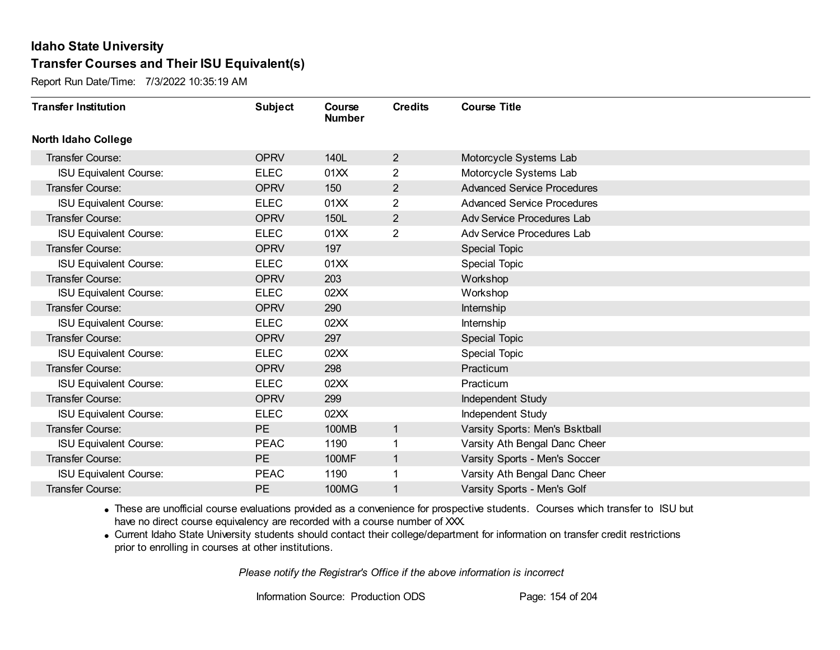Report Run Date/Time: 7/3/2022 10:35:19 AM

| <b>Transfer Institution</b>   | <b>Subject</b> | Course<br><b>Number</b> | <b>Credits</b> | <b>Course Title</b>                |
|-------------------------------|----------------|-------------------------|----------------|------------------------------------|
| <b>North Idaho College</b>    |                |                         |                |                                    |
| <b>Transfer Course:</b>       | <b>OPRV</b>    | 140L                    | $\overline{2}$ | Motorcycle Systems Lab             |
| <b>ISU Equivalent Course:</b> | <b>ELEC</b>    | 01XX                    | $\overline{2}$ | Motorcycle Systems Lab             |
| Transfer Course:              | <b>OPRV</b>    | 150                     | $\overline{2}$ | <b>Advanced Service Procedures</b> |
| <b>ISU Equivalent Course:</b> | <b>ELEC</b>    | 01XX                    | $\overline{2}$ | <b>Advanced Service Procedures</b> |
| <b>Transfer Course:</b>       | <b>OPRV</b>    | 150L                    | $\overline{2}$ | Adv Service Procedures Lab         |
| <b>ISU Equivalent Course:</b> | <b>ELEC</b>    | 01XX                    | 2              | Adv Service Procedures Lab         |
| Transfer Course:              | <b>OPRV</b>    | 197                     |                | <b>Special Topic</b>               |
| <b>ISU Equivalent Course:</b> | <b>ELEC</b>    | 01XX                    |                | Special Topic                      |
| Transfer Course:              | <b>OPRV</b>    | 203                     |                | Workshop                           |
| <b>ISU Equivalent Course:</b> | <b>ELEC</b>    | 02XX                    |                | Workshop                           |
| Transfer Course:              | <b>OPRV</b>    | 290                     |                | Internship                         |
| <b>ISU Equivalent Course:</b> | <b>ELEC</b>    | 02XX                    |                | Internship                         |
| Transfer Course:              | <b>OPRV</b>    | 297                     |                | <b>Special Topic</b>               |
| <b>ISU Equivalent Course:</b> | <b>ELEC</b>    | 02XX                    |                | <b>Special Topic</b>               |
| Transfer Course:              | <b>OPRV</b>    | 298                     |                | Practicum                          |
| <b>ISU Equivalent Course:</b> | <b>ELEC</b>    | 02XX                    |                | Practicum                          |
| Transfer Course:              | <b>OPRV</b>    | 299                     |                | Independent Study                  |
| <b>ISU Equivalent Course:</b> | <b>ELEC</b>    | 02XX                    |                | Independent Study                  |
| Transfer Course:              | PE             | <b>100MB</b>            | $\mathbf{1}$   | Varsity Sports: Men's Bsktball     |
| <b>ISU Equivalent Course:</b> | <b>PEAC</b>    | 1190                    |                | Varsity Ath Bengal Danc Cheer      |
| Transfer Course:              | PE             | <b>100MF</b>            | $\mathbf{1}$   | Varsity Sports - Men's Soccer      |
| <b>ISU Equivalent Course:</b> | <b>PEAC</b>    | 1190                    | 1              | Varsity Ath Bengal Danc Cheer      |
| Transfer Course:              | <b>PE</b>      | 100MG                   | 1              | Varsity Sports - Men's Golf        |

· These are unofficial course evaluations provided as a convenience for prospective students. Courses which transfer to ISU but have no direct course equivalency are recorded with a course number of XXX.

· Current Idaho State University students should contact their college/department for information on transfer credit restrictions prior to enrolling in courses at other institutions.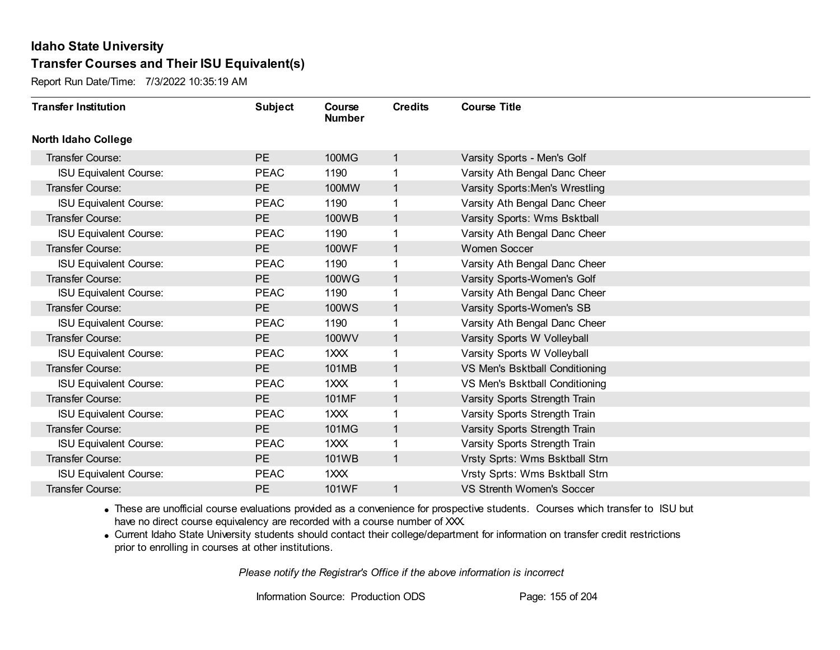Report Run Date/Time: 7/3/2022 10:35:19 AM

| <b>Transfer Institution</b>   | <b>Subject</b> | Course<br><b>Number</b>     | <b>Credits</b> | <b>Course Title</b>              |
|-------------------------------|----------------|-----------------------------|----------------|----------------------------------|
| North Idaho College           |                |                             |                |                                  |
| <b>Transfer Course:</b>       | PE             | 100MG                       | 1              | Varsity Sports - Men's Golf      |
| <b>ISU Equivalent Course:</b> | <b>PEAC</b>    | 1190                        |                | Varsity Ath Bengal Danc Cheer    |
| <b>Transfer Course:</b>       | <b>PE</b>      | 100MW                       | $\mathbf{1}$   | Varsity Sports: Men's Wrestling  |
| <b>ISU Equivalent Course:</b> | <b>PEAC</b>    | 1190                        | 1              | Varsity Ath Bengal Danc Cheer    |
| Transfer Course:              | <b>PE</b>      | 100WB                       | 1              | Varsity Sports: Wms Bsktball     |
| <b>ISU Equivalent Course:</b> | <b>PEAC</b>    | 1190                        |                | Varsity Ath Bengal Danc Cheer    |
| Transfer Course:              | PE             | 100WF                       | $\mathbf{1}$   | <b>Women Soccer</b>              |
| <b>ISU Equivalent Course:</b> | <b>PEAC</b>    | 1190                        |                | Varsity Ath Bengal Danc Cheer    |
| Transfer Course:              | <b>PE</b>      | 100WG                       | $\mathbf{1}$   | Varsity Sports-Women's Golf      |
| <b>ISU Equivalent Course:</b> | <b>PEAC</b>    | 1190                        | 1              | Varsity Ath Bengal Danc Cheer    |
| Transfer Course:              | PE             | <b>100WS</b>                | 1              | Varsity Sports-Women's SB        |
| <b>ISU Equivalent Course:</b> | <b>PEAC</b>    | 1190                        |                | Varsity Ath Bengal Danc Cheer    |
| Transfer Course:              | PE             | 100WV                       | 1              | Varsity Sports W Volleyball      |
| <b>ISU Equivalent Course:</b> | <b>PEAC</b>    | 1XXX                        |                | Varsity Sports W Volleyball      |
| Transfer Course:              | <b>PE</b>      | 101MB                       | 1              | VS Men's Bsktball Conditioning   |
| <b>ISU Equivalent Course:</b> | <b>PEAC</b>    | 1 <sup>2</sup> <sup>2</sup> | 1              | VS Men's Bsktball Conditioning   |
| Transfer Course:              | <b>PE</b>      | 101MF                       | 1              | Varsity Sports Strength Train    |
| <b>ISU Equivalent Course:</b> | <b>PEAC</b>    | 1XXX                        |                | Varsity Sports Strength Train    |
| Transfer Course:              | PE             | 101MG                       | $\mathbf{1}$   | Varsity Sports Strength Train    |
| <b>ISU Equivalent Course:</b> | <b>PEAC</b>    | 1XXX                        |                | Varsity Sports Strength Train    |
| Transfer Course:              | <b>PE</b>      | 101WB                       | $\mathbf{1}$   | Vrsty Sprts: Wms Bsktball Strn   |
| <b>ISU Equivalent Course:</b> | <b>PEAC</b>    | 1XXX                        |                | Vrsty Sprts: Wms Bsktball Strn   |
| Transfer Course:              | PE             | 101WF                       | 1              | <b>VS Strenth Women's Soccer</b> |

· These are unofficial course evaluations provided as a convenience for prospective students. Courses which transfer to ISU but have no direct course equivalency are recorded with a course number of XXX.

· Current Idaho State University students should contact their college/department for information on transfer credit restrictions prior to enrolling in courses at other institutions.

*Please notify the Registrar's Office if the above information is incorrect*

Information Source: Production ODS Page: 155 of 204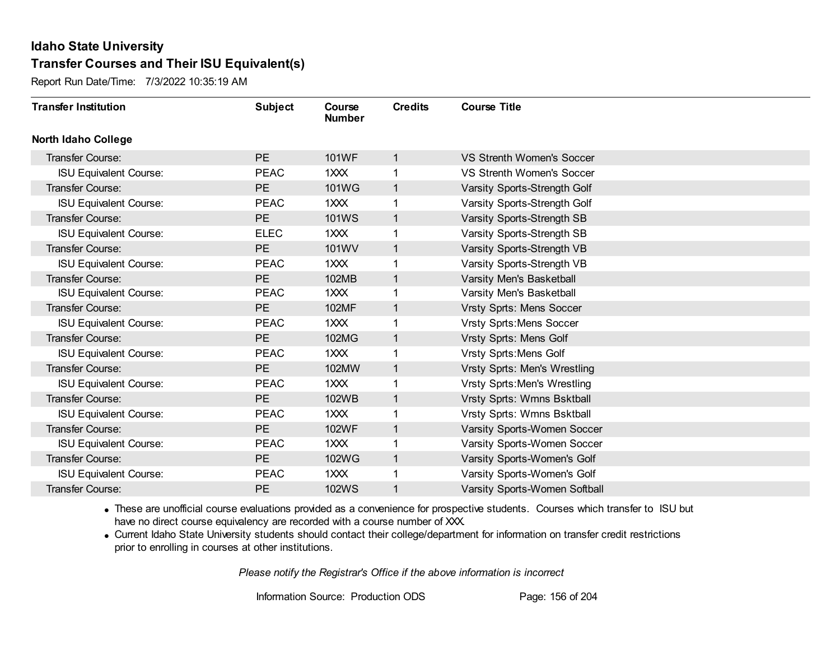Report Run Date/Time: 7/3/2022 10:35:19 AM

| <b>Transfer Institution</b>   | <b>Subject</b> | Course<br><b>Number</b> | <b>Credits</b> | <b>Course Title</b>                 |
|-------------------------------|----------------|-------------------------|----------------|-------------------------------------|
| <b>North Idaho College</b>    |                |                         |                |                                     |
| <b>Transfer Course:</b>       | <b>PE</b>      | 101WF                   | $\mathbf{1}$   | <b>VS Strenth Women's Soccer</b>    |
| <b>ISU Equivalent Course:</b> | <b>PEAC</b>    | 1XXX                    | 1.             | <b>VS Strenth Women's Soccer</b>    |
| Transfer Course:              | PE             | 101WG                   | $\mathbf{1}$   | Varsity Sports-Strength Golf        |
| <b>ISU Equivalent Course:</b> | <b>PEAC</b>    | 1XXX                    | 1              | Varsity Sports-Strength Golf        |
| <b>Transfer Course:</b>       | <b>PE</b>      | <b>101WS</b>            | $\mathbf{1}$   | Varsity Sports-Strength SB          |
| <b>ISU Equivalent Course:</b> | <b>ELEC</b>    | 1XXX                    | 1              | Varsity Sports-Strength SB          |
| Transfer Course:              | <b>PE</b>      | 101WV                   | $\mathbf{1}$   | Varsity Sports-Strength VB          |
| <b>ISU Equivalent Course:</b> | <b>PEAC</b>    | $12 2 2$                | 1              | Varsity Sports-Strength VB          |
| Transfer Course:              | <b>PE</b>      | 102MB                   | $\mathbf{1}$   | Varsity Men's Basketball            |
| <b>ISU Equivalent Course:</b> | <b>PEAC</b>    | 1 <sup>2</sup>          | 1              | Varsity Men's Basketball            |
| Transfer Course:              | <b>PE</b>      | 102MF                   | $\mathbf 1$    | Vrsty Sprts: Mens Soccer            |
| <b>ISU Equivalent Course:</b> | <b>PEAC</b>    | 1XXX                    | 1              | <b>Vrsty Sprts: Mens Soccer</b>     |
| Transfer Course:              | PE             | 102MG                   | $\mathbf{1}$   | Vrsty Sprts: Mens Golf              |
| <b>ISU Equivalent Course:</b> | <b>PEAC</b>    | 1XXX                    | 1              | <b>Vrsty Sprts: Mens Golf</b>       |
| Transfer Course:              | PE             | 102MW                   | $\mathbf{1}$   | Vrsty Sprts: Men's Wrestling        |
| <b>ISU Equivalent Course:</b> | <b>PEAC</b>    | $12 2 2$                | 1              | <b>Vrsty Sprts: Men's Wrestling</b> |
| Transfer Course:              | <b>PE</b>      | 102WB                   | $\mathbf{1}$   | Vrsty Sprts: Wmns Bsktball          |
| <b>ISU Equivalent Course:</b> | <b>PEAC</b>    | 1XXX                    | 1              | Vrsty Sprts: Wmns Bsktball          |
| Transfer Course:              | PE             | 102WF                   | $\mathbf{1}$   | Varsity Sports-Women Soccer         |
| <b>ISU Equivalent Course:</b> | <b>PEAC</b>    | 1 <sup>2</sup>          |                | Varsity Sports-Women Soccer         |
| Transfer Course:              | PE             | 102WG                   | $\mathbf{1}$   | Varsity Sports-Women's Golf         |
| <b>ISU Equivalent Course:</b> | <b>PEAC</b>    | 1XXX                    | 1              | Varsity Sports-Women's Golf         |
| Transfer Course:              | <b>PE</b>      | <b>102WS</b>            | 1              | Varsity Sports-Women Softball       |

· These are unofficial course evaluations provided as a convenience for prospective students. Courses which transfer to ISU but have no direct course equivalency are recorded with a course number of XXX.

· Current Idaho State University students should contact their college/department for information on transfer credit restrictions prior to enrolling in courses at other institutions.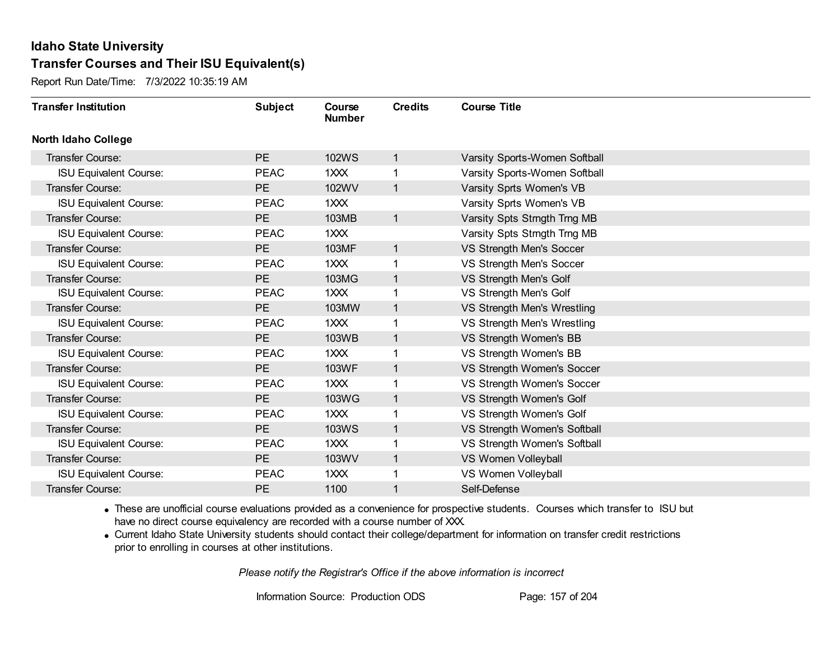Report Run Date/Time: 7/3/2022 10:35:19 AM

| <b>Transfer Institution</b>   | <b>Subject</b> | Course<br><b>Number</b> | <b>Credits</b> | <b>Course Title</b>           |
|-------------------------------|----------------|-------------------------|----------------|-------------------------------|
| <b>North Idaho College</b>    |                |                         |                |                               |
| Transfer Course:              | <b>PE</b>      | <b>102WS</b>            | $\mathbf{1}$   | Varsity Sports-Women Softball |
| <b>ISU Equivalent Course:</b> | <b>PEAC</b>    | 1 <sup>2</sup>          | 1.             | Varsity Sports-Women Softball |
| Transfer Course:              | PE             | 102WV                   | $\mathbf{1}$   | Varsity Sprts Women's VB      |
| <b>ISU Equivalent Course:</b> | <b>PEAC</b>    | $12 2 2$                |                | Varsity Sprts Women's VB      |
| <b>Transfer Course:</b>       | <b>PE</b>      | 103MB                   | $\mathbf{1}$   | Varsity Spts Strngth Trng MB  |
| <b>ISU Equivalent Course:</b> | <b>PEAC</b>    | 1XXX                    |                | Varsity Spts Strngth Trng MB  |
| Transfer Course:              | PE             | 103MF                   | $\mathbf{1}$   | VS Strength Men's Soccer      |
| <b>ISU Equivalent Course:</b> | <b>PEAC</b>    | 1 <sup>2</sup>          | 1              | VS Strength Men's Soccer      |
| Transfer Course:              | <b>PE</b>      | 103MG                   | $\mathbf{1}$   | VS Strength Men's Golf        |
| <b>ISU Equivalent Course:</b> | <b>PEAC</b>    | 1 <sup>2</sup>          | 1              | VS Strength Men's Golf        |
| <b>Transfer Course:</b>       | <b>PE</b>      | 103MW                   | $\mathbf{1}$   | VS Strength Men's Wrestling   |
| <b>ISU Equivalent Course:</b> | <b>PEAC</b>    | 1XXX                    | 1              | VS Strength Men's Wrestling   |
| Transfer Course:              | PE             | 103WB                   | 1              | VS Strength Women's BB        |
| <b>ISU Equivalent Course:</b> | <b>PEAC</b>    | 1 <sup>2</sup>          | 1              | VS Strength Women's BB        |
| Transfer Course:              | <b>PE</b>      | <b>103WF</b>            | $\mathbf 1$    | VS Strength Women's Soccer    |
| <b>ISU Equivalent Course:</b> | <b>PEAC</b>    | $12 2 2$                | 1              | VS Strength Women's Soccer    |
| Transfer Course:              | <b>PE</b>      | 103WG                   | $\mathbf{1}$   | VS Strength Women's Golf      |
| <b>ISU Equivalent Course:</b> | <b>PEAC</b>    | 1XXX                    | 1              | VS Strength Women's Golf      |
| Transfer Course:              | PE             | <b>103WS</b>            | $\mathbf{1}$   | VS Strength Women's Softball  |
| <b>ISU Equivalent Course:</b> | <b>PEAC</b>    | 1 <sup>2</sup>          | 1              | VS Strength Women's Softball  |
| Transfer Course:              | <b>PE</b>      | 103WV                   | $\mathbf{1}$   | VS Women Volleyball           |
| <b>ISU Equivalent Course:</b> | <b>PEAC</b>    | 1XXX                    | 1              | VS Women Volleyball           |
| Transfer Course:              | <b>PE</b>      | 1100                    | 1              | Self-Defense                  |

· These are unofficial course evaluations provided as a convenience for prospective students. Courses which transfer to ISU but have no direct course equivalency are recorded with a course number of XXX.

· Current Idaho State University students should contact their college/department for information on transfer credit restrictions prior to enrolling in courses at other institutions.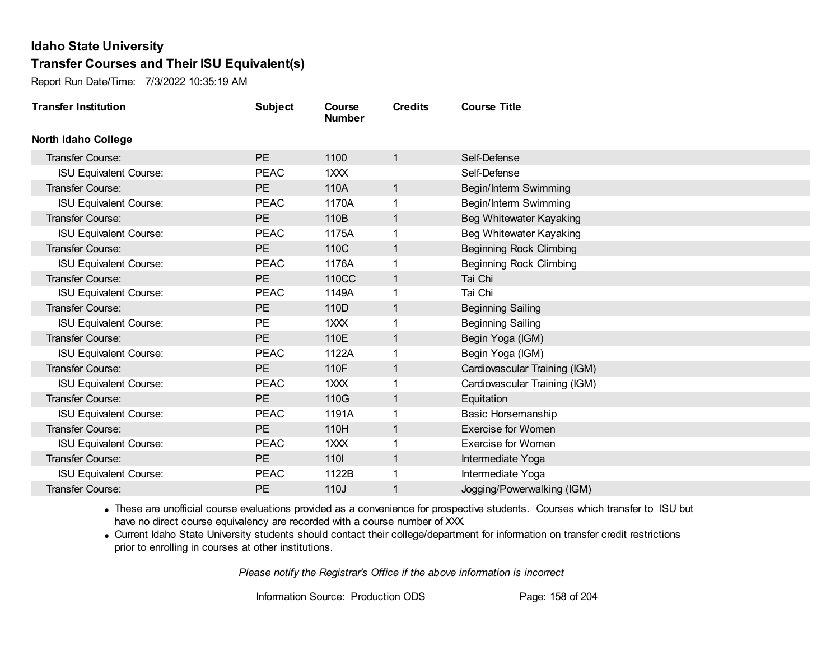Report Run Date/Time: 7/3/2022 10:35:19 AM

| <b>Transfer Institution</b>   | <b>Subject</b> | Course<br><b>Number</b> | <b>Credits</b> | <b>Course Title</b>            |
|-------------------------------|----------------|-------------------------|----------------|--------------------------------|
| <b>North Idaho College</b>    |                |                         |                |                                |
| <b>Transfer Course:</b>       | PE             | 1100                    | 1              | Self-Defense                   |
| <b>ISU Equivalent Course:</b> | <b>PEAC</b>    | 1XXX                    |                | Self-Defense                   |
| <b>Transfer Course:</b>       | PE             | 110A                    | 1              | Begin/Interm Swimming          |
| <b>ISU Equivalent Course:</b> | <b>PEAC</b>    | 1170A                   | 1              | Begin/Interm Swimming          |
| Transfer Course:              | <b>PE</b>      | 110B                    | 1              | Beg Whitewater Kayaking        |
| <b>ISU Equivalent Course:</b> | <b>PEAC</b>    | 1175A                   |                | Beg Whitewater Kayaking        |
| <b>Transfer Course:</b>       | PE             | 110C                    | 1              | <b>Beginning Rock Climbing</b> |
| <b>ISU Equivalent Course:</b> | <b>PEAC</b>    | 1176A                   |                | <b>Beginning Rock Climbing</b> |
| Transfer Course:              | <b>PE</b>      | 110CC                   | 1              | Tai Chi                        |
| <b>ISU Equivalent Course:</b> | <b>PEAC</b>    | 1149A                   |                | Tai Chi                        |
| Transfer Course:              | <b>PE</b>      | 110D                    | 1              | <b>Beginning Sailing</b>       |
| <b>ISU Equivalent Course:</b> | <b>PE</b>      | 1XXX                    |                | <b>Beginning Sailing</b>       |
| Transfer Course:              | <b>PE</b>      | 110E                    |                | Begin Yoga (IGM)               |
| <b>ISU Equivalent Course:</b> | <b>PEAC</b>    | 1122A                   |                | Begin Yoga (IGM)               |
| Transfer Course:              | PE             | 110F                    | 1              | Cardiovascular Training (IGM)  |
| <b>ISU Equivalent Course:</b> | <b>PEAC</b>    | 1XXX                    | 1              | Cardiovascular Training (IGM)  |
| Transfer Course:              | PE             | 110G                    | 1              | Equitation                     |
| <b>ISU Equivalent Course:</b> | <b>PEAC</b>    | 1191A                   |                | <b>Basic Horsemanship</b>      |
| <b>Transfer Course:</b>       | <b>PE</b>      | 110H                    | 1              | <b>Exercise for Women</b>      |
| <b>ISU Equivalent Course:</b> | <b>PEAC</b>    | 1XXX                    |                | <b>Exercise for Women</b>      |
| Transfer Course:              | <b>PE</b>      | 110                     | 1              | Intermediate Yoga              |
| <b>ISU Equivalent Course:</b> | <b>PEAC</b>    | 1122B                   |                | Intermediate Yoga              |
| Transfer Course:              | <b>PE</b>      | 110J                    |                | Jogging/Powerwalking (IGM)     |

· These are unofficial course evaluations provided as a convenience for prospective students. Courses which transfer to ISU but have no direct course equivalency are recorded with a course number of XXX.

· Current Idaho State University students should contact their college/department for information on transfer credit restrictions prior to enrolling in courses at other institutions.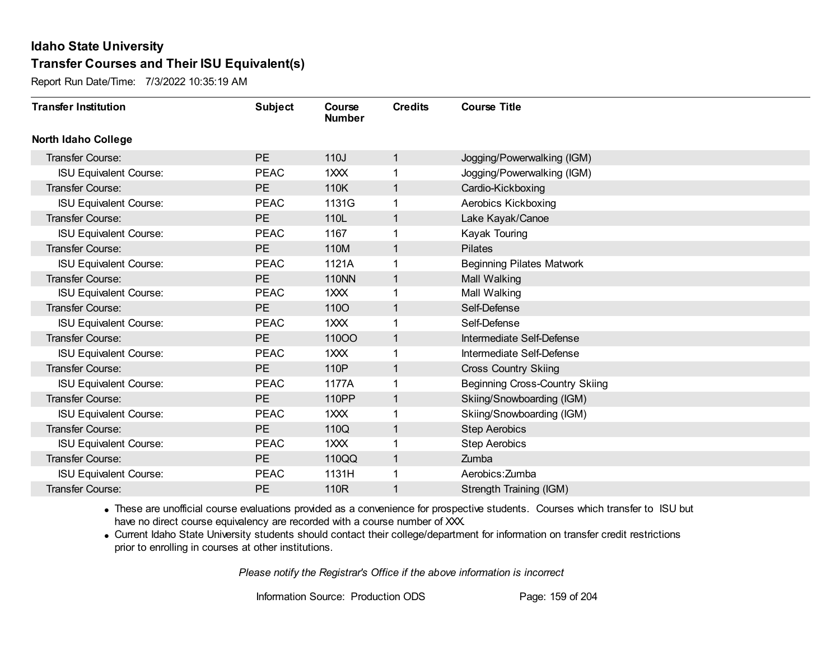Report Run Date/Time: 7/3/2022 10:35:19 AM

| <b>Transfer Institution</b>   | <b>Subject</b> | Course<br><b>Number</b> | <b>Credits</b> | <b>Course Title</b>                   |
|-------------------------------|----------------|-------------------------|----------------|---------------------------------------|
| <b>North Idaho College</b>    |                |                         |                |                                       |
| Transfer Course:              | <b>PE</b>      | 110J                    | $\mathbf{1}$   | Jogging/Powerwalking (IGM)            |
| <b>ISU Equivalent Course:</b> | <b>PEAC</b>    | 1XXX                    | 1              | Jogging/Powerwalking (IGM)            |
| <b>Transfer Course:</b>       | <b>PE</b>      | 110K                    | $\mathbf{1}$   | Cardio-Kickboxing                     |
| <b>ISU Equivalent Course:</b> | <b>PEAC</b>    | 1131G                   | 1              | Aerobics Kickboxing                   |
| Transfer Course:              | <b>PE</b>      | 110L                    | $\mathbf{1}$   | Lake Kayak/Canoe                      |
| <b>ISU Equivalent Course:</b> | <b>PEAC</b>    | 1167                    |                | Kayak Touring                         |
| <b>Transfer Course:</b>       | <b>PE</b>      | 110M                    | $\mathbf{1}$   | <b>Pilates</b>                        |
| <b>ISU Equivalent Course:</b> | <b>PEAC</b>    | 1121A                   | 1              | <b>Beginning Pilates Matwork</b>      |
| Transfer Course:              | <b>PE</b>      | <b>110NN</b>            | $\mathbf{1}$   | Mall Walking                          |
| <b>ISU Equivalent Course:</b> | <b>PEAC</b>    | 1XXX                    | 1              | Mall Walking                          |
| Transfer Course:              | <b>PE</b>      | <b>1100</b>             | 1              | Self-Defense                          |
| <b>ISU Equivalent Course:</b> | <b>PEAC</b>    | 1XXX                    | 1              | Self-Defense                          |
| <b>Transfer Course:</b>       | <b>PE</b>      | 11000                   | 1              | Intermediate Self-Defense             |
| <b>ISU Equivalent Course:</b> | <b>PEAC</b>    | 1XXX                    | 1              | Intermediate Self-Defense             |
| Transfer Course:              | <b>PE</b>      | 110P                    | $\mathbf{1}$   | <b>Cross Country Skiing</b>           |
| <b>ISU Equivalent Course:</b> | <b>PEAC</b>    | 1177A                   | 1              | <b>Beginning Cross-Country Skiing</b> |
| Transfer Course:              | <b>PE</b>      | 110PP                   | $\mathbf{1}$   | Skiing/Snowboarding (IGM)             |
| <b>ISU Equivalent Course:</b> | <b>PEAC</b>    | 1XXX                    |                | Skiing/Snowboarding (IGM)             |
| <b>Transfer Course:</b>       | <b>PE</b>      | 110Q                    | $\mathbf{1}$   | <b>Step Aerobics</b>                  |
| <b>ISU Equivalent Course:</b> | <b>PEAC</b>    | 1XXX                    |                | <b>Step Aerobics</b>                  |
| <b>Transfer Course:</b>       | PE             | 110QQ                   | $\mathbf{1}$   | Zumba                                 |
| <b>ISU Equivalent Course:</b> | <b>PEAC</b>    | 1131H                   | 1              | Aerobics: Zumba                       |
| Transfer Course:              | <b>PE</b>      | 110R                    |                | Strength Training (IGM)               |

· These are unofficial course evaluations provided as a convenience for prospective students. Courses which transfer to ISU but have no direct course equivalency are recorded with a course number of XXX.

· Current Idaho State University students should contact their college/department for information on transfer credit restrictions prior to enrolling in courses at other institutions.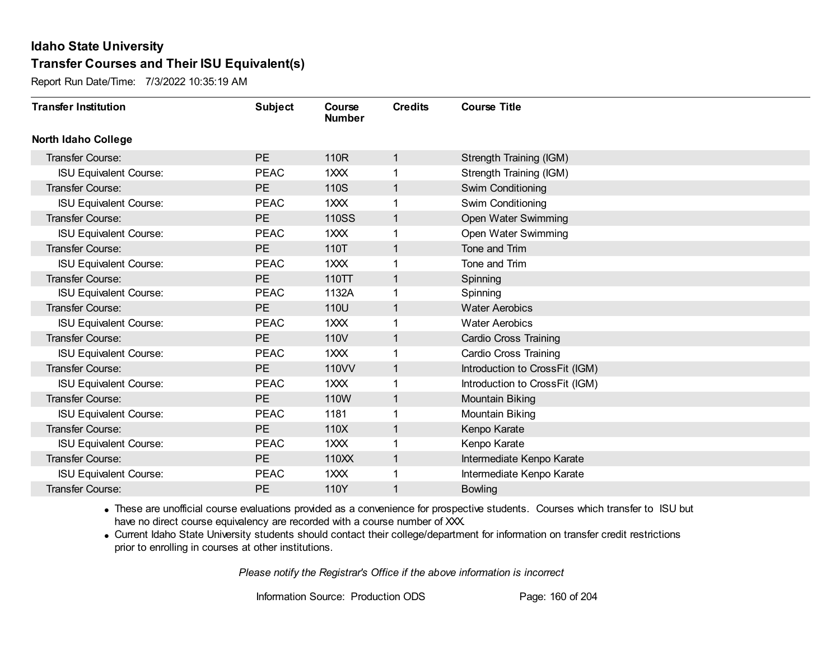Report Run Date/Time: 7/3/2022 10:35:19 AM

| <b>Transfer Institution</b>   | <b>Subject</b> | Course<br><b>Number</b> | <b>Credits</b> | <b>Course Title</b>            |
|-------------------------------|----------------|-------------------------|----------------|--------------------------------|
| <b>North Idaho College</b>    |                |                         |                |                                |
| Transfer Course:              | <b>PE</b>      | 110R                    | 1              | Strength Training (IGM)        |
| <b>ISU Equivalent Course:</b> | <b>PEAC</b>    | 1XXX                    |                | Strength Training (IGM)        |
| Transfer Course:              | PE             | 110S                    | 1              | Swim Conditioning              |
| <b>ISU Equivalent Course:</b> | <b>PEAC</b>    | 1XXX                    |                | Swim Conditioning              |
| <b>Transfer Course:</b>       | <b>PE</b>      | <b>110SS</b>            | $\mathbf{1}$   | Open Water Swimming            |
| <b>ISU Equivalent Course:</b> | <b>PEAC</b>    | 1XXX                    |                | Open Water Swimming            |
| Transfer Course:              | PE             | 110T                    | $\mathbf 1$    | Tone and Trim                  |
| <b>ISU Equivalent Course:</b> | <b>PEAC</b>    | 1XXX                    |                | Tone and Trim                  |
| Transfer Course:              | <b>PE</b>      | 110TT                   | 1              | Spinning                       |
| <b>ISU Equivalent Course:</b> | <b>PEAC</b>    | 1132A                   |                | Spinning                       |
| <b>Transfer Course:</b>       | PE             | 110U                    | 1              | <b>Water Aerobics</b>          |
| <b>ISU Equivalent Course:</b> | <b>PEAC</b>    | 1XXX                    |                | <b>Water Aerobics</b>          |
| Transfer Course:              | PE             | 110V                    | 1              | <b>Cardio Cross Training</b>   |
| <b>ISU Equivalent Course:</b> | <b>PEAC</b>    | 1XXX                    |                | <b>Cardio Cross Training</b>   |
| Transfer Course:              | PE             | 110VV                   | 1              | Introduction to CrossFit (IGM) |
| <b>ISU Equivalent Course:</b> | <b>PEAC</b>    | 1XXX                    | 1              | Introduction to CrossFit (IGM) |
| Transfer Course:              | PE             | 110W                    | 1              | <b>Mountain Biking</b>         |
| <b>ISU Equivalent Course:</b> | <b>PEAC</b>    | 1181                    |                | Mountain Biking                |
| Transfer Course:              | PE             | 110X                    | $\mathbf{1}$   | Kenpo Karate                   |
| <b>ISU Equivalent Course:</b> | <b>PEAC</b>    | 1XXX                    |                | Kenpo Karate                   |
| <b>Transfer Course:</b>       | PE             | 110XX                   | $\mathbf{1}$   | Intermediate Kenpo Karate      |
| <b>ISU Equivalent Course:</b> | <b>PEAC</b>    | 1XXX                    |                | Intermediate Kenpo Karate      |
| Transfer Course:              | <b>PE</b>      | 110Y                    | 1              | <b>Bowling</b>                 |

· These are unofficial course evaluations provided as a convenience for prospective students. Courses which transfer to ISU but have no direct course equivalency are recorded with a course number of XXX.

· Current Idaho State University students should contact their college/department for information on transfer credit restrictions prior to enrolling in courses at other institutions.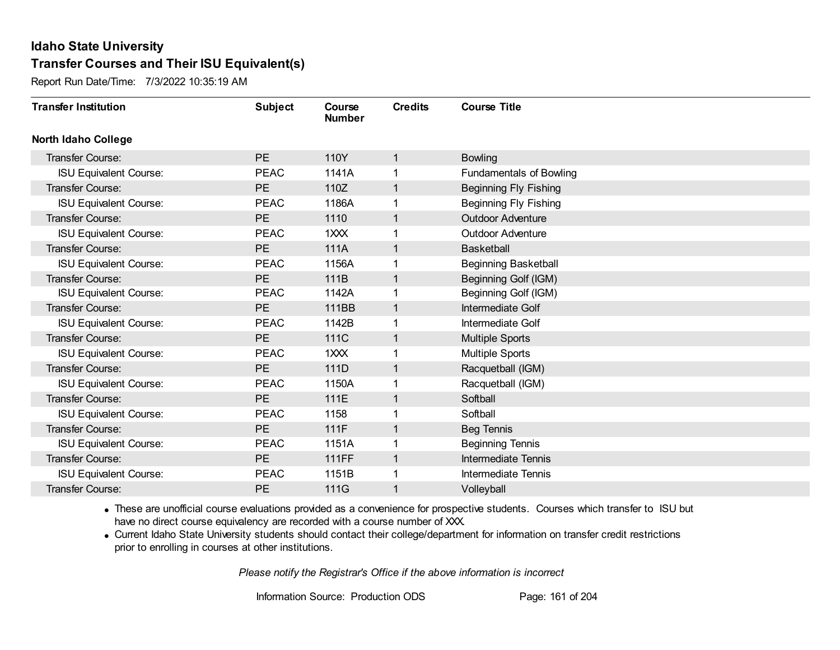Report Run Date/Time: 7/3/2022 10:35:19 AM

| <b>Transfer Institution</b>   | <b>Subject</b> | Course<br><b>Number</b> | <b>Credits</b> | <b>Course Title</b>            |
|-------------------------------|----------------|-------------------------|----------------|--------------------------------|
| <b>North Idaho College</b>    |                |                         |                |                                |
| <b>Transfer Course:</b>       | PE             | 110Y                    | 1              | <b>Bowling</b>                 |
| ISU Equivalent Course:        | <b>PEAC</b>    | 1141A                   |                | <b>Fundamentals of Bowling</b> |
| Transfer Course:              | PE             | 110Z                    | 1              | <b>Beginning Fly Fishing</b>   |
| <b>ISU Equivalent Course:</b> | <b>PEAC</b>    | 1186A                   |                | <b>Beginning Fly Fishing</b>   |
| <b>Transfer Course:</b>       | PE             | 1110                    | 1              | <b>Outdoor Adventure</b>       |
| <b>ISU Equivalent Course:</b> | <b>PEAC</b>    | 1XXX                    |                | <b>Outdoor Adventure</b>       |
| Transfer Course:              | PE             | 111A                    | 1              | <b>Basketball</b>              |
| <b>ISU Equivalent Course:</b> | <b>PEAC</b>    | 1156A                   |                | <b>Beginning Basketball</b>    |
| <b>Transfer Course:</b>       | <b>PE</b>      | 111B                    |                | Beginning Golf (IGM)           |
| <b>ISU Equivalent Course:</b> | <b>PEAC</b>    | 1142A                   |                | Beginning Golf (IGM)           |
| Transfer Course:              | PE             | 111BB                   | 1              | Intermediate Golf              |
| <b>ISU Equivalent Course:</b> | <b>PEAC</b>    | 1142B                   |                | Intermediate Golf              |
| Transfer Course:              | PE             | 111C                    | 1              | <b>Multiple Sports</b>         |
| <b>ISU Equivalent Course:</b> | <b>PEAC</b>    | 1XXX                    |                | Multiple Sports                |
| Transfer Course:              | <b>PE</b>      | 111D                    |                | Racquetball (IGM)              |
| <b>ISU Equivalent Course:</b> | <b>PEAC</b>    | 1150A                   |                | Racquetball (IGM)              |
| Transfer Course:              | PE             | 111E                    | 1              | Softball                       |
| <b>ISU Equivalent Course:</b> | <b>PEAC</b>    | 1158                    | 1              | Softball                       |
| Transfer Course:              | <b>PE</b>      | 111F                    | 1              | <b>Beg Tennis</b>              |
| ISU Equivalent Course:        | <b>PEAC</b>    | 1151A                   |                | <b>Beginning Tennis</b>        |
| Transfer Course:              | <b>PE</b>      | <b>111FF</b>            | 1              | <b>Intermediate Tennis</b>     |
| <b>ISU Equivalent Course:</b> | <b>PEAC</b>    | 1151B                   |                | Intermediate Tennis            |
| Transfer Course:              | <b>PE</b>      | 111G                    |                | Volleyball                     |

· These are unofficial course evaluations provided as a convenience for prospective students. Courses which transfer to ISU but have no direct course equivalency are recorded with a course number of XXX.

· Current Idaho State University students should contact their college/department for information on transfer credit restrictions prior to enrolling in courses at other institutions.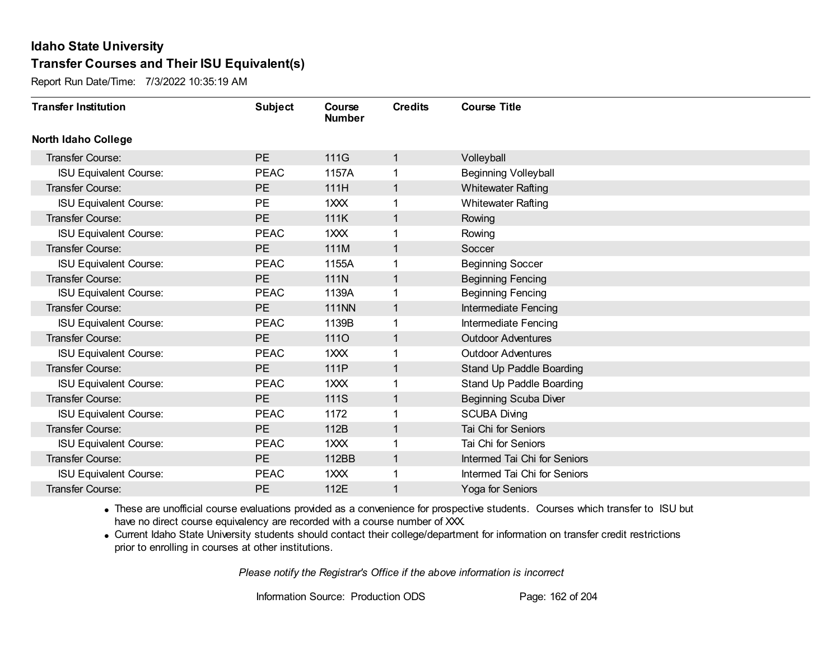Report Run Date/Time: 7/3/2022 10:35:19 AM

| <b>Transfer Institution</b>   | <b>Subject</b> | Course<br><b>Number</b> | <b>Credits</b> | <b>Course Title</b>          |
|-------------------------------|----------------|-------------------------|----------------|------------------------------|
| <b>North Idaho College</b>    |                |                         |                |                              |
| <b>Transfer Course:</b>       | <b>PE</b>      | 111G                    | 1              | Volleyball                   |
| ISU Equivalent Course:        | <b>PEAC</b>    | 1157A                   | 1              | <b>Beginning Volleyball</b>  |
| Transfer Course:              | PE             | 111H                    | $\mathbf{1}$   | <b>Whitewater Rafting</b>    |
| <b>ISU Equivalent Course:</b> | <b>PE</b>      | 1XXX                    | 1              | <b>Whitewater Rafting</b>    |
| <b>Transfer Course:</b>       | <b>PE</b>      | 111K                    | $\mathbf{1}$   | Rowing                       |
| <b>ISU Equivalent Course:</b> | <b>PEAC</b>    | 1XXX                    | 1              | Rowing                       |
| Transfer Course:              | <b>PE</b>      | 111M                    | $\mathbf{1}$   | Soccer                       |
| <b>ISU Equivalent Course:</b> | <b>PEAC</b>    | 1155A                   | 1              | <b>Beginning Soccer</b>      |
| Transfer Course:              | PE             | 111N                    | $\mathbf{1}$   | <b>Beginning Fencing</b>     |
| <b>ISU Equivalent Course:</b> | <b>PEAC</b>    | 1139A                   | 1              | <b>Beginning Fencing</b>     |
| Transfer Course:              | <b>PE</b>      | <b>111NN</b>            | $\mathbf 1$    | Intermediate Fencing         |
| <b>ISU Equivalent Course:</b> | <b>PEAC</b>    | 1139B                   | 1              | Intermediate Fencing         |
| Transfer Course:              | PE             | <b>1110</b>             | 1              | <b>Outdoor Adventures</b>    |
| <b>ISU Equivalent Course:</b> | <b>PEAC</b>    | 1XXX                    | 1              | <b>Outdoor Adventures</b>    |
| Transfer Course:              | PE             | 111P                    | $\mathbf{1}$   | Stand Up Paddle Boarding     |
| <b>ISU Equivalent Course:</b> | <b>PEAC</b>    | 1XXX                    | 1              | Stand Up Paddle Boarding     |
| Transfer Course:              | <b>PE</b>      | 111S                    | $\mathbf{1}$   | <b>Beginning Scuba Diver</b> |
| <b>ISU Equivalent Course:</b> | <b>PEAC</b>    | 1172                    | 1              | <b>SCUBA Diving</b>          |
| Transfer Course:              | <b>PE</b>      | 112B                    | $\mathbf{1}$   | Tai Chi for Seniors          |
| <b>ISU Equivalent Course:</b> | <b>PEAC</b>    | 1XXX                    |                | Tai Chi for Seniors          |
| <b>Transfer Course:</b>       | PE             | 112BB                   | $\mathbf{1}$   | Intermed Tai Chi for Seniors |
| <b>ISU Equivalent Course:</b> | <b>PEAC</b>    | 1XXX                    | 1              | Intermed Tai Chi for Seniors |
| Transfer Course:              | <b>PE</b>      | 112E                    | 1              | Yoga for Seniors             |

· These are unofficial course evaluations provided as a convenience for prospective students. Courses which transfer to ISU but have no direct course equivalency are recorded with a course number of XXX.

· Current Idaho State University students should contact their college/department for information on transfer credit restrictions prior to enrolling in courses at other institutions.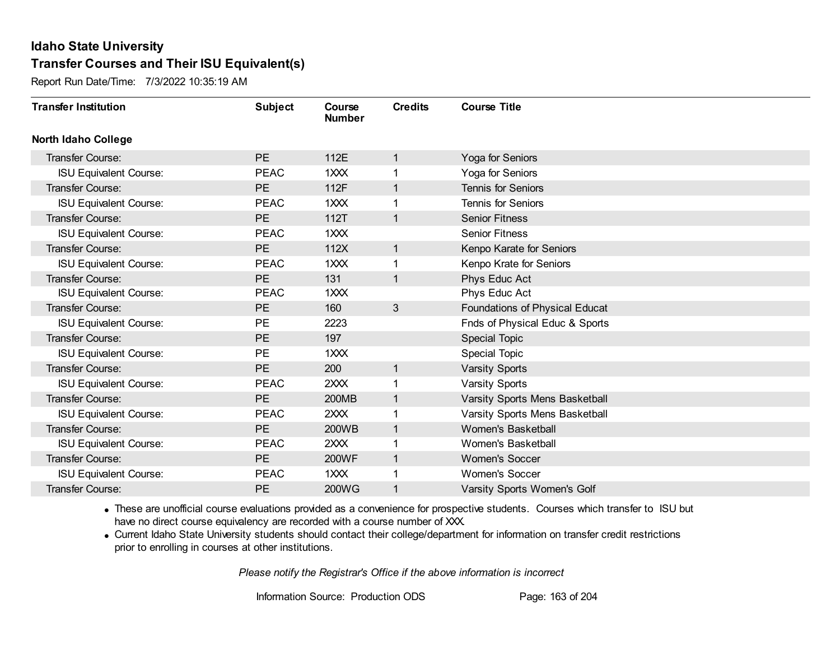Report Run Date/Time: 7/3/2022 10:35:19 AM

| <b>Transfer Institution</b>   | <b>Subject</b> | Course<br><b>Number</b> | <b>Credits</b> | <b>Course Title</b>            |
|-------------------------------|----------------|-------------------------|----------------|--------------------------------|
| <b>North Idaho College</b>    |                |                         |                |                                |
| Transfer Course:              | <b>PE</b>      | 112E                    | 1              | Yoga for Seniors               |
| <b>ISU Equivalent Course:</b> | <b>PEAC</b>    | 1XXX                    | 1              | Yoga for Seniors               |
| Transfer Course:              | <b>PE</b>      | 112F                    | $\mathbf{1}$   | <b>Tennis for Seniors</b>      |
| <b>ISU Equivalent Course:</b> | <b>PEAC</b>    | 1XXX                    | 1              | <b>Tennis for Seniors</b>      |
| <b>Transfer Course:</b>       | <b>PE</b>      | 112T                    | $\mathbf{1}$   | <b>Senior Fitness</b>          |
| <b>ISU Equivalent Course:</b> | <b>PEAC</b>    | 1XXX                    |                | <b>Senior Fitness</b>          |
| Transfer Course:              | PE             | 112X                    | $\mathbf{1}$   | Kenpo Karate for Seniors       |
| <b>ISU Equivalent Course:</b> | <b>PEAC</b>    | 1XXX                    | 1              | Kenpo Krate for Seniors        |
| Transfer Course:              | <b>PE</b>      | 131                     | $\mathbf{1}$   | Phys Educ Act                  |
| <b>ISU Equivalent Course:</b> | <b>PEAC</b>    | 1XXX                    |                | Phys Educ Act                  |
| <b>Transfer Course:</b>       | <b>PE</b>      | 160                     | $\mathbf{3}$   | Foundations of Physical Educat |
| <b>ISU Equivalent Course:</b> | <b>PE</b>      | 2223                    |                | Fnds of Physical Educ & Sports |
| Transfer Course:              | PE             | 197                     |                | Special Topic                  |
| <b>ISU Equivalent Course:</b> | <b>PE</b>      | 1XXX                    |                | <b>Special Topic</b>           |
| Transfer Course:              | <b>PE</b>      | 200                     | $\mathbf{1}$   | <b>Varsity Sports</b>          |
| <b>ISU Equivalent Course:</b> | <b>PEAC</b>    | 2XXX                    | 1              | <b>Varsity Sports</b>          |
| Transfer Course:              | <b>PE</b>      | <b>200MB</b>            | $\mathbf{1}$   | Varsity Sports Mens Basketball |
| <b>ISU Equivalent Course:</b> | <b>PEAC</b>    | 2XXX                    | 1              | Varsity Sports Mens Basketball |
| Transfer Course:              | PE             | 200WB                   | $\mathbf{1}$   | Women's Basketball             |
| <b>ISU Equivalent Course:</b> | <b>PEAC</b>    | 2XXX                    |                | Women's Basketball             |
| Transfer Course:              | <b>PE</b>      | 200WF                   | $\mathbf{1}$   | <b>Women's Soccer</b>          |
| <b>ISU Equivalent Course:</b> | <b>PEAC</b>    | 1XXX                    | 1              | <b>Women's Soccer</b>          |
| Transfer Course:              | <b>PE</b>      | 200WG                   | 1              | Varsity Sports Women's Golf    |

· These are unofficial course evaluations provided as a convenience for prospective students. Courses which transfer to ISU but have no direct course equivalency are recorded with a course number of XXX.

· Current Idaho State University students should contact their college/department for information on transfer credit restrictions prior to enrolling in courses at other institutions.

*Please notify the Registrar's Office if the above information is incorrect*

Information Source: Production ODS Page: 163 of 204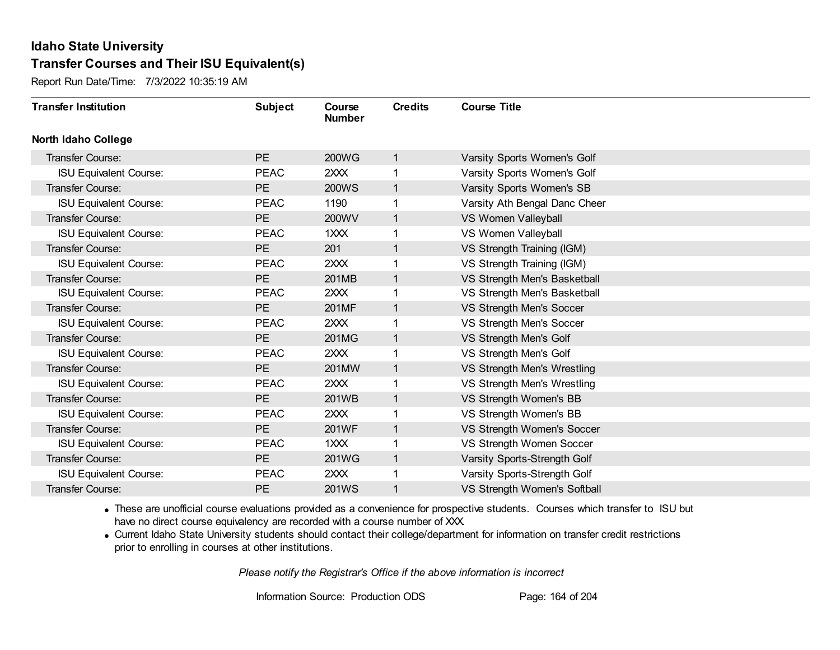Report Run Date/Time: 7/3/2022 10:35:19 AM

| <b>Transfer Institution</b>   | <b>Subject</b> | Course<br><b>Number</b> | <b>Credits</b> | <b>Course Title</b>           |
|-------------------------------|----------------|-------------------------|----------------|-------------------------------|
| <b>North Idaho College</b>    |                |                         |                |                               |
| Transfer Course:              | <b>PE</b>      | <b>200WG</b>            | $\mathbf{1}$   | Varsity Sports Women's Golf   |
| <b>ISU Equivalent Course:</b> | <b>PEAC</b>    | 2XXX                    | 1              | Varsity Sports Women's Golf   |
| Transfer Course:              | PE             | <b>200WS</b>            | $\mathbf{1}$   | Varsity Sports Women's SB     |
| <b>ISU Equivalent Course:</b> | <b>PEAC</b>    | 1190                    | 1              | Varsity Ath Bengal Danc Cheer |
| <b>Transfer Course:</b>       | <b>PE</b>      | 200WV                   | $\mathbf{1}$   | VS Women Valleyball           |
| <b>ISU Equivalent Course:</b> | <b>PEAC</b>    | 1XXX                    | 1              | VS Women Valleyball           |
| Transfer Course:              | PE             | 201                     | $\mathbf{1}$   | VS Strength Training (IGM)    |
| <b>ISU Equivalent Course:</b> | <b>PEAC</b>    | 2XXX                    |                | VS Strength Training (IGM)    |
| Transfer Course:              | <b>PE</b>      | 201MB                   | $\mathbf{1}$   | VS Strength Men's Basketball  |
| <b>ISU Equivalent Course:</b> | <b>PEAC</b>    | 2XX                     | 1              | VS Strength Men's Basketball  |
| <b>Transfer Course:</b>       | <b>PE</b>      | 201MF                   | $\mathbf{1}$   | VS Strength Men's Soccer      |
| <b>ISU Equivalent Course:</b> | <b>PEAC</b>    | 2XXX                    | 1              | VS Strength Men's Soccer      |
| Transfer Course:              | PE             | 201MG                   | 1.             | VS Strength Men's Golf        |
| <b>ISU Equivalent Course:</b> | <b>PEAC</b>    | 2XXX                    | 1              | VS Strength Men's Golf        |
| Transfer Course:              | <b>PE</b>      | 201MW                   | 1              | VS Strength Men's Wrestling   |
| <b>ISU Equivalent Course:</b> | <b>PEAC</b>    | 2XXX                    | 1              | VS Strength Men's Wrestling   |
| Transfer Course:              | <b>PE</b>      | 201WB                   | $\mathbf{1}$   | VS Strength Women's BB        |
| <b>ISU Equivalent Course:</b> | <b>PEAC</b>    | 2XXX                    | 1              | VS Strength Women's BB        |
| Transfer Course:              | PE             | 201WF                   | $\mathbf{1}$   | VS Strength Women's Soccer    |
| <b>ISU Equivalent Course:</b> | <b>PEAC</b>    | 1XXX                    | 1              | VS Strength Women Soccer      |
| Transfer Course:              | <b>PE</b>      | 201WG                   | $\mathbf{1}$   | Varsity Sports-Strength Golf  |
| <b>ISU Equivalent Course:</b> | <b>PEAC</b>    | 2XXX                    | 1              | Varsity Sports-Strength Golf  |
| Transfer Course:              | PE             | 201WS                   | 1              | VS Strength Women's Softball  |

· These are unofficial course evaluations provided as a convenience for prospective students. Courses which transfer to ISU but have no direct course equivalency are recorded with a course number of XXX.

· Current Idaho State University students should contact their college/department for information on transfer credit restrictions prior to enrolling in courses at other institutions.

*Please notify the Registrar's Office if the above information is incorrect*

Information Source: Production ODS Page: 164 of 204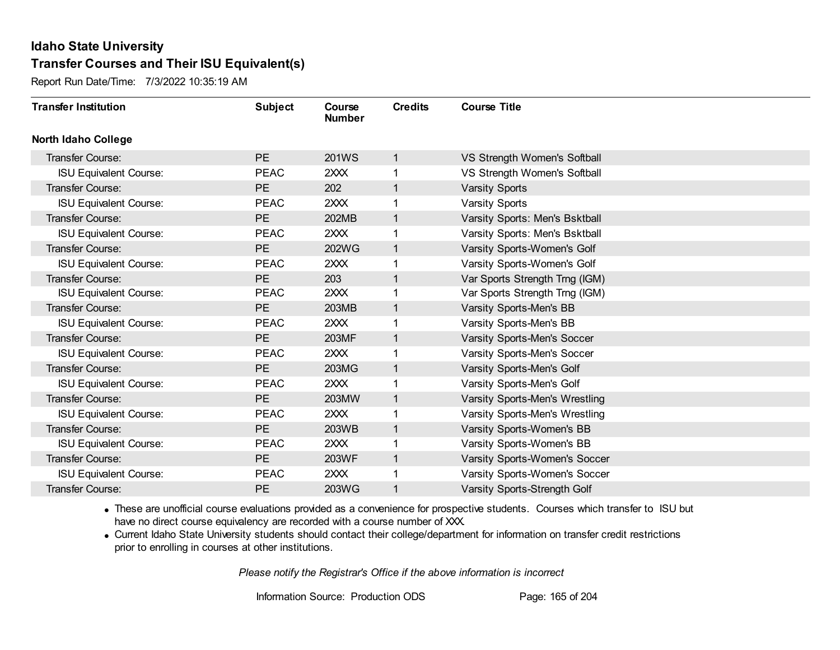Report Run Date/Time: 7/3/2022 10:35:19 AM

| <b>Transfer Institution</b>   | <b>Subject</b> | Course<br><b>Number</b> | <b>Credits</b> | <b>Course Title</b>            |
|-------------------------------|----------------|-------------------------|----------------|--------------------------------|
| <b>North Idaho College</b>    |                |                         |                |                                |
| <b>Transfer Course:</b>       | <b>PE</b>      | 201WS                   | $\mathbf{1}$   | VS Strength Women's Softball   |
| <b>ISU Equivalent Course:</b> | <b>PEAC</b>    | 2XXX                    | 1              | VS Strength Women's Softball   |
| <b>Transfer Course:</b>       | PE             | 202                     | $\mathbf{1}$   | <b>Varsity Sports</b>          |
| <b>ISU Equivalent Course:</b> | <b>PEAC</b>    | 2XXX                    | 1              | <b>Varsity Sports</b>          |
| <b>Transfer Course:</b>       | <b>PE</b>      | 202MB                   | $\mathbf{1}$   | Varsity Sports: Men's Bsktball |
| <b>ISU Equivalent Course:</b> | <b>PEAC</b>    | 2XXX                    | 1              | Varsity Sports: Men's Bsktball |
| Transfer Course:              | PE             | 202WG                   | $\mathbf{1}$   | Varsity Sports-Women's Golf    |
| <b>ISU Equivalent Course:</b> | <b>PEAC</b>    | 2XXX                    | 1              | Varsity Sports-Women's Golf    |
| Transfer Course:              | <b>PE</b>      | 203                     | $\mathbf{1}$   | Var Sports Strength Trng (IGM) |
| <b>ISU Equivalent Course:</b> | <b>PEAC</b>    | 2XXX                    | 1              | Var Sports Strength Trng (IGM) |
| Transfer Course:              | <b>PE</b>      | 203MB                   | $\mathbf 1$    | Varsity Sports-Men's BB        |
| <b>ISU Equivalent Course:</b> | <b>PEAC</b>    | 2XXX                    | 1              | Varsity Sports-Men's BB        |
| Transfer Course:              | PE             | 203MF                   | $\mathbf 1$    | Varsity Sports-Men's Soccer    |
| <b>ISU Equivalent Course:</b> | <b>PEAC</b>    | 2XXX                    | 1              | Varsity Sports-Men's Soccer    |
| Transfer Course:              | <b>PE</b>      | 203MG                   | $\mathbf{1}$   | Varsity Sports-Men's Golf      |
| <b>ISU Equivalent Course:</b> | <b>PEAC</b>    | 2XXX                    | 1              | Varsity Sports-Men's Golf      |
| Transfer Course:              | <b>PE</b>      | 203MW                   | $\mathbf{1}$   | Varsity Sports-Men's Wrestling |
| <b>ISU Equivalent Course:</b> | <b>PEAC</b>    | 2XXX                    | 1              | Varsity Sports-Men's Wrestling |
| Transfer Course:              | <b>PE</b>      | 203WB                   | $\mathbf{1}$   | Varsity Sports-Women's BB      |
| <b>ISU Equivalent Course:</b> | <b>PEAC</b>    | 2XXX                    |                | Varsity Sports-Women's BB      |
| Transfer Course:              | <b>PE</b>      | 203WF                   | $\mathbf{1}$   | Varsity Sports-Women's Soccer  |
| <b>ISU Equivalent Course:</b> | <b>PEAC</b>    | 2XX                     | 1              | Varsity Sports-Women's Soccer  |
| Transfer Course:              | PE             | 203WG                   | 1              | Varsity Sports-Strength Golf   |

· These are unofficial course evaluations provided as a convenience for prospective students. Courses which transfer to ISU but have no direct course equivalency are recorded with a course number of XXX.

· Current Idaho State University students should contact their college/department for information on transfer credit restrictions prior to enrolling in courses at other institutions.

*Please notify the Registrar's Office if the above information is incorrect*

Information Source: Production ODS Page: 165 of 204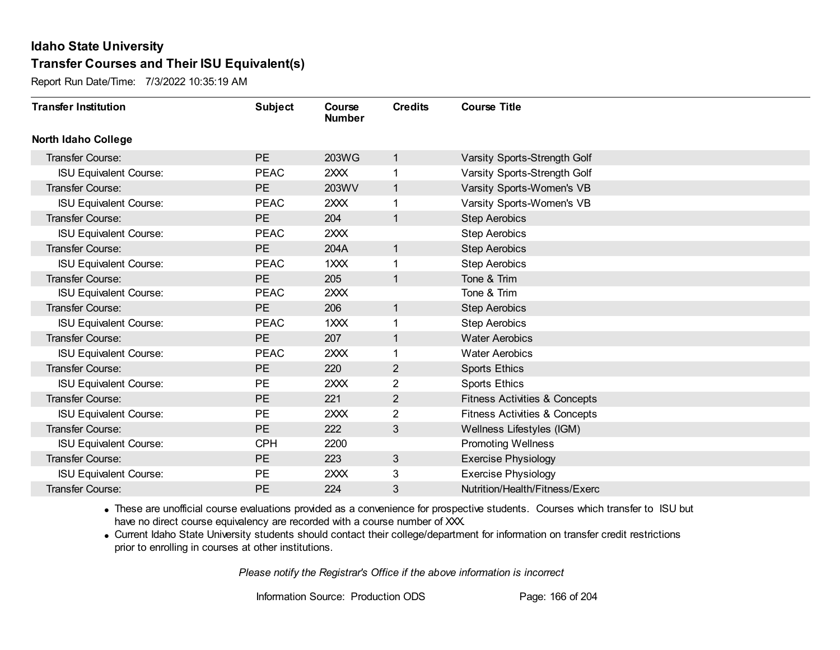Report Run Date/Time: 7/3/2022 10:35:19 AM

| <b>Transfer Institution</b>   | <b>Subject</b> | Course<br><b>Number</b> | <b>Credits</b> | <b>Course Title</b>                      |
|-------------------------------|----------------|-------------------------|----------------|------------------------------------------|
| <b>North Idaho College</b>    |                |                         |                |                                          |
| Transfer Course:              | PE             | 203WG                   | $\mathbf{1}$   | Varsity Sports-Strength Golf             |
| <b>ISU Equivalent Course:</b> | <b>PEAC</b>    | 2XXX                    |                | Varsity Sports-Strength Golf             |
| Transfer Course:              | PE             | 203WV                   | $\mathbf{1}$   | Varsity Sports-Women's VB                |
| <b>ISU Equivalent Course:</b> | <b>PEAC</b>    | 2XXX                    | 1              | Varsity Sports-Women's VB                |
| <b>Transfer Course:</b>       | <b>PE</b>      | 204                     | 1              | <b>Step Aerobics</b>                     |
| <b>ISU Equivalent Course:</b> | <b>PEAC</b>    | 2XXX                    |                | <b>Step Aerobics</b>                     |
| Transfer Course:              | PE             | 204A                    | $\mathbf{1}$   | <b>Step Aerobics</b>                     |
| <b>ISU Equivalent Course:</b> | <b>PEAC</b>    | 1XXX                    |                | <b>Step Aerobics</b>                     |
| <b>Transfer Course:</b>       | <b>PE</b>      | 205                     | 1              | Tone & Trim                              |
| <b>ISU Equivalent Course:</b> | <b>PEAC</b>    | 2XXX                    |                | Tone & Trim                              |
| <b>Transfer Course:</b>       | PE             | 206                     | $\mathbf{1}$   | <b>Step Aerobics</b>                     |
| <b>ISU Equivalent Course:</b> | <b>PEAC</b>    | 1XXX                    |                | <b>Step Aerobics</b>                     |
| Transfer Course:              | PE             | 207                     | 1              | <b>Water Aerobics</b>                    |
| <b>ISU Equivalent Course:</b> | <b>PEAC</b>    | 2XXX                    |                | <b>Water Aerobics</b>                    |
| Transfer Course:              | <b>PE</b>      | 220                     | $\overline{2}$ | <b>Sports Ethics</b>                     |
| <b>ISU Equivalent Course:</b> | PE             | 2XXX                    | $\overline{2}$ | <b>Sports Ethics</b>                     |
| Transfer Course:              | PE             | 221                     | $\overline{2}$ | <b>Fitness Activities &amp; Concepts</b> |
| <b>ISU Equivalent Course:</b> | <b>PE</b>      | 2XXX                    | $\overline{2}$ | <b>Fitness Activities &amp; Concepts</b> |
| <b>Transfer Course:</b>       | PE             | 222                     | 3              | Wellness Lifestyles (IGM)                |
| <b>ISU Equivalent Course:</b> | <b>CPH</b>     | 2200                    |                | <b>Promoting Wellness</b>                |
| Transfer Course:              | PE             | 223                     | 3              | <b>Exercise Physiology</b>               |
| <b>ISU Equivalent Course:</b> | <b>PE</b>      | 2XXX                    | 3              | <b>Exercise Physiology</b>               |
| <b>Transfer Course:</b>       | <b>PE</b>      | 224                     | 3              | Nutrition/Health/Fitness/Exerc           |

· These are unofficial course evaluations provided as a convenience for prospective students. Courses which transfer to ISU but have no direct course equivalency are recorded with a course number of XXX.

· Current Idaho State University students should contact their college/department for information on transfer credit restrictions prior to enrolling in courses at other institutions.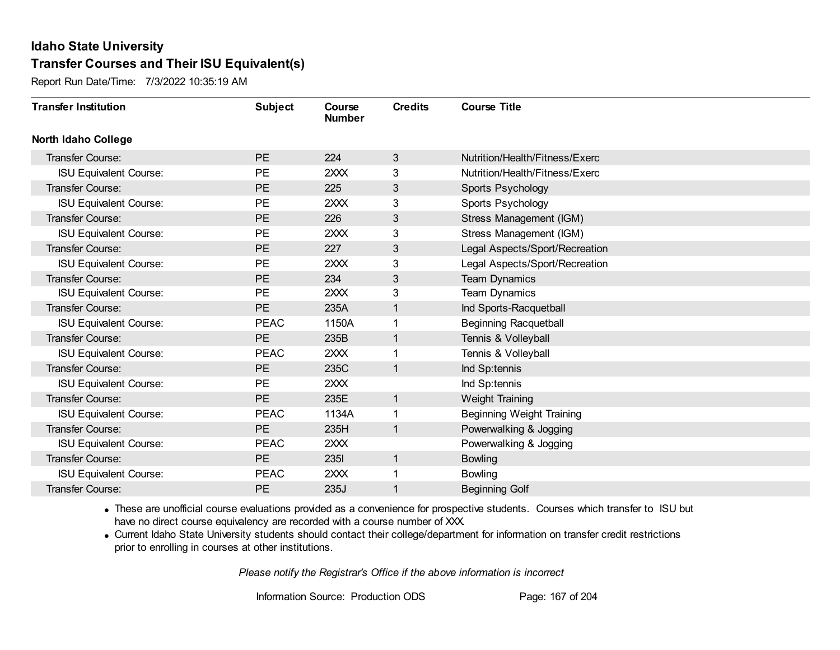Report Run Date/Time: 7/3/2022 10:35:19 AM

| <b>Transfer Institution</b>   | <b>Subject</b> | Course<br><b>Number</b> | <b>Credits</b> | <b>Course Title</b>              |
|-------------------------------|----------------|-------------------------|----------------|----------------------------------|
| <b>North Idaho College</b>    |                |                         |                |                                  |
| Transfer Course:              | <b>PE</b>      | 224                     | 3              | Nutrition/Health/Fitness/Exerc   |
| <b>ISU Equivalent Course:</b> | <b>PE</b>      | 2XXX                    | 3              | Nutrition/Health/Fitness/Exerc   |
| Transfer Course:              | PE             | 225                     | 3              | Sports Psychology                |
| <b>ISU Equivalent Course:</b> | <b>PE</b>      | 2XXX                    | 3              | Sports Psychology                |
| Transfer Course:              | <b>PE</b>      | 226                     | 3              | Stress Management (IGM)          |
| <b>ISU Equivalent Course:</b> | <b>PE</b>      | 2XXX                    | 3              | Stress Management (IGM)          |
| <b>Transfer Course:</b>       | PE             | 227                     | $\mathbf{3}$   | Legal Aspects/Sport/Recreation   |
| <b>ISU Equivalent Course:</b> | <b>PE</b>      | 2XXX                    | 3              | Legal Aspects/Sport/Recreation   |
| Transfer Course:              | <b>PE</b>      | 234                     | 3              | <b>Team Dynamics</b>             |
| <b>ISU Equivalent Course:</b> | <b>PE</b>      | 2XXX                    | 3              | <b>Team Dynamics</b>             |
| Transfer Course:              | <b>PE</b>      | 235A                    | 1              | Ind Sports-Racquetball           |
| <b>ISU Equivalent Course:</b> | <b>PEAC</b>    | 1150A                   |                | <b>Beginning Racquetball</b>     |
| Transfer Course:              | PE             | 235B                    |                | Tennis & Volleyball              |
| <b>ISU Equivalent Course:</b> | <b>PEAC</b>    | 2XXX                    |                | Tennis & Volleyball              |
| Transfer Course:              | <b>PE</b>      | 235C                    | 1              | Ind Sp:tennis                    |
| <b>ISU Equivalent Course:</b> | <b>PE</b>      | 2XXX                    |                | Ind Sp:tennis                    |
| Transfer Course:              | PE             | 235E                    | $\mathbf 1$    | Weight Training                  |
| <b>ISU Equivalent Course:</b> | <b>PEAC</b>    | 1134A                   |                | <b>Beginning Weight Training</b> |
| Transfer Course:              | <b>PE</b>      | 235H                    | 1              | Powerwalking & Jogging           |
| <b>ISU Equivalent Course:</b> | <b>PEAC</b>    | 2XXX                    |                | Powerwalking & Jogging           |
| <b>Transfer Course:</b>       | PE             | <b>2351</b>             | 1              | <b>Bowling</b>                   |
| <b>ISU Equivalent Course:</b> | <b>PEAC</b>    | 2XXX                    | 1              | <b>Bowling</b>                   |
| Transfer Course:              | <b>PE</b>      | 235J                    |                | <b>Beginning Golf</b>            |

· These are unofficial course evaluations provided as a convenience for prospective students. Courses which transfer to ISU but have no direct course equivalency are recorded with a course number of XXX.

· Current Idaho State University students should contact their college/department for information on transfer credit restrictions prior to enrolling in courses at other institutions.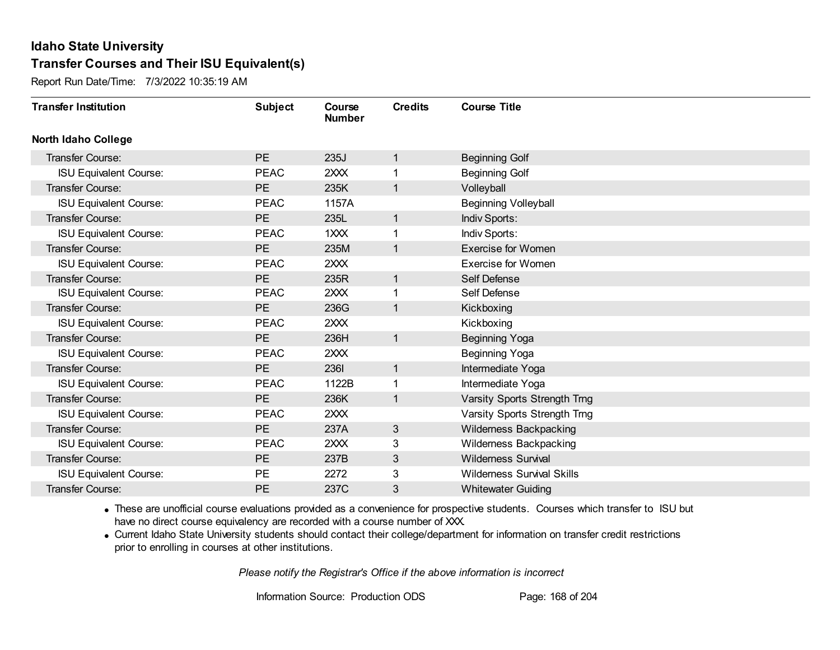Report Run Date/Time: 7/3/2022 10:35:19 AM

| <b>Transfer Institution</b>   | <b>Subject</b> | Course<br><b>Number</b> | <b>Credits</b> | <b>Course Title</b>               |
|-------------------------------|----------------|-------------------------|----------------|-----------------------------------|
| <b>North Idaho College</b>    |                |                         |                |                                   |
| Transfer Course:              | <b>PE</b>      | 235J                    | $\mathbf{1}$   | <b>Beginning Golf</b>             |
| <b>ISU Equivalent Course:</b> | <b>PEAC</b>    | 2XXX                    | 1              | <b>Beginning Golf</b>             |
| Transfer Course:              | <b>PE</b>      | 235K                    | $\mathbf{1}$   | Volleyball                        |
| <b>ISU Equivalent Course:</b> | <b>PEAC</b>    | 1157A                   |                | <b>Beginning Volleyball</b>       |
| <b>Transfer Course:</b>       | <b>PE</b>      | 235L                    | $\mathbf{1}$   | Indiv Sports:                     |
| <b>ISU Equivalent Course:</b> | <b>PEAC</b>    | 1XXX                    | 1              | Indiv Sports:                     |
| Transfer Course:              | <b>PE</b>      | 235M                    | $\mathbf{1}$   | <b>Exercise for Women</b>         |
| <b>ISU Equivalent Course:</b> | <b>PEAC</b>    | 2XXX                    |                | <b>Exercise for Women</b>         |
| <b>Transfer Course:</b>       | <b>PE</b>      | 235R                    | $\mathbf{1}$   | Self Defense                      |
| <b>ISU Equivalent Course:</b> | <b>PEAC</b>    | 2XXX                    | 1              | Self Defense                      |
| <b>Transfer Course:</b>       | <b>PE</b>      | 236G                    | $\mathbf{1}$   | Kickboxing                        |
| <b>ISU Equivalent Course:</b> | <b>PEAC</b>    | 2XXX                    |                | Kickboxing                        |
| Transfer Course:              | <b>PE</b>      | 236H                    | $\mathbf{1}$   | <b>Beginning Yoga</b>             |
| <b>ISU Equivalent Course:</b> | <b>PEAC</b>    | 2XXX                    |                | <b>Beginning Yoga</b>             |
| Transfer Course:              | <b>PE</b>      | 2361                    | $\mathbf{1}$   | Intermediate Yoga                 |
| <b>ISU Equivalent Course:</b> | <b>PEAC</b>    | 1122B                   | 1              | Intermediate Yoga                 |
| Transfer Course:              | <b>PE</b>      | 236K                    | $\mathbf{1}$   | Varsity Sports Strength Trng      |
| <b>ISU Equivalent Course:</b> | <b>PEAC</b>    | 2XXX                    |                | Varsity Sports Strength Trng      |
| Transfer Course:              | <b>PE</b>      | 237A                    | 3              | Wilderness Backpacking            |
| <b>ISU Equivalent Course:</b> | <b>PEAC</b>    | 2XXX                    | 3              | Wilderness Backpacking            |
| Transfer Course:              | <b>PE</b>      | 237B                    | 3              | <b>Wilderness Survival</b>        |
| <b>ISU Equivalent Course:</b> | <b>PE</b>      | 2272                    | 3              | <b>Wilderness Survival Skills</b> |
| Transfer Course:              | <b>PE</b>      | 237C                    | 3              | <b>Whitewater Guiding</b>         |

· These are unofficial course evaluations provided as a convenience for prospective students. Courses which transfer to ISU but have no direct course equivalency are recorded with a course number of XXX.

· Current Idaho State University students should contact their college/department for information on transfer credit restrictions prior to enrolling in courses at other institutions.

*Please notify the Registrar's Office if the above information is incorrect*

Information Source: Production ODS Page: 168 of 204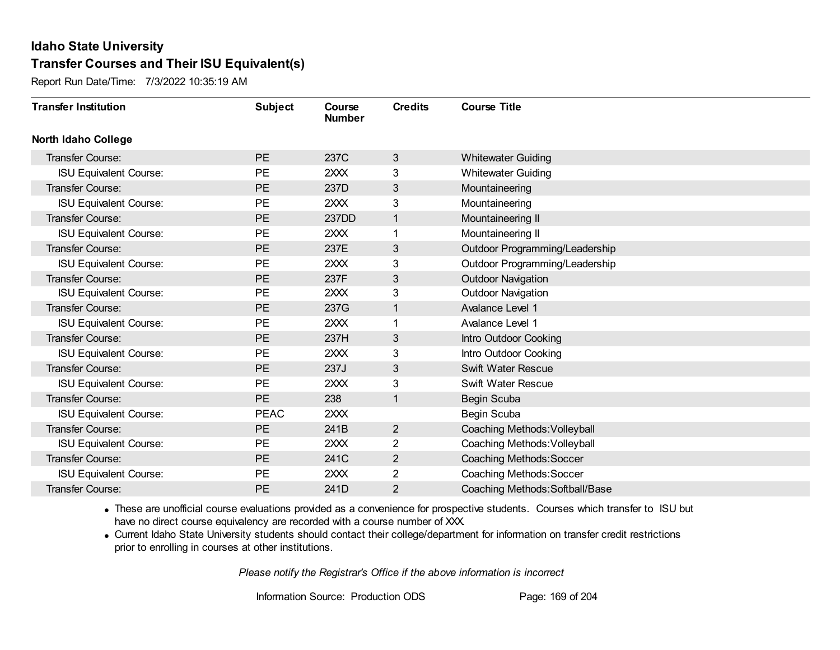Report Run Date/Time: 7/3/2022 10:35:19 AM

| <b>Transfer Institution</b>   | <b>Subject</b> | Course<br><b>Number</b> | <b>Credits</b> | <b>Course Title</b>             |
|-------------------------------|----------------|-------------------------|----------------|---------------------------------|
| <b>North Idaho College</b>    |                |                         |                |                                 |
| <b>Transfer Course:</b>       | PE             | 237C                    | 3              | <b>Whitewater Guiding</b>       |
| <b>ISU Equivalent Course:</b> | <b>PE</b>      | 2XXX                    | 3              | <b>Whitewater Guiding</b>       |
| Transfer Course:              | PE             | 237D                    | 3              | Mountaineering                  |
| <b>ISU Equivalent Course:</b> | <b>PE</b>      | 2XXX                    | 3              | Mountaineering                  |
| Transfer Course:              | <b>PE</b>      | 237DD                   | 1              | Mountaineering II               |
| <b>ISU Equivalent Course:</b> | <b>PE</b>      | 2XXX                    |                | Mountaineering II               |
| <b>Transfer Course:</b>       | PE             | 237E                    | 3              | Outdoor Programming/Leadership  |
| <b>ISU Equivalent Course:</b> | <b>PE</b>      | 2XXX                    | 3              | Outdoor Programming/Leadership  |
| Transfer Course:              | <b>PE</b>      | 237F                    | 3              | <b>Outdoor Navigation</b>       |
| <b>ISU Equivalent Course:</b> | <b>PE</b>      | 2XXX                    | 3              | <b>Outdoor Navigation</b>       |
| Transfer Course:              | <b>PE</b>      | 237G                    | 1              | Avalance Level 1                |
| <b>ISU Equivalent Course:</b> | <b>PE</b>      | 2XXX                    |                | Avalance Level 1                |
| Transfer Course:              | PE             | 237H                    | 3              | Intro Outdoor Cooking           |
| <b>ISU Equivalent Course:</b> | <b>PE</b>      | 2XXX                    | 3              | Intro Outdoor Cooking           |
| Transfer Course:              | <b>PE</b>      | 237J                    | 3              | Swift Water Rescue              |
| <b>ISU Equivalent Course:</b> | PE             | 2XXX                    | 3              | Swift Water Rescue              |
| Transfer Course:              | PE             | 238                     | 1              | Begin Scuba                     |
| <b>ISU Equivalent Course:</b> | <b>PEAC</b>    | 2XXX                    |                | Begin Scuba                     |
| <b>Transfer Course:</b>       | <b>PE</b>      | 241B                    | $\overline{2}$ | Coaching Methods: Volleyball    |
| <b>ISU Equivalent Course:</b> | <b>PE</b>      | 2XXX                    | $\overline{2}$ | Coaching Methods: Volleyball    |
| Transfer Course:              | <b>PE</b>      | 241C                    | $\overline{2}$ | Coaching Methods: Soccer        |
| <b>ISU Equivalent Course:</b> | <b>PE</b>      | 2XXX                    | 2              | Coaching Methods: Soccer        |
| Transfer Course:              | <b>PE</b>      | 241D                    | $\overline{2}$ | Coaching Methods: Softball/Base |

· These are unofficial course evaluations provided as a convenience for prospective students. Courses which transfer to ISU but have no direct course equivalency are recorded with a course number of XXX.

· Current Idaho State University students should contact their college/department for information on transfer credit restrictions prior to enrolling in courses at other institutions.

*Please notify the Registrar's Office if the above information is incorrect*

Information Source: Production ODS Page: 169 of 204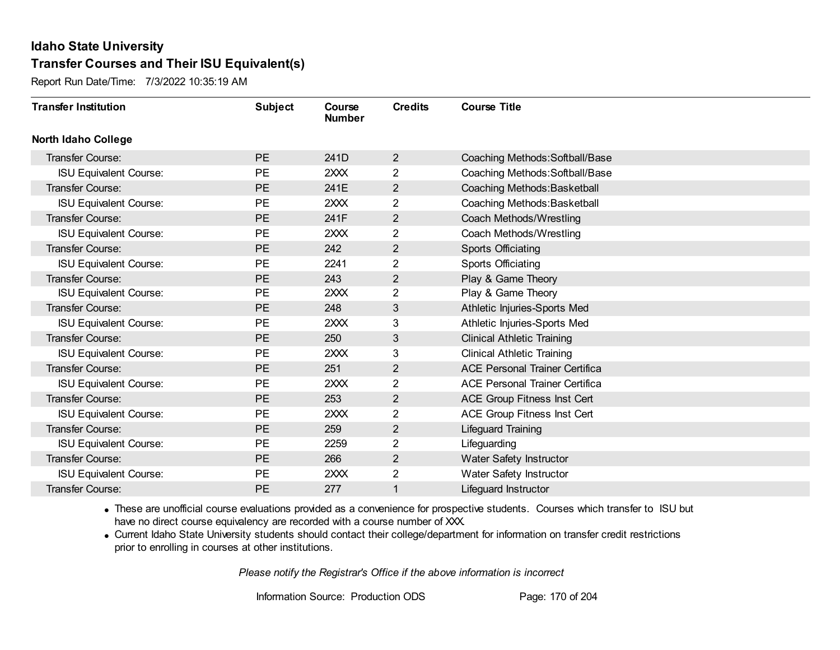Report Run Date/Time: 7/3/2022 10:35:19 AM

| <b>Transfer Institution</b>   | <b>Subject</b> | Course<br><b>Number</b> | <b>Credits</b> | <b>Course Title</b>                   |
|-------------------------------|----------------|-------------------------|----------------|---------------------------------------|
| <b>North Idaho College</b>    |                |                         |                |                                       |
| <b>Transfer Course:</b>       | PE             | 241D                    | $\overline{2}$ | Coaching Methods: Softball/Base       |
| <b>ISU Equivalent Course:</b> | <b>PE</b>      | 2XXX                    | $\overline{2}$ | Coaching Methods: Softball/Base       |
| Transfer Course:              | <b>PE</b>      | 241E                    | $\overline{2}$ | Coaching Methods: Basketball          |
| <b>ISU Equivalent Course:</b> | <b>PE</b>      | 2XXX                    | $\overline{2}$ | Coaching Methods: Basketball          |
| <b>Transfer Course:</b>       | PE             | 241F                    | $\overline{2}$ | Coach Methods/Wrestling               |
| <b>ISU Equivalent Course:</b> | <b>PE</b>      | 2XXX                    | 2              | Coach Methods/Wrestling               |
| <b>Transfer Course:</b>       | <b>PE</b>      | 242                     | $\overline{2}$ | Sports Officiating                    |
| <b>ISU Equivalent Course:</b> | <b>PE</b>      | 2241                    | $\overline{2}$ | Sports Officiating                    |
| Transfer Course:              | <b>PE</b>      | 243                     | $\overline{2}$ | Play & Game Theory                    |
| <b>ISU Equivalent Course:</b> | <b>PE</b>      | 2XXX                    | 2              | Play & Game Theory                    |
| Transfer Course:              | <b>PE</b>      | 248                     | 3              | Athletic Injuries-Sports Med          |
| <b>ISU Equivalent Course:</b> | <b>PE</b>      | 2XXX                    | 3              | Athletic Injuries-Sports Med          |
| Transfer Course:              | PE             | 250                     | 3              | <b>Clinical Athletic Training</b>     |
| <b>ISU Equivalent Course:</b> | <b>PE</b>      | 2XXX                    | 3              | <b>Clinical Athletic Training</b>     |
| Transfer Course:              | <b>PE</b>      | 251                     | $\overline{2}$ | <b>ACE Personal Trainer Certifica</b> |
| <b>ISU Equivalent Course:</b> | <b>PE</b>      | 2XXX                    | $\overline{2}$ | <b>ACE Personal Trainer Certifica</b> |
| Transfer Course:              | PE             | 253                     | $\overline{2}$ | ACE Group Fitness Inst Cert           |
| <b>ISU Equivalent Course:</b> | <b>PE</b>      | 2XXX                    | 2              | ACE Group Fitness Inst Cert           |
| Transfer Course:              | <b>PE</b>      | 259                     | $\overline{2}$ | Lifeguard Training                    |
| <b>ISU Equivalent Course:</b> | <b>PE</b>      | 2259                    | 2              | Lifeguarding                          |
| Transfer Course:              | <b>PE</b>      | 266                     | $\overline{2}$ | Water Safety Instructor               |
| <b>ISU Equivalent Course:</b> | <b>PE</b>      | 2XXX                    | 2              | Water Safety Instructor               |
| <b>Transfer Course:</b>       | <b>PE</b>      | 277                     |                | Lifeguard Instructor                  |

· These are unofficial course evaluations provided as a convenience for prospective students. Courses which transfer to ISU but have no direct course equivalency are recorded with a course number of XXX.

· Current Idaho State University students should contact their college/department for information on transfer credit restrictions prior to enrolling in courses at other institutions.

*Please notify the Registrar's Office if the above information is incorrect*

Information Source: Production ODS Page: 170 of 204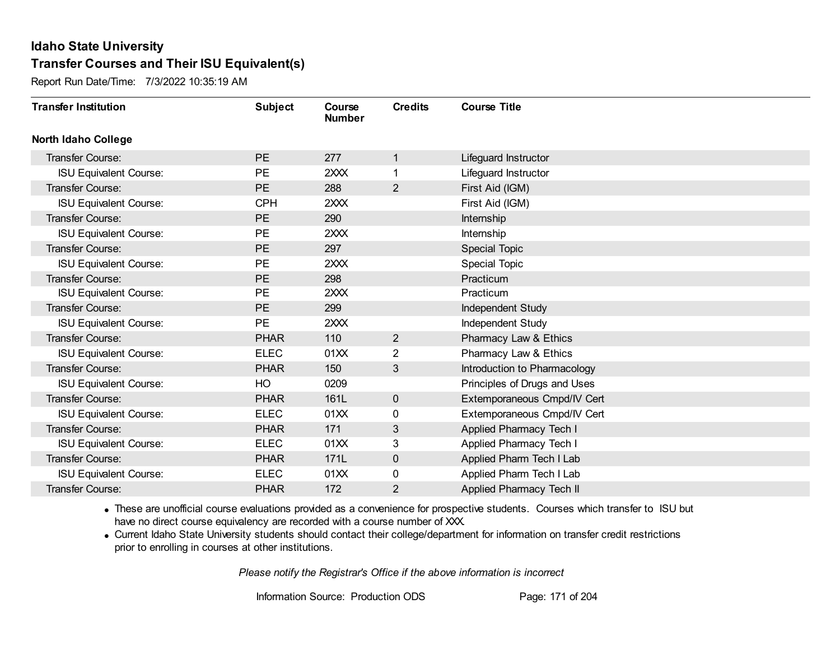Report Run Date/Time: 7/3/2022 10:35:19 AM

| <b>Transfer Institution</b>   | <b>Subject</b> | Course<br><b>Number</b> | <b>Credits</b> | <b>Course Title</b>          |
|-------------------------------|----------------|-------------------------|----------------|------------------------------|
| <b>North Idaho College</b>    |                |                         |                |                              |
| Transfer Course:              | <b>PE</b>      | 277                     | $\mathbf{1}$   | Lifeguard Instructor         |
| <b>ISU Equivalent Course:</b> | <b>PE</b>      | 2XXX                    | 1.             | Lifeguard Instructor         |
| Transfer Course:              | <b>PE</b>      | 288                     | $\overline{2}$ | First Aid (IGM)              |
| <b>ISU Equivalent Course:</b> | <b>CPH</b>     | 2XXX                    |                | First Aid (IGM)              |
| <b>Transfer Course:</b>       | <b>PE</b>      | 290                     |                | Internship                   |
| <b>ISU Equivalent Course:</b> | <b>PE</b>      | 2XXX                    |                | Internship                   |
| <b>Transfer Course:</b>       | PE             | 297                     |                | Special Topic                |
| <b>ISU Equivalent Course:</b> | <b>PE</b>      | 2XXX                    |                | <b>Special Topic</b>         |
| Transfer Course:              | <b>PE</b>      | 298                     |                | Practicum                    |
| <b>ISU Equivalent Course:</b> | <b>PE</b>      | 2XXX                    |                | Practicum                    |
| Transfer Course:              | PE             | 299                     |                | Independent Study            |
| <b>ISU Equivalent Course:</b> | <b>PE</b>      | 2XXX                    |                | Independent Study            |
| Transfer Course:              | <b>PHAR</b>    | 110                     | $\overline{2}$ | Pharmacy Law & Ethics        |
| <b>ISU Equivalent Course:</b> | <b>ELEC</b>    | 01XX                    | $\overline{2}$ | Pharmacy Law & Ethics        |
| Transfer Course:              | <b>PHAR</b>    | 150                     | 3              | Introduction to Pharmacology |
| <b>ISU Equivalent Course:</b> | HO             | 0209                    |                | Principles of Drugs and Uses |
| Transfer Course:              | <b>PHAR</b>    | 161L                    | $\mathbf 0$    | Extemporaneous Cmpd/IV Cert  |
| <b>ISU Equivalent Course:</b> | <b>ELEC</b>    | 01XX                    | 0              | Extemporaneous Cmpd/IV Cert  |
| <b>Transfer Course:</b>       | <b>PHAR</b>    | 171                     | 3              | Applied Pharmacy Tech I      |
| <b>ISU Equivalent Course:</b> | <b>ELEC</b>    | 01XX                    | 3              | Applied Pharmacy Tech I      |
| <b>Transfer Course:</b>       | <b>PHAR</b>    | 171L                    | $\mathbf 0$    | Applied Pharm Tech I Lab     |
| <b>ISU Equivalent Course:</b> | <b>ELEC</b>    | 01XX                    | 0              | Applied Pharm Tech I Lab     |
| Transfer Course:              | <b>PHAR</b>    | 172                     | $\overline{2}$ | Applied Pharmacy Tech II     |

· These are unofficial course evaluations provided as a convenience for prospective students. Courses which transfer to ISU but have no direct course equivalency are recorded with a course number of XXX.

· Current Idaho State University students should contact their college/department for information on transfer credit restrictions prior to enrolling in courses at other institutions.

*Please notify the Registrar's Office if the above information is incorrect*

Information Source: Production ODS Page: 171 of 204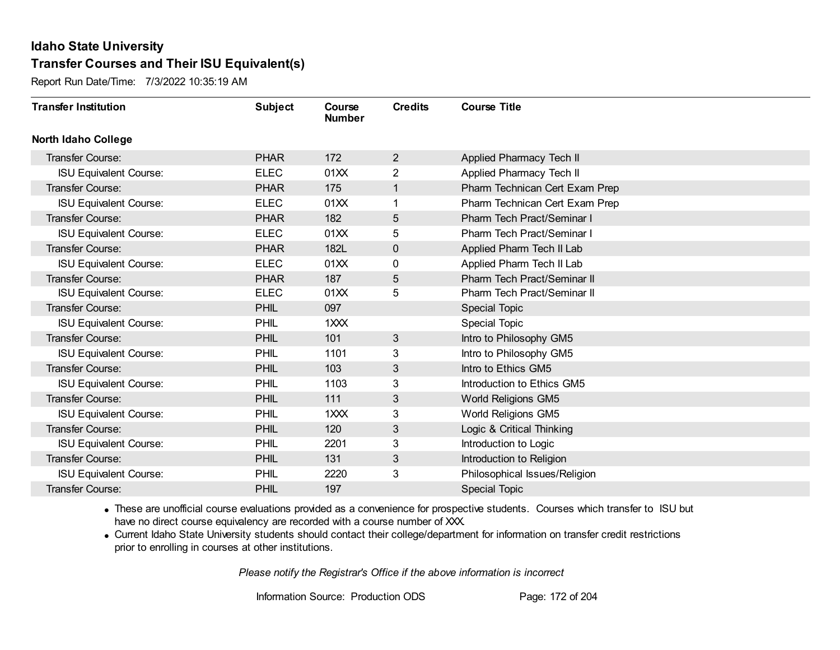Report Run Date/Time: 7/3/2022 10:35:19 AM

| <b>Transfer Institution</b>   | <b>Subject</b> | Course<br><b>Number</b> | <b>Credits</b> | <b>Course Title</b>                |
|-------------------------------|----------------|-------------------------|----------------|------------------------------------|
| <b>North Idaho College</b>    |                |                         |                |                                    |
| Transfer Course:              | <b>PHAR</b>    | 172                     | $\overline{2}$ | Applied Pharmacy Tech II           |
| <b>ISU Equivalent Course:</b> | <b>ELEC</b>    | 01XX                    | $\overline{2}$ | Applied Pharmacy Tech II           |
| Transfer Course:              | <b>PHAR</b>    | 175                     | $\mathbf{1}$   | Pharm Technican Cert Exam Prep     |
| <b>ISU Equivalent Course:</b> | <b>ELEC</b>    | 01XX                    | 1              | Pharm Technican Cert Exam Prep     |
| <b>Transfer Course:</b>       | <b>PHAR</b>    | 182                     | 5              | <b>Pharm Tech Pract/Seminar I</b>  |
| <b>ISU Equivalent Course:</b> | <b>ELEC</b>    | 01XX                    | 5              | Pharm Tech Pract/Seminar I         |
| <b>Transfer Course:</b>       | <b>PHAR</b>    | 182L                    | 0              | Applied Pharm Tech II Lab          |
| <b>ISU Equivalent Course:</b> | <b>ELEC</b>    | 01XX                    | 0              | Applied Pharm Tech II Lab          |
| Transfer Course:              | <b>PHAR</b>    | 187                     | 5              | <b>Pharm Tech Pract/Seminar II</b> |
| <b>ISU Equivalent Course:</b> | <b>ELEC</b>    | 01XX                    | 5              | Pharm Tech Pract/Seminar II        |
| <b>Transfer Course:</b>       | <b>PHIL</b>    | 097                     |                | <b>Special Topic</b>               |
| <b>ISU Equivalent Course:</b> | PHIL           | 1XXX                    |                | <b>Special Topic</b>               |
| Transfer Course:              | <b>PHIL</b>    | 101                     | 3              | Intro to Philosophy GM5            |
| <b>ISU Equivalent Course:</b> | PHIL           | 1101                    | 3              | Intro to Philosophy GM5            |
| Transfer Course:              | <b>PHIL</b>    | 103                     | 3              | Intro to Ethics GM5                |
| <b>ISU Equivalent Course:</b> | PHIL           | 1103                    | 3              | Introduction to Ethics GM5         |
| <b>Transfer Course:</b>       | PHIL           | 111                     | 3              | World Religions GM5                |
| <b>ISU Equivalent Course:</b> | PHIL           | 1XXX                    | 3              | World Religions GM5                |
| <b>Transfer Course:</b>       | PHIL           | 120                     | 3              | Logic & Critical Thinking          |
| <b>ISU Equivalent Course:</b> | PHIL           | 2201                    | 3              | Introduction to Logic              |
| Transfer Course:              | PHIL           | 131                     | 3              | Introduction to Religion           |
| <b>ISU Equivalent Course:</b> | <b>PHIL</b>    | 2220                    | 3              | Philosophical Issues/Religion      |
| Transfer Course:              | <b>PHIL</b>    | 197                     |                | <b>Special Topic</b>               |

· These are unofficial course evaluations provided as a convenience for prospective students. Courses which transfer to ISU but have no direct course equivalency are recorded with a course number of XXX.

· Current Idaho State University students should contact their college/department for information on transfer credit restrictions prior to enrolling in courses at other institutions.

*Please notify the Registrar's Office if the above information is incorrect*

Information Source: Production ODS Page: 172 of 204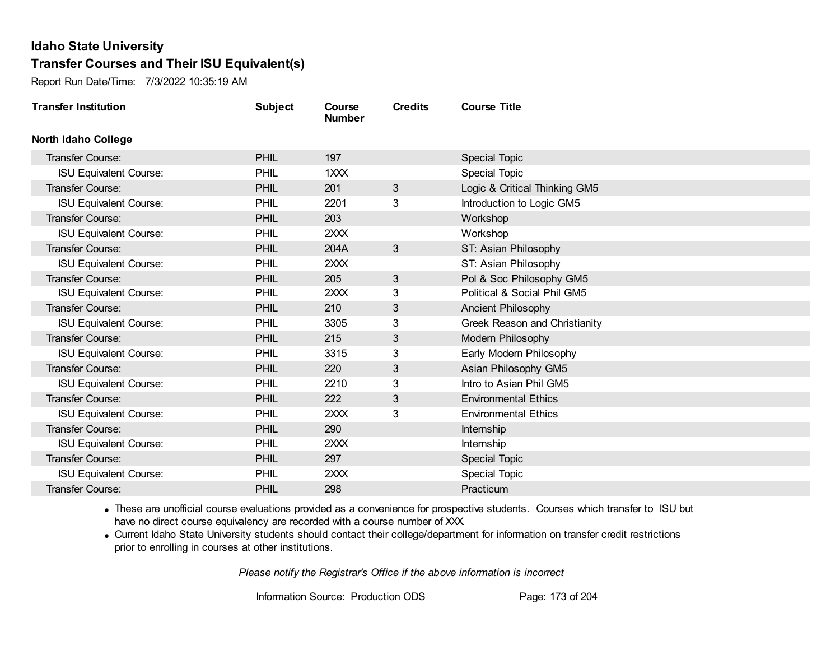Report Run Date/Time: 7/3/2022 10:35:19 AM

| <b>Transfer Institution</b>   | <b>Subject</b> | Course<br><b>Number</b> | <b>Credits</b> | <b>Course Title</b>           |
|-------------------------------|----------------|-------------------------|----------------|-------------------------------|
| <b>North Idaho College</b>    |                |                         |                |                               |
| <b>Transfer Course:</b>       | <b>PHIL</b>    | 197                     |                | <b>Special Topic</b>          |
| <b>ISU Equivalent Course:</b> | PHIL           | 1XXX                    |                | Special Topic                 |
| Transfer Course:              | <b>PHIL</b>    | 201                     | 3              | Logic & Critical Thinking GM5 |
| <b>ISU Equivalent Course:</b> | PHIL           | 2201                    | 3              | Introduction to Logic GM5     |
| <b>Transfer Course:</b>       | PHIL           | 203                     |                | Workshop                      |
| <b>ISU Equivalent Course:</b> | PHIL           | 2XXX                    |                | Workshop                      |
| Transfer Course:              | PHIL           | 204A                    | 3              | ST: Asian Philosophy          |
| <b>ISU Equivalent Course:</b> | PHIL           | 2XXX                    |                | ST: Asian Philosophy          |
| Transfer Course:              | PHIL           | 205                     | 3              | Pol & Soc Philosophy GM5      |
| <b>ISU Equivalent Course:</b> | PHIL           | 2XXX                    | 3              | Political & Social Phil GM5   |
| Transfer Course:              | PHIL           | 210                     | 3              | Ancient Philosophy            |
| <b>ISU Equivalent Course:</b> | PHIL           | 3305                    | 3              | Greek Reason and Christianity |
| Transfer Course:              | <b>PHIL</b>    | 215                     | 3 <sup>1</sup> | Modern Philosophy             |
| <b>ISU Equivalent Course:</b> | PHIL           | 3315                    | 3              | Early Modern Philosophy       |
| Transfer Course:              | <b>PHIL</b>    | 220                     | 3              | Asian Philosophy GM5          |
| <b>ISU Equivalent Course:</b> | PHIL           | 2210                    | 3              | Intro to Asian Phil GM5       |
| <b>Transfer Course:</b>       | <b>PHIL</b>    | 222                     | 3              | <b>Environmental Ethics</b>   |
| <b>ISU Equivalent Course:</b> | PHIL           | 2XXX                    | 3              | <b>Environmental Ethics</b>   |
| Transfer Course:              | <b>PHIL</b>    | 290                     |                | Internship                    |
| <b>ISU Equivalent Course:</b> | PHIL           | 2XXX                    |                | Internship                    |
| <b>Transfer Course:</b>       | <b>PHIL</b>    | 297                     |                | <b>Special Topic</b>          |
| <b>ISU Equivalent Course:</b> | PHIL           | 2XXX                    |                | <b>Special Topic</b>          |
| Transfer Course:              | <b>PHIL</b>    | 298                     |                | Practicum                     |

· These are unofficial course evaluations provided as a convenience for prospective students. Courses which transfer to ISU but have no direct course equivalency are recorded with a course number of XXX.

· Current Idaho State University students should contact their college/department for information on transfer credit restrictions prior to enrolling in courses at other institutions.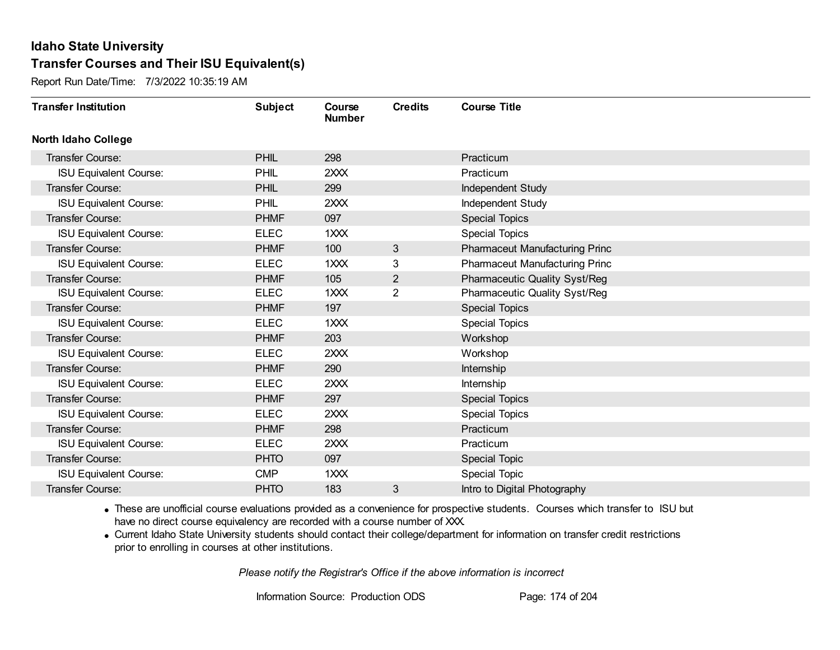Report Run Date/Time: 7/3/2022 10:35:19 AM

| <b>Transfer Institution</b>   | <b>Subject</b> | Course<br><b>Number</b> | <b>Credits</b> | <b>Course Title</b>                  |
|-------------------------------|----------------|-------------------------|----------------|--------------------------------------|
| <b>North Idaho College</b>    |                |                         |                |                                      |
| <b>Transfer Course:</b>       | <b>PHIL</b>    | 298                     |                | Practicum                            |
| <b>ISU Equivalent Course:</b> | PHIL           | 2XXX                    |                | Practicum                            |
| Transfer Course:              | <b>PHIL</b>    | 299                     |                | Independent Study                    |
| <b>ISU Equivalent Course:</b> | PHIL           | 2XXX                    |                | Independent Study                    |
| Transfer Course:              | <b>PHMF</b>    | 097                     |                | <b>Special Topics</b>                |
| <b>ISU Equivalent Course:</b> | <b>ELEC</b>    | 1XXX                    |                | <b>Special Topics</b>                |
| <b>Transfer Course:</b>       | <b>PHMF</b>    | 100                     | 3              | Pharmaceut Manufacturing Princ       |
| <b>ISU Equivalent Course:</b> | <b>ELEC</b>    | 1XXX                    | 3              | Pharmaceut Manufacturing Princ       |
| <b>Transfer Course:</b>       | <b>PHMF</b>    | 105                     | $\overline{2}$ | <b>Pharmaceutic Quality Syst/Reg</b> |
| <b>ISU Equivalent Course:</b> | <b>ELEC</b>    | 1XXX                    | $\overline{2}$ | <b>Pharmaceutic Quality Syst/Reg</b> |
| Transfer Course:              | <b>PHMF</b>    | 197                     |                | <b>Special Topics</b>                |
| <b>ISU Equivalent Course:</b> | <b>ELEC</b>    | 1XXX                    |                | <b>Special Topics</b>                |
| Transfer Course:              | <b>PHMF</b>    | 203                     |                | Workshop                             |
| <b>ISU Equivalent Course:</b> | <b>ELEC</b>    | 2XXX                    |                | Workshop                             |
| Transfer Course:              | <b>PHMF</b>    | 290                     |                | Internship                           |
| <b>ISU Equivalent Course:</b> | <b>ELEC</b>    | 2XXX                    |                | Internship                           |
| Transfer Course:              | <b>PHMF</b>    | 297                     |                | <b>Special Topics</b>                |
| <b>ISU Equivalent Course:</b> | <b>ELEC</b>    | 2XXX                    |                | <b>Special Topics</b>                |
| Transfer Course:              | <b>PHMF</b>    | 298                     |                | Practicum                            |
| <b>ISU Equivalent Course:</b> | <b>ELEC</b>    | 2XXX                    |                | Practicum                            |
| Transfer Course:              | <b>PHTO</b>    | 097                     |                | Special Topic                        |
| <b>ISU Equivalent Course:</b> | <b>CMP</b>     | 1XXX                    |                | <b>Special Topic</b>                 |
| Transfer Course:              | <b>PHTO</b>    | 183                     | 3              | Intro to Digital Photography         |

· These are unofficial course evaluations provided as a convenience for prospective students. Courses which transfer to ISU but have no direct course equivalency are recorded with a course number of XXX.

· Current Idaho State University students should contact their college/department for information on transfer credit restrictions prior to enrolling in courses at other institutions.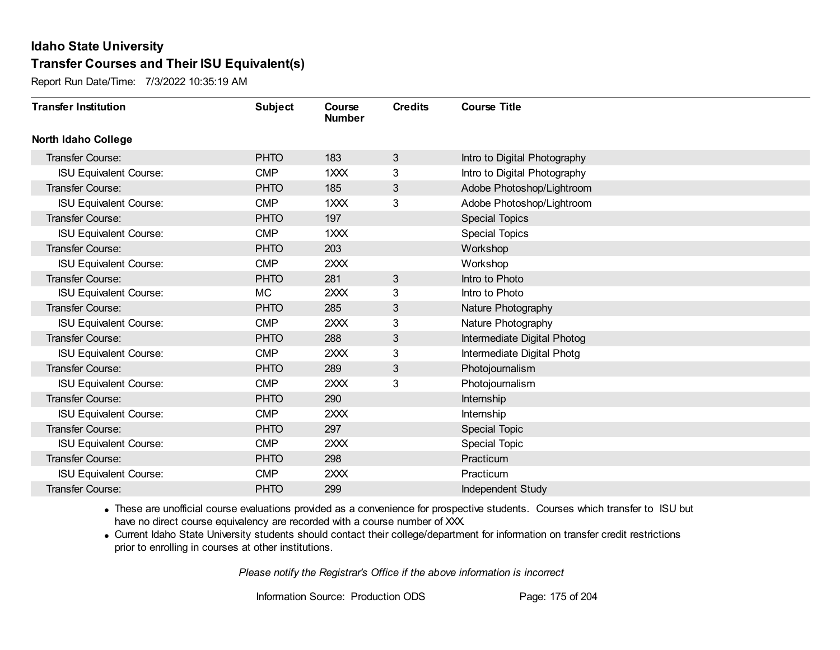Report Run Date/Time: 7/3/2022 10:35:19 AM

| <b>Transfer Institution</b>   | <b>Subject</b> | Course<br><b>Number</b> | <b>Credits</b> | <b>Course Title</b>          |
|-------------------------------|----------------|-------------------------|----------------|------------------------------|
| <b>North Idaho College</b>    |                |                         |                |                              |
| <b>Transfer Course:</b>       | <b>PHTO</b>    | 183                     | 3              | Intro to Digital Photography |
| <b>ISU Equivalent Course:</b> | <b>CMP</b>     | 1XXX                    | 3              | Intro to Digital Photography |
| Transfer Course:              | <b>PHTO</b>    | 185                     | 3              | Adobe Photoshop/Lightroom    |
| <b>ISU Equivalent Course:</b> | <b>CMP</b>     | 1XXX                    | 3              | Adobe Photoshop/Lightroom    |
| <b>Transfer Course:</b>       | <b>PHTO</b>    | 197                     |                | <b>Special Topics</b>        |
| <b>ISU Equivalent Course:</b> | <b>CMP</b>     | 1XXX                    |                | <b>Special Topics</b>        |
| Transfer Course:              | <b>PHTO</b>    | 203                     |                | Workshop                     |
| <b>ISU Equivalent Course:</b> | <b>CMP</b>     | 2XXX                    |                | Workshop                     |
| <b>Transfer Course:</b>       | <b>PHTO</b>    | 281                     | 3              | Intro to Photo               |
| <b>ISU Equivalent Course:</b> | МC             | 2XXX                    | 3              | Intro to Photo               |
| Transfer Course:              | <b>PHTO</b>    | 285                     | 3              | Nature Photography           |
| <b>ISU Equivalent Course:</b> | <b>CMP</b>     | 2XXX                    | 3              | Nature Photography           |
| Transfer Course:              | <b>PHTO</b>    | 288                     | 3              | Intermediate Digital Photog  |
| <b>ISU Equivalent Course:</b> | <b>CMP</b>     | 2XXX                    | 3              | Intermediate Digital Photg   |
| Transfer Course:              | <b>PHTO</b>    | 289                     | 3              | Photojournalism              |
| <b>ISU Equivalent Course:</b> | <b>CMP</b>     | 2XXX                    | 3              | Photojournalism              |
| Transfer Course:              | <b>PHTO</b>    | 290                     |                | Internship                   |
| <b>ISU Equivalent Course:</b> | <b>CMP</b>     | 2XXX                    |                | Internship                   |
| Transfer Course:              | <b>PHTO</b>    | 297                     |                | Special Topic                |
| <b>ISU Equivalent Course:</b> | <b>CMP</b>     | 2XXX                    |                | <b>Special Topic</b>         |
| <b>Transfer Course:</b>       | <b>PHTO</b>    | 298                     |                | Practicum                    |
| <b>ISU Equivalent Course:</b> | <b>CMP</b>     | 2XXX                    |                | Practicum                    |
| Transfer Course:              | <b>PHTO</b>    | 299                     |                | Independent Study            |

· These are unofficial course evaluations provided as a convenience for prospective students. Courses which transfer to ISU but have no direct course equivalency are recorded with a course number of XXX.

· Current Idaho State University students should contact their college/department for information on transfer credit restrictions prior to enrolling in courses at other institutions.

*Please notify the Registrar's Office if the above information is incorrect*

Information Source: Production ODS Page: 175 of 204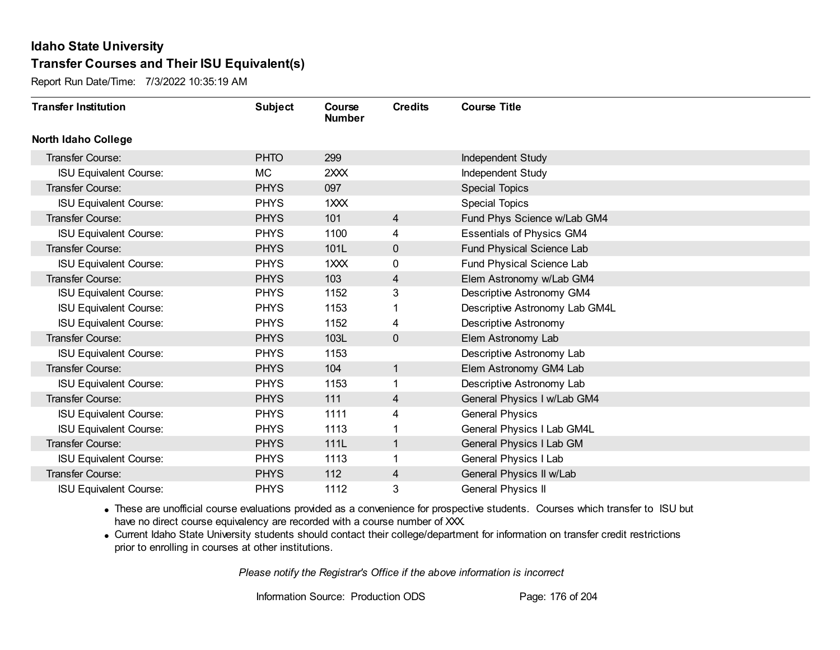Report Run Date/Time: 7/3/2022 10:35:19 AM

| <b>Transfer Institution</b>   | <b>Subject</b> | Course<br><b>Number</b> | <b>Credits</b> | <b>Course Title</b>              |
|-------------------------------|----------------|-------------------------|----------------|----------------------------------|
| <b>North Idaho College</b>    |                |                         |                |                                  |
| Transfer Course:              | <b>PHTO</b>    | 299                     |                | Independent Study                |
| <b>ISU Equivalent Course:</b> | <b>MC</b>      | 2XXX                    |                | Independent Study                |
| Transfer Course:              | <b>PHYS</b>    | 097                     |                | <b>Special Topics</b>            |
| <b>ISU Equivalent Course:</b> | <b>PHYS</b>    | 1XXX                    |                | <b>Special Topics</b>            |
| Transfer Course:              | <b>PHYS</b>    | 101                     | $\overline{4}$ | Fund Phys Science w/Lab GM4      |
| <b>ISU Equivalent Course:</b> | <b>PHYS</b>    | 1100                    | 4              | <b>Essentials of Physics GM4</b> |
| Transfer Course:              | <b>PHYS</b>    | 101L                    | $\mathbf{0}$   | Fund Physical Science Lab        |
| <b>ISU Equivalent Course:</b> | <b>PHYS</b>    | 1XXX                    | 0              | Fund Physical Science Lab        |
| Transfer Course:              | <b>PHYS</b>    | 103                     | $\overline{4}$ | Elem Astronomy w/Lab GM4         |
| <b>ISU Equivalent Course:</b> | <b>PHYS</b>    | 1152                    | 3              | Descriptive Astronomy GM4        |
| <b>ISU Equivalent Course:</b> | <b>PHYS</b>    | 1153                    |                | Descriptive Astronomy Lab GM4L   |
| <b>ISU Equivalent Course:</b> | <b>PHYS</b>    | 1152                    | 4              | <b>Descriptive Astronomy</b>     |
| Transfer Course:              | <b>PHYS</b>    | 103L                    | 0              | Elem Astronomy Lab               |
| <b>ISU Equivalent Course:</b> | <b>PHYS</b>    | 1153                    |                | Descriptive Astronomy Lab        |
| Transfer Course:              | <b>PHYS</b>    | 104                     | $\mathbf{1}$   | Elem Astronomy GM4 Lab           |
| <b>ISU Equivalent Course:</b> | <b>PHYS</b>    | 1153                    | 1              | Descriptive Astronomy Lab        |
| Transfer Course:              | <b>PHYS</b>    | 111                     | 4              | General Physics I w/Lab GM4      |
| <b>ISU Equivalent Course:</b> | <b>PHYS</b>    | 1111                    | 4              | <b>General Physics</b>           |
| <b>ISU Equivalent Course:</b> | <b>PHYS</b>    | 1113                    |                | General Physics I Lab GM4L       |
| Transfer Course:              | <b>PHYS</b>    | 111L                    | 1              | General Physics I Lab GM         |
| <b>ISU Equivalent Course:</b> | <b>PHYS</b>    | 1113                    | 1              | General Physics I Lab            |
| Transfer Course:              | <b>PHYS</b>    | 112                     | 4              | General Physics II w/Lab         |
| <b>ISU Equivalent Course:</b> | <b>PHYS</b>    | 1112                    | 3              | <b>General Physics II</b>        |

· These are unofficial course evaluations provided as a convenience for prospective students. Courses which transfer to ISU but have no direct course equivalency are recorded with a course number of XXX.

· Current Idaho State University students should contact their college/department for information on transfer credit restrictions prior to enrolling in courses at other institutions.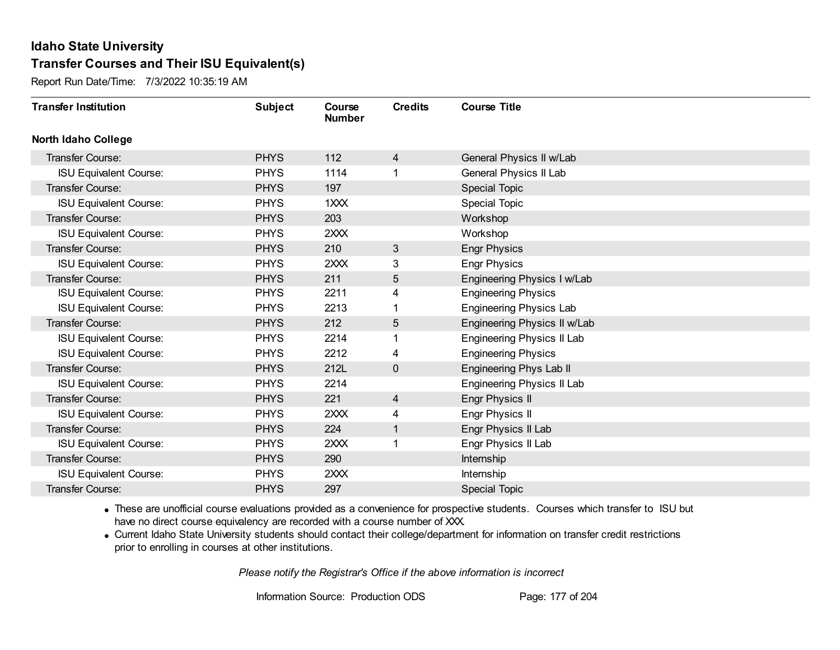Report Run Date/Time: 7/3/2022 10:35:19 AM

| <b>Transfer Institution</b>   | <b>Subject</b> | Course<br><b>Number</b> | <b>Credits</b> | <b>Course Title</b>            |
|-------------------------------|----------------|-------------------------|----------------|--------------------------------|
| <b>North Idaho College</b>    |                |                         |                |                                |
| Transfer Course:              | <b>PHYS</b>    | 112                     | 4              | General Physics II w/Lab       |
| <b>ISU Equivalent Course:</b> | <b>PHYS</b>    | 1114                    |                | General Physics II Lab         |
| Transfer Course:              | <b>PHYS</b>    | 197                     |                | Special Topic                  |
| <b>ISU Equivalent Course:</b> | <b>PHYS</b>    | 1XXX                    |                | Special Topic                  |
| <b>Transfer Course:</b>       | <b>PHYS</b>    | 203                     |                | Workshop                       |
| <b>ISU Equivalent Course:</b> | <b>PHYS</b>    | 2XXX                    |                | Workshop                       |
| Transfer Course:              | <b>PHYS</b>    | 210                     | 3              | <b>Engr Physics</b>            |
| <b>ISU Equivalent Course:</b> | <b>PHYS</b>    | 2XXX                    | 3              | <b>Engr Physics</b>            |
| Transfer Course:              | <b>PHYS</b>    | 211                     | 5              | Engineering Physics I w/Lab    |
| <b>ISU Equivalent Course:</b> | <b>PHYS</b>    | 2211                    | 4              | <b>Engineering Physics</b>     |
| <b>ISU Equivalent Course:</b> | <b>PHYS</b>    | 2213                    |                | <b>Engineering Physics Lab</b> |
| Transfer Course:              | <b>PHYS</b>    | 212                     | 5              | Engineering Physics II w/Lab   |
| <b>ISU Equivalent Course:</b> | <b>PHYS</b>    | 2214                    |                | Engineering Physics II Lab     |
| <b>ISU Equivalent Course:</b> | <b>PHYS</b>    | 2212                    | 4              | <b>Engineering Physics</b>     |
| Transfer Course:              | <b>PHYS</b>    | 212L                    | 0              | Engineering Phys Lab II        |
| <b>ISU Equivalent Course:</b> | <b>PHYS</b>    | 2214                    |                | Engineering Physics II Lab     |
| Transfer Course:              | <b>PHYS</b>    | 221                     | $\overline{4}$ | Engr Physics II                |
| <b>ISU Equivalent Course:</b> | <b>PHYS</b>    | 2XXX                    | 4              | Engr Physics II                |
| <b>Transfer Course:</b>       | <b>PHYS</b>    | 224                     | 1              | Engr Physics II Lab            |
| <b>ISU Equivalent Course:</b> | <b>PHYS</b>    | 2XXX                    |                | Engr Physics II Lab            |
| Transfer Course:              | <b>PHYS</b>    | 290                     |                | Internship                     |
| <b>ISU Equivalent Course:</b> | <b>PHYS</b>    | 2XXX                    |                | Internship                     |
| Transfer Course:              | <b>PHYS</b>    | 297                     |                | <b>Special Topic</b>           |

· These are unofficial course evaluations provided as a convenience for prospective students. Courses which transfer to ISU but have no direct course equivalency are recorded with a course number of XXX.

· Current Idaho State University students should contact their college/department for information on transfer credit restrictions prior to enrolling in courses at other institutions.

*Please notify the Registrar's Office if the above information is incorrect*

Information Source: Production ODS Page: 177 of 204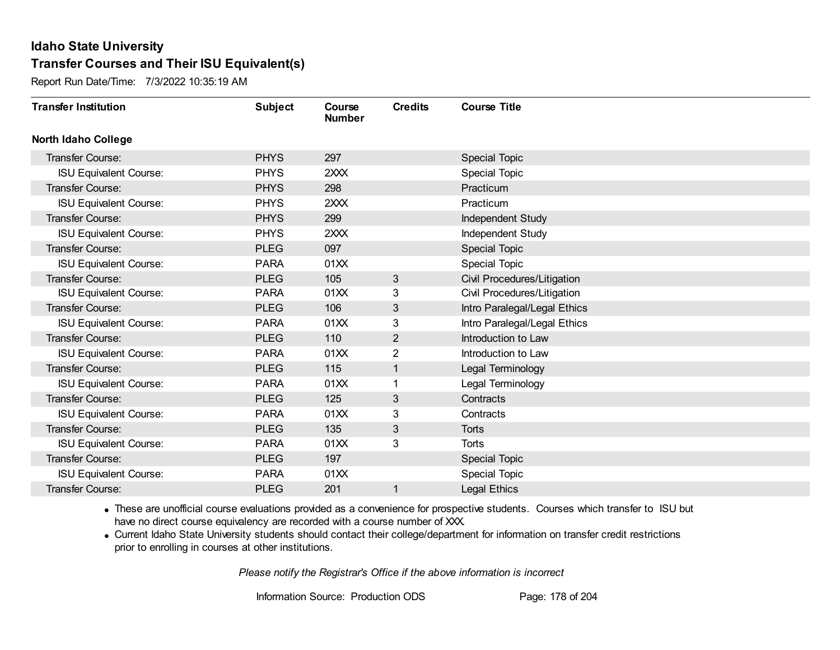Report Run Date/Time: 7/3/2022 10:35:19 AM

| <b>Transfer Institution</b>   | <b>Subject</b> | Course<br><b>Number</b> | <b>Credits</b> | <b>Course Title</b>          |
|-------------------------------|----------------|-------------------------|----------------|------------------------------|
| <b>North Idaho College</b>    |                |                         |                |                              |
| Transfer Course:              | <b>PHYS</b>    | 297                     |                | Special Topic                |
| <b>ISU Equivalent Course:</b> | <b>PHYS</b>    | 2XXX                    |                | <b>Special Topic</b>         |
| Transfer Course:              | <b>PHYS</b>    | 298                     |                | Practicum                    |
| <b>ISU Equivalent Course:</b> | <b>PHYS</b>    | 2XXX                    |                | Practicum                    |
| <b>Transfer Course:</b>       | <b>PHYS</b>    | 299                     |                | Independent Study            |
| <b>ISU Equivalent Course:</b> | <b>PHYS</b>    | 2XXX                    |                | Independent Study            |
| <b>Transfer Course:</b>       | <b>PLEG</b>    | 097                     |                | Special Topic                |
| <b>ISU Equivalent Course:</b> | <b>PARA</b>    | 01XX                    |                | Special Topic                |
| <b>Transfer Course:</b>       | <b>PLEG</b>    | 105                     | 3              | Civil Procedures/Litigation  |
| <b>ISU Equivalent Course:</b> | <b>PARA</b>    | 01XX                    | 3              | Civil Procedures/Litigation  |
| <b>Transfer Course:</b>       | <b>PLEG</b>    | 106                     | 3              | Intro Paralegal/Legal Ethics |
| <b>ISU Equivalent Course:</b> | <b>PARA</b>    | 01XX                    | 3              | Intro Paralegal/Legal Ethics |
| Transfer Course:              | <b>PLEG</b>    | 110                     | $\overline{c}$ | Introduction to Law          |
| <b>ISU Equivalent Course:</b> | <b>PARA</b>    | 01XX                    | $\overline{2}$ | Introduction to Law          |
| Transfer Course:              | <b>PLEG</b>    | 115                     | 1              | Legal Terminology            |
| <b>ISU Equivalent Course:</b> | <b>PARA</b>    | 01XX                    |                | Legal Terminology            |
| Transfer Course:              | <b>PLEG</b>    | 125                     | 3              | Contracts                    |
| <b>ISU Equivalent Course:</b> | <b>PARA</b>    | 01XX                    | 3              | Contracts                    |
| Transfer Course:              | <b>PLEG</b>    | 135                     | 3              | <b>Torts</b>                 |
| <b>ISU Equivalent Course:</b> | <b>PARA</b>    | 01XX                    | 3              | Torts                        |
| Transfer Course:              | <b>PLEG</b>    | 197                     |                | <b>Special Topic</b>         |
| <b>ISU Equivalent Course:</b> | <b>PARA</b>    | 01XX                    |                | Special Topic                |
| <b>Transfer Course:</b>       | <b>PLEG</b>    | 201                     | 1              | <b>Legal Ethics</b>          |

· These are unofficial course evaluations provided as a convenience for prospective students. Courses which transfer to ISU but have no direct course equivalency are recorded with a course number of XXX.

· Current Idaho State University students should contact their college/department for information on transfer credit restrictions prior to enrolling in courses at other institutions.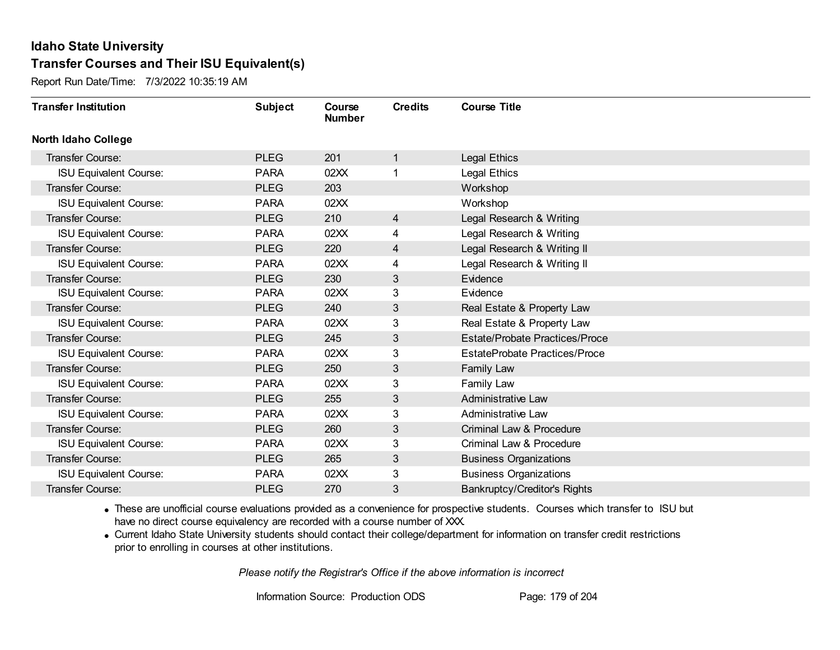Report Run Date/Time: 7/3/2022 10:35:19 AM

| <b>Transfer Institution</b>   | <b>Subject</b> | Course<br><b>Number</b> | <b>Credits</b> | <b>Course Title</b>                   |
|-------------------------------|----------------|-------------------------|----------------|---------------------------------------|
| <b>North Idaho College</b>    |                |                         |                |                                       |
| Transfer Course:              | <b>PLEG</b>    | 201                     | $\mathbf{1}$   | Legal Ethics                          |
| <b>ISU Equivalent Course:</b> | <b>PARA</b>    | 02XX                    | 1              | Legal Ethics                          |
| Transfer Course:              | <b>PLEG</b>    | 203                     |                | Workshop                              |
| <b>ISU Equivalent Course:</b> | <b>PARA</b>    | 02XX                    |                | Workshop                              |
| <b>Transfer Course:</b>       | <b>PLEG</b>    | 210                     | $\overline{4}$ | Legal Research & Writing              |
| <b>ISU Equivalent Course:</b> | <b>PARA</b>    | 02XX                    | 4              | Legal Research & Writing              |
| Transfer Course:              | <b>PLEG</b>    | 220                     | 4              | Legal Research & Writing II           |
| <b>ISU Equivalent Course:</b> | <b>PARA</b>    | 02XX                    | 4              | Legal Research & Writing II           |
| <b>Transfer Course:</b>       | <b>PLEG</b>    | 230                     | 3              | Evidence                              |
| <b>ISU Equivalent Course:</b> | <b>PARA</b>    | 02XX                    | 3              | Evidence                              |
| <b>Transfer Course:</b>       | <b>PLEG</b>    | 240                     | 3              | Real Estate & Property Law            |
| <b>ISU Equivalent Course:</b> | <b>PARA</b>    | 02XX                    | 3              | Real Estate & Property Law            |
| Transfer Course:              | <b>PLEG</b>    | 245                     | 3              | <b>Estate/Probate Practices/Proce</b> |
| <b>ISU Equivalent Course:</b> | <b>PARA</b>    | 02XX                    | 3              | EstateProbate Practices/Proce         |
| Transfer Course:              | <b>PLEG</b>    | 250                     | 3              | Family Law                            |
| <b>ISU Equivalent Course:</b> | <b>PARA</b>    | 02XX                    | 3              | Family Law                            |
| Transfer Course:              | <b>PLEG</b>    | 255                     | 3              | <b>Administrative Law</b>             |
| <b>ISU Equivalent Course:</b> | <b>PARA</b>    | 02XX                    | 3              | <b>Administrative Law</b>             |
| Transfer Course:              | <b>PLEG</b>    | 260                     | 3              | Criminal Law & Procedure              |
| <b>ISU Equivalent Course:</b> | <b>PARA</b>    | 02XX                    | 3              | Criminal Law & Procedure              |
| Transfer Course:              | <b>PLEG</b>    | 265                     | 3              | <b>Business Organizations</b>         |
| <b>ISU Equivalent Course:</b> | <b>PARA</b>    | 02XX                    | 3              | <b>Business Organizations</b>         |
| Transfer Course:              | <b>PLEG</b>    | 270                     | 3              | <b>Bankruptcy/Creditor's Rights</b>   |

· These are unofficial course evaluations provided as a convenience for prospective students. Courses which transfer to ISU but have no direct course equivalency are recorded with a course number of XXX.

· Current Idaho State University students should contact their college/department for information on transfer credit restrictions prior to enrolling in courses at other institutions.

*Please notify the Registrar's Office if the above information is incorrect*

Information Source: Production ODS Page: 179 of 204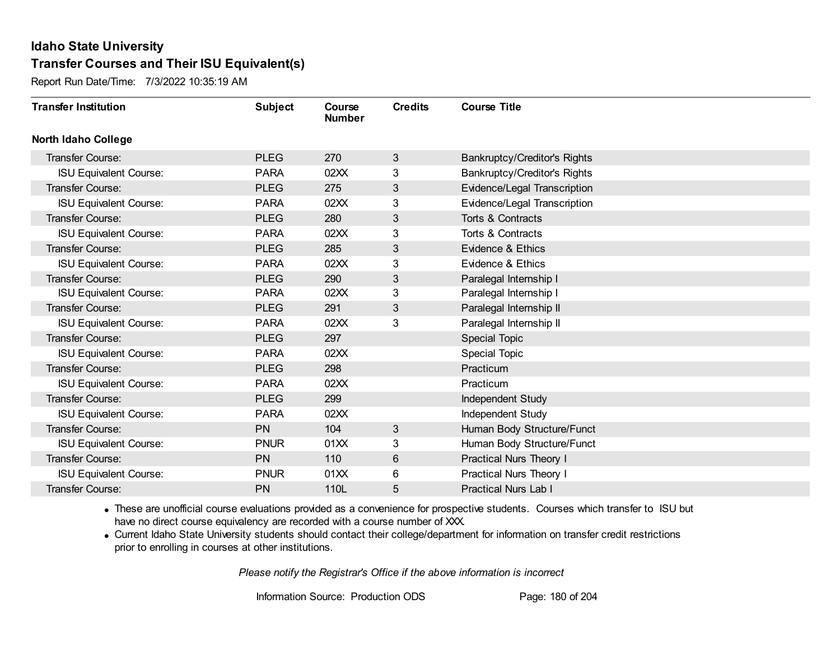Report Run Date/Time: 7/3/2022 10:35:19 AM

| <b>Transfer Institution</b>   | <b>Subject</b> | Course<br><b>Number</b> | <b>Credits</b> | <b>Course Title</b>                 |
|-------------------------------|----------------|-------------------------|----------------|-------------------------------------|
| <b>North Idaho College</b>    |                |                         |                |                                     |
| Transfer Course:              | <b>PLEG</b>    | 270                     | 3              | <b>Bankruptcy/Creditor's Rights</b> |
| <b>ISU Equivalent Course:</b> | <b>PARA</b>    | 02XX                    | 3              | Bankruptcy/Creditor's Rights        |
| Transfer Course:              | <b>PLEG</b>    | 275                     | 3              | Evidence/Legal Transcription        |
| <b>ISU Equivalent Course:</b> | <b>PARA</b>    | 02XX                    | 3              | Evidence/Legal Transcription        |
| <b>Transfer Course:</b>       | <b>PLEG</b>    | 280                     | 3              | Torts & Contracts                   |
| <b>ISU Equivalent Course:</b> | <b>PARA</b>    | 02XX                    | 3              | Torts & Contracts                   |
| <b>Transfer Course:</b>       | <b>PLEG</b>    | 285                     | 3              | Evidence & Ethics                   |
| <b>ISU Equivalent Course:</b> | <b>PARA</b>    | 02XX                    | 3              | <b>Evidence &amp; Ethics</b>        |
| Transfer Course:              | <b>PLEG</b>    | 290                     | 3              | Paralegal Internship I              |
| <b>ISU Equivalent Course:</b> | <b>PARA</b>    | 02XX                    | 3              | Paralegal Internship I              |
| <b>Transfer Course:</b>       | <b>PLEG</b>    | 291                     | 3              | Paralegal Internship II             |
| <b>ISU Equivalent Course:</b> | <b>PARA</b>    | 02XX                    | 3              | Paralegal Internship II             |
| Transfer Course:              | <b>PLEG</b>    | 297                     |                | Special Topic                       |
| <b>ISU Equivalent Course:</b> | <b>PARA</b>    | 02XX                    |                | <b>Special Topic</b>                |
| Transfer Course:              | <b>PLEG</b>    | 298                     |                | Practicum                           |
| <b>ISU Equivalent Course:</b> | <b>PARA</b>    | 02XX                    |                | Practicum                           |
| Transfer Course:              | <b>PLEG</b>    | 299                     |                | Independent Study                   |
| <b>ISU Equivalent Course:</b> | <b>PARA</b>    | 02XX                    |                | Independent Study                   |
| <b>Transfer Course:</b>       | <b>PN</b>      | 104                     | 3              | Human Body Structure/Funct          |
| <b>ISU Equivalent Course:</b> | <b>PNUR</b>    | 01XX                    | 3              | Human Body Structure/Funct          |
| Transfer Course:              | <b>PN</b>      | 110                     | 6              | Practical Nurs Theory I             |
| <b>ISU Equivalent Course:</b> | <b>PNUR</b>    | 01XX                    | 6              | Practical Nurs Theory I             |
| Transfer Course:              | PN             | 110L                    | 5              | <b>Practical Nurs Lab I</b>         |

· These are unofficial course evaluations provided as a convenience for prospective students. Courses which transfer to ISU but have no direct course equivalency are recorded with a course number of XXX.

· Current Idaho State University students should contact their college/department for information on transfer credit restrictions prior to enrolling in courses at other institutions.

*Please notify the Registrar's Office if the above information is incorrect*

Information Source: Production ODS Page: 180 of 204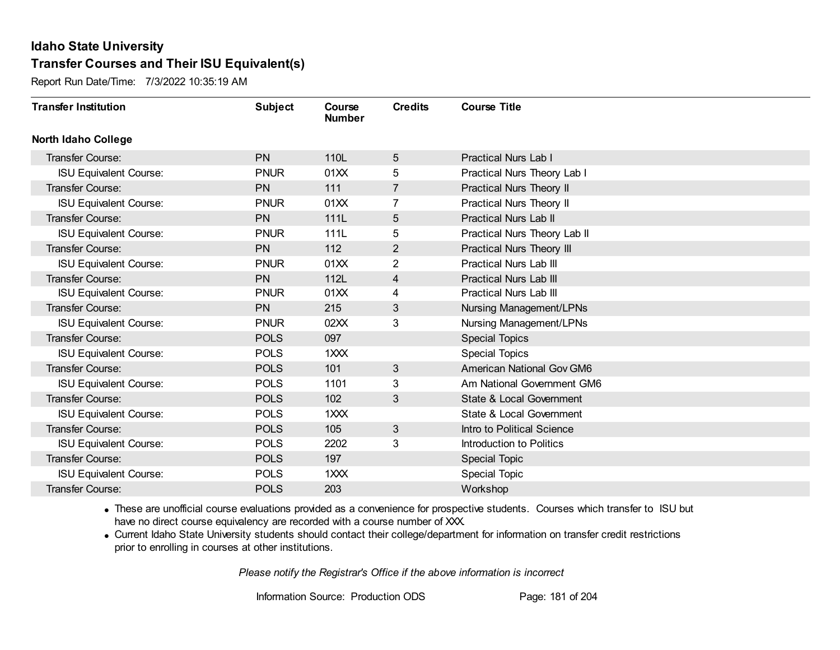Report Run Date/Time: 7/3/2022 10:35:19 AM

| <b>Transfer Institution</b>   | <b>Subject</b> | Course<br><b>Number</b> | <b>Credits</b> | <b>Course Title</b>              |
|-------------------------------|----------------|-------------------------|----------------|----------------------------------|
| <b>North Idaho College</b>    |                |                         |                |                                  |
| <b>Transfer Course:</b>       | <b>PN</b>      | 110L                    | 5              | <b>Practical Nurs Lab I</b>      |
| <b>ISU Equivalent Course:</b> | <b>PNUR</b>    | 01XX                    | 5              | Practical Nurs Theory Lab I      |
| Transfer Course:              | <b>PN</b>      | 111                     | $\overline{7}$ | Practical Nurs Theory II         |
| <b>ISU Equivalent Course:</b> | <b>PNUR</b>    | 01XX                    | 7              | Practical Nurs Theory II         |
| <b>Transfer Course:</b>       | <b>PN</b>      | 111L                    | 5              | <b>Practical Nurs Lab II</b>     |
| <b>ISU Equivalent Course:</b> | <b>PNUR</b>    | 111L                    | 5              | Practical Nurs Theory Lab II     |
| Transfer Course:              | <b>PN</b>      | 112                     | $\overline{2}$ | Practical Nurs Theory III        |
| <b>ISU Equivalent Course:</b> | <b>PNUR</b>    | 01XX                    | $\overline{2}$ | <b>Practical Nurs Lab III</b>    |
| <b>Transfer Course:</b>       | <b>PN</b>      | 112L                    | $\overline{4}$ | <b>Practical Nurs Lab III</b>    |
| <b>ISU Equivalent Course:</b> | <b>PNUR</b>    | 01XX                    | 4              | <b>Practical Nurs Lab III</b>    |
| <b>Transfer Course:</b>       | <b>PN</b>      | 215                     | 3              | Nursing Management/LPNs          |
| <b>ISU Equivalent Course:</b> | <b>PNUR</b>    | 02XX                    | 3              | Nursing Management/LPNs          |
| Transfer Course:              | <b>POLS</b>    | 097                     |                | <b>Special Topics</b>            |
| <b>ISU Equivalent Course:</b> | <b>POLS</b>    | 1XXX                    |                | <b>Special Topics</b>            |
| Transfer Course:              | <b>POLS</b>    | 101                     | 3              | <b>American National Gov GM6</b> |
| <b>ISU Equivalent Course:</b> | <b>POLS</b>    | 1101                    | 3              | Am National Government GM6       |
| Transfer Course:              | <b>POLS</b>    | 102                     | 3              | State & Local Government         |
| <b>ISU Equivalent Course:</b> | <b>POLS</b>    | 1XXX                    |                | State & Local Government         |
| <b>Transfer Course:</b>       | <b>POLS</b>    | 105                     | 3              | Intro to Political Science       |
| <b>ISU Equivalent Course:</b> | <b>POLS</b>    | 2202                    | 3              | Introduction to Politics         |
| <b>Transfer Course:</b>       | <b>POLS</b>    | 197                     |                | <b>Special Topic</b>             |
| <b>ISU Equivalent Course:</b> | <b>POLS</b>    | 1XXX                    |                | <b>Special Topic</b>             |
| Transfer Course:              | <b>POLS</b>    | 203                     |                | Workshop                         |

· These are unofficial course evaluations provided as a convenience for prospective students. Courses which transfer to ISU but have no direct course equivalency are recorded with a course number of XXX.

· Current Idaho State University students should contact their college/department for information on transfer credit restrictions prior to enrolling in courses at other institutions.

*Please notify the Registrar's Office if the above information is incorrect*

Information Source: Production ODS Page: 181 of 204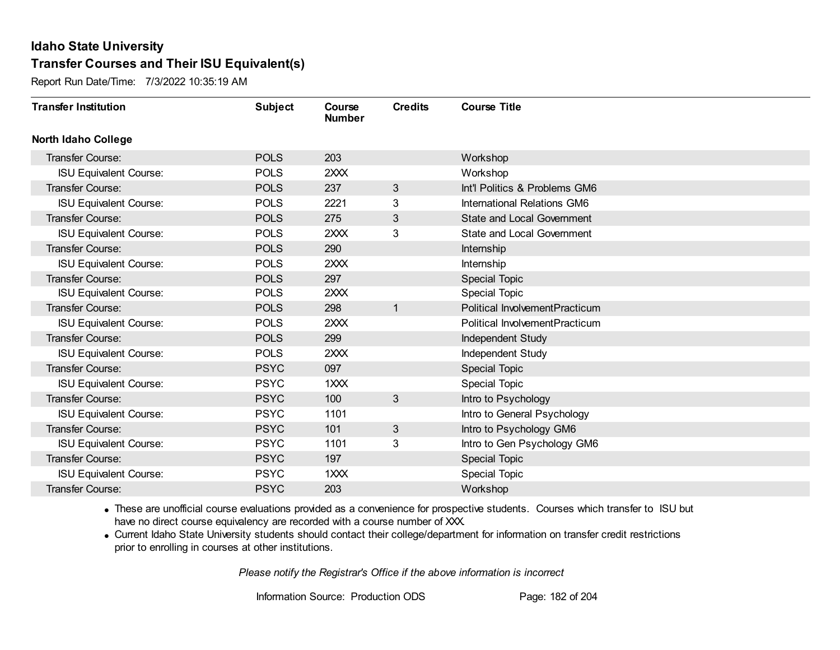Report Run Date/Time: 7/3/2022 10:35:19 AM

| <b>Transfer Institution</b>   | <b>Subject</b> | Course<br><b>Number</b> | <b>Credits</b> | <b>Course Title</b>               |
|-------------------------------|----------------|-------------------------|----------------|-----------------------------------|
| <b>North Idaho College</b>    |                |                         |                |                                   |
| <b>Transfer Course:</b>       | <b>POLS</b>    | 203                     |                | Workshop                          |
| <b>ISU Equivalent Course:</b> | <b>POLS</b>    | 2XXX                    |                | Workshop                          |
| <b>Transfer Course:</b>       | <b>POLS</b>    | 237                     | 3              | Int'l Politics & Problems GM6     |
| <b>ISU Equivalent Course:</b> | <b>POLS</b>    | 2221                    | 3              | International Relations GM6       |
| Transfer Course:              | <b>POLS</b>    | 275                     | 3              | <b>State and Local Government</b> |
| <b>ISU Equivalent Course:</b> | <b>POLS</b>    | 2XXX                    | 3              | <b>State and Local Government</b> |
| <b>Transfer Course:</b>       | <b>POLS</b>    | 290                     |                | Internship                        |
| <b>ISU Equivalent Course:</b> | <b>POLS</b>    | 2XXX                    |                | Internship                        |
| <b>Transfer Course:</b>       | <b>POLS</b>    | 297                     |                | <b>Special Topic</b>              |
| <b>ISU Equivalent Course:</b> | <b>POLS</b>    | 2XXX                    |                | Special Topic                     |
| <b>Transfer Course:</b>       | <b>POLS</b>    | 298                     | $\mathbf{1}$   | Political InvolvementPracticum    |
| <b>ISU Equivalent Course:</b> | <b>POLS</b>    | 2XXX                    |                | Political InvolvementPracticum    |
| Transfer Course:              | <b>POLS</b>    | 299                     |                | Independent Study                 |
| <b>ISU Equivalent Course:</b> | <b>POLS</b>    | 2XXX                    |                | Independent Study                 |
| Transfer Course:              | <b>PSYC</b>    | 097                     |                | <b>Special Topic</b>              |
| <b>ISU Equivalent Course:</b> | <b>PSYC</b>    | 1XXX                    |                | Special Topic                     |
| Transfer Course:              | <b>PSYC</b>    | 100                     | 3              | Intro to Psychology               |
| <b>ISU Equivalent Course:</b> | <b>PSYC</b>    | 1101                    |                | Intro to General Psychology       |
| <b>Transfer Course:</b>       | <b>PSYC</b>    | 101                     | 3              | Intro to Psychology GM6           |
| <b>ISU Equivalent Course:</b> | <b>PSYC</b>    | 1101                    | 3              | Intro to Gen Psychology GM6       |
| <b>Transfer Course:</b>       | <b>PSYC</b>    | 197                     |                | Special Topic                     |
| <b>ISU Equivalent Course:</b> | <b>PSYC</b>    | 1XXX                    |                | <b>Special Topic</b>              |
| Transfer Course:              | <b>PSYC</b>    | 203                     |                | Workshop                          |

· These are unofficial course evaluations provided as a convenience for prospective students. Courses which transfer to ISU but have no direct course equivalency are recorded with a course number of XXX.

· Current Idaho State University students should contact their college/department for information on transfer credit restrictions prior to enrolling in courses at other institutions.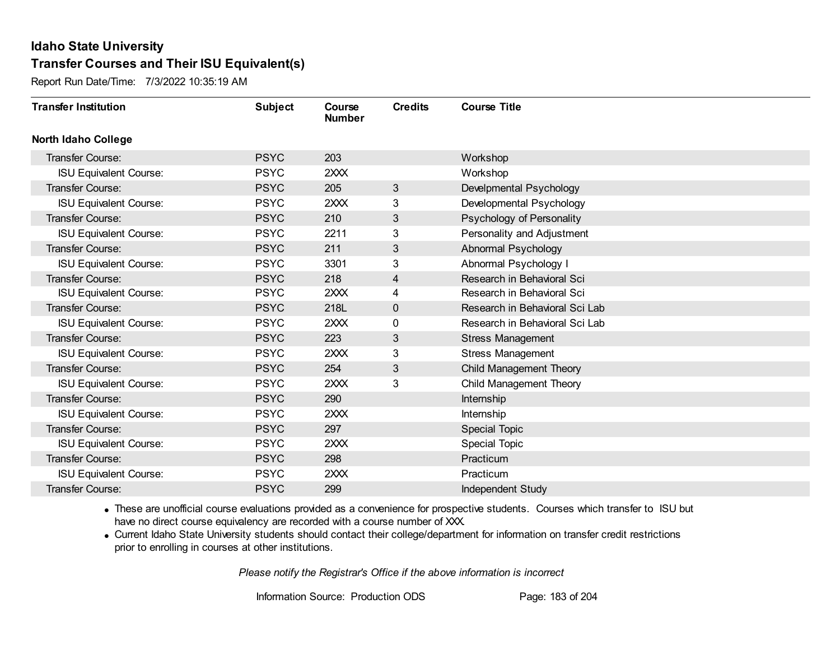Report Run Date/Time: 7/3/2022 10:35:19 AM

| <b>Transfer Institution</b>   | <b>Subject</b> | Course<br><b>Number</b> | <b>Credits</b> | <b>Course Title</b>            |
|-------------------------------|----------------|-------------------------|----------------|--------------------------------|
| <b>North Idaho College</b>    |                |                         |                |                                |
| Transfer Course:              | <b>PSYC</b>    | 203                     |                | Workshop                       |
| <b>ISU Equivalent Course:</b> | <b>PSYC</b>    | 2XXX                    |                | Workshop                       |
| Transfer Course:              | <b>PSYC</b>    | 205                     | 3              | Develpmental Psychology        |
| <b>ISU Equivalent Course:</b> | <b>PSYC</b>    | 2XXX                    | 3              | Developmental Psychology       |
| Transfer Course:              | <b>PSYC</b>    | 210                     | 3              | Psychology of Personality      |
| <b>ISU Equivalent Course:</b> | <b>PSYC</b>    | 2211                    | 3              | Personality and Adjustment     |
| <b>Transfer Course:</b>       | <b>PSYC</b>    | 211                     | 3              | Abnormal Psychology            |
| <b>ISU Equivalent Course:</b> | <b>PSYC</b>    | 3301                    | 3              | Abnormal Psychology I          |
| Transfer Course:              | <b>PSYC</b>    | 218                     | 4              | Research in Behavioral Sci     |
| <b>ISU Equivalent Course:</b> | <b>PSYC</b>    | 2XXX                    | 4              | Research in Behavioral Sci     |
| Transfer Course:              | <b>PSYC</b>    | 218L                    | 0              | Research in Behavioral Sci Lab |
| <b>ISU Equivalent Course:</b> | <b>PSYC</b>    | 2XXX                    | 0              | Research in Behavioral Sci Lab |
| <b>Transfer Course:</b>       | <b>PSYC</b>    | 223                     | 3              | <b>Stress Management</b>       |
| <b>ISU Equivalent Course:</b> | <b>PSYC</b>    | 2XXX                    | 3              | <b>Stress Management</b>       |
| Transfer Course:              | <b>PSYC</b>    | 254                     | 3              | Child Management Theory        |
| <b>ISU Equivalent Course:</b> | <b>PSYC</b>    | 2XXX                    | 3              | Child Management Theory        |
| Transfer Course:              | <b>PSYC</b>    | 290                     |                | Internship                     |
| <b>ISU Equivalent Course:</b> | <b>PSYC</b>    | 2XXX                    |                | Internship                     |
| Transfer Course:              | <b>PSYC</b>    | 297                     |                | Special Topic                  |
| <b>ISU Equivalent Course:</b> | <b>PSYC</b>    | 2XXX                    |                | <b>Special Topic</b>           |
| <b>Transfer Course:</b>       | <b>PSYC</b>    | 298                     |                | Practicum                      |
| <b>ISU Equivalent Course:</b> | <b>PSYC</b>    | 2XXX                    |                | Practicum                      |
| Transfer Course:              | <b>PSYC</b>    | 299                     |                | Independent Study              |

· These are unofficial course evaluations provided as a convenience for prospective students. Courses which transfer to ISU but have no direct course equivalency are recorded with a course number of XXX.

· Current Idaho State University students should contact their college/department for information on transfer credit restrictions prior to enrolling in courses at other institutions.

*Please notify the Registrar's Office if the above information is incorrect*

Information Source: Production ODS Page: 183 of 204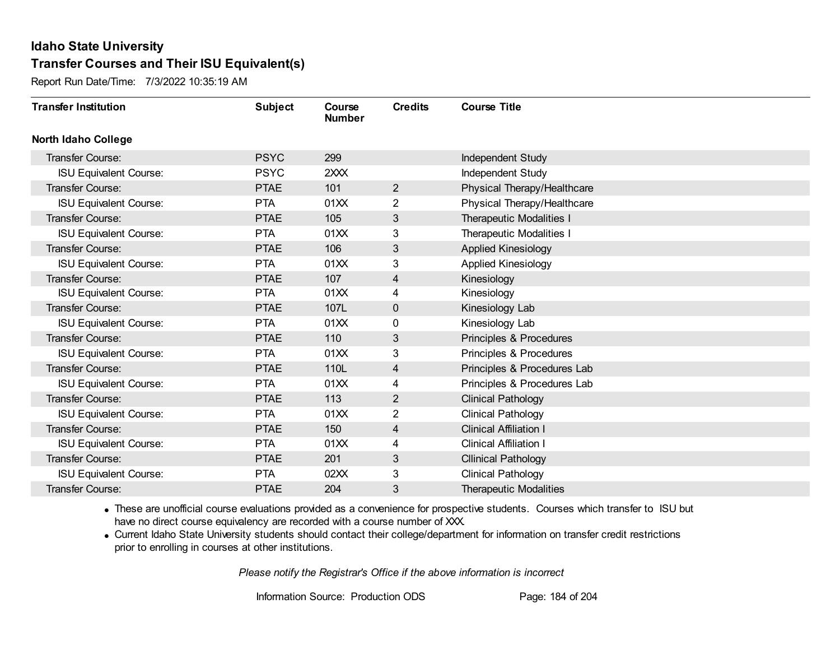Report Run Date/Time: 7/3/2022 10:35:19 AM

| <b>Transfer Institution</b>   | <b>Subject</b> | Course<br><b>Number</b> | <b>Credits</b> | <b>Course Title</b>             |
|-------------------------------|----------------|-------------------------|----------------|---------------------------------|
| <b>North Idaho College</b>    |                |                         |                |                                 |
| <b>Transfer Course:</b>       | <b>PSYC</b>    | 299                     |                | Independent Study               |
| <b>ISU Equivalent Course:</b> | <b>PSYC</b>    | 2XXX                    |                | Independent Study               |
| <b>Transfer Course:</b>       | <b>PTAE</b>    | 101                     | $\overline{2}$ | Physical Therapy/Healthcare     |
| <b>ISU Equivalent Course:</b> | <b>PTA</b>     | 01XX                    | $\overline{2}$ | Physical Therapy/Healthcare     |
| Transfer Course:              | <b>PTAE</b>    | 105                     | 3              | Therapeutic Modalities I        |
| <b>ISU Equivalent Course:</b> | <b>PTA</b>     | 01XX                    | 3              | <b>Therapeutic Modalities I</b> |
| <b>Transfer Course:</b>       | <b>PTAE</b>    | 106                     | 3              | <b>Applied Kinesiology</b>      |
| <b>ISU Equivalent Course:</b> | <b>PTA</b>     | 01XX                    | 3              | <b>Applied Kinesiology</b>      |
| Transfer Course:              | <b>PTAE</b>    | 107                     | 4              | Kinesiology                     |
| <b>ISU Equivalent Course:</b> | <b>PTA</b>     | 01XX                    | 4              | Kinesiology                     |
| Transfer Course:              | <b>PTAE</b>    | 107L                    | 0              | Kinesiology Lab                 |
| <b>ISU Equivalent Course:</b> | <b>PTA</b>     | 01XX                    | 0              | Kinesiology Lab                 |
| Transfer Course:              | <b>PTAE</b>    | 110                     | 3              | Principles & Procedures         |
| <b>ISU Equivalent Course:</b> | <b>PTA</b>     | 01XX                    | 3              | Principles & Procedures         |
| Transfer Course:              | <b>PTAE</b>    | 110L                    | 4              | Principles & Procedures Lab     |
| <b>ISU Equivalent Course:</b> | <b>PTA</b>     | 01XX                    | 4              | Principles & Procedures Lab     |
| <b>Transfer Course:</b>       | <b>PTAE</b>    | 113                     | $\overline{2}$ | <b>Clinical Pathology</b>       |
| <b>ISU Equivalent Course:</b> | <b>PTA</b>     | 01XX                    | 2              | <b>Clinical Pathology</b>       |
| <b>Transfer Course:</b>       | <b>PTAE</b>    | 150                     | 4              | <b>Clinical Affiliation I</b>   |
| <b>ISU Equivalent Course:</b> | <b>PTA</b>     | 01XX                    | 4              | <b>Clinical Affiliation I</b>   |
| <b>Transfer Course:</b>       | <b>PTAE</b>    | 201                     | 3              | <b>Cllinical Pathology</b>      |
| <b>ISU Equivalent Course:</b> | <b>PTA</b>     | 02XX                    | 3              | <b>Clinical Pathology</b>       |
| Transfer Course:              | <b>PTAE</b>    | 204                     | 3              | <b>Therapeutic Modalities</b>   |

· These are unofficial course evaluations provided as a convenience for prospective students. Courses which transfer to ISU but have no direct course equivalency are recorded with a course number of XXX.

· Current Idaho State University students should contact their college/department for information on transfer credit restrictions prior to enrolling in courses at other institutions.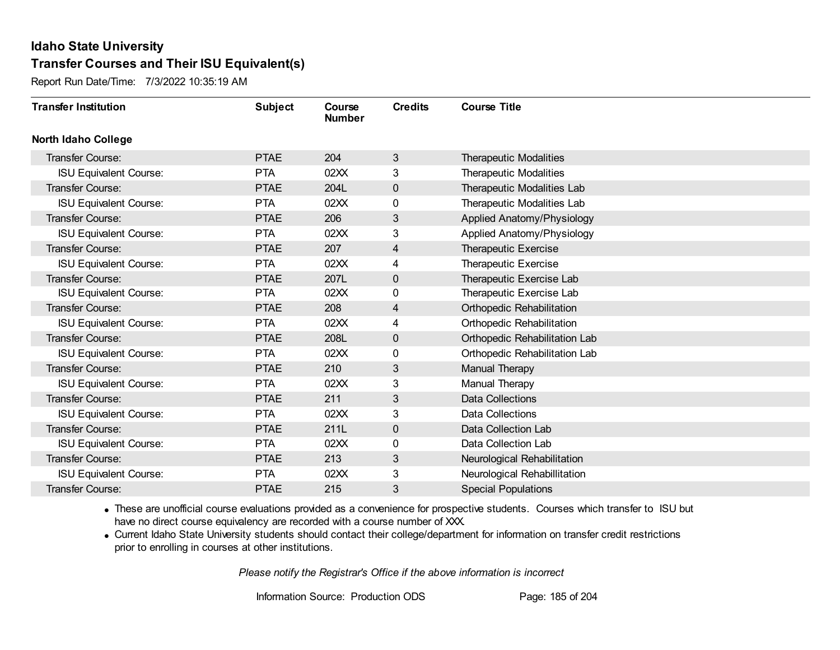Report Run Date/Time: 7/3/2022 10:35:19 AM

| <b>Transfer Institution</b>   | <b>Subject</b> | Course<br><b>Number</b> | <b>Credits</b> | <b>Course Title</b>           |
|-------------------------------|----------------|-------------------------|----------------|-------------------------------|
| <b>North Idaho College</b>    |                |                         |                |                               |
| Transfer Course:              | <b>PTAE</b>    | 204                     | $\mathbf{3}$   | <b>Therapeutic Modalities</b> |
| <b>ISU Equivalent Course:</b> | <b>PTA</b>     | 02XX                    | 3              | <b>Therapeutic Modalities</b> |
| Transfer Course:              | <b>PTAE</b>    | 204L                    | $\mathbf 0$    | Therapeutic Modalities Lab    |
| <b>ISU Equivalent Course:</b> | <b>PTA</b>     | 02XX                    | 0              | Therapeutic Modalities Lab    |
| <b>Transfer Course:</b>       | <b>PTAE</b>    | 206                     | 3              | Applied Anatomy/Physiology    |
| <b>ISU Equivalent Course:</b> | <b>PTA</b>     | 02XX                    | 3              | Applied Anatomy/Physiology    |
| Transfer Course:              | <b>PTAE</b>    | 207                     | $\overline{4}$ | Therapeutic Exercise          |
| <b>ISU Equivalent Course:</b> | <b>PTA</b>     | 02XX                    | 4              | Therapeutic Exercise          |
| <b>Transfer Course:</b>       | <b>PTAE</b>    | 207L                    | $\mathbf 0$    | Therapeutic Exercise Lab      |
| <b>ISU Equivalent Course:</b> | <b>PTA</b>     | 02XX                    | 0              | Therapeutic Exercise Lab      |
| Transfer Course:              | <b>PTAE</b>    | 208                     | $\overline{4}$ | Orthopedic Rehabilitation     |
| <b>ISU Equivalent Course:</b> | <b>PTA</b>     | 02XX                    | 4              | Orthopedic Rehabilitation     |
| Transfer Course:              | <b>PTAE</b>    | 208L                    | $\mathbf 0$    | Orthopedic Rehabilitation Lab |
| <b>ISU Equivalent Course:</b> | <b>PTA</b>     | 02XX                    | 0              | Orthopedic Rehabilitation Lab |
| Transfer Course:              | <b>PTAE</b>    | 210                     | 3              | Manual Therapy                |
| <b>ISU Equivalent Course:</b> | <b>PTA</b>     | 02XX                    | 3              | Manual Therapy                |
| Transfer Course:              | <b>PTAE</b>    | 211                     | 3              | <b>Data Collections</b>       |
| <b>ISU Equivalent Course:</b> | <b>PTA</b>     | 02XX                    | 3              | <b>Data Collections</b>       |
| Transfer Course:              | <b>PTAE</b>    | 211L                    | $\mathbf 0$    | Data Collection Lab           |
| <b>ISU Equivalent Course:</b> | <b>PTA</b>     | 02XX                    | 0              | Data Collection Lab           |
| Transfer Course:              | <b>PTAE</b>    | 213                     | 3              | Neurological Rehabilitation   |
| <b>ISU Equivalent Course:</b> | <b>PTA</b>     | 02XX                    | 3              | Neurological Rehabillitation  |
| <b>Transfer Course:</b>       | <b>PTAE</b>    | 215                     | 3              | <b>Special Populations</b>    |

· These are unofficial course evaluations provided as a convenience for prospective students. Courses which transfer to ISU but have no direct course equivalency are recorded with a course number of XXX.

· Current Idaho State University students should contact their college/department for information on transfer credit restrictions prior to enrolling in courses at other institutions.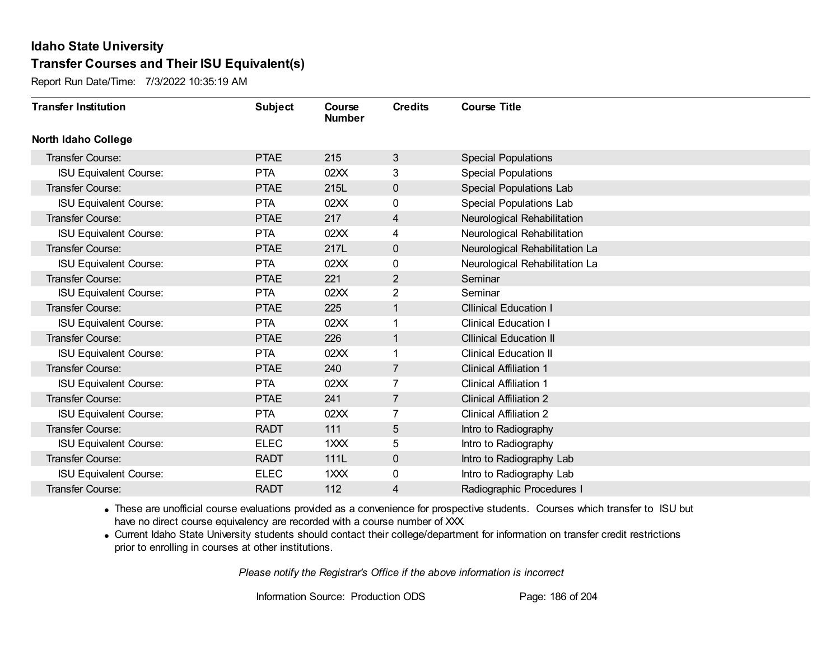Report Run Date/Time: 7/3/2022 10:35:19 AM

| <b>Transfer Institution</b>   | <b>Subject</b> | Course<br><b>Number</b> | <b>Credits</b> | <b>Course Title</b>            |
|-------------------------------|----------------|-------------------------|----------------|--------------------------------|
| <b>North Idaho College</b>    |                |                         |                |                                |
| Transfer Course:              | <b>PTAE</b>    | 215                     | 3              | <b>Special Populations</b>     |
| <b>ISU Equivalent Course:</b> | <b>PTA</b>     | 02XX                    | 3              | <b>Special Populations</b>     |
| Transfer Course:              | <b>PTAE</b>    | 215L                    | 0              | Special Populations Lab        |
| <b>ISU Equivalent Course:</b> | <b>PTA</b>     | 02XX                    | 0              | Special Populations Lab        |
| Transfer Course:              | <b>PTAE</b>    | 217                     | 4              | Neurological Rehabilitation    |
| <b>ISU Equivalent Course:</b> | <b>PTA</b>     | 02XX                    | 4              | Neurological Rehabilitation    |
| Transfer Course:              | <b>PTAE</b>    | 217L                    | 0              | Neurological Rehabilitation La |
| <b>ISU Equivalent Course:</b> | <b>PTA</b>     | 02XX                    | 0              | Neurological Rehabilitation La |
| Transfer Course:              | <b>PTAE</b>    | 221                     | $\overline{2}$ | Seminar                        |
| <b>ISU Equivalent Course:</b> | <b>PTA</b>     | 02XX                    | $\overline{2}$ | Seminar                        |
| Transfer Course:              | <b>PTAE</b>    | 225                     | $\mathbf{1}$   | <b>Cllinical Education I</b>   |
| <b>ISU Equivalent Course:</b> | <b>PTA</b>     | 02XX                    | 1              | <b>Clinical Education I</b>    |
| Transfer Course:              | <b>PTAE</b>    | 226                     | 1              | <b>Cllinical Education II</b>  |
| <b>ISU Equivalent Course:</b> | <b>PTA</b>     | 02XX                    | 1              | <b>Clinical Education II</b>   |
| Transfer Course:              | <b>PTAE</b>    | 240                     | $\overline{7}$ | <b>Clinical Affiliation 1</b>  |
| <b>ISU Equivalent Course:</b> | <b>PTA</b>     | 02XX                    | $\overline{7}$ | <b>Clinical Affiliation 1</b>  |
| Transfer Course:              | <b>PTAE</b>    | 241                     | $\overline{7}$ | <b>Clinical Affiliation 2</b>  |
| <b>ISU Equivalent Course:</b> | <b>PTA</b>     | 02XX                    | $\overline{7}$ | <b>Clinical Affiliation 2</b>  |
| Transfer Course:              | <b>RADT</b>    | 111                     | 5              | Intro to Radiography           |
| <b>ISU Equivalent Course:</b> | <b>ELEC</b>    | 1XXX                    | 5              | Intro to Radiography           |
| <b>Transfer Course:</b>       | <b>RADT</b>    | 111L                    | 0              | Intro to Radiography Lab       |
| <b>ISU Equivalent Course:</b> | <b>ELEC</b>    | 1XXX                    | 0              | Intro to Radiography Lab       |
| Transfer Course:              | <b>RADT</b>    | 112                     | 4              | Radiographic Procedures I      |

· These are unofficial course evaluations provided as a convenience for prospective students. Courses which transfer to ISU but have no direct course equivalency are recorded with a course number of XXX.

· Current Idaho State University students should contact their college/department for information on transfer credit restrictions prior to enrolling in courses at other institutions.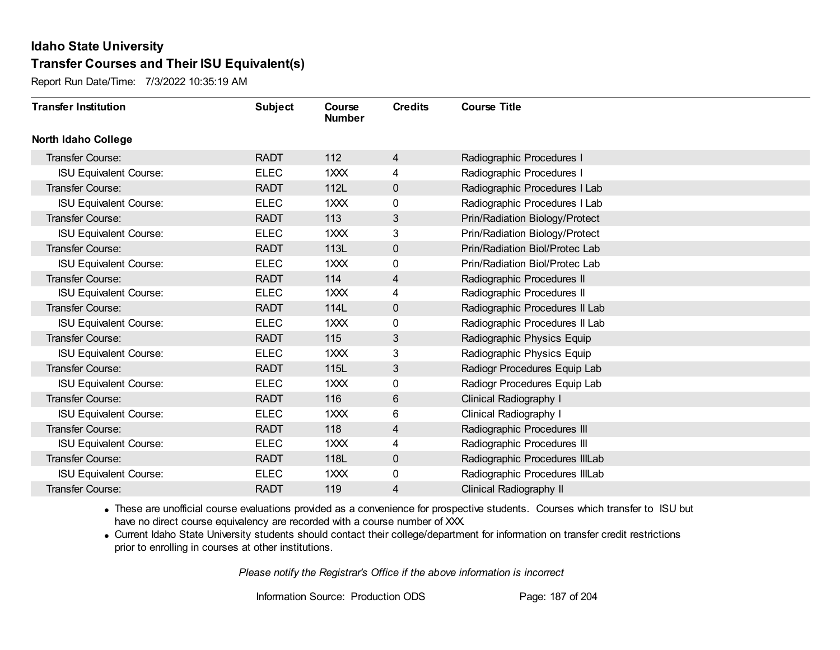Report Run Date/Time: 7/3/2022 10:35:19 AM

| <b>Transfer Institution</b>   | <b>Subject</b> | Course<br><b>Number</b> | <b>Credits</b> | <b>Course Title</b>            |
|-------------------------------|----------------|-------------------------|----------------|--------------------------------|
| North Idaho College           |                |                         |                |                                |
| Transfer Course:              | <b>RADT</b>    | 112                     | 4              | Radiographic Procedures I      |
| <b>ISU Equivalent Course:</b> | <b>ELEC</b>    | 1XXX                    | 4              | Radiographic Procedures I      |
| Transfer Course:              | <b>RADT</b>    | 112L                    | $\pmb{0}$      | Radiographic Procedures I Lab  |
| <b>ISU Equivalent Course:</b> | <b>ELEC</b>    | $1$ $XX$                | 0              | Radiographic Procedures I Lab  |
| Transfer Course:              | <b>RADT</b>    | 113                     | 3              | Prin/Radiation Biology/Protect |
| <b>ISU Equivalent Course:</b> | <b>ELEC</b>    | 1XXX                    | 3              | Prin/Radiation Biology/Protect |
| Transfer Course:              | <b>RADT</b>    | 113L                    | $\mathbf{0}$   | Prin/Radiation Biol/Protec Lab |
| <b>ISU Equivalent Course:</b> | <b>ELEC</b>    | 1XXX                    | 0              | Prin/Radiation Biol/Protec Lab |
| Transfer Course:              | <b>RADT</b>    | 114                     | 4              | Radiographic Procedures II     |
| <b>ISU Equivalent Course:</b> | <b>ELEC</b>    | 1XXX                    | 4              | Radiographic Procedures II     |
| Transfer Course:              | <b>RADT</b>    | 114L                    | $\mathbf 0$    | Radiographic Procedures II Lab |
| <b>ISU Equivalent Course:</b> | <b>ELEC</b>    | 1XXX                    | 0              | Radiographic Procedures II Lab |
| Transfer Course:              | <b>RADT</b>    | 115                     | 3              | Radiographic Physics Equip     |
| <b>ISU Equivalent Course:</b> | <b>ELEC</b>    | 1XXX                    | 3              | Radiographic Physics Equip     |
| Transfer Course:              | <b>RADT</b>    | 115L                    | $\mathfrak{S}$ | Radiogr Procedures Equip Lab   |
| <b>ISU Equivalent Course:</b> | <b>ELEC</b>    | 1XXX                    | $\mathbf 0$    | Radiogr Procedures Equip Lab   |
| Transfer Course:              | <b>RADT</b>    | 116                     | 6              | Clinical Radiography I         |
| <b>ISU Equivalent Course:</b> | <b>ELEC</b>    | 1XXX                    | 6              | Clinical Radiography I         |
| <b>Transfer Course:</b>       | <b>RADT</b>    | 118                     | $\overline{4}$ | Radiographic Procedures III    |
| <b>ISU Equivalent Course:</b> | <b>ELEC</b>    | 1XXX                    | 4              | Radiographic Procedures III    |
| Transfer Course:              | <b>RADT</b>    | 118L                    | $\pmb{0}$      | Radiographic Procedures IIILab |
| <b>ISU Equivalent Course:</b> | <b>ELEC</b>    | $1$ $XX$                | 0              | Radiographic Procedures IIILab |
| Transfer Course:              | <b>RADT</b>    | 119                     | 4              | Clinical Radiography II        |

· These are unofficial course evaluations provided as a convenience for prospective students. Courses which transfer to ISU but have no direct course equivalency are recorded with a course number of XXX.

· Current Idaho State University students should contact their college/department for information on transfer credit restrictions prior to enrolling in courses at other institutions.

*Please notify the Registrar's Office if the above information is incorrect*

Information Source: Production ODS Page: 187 of 204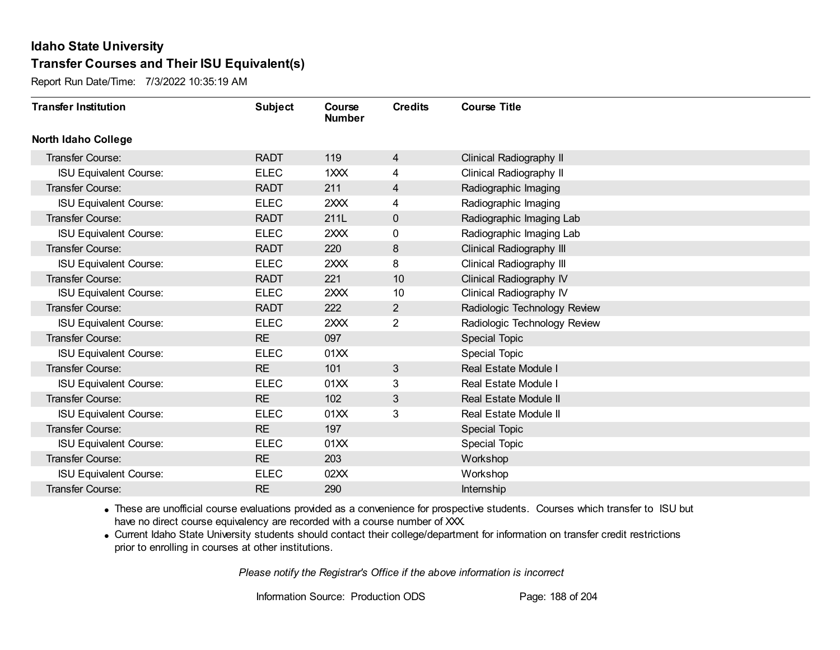Report Run Date/Time: 7/3/2022 10:35:19 AM

| <b>Transfer Institution</b>   | <b>Subject</b> | Course<br><b>Number</b> | <b>Credits</b> | <b>Course Title</b>          |
|-------------------------------|----------------|-------------------------|----------------|------------------------------|
| <b>North Idaho College</b>    |                |                         |                |                              |
| Transfer Course:              | <b>RADT</b>    | 119                     | $\overline{4}$ | Clinical Radiography II      |
| <b>ISU Equivalent Course:</b> | <b>ELEC</b>    | 1XXX                    | 4              | Clinical Radiography II      |
| Transfer Course:              | <b>RADT</b>    | 211                     | 4              | Radiographic Imaging         |
| <b>ISU Equivalent Course:</b> | <b>ELEC</b>    | 2XXX                    | 4              | Radiographic Imaging         |
| <b>Transfer Course:</b>       | <b>RADT</b>    | 211L                    | $\mathbf{0}$   | Radiographic Imaging Lab     |
| <b>ISU Equivalent Course:</b> | <b>ELEC</b>    | 2XXX                    | 0              | Radiographic Imaging Lab     |
| Transfer Course:              | <b>RADT</b>    | 220                     | 8              | Clinical Radiography III     |
| <b>ISU Equivalent Course:</b> | <b>ELEC</b>    | 2XXX                    | 8              | Clinical Radiography III     |
| Transfer Course:              | <b>RADT</b>    | 221                     | 10             | Clinical Radiography IV      |
| <b>ISU Equivalent Course:</b> | <b>ELEC</b>    | 2XXX                    | 10             | Clinical Radiography IV      |
| <b>Transfer Course:</b>       | <b>RADT</b>    | 222                     | $\overline{2}$ | Radiologic Technology Review |
| <b>ISU Equivalent Course:</b> | <b>ELEC</b>    | 2XXX                    | 2              | Radiologic Technology Review |
| Transfer Course:              | <b>RE</b>      | 097                     |                | Special Topic                |
| <b>ISU Equivalent Course:</b> | <b>ELEC</b>    | 01XX                    |                | <b>Special Topic</b>         |
| Transfer Course:              | <b>RE</b>      | 101                     | 3              | Real Estate Module I         |
| <b>ISU Equivalent Course:</b> | <b>ELEC</b>    | 01XX                    | 3              | Real Estate Module I         |
| Transfer Course:              | <b>RE</b>      | 102                     | 3              | <b>Real Estate Module II</b> |
| <b>ISU Equivalent Course:</b> | <b>ELEC</b>    | 01XX                    | 3              | Real Estate Module II        |
| Transfer Course:              | <b>RE</b>      | 197                     |                | <b>Special Topic</b>         |
| <b>ISU Equivalent Course:</b> | <b>ELEC</b>    | 01XX                    |                | <b>Special Topic</b>         |
| Transfer Course:              | <b>RE</b>      | 203                     |                | Workshop                     |
| <b>ISU Equivalent Course:</b> | <b>ELEC</b>    | 02XX                    |                | Workshop                     |
| Transfer Course:              | <b>RE</b>      | 290                     |                | <b>Internship</b>            |

· These are unofficial course evaluations provided as a convenience for prospective students. Courses which transfer to ISU but have no direct course equivalency are recorded with a course number of XXX.

· Current Idaho State University students should contact their college/department for information on transfer credit restrictions prior to enrolling in courses at other institutions.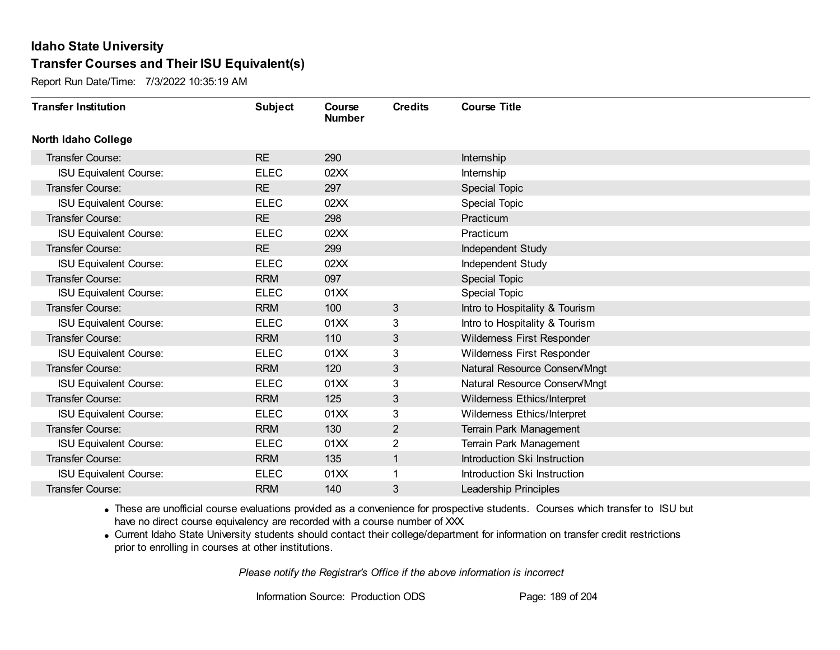Report Run Date/Time: 7/3/2022 10:35:19 AM

| <b>Transfer Institution</b>   | <b>Subject</b> | Course<br><b>Number</b> | <b>Credits</b> | <b>Course Title</b>               |
|-------------------------------|----------------|-------------------------|----------------|-----------------------------------|
| <b>North Idaho College</b>    |                |                         |                |                                   |
| Transfer Course:              | <b>RE</b>      | 290                     |                | Internship                        |
| <b>ISU Equivalent Course:</b> | <b>ELEC</b>    | 02XX                    |                | Internship                        |
| Transfer Course:              | <b>RE</b>      | 297                     |                | <b>Special Topic</b>              |
| <b>ISU Equivalent Course:</b> | <b>ELEC</b>    | 02XX                    |                | <b>Special Topic</b>              |
| <b>Transfer Course:</b>       | <b>RE</b>      | 298                     |                | Practicum                         |
| <b>ISU Equivalent Course:</b> | <b>ELEC</b>    | 02XX                    |                | Practicum                         |
| Transfer Course:              | <b>RE</b>      | 299                     |                | Independent Study                 |
| <b>ISU Equivalent Course:</b> | <b>ELEC</b>    | 02XX                    |                | Independent Study                 |
| Transfer Course:              | <b>RRM</b>     | 097                     |                | Special Topic                     |
| <b>ISU Equivalent Course:</b> | <b>ELEC</b>    | 01XX                    |                | Special Topic                     |
| <b>Transfer Course:</b>       | <b>RRM</b>     | 100                     | 3              | Intro to Hospitality & Tourism    |
| <b>ISU Equivalent Course:</b> | <b>ELEC</b>    | 01XX                    | 3              | Intro to Hospitality & Tourism    |
| Transfer Course:              | <b>RRM</b>     | 110                     | 3              | Wilderness First Responder        |
| <b>ISU Equivalent Course:</b> | <b>ELEC</b>    | 01XX                    | 3              | <b>Wilderness First Responder</b> |
| Transfer Course:              | <b>RRM</b>     | 120                     | 3              | Natural Resource Conserv/Mngt     |
| <b>ISU Equivalent Course:</b> | <b>ELEC</b>    | 01XX                    | 3              | Natural Resource Conserv/Mngt     |
| Transfer Course:              | <b>RRM</b>     | 125                     | 3              | Wilderness Ethics/Interpret       |
| <b>ISU Equivalent Course:</b> | <b>ELEC</b>    | 01XX                    | 3              | Wilderness Ethics/Interpret       |
| <b>Transfer Course:</b>       | <b>RRM</b>     | 130                     | $\overline{2}$ | Terrain Park Management           |
| <b>ISU Equivalent Course:</b> | <b>ELEC</b>    | 01XX                    | 2              | Terrain Park Management           |
| Transfer Course:              | <b>RRM</b>     | 135                     | 1              | Introduction Ski Instruction      |
| <b>ISU Equivalent Course:</b> | <b>ELEC</b>    | 01XX                    |                | Introduction Ski Instruction      |
| Transfer Course:              | <b>RRM</b>     | 140                     | 3              | <b>Leadership Principles</b>      |

· These are unofficial course evaluations provided as a convenience for prospective students. Courses which transfer to ISU but have no direct course equivalency are recorded with a course number of XXX.

· Current Idaho State University students should contact their college/department for information on transfer credit restrictions prior to enrolling in courses at other institutions.

*Please notify the Registrar's Office if the above information is incorrect*

Information Source: Production ODS Page: 189 of 204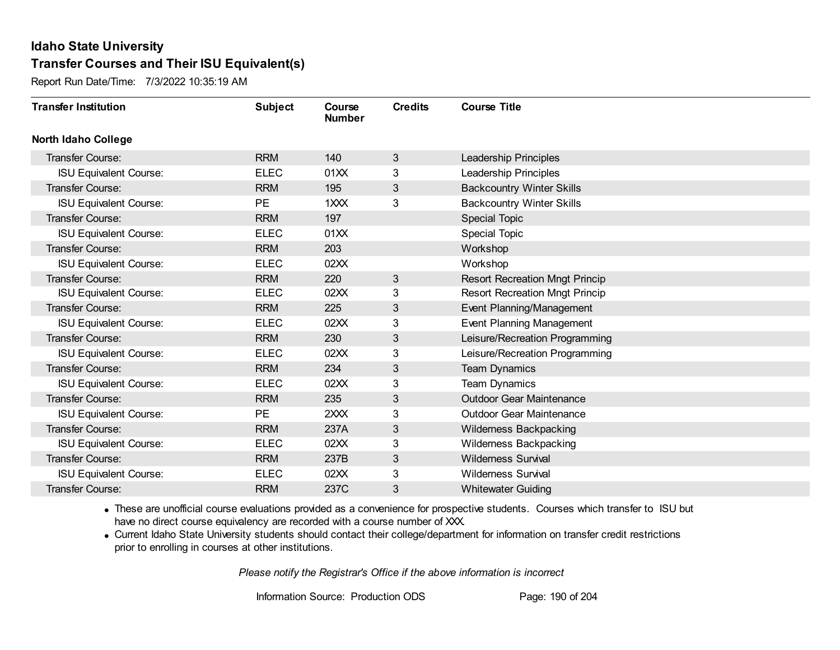Report Run Date/Time: 7/3/2022 10:35:19 AM

| <b>Transfer Institution</b>   | <b>Subject</b> | Course<br><b>Number</b> | <b>Credits</b> | <b>Course Title</b>                   |
|-------------------------------|----------------|-------------------------|----------------|---------------------------------------|
| <b>North Idaho College</b>    |                |                         |                |                                       |
| Transfer Course:              | <b>RRM</b>     | 140                     | 3              | Leadership Principles                 |
| <b>ISU Equivalent Course:</b> | <b>ELEC</b>    | 01XX                    | 3              | Leadership Principles                 |
| Transfer Course:              | <b>RRM</b>     | 195                     | 3              | <b>Backcountry Winter Skills</b>      |
| <b>ISU Equivalent Course:</b> | PE             | 1XXX                    | 3              | <b>Backcountry Winter Skills</b>      |
| <b>Transfer Course:</b>       | <b>RRM</b>     | 197                     |                | Special Topic                         |
| <b>ISU Equivalent Course:</b> | <b>ELEC</b>    | 01XX                    |                | <b>Special Topic</b>                  |
| Transfer Course:              | <b>RRM</b>     | 203                     |                | Workshop                              |
| <b>ISU Equivalent Course:</b> | <b>ELEC</b>    | 02XX                    |                | Workshop                              |
| Transfer Course:              | <b>RRM</b>     | 220                     | 3              | <b>Resort Recreation Mngt Princip</b> |
| <b>ISU Equivalent Course:</b> | <b>ELEC</b>    | 02XX                    | 3              | <b>Resort Recreation Mngt Princip</b> |
| Transfer Course:              | <b>RRM</b>     | 225                     | 3              | Event Planning/Management             |
| <b>ISU Equivalent Course:</b> | <b>ELEC</b>    | 02XX                    | 3              | Event Planning Management             |
| Transfer Course:              | <b>RRM</b>     | 230                     | 3              | Leisure/Recreation Programming        |
| <b>ISU Equivalent Course:</b> | <b>ELEC</b>    | 02XX                    | 3              | Leisure/Recreation Programming        |
| Transfer Course:              | <b>RRM</b>     | 234                     | 3              | <b>Team Dynamics</b>                  |
| <b>ISU Equivalent Course:</b> | <b>ELEC</b>    | 02XX                    | 3              | Team Dynamics                         |
| Transfer Course:              | <b>RRM</b>     | 235                     | 3              | <b>Outdoor Gear Maintenance</b>       |
| <b>ISU Equivalent Course:</b> | <b>PE</b>      | 2XXX                    | 3              | <b>Outdoor Gear Maintenance</b>       |
| Transfer Course:              | <b>RRM</b>     | 237A                    | 3              | Wilderness Backpacking                |
| <b>ISU Equivalent Course:</b> | <b>ELEC</b>    | 02XX                    | 3              | Wilderness Backpacking                |
| <b>Transfer Course:</b>       | <b>RRM</b>     | 237B                    | 3              | <b>Wilderness Survival</b>            |
| <b>ISU Equivalent Course:</b> | <b>ELEC</b>    | 02XX                    | 3              | <b>Wilderness Survival</b>            |
| Transfer Course:              | <b>RRM</b>     | 237C                    | 3              | <b>Whitewater Guiding</b>             |

· These are unofficial course evaluations provided as a convenience for prospective students. Courses which transfer to ISU but have no direct course equivalency are recorded with a course number of XXX.

· Current Idaho State University students should contact their college/department for information on transfer credit restrictions prior to enrolling in courses at other institutions.

*Please notify the Registrar's Office if the above information is incorrect*

Information Source: Production ODS Page: 190 of 204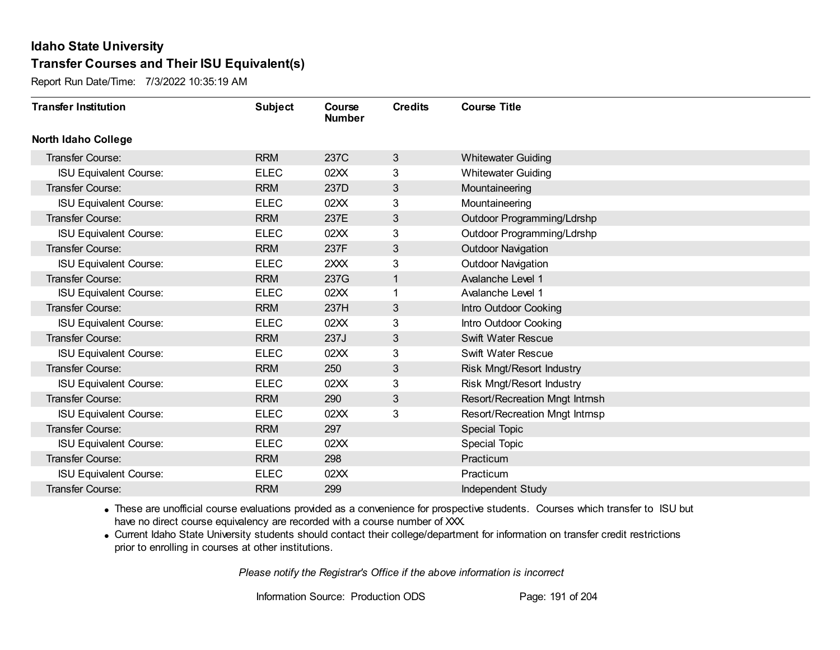Report Run Date/Time: 7/3/2022 10:35:19 AM

| <b>Transfer Institution</b>   | <b>Subject</b> | Course<br><b>Number</b> | <b>Credits</b> | <b>Course Title</b>            |
|-------------------------------|----------------|-------------------------|----------------|--------------------------------|
| <b>North Idaho College</b>    |                |                         |                |                                |
| <b>Transfer Course:</b>       | <b>RRM</b>     | 237C                    | 3              | <b>Whitewater Guiding</b>      |
| <b>ISU Equivalent Course:</b> | <b>ELEC</b>    | 02XX                    | 3              | <b>Whitewater Guiding</b>      |
| <b>Transfer Course:</b>       | <b>RRM</b>     | 237D                    | 3              | Mountaineering                 |
| <b>ISU Equivalent Course:</b> | <b>ELEC</b>    | 02XX                    | 3              | Mountaineering                 |
| Transfer Course:              | <b>RRM</b>     | 237E                    | 3              | Outdoor Programming/Ldrshp     |
| <b>ISU Equivalent Course:</b> | <b>ELEC</b>    | 02XX                    | 3              | Outdoor Programming/Ldrshp     |
| <b>Transfer Course:</b>       | <b>RRM</b>     | 237F                    | 3              | <b>Outdoor Navigation</b>      |
| <b>ISU Equivalent Course:</b> | <b>ELEC</b>    | 2XXX                    | 3              | <b>Outdoor Navigation</b>      |
| Transfer Course:              | <b>RRM</b>     | 237G                    | $\mathbf{1}$   | Avalanche Level 1              |
| <b>ISU Equivalent Course:</b> | <b>ELEC</b>    | 02XX                    | 1              | Avalanche Level 1              |
| Transfer Course:              | <b>RRM</b>     | 237H                    | 3              | Intro Outdoor Cooking          |
| <b>ISU Equivalent Course:</b> | <b>ELEC</b>    | 02XX                    | 3              | Intro Outdoor Cooking          |
| <b>Transfer Course:</b>       | <b>RRM</b>     | 237J                    | 3              | Swift Water Rescue             |
| <b>ISU Equivalent Course:</b> | <b>ELEC</b>    | 02XX                    | 3              | Swift Water Rescue             |
| <b>Transfer Course:</b>       | <b>RRM</b>     | 250                     | 3              | Risk Mngt/Resort Industry      |
| <b>ISU Equivalent Course:</b> | <b>ELEC</b>    | 02XX                    | 3              | Risk Mngt/Resort Industry      |
| Transfer Course:              | <b>RRM</b>     | 290                     | 3              | Resort/Recreation Mngt Intrnsh |
| <b>ISU Equivalent Course:</b> | <b>ELEC</b>    | 02XX                    | 3              | Resort/Recreation Mngt Intrnsp |
| <b>Transfer Course:</b>       | <b>RRM</b>     | 297                     |                | Special Topic                  |
| <b>ISU Equivalent Course:</b> | <b>ELEC</b>    | 02XX                    |                | <b>Special Topic</b>           |
| <b>Transfer Course:</b>       | <b>RRM</b>     | 298                     |                | Practicum                      |
| <b>ISU Equivalent Course:</b> | <b>ELEC</b>    | 02XX                    |                | Practicum                      |
| Transfer Course:              | <b>RRM</b>     | 299                     |                | Independent Study              |

· These are unofficial course evaluations provided as a convenience for prospective students. Courses which transfer to ISU but have no direct course equivalency are recorded with a course number of XXX.

· Current Idaho State University students should contact their college/department for information on transfer credit restrictions prior to enrolling in courses at other institutions.

*Please notify the Registrar's Office if the above information is incorrect*

Information Source: Production ODS Page: 191 of 204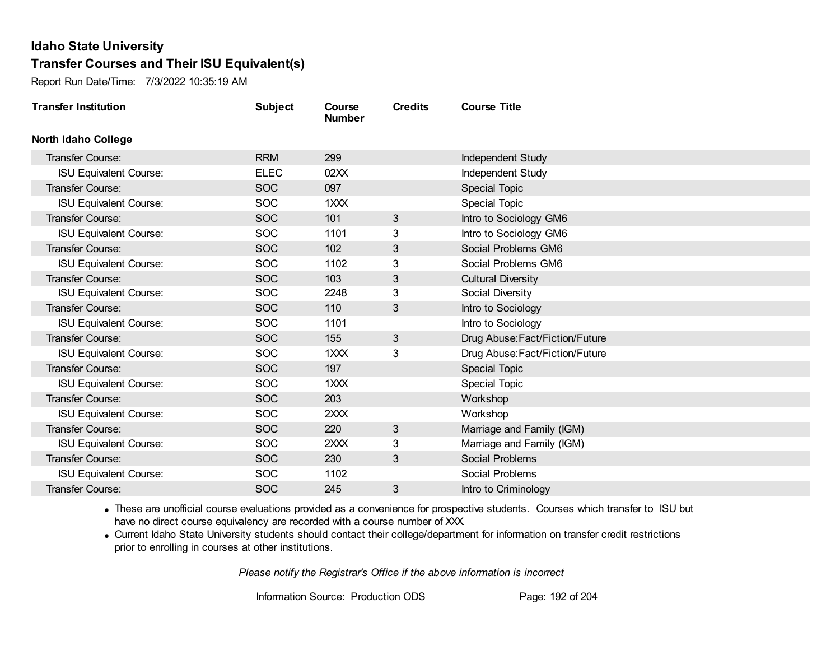Report Run Date/Time: 7/3/2022 10:35:19 AM

| <b>Transfer Institution</b>   | <b>Subject</b> | Course<br><b>Number</b> | <b>Credits</b> | <b>Course Title</b>             |
|-------------------------------|----------------|-------------------------|----------------|---------------------------------|
| <b>North Idaho College</b>    |                |                         |                |                                 |
| <b>Transfer Course:</b>       | <b>RRM</b>     | 299                     |                | Independent Study               |
| <b>ISU Equivalent Course:</b> | <b>ELEC</b>    | 02XX                    |                | Independent Study               |
| Transfer Course:              | <b>SOC</b>     | 097                     |                | Special Topic                   |
| <b>ISU Equivalent Course:</b> | <b>SOC</b>     | 1XXX                    |                | <b>Special Topic</b>            |
| Transfer Course:              | <b>SOC</b>     | 101                     | 3              | Intro to Sociology GM6          |
| <b>ISU Equivalent Course:</b> | <b>SOC</b>     | 1101                    | 3              | Intro to Sociology GM6          |
| <b>Transfer Course:</b>       | <b>SOC</b>     | 102                     | 3              | Social Problems GM6             |
| <b>ISU Equivalent Course:</b> | <b>SOC</b>     | 1102                    | 3              | Social Problems GM6             |
| Transfer Course:              | <b>SOC</b>     | 103                     | 3              | <b>Cultural Diversity</b>       |
| <b>ISU Equivalent Course:</b> | <b>SOC</b>     | 2248                    | 3              | Social Diversity                |
| Transfer Course:              | <b>SOC</b>     | 110                     | 3              | Intro to Sociology              |
| <b>ISU Equivalent Course:</b> | <b>SOC</b>     | 1101                    |                | Intro to Sociology              |
| Transfer Course:              | <b>SOC</b>     | 155                     | 3              | Drug Abuse: Fact/Fiction/Future |
| <b>ISU Equivalent Course:</b> | <b>SOC</b>     | 1XXX                    | 3              | Drug Abuse: Fact/Fiction/Future |
| Transfer Course:              | <b>SOC</b>     | 197                     |                | <b>Special Topic</b>            |
| <b>ISU Equivalent Course:</b> | SOC            | 1XXX                    |                | Special Topic                   |
| Transfer Course:              | <b>SOC</b>     | 203                     |                | Workshop                        |
| <b>ISU Equivalent Course:</b> | <b>SOC</b>     | 2XXX                    |                | Workshop                        |
| <b>Transfer Course:</b>       | <b>SOC</b>     | 220                     | 3              | Marriage and Family (IGM)       |
| <b>ISU Equivalent Course:</b> | <b>SOC</b>     | 2XXX                    | 3              | Marriage and Family (IGM)       |
| Transfer Course:              | <b>SOC</b>     | 230                     | 3              | <b>Social Problems</b>          |
| <b>ISU Equivalent Course:</b> | <b>SOC</b>     | 1102                    |                | Social Problems                 |
| Transfer Course:              | <b>SOC</b>     | 245                     | 3              | Intro to Criminology            |

· These are unofficial course evaluations provided as a convenience for prospective students. Courses which transfer to ISU but have no direct course equivalency are recorded with a course number of XXX.

· Current Idaho State University students should contact their college/department for information on transfer credit restrictions prior to enrolling in courses at other institutions.

*Please notify the Registrar's Office if the above information is incorrect*

Information Source: Production ODS Page: 192 of 204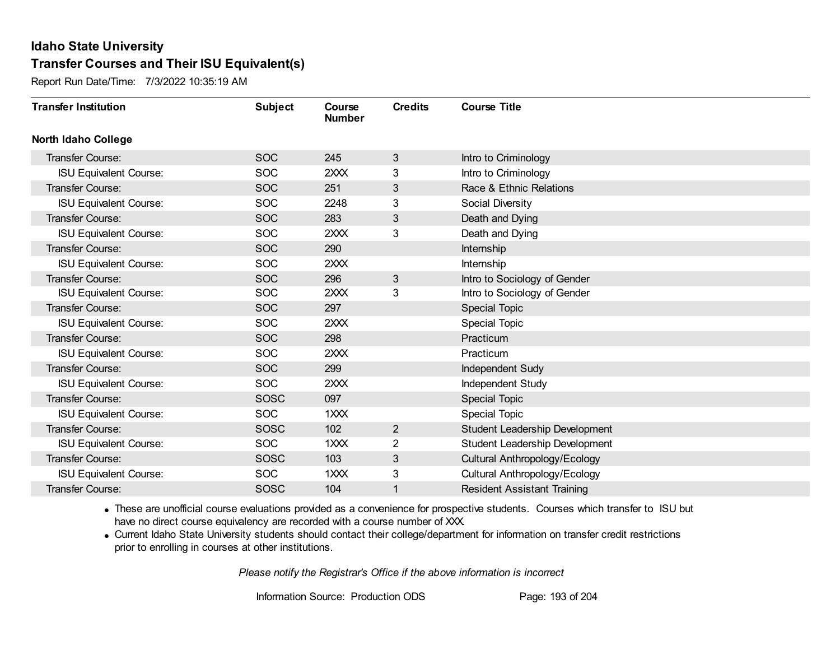Report Run Date/Time: 7/3/2022 10:35:19 AM

| <b>Transfer Institution</b>   | <b>Subject</b> | Course<br><b>Number</b> | <b>Credits</b> | <b>Course Title</b>                |
|-------------------------------|----------------|-------------------------|----------------|------------------------------------|
| <b>North Idaho College</b>    |                |                         |                |                                    |
| Transfer Course:              | <b>SOC</b>     | 245                     | 3              | Intro to Criminology               |
| <b>ISU Equivalent Course:</b> | <b>SOC</b>     | 2XXX                    | 3              | Intro to Criminology               |
| Transfer Course:              | <b>SOC</b>     | 251                     | 3              | Race & Ethnic Relations            |
| <b>ISU Equivalent Course:</b> | <b>SOC</b>     | 2248                    | 3              | Social Diversity                   |
| <b>Transfer Course:</b>       | <b>SOC</b>     | 283                     | 3              | Death and Dying                    |
| <b>ISU Equivalent Course:</b> | <b>SOC</b>     | 2XXX                    | 3              | Death and Dying                    |
| Transfer Course:              | <b>SOC</b>     | 290                     |                | Internship                         |
| <b>ISU Equivalent Course:</b> | <b>SOC</b>     | 2XXX                    |                | Internship                         |
| <b>Transfer Course:</b>       | <b>SOC</b>     | 296                     | 3              | Intro to Sociology of Gender       |
| <b>ISU Equivalent Course:</b> | <b>SOC</b>     | 2XXX                    | 3              | Intro to Sociology of Gender       |
| <b>Transfer Course:</b>       | <b>SOC</b>     | 297                     |                | Special Topic                      |
| <b>ISU Equivalent Course:</b> | <b>SOC</b>     | 2XXX                    |                | <b>Special Topic</b>               |
| Transfer Course:              | <b>SOC</b>     | 298                     |                | Practicum                          |
| <b>ISU Equivalent Course:</b> | <b>SOC</b>     | 2XXX                    |                | Practicum                          |
| Transfer Course:              | <b>SOC</b>     | 299                     |                | Independent Sudy                   |
| <b>ISU Equivalent Course:</b> | <b>SOC</b>     | 2XXX                    |                | Independent Study                  |
| Transfer Course:              | SOSC           | 097                     |                | Special Topic                      |
| <b>ISU Equivalent Course:</b> | <b>SOC</b>     | 1XXX                    |                | Special Topic                      |
| Transfer Course:              | <b>SOSC</b>    | 102                     | $\overline{2}$ | Student Leadership Development     |
| <b>ISU Equivalent Course:</b> | <b>SOC</b>     | 1XXX                    | 2              | Student Leadership Development     |
| Transfer Course:              | SOSC           | 103                     | 3              | Cultural Anthropology/Ecology      |
| <b>ISU Equivalent Course:</b> | <b>SOC</b>     | 1XXX                    | 3              | Cultural Anthropology/Ecology      |
| Transfer Course:              | SOSC           | 104                     | 1              | <b>Resident Assistant Training</b> |

· These are unofficial course evaluations provided as a convenience for prospective students. Courses which transfer to ISU but have no direct course equivalency are recorded with a course number of XXX.

· Current Idaho State University students should contact their college/department for information on transfer credit restrictions prior to enrolling in courses at other institutions.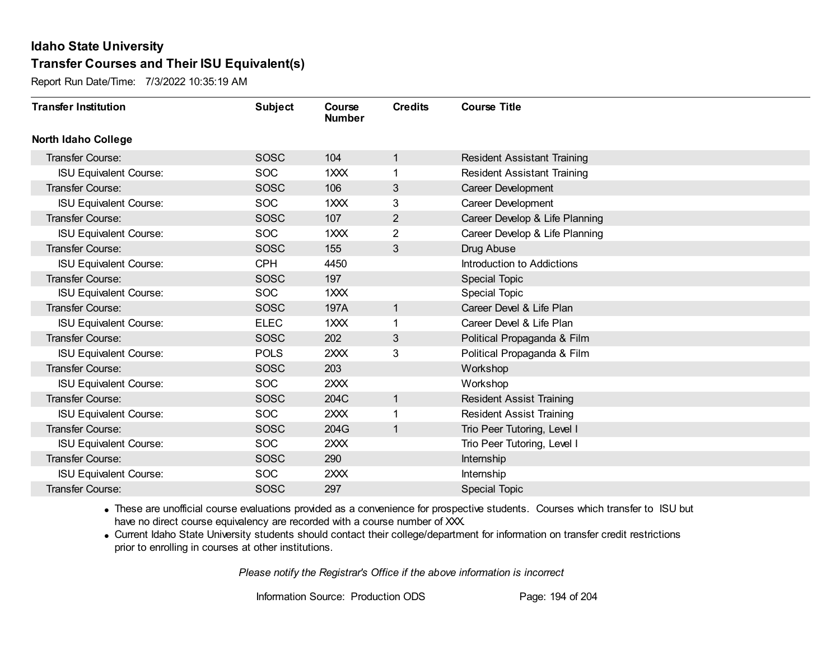Report Run Date/Time: 7/3/2022 10:35:19 AM

| <b>Transfer Institution</b>   | <b>Subject</b> | Course<br><b>Number</b> | <b>Credits</b> | <b>Course Title</b>                |
|-------------------------------|----------------|-------------------------|----------------|------------------------------------|
| <b>North Idaho College</b>    |                |                         |                |                                    |
| <b>Transfer Course:</b>       | <b>SOSC</b>    | 104                     | $\mathbf{1}$   | <b>Resident Assistant Training</b> |
| <b>ISU Equivalent Course:</b> | <b>SOC</b>     | 1XXX                    | 1              | <b>Resident Assistant Training</b> |
| Transfer Course:              | SOSC           | 106                     | 3              | Career Development                 |
| <b>ISU Equivalent Course:</b> | <b>SOC</b>     | 1XXX                    | 3              | Career Development                 |
| Transfer Course:              | SOSC           | 107                     | $\overline{2}$ | Career Develop & Life Planning     |
| <b>ISU Equivalent Course:</b> | <b>SOC</b>     | 1XXX                    | 2              | Career Develop & Life Planning     |
| <b>Transfer Course:</b>       | <b>SOSC</b>    | 155                     | 3              | Drug Abuse                         |
| <b>ISU Equivalent Course:</b> | <b>CPH</b>     | 4450                    |                | Introduction to Addictions         |
| Transfer Course:              | SOSC           | 197                     |                | <b>Special Topic</b>               |
| <b>ISU Equivalent Course:</b> | <b>SOC</b>     | 1XXX                    |                | <b>Special Topic</b>               |
| Transfer Course:              | <b>SOSC</b>    | 197A                    | 1              | Career Devel & Life Plan           |
| <b>ISU Equivalent Course:</b> | <b>ELEC</b>    | 1XXX                    | 1              | Career Devel & Life Plan           |
| <b>Transfer Course:</b>       | <b>SOSC</b>    | 202                     | 3              | Political Propaganda & Film        |
| <b>ISU Equivalent Course:</b> | <b>POLS</b>    | 2XXX                    | 3              | Political Propaganda & Film        |
| Transfer Course:              | SOSC           | 203                     |                | Workshop                           |
| <b>ISU Equivalent Course:</b> | <b>SOC</b>     | 2XXX                    |                | Workshop                           |
| Transfer Course:              | SOSC           | 204C                    | $\mathbf{1}$   | <b>Resident Assist Training</b>    |
| <b>ISU Equivalent Course:</b> | <b>SOC</b>     | 2XXX                    | 1              | <b>Resident Assist Training</b>    |
| <b>Transfer Course:</b>       | <b>SOSC</b>    | 204G                    | $\mathbf{1}$   | Trio Peer Tutoring, Level I        |
| <b>ISU Equivalent Course:</b> | <b>SOC</b>     | 2XXX                    |                | Trio Peer Tutoring, Level I        |
| <b>Transfer Course:</b>       | <b>SOSC</b>    | 290                     |                | Internship                         |
| <b>ISU Equivalent Course:</b> | <b>SOC</b>     | 2XXX                    |                | Internship                         |
| Transfer Course:              | SOSC           | 297                     |                | <b>Special Topic</b>               |

· These are unofficial course evaluations provided as a convenience for prospective students. Courses which transfer to ISU but have no direct course equivalency are recorded with a course number of XXX.

· Current Idaho State University students should contact their college/department for information on transfer credit restrictions prior to enrolling in courses at other institutions.

*Please notify the Registrar's Office if the above information is incorrect*

Information Source: Production ODS Page: 194 of 204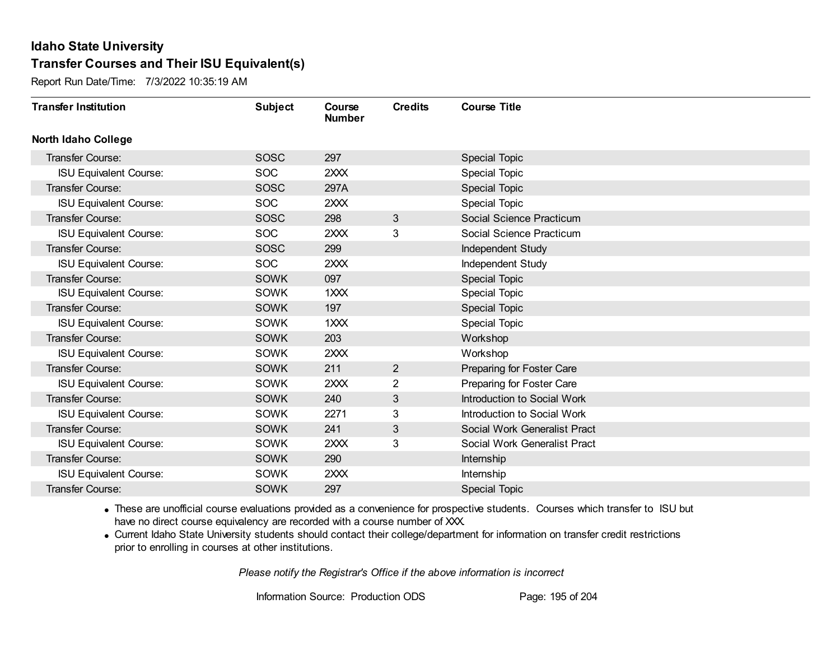Report Run Date/Time: 7/3/2022 10:35:19 AM

| <b>Transfer Institution</b>   | <b>Subject</b> | Course<br><b>Number</b> | <b>Credits</b> | <b>Course Title</b>          |
|-------------------------------|----------------|-------------------------|----------------|------------------------------|
| <b>North Idaho College</b>    |                |                         |                |                              |
| Transfer Course:              | <b>SOSC</b>    | 297                     |                | <b>Special Topic</b>         |
| ISU Equivalent Course:        | SOC            | 2XXX                    |                | <b>Special Topic</b>         |
| Transfer Course:              | <b>SOSC</b>    | 297A                    |                | <b>Special Topic</b>         |
| <b>ISU Equivalent Course:</b> | <b>SOC</b>     | 2XXX                    |                | Special Topic                |
| <b>Transfer Course:</b>       | SOSC           | 298                     | 3              | Social Science Practicum     |
| <b>ISU Equivalent Course:</b> | <b>SOC</b>     | 2XXX                    | 3              | Social Science Practicum     |
| Transfer Course:              | <b>SOSC</b>    | 299                     |                | Independent Study            |
| <b>ISU Equivalent Course:</b> | <b>SOC</b>     | 2XXX                    |                | <b>Independent Study</b>     |
| Transfer Course:              | <b>SOWK</b>    | 097                     |                | Special Topic                |
| <b>ISU Equivalent Course:</b> | <b>SOWK</b>    | 1XXX                    |                | <b>Special Topic</b>         |
| Transfer Course:              | <b>SOWK</b>    | 197                     |                | Special Topic                |
| <b>ISU Equivalent Course:</b> | <b>SOWK</b>    | 1XXX                    |                | <b>Special Topic</b>         |
| Transfer Course:              | <b>SOWK</b>    | 203                     |                | Workshop                     |
| <b>ISU Equivalent Course:</b> | <b>SOWK</b>    | 2XXX                    |                | Workshop                     |
| Transfer Course:              | <b>SOWK</b>    | 211                     | $\overline{2}$ | Preparing for Foster Care    |
| <b>ISU Equivalent Course:</b> | <b>SOWK</b>    | 2XXX                    | $\overline{2}$ | Preparing for Foster Care    |
| Transfer Course:              | <b>SOWK</b>    | 240                     | 3              | Introduction to Social Work  |
| <b>ISU Equivalent Course:</b> | SOWK           | 2271                    | 3              | Introduction to Social Work  |
| <b>Transfer Course:</b>       | <b>SOWK</b>    | 241                     | 3              | Social Work Generalist Pract |
| <b>ISU Equivalent Course:</b> | SOWK           | 2XXX                    | 3              | Social Work Generalist Pract |
| Transfer Course:              | <b>SOWK</b>    | 290                     |                | Internship                   |
| <b>ISU Equivalent Course:</b> | SOWK           | 2XXX                    |                | <b>Internship</b>            |
| Transfer Course:              | <b>SOWK</b>    | 297                     |                | <b>Special Topic</b>         |

· These are unofficial course evaluations provided as a convenience for prospective students. Courses which transfer to ISU but have no direct course equivalency are recorded with a course number of XXX.

· Current Idaho State University students should contact their college/department for information on transfer credit restrictions prior to enrolling in courses at other institutions.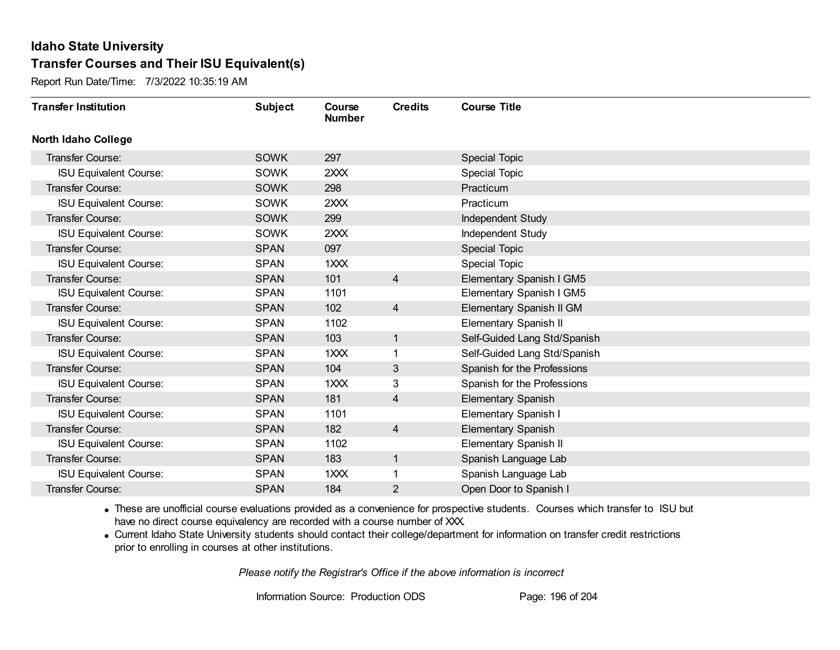Report Run Date/Time: 7/3/2022 10:35:19 AM

| <b>Transfer Institution</b>   | <b>Subject</b> | Course<br><b>Number</b> | <b>Credits</b> | <b>Course Title</b>          |
|-------------------------------|----------------|-------------------------|----------------|------------------------------|
| <b>North Idaho College</b>    |                |                         |                |                              |
| <b>Transfer Course:</b>       | <b>SOWK</b>    | 297                     |                | <b>Special Topic</b>         |
| <b>ISU Equivalent Course:</b> | <b>SOWK</b>    | 2XXX                    |                | <b>Special Topic</b>         |
| Transfer Course:              | <b>SOWK</b>    | 298                     |                | Practicum                    |
| <b>ISU Equivalent Course:</b> | <b>SOWK</b>    | 2XXX                    |                | Practicum                    |
| <b>Transfer Course:</b>       | <b>SOWK</b>    | 299                     |                | Independent Study            |
| <b>ISU Equivalent Course:</b> | <b>SOWK</b>    | 2XXX                    |                | <b>Independent Study</b>     |
| Transfer Course:              | <b>SPAN</b>    | 097                     |                | Special Topic                |
| <b>ISU Equivalent Course:</b> | <b>SPAN</b>    | 1XXX                    |                | <b>Special Topic</b>         |
| Transfer Course:              | <b>SPAN</b>    | 101                     | $\overline{4}$ | Elementary Spanish I GM5     |
| <b>ISU Equivalent Course:</b> | <b>SPAN</b>    | 1101                    |                | Elementary Spanish I GM5     |
| Transfer Course:              | <b>SPAN</b>    | 102                     | 4              | Elementary Spanish II GM     |
| <b>ISU Equivalent Course:</b> | <b>SPAN</b>    | 1102                    |                | Elementary Spanish II        |
| Transfer Course:              | <b>SPAN</b>    | 103                     | 1              | Self-Guided Lang Std/Spanish |
| <b>ISU Equivalent Course:</b> | <b>SPAN</b>    | 1XXX                    |                | Self-Guided Lang Std/Spanish |
| Transfer Course:              | <b>SPAN</b>    | 104                     | 3              | Spanish for the Professions  |
| <b>ISU Equivalent Course:</b> | <b>SPAN</b>    | 1XXX                    | 3              | Spanish for the Professions  |
| Transfer Course:              | <b>SPAN</b>    | 181                     | $\overline{4}$ | <b>Elementary Spanish</b>    |
| <b>ISU Equivalent Course:</b> | <b>SPAN</b>    | 1101                    |                | Elementary Spanish I         |
| Transfer Course:              | <b>SPAN</b>    | 182                     | $\overline{4}$ | <b>Elementary Spanish</b>    |
| <b>ISU Equivalent Course:</b> | <b>SPAN</b>    | 1102                    |                | Elementary Spanish II        |
| Transfer Course:              | <b>SPAN</b>    | 183                     | $\mathbf{1}$   | Spanish Language Lab         |
| <b>ISU Equivalent Course:</b> | <b>SPAN</b>    | 1XXX                    | 1              | Spanish Language Lab         |
| Transfer Course:              | <b>SPAN</b>    | 184                     | 2              | Open Door to Spanish I       |

· These are unofficial course evaluations provided as a convenience for prospective students. Courses which transfer to ISU but have no direct course equivalency are recorded with a course number of XXX.

· Current Idaho State University students should contact their college/department for information on transfer credit restrictions prior to enrolling in courses at other institutions.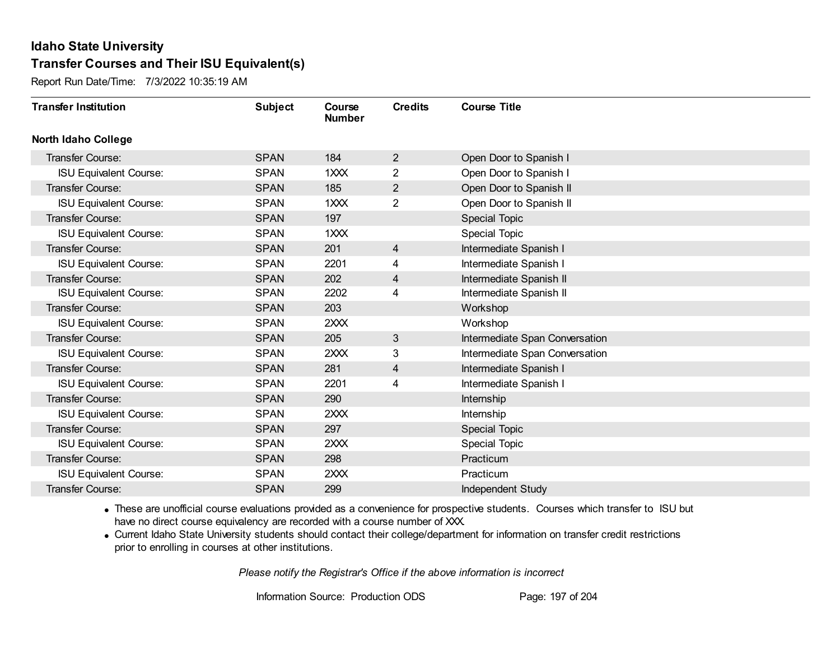Report Run Date/Time: 7/3/2022 10:35:19 AM

| <b>Transfer Institution</b>   | <b>Subject</b> | Course<br><b>Number</b> | <b>Credits</b> | <b>Course Title</b>            |
|-------------------------------|----------------|-------------------------|----------------|--------------------------------|
| <b>North Idaho College</b>    |                |                         |                |                                |
| Transfer Course:              | <b>SPAN</b>    | 184                     | $\overline{2}$ | Open Door to Spanish I         |
| <b>ISU Equivalent Course:</b> | <b>SPAN</b>    | 1XXX                    | $\overline{2}$ | Open Door to Spanish I         |
| Transfer Course:              | <b>SPAN</b>    | 185                     | $\overline{2}$ | Open Door to Spanish II        |
| <b>ISU Equivalent Course:</b> | <b>SPAN</b>    | 1XXX                    | $\overline{2}$ | Open Door to Spanish II        |
| <b>Transfer Course:</b>       | <b>SPAN</b>    | 197                     |                | <b>Special Topic</b>           |
| <b>ISU Equivalent Course:</b> | <b>SPAN</b>    | 1XXX                    |                | <b>Special Topic</b>           |
| <b>Transfer Course:</b>       | <b>SPAN</b>    | 201                     | 4              | Intermediate Spanish I         |
| <b>ISU Equivalent Course:</b> | <b>SPAN</b>    | 2201                    | 4              | Intermediate Spanish I         |
| Transfer Course:              | <b>SPAN</b>    | 202                     | $\overline{4}$ | Intermediate Spanish II        |
| <b>ISU Equivalent Course:</b> | <b>SPAN</b>    | 2202                    | 4              | Intermediate Spanish II        |
| Transfer Course:              | <b>SPAN</b>    | 203                     |                | Workshop                       |
| <b>ISU Equivalent Course:</b> | <b>SPAN</b>    | 2XXX                    |                | Workshop                       |
| Transfer Course:              | <b>SPAN</b>    | 205                     | 3              | Intermediate Span Conversation |
| <b>ISU Equivalent Course:</b> | <b>SPAN</b>    | 2XXX                    | 3              | Intermediate Span Conversation |
| Transfer Course:              | <b>SPAN</b>    | 281                     | 4              | Intermediate Spanish I         |
| <b>ISU Equivalent Course:</b> | <b>SPAN</b>    | 2201                    | 4              | Intermediate Spanish I         |
| Transfer Course:              | <b>SPAN</b>    | 290                     |                | Internship                     |
| <b>ISU Equivalent Course:</b> | <b>SPAN</b>    | 2XXX                    |                | Internship                     |
| <b>Transfer Course:</b>       | <b>SPAN</b>    | 297                     |                | <b>Special Topic</b>           |
| <b>ISU Equivalent Course:</b> | <b>SPAN</b>    | 2XXX                    |                | <b>Special Topic</b>           |
| Transfer Course:              | <b>SPAN</b>    | 298                     |                | Practicum                      |
| <b>ISU Equivalent Course:</b> | <b>SPAN</b>    | 2XXX                    |                | Practicum                      |
| <b>Transfer Course:</b>       | <b>SPAN</b>    | 299                     |                | Independent Study              |

· These are unofficial course evaluations provided as a convenience for prospective students. Courses which transfer to ISU but have no direct course equivalency are recorded with a course number of XXX.

· Current Idaho State University students should contact their college/department for information on transfer credit restrictions prior to enrolling in courses at other institutions.

*Please notify the Registrar's Office if the above information is incorrect*

Information Source: Production ODS Page: 197 of 204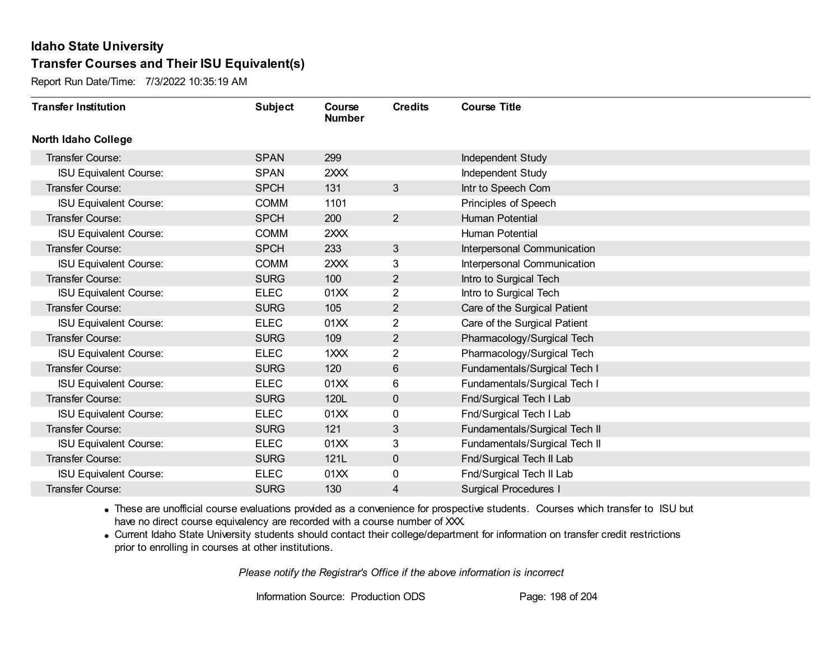Report Run Date/Time: 7/3/2022 10:35:19 AM

| <b>Transfer Institution</b>   | <b>Subject</b> | Course<br><b>Number</b> | <b>Credits</b> | <b>Course Title</b>           |
|-------------------------------|----------------|-------------------------|----------------|-------------------------------|
| North Idaho College           |                |                         |                |                               |
| <b>Transfer Course:</b>       | <b>SPAN</b>    | 299                     |                | Independent Study             |
| <b>ISU Equivalent Course:</b> | <b>SPAN</b>    | 2XXX                    |                | Independent Study             |
| Transfer Course:              | <b>SPCH</b>    | 131                     | 3              | Intr to Speech Com            |
| <b>ISU Equivalent Course:</b> | <b>COMM</b>    | 1101                    |                | Principles of Speech          |
| Transfer Course:              | <b>SPCH</b>    | 200                     | $\overline{2}$ | Human Potential               |
| <b>ISU Equivalent Course:</b> | <b>COMM</b>    | 2XXX                    |                | Human Potential               |
| <b>Transfer Course:</b>       | <b>SPCH</b>    | 233                     | 3              | Interpersonal Communication   |
| <b>ISU Equivalent Course:</b> | <b>COMM</b>    | 2XXX                    | 3              | Interpersonal Communication   |
| Transfer Course:              | <b>SURG</b>    | 100                     | $\overline{2}$ | Intro to Surgical Tech        |
| <b>ISU Equivalent Course:</b> | <b>ELEC</b>    | 01XX                    | $\overline{2}$ | Intro to Surgical Tech        |
| Transfer Course:              | <b>SURG</b>    | 105                     | $\overline{2}$ | Care of the Surgical Patient  |
| <b>ISU Equivalent Course:</b> | <b>ELEC</b>    | 01XX                    | 2              | Care of the Surgical Patient  |
| Transfer Course:              | <b>SURG</b>    | 109                     | $\overline{2}$ | Pharmacology/Surgical Tech    |
| <b>ISU Equivalent Course:</b> | <b>ELEC</b>    | 1XXX                    | $\overline{2}$ | Pharmacology/Surgical Tech    |
| Transfer Course:              | <b>SURG</b>    | 120                     | 6              | Fundamentals/Surgical Tech I  |
| <b>ISU Equivalent Course:</b> | <b>ELEC</b>    | 01XX                    | 6              | Fundamentals/Surgical Tech I  |
| Transfer Course:              | <b>SURG</b>    | 120L                    | $\mathbf 0$    | Fnd/Surgical Tech I Lab       |
| <b>ISU Equivalent Course:</b> | <b>ELEC</b>    | 01XX                    | 0              | Fnd/Surgical Tech I Lab       |
| <b>Transfer Course:</b>       | <b>SURG</b>    | 121                     | 3              | Fundamentals/Surgical Tech II |
| <b>ISU Equivalent Course:</b> | <b>ELEC</b>    | 01XX                    | 3              | Fundamentals/Surgical Tech II |
| Transfer Course:              | <b>SURG</b>    | 121L                    | $\mathbf 0$    | Fnd/Surgical Tech II Lab      |
| <b>ISU Equivalent Course:</b> | <b>ELEC</b>    | 01XX                    | 0              | Fnd/Surgical Tech II Lab      |
| Transfer Course:              | <b>SURG</b>    | 130                     | 4              | <b>Surgical Procedures I</b>  |

· These are unofficial course evaluations provided as a convenience for prospective students. Courses which transfer to ISU but have no direct course equivalency are recorded with a course number of XXX.

· Current Idaho State University students should contact their college/department for information on transfer credit restrictions prior to enrolling in courses at other institutions.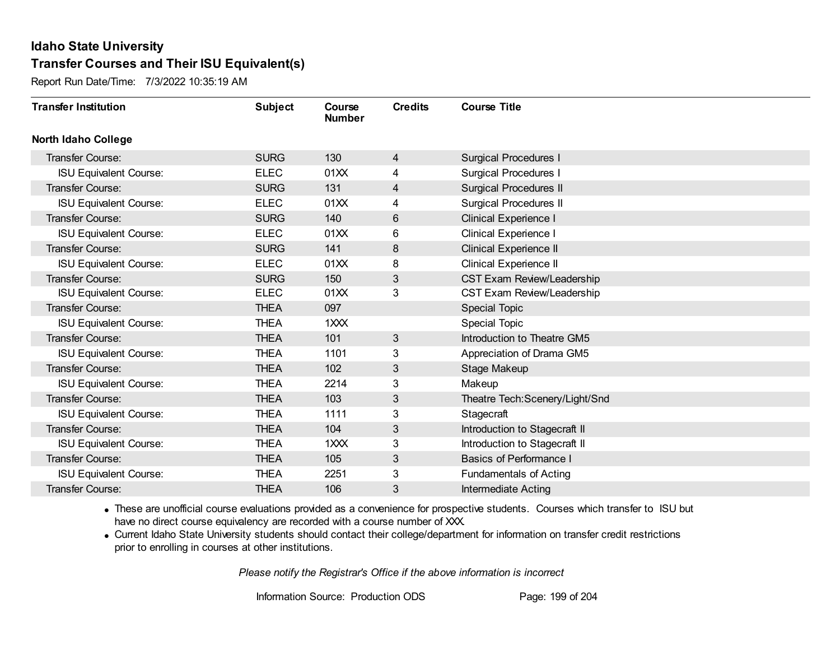Report Run Date/Time: 7/3/2022 10:35:19 AM

| <b>Transfer Institution</b>   | <b>Subject</b> | Course<br><b>Number</b> | <b>Credits</b> | <b>Course Title</b>             |
|-------------------------------|----------------|-------------------------|----------------|---------------------------------|
| <b>North Idaho College</b>    |                |                         |                |                                 |
| Transfer Course:              | <b>SURG</b>    | 130                     | $\overline{4}$ | <b>Surgical Procedures I</b>    |
| <b>ISU Equivalent Course:</b> | <b>ELEC</b>    | 01XX                    | 4              | <b>Surgical Procedures I</b>    |
| Transfer Course:              | <b>SURG</b>    | 131                     | 4              | <b>Surgical Procedures II</b>   |
| <b>ISU Equivalent Course:</b> | <b>ELEC</b>    | 01XX                    | 4              | <b>Surgical Procedures II</b>   |
| <b>Transfer Course:</b>       | <b>SURG</b>    | 140                     | 6              | <b>Clinical Experience I</b>    |
| <b>ISU Equivalent Course:</b> | <b>ELEC</b>    | 01XX                    | 6              | <b>Clinical Experience I</b>    |
| Transfer Course:              | <b>SURG</b>    | 141                     | 8              | <b>Clinical Experience II</b>   |
| <b>ISU Equivalent Course:</b> | <b>ELEC</b>    | 01XX                    | 8              | <b>Clinical Experience II</b>   |
| Transfer Course:              | <b>SURG</b>    | 150                     | 3              | CST Exam Review/Leadership      |
| <b>ISU Equivalent Course:</b> | <b>ELEC</b>    | 01XX                    | 3              | CST Exam Review/Leadership      |
| <b>Transfer Course:</b>       | <b>THEA</b>    | 097                     |                | <b>Special Topic</b>            |
| <b>ISU Equivalent Course:</b> | <b>THEA</b>    | 1XXX                    |                | <b>Special Topic</b>            |
| Transfer Course:              | <b>THEA</b>    | 101                     | 3              | Introduction to Theatre GM5     |
| <b>ISU Equivalent Course:</b> | <b>THEA</b>    | 1101                    | 3              | Appreciation of Drama GM5       |
| Transfer Course:              | <b>THEA</b>    | 102                     | 3              | Stage Makeup                    |
| <b>ISU Equivalent Course:</b> | <b>THEA</b>    | 2214                    | 3              | Makeup                          |
| Transfer Course:              | <b>THEA</b>    | 103                     | 3              | Theatre Tech: Scenery/Light/Snd |
| <b>ISU Equivalent Course:</b> | <b>THEA</b>    | 1111                    | 3              | Stagecraft                      |
| <b>Transfer Course:</b>       | <b>THEA</b>    | 104                     | 3              | Introduction to Stagecraft II   |
| <b>ISU Equivalent Course:</b> | <b>THEA</b>    | 1XXX                    | 3              | Introduction to Stagecraft II   |
| Transfer Course:              | <b>THEA</b>    | 105                     | 3              | <b>Basics of Performance I</b>  |
| <b>ISU Equivalent Course:</b> | <b>THEA</b>    | 2251                    | 3              | <b>Fundamentals of Acting</b>   |
| Transfer Course:              | <b>THEA</b>    | 106                     | 3              | <b>Intermediate Acting</b>      |

· These are unofficial course evaluations provided as a convenience for prospective students. Courses which transfer to ISU but have no direct course equivalency are recorded with a course number of XXX.

· Current Idaho State University students should contact their college/department for information on transfer credit restrictions prior to enrolling in courses at other institutions.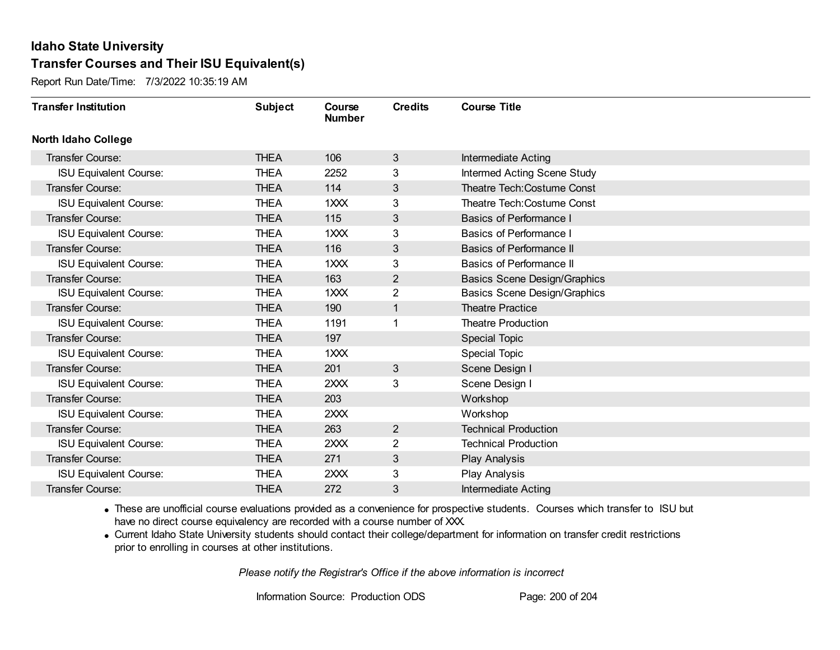Report Run Date/Time: 7/3/2022 10:35:19 AM

| <b>Transfer Institution</b>   | <b>Subject</b> | Course<br><b>Number</b> | <b>Credits</b> | <b>Course Title</b>                 |
|-------------------------------|----------------|-------------------------|----------------|-------------------------------------|
| <b>North Idaho College</b>    |                |                         |                |                                     |
| <b>Transfer Course:</b>       | <b>THEA</b>    | 106                     | 3              | <b>Intermediate Acting</b>          |
| <b>ISU Equivalent Course:</b> | <b>THEA</b>    | 2252                    | 3              | Intermed Acting Scene Study         |
| Transfer Course:              | <b>THEA</b>    | 114                     | 3              | Theatre Tech: Costume Const         |
| <b>ISU Equivalent Course:</b> | <b>THEA</b>    | 1XXX                    | 3              | Theatre Tech: Costume Const         |
| <b>Transfer Course:</b>       | <b>THEA</b>    | 115                     | 3              | <b>Basics of Performance I</b>      |
| <b>ISU Equivalent Course:</b> | <b>THEA</b>    | 1XXX                    | 3              | <b>Basics of Performance I</b>      |
| Transfer Course:              | <b>THEA</b>    | 116                     | 3              | Basics of Performance II            |
| <b>ISU Equivalent Course:</b> | <b>THEA</b>    | 1XXX                    | 3              | Basics of Performance II            |
| Transfer Course:              | <b>THEA</b>    | 163                     | $\overline{2}$ | <b>Basics Scene Design/Graphics</b> |
| <b>ISU Equivalent Course:</b> | <b>THEA</b>    | 1XXX                    | $\overline{2}$ | <b>Basics Scene Design/Graphics</b> |
| Transfer Course:              | <b>THEA</b>    | 190                     | $\mathbf{1}$   | <b>Theatre Practice</b>             |
| <b>ISU Equivalent Course:</b> | <b>THEA</b>    | 1191                    | 1              | <b>Theatre Production</b>           |
| Transfer Course:              | <b>THEA</b>    | 197                     |                | <b>Special Topic</b>                |
| <b>ISU Equivalent Course:</b> | <b>THEA</b>    | 1XXX                    |                | <b>Special Topic</b>                |
| Transfer Course:              | <b>THEA</b>    | 201                     | 3              | Scene Design I                      |
| <b>ISU Equivalent Course:</b> | <b>THEA</b>    | 2XXX                    | 3              | Scene Design I                      |
| Transfer Course:              | <b>THEA</b>    | 203                     |                | Workshop                            |
| <b>ISU Equivalent Course:</b> | <b>THEA</b>    | 2XXX                    |                | Workshop                            |
| Transfer Course:              | <b>THEA</b>    | 263                     | $\overline{2}$ | <b>Technical Production</b>         |
| <b>ISU Equivalent Course:</b> | <b>THEA</b>    | 2XXX                    | 2              | <b>Technical Production</b>         |
| <b>Transfer Course:</b>       | <b>THEA</b>    | 271                     | 3              | Play Analysis                       |
| <b>ISU Equivalent Course:</b> | <b>THEA</b>    | 2XXX                    | 3              | Play Analysis                       |
| Transfer Course:              | <b>THEA</b>    | 272                     | 3              | <b>Intermediate Acting</b>          |

· These are unofficial course evaluations provided as a convenience for prospective students. Courses which transfer to ISU but have no direct course equivalency are recorded with a course number of XXX.

· Current Idaho State University students should contact their college/department for information on transfer credit restrictions prior to enrolling in courses at other institutions.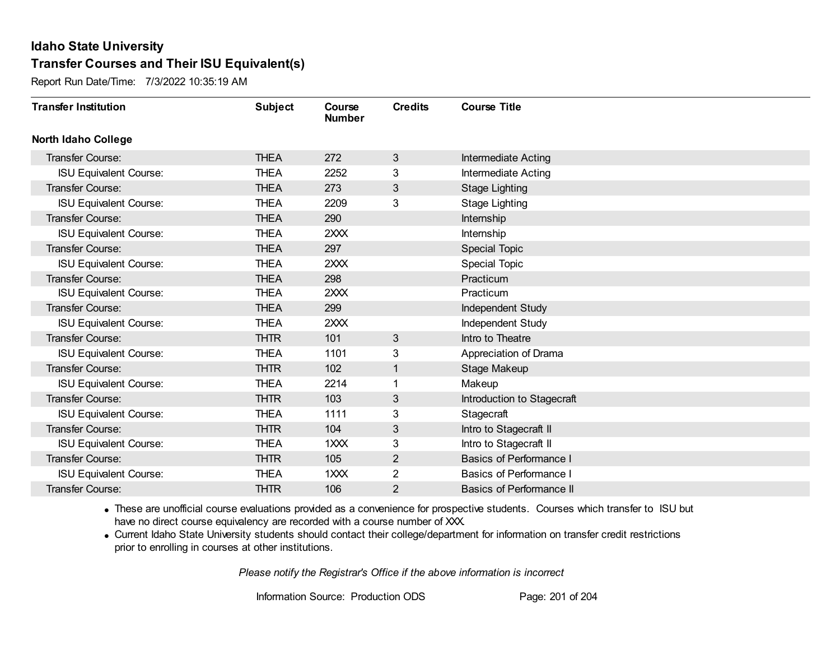Report Run Date/Time: 7/3/2022 10:35:19 AM

| <b>Transfer Institution</b>   | <b>Subject</b> | Course<br><b>Number</b> | <b>Credits</b> | <b>Course Title</b>             |
|-------------------------------|----------------|-------------------------|----------------|---------------------------------|
| <b>North Idaho College</b>    |                |                         |                |                                 |
| <b>Transfer Course:</b>       | <b>THEA</b>    | 272                     | 3              | Intermediate Acting             |
| <b>ISU Equivalent Course:</b> | <b>THEA</b>    | 2252                    | 3              | <b>Intermediate Acting</b>      |
| Transfer Course:              | <b>THEA</b>    | 273                     | 3              | <b>Stage Lighting</b>           |
| <b>ISU Equivalent Course:</b> | <b>THEA</b>    | 2209                    | 3              | <b>Stage Lighting</b>           |
| <b>Transfer Course:</b>       | <b>THEA</b>    | 290                     |                | Internship                      |
| <b>ISU Equivalent Course:</b> | <b>THEA</b>    | 2XXX                    |                | Internship                      |
| Transfer Course:              | <b>THEA</b>    | 297                     |                | <b>Special Topic</b>            |
| <b>ISU Equivalent Course:</b> | <b>THEA</b>    | 2XXX                    |                | <b>Special Topic</b>            |
| <b>Transfer Course:</b>       | <b>THEA</b>    | 298                     |                | Practicum                       |
| <b>ISU Equivalent Course:</b> | <b>THEA</b>    | 2XXX                    |                | Practicum                       |
| <b>Transfer Course:</b>       | <b>THEA</b>    | 299                     |                | Independent Study               |
| <b>ISU Equivalent Course:</b> | <b>THEA</b>    | 2XXX                    |                | Independent Study               |
| <b>Transfer Course:</b>       | <b>THTR</b>    | 101                     | 3              | Intro to Theatre                |
| <b>ISU Equivalent Course:</b> | <b>THEA</b>    | 1101                    | 3              | Appreciation of Drama           |
| Transfer Course:              | <b>THTR</b>    | 102                     | 1              | Stage Makeup                    |
| <b>ISU Equivalent Course:</b> | <b>THEA</b>    | 2214                    | 1              | Makeup                          |
| Transfer Course:              | <b>THTR</b>    | 103                     | 3              | Introduction to Stagecraft      |
| <b>ISU Equivalent Course:</b> | <b>THEA</b>    | 1111                    | 3              | Stagecraft                      |
| Transfer Course:              | <b>THTR</b>    | 104                     | 3              | Intro to Stagecraft II          |
| <b>ISU Equivalent Course:</b> | <b>THEA</b>    | 1XXX                    | 3              | Intro to Stagecraft II          |
| <b>Transfer Course:</b>       | <b>THTR</b>    | 105                     | $\overline{2}$ | <b>Basics of Performance I</b>  |
| <b>ISU Equivalent Course:</b> | THEA           | 1XXX                    | $\overline{2}$ | Basics of Performance I         |
| Transfer Course:              | <b>THTR</b>    | 106                     | $\overline{2}$ | <b>Basics of Performance II</b> |

· These are unofficial course evaluations provided as a convenience for prospective students. Courses which transfer to ISU but have no direct course equivalency are recorded with a course number of XXX.

· Current Idaho State University students should contact their college/department for information on transfer credit restrictions prior to enrolling in courses at other institutions.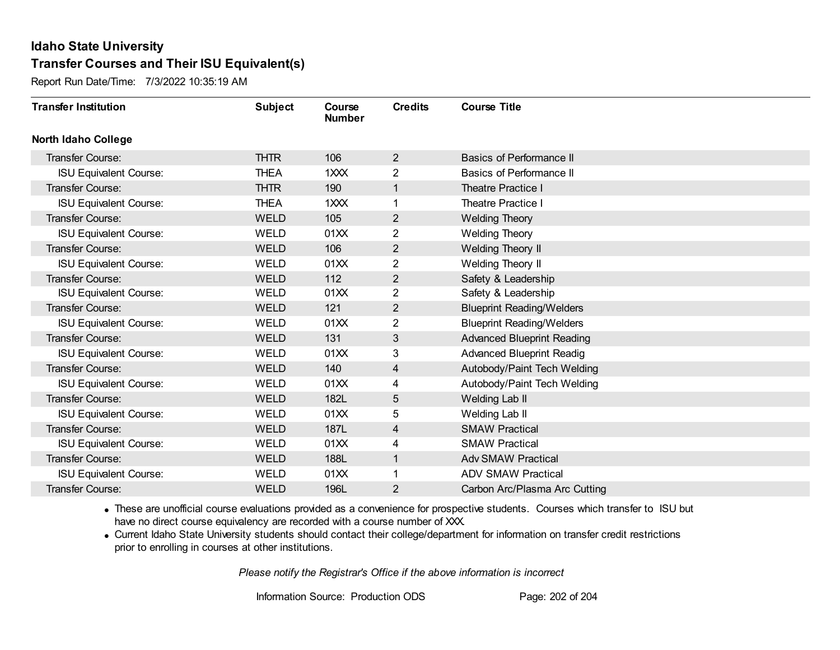Report Run Date/Time: 7/3/2022 10:35:19 AM

| <b>Transfer Institution</b>   | <b>Subject</b> | Course<br><b>Number</b> | <b>Credits</b> | <b>Course Title</b>               |
|-------------------------------|----------------|-------------------------|----------------|-----------------------------------|
| <b>North Idaho College</b>    |                |                         |                |                                   |
| <b>Transfer Course:</b>       | <b>THTR</b>    | 106                     | $\overline{2}$ | Basics of Performance II          |
| <b>ISU Equivalent Course:</b> | <b>THEA</b>    | 1XXX                    | 2              | Basics of Performance II          |
| Transfer Course:              | <b>THTR</b>    | 190                     | $\mathbf{1}$   | <b>Theatre Practice I</b>         |
| <b>ISU Equivalent Course:</b> | <b>THEA</b>    | 1XXX                    | 1              | <b>Theatre Practice I</b>         |
| <b>Transfer Course:</b>       | <b>WELD</b>    | 105                     | $\overline{2}$ | <b>Welding Theory</b>             |
| <b>ISU Equivalent Course:</b> | <b>WELD</b>    | 01XX                    | 2              | <b>Welding Theory</b>             |
| Transfer Course:              | <b>WELD</b>    | 106                     | $\overline{2}$ | Welding Theory II                 |
| <b>ISU Equivalent Course:</b> | WELD           | 01XX                    | 2              | Welding Theory II                 |
| Transfer Course:              | <b>WELD</b>    | 112                     | $\overline{2}$ | Safety & Leadership               |
| <b>ISU Equivalent Course:</b> | <b>WELD</b>    | 01XX                    | $\overline{2}$ | Safety & Leadership               |
| <b>Transfer Course:</b>       | <b>WELD</b>    | 121                     | $\overline{2}$ | <b>Blueprint Reading/Welders</b>  |
| <b>ISU Equivalent Course:</b> | <b>WELD</b>    | 01XX                    | 2              | <b>Blueprint Reading/Welders</b>  |
| Transfer Course:              | <b>WELD</b>    | 131                     | 3              | <b>Advanced Blueprint Reading</b> |
| <b>ISU Equivalent Course:</b> | WELD           | 01XX                    | 3              | <b>Advanced Blueprint Readig</b>  |
| Transfer Course:              | <b>WELD</b>    | 140                     | 4              | Autobody/Paint Tech Welding       |
| <b>ISU Equivalent Course:</b> | <b>WELD</b>    | 01XX                    | 4              | Autobody/Paint Tech Welding       |
| Transfer Course:              | <b>WELD</b>    | 182L                    | 5              | Welding Lab II                    |
| <b>ISU Equivalent Course:</b> | <b>WELD</b>    | 01XX                    | 5              | Welding Lab II                    |
| Transfer Course:              | <b>WELD</b>    | 187L                    | $\overline{4}$ | <b>SMAW Practical</b>             |
| <b>ISU Equivalent Course:</b> | <b>WELD</b>    | 01XX                    | 4              | <b>SMAW Practical</b>             |
| Transfer Course:              | <b>WELD</b>    | 188L                    | $\mathbf{1}$   | <b>Adv SMAW Practical</b>         |
| <b>ISU Equivalent Course:</b> | WELD           | 01XX                    | 1              | <b>ADV SMAW Practical</b>         |
| Transfer Course:              | <b>WELD</b>    | 196L                    | 2              | Carbon Arc/Plasma Arc Cutting     |

· These are unofficial course evaluations provided as a convenience for prospective students. Courses which transfer to ISU but have no direct course equivalency are recorded with a course number of XXX.

· Current Idaho State University students should contact their college/department for information on transfer credit restrictions prior to enrolling in courses at other institutions.

*Please notify the Registrar's Office if the above information is incorrect*

Information Source: Production ODS Page: 202 of 204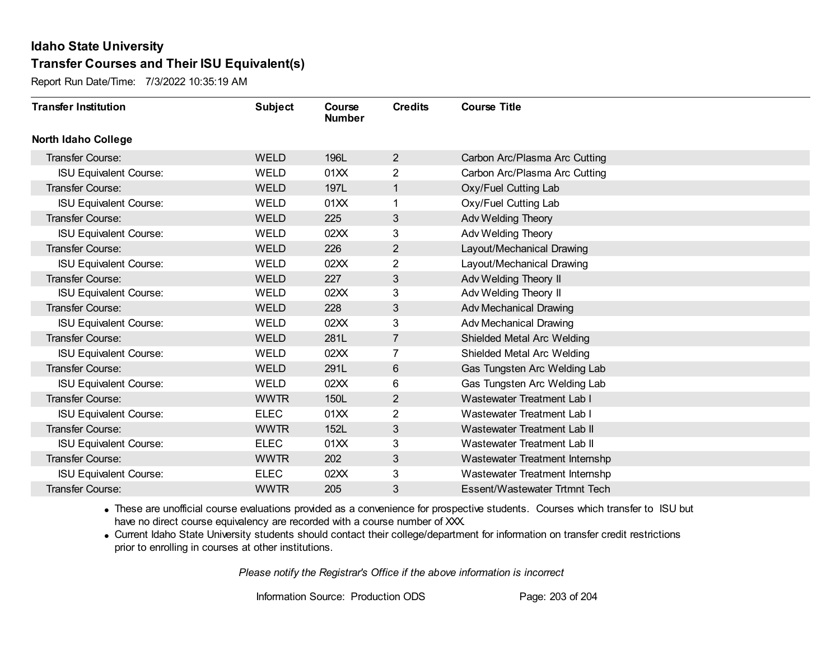Report Run Date/Time: 7/3/2022 10:35:19 AM

| <b>Transfer Institution</b>   | <b>Subject</b> | Course<br><b>Number</b> | <b>Credits</b> | <b>Course Title</b>            |
|-------------------------------|----------------|-------------------------|----------------|--------------------------------|
| <b>North Idaho College</b>    |                |                         |                |                                |
| Transfer Course:              | <b>WELD</b>    | 196L                    | $\overline{2}$ | Carbon Arc/Plasma Arc Cutting  |
| <b>ISU Equivalent Course:</b> | <b>WELD</b>    | 01XX                    | $\overline{2}$ | Carbon Arc/Plasma Arc Cutting  |
| Transfer Course:              | <b>WELD</b>    | 197L                    | $\mathbf{1}$   | Oxy/Fuel Cutting Lab           |
| <b>ISU Equivalent Course:</b> | <b>WELD</b>    | 01XX                    | 1              | Oxy/Fuel Cutting Lab           |
| <b>Transfer Course:</b>       | <b>WELD</b>    | 225                     | 3              | Adv Welding Theory             |
| <b>ISU Equivalent Course:</b> | <b>WELD</b>    | 02XX                    | 3              | Adv Welding Theory             |
| Transfer Course:              | <b>WELD</b>    | 226                     | $\overline{2}$ | Layout/Mechanical Drawing      |
| <b>ISU Equivalent Course:</b> | <b>WELD</b>    | 02XX                    | 2              | Layout/Mechanical Drawing      |
| Transfer Course:              | <b>WELD</b>    | 227                     | 3              | Adv Welding Theory II          |
| <b>ISU Equivalent Course:</b> | WELD           | 02XX                    | 3              | Adv Welding Theory II          |
| <b>Transfer Course:</b>       | <b>WELD</b>    | 228                     | 3              | Adv Mechanical Drawing         |
| <b>ISU Equivalent Course:</b> | <b>WELD</b>    | 02XX                    | 3              | Adv Mechanical Drawing         |
| Transfer Course:              | <b>WELD</b>    | 281L                    | $\overline{7}$ | Shielded Metal Arc Welding     |
| <b>ISU Equivalent Course:</b> | <b>WELD</b>    | 02XX                    | $\overline{7}$ | Shielded Metal Arc Welding     |
| Transfer Course:              | <b>WELD</b>    | 291L                    | 6              | Gas Tungsten Arc Welding Lab   |
| <b>ISU Equivalent Course:</b> | <b>WELD</b>    | 02XX                    | 6              | Gas Tungsten Arc Welding Lab   |
| <b>Transfer Course:</b>       | <b>WWTR</b>    | 150L                    | 2              | Wastewater Treatment Lab I     |
| <b>ISU Equivalent Course:</b> | <b>ELEC</b>    | 01XX                    | 2              | Wastewater Treatment Lab I     |
| Transfer Course:              | <b>WWTR</b>    | 152L                    | 3              | Wastewater Treatment Lab II    |
| <b>ISU Equivalent Course:</b> | <b>ELEC</b>    | 01XX                    | 3              | Wastewater Treatment Lab II    |
| <b>Transfer Course:</b>       | <b>WWTR</b>    | 202                     | 3              | Wastewater Treatment Internshp |
| <b>ISU Equivalent Course:</b> | <b>ELEC</b>    | 02XX                    | 3              | Wastewater Treatment Internshp |
| Transfer Course:              | <b>WWTR</b>    | 205                     | 3              | Essent/Wastewater Trtmnt Tech  |

· These are unofficial course evaluations provided as a convenience for prospective students. Courses which transfer to ISU but have no direct course equivalency are recorded with a course number of XXX.

· Current Idaho State University students should contact their college/department for information on transfer credit restrictions prior to enrolling in courses at other institutions.

*Please notify the Registrar's Office if the above information is incorrect*

Information Source: Production ODS Page: 203 of 204